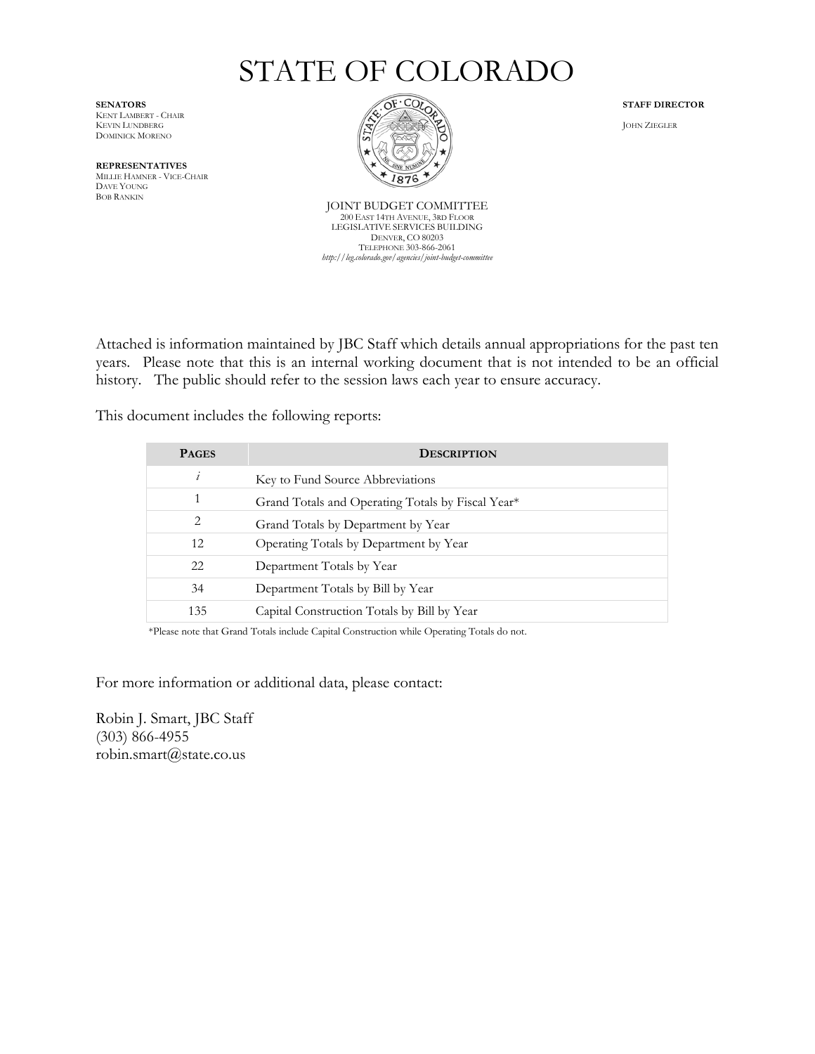# STATE OF COLORADO

KENT LAMBERT - CHAIR DOMINICK MORENO

**REPRESENTATIVES** MILLIE HAMNER - VICE-CHAIR DAVE YOUNG BOB RANKIN



JOINT BUDGET COMMITTEE 200 EAST 14TH AVENUE, 3RD FLOOR LEGISLATIVE SERVICES BUILDING DENVER, CO 80203 TELEPHONE 303-866-2061 *http://leg.colorado.gov/agencies/joint-budget-committee*

Attached is information maintained by JBC Staff which details annual appropriations for the past ten years. Please note that this is an internal working document that is not intended to be an official history. The public should refer to the session laws each year to ensure accuracy.

This document includes the following reports:

| <b>PAGES</b> | <b>DESCRIPTION</b>                                |
|--------------|---------------------------------------------------|
| $\iota$      | Key to Fund Source Abbreviations                  |
|              | Grand Totals and Operating Totals by Fiscal Year* |
| 2            | Grand Totals by Department by Year                |
| 12           | Operating Totals by Department by Year            |
| 22           | Department Totals by Year                         |
| 34           | Department Totals by Bill by Year                 |
| 135          | Capital Construction Totals by Bill by Year       |

\*Please note that Grand Totals include Capital Construction while Operating Totals do not.

For more information or additional data, please contact:

Robin J. Smart, JBC Staff (303) 866-4955 robin.smart@state.co.us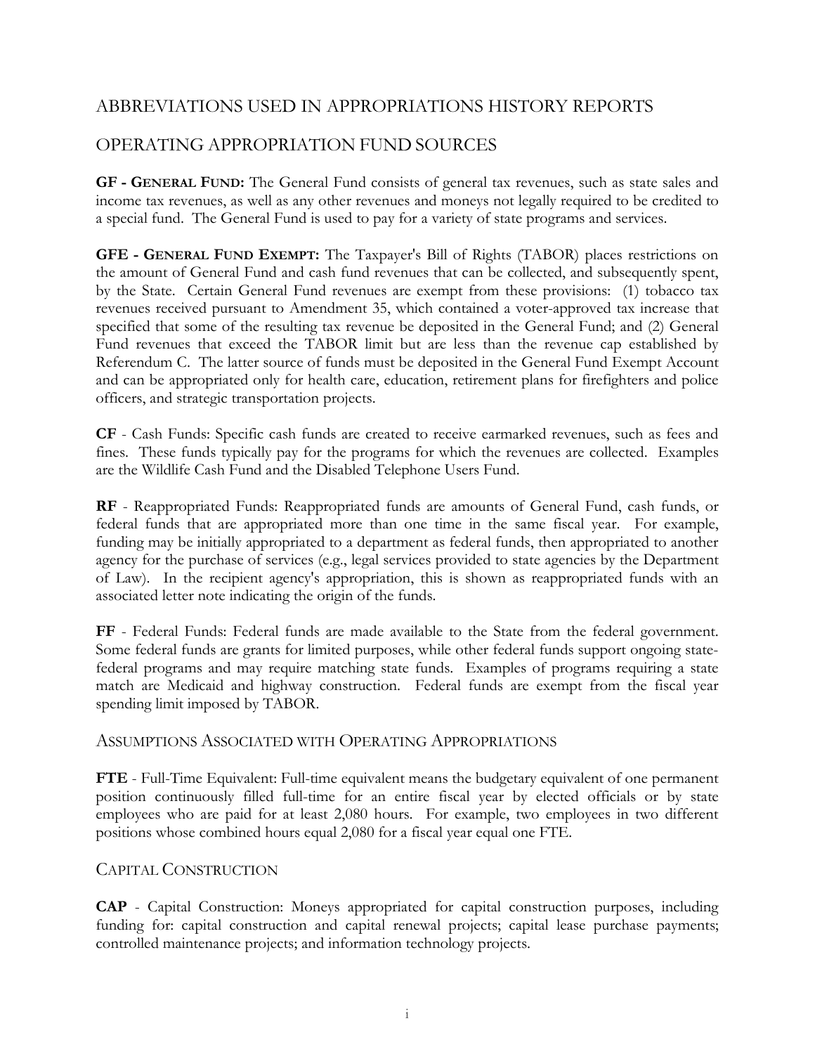# ABBREVIATIONS USED IN APPROPRIATIONS HISTORY REPORTS

# OPERATING APPROPRIATION FUND SOURCES

**GF - GENERAL FUND:** The General Fund consists of general tax revenues, such as state sales and income tax revenues, as well as any other revenues and moneys not legally required to be credited to a special fund. The General Fund is used to pay for a variety of state programs and services.

**GFE - GENERAL FUND EXEMPT:** The Taxpayer's Bill of Rights (TABOR) places restrictions on the amount of General Fund and cash fund revenues that can be collected, and subsequently spent, by the State. Certain General Fund revenues are exempt from these provisions: (1) tobacco tax revenues received pursuant to Amendment 35, which contained a voter-approved tax increase that specified that some of the resulting tax revenue be deposited in the General Fund; and (2) General Fund revenues that exceed the TABOR limit but are less than the revenue cap established by Referendum C. The latter source of funds must be deposited in the General Fund Exempt Account and can be appropriated only for health care, education, retirement plans for firefighters and police officers, and strategic transportation projects.

**CF** - Cash Funds: Specific cash funds are created to receive earmarked revenues, such as fees and fines. These funds typically pay for the programs for which the revenues are collected. Examples are the Wildlife Cash Fund and the Disabled Telephone Users Fund.

**RF** - Reappropriated Funds: Reappropriated funds are amounts of General Fund, cash funds, or federal funds that are appropriated more than one time in the same fiscal year. For example, funding may be initially appropriated to a department as federal funds, then appropriated to another agency for the purchase of services (e.g., legal services provided to state agencies by the Department of Law). In the recipient agency's appropriation, this is shown as reappropriated funds with an associated letter note indicating the origin of the funds.

**FF** - Federal Funds: Federal funds are made available to the State from the federal government. Some federal funds are grants for limited purposes, while other federal funds support ongoing statefederal programs and may require matching state funds. Examples of programs requiring a state match are Medicaid and highway construction. Federal funds are exempt from the fiscal year spending limit imposed by TABOR.

# ASSUMPTIONS ASSOCIATED WITH OPERATING APPROPRIATIONS

**FTE** - Full-Time Equivalent: Full-time equivalent means the budgetary equivalent of one permanent position continuously filled full-time for an entire fiscal year by elected officials or by state employees who are paid for at least 2,080 hours. For example, two employees in two different positions whose combined hours equal 2,080 for a fiscal year equal one FTE.

# CAPITAL CONSTRUCTION

**CAP** - Capital Construction: Moneys appropriated for capital construction purposes, including funding for: capital construction and capital renewal projects; capital lease purchase payments; controlled maintenance projects; and information technology projects.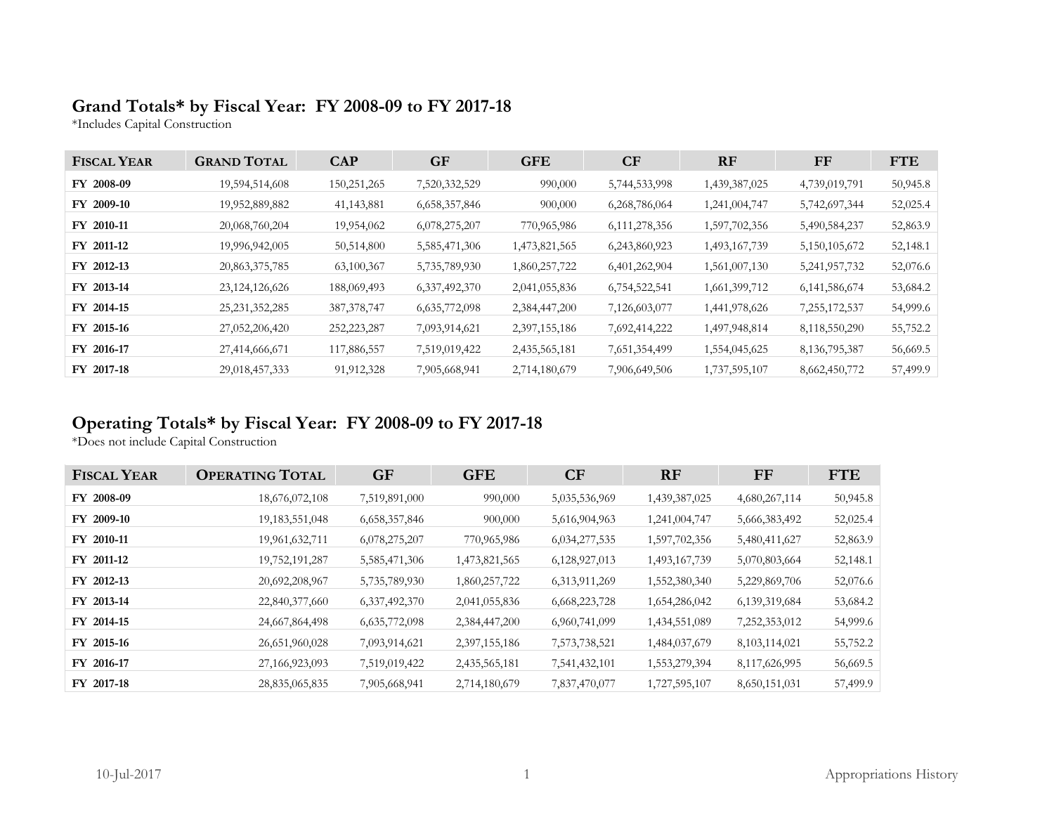# **Grand Totals\* by Fiscal Year: FY 2008-09 to FY 2017-18**

\*Includes Capital Construction

| <b>FISCAL YEAR</b> | <b>GRAND TOTAL</b> | <b>CAP</b>    | <b>GF</b>     | <b>GFE</b>    | CF               | <b>RF</b>     | FF               | <b>FTE</b> |
|--------------------|--------------------|---------------|---------------|---------------|------------------|---------------|------------------|------------|
| FY 2008-09         | 19,594,514,608     | 150,251,265   | 7,520,332,529 | 990,000       | 5,744,533,998    | 1,439,387,025 | 4,739,019,791    | 50,945.8   |
| FY 2009-10         | 19,952,889,882     | 41, 143, 881  | 6,658,357,846 | 900,000       | 6,268,786,064    | 1,241,004,747 | 5,742,697,344    | 52,025.4   |
| FY 2010-11         | 20,068,760,204     | 19,954,062    | 6,078,275,207 | 770,965,986   | 6, 111, 278, 356 | 1,597,702,356 | 5,490,584,237    | 52,863.9   |
| FY 2011-12         | 19,996,942,005     | 50,514,800    | 5,585,471,306 | 1,473,821,565 | 6,243,860,923    | 1,493,167,739 | 5,150,105,672    | 52,148.1   |
| FY 2012-13         | 20,863,375,785     | 63,100,367    | 5,735,789,930 | 1,860,257,722 | 6,401,262,904    | 1,561,007,130 | 5,241,957,732    | 52,076.6   |
| FY 2013-14         | 23, 124, 126, 626  | 188,069,493   | 6,337,492,370 | 2,041,055,836 | 6,754,522,541    | 1,661,399,712 | 6, 141, 586, 674 | 53,684.2   |
| FY 2014-15         | 25, 231, 352, 285  | 387, 378, 747 | 6,635,772,098 | 2,384,447,200 | 7,126,603,077    | 1,441,978,626 | 7,255,172,537    | 54,999.6   |
| FY 2015-16         | 27,052,206,420     | 252,223,287   | 7,093,914,621 | 2,397,155,186 | 7,692,414,222    | 1,497,948,814 | 8,118,550,290    | 55,752.2   |
| FY 2016-17         | 27,414,666,671     | 117,886,557   | 7,519,019,422 | 2,435,565,181 | 7,651,354,499    | 1,554,045,625 | 8, 136, 795, 387 | 56,669.5   |
| FY 2017-18         | 29,018,457,333     | 91,912,328    | 7,905,668,941 | 2,714,180,679 | 7,906,649,506    | 1,737,595,107 | 8,662,450,772    | 57,499.9   |

# **Operating Totals\* by Fiscal Year: FY 2008-09 to FY 2017-18**

\*Does not include Capital Construction

| <b>FISCAL YEAR</b> | <b>OPERATING TOTAL</b> | <b>GF</b>        | <b>GFE</b>    | CF            | <b>RF</b>     | FF               | <b>FTE</b> |
|--------------------|------------------------|------------------|---------------|---------------|---------------|------------------|------------|
| FY 2008-09         | 18,676,072,108         | 7,519,891,000    | 990,000       | 5,035,536,969 | 1,439,387,025 | 4,680,267,114    | 50,945.8   |
| FY 2009-10         | 19, 183, 551, 048      | 6,658,357,846    | 900,000       | 5,616,904,963 | 1,241,004,747 | 5,666,383,492    | 52,025.4   |
| FY 2010-11         | 19,961,632,711         | 6,078,275,207    | 770,965,986   | 6,034,277,535 | 1,597,702,356 | 5,480,411,627    | 52,863.9   |
| FY 2011-12         | 19,752,191,287         | 5,585,471,306    | 1,473,821,565 | 6,128,927,013 | 1,493,167,739 | 5,070,803,664    | 52,148.1   |
| FY 2012-13         | 20,692,208,967         | 5,735,789,930    | 1,860,257,722 | 6,313,911,269 | 1,552,380,340 | 5,229,869,706    | 52,076.6   |
| FY 2013-14         | 22,840,377,660         | 6, 337, 492, 370 | 2,041,055,836 | 6,668,223,728 | 1,654,286,042 | 6,139,319,684    | 53,684.2   |
| FY 2014-15         | 24,667,864,498         | 6,635,772,098    | 2,384,447,200 | 6,960,741,099 | 1,434,551,089 | 7,252,353,012    | 54,999.6   |
| FY 2015-16         | 26,651,960,028         | 7,093,914,621    | 2,397,155,186 | 7,573,738,521 | 1,484,037,679 | 8, 103, 114, 021 | 55,752.2   |
| FY 2016-17         | 27,166,923,093         | 7,519,019,422    | 2,435,565,181 | 7,541,432,101 | 1,553,279,394 | 8,117,626,995    | 56,669.5   |
| FY 2017-18         | 28,835,065,835         | 7,905,668,941    | 2,714,180,679 | 7,837,470,077 | 1,727,595,107 | 8,650,151,031    | 57,499.9   |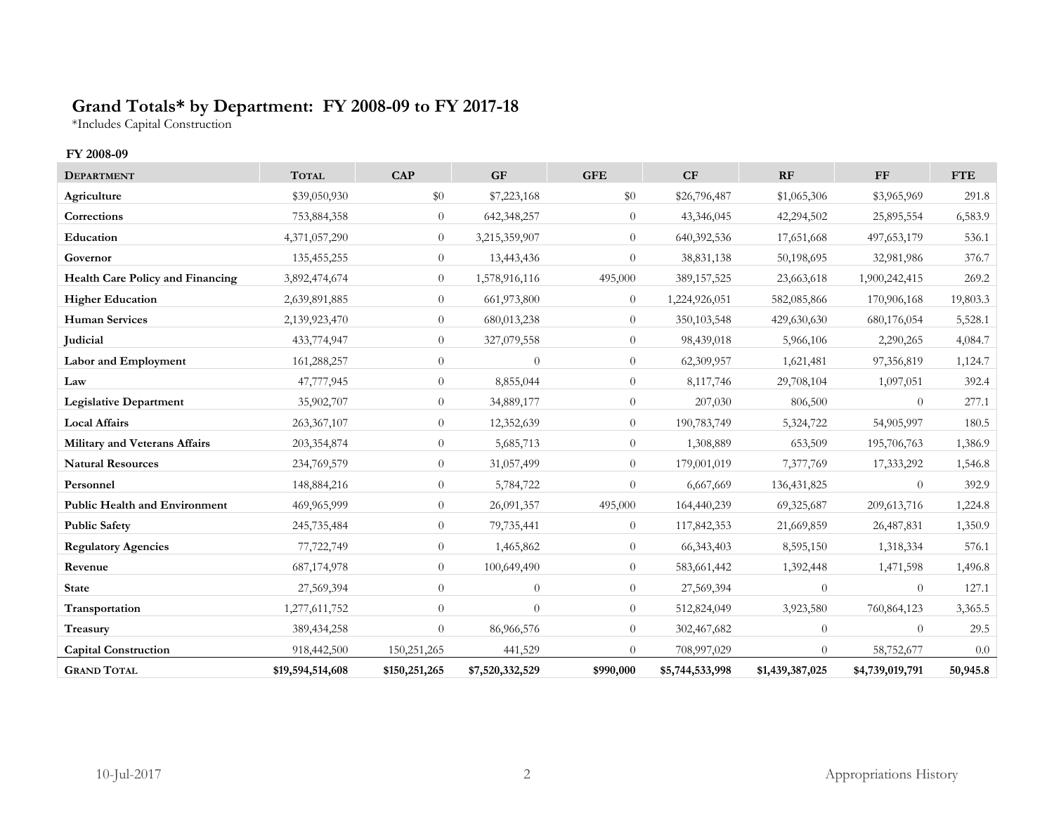# **Grand Totals\* by Department: FY 2008-09 to FY 2017-18**

\*Includes Capital Construction

### **FY 2008-09**

| <b>DEPARTMENT</b>                       | <b>TOTAL</b>     | <b>CAP</b>     | <b>GF</b>       | <b>GFE</b>     | CF              | RF              | <b>FF</b>       | <b>FTE</b> |
|-----------------------------------------|------------------|----------------|-----------------|----------------|-----------------|-----------------|-----------------|------------|
| Agriculture                             | \$39,050,930     | \$0            | \$7,223,168     | \$0            | \$26,796,487    | \$1,065,306     | \$3,965,969     | 291.8      |
| Corrections                             | 753,884,358      | $\theta$       | 642,348,257     | $\theta$       | 43,346,045      | 42,294,502      | 25,895,554      | 6,583.9    |
| Education                               | 4,371,057,290    | $\theta$       | 3,215,359,907   | $\theta$       | 640,392,536     | 17,651,668      | 497,653,179     | 536.1      |
| Governor                                | 135,455,255      | $\overline{0}$ | 13,443,436      | $\Omega$       | 38,831,138      | 50,198,695      | 32,981,986      | 376.7      |
| <b>Health Care Policy and Financing</b> | 3,892,474,674    | $\theta$       | 1,578,916,116   | 495,000        | 389,157,525     | 23,663,618      | 1,900,242,415   | 269.2      |
| <b>Higher Education</b>                 | 2,639,891,885    | $\overline{0}$ | 661,973,800     | $\theta$       | 1,224,926,051   | 582,085,866     | 170,906,168     | 19,803.3   |
| <b>Human Services</b>                   | 2,139,923,470    | $\overline{0}$ | 680,013,238     | $\Omega$       | 350,103,548     | 429,630,630     | 680,176,054     | 5,528.1    |
| Judicial                                | 433,774,947      | $\theta$       | 327,079,558     | $\overline{0}$ | 98,439,018      | 5,966,106       | 2,290,265       | 4,084.7    |
| <b>Labor and Employment</b>             | 161,288,257      | $\theta$       | $\theta$        | $\theta$       | 62,309,957      | 1,621,481       | 97,356,819      | 1,124.7    |
| Law                                     | 47,777,945       | $\overline{0}$ | 8,855,044       | $\overline{0}$ | 8,117,746       | 29,708,104      | 1,097,051       | 392.4      |
| <b>Legislative Department</b>           | 35,902,707       | $\theta$       | 34,889,177      | $\overline{0}$ | 207,030         | 806,500         | $\theta$        | 277.1      |
| <b>Local Affairs</b>                    | 263,367,107      | $\theta$       | 12,352,639      | $\overline{0}$ | 190,783,749     | 5,324,722       | 54,905,997      | 180.5      |
| Military and Veterans Affairs           | 203,354,874      | $\theta$       | 5,685,713       | $\theta$       | 1,308,889       | 653,509         | 195,706,763     | 1,386.9    |
| <b>Natural Resources</b>                | 234,769,579      | $\overline{0}$ | 31,057,499      | $\overline{0}$ | 179,001,019     | 7,377,769       | 17,333,292      | 1,546.8    |
| Personnel                               | 148,884,216      | $\theta$       | 5,784,722       | $\Omega$       | 6,667,669       | 136, 431, 825   | $\Omega$        | 392.9      |
| <b>Public Health and Environment</b>    | 469,965,999      | $\overline{0}$ | 26,091,357      | 495,000        | 164,440,239     | 69,325,687      | 209, 613, 716   | 1,224.8    |
| <b>Public Safety</b>                    | 245,735,484      | $\theta$       | 79,735,441      | $\theta$       | 117,842,353     | 21,669,859      | 26,487,831      | 1,350.9    |
| <b>Regulatory Agencies</b>              | 77,722,749       | $\theta$       | 1,465,862       | $\overline{0}$ | 66, 343, 403    | 8,595,150       | 1,318,334       | 576.1      |
| Revenue                                 | 687,174,978      | $\theta$       | 100,649,490     | $\overline{0}$ | 583,661,442     | 1,392,448       | 1,471,598       | 1,496.8    |
| <b>State</b>                            | 27,569,394       | $\theta$       | $\theta$        | $\overline{0}$ | 27,569,394      | $\theta$        | $\theta$        | 127.1      |
| Transportation                          | 1,277,611,752    | $\theta$       | $\theta$        | $\overline{0}$ | 512,824,049     | 3,923,580       | 760,864,123     | 3,365.5    |
| Treasury                                | 389, 434, 258    | $\theta$       | 86,966,576      | $\overline{0}$ | 302,467,682     | $\overline{0}$  | $\overline{0}$  | 29.5       |
| <b>Capital Construction</b>             | 918,442,500      | 150,251,265    | 441,529         | $\Omega$       | 708,997,029     | $\overline{0}$  | 58,752,677      | 0.0        |
| <b>GRAND TOTAL</b>                      | \$19,594,514,608 | \$150,251,265  | \$7,520,332,529 | \$990,000      | \$5,744,533,998 | \$1,439,387,025 | \$4,739,019,791 | 50,945.8   |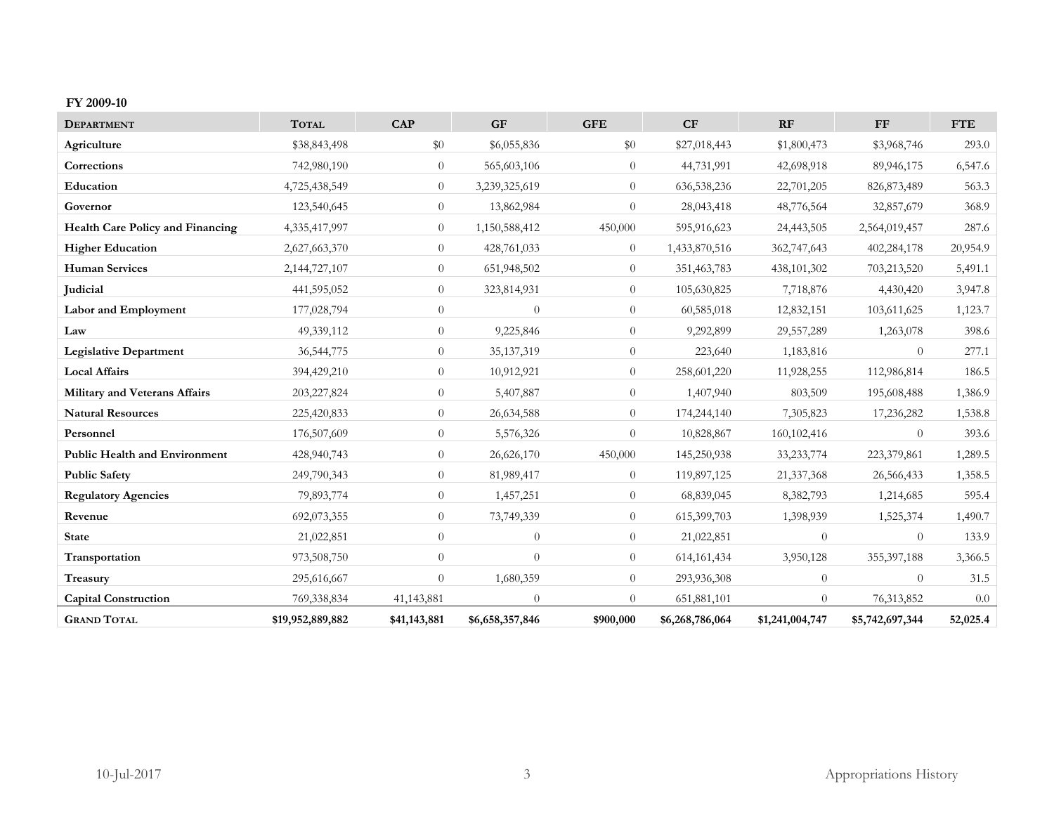#### **FY 2009-10**

| <b>DEPARTMENT</b>                       | <b>TOTAL</b>     | CAP            | <b>GF</b>       | <b>GFE</b>     | CF              | RF              | ${\rm FF}$      | <b>FTE</b> |
|-----------------------------------------|------------------|----------------|-----------------|----------------|-----------------|-----------------|-----------------|------------|
| Agriculture                             | \$38,843,498     | $\$0$          | \$6,055,836     | $\$0$          | \$27,018,443    | \$1,800,473     | \$3,968,746     | 293.0      |
| Corrections                             | 742,980,190      | $\theta$       | 565,603,106     | $\overline{0}$ | 44,731,991      | 42,698,918      | 89,946,175      | 6,547.6    |
| Education                               | 4,725,438,549    | $\overline{0}$ | 3,239,325,619   | $\overline{0}$ | 636,538,236     | 22,701,205      | 826, 873, 489   | 563.3      |
| Governor                                | 123,540,645      | $\overline{0}$ | 13,862,984      | $\overline{0}$ | 28,043,418      | 48,776,564      | 32,857,679      | 368.9      |
| <b>Health Care Policy and Financing</b> | 4,335,417,997    | $\overline{0}$ | 1,150,588,412   | 450,000        | 595,916,623     | 24,443,505      | 2,564,019,457   | 287.6      |
| <b>Higher Education</b>                 | 2,627,663,370    | $\overline{0}$ | 428,761,033     | $\overline{0}$ | 1,433,870,516   | 362,747,643     | 402,284,178     | 20,954.9   |
| <b>Human Services</b>                   | 2,144,727,107    | $\theta$       | 651,948,502     | $\overline{0}$ | 351,463,783     | 438,101,302     | 703,213,520     | 5,491.1    |
| <b>Judicial</b>                         | 441,595,052      | $\overline{0}$ | 323,814,931     | $\overline{0}$ | 105,630,825     | 7,718,876       | 4,430,420       | 3,947.8    |
| Labor and Employment                    | 177,028,794      | $\theta$       | $\theta$        | $\overline{0}$ | 60,585,018      | 12,832,151      | 103,611,625     | 1,123.7    |
| Law                                     | 49,339,112       | $\overline{0}$ | 9,225,846       | $\theta$       | 9,292,899       | 29,557,289      | 1,263,078       | 398.6      |
| <b>Legislative Department</b>           | 36,544,775       | $\overline{0}$ | 35, 137, 319    | $\overline{0}$ | 223,640         | 1,183,816       | $\theta$        | 277.1      |
| <b>Local Affairs</b>                    | 394,429,210      | $\overline{0}$ | 10,912,921      | $\overline{0}$ | 258,601,220     | 11,928,255      | 112,986,814     | 186.5      |
| <b>Military and Veterans Affairs</b>    | 203,227,824      | $\overline{0}$ | 5,407,887       | $\overline{0}$ | 1,407,940       | 803,509         | 195,608,488     | 1,386.9    |
| <b>Natural Resources</b>                | 225,420,833      | $\overline{0}$ | 26,634,588      | $\theta$       | 174,244,140     | 7,305,823       | 17,236,282      | 1,538.8    |
| Personnel                               | 176,507,609      | $\theta$       | 5,576,326       | $\theta$       | 10,828,867      | 160, 102, 416   | $\theta$        | 393.6      |
| <b>Public Health and Environment</b>    | 428,940,743      | $\overline{0}$ | 26,626,170      | 450,000        | 145,250,938     | 33, 233, 774    | 223,379,861     | 1,289.5    |
| <b>Public Safety</b>                    | 249,790,343      | $\overline{0}$ | 81,989,417      | $\theta$       | 119,897,125     | 21,337,368      | 26,566,433      | 1,358.5    |
| <b>Regulatory Agencies</b>              | 79,893,774       | $\overline{0}$ | 1,457,251       | $\theta$       | 68,839,045      | 8,382,793       | 1,214,685       | 595.4      |
| Revenue                                 | 692,073,355      | $\overline{0}$ | 73,749,339      | $\theta$       | 615,399,703     | 1,398,939       | 1,525,374       | 1,490.7    |
| <b>State</b>                            | 21,022,851       | $\theta$       | $\theta$        | $\theta$       | 21,022,851      | $\theta$        | $\theta$        | 133.9      |
| Transportation                          | 973,508,750      | $\overline{0}$ | $\theta$        | $\theta$       | 614, 161, 434   | 3,950,128       | 355, 397, 188   | 3,366.5    |
| Treasury                                | 295,616,667      | $\overline{0}$ | 1,680,359       | $\theta$       | 293,936,308     | $\theta$        | $\theta$        | 31.5       |
| <b>Capital Construction</b>             | 769,338,834      | 41,143,881     | $\Omega$        | $\Omega$       | 651,881,101     | $\Omega$        | 76,313,852      | 0.0        |
| <b>GRAND TOTAL</b>                      | \$19,952,889,882 | \$41,143,881   | \$6,658,357,846 | \$900,000      | \$6,268,786,064 | \$1,241,004,747 | \$5,742,697,344 | 52,025.4   |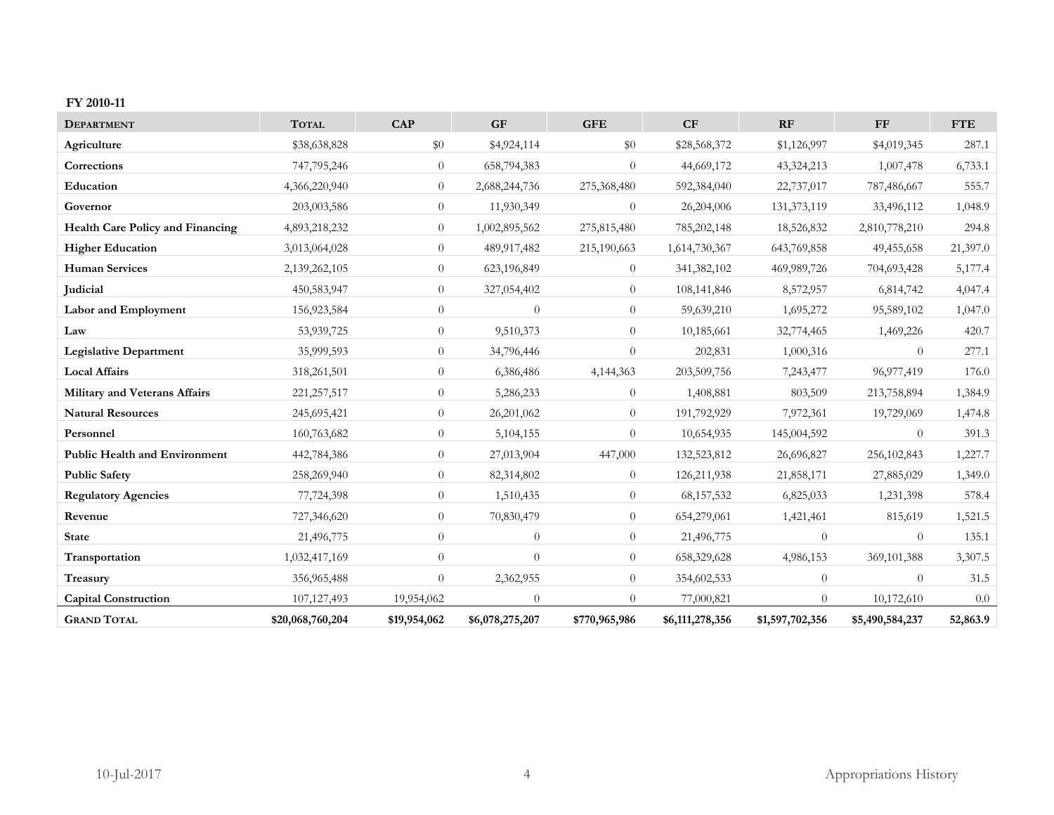#### **FY 2010-11**

| <b>DEPARTMENT</b>                       | <b>TOTAL</b>     | <b>CAP</b>     | <b>GF</b>       | <b>GFE</b>     | CF              | RF              | <b>FF</b>       | <b>FTE</b> |
|-----------------------------------------|------------------|----------------|-----------------|----------------|-----------------|-----------------|-----------------|------------|
| Agriculture                             | \$38,638,828     | \$0            | \$4,924,114     | \$0            | \$28,568,372    | \$1,126,997     | \$4,019,345     | 287.1      |
| Corrections                             | 747,795,246      | $\overline{0}$ | 658,794,383     | $\theta$       | 44,669,172      | 43,324,213      | 1,007,478       | 6,733.1    |
| Education                               | 4,366,220,940    | $\overline{0}$ | 2,688,244,736   | 275,368,480    | 592,384,040     | 22,737,017      | 787,486,667     | 555.7      |
| Governor                                | 203,003,586      | $\overline{0}$ | 11,930,349      | $\theta$       | 26,204,006      | 131,373,119     | 33,496,112      | 1,048.9    |
| <b>Health Care Policy and Financing</b> | 4,893,218,232    | $\theta$       | 1,002,895,562   | 275,815,480    | 785,202,148     | 18,526,832      | 2,810,778,210   | 294.8      |
| <b>Higher Education</b>                 | 3,013,064,028    | $\overline{0}$ | 489,917,482     | 215,190,663    | 1,614,730,367   | 643,769,858     | 49,455,658      | 21,397.0   |
| <b>Human Services</b>                   | 2,139,262,105    | $\overline{0}$ | 623,196,849     | $\theta$       | 341,382,102     | 469,989,726     | 704,693,428     | 5,177.4    |
| Judicial                                | 450,583,947      | $\overline{0}$ | 327,054,402     | $\theta$       | 108,141,846     | 8,572,957       | 6,814,742       | 4,047.4    |
| Labor and Employment                    | 156,923,584      | $\theta$       | $\theta$        | $\theta$       | 59,639,210      | 1,695,272       | 95,589,102      | 1,047.0    |
| Law                                     | 53,939,725       | $\overline{0}$ | 9,510,373       | $\overline{0}$ | 10,185,661      | 32,774,465      | 1,469,226       | 420.7      |
| <b>Legislative Department</b>           | 35,999,593       | $\overline{0}$ | 34,796,446      | $\Omega$       | 202,831         | 1,000,316       | $\theta$        | 277.1      |
| <b>Local Affairs</b>                    | 318,261,501      | $\overline{0}$ | 6,386,486       | 4,144,363      | 203,509,756     | 7,243,477       | 96,977,419      | 176.0      |
| Military and Veterans Affairs           | 221, 257, 517    | $\overline{0}$ | 5,286,233       | $\overline{0}$ | 1,408,881       | 803,509         | 213,758,894     | 1,384.9    |
| <b>Natural Resources</b>                | 245,695,421      | $\overline{0}$ | 26,201,062      | $\overline{0}$ | 191,792,929     | 7,972,361       | 19,729,069      | 1,474.8    |
| Personnel                               | 160,763,682      | $\theta$       | 5,104,155       | $\Omega$       | 10,654,935      | 145,004,592     | $\Omega$        | 391.3      |
| <b>Public Health and Environment</b>    | 442,784,386      | $\overline{0}$ | 27,013,904      | 447,000        | 132,523,812     | 26,696,827      | 256,102,843     | 1,227.7    |
| <b>Public Safety</b>                    | 258,269,940      | $\overline{0}$ | 82,314,802      | $\overline{0}$ | 126,211,938     | 21,858,171      | 27,885,029      | 1,349.0    |
| <b>Regulatory Agencies</b>              | 77,724,398       | $\overline{0}$ | 1,510,435       | $\overline{0}$ | 68, 157, 532    | 6,825,033       | 1,231,398       | 578.4      |
| Revenue                                 | 727,346,620      | $\overline{0}$ | 70,830,479      | $\overline{0}$ | 654,279,061     | 1,421,461       | 815,619         | 1,521.5    |
| <b>State</b>                            | 21,496,775       | $\theta$       | $\overline{0}$  | $\overline{0}$ | 21,496,775      | $\theta$        | $\overline{0}$  | 135.1      |
| Transportation                          | 1,032,417,169    | $\overline{0}$ | $\theta$        | $\overline{0}$ | 658,329,628     | 4,986,153       | 369,101,388     | 3,307.5    |
| Treasury                                | 356,965,488      | $\theta$       | 2,362,955       | $\overline{0}$ | 354,602,533     | $\theta$        | $\theta$        | 31.5       |
| <b>Capital Construction</b>             | 107, 127, 493    | 19,954,062     | $\theta$        | $\Omega$       | 77,000,821      | $\Omega$        | 10,172,610      | 0.0        |
| <b>GRAND TOTAL</b>                      | \$20,068,760,204 | \$19,954,062   | \$6,078,275,207 | \$770,965,986  | \$6,111,278,356 | \$1,597,702,356 | \$5,490,584,237 | 52,863.9   |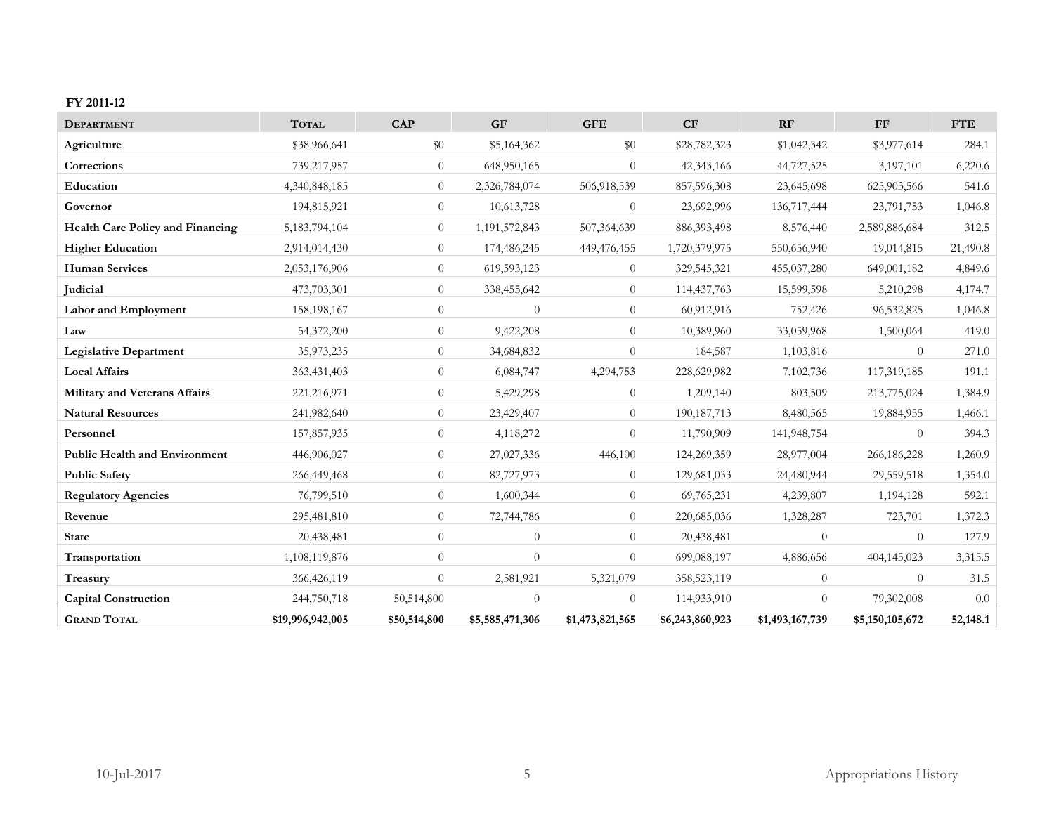#### **FY 2011-12**

| <b>DEPARTMENT</b>                       | <b>TOTAL</b>     | <b>CAP</b>     | <b>GF</b>       | <b>GFE</b>      | CF              | RF              | <b>FF</b>       | <b>FTE</b> |
|-----------------------------------------|------------------|----------------|-----------------|-----------------|-----------------|-----------------|-----------------|------------|
| Agriculture                             | \$38,966,641     | \$0            | \$5,164,362     | \$0             | \$28,782,323    | \$1,042,342     | \$3,977,614     | 284.1      |
| Corrections                             | 739,217,957      | $\overline{0}$ | 648,950,165     | $\theta$        | 42,343,166      | 44,727,525      | 3,197,101       | 6,220.6    |
| Education                               | 4,340,848,185    | $\overline{0}$ | 2,326,784,074   | 506,918,539     | 857,596,308     | 23,645,698      | 625,903,566     | 541.6      |
| Governor                                | 194,815,921      | $\overline{0}$ | 10,613,728      | $\Omega$        | 23,692,996      | 136,717,444     | 23,791,753      | 1,046.8    |
| <b>Health Care Policy and Financing</b> | 5,183,794,104    | $\overline{0}$ | 1,191,572,843   | 507,364,639     | 886, 393, 498   | 8,576,440       | 2,589,886,684   | 312.5      |
| <b>Higher Education</b>                 | 2,914,014,430    | $\overline{0}$ | 174,486,245     | 449,476,455     | 1,720,379,975   | 550,656,940     | 19,014,815      | 21,490.8   |
| <b>Human Services</b>                   | 2,053,176,906    | $\theta$       | 619,593,123     | $\overline{0}$  | 329,545,321     | 455,037,280     | 649,001,182     | 4,849.6    |
| Judicial                                | 473,703,301      | $\overline{0}$ | 338,455,642     | $\overline{0}$  | 114,437,763     | 15,599,598      | 5,210,298       | 4,174.7    |
| Labor and Employment                    | 158,198,167      | $\overline{0}$ | $\theta$        | $\overline{0}$  | 60,912,916      | 752,426         | 96,532,825      | 1,046.8    |
| Law                                     | 54,372,200       | $\overline{0}$ | 9,422,208       | $\overline{0}$  | 10,389,960      | 33,059,968      | 1,500,064       | 419.0      |
| <b>Legislative Department</b>           | 35,973,235       | $\theta$       | 34,684,832      | $\theta$        | 184,587         | 1,103,816       | $\overline{0}$  | 271.0      |
| <b>Local Affairs</b>                    | 363,431,403      | $\overline{0}$ | 6,084,747       | 4,294,753       | 228,629,982     | 7,102,736       | 117,319,185     | 191.1      |
| Military and Veterans Affairs           | 221,216,971      | $\overline{0}$ | 5,429,298       | $\overline{0}$  | 1,209,140       | 803,509         | 213,775,024     | 1,384.9    |
| <b>Natural Resources</b>                | 241,982,640      | $\overline{0}$ | 23,429,407      | $\overline{0}$  | 190, 187, 713   | 8,480,565       | 19,884,955      | 1,466.1    |
| Personnel                               | 157,857,935      | $\overline{0}$ | 4,118,272       | $\Omega$        | 11,790,909      | 141,948,754     | $\Omega$        | 394.3      |
| <b>Public Health and Environment</b>    | 446,906,027      | $\overline{0}$ | 27,027,336      | 446,100         | 124,269,359     | 28,977,004      | 266,186,228     | 1,260.9    |
| <b>Public Safety</b>                    | 266,449,468      | $\theta$       | 82,727,973      | $\theta$        | 129,681,033     | 24,480,944      | 29,559,518      | 1,354.0    |
| <b>Regulatory Agencies</b>              | 76,799,510       | $\overline{0}$ | 1,600,344       | $\theta$        | 69,765,231      | 4,239,807       | 1,194,128       | 592.1      |
| Revenue                                 | 295,481,810      | $\overline{0}$ | 72,744,786      | $\overline{0}$  | 220,685,036     | 1,328,287       | 723,701         | 1,372.3    |
| <b>State</b>                            | 20,438,481       | $\theta$       | $\theta$        | $\overline{0}$  | 20,438,481      | $\theta$        | $\theta$        | 127.9      |
| Transportation                          | 1,108,119,876    | $\theta$       | $\theta$        | $\theta$        | 699,088,197     | 4,886,656       | 404,145,023     | 3,315.5    |
| Treasury                                | 366,426,119      | $\theta$       | 2,581,921       | 5,321,079       | 358,523,119     | $\overline{0}$  | $\theta$        | 31.5       |
| <b>Capital Construction</b>             | 244,750,718      | 50,514,800     | $\Omega$        | $\Omega$        | 114,933,910     | $\Omega$        | 79,302,008      | 0.0        |
| <b>GRAND TOTAL</b>                      | \$19,996,942,005 | \$50,514,800   | \$5,585,471,306 | \$1,473,821,565 | \$6,243,860,923 | \$1,493,167,739 | \$5,150,105,672 | 52,148.1   |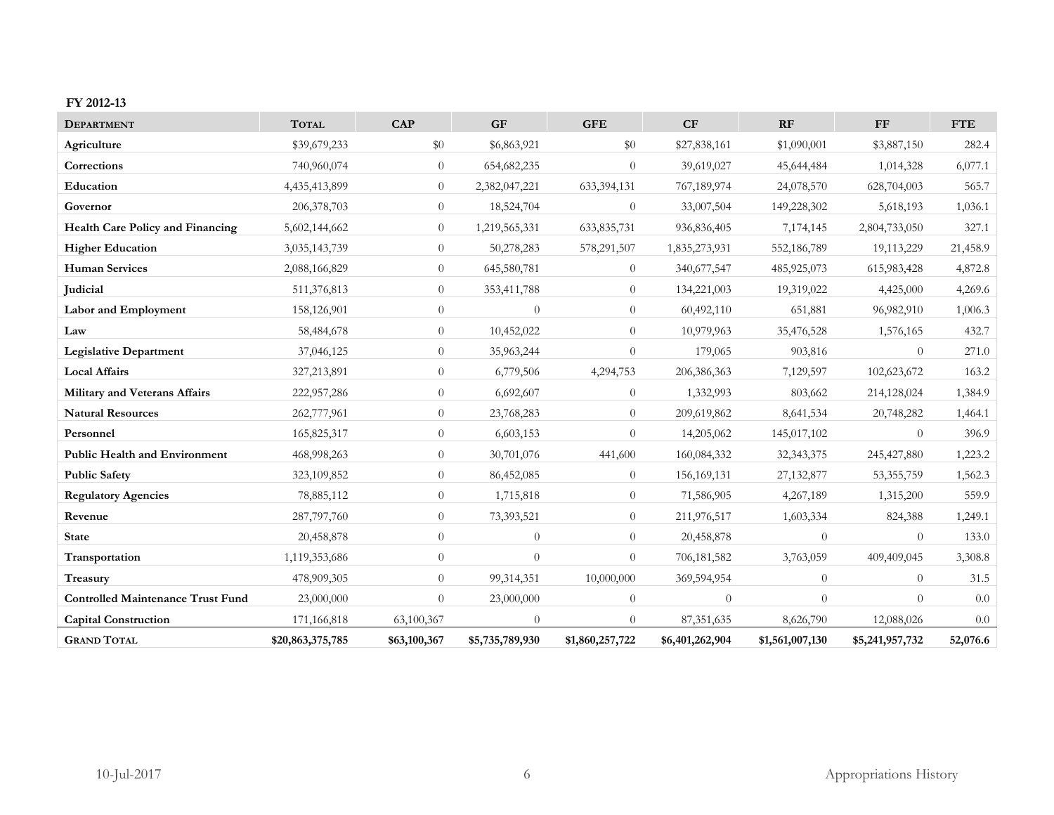#### **FY 2012-13**

| <b>DEPARTMENT</b>                        | <b>TOTAL</b>     | <b>CAP</b>       | <b>GF</b>       | <b>GFE</b>      | CF              | RF              | FF              | <b>FTE</b> |
|------------------------------------------|------------------|------------------|-----------------|-----------------|-----------------|-----------------|-----------------|------------|
| Agriculture                              | \$39,679,233     | \$0              | \$6,863,921     | \$0             | \$27,838,161    | \$1,090,001     | \$3,887,150     | 282.4      |
| Corrections                              | 740,960,074      | $\overline{0}$   | 654, 682, 235   | $\Omega$        | 39,619,027      | 45,644,484      | 1,014,328       | 6,077.1    |
| Education                                | 4,435,413,899    | $\overline{0}$   | 2,382,047,221   | 633,394,131     | 767,189,974     | 24,078,570      | 628,704,003     | 565.7      |
| Governor                                 | 206, 378, 703    | $\overline{0}$   | 18,524,704      | $\theta$        | 33,007,504      | 149,228,302     | 5,618,193       | 1,036.1    |
| Health Care Policy and Financing         | 5,602,144,662    | $\overline{0}$   | 1,219,565,331   | 633,835,731     | 936,836,405     | 7,174,145       | 2,804,733,050   | 327.1      |
| <b>Higher Education</b>                  | 3,035,143,739    | $\overline{0}$   | 50,278,283      | 578,291,507     | 1,835,273,931   | 552,186,789     | 19,113,229      | 21,458.9   |
| <b>Human Services</b>                    | 2,088,166,829    | $\overline{0}$   | 645,580,781     | $\theta$        | 340,677,547     | 485,925,073     | 615,983,428     | 4,872.8    |
| <b>Judicial</b>                          | 511,376,813      | $\theta$         | 353,411,788     | $\overline{0}$  | 134,221,003     | 19,319,022      | 4,425,000       | 4,269.6    |
| Labor and Employment                     | 158,126,901      | $\overline{0}$   | $\theta$        | $\theta$        | 60,492,110      | 651,881         | 96,982,910      | 1,006.3    |
| Law                                      | 58,484,678       | $\theta$         | 10,452,022      | $\Omega$        | 10,979,963      | 35,476,528      | 1,576,165       | 432.7      |
| <b>Legislative Department</b>            | 37,046,125       | $\overline{0}$   | 35,963,244      | $\Omega$        | 179,065         | 903,816         | $\Omega$        | 271.0      |
| <b>Local Affairs</b>                     | 327,213,891      | $\theta$         | 6,779,506       | 4,294,753       | 206,386,363     | 7,129,597       | 102,623,672     | 163.2      |
| <b>Military and Veterans Affairs</b>     | 222,957,286      | $\overline{0}$   | 6,692,607       | $\overline{0}$  | 1,332,993       | 803,662         | 214,128,024     | 1,384.9    |
| <b>Natural Resources</b>                 | 262,777,961      | $\boldsymbol{0}$ | 23,768,283      | $\theta$        | 209,619,862     | 8,641,534       | 20,748,282      | 1,464.1    |
| Personnel                                | 165,825,317      | $\theta$         | 6,603,153       | $\Omega$        | 14,205,062      | 145,017,102     | $\Omega$        | 396.9      |
| <b>Public Health and Environment</b>     | 468,998,263      | $\overline{0}$   | 30,701,076      | 441,600         | 160,084,332     | 32, 343, 375    | 245, 427, 880   | 1,223.2    |
| <b>Public Safety</b>                     | 323,109,852      | $\theta$         | 86,452,085      | $\overline{0}$  | 156, 169, 131   | 27,132,877      | 53, 355, 759    | 1,562.3    |
| <b>Regulatory Agencies</b>               | 78,885,112       | $\overline{0}$   | 1,715,818       | $\theta$        | 71,586,905      | 4,267,189       | 1,315,200       | 559.9      |
| Revenue                                  | 287,797,760      | $\theta$         | 73,393,521      | $\Omega$        | 211,976,517     | 1,603,334       | 824,388         | 1,249.1    |
| <b>State</b>                             | 20,458,878       | $\theta$         | $\theta$        | $\Omega$        | 20,458,878      | $\overline{0}$  | $\theta$        | 133.0      |
| Transportation                           | 1,119,353,686    | $\overline{0}$   | $\overline{0}$  | $\overline{0}$  | 706,181,582     | 3,763,059       | 409,409,045     | 3,308.8    |
| Treasury                                 | 478,909,305      | $\overline{0}$   | 99,314,351      | 10,000,000      | 369,594,954     | $\overline{0}$  | $\theta$        | 31.5       |
| <b>Controlled Maintenance Trust Fund</b> | 23,000,000       | $\theta$         | 23,000,000      | $\theta$        | $\theta$        | $\overline{0}$  | $\Omega$        | $0.0\,$    |
| <b>Capital Construction</b>              | 171,166,818      | 63,100,367       | $\Omega$        | $\Omega$        | 87, 351, 635    | 8,626,790       | 12,088,026      | 0.0        |
| <b>GRAND TOTAL</b>                       | \$20,863,375,785 | \$63,100,367     | \$5,735,789,930 | \$1,860,257,722 | \$6,401,262,904 | \$1,561,007,130 | \$5,241,957,732 | 52,076.6   |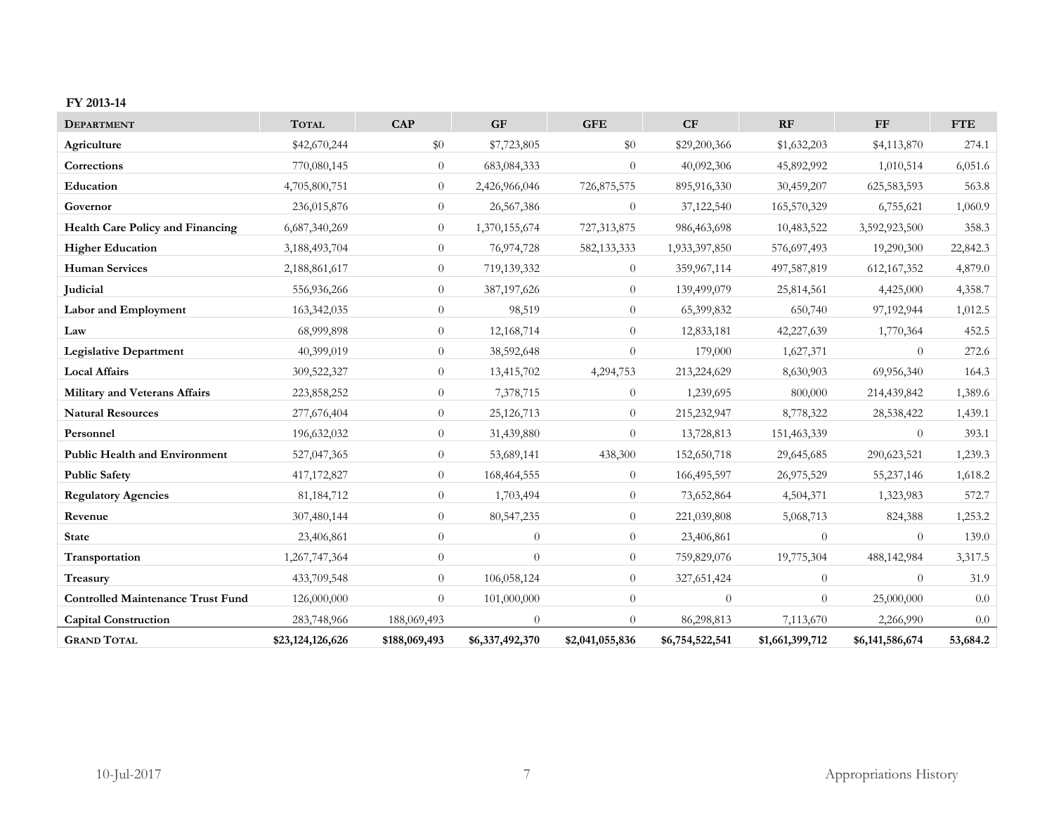#### **FY 2013-14**

| <b>DEPARTMENT</b>                        | <b>TOTAL</b>     | <b>CAP</b>       | <b>GF</b>       | <b>GFE</b>      | CF              | RF              | FF              | <b>FTE</b> |
|------------------------------------------|------------------|------------------|-----------------|-----------------|-----------------|-----------------|-----------------|------------|
| Agriculture                              | \$42,670,244     | $\$0$            | \$7,723,805     | \$0             | \$29,200,366    | \$1,632,203     | \$4,113,870     | 274.1      |
| Corrections                              | 770,080,145      | $\overline{0}$   | 683,084,333     | $\Omega$        | 40,092,306      | 45,892,992      | 1,010,514       | 6,051.6    |
| Education                                | 4,705,800,751    | $\overline{0}$   | 2,426,966,046   | 726,875,575     | 895,916,330     | 30,459,207      | 625,583,593     | 563.8      |
| Governor                                 | 236,015,876      | $\overline{0}$   | 26,567,386      | $\overline{0}$  | 37,122,540      | 165,570,329     | 6,755,621       | 1,060.9    |
| Health Care Policy and Financing         | 6,687,340,269    | $\overline{0}$   | 1,370,155,674   | 727,313,875     | 986,463,698     | 10,483,522      | 3,592,923,500   | 358.3      |
| <b>Higher Education</b>                  | 3,188,493,704    | $\overline{0}$   | 76,974,728      | 582, 133, 333   | 1,933,397,850   | 576,697,493     | 19,290,300      | 22,842.3   |
| <b>Human Services</b>                    | 2,188,861,617    | $\overline{0}$   | 719,139,332     | $\theta$        | 359,967,114     | 497,587,819     | 612, 167, 352   | 4,879.0    |
| <b>Judicial</b>                          | 556,936,266      | $\theta$         | 387,197,626     | $\theta$        | 139,499,079     | 25,814,561      | 4,425,000       | 4,358.7    |
| Labor and Employment                     | 163,342,035      | $\overline{0}$   | 98,519          | $\theta$        | 65,399,832      | 650,740         | 97,192,944      | 1,012.5    |
| Law                                      | 68,999,898       | $\theta$         | 12,168,714      | $\theta$        | 12,833,181      | 42,227,639      | 1,770,364       | 452.5      |
| <b>Legislative Department</b>            | 40,399,019       | $\overline{0}$   | 38,592,648      | $\Omega$        | 179,000         | 1,627,371       | $\Omega$        | 272.6      |
| <b>Local Affairs</b>                     | 309,522,327      | $\theta$         | 13,415,702      | 4,294,753       | 213,224,629     | 8,630,903       | 69,956,340      | 164.3      |
| <b>Military and Veterans Affairs</b>     | 223,858,252      | $\overline{0}$   | 7,378,715       | $\theta$        | 1,239,695       | 800,000         | 214,439,842     | 1,389.6    |
| <b>Natural Resources</b>                 | 277,676,404      | $\boldsymbol{0}$ | 25,126,713      | $\theta$        | 215,232,947     | 8,778,322       | 28,538,422      | 1,439.1    |
| Personnel                                | 196,632,032      | $\overline{0}$   | 31,439,880      | $\Omega$        | 13,728,813      | 151,463,339     | $\Omega$        | 393.1      |
| <b>Public Health and Environment</b>     | 527,047,365      | $\overline{0}$   | 53,689,141      | 438,300         | 152,650,718     | 29,645,685      | 290,623,521     | 1,239.3    |
| <b>Public Safety</b>                     | 417,172,827      | $\theta$         | 168,464,555     | $\theta$        | 166,495,597     | 26,975,529      | 55,237,146      | 1,618.2    |
| <b>Regulatory Agencies</b>               | 81, 184, 712     | $\overline{0}$   | 1,703,494       | $\theta$        | 73,652,864      | 4,504,371       | 1,323,983       | 572.7      |
| Revenue                                  | 307,480,144      | $\theta$         | 80,547,235      | $\Omega$        | 221,039,808     | 5,068,713       | 824,388         | 1,253.2    |
| <b>State</b>                             | 23,406,861       | $\theta$         | $\theta$        | $\theta$        | 23,406,861      | $\theta$        | $\theta$        | 139.0      |
| Transportation                           | 1,267,747,364    | $\overline{0}$   | $\theta$        | $\theta$        | 759,829,076     | 19,775,304      | 488,142,984     | 3,317.5    |
| Treasury                                 | 433,709,548      | $\overline{0}$   | 106,058,124     | $\theta$        | 327,651,424     | $\overline{0}$  | $\theta$        | 31.9       |
| <b>Controlled Maintenance Trust Fund</b> | 126,000,000      | $\overline{0}$   | 101,000,000     | $\theta$        | $\theta$        | $\overline{0}$  | 25,000,000      | 0.0        |
| <b>Capital Construction</b>              | 283,748,966      | 188,069,493      | $\Omega$        | $\Omega$        | 86,298,813      | 7,113,670       | 2,266,990       | 0.0        |
| <b>GRAND TOTAL</b>                       | \$23,124,126,626 | \$188,069,493    | \$6,337,492,370 | \$2,041,055,836 | \$6,754,522,541 | \$1,661,399,712 | \$6,141,586,674 | 53,684.2   |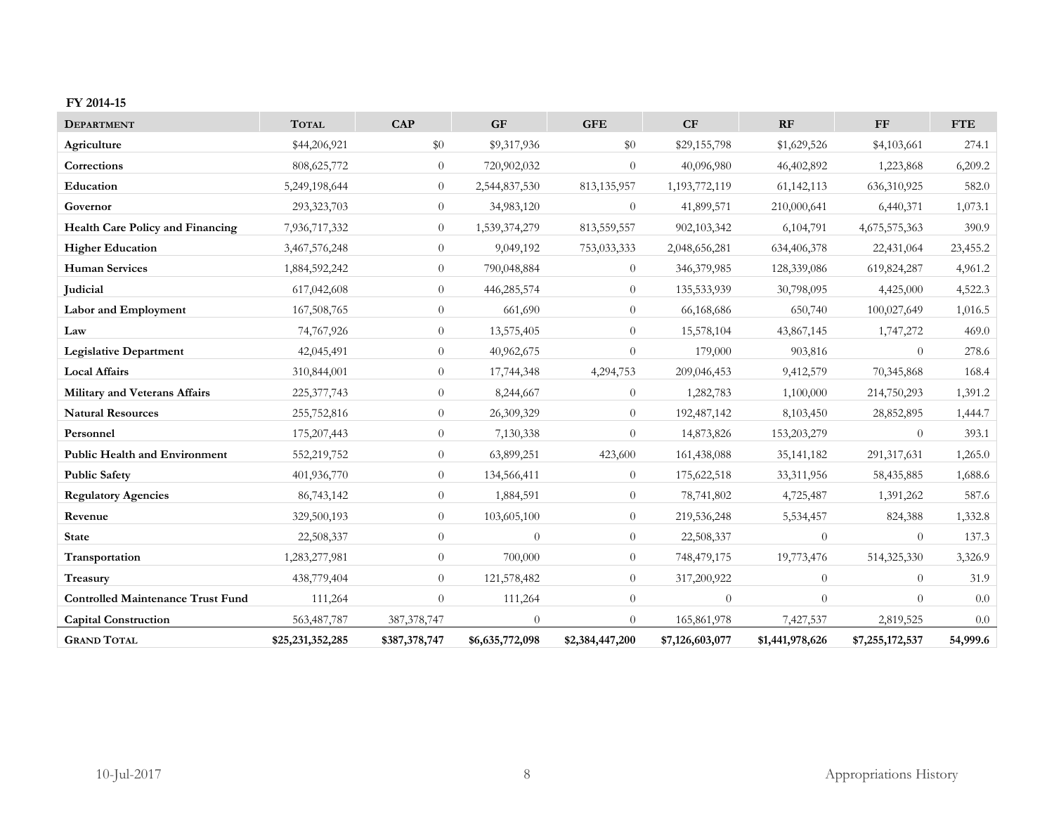#### **FY 2014-15**

| <b>DEPARTMENT</b>                        | <b>TOTAL</b>     | <b>CAP</b>     | <b>GF</b>       | <b>GFE</b>      | CF              | RF              | ${\rm FF}$      | <b>FTE</b> |
|------------------------------------------|------------------|----------------|-----------------|-----------------|-----------------|-----------------|-----------------|------------|
| Agriculture                              | \$44,206,921     | \$0            | \$9,317,936     | \$0             | \$29,155,798    | \$1,629,526     | \$4,103,661     | 274.1      |
| Corrections                              | 808, 625, 772    | $\theta$       | 720,902,032     | $\theta$        | 40,096,980      | 46,402,892      | 1,223,868       | 6,209.2    |
| Education                                | 5,249,198,644    | $\theta$       | 2,544,837,530   | 813,135,957     | 1,193,772,119   | 61,142,113      | 636,310,925     | 582.0      |
| Governor                                 | 293,323,703      | $\overline{0}$ | 34,983,120      | $\theta$        | 41,899,571      | 210,000,641     | 6,440,371       | 1,073.1    |
| Health Care Policy and Financing         | 7,936,717,332    | $\overline{0}$ | 1,539,374,279   | 813,559,557     | 902,103,342     | 6,104,791       | 4,675,575,363   | 390.9      |
| <b>Higher Education</b>                  | 3,467,576,248    | $\theta$       | 9,049,192       | 753,033,333     | 2,048,656,281   | 634,406,378     | 22,431,064      | 23,455.2   |
| <b>Human Services</b>                    | 1,884,592,242    | $\theta$       | 790,048,884     | $\theta$        | 346, 379, 985   | 128,339,086     | 619,824,287     | 4,961.2    |
| <b>Judicial</b>                          | 617,042,608      | $\overline{0}$ | 446,285,574     | $\theta$        | 135,533,939     | 30,798,095      | 4,425,000       | 4,522.3    |
| Labor and Employment                     | 167,508,765      | $\theta$       | 661,690         | $\theta$        | 66,168,686      | 650,740         | 100,027,649     | 1,016.5    |
| Law                                      | 74,767,926       | $\overline{0}$ | 13,575,405      | $\theta$        | 15,578,104      | 43,867,145      | 1,747,272       | 469.0      |
| <b>Legislative Department</b>            | 42,045,491       | $\theta$       | 40,962,675      | $\theta$        | 179,000         | 903,816         | $\theta$        | 278.6      |
| <b>Local Affairs</b>                     | 310,844,001      | $\theta$       | 17,744,348      | 4,294,753       | 209,046,453     | 9,412,579       | 70,345,868      | 168.4      |
| Military and Veterans Affairs            | 225, 377, 743    | $\theta$       | 8,244,667       | $\theta$        | 1,282,783       | 1,100,000       | 214,750,293     | 1,391.2    |
| <b>Natural Resources</b>                 | 255,752,816      | $\overline{0}$ | 26,309,329      | $\theta$        | 192,487,142     | 8,103,450       | 28,852,895      | 1,444.7    |
| Personnel                                | 175,207,443      | $\overline{0}$ | 7,130,338       | $\Omega$        | 14,873,826      | 153,203,279     | $\theta$        | 393.1      |
| <b>Public Health and Environment</b>     | 552,219,752      | $\theta$       | 63,899,251      | 423,600         | 161,438,088     | 35, 141, 182    | 291,317,631     | 1,265.0    |
| <b>Public Safety</b>                     | 401,936,770      | $\theta$       | 134,566,411     | $\theta$        | 175,622,518     | 33,311,956      | 58,435,885      | 1,688.6    |
| <b>Regulatory Agencies</b>               | 86,743,142       | $\overline{0}$ | 1,884,591       | $\theta$        | 78,741,802      | 4,725,487       | 1,391,262       | 587.6      |
| Revenue                                  | 329,500,193      | $\theta$       | 103,605,100     | $\theta$        | 219,536,248     | 5,534,457       | 824,388         | 1,332.8    |
| <b>State</b>                             | 22,508,337       | $\theta$       | $\theta$        | $\theta$        | 22,508,337      | $\overline{0}$  | $\overline{0}$  | 137.3      |
| Transportation                           | 1,283,277,981    | $\theta$       | 700,000         | $\theta$        | 748,479,175     | 19,773,476      | 514,325,330     | 3,326.9    |
| Treasury                                 | 438,779,404      | $\overline{0}$ | 121,578,482     | $\theta$        | 317,200,922     | $\overline{0}$  | $\overline{0}$  | 31.9       |
| <b>Controlled Maintenance Trust Fund</b> | 111,264          | $\theta$       | 111,264         | $\theta$        | $\theta$        | $\theta$        | $\theta$        | $0.0\,$    |
| <b>Capital Construction</b>              | 563,487,787      | 387, 378, 747  | $\Omega$        | $\theta$        | 165,861,978     | 7,427,537       | 2,819,525       | 0.0        |
| <b>GRAND TOTAL</b>                       | \$25,231,352,285 | \$387,378,747  | \$6,635,772,098 | \$2,384,447,200 | \$7,126,603,077 | \$1,441,978,626 | \$7,255,172,537 | 54,999.6   |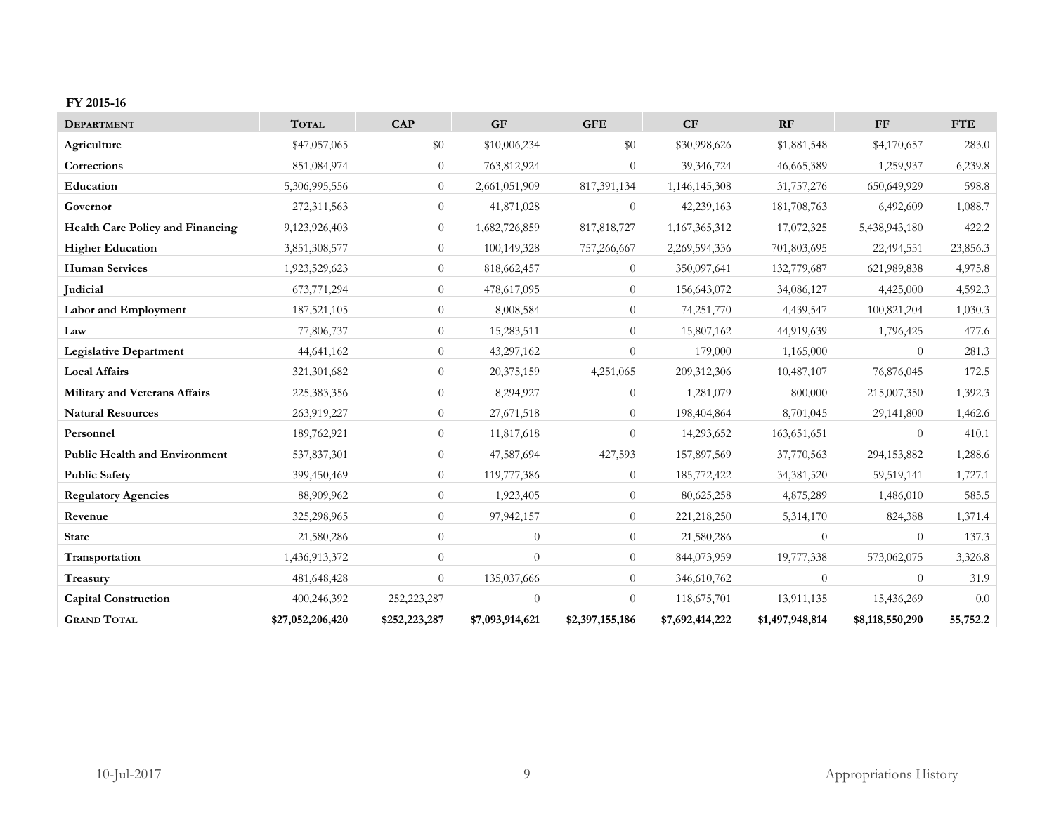#### **FY 2015-16**

| <b>DEPARTMENT</b>                       | <b>TOTAL</b>     | CAP           | <b>GF</b>       | <b>GFE</b>      | CF              | RF              | FF              | <b>FTE</b> |
|-----------------------------------------|------------------|---------------|-----------------|-----------------|-----------------|-----------------|-----------------|------------|
| Agriculture                             | \$47,057,065     | $\$0$         | \$10,006,234    | \$0             | \$30,998,626    | \$1,881,548     | \$4,170,657     | 283.0      |
| Corrections                             | 851,084,974      | $\theta$      | 763,812,924     | $\Omega$        | 39,346,724      | 46,665,389      | 1,259,937       | 6,239.8    |
| Education                               | 5,306,995,556    | $\theta$      | 2,661,051,909   | 817,391,134     | 1,146,145,308   | 31,757,276      | 650,649,929     | 598.8      |
| Governor                                | 272,311,563      | $\theta$      | 41,871,028      | $\theta$        | 42,239,163      | 181,708,763     | 6,492,609       | 1,088.7    |
| <b>Health Care Policy and Financing</b> | 9,123,926,403    | $\theta$      | 1,682,726,859   | 817, 818, 727   | 1,167,365,312   | 17,072,325      | 5,438,943,180   | 422.2      |
| <b>Higher Education</b>                 | 3,851,308,577    | $\theta$      | 100,149,328     | 757,266,667     | 2,269,594,336   | 701,803,695     | 22,494,551      | 23,856.3   |
| <b>Human Services</b>                   | 1,923,529,623    | $\theta$      | 818,662,457     | $\theta$        | 350,097,641     | 132,779,687     | 621,989,838     | 4,975.8    |
| <b>Judicial</b>                         | 673,771,294      | $\theta$      | 478,617,095     | $\theta$        | 156,643,072     | 34,086,127      | 4,425,000       | 4,592.3    |
| Labor and Employment                    | 187,521,105      | $\theta$      | 8,008,584       | $\Omega$        | 74,251,770      | 4,439,547       | 100,821,204     | 1,030.3    |
| Law                                     | 77,806,737       | $\theta$      | 15,283,511      | $\theta$        | 15,807,162      | 44,919,639      | 1,796,425       | 477.6      |
| <b>Legislative Department</b>           | 44,641,162       | $\theta$      | 43,297,162      | $\Omega$        | 179,000         | 1,165,000       | $\theta$        | 281.3      |
| <b>Local Affairs</b>                    | 321,301,682      | $\theta$      | 20,375,159      | 4,251,065       | 209,312,306     | 10,487,107      | 76,876,045      | 172.5      |
| <b>Military and Veterans Affairs</b>    | 225,383,356      | $\theta$      | 8,294,927       | $\theta$        | 1,281,079       | 800,000         | 215,007,350     | 1,392.3    |
| <b>Natural Resources</b>                | 263,919,227      | $\theta$      | 27,671,518      | $\theta$        | 198,404,864     | 8,701,045       | 29,141,800      | 1,462.6    |
| Personnel                               | 189,762,921      | $\theta$      | 11,817,618      | $\theta$        | 14,293,652      | 163,651,651     | $\overline{0}$  | 410.1      |
| <b>Public Health and Environment</b>    | 537,837,301      | $\theta$      | 47,587,694      | 427,593         | 157,897,569     | 37,770,563      | 294,153,882     | 1,288.6    |
| <b>Public Safety</b>                    | 399,450,469      | $\theta$      | 119,777,386     | $\theta$        | 185,772,422     | 34, 381, 520    | 59,519,141      | 1,727.1    |
| <b>Regulatory Agencies</b>              | 88,909,962       | $\theta$      | 1,923,405       | $\overline{0}$  | 80,625,258      | 4,875,289       | 1,486,010       | 585.5      |
| Revenue                                 | 325,298,965      | $\theta$      | 97,942,157      | $\overline{0}$  | 221,218,250     | 5,314,170       | 824,388         | 1,371.4    |
| <b>State</b>                            | 21,580,286       | $\theta$      | $\theta$        | $\overline{0}$  | 21,580,286      | $\theta$        | $\Omega$        | 137.3      |
| Transportation                          | 1,436,913,372    | $\theta$      | $\theta$        | $\overline{0}$  | 844,073,959     | 19,777,338      | 573,062,075     | 3,326.8    |
| Treasury                                | 481,648,428      | $\theta$      | 135,037,666     | $\theta$        | 346,610,762     | $\overline{0}$  | $\theta$        | 31.9       |
| <b>Capital Construction</b>             | 400,246,392      | 252,223,287   | $\theta$        | $\Omega$        | 118,675,701     | 13,911,135      | 15,436,269      | 0.0        |
| <b>GRAND TOTAL</b>                      | \$27,052,206,420 | \$252,223,287 | \$7,093,914,621 | \$2,397,155,186 | \$7,692,414,222 | \$1,497,948,814 | \$8,118,550,290 | 55,752.2   |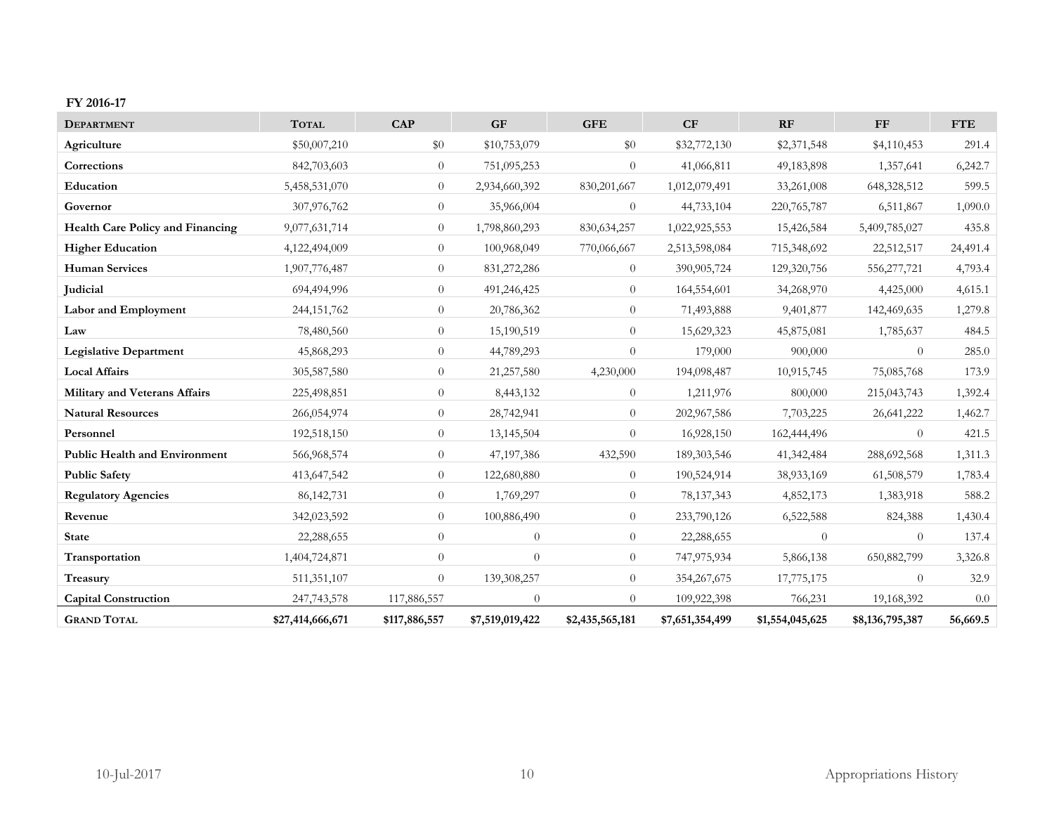#### **FY 2016-17**

| <b>DEPARTMENT</b>                       | <b>TOTAL</b>     | CAP           | <b>GF</b>       | <b>GFE</b>      | CF              | RF              | <b>FF</b>       | <b>FTE</b> |
|-----------------------------------------|------------------|---------------|-----------------|-----------------|-----------------|-----------------|-----------------|------------|
| Agriculture                             | \$50,007,210     | \$0           | \$10,753,079    | \$0             | \$32,772,130    | \$2,371,548     | \$4,110,453     | 291.4      |
| Corrections                             | 842,703,603      | $\theta$      | 751,095,253     | $\theta$        | 41,066,811      | 49,183,898      | 1,357,641       | 6,242.7    |
| Education                               | 5,458,531,070    | $\theta$      | 2,934,660,392   | 830,201,667     | 1,012,079,491   | 33,261,008      | 648,328,512     | 599.5      |
| Governor                                | 307,976,762      | $\theta$      | 35,966,004      | $\theta$        | 44,733,104      | 220,765,787     | 6,511,867       | 1,090.0    |
| <b>Health Care Policy and Financing</b> | 9,077,631,714    | $\theta$      | 1,798,860,293   | 830, 634, 257   | 1,022,925,553   | 15,426,584      | 5,409,785,027   | 435.8      |
| <b>Higher Education</b>                 | 4,122,494,009    | $\theta$      | 100,968,049     | 770,066,667     | 2,513,598,084   | 715,348,692     | 22,512,517      | 24,491.4   |
| <b>Human Services</b>                   | 1,907,776,487    | $\theta$      | 831,272,286     | $\theta$        | 390,905,724     | 129,320,756     | 556,277,721     | 4,793.4    |
| Judicial                                | 694,494,996      | $\theta$      | 491,246,425     | $\overline{0}$  | 164,554,601     | 34,268,970      | 4,425,000       | 4,615.1    |
| Labor and Employment                    | 244,151,762      | $\theta$      | 20,786,362      | $\overline{0}$  | 71,493,888      | 9,401,877       | 142,469,635     | 1,279.8    |
| Law                                     | 78,480,560       | $\theta$      | 15,190,519      | $\overline{0}$  | 15,629,323      | 45,875,081      | 1,785,637       | 484.5      |
| <b>Legislative Department</b>           | 45,868,293       | $\theta$      | 44,789,293      | $\Omega$        | 179,000         | 900,000         | $\overline{0}$  | 285.0      |
| <b>Local Affairs</b>                    | 305,587,580      | $\theta$      | 21,257,580      | 4,230,000       | 194,098,487     | 10,915,745      | 75,085,768      | 173.9      |
| Military and Veterans Affairs           | 225,498,851      | $\theta$      | 8,443,132       | $\Omega$        | 1,211,976       | 800,000         | 215,043,743     | 1,392.4    |
| <b>Natural Resources</b>                | 266,054,974      | $\theta$      | 28,742,941      | $\theta$        | 202,967,586     | 7,703,225       | 26,641,222      | 1,462.7    |
| Personnel                               | 192,518,150      | $\theta$      | 13,145,504      | $\Omega$        | 16,928,150      | 162,444,496     | $\Omega$        | 421.5      |
| <b>Public Health and Environment</b>    | 566,968,574      | $\theta$      | 47,197,386      | 432,590         | 189,303,546     | 41,342,484      | 288,692,568     | 1,311.3    |
| <b>Public Safety</b>                    | 413,647,542      | $\theta$      | 122,680,880     | $\theta$        | 190,524,914     | 38,933,169      | 61,508,579      | 1,783.4    |
| <b>Regulatory Agencies</b>              | 86, 142, 731     | $\theta$      | 1,769,297       | $\theta$        | 78,137,343      | 4,852,173       | 1,383,918       | 588.2      |
| Revenue                                 | 342,023,592      | $\theta$      | 100,886,490     | $\Omega$        | 233,790,126     | 6,522,588       | 824,388         | 1,430.4    |
| <b>State</b>                            | 22,288,655       | $\theta$      | $\overline{0}$  | $\overline{0}$  | 22,288,655      | $\theta$        | $\theta$        | 137.4      |
| Transportation                          | 1,404,724,871    | $\theta$      | $\theta$        | $\theta$        | 747,975,934     | 5,866,138       | 650,882,799     | 3,326.8    |
| Treasury                                | 511,351,107      | $\theta$      | 139,308,257     | $\overline{0}$  | 354,267,675     | 17,775,175      | $\overline{0}$  | 32.9       |
| <b>Capital Construction</b>             | 247,743,578      | 117,886,557   | $\theta$        | $\Omega$        | 109,922,398     | 766,231         | 19,168,392      | 0.0        |
| <b>GRAND TOTAL</b>                      | \$27,414,666,671 | \$117,886,557 | \$7,519,019,422 | \$2,435,565,181 | \$7,651,354,499 | \$1,554,045,625 | \$8,136,795,387 | 56,669.5   |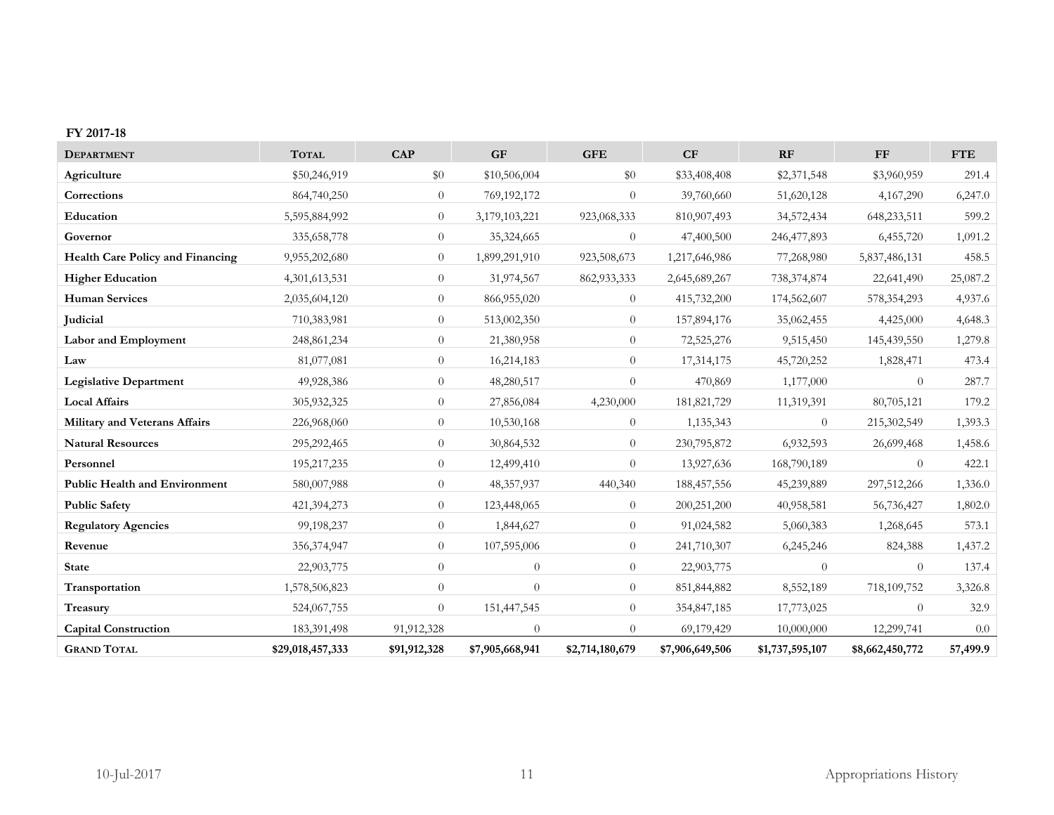#### **FY 2017-18**

| <b>DEPARTMENT</b>                       | <b>TOTAL</b>     | <b>CAP</b>     | <b>GF</b>       | <b>GFE</b>      | CF              | RF              | <b>FF</b>       | <b>FTE</b> |
|-----------------------------------------|------------------|----------------|-----------------|-----------------|-----------------|-----------------|-----------------|------------|
| Agriculture                             | \$50,246,919     | \$0            | \$10,506,004    | \$0             | \$33,408,408    | \$2,371,548     | \$3,960,959     | 291.4      |
| Corrections                             | 864,740,250      | $\theta$       | 769,192,172     | $\theta$        | 39,760,660      | 51,620,128      | 4,167,290       | 6,247.0    |
| Education                               | 5,595,884,992    | $\theta$       | 3,179,103,221   | 923,068,333     | 810,907,493     | 34,572,434      | 648,233,511     | 599.2      |
| Governor                                | 335,658,778      | $\overline{0}$ | 35,324,665      | $\theta$        | 47,400,500      | 246,477,893     | 6,455,720       | 1,091.2    |
| <b>Health Care Policy and Financing</b> | 9,955,202,680    | $\theta$       | 1,899,291,910   | 923,508,673     | 1,217,646,986   | 77,268,980      | 5,837,486,131   | 458.5      |
| <b>Higher Education</b>                 | 4,301,613,531    | $\overline{0}$ | 31,974,567      | 862,933,333     | 2,645,689,267   | 738, 374, 874   | 22,641,490      | 25,087.2   |
| <b>Human Services</b>                   | 2,035,604,120    | $\overline{0}$ | 866,955,020     | $\theta$        | 415,732,200     | 174,562,607     | 578, 354, 293   | 4,937.6    |
| <b>Judicial</b>                         | 710,383,981      | $\overline{0}$ | 513,002,350     | $\theta$        | 157,894,176     | 35,062,455      | 4,425,000       | 4,648.3    |
| Labor and Employment                    | 248, 861, 234    | $\overline{0}$ | 21,380,958      | $\theta$        | 72,525,276      | 9,515,450       | 145,439,550     | 1,279.8    |
| Law                                     | 81,077,081       | $\overline{0}$ | 16,214,183      | $\theta$        | 17,314,175      | 45,720,252      | 1,828,471       | 473.4      |
| <b>Legislative Department</b>           | 49,928,386       | $\overline{0}$ | 48,280,517      | $\theta$        | 470,869         | 1,177,000       | $\theta$        | 287.7      |
| <b>Local Affairs</b>                    | 305,932,325      | $\overline{0}$ | 27,856,084      | 4,230,000       | 181,821,729     | 11,319,391      | 80,705,121      | 179.2      |
| Military and Veterans Affairs           | 226,968,060      | $\overline{0}$ | 10,530,168      | $\theta$        | 1,135,343       | $\Omega$        | 215,302,549     | 1,393.3    |
| <b>Natural Resources</b>                | 295,292,465      | $\overline{0}$ | 30,864,532      | $\theta$        | 230,795,872     | 6,932,593       | 26,699,468      | 1,458.6    |
| Personnel                               | 195,217,235      | $\overline{0}$ | 12,499,410      | $\theta$        | 13,927,636      | 168,790,189     | $\overline{0}$  | 422.1      |
| <b>Public Health and Environment</b>    | 580,007,988      | $\overline{0}$ | 48,357,937      | 440,340         | 188, 457, 556   | 45,239,889      | 297,512,266     | 1,336.0    |
| <b>Public Safety</b>                    | 421,394,273      | $\overline{0}$ | 123,448,065     | $\theta$        | 200,251,200     | 40,958,581      | 56,736,427      | 1,802.0    |
| <b>Regulatory Agencies</b>              | 99,198,237       | $\overline{0}$ | 1,844,627       | $\theta$        | 91,024,582      | 5,060,383       | 1,268,645       | 573.1      |
| Revenue                                 | 356, 374, 947    | $\overline{0}$ | 107,595,006     | $\theta$        | 241,710,307     | 6,245,246       | 824,388         | 1,437.2    |
| <b>State</b>                            | 22,903,775       | $\theta$       | $\overline{0}$  | $\theta$        | 22,903,775      | $\Omega$        | $\theta$        | 137.4      |
| Transportation                          | 1,578,506,823    | $\overline{0}$ | $\overline{0}$  | $\theta$        | 851,844,882     | 8,552,189       | 718,109,752     | 3,326.8    |
| Treasury                                | 524,067,755      | $\theta$       | 151,447,545     | $\theta$        | 354,847,185     | 17,773,025      | $\theta$        | 32.9       |
| <b>Capital Construction</b>             | 183,391,498      | 91,912,328     | $\overline{0}$  | $\theta$        | 69,179,429      | 10,000,000      | 12,299,741      | 0.0        |
| <b>GRAND TOTAL</b>                      | \$29,018,457,333 | \$91,912,328   | \$7,905,668,941 | \$2,714,180,679 | \$7,906,649,506 | \$1,737,595,107 | \$8,662,450,772 | 57,499.9   |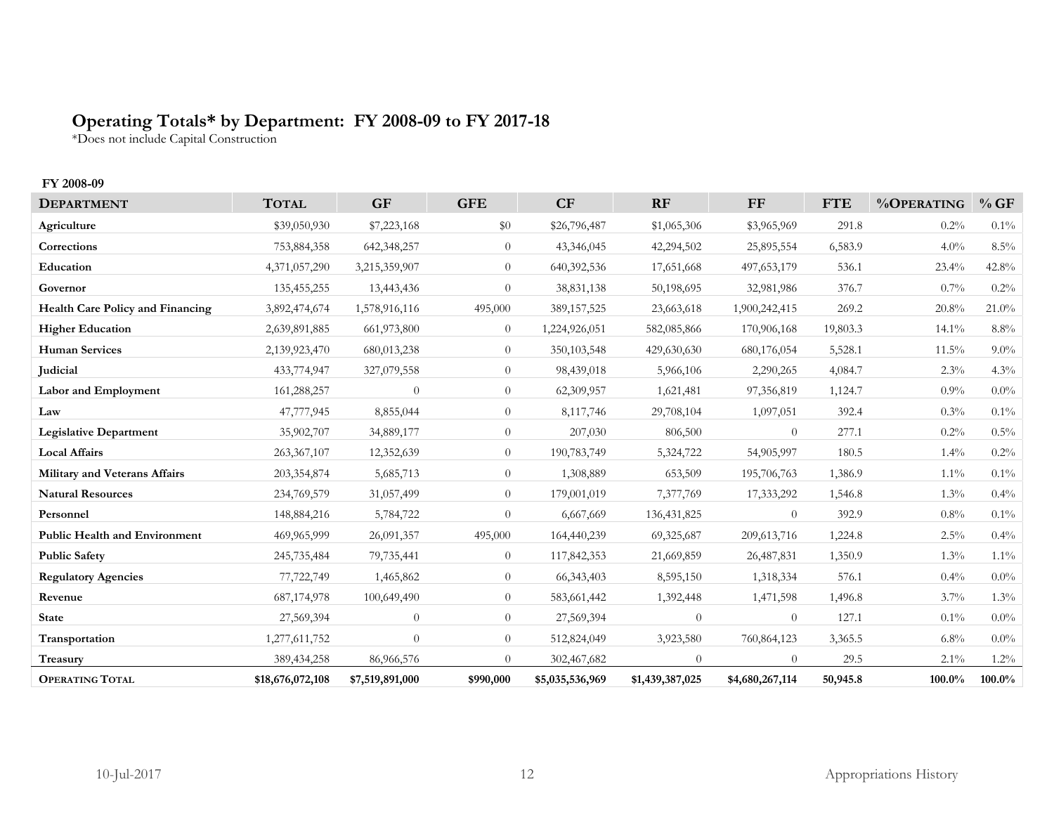# **Operating Totals\* by Department: FY 2008-09 to FY 2017-18**

\*Does not include Capital Construction

### **FY 2008-09**

| <b>DEPARTMENT</b>                    | <b>TOTAL</b>     | <b>GF</b>       | <b>GFE</b>     | CF              | RF              | FF              | <b>FTE</b> | %OPERATING | %GF      |
|--------------------------------------|------------------|-----------------|----------------|-----------------|-----------------|-----------------|------------|------------|----------|
| Agriculture                          | \$39,050,930     | \$7,223,168     | \$0            | \$26,796,487    | \$1,065,306     | \$3,965,969     | 291.8      | $0.2\%$    | $0.1\%$  |
| Corrections                          | 753,884,358      | 642,348,257     | $\overline{0}$ | 43,346,045      | 42,294,502      | 25,895,554      | 6,583.9    | 4.0%       | $8.5\%$  |
| Education                            | 4,371,057,290    | 3,215,359,907   | $\overline{0}$ | 640,392,536     | 17,651,668      | 497, 653, 179   | 536.1      | 23.4%      | 42.8%    |
| Governor                             | 135,455,255      | 13,443,436      | $\overline{0}$ | 38,831,138      | 50,198,695      | 32,981,986      | 376.7      | $0.7\%$    | 0.2%     |
| Health Care Policy and Financing     | 3,892,474,674    | 1,578,916,116   | 495,000        | 389, 157, 525   | 23,663,618      | 1,900,242,415   | 269.2      | 20.8%      | $21.0\%$ |
| <b>Higher Education</b>              | 2,639,891,885    | 661,973,800     | $\overline{0}$ | 1,224,926,051   | 582,085,866     | 170,906,168     | 19,803.3   | 14.1%      | 8.8%     |
| <b>Human Services</b>                | 2,139,923,470    | 680,013,238     | $\overline{0}$ | 350,103,548     | 429,630,630     | 680,176,054     | 5,528.1    | $11.5\%$   | $9.0\%$  |
| Judicial                             | 433,774,947      | 327,079,558     | $\overline{0}$ | 98,439,018      | 5,966,106       | 2,290,265       | 4,084.7    | $2.3\%$    | 4.3%     |
| Labor and Employment                 | 161,288,257      | $\overline{0}$  | $\overline{0}$ | 62,309,957      | 1,621,481       | 97,356,819      | 1,124.7    | $0.9\%$    | $0.0\%$  |
| Law                                  | 47,777,945       | 8,855,044       | $\overline{0}$ | 8,117,746       | 29,708,104      | 1,097,051       | 392.4      | $0.3\%$    | $0.1\%$  |
| <b>Legislative Department</b>        | 35,902,707       | 34,889,177      | $\overline{0}$ | 207,030         | 806,500         | $\theta$        | 277.1      | $0.2\%$    | 0.5%     |
| <b>Local Affairs</b>                 | 263,367,107      | 12,352,639      | $\overline{0}$ | 190,783,749     | 5,324,722       | 54,905,997      | 180.5      | $1.4\%$    | $0.2\%$  |
| Military and Veterans Affairs        | 203,354,874      | 5,685,713       | $\overline{0}$ | 1,308,889       | 653,509         | 195,706,763     | 1,386.9    | $1.1\%$    | $0.1\%$  |
| <b>Natural Resources</b>             | 234,769,579      | 31,057,499      | $\overline{0}$ | 179,001,019     | 7,377,769       | 17,333,292      | 1,546.8    | $1.3\%$    | 0.4%     |
| Personnel                            | 148,884,216      | 5,784,722       | $\overline{0}$ | 6,667,669       | 136, 431, 825   | $\Omega$        | 392.9      | $0.8\%$    | $0.1\%$  |
| <b>Public Health and Environment</b> | 469,965,999      | 26,091,357      | 495,000        | 164,440,239     | 69,325,687      | 209, 613, 716   | 1,224.8    | 2.5%       | 0.4%     |
| <b>Public Safety</b>                 | 245,735,484      | 79,735,441      | $\overline{0}$ | 117,842,353     | 21,669,859      | 26,487,831      | 1,350.9    | $1.3\%$    | $1.1\%$  |
| <b>Regulatory Agencies</b>           | 77,722,749       | 1,465,862       | $\overline{0}$ | 66, 343, 403    | 8,595,150       | 1,318,334       | 576.1      | $0.4\%$    | $0.0\%$  |
| Revenue                              | 687,174,978      | 100,649,490     | $\overline{0}$ | 583,661,442     | 1,392,448       | 1,471,598       | 1,496.8    | $3.7\%$    | 1.3%     |
| <b>State</b>                         | 27,569,394       | $\overline{0}$  | $\overline{0}$ | 27,569,394      | $\overline{0}$  | $\theta$        | 127.1      | $0.1\%$    | $0.0\%$  |
| Transportation                       | 1,277,611,752    | $\theta$        | $\overline{0}$ | 512,824,049     | 3,923,580       | 760,864,123     | 3,365.5    | $6.8\%$    | $0.0\%$  |
| Treasury                             | 389,434,258      | 86,966,576      | $\Omega$       | 302,467,682     | $\Omega$        | $\Omega$        | 29.5       | $2.1\%$    | $1.2\%$  |
| <b>OPERATING TOTAL</b>               | \$18,676,072,108 | \$7,519,891,000 | \$990,000      | \$5,035,536,969 | \$1,439,387,025 | \$4,680,267,114 | 50,945.8   | 100.0%     | 100.0%   |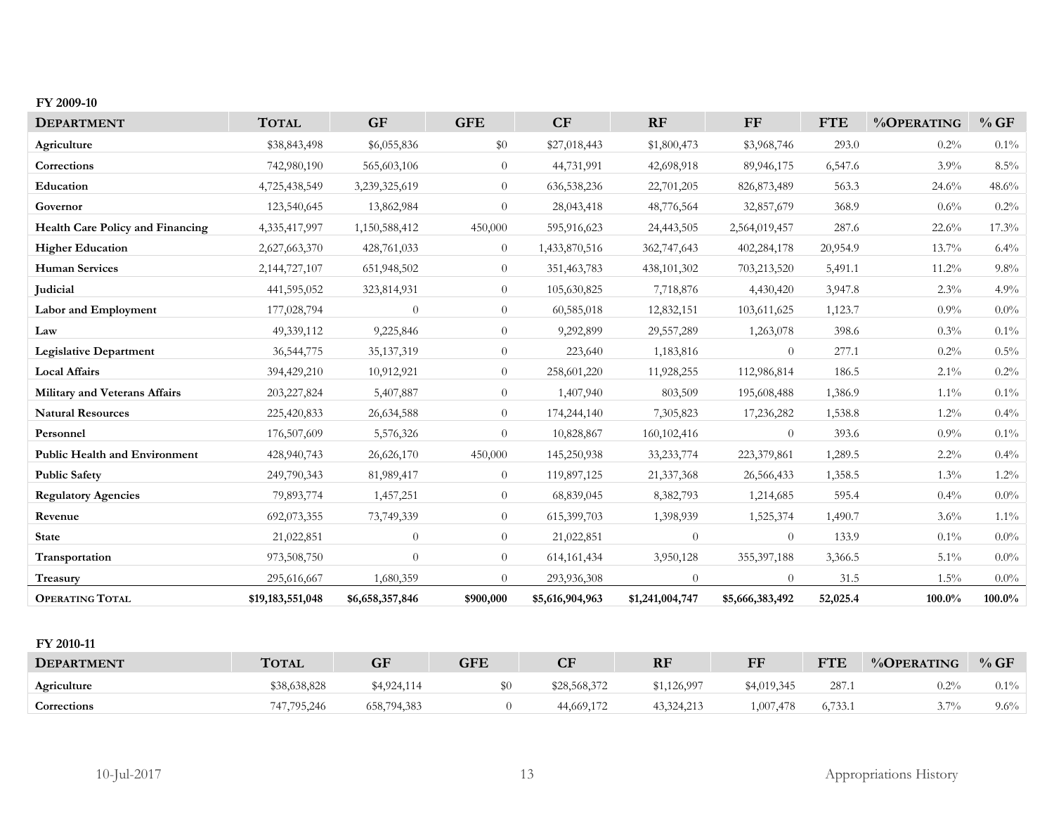#### **FY 2009-10**

| <b>DEPARTMENT</b>                    | <b>TOTAL</b>     | <b>GF</b>       | <b>GFE</b>     | CF              | RF              | FF              | <b>FTE</b> | %OPERATING | %GF     |
|--------------------------------------|------------------|-----------------|----------------|-----------------|-----------------|-----------------|------------|------------|---------|
| Agriculture                          | \$38,843,498     | \$6,055,836     | \$0            | \$27,018,443    | \$1,800,473     | \$3,968,746     | 293.0      | 0.2%       | $0.1\%$ |
| Corrections                          | 742,980,190      | 565,603,106     | $\overline{0}$ | 44,731,991      | 42,698,918      | 89,946,175      | 6,547.6    | $3.9\%$    | $8.5\%$ |
| Education                            | 4,725,438,549    | 3,239,325,619   | $\overline{0}$ | 636, 538, 236   | 22,701,205      | 826, 873, 489   | 563.3      | 24.6%      | 48.6%   |
| Governor                             | 123,540,645      | 13,862,984      | $\overline{0}$ | 28,043,418      | 48,776,564      | 32,857,679      | 368.9      | 0.6%       | 0.2%    |
| Health Care Policy and Financing     | 4,335,417,997    | 1,150,588,412   | 450,000        | 595,916,623     | 24,443,505      | 2,564,019,457   | 287.6      | 22.6%      | 17.3%   |
| <b>Higher Education</b>              | 2,627,663,370    | 428,761,033     | $\overline{0}$ | 1,433,870,516   | 362,747,643     | 402,284,178     | 20,954.9   | $13.7\%$   | 6.4%    |
| <b>Human Services</b>                | 2,144,727,107    | 651,948,502     | $\Omega$       | 351,463,783     | 438, 101, 302   | 703,213,520     | 5,491.1    | 11.2%      | 9.8%    |
| Judicial                             | 441,595,052      | 323,814,931     | $\overline{0}$ | 105,630,825     | 7,718,876       | 4,430,420       | 3,947.8    | $2.3\%$    | 4.9%    |
| Labor and Employment                 | 177,028,794      | $\overline{0}$  | $\overline{0}$ | 60,585,018      | 12,832,151      | 103,611,625     | 1,123.7    | $0.9\%$    | $0.0\%$ |
| Law                                  | 49,339,112       | 9,225,846       | $\overline{0}$ | 9,292,899       | 29,557,289      | 1,263,078       | 398.6      | 0.3%       | 0.1%    |
| <b>Legislative Department</b>        | 36, 544, 775     | 35, 137, 319    | $\overline{0}$ | 223,640         | 1,183,816       | $\theta$        | 277.1      | $0.2\%$    | $0.5\%$ |
| <b>Local Affairs</b>                 | 394,429,210      | 10,912,921      | $\overline{0}$ | 258,601,220     | 11,928,255      | 112,986,814     | 186.5      | $2.1\%$    | 0.2%    |
| Military and Veterans Affairs        | 203,227,824      | 5,407,887       | $\overline{0}$ | 1,407,940       | 803,509         | 195,608,488     | 1,386.9    | $1.1\%$    | $0.1\%$ |
| <b>Natural Resources</b>             | 225,420,833      | 26,634,588      | $\overline{0}$ | 174,244,140     | 7,305,823       | 17,236,282      | 1,538.8    | 1.2%       | 0.4%    |
| Personnel                            | 176,507,609      | 5,576,326       | $\overline{0}$ | 10,828,867      | 160, 102, 416   | $\overline{0}$  | 393.6      | $0.9\%$    | $0.1\%$ |
| <b>Public Health and Environment</b> | 428,940,743      | 26,626,170      | 450,000        | 145,250,938     | 33, 233, 774    | 223,379,861     | 1,289.5    | $2.2\%$    | 0.4%    |
| <b>Public Safety</b>                 | 249,790,343      | 81,989,417      | $\overline{0}$ | 119,897,125     | 21,337,368      | 26,566,433      | 1,358.5    | $1.3\%$    | 1.2%    |
| <b>Regulatory Agencies</b>           | 79,893,774       | 1,457,251       | $\overline{0}$ | 68,839,045      | 8,382,793       | 1,214,685       | 595.4      | $0.4\%$    | $0.0\%$ |
| Revenue                              | 692,073,355      | 73,749,339      | $\overline{0}$ | 615,399,703     | 1,398,939       | 1,525,374       | 1,490.7    | $3.6\%$    | $1.1\%$ |
| <b>State</b>                         | 21,022,851       | $\overline{0}$  | $\overline{0}$ | 21,022,851      | $\theta$        | $\theta$        | 133.9      | $0.1\%$    | $0.0\%$ |
| Transportation                       | 973,508,750      | $\theta$        | $\overline{0}$ | 614, 161, 434   | 3,950,128       | 355, 397, 188   | 3,366.5    | $5.1\%$    | $0.0\%$ |
| Treasury                             | 295,616,667      | 1,680,359       | $\Omega$       | 293,936,308     | $\theta$        | $\theta$        | 31.5       | $1.5\%$    | $0.0\%$ |
| <b>OPERATING TOTAL</b>               | \$19,183,551,048 | \$6,658,357,846 | \$900,000      | \$5,616,904,963 | \$1,241,004,747 | \$5,666,383,492 | 52,025.4   | 100.0%     | 100.0%  |

#### **FY 2010-11**

| <b>DEPARTMENT</b>  | <b>TOTAL</b> | GF          | <b>GFE</b> | $\overline{\text{CF}}$ | <b>RF</b>   | <b>EF</b>   | <b>FTE</b> | %OPERATING      | %GF     |
|--------------------|--------------|-------------|------------|------------------------|-------------|-------------|------------|-----------------|---------|
| Agriculture        | \$38,638,828 | \$4,924,114 |            | \$28,568,372           | \$1,126,997 | \$4,019,345 | 287.       | $0.2\%$         | $0.1\%$ |
| <b>Corrections</b> | 747,795,246  | 658,794,383 |            | 44,669,172             | 43,324,213  | 1.007.478   | 6,733.1    | 70 <sub>o</sub> | 9.6%    |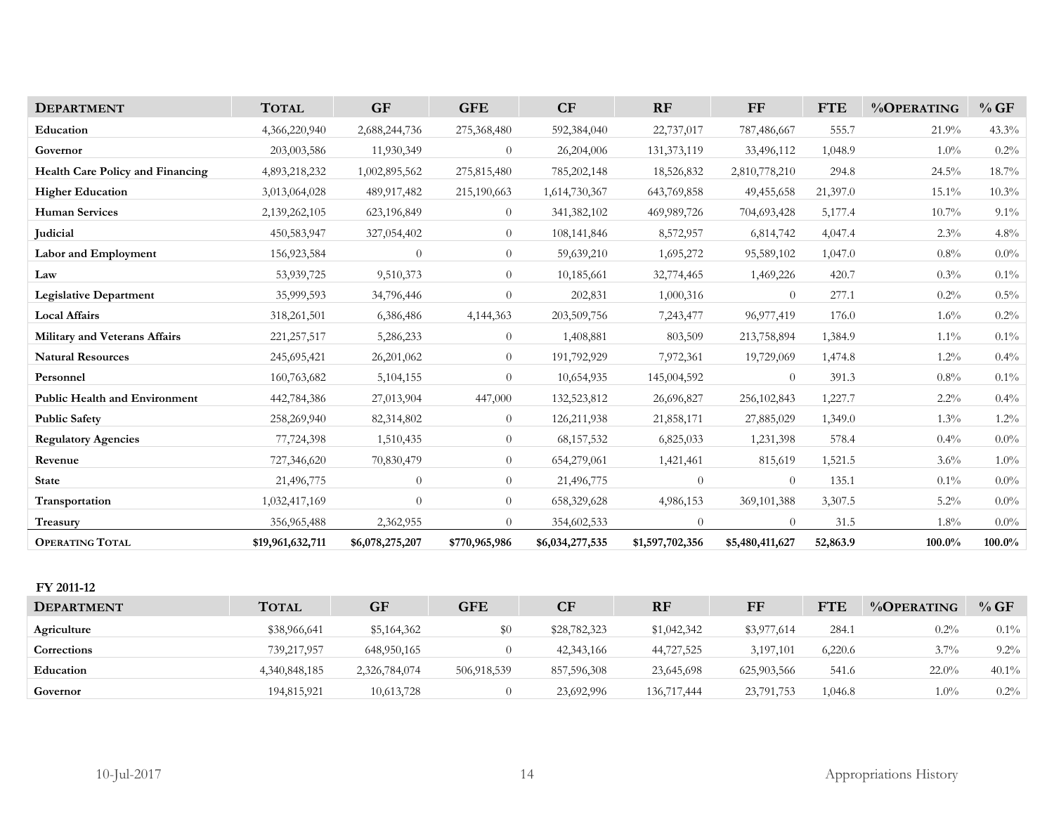| <b>DEPARTMENT</b>                       | <b>TOTAL</b>     | <b>GF</b>       | <b>GFE</b>     | CF              | RF              | FF              | <b>FTE</b> | %OPERATING | %GF       |
|-----------------------------------------|------------------|-----------------|----------------|-----------------|-----------------|-----------------|------------|------------|-----------|
| Education                               | 4,366,220,940    | 2,688,244,736   | 275,368,480    | 592,384,040     | 22,737,017      | 787,486,667     | 555.7      | 21.9%      | 43.3%     |
| Governor                                | 203,003,586      | 11,930,349      | $\overline{0}$ | 26,204,006      | 131, 373, 119   | 33,496,112      | 1,048.9    | $1.0\%$    | 0.2%      |
| <b>Health Care Policy and Financing</b> | 4,893,218,232    | 1,002,895,562   | 275,815,480    | 785, 202, 148   | 18,526,832      | 2,810,778,210   | 294.8      | 24.5%      | $18.7\%$  |
| <b>Higher Education</b>                 | 3,013,064,028    | 489,917,482     | 215,190,663    | 1,614,730,367   | 643,769,858     | 49, 455, 658    | 21,397.0   | 15.1%      | 10.3%     |
| <b>Human Services</b>                   | 2,139,262,105    | 623,196,849     | $\overline{0}$ | 341,382,102     | 469,989,726     | 704,693,428     | 5,177.4    | 10.7%      | 9.1%      |
| Judicial                                | 450,583,947      | 327,054,402     | $\overline{0}$ | 108,141,846     | 8,572,957       | 6,814,742       | 4,047.4    | 2.3%       | 4.8%      |
| Labor and Employment                    | 156,923,584      | $\theta$        | $\theta$       | 59,639,210      | 1,695,272       | 95,589,102      | 1,047.0    | 0.8%       | $0.0\%$   |
| Law                                     | 53,939,725       | 9,510,373       | $\theta$       | 10,185,661      | 32,774,465      | 1,469,226       | 420.7      | 0.3%       | 0.1%      |
| <b>Legislative Department</b>           | 35,999,593       | 34,796,446      | $\overline{0}$ | 202,831         | 1,000,316       | $\overline{0}$  | 277.1      | 0.2%       | 0.5%      |
| <b>Local Affairs</b>                    | 318,261,501      | 6,386,486       | 4,144,363      | 203,509,756     | 7,243,477       | 96,977,419      | 176.0      | 1.6%       | 0.2%      |
| Military and Veterans Affairs           | 221, 257, 517    | 5,286,233       | $\overline{0}$ | 1,408,881       | 803,509         | 213,758,894     | 1,384.9    | $1.1\%$    | $0.1\%$   |
| <b>Natural Resources</b>                | 245,695,421      | 26,201,062      | $\theta$       | 191,792,929     | 7,972,361       | 19,729,069      | 1,474.8    | $1.2\%$    | 0.4%      |
| Personnel                               | 160,763,682      | 5,104,155       | $\overline{0}$ | 10,654,935      | 145,004,592     | $\theta$        | 391.3      | $0.8\%$    | $0.1\%$   |
| <b>Public Health and Environment</b>    | 442,784,386      | 27,013,904      | 447,000        | 132,523,812     | 26,696,827      | 256,102,843     | 1,227.7    | $2.2\%$    | 0.4%      |
| <b>Public Safety</b>                    | 258,269,940      | 82,314,802      | $\overline{0}$ | 126,211,938     | 21,858,171      | 27,885,029      | 1,349.0    | 1.3%       | $1.2\%$   |
| <b>Regulatory Agencies</b>              | 77,724,398       | 1,510,435       | $\theta$       | 68,157,532      | 6,825,033       | 1,231,398       | 578.4      | $0.4\%$    | $0.0\%$   |
| Revenue                                 | 727,346,620      | 70,830,479      | $\theta$       | 654,279,061     | 1,421,461       | 815,619         | 1,521.5    | 3.6%       | 1.0%      |
| <b>State</b>                            | 21,496,775       | $\theta$        | $\overline{0}$ | 21,496,775      | $\theta$        | $\overline{0}$  | 135.1      | $0.1\%$    | $0.0\%$   |
| Transportation                          | 1,032,417,169    | $\theta$        | $\overline{0}$ | 658,329,628     | 4,986,153       | 369,101,388     | 3,307.5    | $5.2\%$    | $0.0\%$   |
| Treasury                                | 356,965,488      | 2,362,955       | $\overline{0}$ | 354,602,533     | $\theta$        | $\overline{0}$  | 31.5       | 1.8%       | $0.0\%$   |
| OPERATING TOTAL                         | \$19,961,632,711 | \$6,078,275,207 | \$770,965,986  | \$6,034,277,535 | \$1,597,702,356 | \$5,480,411,627 | 52,863.9   | $100.0\%$  | $100.0\%$ |
|                                         |                  |                 |                |                 |                 |                 |            |            |           |
| FY 2011-12                              |                  |                 |                |                 |                 |                 |            |            |           |
| <b>DEPARTMENT</b>                       | <b>TOTAL</b>     | <b>GF</b>       | <b>GFE</b>     | CF              | RF              | FF              | <b>FTE</b> | %OPERATING | %GF       |
| Agriculture                             | \$38,966,641     | \$5,164,362     | \$0            | \$28,782,323    | \$1,042,342     | \$3,977,614     | 284.1      | 0.2%       | $0.1\%$   |
| Corrections                             | 739,217,957      | 648,950,165     | $\overline{0}$ | 42,343,166      | 44,727,525      | 3,197,101       | 6,220.6    | $3.7\%$    | 9.2%      |
| Education                               | 4,340,848,185    | 2,326,784,074   | 506,918,539    | 857,596,308     | 23,645,698      | 625,903,566     | 541.6      | 22.0%      | 40.1%     |
| Governor                                | 194,815,921      | 10,613,728      | $\theta$       | 23,692,996      | 136,717,444     | 23,791,753      | 1,046.8    | 1.0%       | 0.2%      |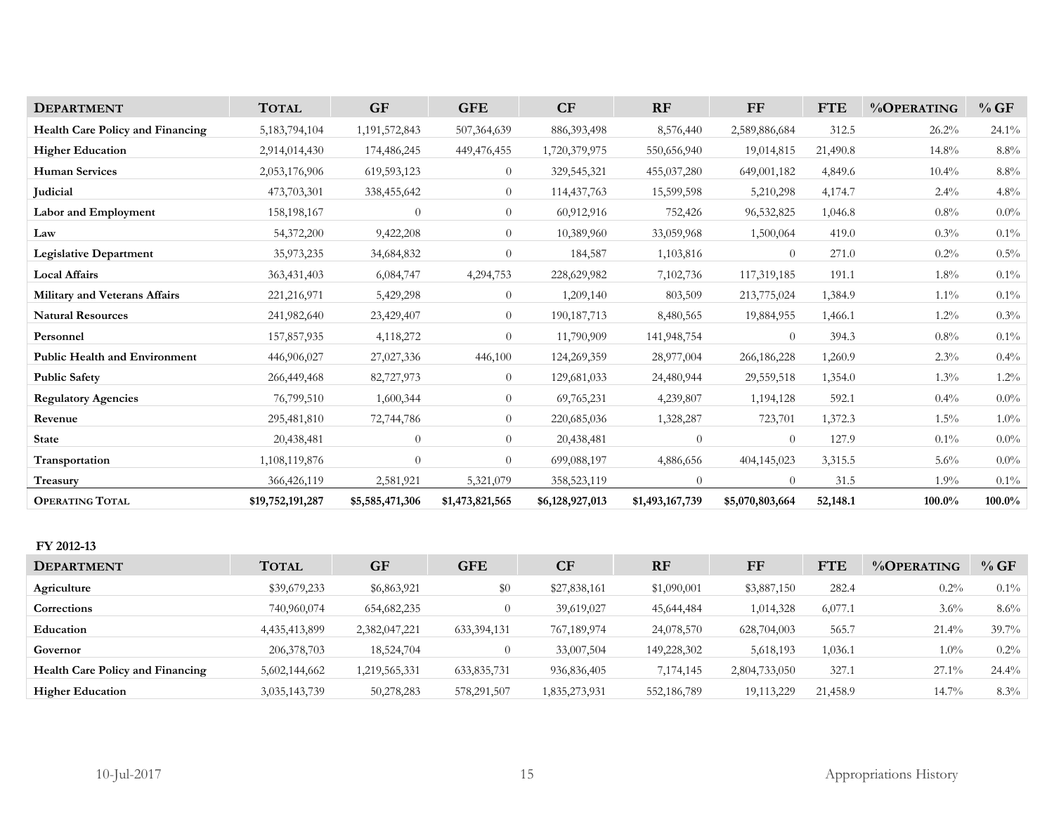| <b>DEPARTMENT</b>                    | <b>TOTAL</b>     | <b>GF</b>       | <b>GFE</b>      | CF              | RF              | FF              | <b>FTE</b> | %OPERATING | %GF      |
|--------------------------------------|------------------|-----------------|-----------------|-----------------|-----------------|-----------------|------------|------------|----------|
| Health Care Policy and Financing     | 5, 183, 794, 104 | 1,191,572,843   | 507,364,639     | 886, 393, 498   | 8,576,440       | 2,589,886,684   | 312.5      | 26.2%      | $24.1\%$ |
| <b>Higher Education</b>              | 2,914,014,430    | 174,486,245     | 449,476,455     | 1,720,379,975   | 550,656,940     | 19,014,815      | 21,490.8   | 14.8%      | 8.8%     |
| <b>Human Services</b>                | 2,053,176,906    | 619,593,123     | $\overline{0}$  | 329,545,321     | 455,037,280     | 649,001,182     | 4,849.6    | 10.4%      | 8.8%     |
| Judicial                             | 473,703,301      | 338,455,642     | $\Omega$        | 114,437,763     | 15,599,598      | 5,210,298       | 4,174.7    | $2.4\%$    | 4.8%     |
| Labor and Employment                 | 158,198,167      | $\overline{0}$  | $\overline{0}$  | 60,912,916      | 752,426         | 96,532,825      | 1,046.8    | 0.8%       | $0.0\%$  |
| Law                                  | 54,372,200       | 9,422,208       | $\overline{0}$  | 10,389,960      | 33,059,968      | 1,500,064       | 419.0      | $0.3\%$    | $0.1\%$  |
| <b>Legislative Department</b>        | 35,973,235       | 34,684,832      | 0               | 184,587         | 1,103,816       | $\theta$        | 271.0      | $0.2\%$    | $0.5\%$  |
| <b>Local Affairs</b>                 | 363,431,403      | 6,084,747       | 4,294,753       | 228,629,982     | 7,102,736       | 117,319,185     | 191.1      | $1.8\%$    | $0.1\%$  |
| Military and Veterans Affairs        | 221,216,971      | 5,429,298       | $\overline{0}$  | 1,209,140       | 803,509         | 213,775,024     | 1,384.9    | $1.1\%$    | $0.1\%$  |
| <b>Natural Resources</b>             | 241,982,640      | 23,429,407      | $\overline{0}$  | 190, 187, 713   | 8,480,565       | 19,884,955      | 1,466.1    | $1.2\%$    | $0.3\%$  |
| Personnel                            | 157,857,935      | 4,118,272       | $\overline{0}$  | 11,790,909      | 141,948,754     | $\overline{0}$  | 394.3      | $0.8\%$    | $0.1\%$  |
| <b>Public Health and Environment</b> | 446,906,027      | 27,027,336      | 446,100         | 124,269,359     | 28,977,004      | 266,186,228     | 1,260.9    | $2.3\%$    | $0.4\%$  |
| <b>Public Safety</b>                 | 266,449,468      | 82,727,973      | $\overline{0}$  | 129,681,033     | 24,480,944      | 29,559,518      | 1,354.0    | 1.3%       | $1.2\%$  |
| <b>Regulatory Agencies</b>           | 76,799,510       | 1,600,344       | $\overline{0}$  | 69,765,231      | 4,239,807       | 1,194,128       | 592.1      | $0.4\%$    | $0.0\%$  |
| Revenue                              | 295,481,810      | 72,744,786      | $\overline{0}$  | 220,685,036     | 1,328,287       | 723,701         | 1,372.3    | $1.5\%$    | $1.0\%$  |
| <b>State</b>                         | 20,438,481       | $\overline{0}$  | $\overline{0}$  | 20,438,481      | $\theta$        | $\theta$        | 127.9      | $0.1\%$    | $0.0\%$  |
| Transportation                       | 1,108,119,876    | $\overline{0}$  | $\overline{0}$  | 699,088,197     | 4,886,656       | 404,145,023     | 3,315.5    | 5.6%       | $0.0\%$  |
| Treasury                             | 366,426,119      | 2,581,921       | 5,321,079       | 358,523,119     | $\overline{0}$  | $\theta$        | 31.5       | 1.9%       | $0.1\%$  |
| <b>OPERATING TOTAL</b>               | \$19,752,191,287 | \$5,585,471,306 | \$1,473,821,565 | \$6,128,927,013 | \$1,493,167,739 | \$5,070,803,664 | 52,148.1   | 100.0%     | 100.0%   |

# **FY 2012-13**

| <b>DEPARTMENT</b>                       | <b>TOTAL</b>  | <b>GF</b>     | <b>GFE</b>  | CF            | <b>RF</b>   | FF            | FTE      | $\%$ OPERATING | $\%$ GF  |
|-----------------------------------------|---------------|---------------|-------------|---------------|-------------|---------------|----------|----------------|----------|
| Agriculture                             | \$39,679,233  | \$6,863,921   | $\$0$       | \$27,838,161  | \$1,090,001 | \$3,887,150   | 282.4    | $0.2\%$        | $0.1\%$  |
| Corrections                             | 740,960,074   | 654,682,235   |             | 39,619,027    | 45,644,484  | 1,014,328     | 6,077.1  | $3.6\%$        | $8.6\%$  |
| Education                               | 4,435,413,899 | 2,382,047,221 | 633,394,131 | 767,189,974   | 24,078,570  | 628,704,003   | 565.7    | $21.4\%$       | $39.7\%$ |
| Governor                                | 206, 378, 703 | 18,524,704    |             | 33,007,504    | 149,228,302 | 5,618,193     | 1,036.1  | $1.0\%$        | $0.2\%$  |
| <b>Health Care Policy and Financing</b> | 5,602,144,662 | 1,219,565,331 | 633,835,731 | 936,836,405   | 7,174,145   | 2,804,733,050 | 327.1    | $27.1\%$       | $24.4\%$ |
| <b>Higher Education</b>                 | 3,035,143,739 | 50,278,283    | 578,291,507 | 1,835,273,931 | 552,186,789 | 19,113,229    | 21,458.9 | $14.7\%$       | $8.3\%$  |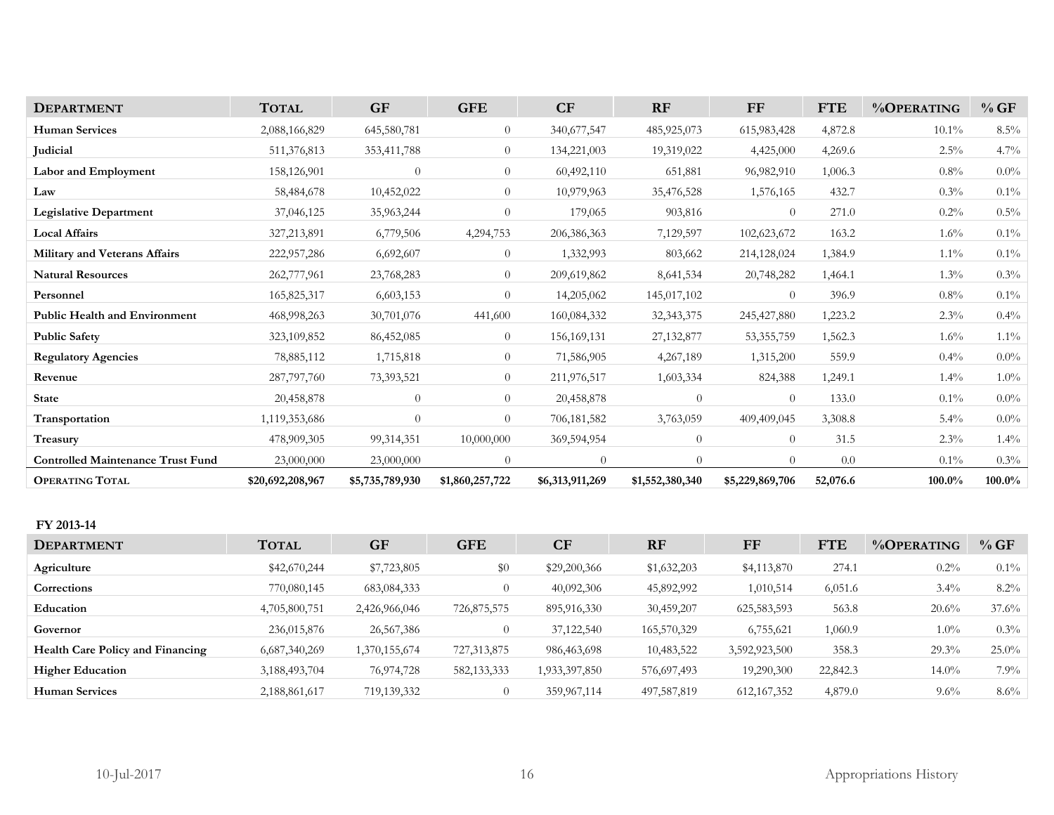| <b>DEPARTMENT</b>                        | <b>TOTAL</b>     | <b>GF</b>       | <b>GFE</b>      | CF              | RF              | $\bf FF$        | <b>FTE</b> | %OPERATING | %GF     |
|------------------------------------------|------------------|-----------------|-----------------|-----------------|-----------------|-----------------|------------|------------|---------|
| <b>Human Services</b>                    | 2,088,166,829    | 645,580,781     | $\overline{0}$  | 340,677,547     | 485,925,073     | 615,983,428     | 4,872.8    | $10.1\%$   | $8.5\%$ |
| Judicial                                 | 511,376,813      | 353,411,788     | $\overline{0}$  | 134,221,003     | 19,319,022      | 4,425,000       | 4,269.6    | $2.5\%$    | 4.7%    |
| <b>Labor and Employment</b>              | 158,126,901      | $\overline{0}$  | $\overline{0}$  | 60,492,110      | 651,881         | 96,982,910      | 1,006.3    | 0.8%       | $0.0\%$ |
| Law                                      | 58,484,678       | 10,452,022      | $\overline{0}$  | 10,979,963      | 35,476,528      | 1,576,165       | 432.7      | $0.3\%$    | $0.1\%$ |
| <b>Legislative Department</b>            | 37,046,125       | 35,963,244      | $\overline{0}$  | 179,065         | 903,816         | $\overline{0}$  | 271.0      | $0.2\%$    | $0.5\%$ |
| <b>Local Affairs</b>                     | 327,213,891      | 6,779,506       | 4,294,753       | 206,386,363     | 7,129,597       | 102,623,672     | 163.2      | $1.6\%$    | $0.1\%$ |
| Military and Veterans Affairs            | 222,957,286      | 6,692,607       | $\overline{0}$  | 1,332,993       | 803,662         | 214,128,024     | 1,384.9    | $1.1\%$    | $0.1\%$ |
| <b>Natural Resources</b>                 | 262,777,961      | 23,768,283      | $\overline{0}$  | 209,619,862     | 8,641,534       | 20,748,282      | 1,464.1    | $1.3\%$    | $0.3\%$ |
| Personnel                                | 165,825,317      | 6,603,153       | $\overline{0}$  | 14,205,062      | 145,017,102     | $\overline{0}$  | 396.9      | $0.8\%$    | $0.1\%$ |
| <b>Public Health and Environment</b>     | 468,998,263      | 30,701,076      | 441,600         | 160,084,332     | 32, 343, 375    | 245,427,880     | 1,223.2    | 2.3%       | 0.4%    |
| <b>Public Safety</b>                     | 323,109,852      | 86,452,085      | $\Omega$        | 156, 169, 131   | 27, 132, 877    | 53, 355, 759    | 1,562.3    | $1.6\%$    | $1.1\%$ |
| <b>Regulatory Agencies</b>               | 78,885,112       | 1,715,818       | $\overline{0}$  | 71,586,905      | 4,267,189       | 1,315,200       | 559.9      | $0.4\%$    | $0.0\%$ |
| Revenue                                  | 287,797,760      | 73,393,521      | $\overline{0}$  | 211,976,517     | 1,603,334       | 824,388         | 1,249.1    | $1.4\%$    | $1.0\%$ |
| <b>State</b>                             | 20,458,878       | $\theta$        | $\overline{0}$  | 20,458,878      | $\theta$        | $\overline{0}$  | 133.0      | $0.1\%$    | $0.0\%$ |
| Transportation                           | 1,119,353,686    | $\overline{0}$  | $\Omega$        | 706,181,582     | 3,763,059       | 409,409,045     | 3,308.8    | $5.4\%$    | $0.0\%$ |
| Treasury                                 | 478,909,305      | 99,314,351      | 10,000,000      | 369,594,954     | $\overline{0}$  | $\overline{0}$  | 31.5       | 2.3%       | $1.4\%$ |
| <b>Controlled Maintenance Trust Fund</b> | 23,000,000       | 23,000,000      | $\overline{0}$  | $\overline{0}$  | $\theta$        | $\overline{0}$  | 0.0        | $0.1\%$    | $0.3\%$ |
| <b>OPERATING TOTAL</b>                   | \$20,692,208,967 | \$5,735,789,930 | \$1,860,257,722 | \$6,313,911,269 | \$1,552,380,340 | \$5,229,869,706 | 52,076.6   | 100.0%     | 100.0%  |
| FY 2013-14                               |                  |                 |                 |                 |                 |                 |            |            |         |

| <b>DEPARTMENT</b>                       | <b>TOTAL</b>  | <b>GF</b>     | <b>GFE</b>    | <b>CF</b>     | <b>RF</b>   | FF            | <b>FTE</b> | $\%$ OPERATING | %GF      |
|-----------------------------------------|---------------|---------------|---------------|---------------|-------------|---------------|------------|----------------|----------|
| Agriculture                             | \$42,670,244  | \$7,723,805   | \$0           | \$29,200,366  | \$1,632,203 | \$4,113,870   | 274.1      | $0.2\%$        | $0.1\%$  |
| Corrections                             | 770,080,145   | 683,084,333   | $\theta$      | 40,092,306    | 45,892,992  | 1,010,514     | 6,051.6    | $3.4\%$        | 8.2%     |
| Education                               | 4,705,800,751 | 2,426,966,046 | 726,875,575   | 895,916,330   | 30,459,207  | 625, 583, 593 | 563.8      | 20.6%          | $37.6\%$ |
| Governor                                | 236,015,876   | 26,567,386    |               | 37,122,540    | 165,570,329 | 6,755,621     | 1,060.9    | $1.0\%$        | $0.3\%$  |
| <b>Health Care Policy and Financing</b> | 6,687,340,269 | 1,370,155,674 | 727,313,875   | 986,463,698   | 10,483,522  | 3,592,923,500 | 358.3      | 29.3%          | $25.0\%$ |
| <b>Higher Education</b>                 | 3,188,493,704 | 76,974,728    | 582, 133, 333 | 1,933,397,850 | 576,697,493 | 19,290,300    | 22,842.3   | $14.0\%$       | $7.9\%$  |
| <b>Human Services</b>                   | 2,188,861,617 | 719,139,332   |               | 359,967,114   | 497,587,819 | 612, 167, 352 | 4,879.0    | $9.6\%$        | $8.6\%$  |
|                                         |               |               |               |               |             |               |            |                |          |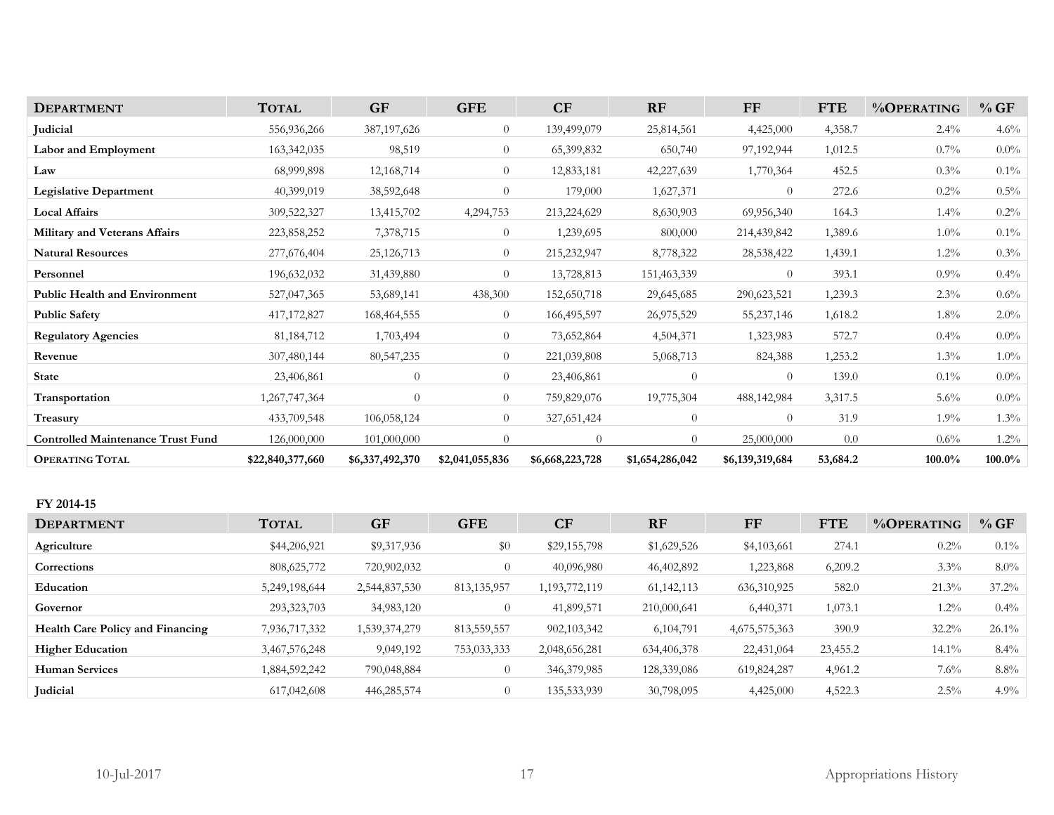| <b>DEPARTMENT</b>                        | <b>TOTAL</b>     | <b>GF</b>       | <b>GFE</b>      | CF              | <b>RF</b>       | <b>FF</b>       | <b>FTE</b> | %OPERATING | %GF     |
|------------------------------------------|------------------|-----------------|-----------------|-----------------|-----------------|-----------------|------------|------------|---------|
| Judicial                                 | 556,936,266      | 387, 197, 626   | $\overline{0}$  | 139,499,079     | 25,814,561      | 4,425,000       | 4,358.7    | $2.4\%$    | $4.6\%$ |
| Labor and Employment                     | 163,342,035      | 98,519          | $\overline{0}$  | 65,399,832      | 650,740         | 97,192,944      | 1,012.5    | $0.7\%$    | $0.0\%$ |
| Law                                      | 68,999,898       | 12,168,714      | $\overline{0}$  | 12,833,181      | 42,227,639      | 1,770,364       | 452.5      | $0.3\%$    | $0.1\%$ |
| <b>Legislative Department</b>            | 40,399,019       | 38,592,648      | $\Omega$        | 179,000         | 1,627,371       | $\Omega$        | 272.6      | $0.2\%$    | $0.5\%$ |
| <b>Local Affairs</b>                     | 309,522,327      | 13,415,702      | 4,294,753       | 213,224,629     | 8,630,903       | 69,956,340      | 164.3      | $1.4\%$    | $0.2\%$ |
| Military and Veterans Affairs            | 223,858,252      | 7,378,715       | $\overline{0}$  | 1,239,695       | 800,000         | 214,439,842     | 1,389.6    | $1.0\%$    | $0.1\%$ |
| <b>Natural Resources</b>                 | 277,676,404      | 25, 126, 713    | $\overline{0}$  | 215,232,947     | 8,778,322       | 28,538,422      | 1,439.1    | $1.2\%$    | $0.3\%$ |
| Personnel                                | 196,632,032      | 31,439,880      | $\overline{0}$  | 13,728,813      | 151,463,339     | $\overline{0}$  | 393.1      | $0.9\%$    | $0.4\%$ |
| <b>Public Health and Environment</b>     | 527,047,365      | 53,689,141      | 438,300         | 152,650,718     | 29,645,685      | 290,623,521     | 1,239.3    | $2.3\%$    | $0.6\%$ |
| <b>Public Safety</b>                     | 417,172,827      | 168,464,555     | $\overline{0}$  | 166,495,597     | 26,975,529      | 55,237,146      | 1,618.2    | $1.8\%$    | $2.0\%$ |
| <b>Regulatory Agencies</b>               | 81, 184, 712     | 1,703,494       | $\overline{0}$  | 73,652,864      | 4,504,371       | 1,323,983       | 572.7      | $0.4\%$    | $0.0\%$ |
| Revenue                                  | 307,480,144      | 80, 547, 235    | $\overline{0}$  | 221,039,808     | 5,068,713       | 824,388         | 1,253.2    | $1.3\%$    | $1.0\%$ |
| <b>State</b>                             | 23,406,861       | $\overline{0}$  | $\overline{0}$  | 23,406,861      | $\overline{0}$  | $\Omega$        | 139.0      | $0.1\%$    | $0.0\%$ |
| <b>Transportation</b>                    | 1,267,747,364    | $\overline{0}$  | $\overline{0}$  | 759,829,076     | 19,775,304      | 488, 142, 984   | 3,317.5    | $5.6\%$    | $0.0\%$ |
| Treasury                                 | 433,709,548      | 106,058,124     | $\overline{0}$  | 327,651,424     | $\overline{0}$  | $\Omega$        | 31.9       | $1.9\%$    | $1.3\%$ |
| <b>Controlled Maintenance Trust Fund</b> | 126,000,000      | 101,000,000     |                 |                 | $\Omega$        | 25,000,000      | 0.0        | $0.6\%$    | $1.2\%$ |
| <b>OPERATING TOTAL</b>                   | \$22,840,377,660 | \$6,337,492,370 | \$2,041,055,836 | \$6,668,223,728 | \$1,654,286,042 | \$6,139,319,684 | 53,684.2   | 100.0%     | 100.0%  |

### **FY 2014-15**

| <b>TOTAL</b>  | <b>GF</b>     | <b>GFE</b>    | CF            | <b>RF</b>    | FF            | <b>FTE</b> | %OPERATING | $\%$ GF  |
|---------------|---------------|---------------|---------------|--------------|---------------|------------|------------|----------|
| \$44,206,921  | \$9,317,936   | $\$0$         | \$29,155,798  | \$1,629,526  | \$4,103,661   | 274.1      | $0.2\%$    | $0.1\%$  |
| 808, 625, 772 | 720,902,032   | $\Omega$      | 40,096,980    | 46,402,892   | 1,223,868     | 6,209.2    | $3.3\%$    | $8.0\%$  |
| 5,249,198,644 | 2,544,837,530 | 813, 135, 957 | 1,193,772,119 | 61, 142, 113 | 636, 310, 925 | 582.0      | $21.3\%$   | $37.2\%$ |
| 293,323,703   | 34,983,120    | $\left($      | 41,899,571    | 210,000,641  | 6,440,371     | 1,073.1    | $1.2\%$    | $0.4\%$  |
| 7,936,717,332 | 1,539,374,279 | 813, 559, 557 | 902, 103, 342 | 6,104,791    | 4,675,575,363 | 390.9      | $32.2\%$   | $26.1\%$ |
| 3,467,576,248 | 9,049,192     | 753,033,333   | 2,048,656,281 | 634,406,378  | 22,431,064    | 23,455.2   | $14.1\%$   | $8.4\%$  |
| 1,884,592,242 | 790,048,884   |               | 346,379,985   | 128,339,086  | 619,824,287   | 4,961.2    | $7.6\%$    | $8.8\%$  |
| 617,042,608   | 446,285,574   | $\Omega$      | 135,533,939   | 30,798,095   | 4,425,000     | 4,522.3    | $2.5\%$    | 4.9%     |
|               |               |               |               |              |               |            |            |          |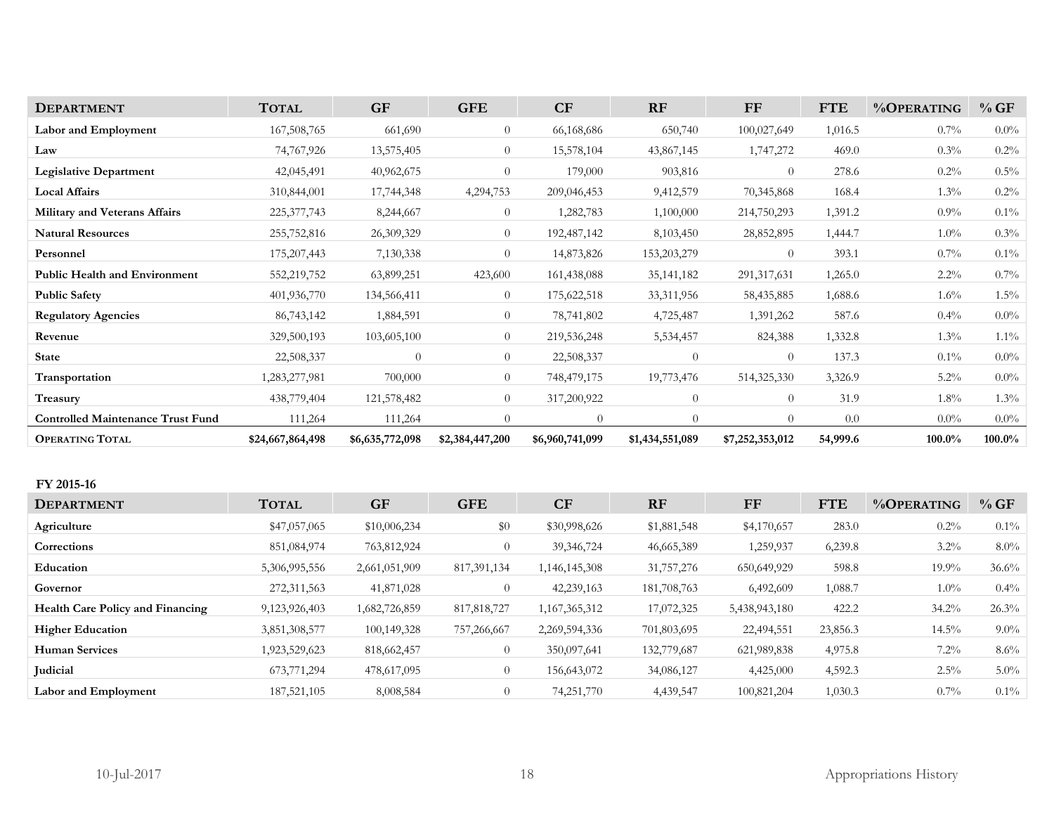| <b>DEPARTMENT</b>                        | <b>TOTAL</b>     | <b>GF</b>       | <b>GFE</b>      | CF              | RF              | FF              | <b>FTE</b> | %OPERATING | %GF       |
|------------------------------------------|------------------|-----------------|-----------------|-----------------|-----------------|-----------------|------------|------------|-----------|
| Labor and Employment                     | 167,508,765      | 661,690         | $\overline{0}$  | 66,168,686      | 650,740         | 100,027,649     | 1,016.5    | 0.7%       | $0.0\%$   |
| Law                                      | 74,767,926       | 13,575,405      | $\overline{0}$  | 15,578,104      | 43,867,145      | 1,747,272       | 469.0      | $0.3\%$    | 0.2%      |
| <b>Legislative Department</b>            | 42,045,491       | 40,962,675      | $\overline{0}$  | 179,000         | 903,816         | $\theta$        | 278.6      | $0.2\%$    | 0.5%      |
| <b>Local Affairs</b>                     | 310,844,001      | 17,744,348      | 4,294,753       | 209,046,453     | 9,412,579       | 70,345,868      | 168.4      | $1.3\%$    | 0.2%      |
| Military and Veterans Affairs            | 225, 377, 743    | 8,244,667       | $\overline{0}$  | 1,282,783       | 1,100,000       | 214,750,293     | 1,391.2    | 0.9%       | $0.1\%$   |
| <b>Natural Resources</b>                 | 255,752,816      | 26,309,329      | $\overline{0}$  | 192,487,142     | 8,103,450       | 28,852,895      | 1,444.7    | $1.0\%$    | 0.3%      |
| Personnel                                | 175,207,443      | 7,130,338       | $\overline{0}$  | 14,873,826      | 153,203,279     | $\overline{0}$  | 393.1      | 0.7%       | $0.1\%$   |
| <b>Public Health and Environment</b>     | 552,219,752      | 63,899,251      | 423,600         | 161,438,088     | 35, 141, 182    | 291, 317, 631   | 1,265.0    | $2.2\%$    | 0.7%      |
| <b>Public Safety</b>                     | 401,936,770      | 134,566,411     | $\overline{0}$  | 175,622,518     | 33,311,956      | 58,435,885      | 1,688.6    | 1.6%       | $1.5\%$   |
| <b>Regulatory Agencies</b>               | 86,743,142       | 1,884,591       | $\overline{0}$  | 78,741,802      | 4,725,487       | 1,391,262       | 587.6      | $0.4\%$    | $0.0\%$   |
| Revenue                                  | 329,500,193      | 103,605,100     | $\overline{0}$  | 219,536,248     | 5,534,457       | 824,388         | 1,332.8    | $1.3\%$    | $1.1\%$   |
| <b>State</b>                             | 22,508,337       | $\theta$        | $\overline{0}$  | 22,508,337      | $\theta$        | $\theta$        | 137.3      | $0.1\%$    | $0.0\%$   |
| Transportation                           | 1,283,277,981    | 700,000         | $\overline{0}$  | 748,479,175     | 19,773,476      | 514,325,330     | 3,326.9    | $5.2\%$    | $0.0\%$   |
| Treasury                                 | 438,779,404      | 121,578,482     | $\overline{0}$  | 317,200,922     | $\overline{0}$  | $\overline{0}$  | 31.9       | $1.8\%$    | 1.3%      |
| <b>Controlled Maintenance Trust Fund</b> | 111,264          | 111,264         | $\overline{0}$  | $\overline{0}$  | $\overline{0}$  | $\theta$        | 0.0        | $0.0\%$    | $0.0\%$   |
| <b>OPERATING TOTAL</b>                   | \$24,667,864,498 | \$6,635,772,098 | \$2,384,447,200 | \$6,960,741,099 | \$1,434,551,089 | \$7,252,353,012 | 54,999.6   | 100.0%     | $100.0\%$ |
|                                          |                  |                 |                 |                 |                 |                 |            |            |           |
| FY 2015-16                               |                  |                 |                 |                 |                 |                 |            |            |           |
| <b>DEPARTMENT</b>                        |                  |                 |                 |                 |                 |                 |            |            |           |
| Agriculture                              | <b>TOTAL</b>     | <b>GF</b>       | <b>GFE</b>      | <b>CF</b>       | RF              | FF              | <b>FTE</b> | %OPERATING | %GF       |
|                                          | \$47,057,065     | \$10,006,234    | \$0             | \$30,998,626    | \$1,881,548     | \$4,170,657     | 283.0      | $0.2\%$    | $0.1\%$   |
| Corrections                              | 851,084,974      | 763,812,924     | $\overline{0}$  | 39, 346, 724    | 46,665,389      | 1,259,937       | 6,239.8    | $3.2\%$    | $8.0\%$   |
| Education                                | 5,306,995,556    | 2,661,051,909   | 817,391,134     | 1,146,145,308   | 31,757,276      | 650,649,929     | 598.8      | 19.9%      | 36.6%     |
| Governor                                 | 272,311,563      | 41,871,028      | $\overline{0}$  | 42,239,163      | 181,708,763     | 6,492,609       | 1,088.7    | $1.0\%$    | 0.4%      |
| Health Care Policy and Financing         | 9,123,926,403    | 1,682,726,859   | 817, 818, 727   | 1,167,365,312   | 17,072,325      | 5,438,943,180   | 422.2      | 34.2%      | 26.3%     |
| <b>Higher Education</b>                  | 3,851,308,577    | 100,149,328     | 757,266,667     | 2,269,594,336   | 701,803,695     | 22,494,551      | 23,856.3   | 14.5%      | $9.0\%$   |
| <b>Human Services</b>                    | 1,923,529,623    | 818,662,457     | $\overline{0}$  | 350,097,641     | 132,779,687     | 621,989,838     | 4,975.8    | $7.2\%$    | 8.6%      |
| Judicial                                 | 673,771,294      | 478,617,095     | $\overline{0}$  | 156,643,072     | 34,086,127      | 4,425,000       | 4,592.3    | $2.5\%$    | 5.0%      |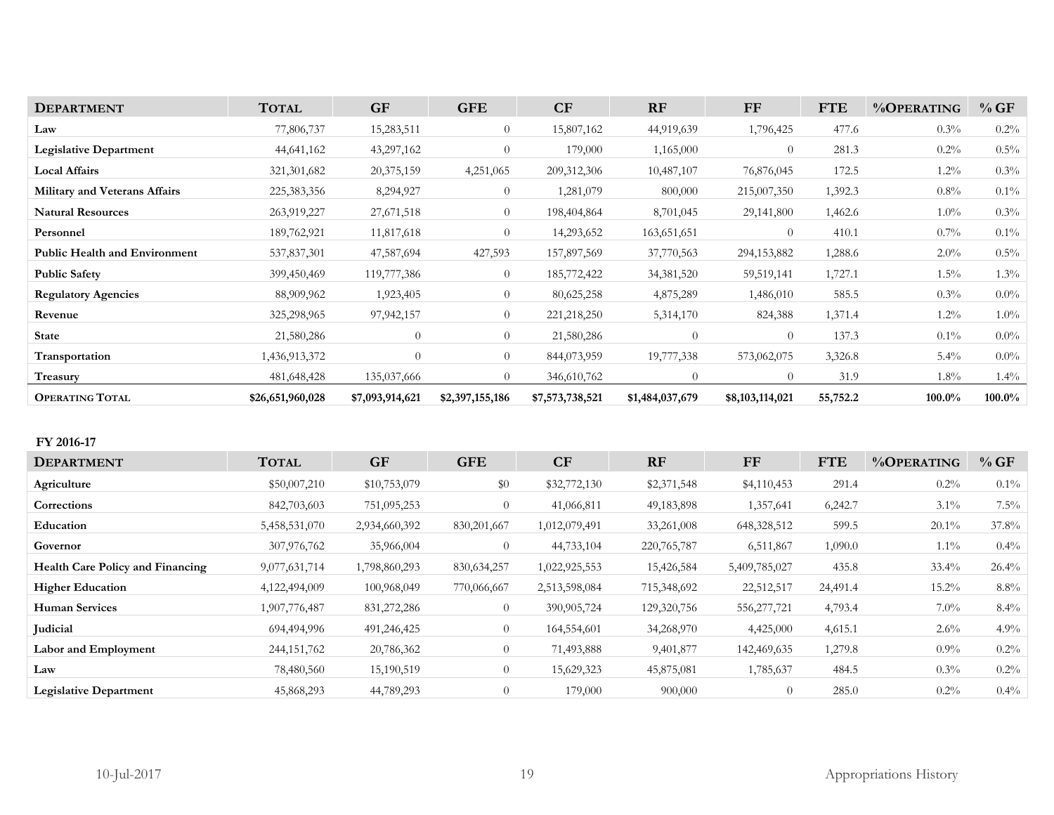| <b>DEPARTMENT</b>                    | <b>TOTAL</b>     | <b>GF</b>       | <b>GFE</b>      | CF              | <b>RF</b>       | <b>FF</b>       | <b>FTE</b> | %OPERATING | $\%$ GF   |
|--------------------------------------|------------------|-----------------|-----------------|-----------------|-----------------|-----------------|------------|------------|-----------|
| Law                                  | 77,806,737       | 15,283,511      | $\theta$        | 15,807,162      | 44,919,639      | 1,796,425       | 477.6      | $0.3\%$    | $0.2\%$   |
| <b>Legislative Department</b>        | 44,641,162       | 43,297,162      | $\Omega$        | 179,000         | 1,165,000       | $\theta$        | 281.3      | $0.2\%$    | $0.5\%$   |
| <b>Local Affairs</b>                 | 321, 301, 682    | 20,375,159      | 4,251,065       | 209,312,306     | 10,487,107      | 76,876,045      | 172.5      | $1.2\%$    | $0.3\%$   |
| <b>Military and Veterans Affairs</b> | 225, 383, 356    | 8,294,927       | $\theta$        | 1,281,079       | 800,000         | 215,007,350     | 1,392.3    | $0.8\%$    | $0.1\%$   |
| <b>Natural Resources</b>             | 263,919,227      | 27,671,518      | $\overline{0}$  | 198,404,864     | 8,701,045       | 29,141,800      | 1,462.6    | $1.0\%$    | $0.3\%$   |
| Personnel                            | 189,762,921      | 11,817,618      | $\theta$        | 14,293,652      | 163,651,651     | $\Omega$        | 410.1      | $0.7\%$    | $0.1\%$   |
| <b>Public Health and Environment</b> | 537,837,301      | 47,587,694      | 427,593         | 157,897,569     | 37,770,563      | 294,153,882     | 1,288.6    | $2.0\%$    | $0.5\%$   |
| <b>Public Safety</b>                 | 399,450,469      | 119,777,386     | $\overline{0}$  | 185,772,422     | 34,381,520      | 59,519,141      | 1,727.1    | $1.5\%$    | $1.3\%$   |
| <b>Regulatory Agencies</b>           | 88,909,962       | 1,923,405       | $\overline{0}$  | 80,625,258      | 4,875,289       | 1,486,010       | 585.5      | $0.3\%$    | $0.0\%$   |
| Revenue                              | 325,298,965      | 97, 942, 157    | $\Omega$        | 221, 218, 250   | 5,314,170       | 824,388         | 1,371.4    | $1.2\%$    | $1.0\%$   |
| <b>State</b>                         | 21,580,286       | $\theta$        | $\theta$        | 21,580,286      | 0               | $\theta$        | 137.3      | $0.1\%$    | $0.0\%$   |
| <b>Transportation</b>                | 1,436,913,372    | $\Omega$        | $\overline{0}$  | 844,073,959     | 19,777,338      | 573,062,075     | 3,326.8    | $5.4\%$    | $0.0\%$   |
| Treasury                             | 481,648,428      | 135,037,666     | $\Omega$        | 346,610,762     | 0               | $\theta$        | 31.9       | $1.8\%$    | $1.4\%$   |
| <b>OPERATING TOTAL</b>               | \$26,651,960,028 | \$7,093,914,621 | \$2,397,155,186 | \$7,573,738,521 | \$1,484,037,679 | \$8,103,114,021 | 55,752.2   | 100.0%     | $100.0\%$ |

### **FY 2016-17**

| <b>DEPARTMENT</b>                       | <b>TOTAL</b>  | <b>GF</b>     | <b>GFE</b>     | CF            | RF            | FF            | <b>FTE</b> | %OPERATING | %GF      |
|-----------------------------------------|---------------|---------------|----------------|---------------|---------------|---------------|------------|------------|----------|
| Agriculture                             | \$50,007,210  | \$10,753,079  | \$0            | \$32,772,130  | \$2,371,548   | \$4,110,453   | 291.4      | $0.2\%$    | $0.1\%$  |
| Corrections                             | 842,703,603   | 751,095,253   | $\overline{0}$ | 41,066,811    | 49,183,898    | 1,357,641     | 6,242.7    | $3.1\%$    | $7.5\%$  |
| Education                               | 5,458,531,070 | 2,934,660,392 | 830, 201, 667  | 1,012,079,491 | 33,261,008    | 648,328,512   | 599.5      | $20.1\%$   | $37.8\%$ |
| Governor                                | 307,976,762   | 35,966,004    | $\overline{0}$ | 44,733,104    | 220, 765, 787 | 6,511,867     | 1,090.0    | $1.1\%$    | $0.4\%$  |
| <b>Health Care Policy and Financing</b> | 9,077,631,714 | 1,798,860,293 | 830, 634, 257  | 1,022,925,553 | 15,426,584    | 5,409,785,027 | 435.8      | $33.4\%$   | 26.4%    |
| <b>Higher Education</b>                 | 4,122,494,009 | 100,968,049   | 770,066,667    | 2,513,598,084 | 715,348,692   | 22,512,517    | 24,491.4   | $15.2\%$   | $8.8\%$  |
| <b>Human Services</b>                   | 1,907,776,487 | 831,272,286   | $\theta$       | 390,905,724   | 129,320,756   | 556,277,721   | 4,793.4    | $7.0\%$    | $8.4\%$  |
| <b>Iudicial</b>                         | 694,494,996   | 491,246,425   | $\theta$       | 164,554,601   | 34,268,970    | 4,425,000     | 4,615.1    | $2.6\%$    | $4.9\%$  |
| Labor and Employment                    | 244, 151, 762 | 20,786,362    | $\theta$       | 71,493,888    | 9,401,877     | 142,469,635   | 1,279.8    | $0.9\%$    | $0.2\%$  |
| Law                                     | 78,480,560    | 15,190,519    | $\overline{0}$ | 15,629,323    | 45,875,081    | 1,785,637     | 484.5      | $0.3\%$    | $0.2\%$  |
| <b>Legislative Department</b>           | 45,868,293    | 44,789,293    | $\overline{0}$ | 179,000       | 900,000       | $\theta$      | 285.0      | $0.2\%$    | $0.4\%$  |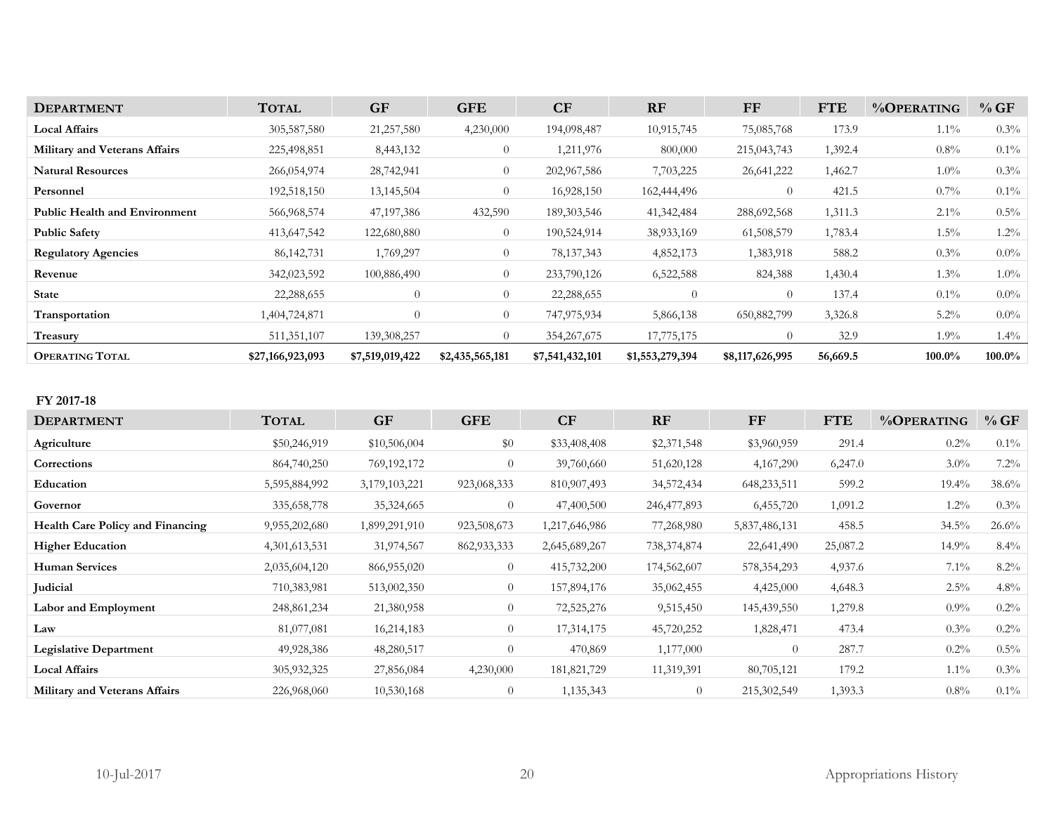| <b>DEPARTMENT</b>                    | <b>TOTAL</b>     | <b>GF</b>       | <b>GFE</b>      | CF              | <b>RF</b>       | <b>FF</b>       | <b>FTE</b> | %OPERATING | %GF       |
|--------------------------------------|------------------|-----------------|-----------------|-----------------|-----------------|-----------------|------------|------------|-----------|
| <b>Local Affairs</b>                 | 305,587,580      | 21,257,580      | 4,230,000       | 194,098,487     | 10,915,745      | 75,085,768      | 173.9      | $1.1\%$    | $0.3\%$   |
| <b>Military and Veterans Affairs</b> | 225,498,851      | 8,443,132       | $\overline{0}$  | 1,211,976       | 800,000         | 215,043,743     | 1,392.4    | $0.8\%$    | $0.1\%$   |
| <b>Natural Resources</b>             | 266,054,974      | 28,742,941      | $\theta$        | 202,967,586     | 7,703,225       | 26,641,222      | 1,462.7    | $1.0\%$    | $0.3\%$   |
| Personnel                            | 192,518,150      | 13,145,504      | $\theta$        | 16,928,150      | 162,444,496     | $\Omega$        | 421.5      | $0.7\%$    | $0.1\%$   |
| <b>Public Health and Environment</b> | 566,968,574      | 47, 197, 386    | 432,590         | 189, 303, 546   | 41, 342, 484    | 288,692,568     | 1,311.3    | $2.1\%$    | $0.5\%$   |
| <b>Public Safety</b>                 | 413,647,542      | 122,680,880     | $\theta$        | 190,524,914     | 38,933,169      | 61,508,579      | 1,783.4    | $1.5\%$    | $1.2\%$   |
| <b>Regulatory Agencies</b>           | 86, 142, 731     | 1,769,297       | $\overline{0}$  | 78, 137, 343    | 4,852,173       | 1,383,918       | 588.2      | $0.3\%$    | $0.0\%$   |
| Revenue                              | 342,023,592      | 100,886,490     | $\theta$        | 233,790,126     | 6,522,588       | 824,388         | 1,430.4    | $1.3\%$    | $1.0\%$   |
| <b>State</b>                         | 22,288,655       | $\overline{0}$  | $\overline{0}$  | 22,288,655      | $\overline{0}$  | $\Omega$        | 137.4      | $0.1\%$    | $0.0\%$   |
| Transportation                       | 1,404,724,871    | $\overline{0}$  | $\overline{0}$  | 747,975,934     | 5,866,138       | 650,882,799     | 3,326.8    | $5.2\%$    | $0.0\%$   |
| Treasury                             | 511, 351, 107    | 139,308,257     | $\Omega$        | 354, 267, 675   | 17,775,175      | $\Omega$        | 32.9       | $1.9\%$    | $1.4\%$   |
| <b>OPERATING TOTAL</b>               | \$27,166,923,093 | \$7,519,019,422 | \$2,435,565,181 | \$7,541,432,101 | \$1,553,279,394 | \$8,117,626,995 | 56,669.5   | 100.0%     | $100.0\%$ |

| v | 2017-<br>18 |
|---|-------------|
|---|-------------|

| <b>DEPARTMENT</b>                       | <b>TOTAL</b>     | <b>GF</b>     | <b>GFE</b>     | CF            | <b>RF</b>      | FF             | <b>FTE</b> | %OPERATING | %GF      |
|-----------------------------------------|------------------|---------------|----------------|---------------|----------------|----------------|------------|------------|----------|
| Agriculture                             | \$50,246,919     | \$10,506,004  | $\$0$          | \$33,408,408  | \$2,371,548    | \$3,960,959    | 291.4      | $0.2\%$    | $0.1\%$  |
| Corrections                             | 864,740,250      | 769,192,172   | $\theta$       | 39,760,660    | 51,620,128     | 4, 167, 290    | 6,247.0    | $3.0\%$    | $7.2\%$  |
| Education                               | 5,595,884,992    | 3,179,103,221 | 923,068,333    | 810,907,493   | 34,572,434     | 648,233,511    | 599.2      | $19.4\%$   | 38.6%    |
| Governor                                | 335,658,778      | 35,324,665    | $\overline{0}$ | 47,400,500    | 246, 477, 893  | 6,455,720      | 1,091.2    | $1.2\%$    | $0.3\%$  |
| <b>Health Care Policy and Financing</b> | 9,955,202,680    | 1,899,291,910 | 923,508,673    | 1,217,646,986 | 77,268,980     | 5,837,486,131  | 458.5      | $34.5\%$   | $26.6\%$ |
| <b>Higher Education</b>                 | 4, 301, 613, 531 | 31,974,567    | 862, 933, 333  | 2,645,689,267 | 738, 374, 874  | 22,641,490     | 25,087.2   | 14.9%      | $8.4\%$  |
| Human Services                          | 2,035,604,120    | 866,955,020   | $\overline{0}$ | 415,732,200   | 174,562,607    | 578, 354, 293  | 4,937.6    | $7.1\%$    | $8.2\%$  |
| <b>Judicial</b>                         | 710,383,981      | 513,002,350   | $\overline{0}$ | 157,894,176   | 35,062,455     | 4,425,000      | 4,648.3    | $2.5\%$    | $4.8\%$  |
| Labor and Employment                    | 248,861,234      | 21,380,958    | $\overline{0}$ | 72,525,276    | 9,515,450      | 145,439,550    | 1,279.8    | $0.9\%$    | $0.2\%$  |
| Law                                     | 81,077,081       | 16,214,183    | $\overline{0}$ | 17,314,175    | 45,720,252     | 1,828,471      | 473.4      | $0.3\%$    | $0.2\%$  |
| <b>Legislative Department</b>           | 49,928,386       | 48,280,517    | $\overline{0}$ | 470,869       | 1,177,000      | $\overline{0}$ | 287.7      | $0.2\%$    | $0.5\%$  |
| <b>Local Affairs</b>                    | 305,932,325      | 27,856,084    | 4,230,000      | 181,821,729   | 11,319,391     | 80,705,121     | 179.2      | $1.1\%$    | $0.3\%$  |
| <b>Military and Veterans Affairs</b>    | 226,968,060      | 10,530,168    | $\overline{0}$ | 1,135,343     | $\overline{0}$ | 215,302,549    | 1,393.3    | $0.8\%$    | $0.1\%$  |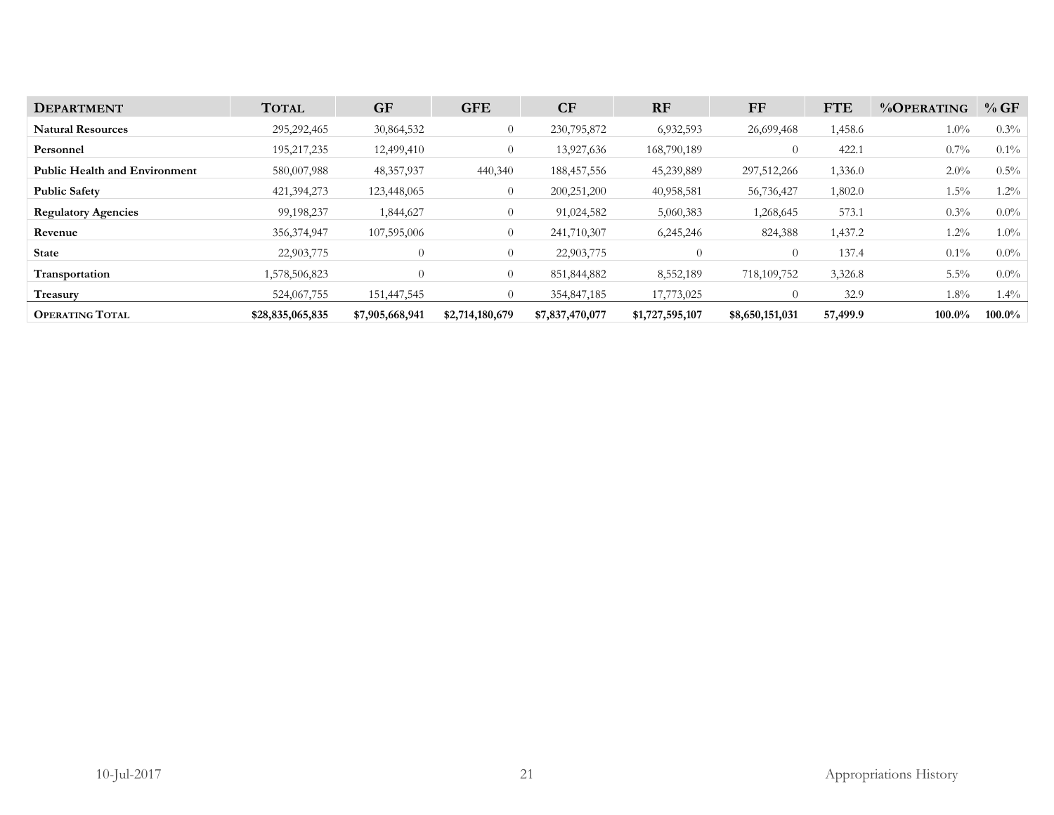| <b>DEPARTMENT</b>                    | <b>TOTAL</b>     | <b>GF</b>       | <b>GFE</b>      | CF              | <b>RF</b>       | FF              | <b>FTE</b> | $\%$ OPERATING | %GF     |
|--------------------------------------|------------------|-----------------|-----------------|-----------------|-----------------|-----------------|------------|----------------|---------|
| <b>Natural Resources</b>             | 295,292,465      | 30,864,532      | $\theta$        | 230,795,872     | 6,932,593       | 26,699,468      | 1,458.6    | $1.0\%$        | $0.3\%$ |
| Personnel                            | 195, 217, 235    | 12,499,410      | $\overline{0}$  | 13,927,636      | 168,790,189     | $\Omega$        | 422.1      | $0.7\%$        | $0.1\%$ |
| <b>Public Health and Environment</b> | 580,007,988      | 48, 357, 937    | 440,340         | 188,457,556     | 45,239,889      | 297,512,266     | 1,336.0    | $2.0\%$        | $0.5\%$ |
| <b>Public Safety</b>                 | 421,394,273      | 123,448,065     | $\theta$        | 200,251,200     | 40,958,581      | 56,736,427      | 1,802.0    | $1.5\%$        | $1.2\%$ |
| <b>Regulatory Agencies</b>           | 99,198,237       | 1,844,627       | $\overline{0}$  | 91,024,582      | 5,060,383       | 1,268,645       | 573.1      | $0.3\%$        | $0.0\%$ |
| Revenue                              | 356,374,947      | 107,595,006     | $\overline{0}$  | 241,710,307     | 6,245,246       | 824,388         | 1,437.2    | 1.2%           | $1.0\%$ |
| <b>State</b>                         | 22,903,775       | $\theta$        | $\overline{0}$  | 22,903,775      | $\overline{0}$  | $\theta$        | 137.4      | $0.1\%$        | $0.0\%$ |
| Transportation                       | 1,578,506,823    | $\Omega$        | $\overline{0}$  | 851,844,882     | 8,552,189       | 718,109,752     | 3,326.8    | $5.5\%$        | $0.0\%$ |
| Treasury                             | 524,067,755      | 151,447,545     |                 | 354,847,185     | 17,773,025      |                 | 32.9       | $1.8\%$        | $1.4\%$ |
| <b>OPERATING TOTAL</b>               | \$28,835,065,835 | \$7,905,668,941 | \$2,714,180,679 | \$7,837,470,077 | \$1,727,595,107 | \$8,650,151,031 | 57,499.9   | 100.0%         | 100.0%  |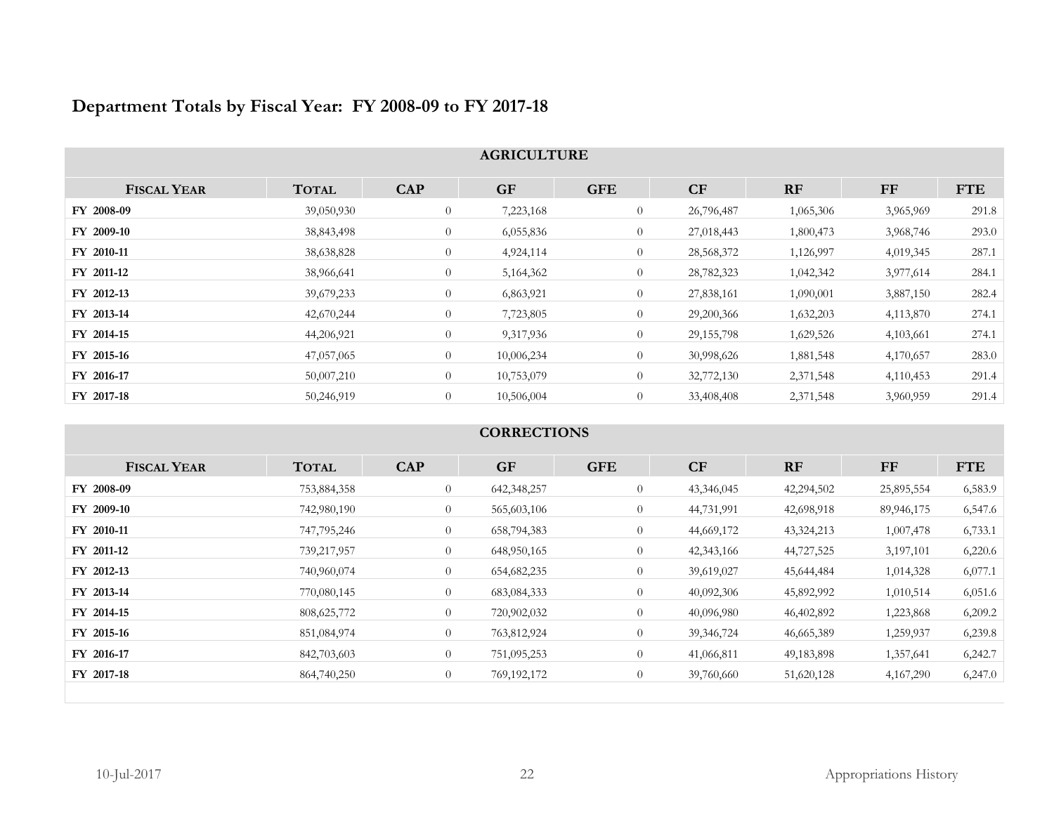|                    |              |                | <b>AGRICULTURE</b> |                |              |           |           |            |
|--------------------|--------------|----------------|--------------------|----------------|--------------|-----------|-----------|------------|
| <b>FISCAL YEAR</b> | <b>TOTAL</b> | <b>CAP</b>     | <b>GF</b>          | <b>GFE</b>     | CF           | <b>RF</b> | FF        | <b>FTE</b> |
| FY 2008-09         | 39,050,930   | $\overline{0}$ | 7,223,168          | $\overline{0}$ | 26,796,487   | 1,065,306 | 3,965,969 | 291.8      |
| FY 2009-10         | 38,843,498   | $\overline{0}$ | 6,055,836          | $\overline{0}$ | 27,018,443   | 1,800,473 | 3,968,746 | 293.0      |
| FY 2010-11         | 38,638,828   | $\overline{0}$ | 4,924,114          | $\overline{0}$ | 28,568,372   | 1,126,997 | 4,019,345 | 287.1      |
| FY 2011-12         | 38,966,641   | $\overline{0}$ | 5,164,362          | $\overline{0}$ | 28,782,323   | 1,042,342 | 3,977,614 | 284.1      |
| FY 2012-13         | 39,679,233   | $\overline{0}$ | 6,863,921          | $\overline{0}$ | 27,838,161   | 1,090,001 | 3,887,150 | 282.4      |
| FY 2013-14         | 42,670,244   | $\overline{0}$ | 7,723,805          | $\overline{0}$ | 29,200,366   | 1,632,203 | 4,113,870 | 274.1      |
| FY 2014-15         | 44,206,921   | $\overline{0}$ | 9,317,936          | $\overline{0}$ | 29, 155, 798 | 1,629,526 | 4,103,661 | 274.1      |
| FY 2015-16         | 47,057,065   | $\overline{0}$ | 10,006,234         | $\overline{0}$ | 30,998,626   | 1,881,548 | 4,170,657 | 283.0      |
| FY 2016-17         | 50,007,210   | $\overline{0}$ | 10,753,079         | $\overline{0}$ | 32,772,130   | 2,371,548 | 4,110,453 | 291.4      |
| FY 2017-18         | 50,246,919   | $\overline{0}$ | 10,506,004         | $\overline{0}$ | 33,408,408   | 2,371,548 | 3,960,959 | 291.4      |

# **Department Totals by Fiscal Year: FY 2008-09 to FY 2017-18**

### **CORRECTIONS**

| <b>FISCAL YEAR</b> | <b>TOTAL</b>  | <b>CAP</b>     | <b>GF</b>     | <b>GFE</b>     | <b>CF</b>    | RF           | <b>FF</b>  | <b>FTE</b> |
|--------------------|---------------|----------------|---------------|----------------|--------------|--------------|------------|------------|
| FY 2008-09         | 753,884,358   | $\overline{0}$ | 642,348,257   | $\overline{0}$ | 43,346,045   | 42,294,502   | 25,895,554 | 6,583.9    |
| FY 2009-10         | 742,980,190   | $\theta$       | 565,603,106   | $\overline{0}$ | 44,731,991   | 42,698,918   | 89,946,175 | 6,547.6    |
| FY 2010-11         | 747,795,246   | $\theta$       | 658,794,383   | $\overline{0}$ | 44,669,172   | 43,324,213   | 1,007,478  | 6,733.1    |
| FY 2011-12         | 739,217,957   | $\overline{0}$ | 648,950,165   | $\overline{0}$ | 42,343,166   | 44,727,525   | 3,197,101  | 6,220.6    |
| FY 2012-13         | 740,960,074   | $\theta$       | 654, 682, 235 | $\overline{0}$ | 39,619,027   | 45,644,484   | 1,014,328  | 6,077.1    |
| FY 2013-14         | 770,080,145   | $\theta$       | 683,084,333   | $\overline{0}$ | 40,092,306   | 45,892,992   | 1,010,514  | 6,051.6    |
| FY 2014-15         | 808, 625, 772 | $\theta$       | 720,902,032   | $\overline{0}$ | 40,096,980   | 46,402,892   | 1,223,868  | 6,209.2    |
| FY 2015-16         | 851,084,974   | $\overline{0}$ | 763,812,924   | $\overline{0}$ | 39, 346, 724 | 46,665,389   | 1,259,937  | 6,239.8    |
| FY 2016-17         | 842,703,603   | $\overline{0}$ | 751,095,253   | $\overline{0}$ | 41,066,811   | 49, 183, 898 | 1,357,641  | 6,242.7    |
| FY 2017-18         | 864,740,250   | $\overline{0}$ | 769,192,172   | $\overline{0}$ | 39,760,660   | 51,620,128   | 4,167,290  | 6,247.0    |
|                    |               |                |               |                |              |              |            |            |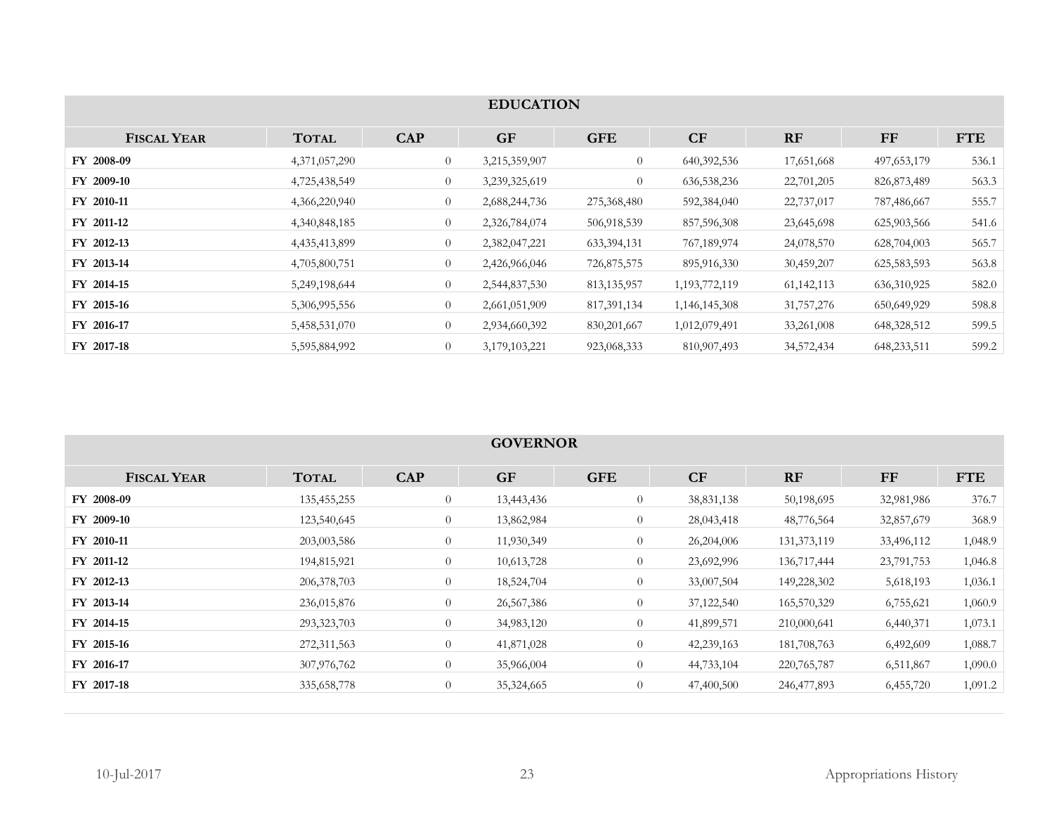|                    | <b>EDUCATION</b> |                |               |                |                  |              |               |            |  |  |
|--------------------|------------------|----------------|---------------|----------------|------------------|--------------|---------------|------------|--|--|
| <b>FISCAL YEAR</b> | <b>TOTAL</b>     | <b>CAP</b>     | <b>GF</b>     | <b>GFE</b>     | CF               | RF           | $\bf FF$      | <b>FTE</b> |  |  |
| FY 2008-09         | 4,371,057,290    | $\theta$       | 3,215,359,907 | $\overline{0}$ | 640, 392, 536    | 17,651,668   | 497, 653, 179 | 536.1      |  |  |
| FY 2009-10         | 4,725,438,549    | $\overline{0}$ | 3,239,325,619 | $\overline{0}$ | 636, 538, 236    | 22,701,205   | 826, 873, 489 | 563.3      |  |  |
| FY 2010-11         | 4,366,220,940    | $\overline{0}$ | 2,688,244,736 | 275,368,480    | 592,384,040      | 22,737,017   | 787,486,667   | 555.7      |  |  |
| FY 2011-12         | 4,340,848,185    | $\overline{0}$ | 2,326,784,074 | 506,918,539    | 857,596,308      | 23,645,698   | 625,903,566   | 541.6      |  |  |
| FY 2012-13         | 4,435,413,899    | $\overline{0}$ | 2,382,047,221 | 633,394,131    | 767,189,974      | 24,078,570   | 628,704,003   | 565.7      |  |  |
| FY 2013-14         | 4,705,800,751    | $\overline{0}$ | 2,426,966,046 | 726,875,575    | 895,916,330      | 30,459,207   | 625,583,593   | 563.8      |  |  |
| FY 2014-15         | 5,249,198,644    | $\overline{0}$ | 2,544,837,530 | 813, 135, 957  | 1, 193, 772, 119 | 61, 142, 113 | 636,310,925   | 582.0      |  |  |
| FY 2015-16         | 5,306,995,556    | $\overline{0}$ | 2,661,051,909 | 817, 391, 134  | 1,146,145,308    | 31,757,276   | 650,649,929   | 598.8      |  |  |
| FY 2016-17         | 5,458,531,070    | $\overline{0}$ | 2,934,660,392 | 830, 201, 667  | 1,012,079,491    | 33,261,008   | 648,328,512   | 599.5      |  |  |
| FY 2017-18         | 5,595,884,992    | $\overline{0}$ | 3,179,103,221 | 923,068,333    | 810,907,493      | 34,572,434   | 648,233,511   | 599.2      |  |  |

|                    | <b>GOVERNOR</b> |                |            |                |            |               |            |            |  |  |
|--------------------|-----------------|----------------|------------|----------------|------------|---------------|------------|------------|--|--|
| <b>FISCAL YEAR</b> | <b>TOTAL</b>    | <b>CAP</b>     | <b>GF</b>  | <b>GFE</b>     | CF         | <b>RF</b>     | FF         | <b>FTE</b> |  |  |
| FY 2008-09         | 135,455,255     | $\theta$       | 13,443,436 | $\overline{0}$ | 38,831,138 | 50,198,695    | 32,981,986 | 376.7      |  |  |
| FY 2009-10         | 123,540,645     | $\overline{0}$ | 13,862,984 | $\overline{0}$ | 28,043,418 | 48,776,564    | 32,857,679 | 368.9      |  |  |
| FY 2010-11         | 203,003,586     | $\overline{0}$ | 11,930,349 | $\overline{0}$ | 26,204,006 | 131, 373, 119 | 33,496,112 | 1,048.9    |  |  |
| FY 2011-12         | 194,815,921     | $\theta$       | 10,613,728 | $\overline{0}$ | 23,692,996 | 136,717,444   | 23,791,753 | 1,046.8    |  |  |
| FY 2012-13         | 206, 378, 703   | $\theta$       | 18,524,704 | $\overline{0}$ | 33,007,504 | 149,228,302   | 5,618,193  | 1,036.1    |  |  |
| FY 2013-14         | 236,015,876     | $\theta$       | 26,567,386 | $\overline{0}$ | 37,122,540 | 165,570,329   | 6,755,621  | 1,060.9    |  |  |
| FY 2014-15         | 293,323,703     | $\overline{0}$ | 34,983,120 | $\overline{0}$ | 41,899,571 | 210,000,641   | 6,440,371  | 1,073.1    |  |  |
| FY 2015-16         | 272,311,563     | $\overline{0}$ | 41,871,028 | $\overline{0}$ | 42,239,163 | 181,708,763   | 6,492,609  | 1,088.7    |  |  |
| FY 2016-17         | 307,976,762     | $\overline{0}$ | 35,966,004 | $\overline{0}$ | 44,733,104 | 220, 765, 787 | 6,511,867  | 1,090.0    |  |  |
| FY 2017-18         | 335, 658, 778   | $\overline{0}$ | 35,324,665 | $\overline{0}$ | 47,400,500 | 246,477,893   | 6,455,720  | 1,091.2    |  |  |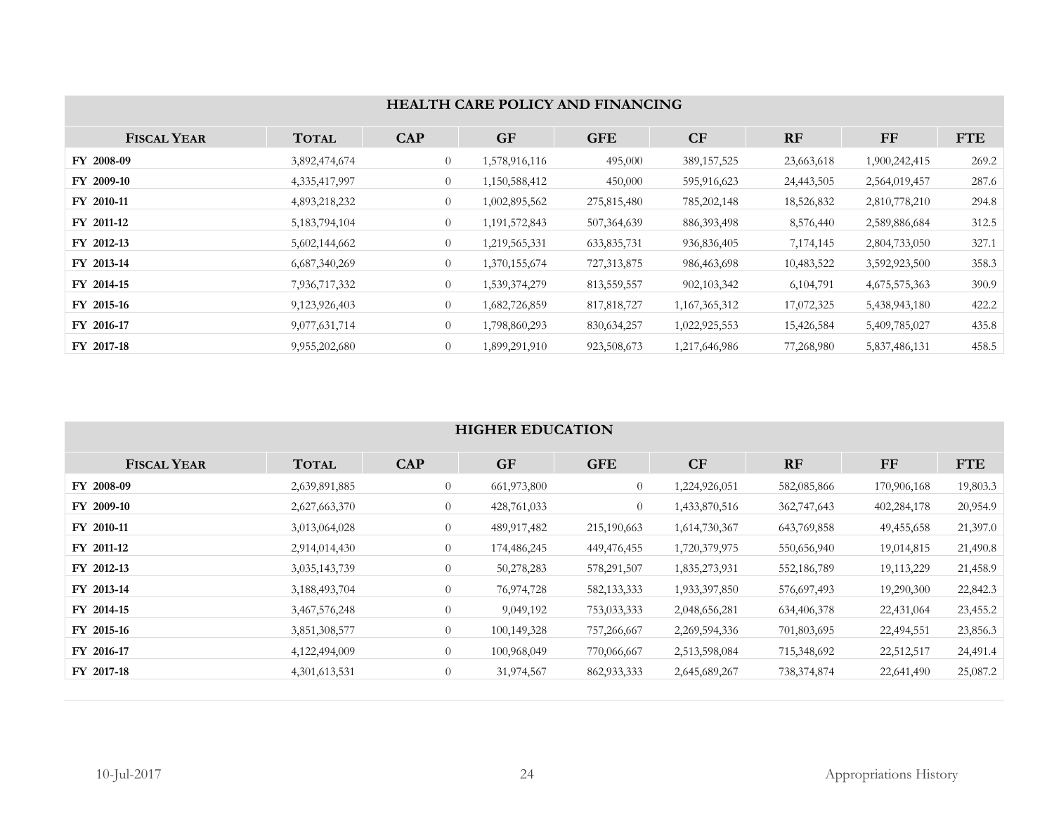|                    | <b>HEALTH CARE POLICY AND FINANCING</b> |                |               |               |               |            |               |            |  |  |  |
|--------------------|-----------------------------------------|----------------|---------------|---------------|---------------|------------|---------------|------------|--|--|--|
| <b>FISCAL YEAR</b> | <b>TOTAL</b>                            | <b>CAP</b>     | <b>GF</b>     | <b>GFE</b>    | CF            | <b>RF</b>  | <b>FF</b>     | <b>FTE</b> |  |  |  |
| FY 2008-09         | 3,892,474,674                           | $\overline{0}$ | 1,578,916,116 | 495,000       | 389, 157, 525 | 23,663,618 | 1,900,242,415 | 269.2      |  |  |  |
| <b>FY 2009-10</b>  | 4, 335, 417, 997                        | $\overline{0}$ | 1,150,588,412 | 450,000       | 595,916,623   | 24,443,505 | 2,564,019,457 | 287.6      |  |  |  |
| FY 2010-11         | 4,893,218,232                           | $\overline{0}$ | 1,002,895,562 | 275,815,480   | 785, 202, 148 | 18,526,832 | 2,810,778,210 | 294.8      |  |  |  |
| FY 2011-12         | 5,183,794,104                           | $\overline{0}$ | 1,191,572,843 | 507,364,639   | 886, 393, 498 | 8,576,440  | 2,589,886,684 | 312.5      |  |  |  |
| FY 2012-13         | 5,602,144,662                           | $\overline{0}$ | 1,219,565,331 | 633,835,731   | 936,836,405   | 7,174,145  | 2,804,733,050 | 327.1      |  |  |  |
| FY 2013-14         | 6,687,340,269                           | $\overline{0}$ | 1,370,155,674 | 727, 313, 875 | 986,463,698   | 10,483,522 | 3,592,923,500 | 358.3      |  |  |  |
| FY 2014-15         | 7,936,717,332                           | $\overline{0}$ | 1,539,374,279 | 813, 559, 557 | 902, 103, 342 | 6,104,791  | 4,675,575,363 | 390.9      |  |  |  |
| FY 2015-16         | 9,123,926,403                           | $\overline{0}$ | 1,682,726,859 | 817,818,727   | 1,167,365,312 | 17,072,325 | 5,438,943,180 | 422.2      |  |  |  |
| FY 2016-17         | 9,077,631,714                           | $\overline{0}$ | 1,798,860,293 | 830, 634, 257 | 1,022,925,553 | 15,426,584 | 5,409,785,027 | 435.8      |  |  |  |
| FY 2017-18         | 9,955,202,680                           | $\overline{0}$ | 1,899,291,910 | 923,508,673   | 1,217,646,986 | 77,268,980 | 5,837,486,131 | 458.5      |  |  |  |

# **HIGHER EDUCATION**

| <b>FISCAL YEAR</b> | <b>TOTAL</b>  | <b>CAP</b> | <b>GF</b>   | <b>GFE</b>    | CF            | <b>RF</b>   | FF          | <b>FTE</b> |
|--------------------|---------------|------------|-------------|---------------|---------------|-------------|-------------|------------|
| FY 2008-09         | 2,639,891,885 | $\theta$   | 661,973,800 | $\theta$      | 1,224,926,051 | 582,085,866 | 170,906,168 | 19,803.3   |
| FY 2009-10         | 2,627,663,370 | $\theta$   | 428,761,033 | $\theta$      | 1,433,870,516 | 362,747,643 | 402,284,178 | 20,954.9   |
| FY 2010-11         | 3,013,064,028 | $\theta$   | 489,917,482 | 215,190,663   | 1,614,730,367 | 643,769,858 | 49,455,658  | 21,397.0   |
| FY 2011-12         | 2,914,014,430 | $\theta$   | 174,486,245 | 449,476,455   | 1,720,379,975 | 550,656,940 | 19,014,815  | 21,490.8   |
| FY 2012-13         | 3,035,143,739 | $\theta$   | 50,278,283  | 578,291,507   | 1,835,273,931 | 552,186,789 | 19,113,229  | 21,458.9   |
| FY 2013-14         | 3,188,493,704 | $\theta$   | 76,974,728  | 582, 133, 333 | 1,933,397,850 | 576,697,493 | 19,290,300  | 22,842.3   |
| FY 2014-15         | 3,467,576,248 | $\theta$   | 9,049,192   | 753,033,333   | 2,048,656,281 | 634,406,378 | 22,431,064  | 23,455.2   |
| FY 2015-16         | 3,851,308,577 | $\theta$   | 100,149,328 | 757,266,667   | 2,269,594,336 | 701,803,695 | 22,494,551  | 23,856.3   |
| FY 2016-17         | 4,122,494,009 | $\theta$   | 100,968,049 | 770,066,667   | 2,513,598,084 | 715,348,692 | 22,512,517  | 24,491.4   |
| FY 2017-18         | 4,301,613,531 | $\theta$   | 31,974,567  | 862, 933, 333 | 2,645,689,267 | 738,374,874 | 22,641,490  | 25,087.2   |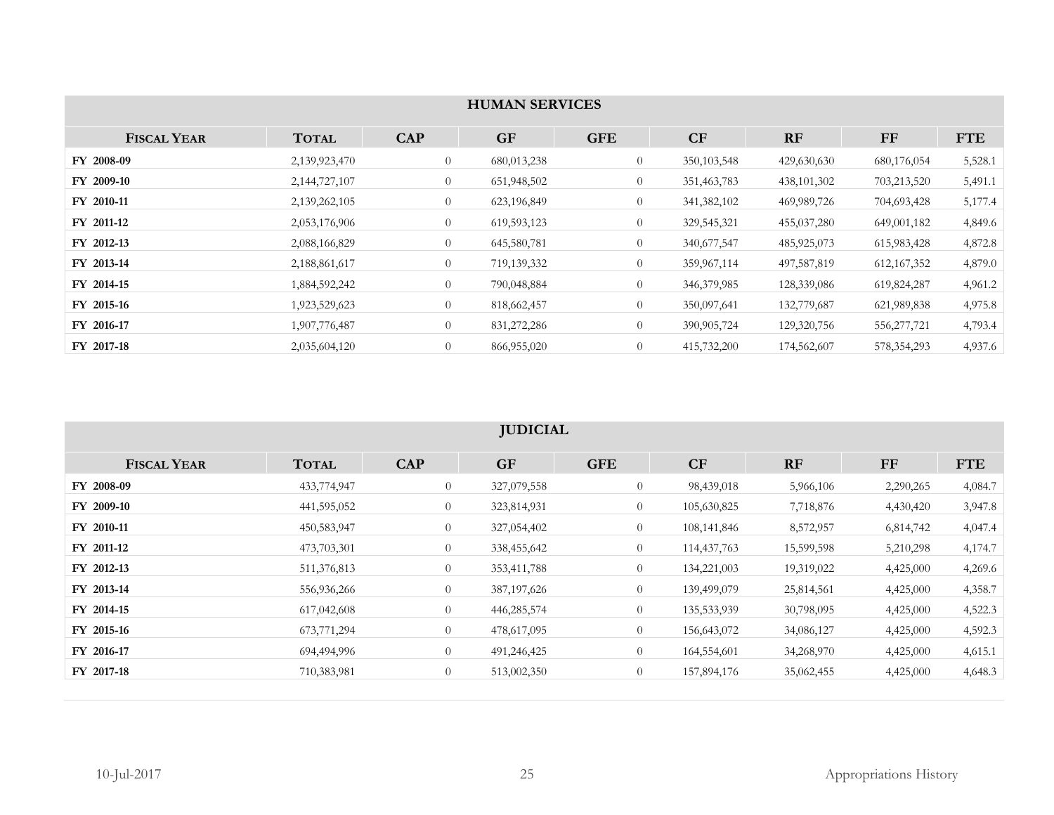|                    | <b>HUMAN SERVICES</b> |                |             |                |               |               |               |            |  |  |  |
|--------------------|-----------------------|----------------|-------------|----------------|---------------|---------------|---------------|------------|--|--|--|
|                    |                       |                |             |                |               |               |               |            |  |  |  |
| <b>FISCAL YEAR</b> | <b>TOTAL</b>          | <b>CAP</b>     | <b>GF</b>   | <b>GFE</b>     | CF            | <b>RF</b>     | $\bf FF$      | <b>FTE</b> |  |  |  |
| FY 2008-09         | 2,139,923,470         | $\theta$       | 680,013,238 | $\overline{0}$ | 350, 103, 548 | 429,630,630   | 680,176,054   | 5,528.1    |  |  |  |
| FY 2009-10         | 2,144,727,107         | $\theta$       | 651,948,502 | $\overline{0}$ | 351,463,783   | 438, 101, 302 | 703,213,520   | 5,491.1    |  |  |  |
| FY 2010-11         | 2,139,262,105         | $\overline{0}$ | 623,196,849 | $\overline{0}$ | 341, 382, 102 | 469,989,726   | 704,693,428   | 5,177.4    |  |  |  |
| FY 2011-12         | 2,053,176,906         | $\overline{0}$ | 619,593,123 | $\overline{0}$ | 329, 545, 321 | 455,037,280   | 649,001,182   | 4,849.6    |  |  |  |
| FY 2012-13         | 2,088,166,829         | $\overline{0}$ | 645,580,781 | $\overline{0}$ | 340,677,547   | 485,925,073   | 615,983,428   | 4,872.8    |  |  |  |
| FY 2013-14         | 2,188,861,617         | $\overline{0}$ | 719,139,332 | $\overline{0}$ | 359,967,114   | 497,587,819   | 612, 167, 352 | 4,879.0    |  |  |  |
| FY 2014-15         | 1,884,592,242         | $\overline{0}$ | 790,048,884 | $\overline{0}$ | 346, 379, 985 | 128,339,086   | 619,824,287   | 4,961.2    |  |  |  |
| FY 2015-16         | 1,923,529,623         | $\theta$       | 818,662,457 | $\overline{0}$ | 350,097,641   | 132,779,687   | 621,989,838   | 4,975.8    |  |  |  |
| FY 2016-17         | 1,907,776,487         | $\overline{0}$ | 831,272,286 | $\overline{0}$ | 390,905,724   | 129,320,756   | 556,277,721   | 4,793.4    |  |  |  |
| FY 2017-18         | 2,035,604,120         | $\theta$       | 866,955,020 | $\overline{0}$ | 415,732,200   | 174,562,607   | 578, 354, 293 | 4,937.6    |  |  |  |

# **JUDICIAL**

| <b>FISCAL YEAR</b> | <b>TOTAL</b> | <b>CAP</b>     | <b>GF</b>     | <b>GFE</b>     | CF            | RF         | <b>FF</b> | <b>FTE</b> |
|--------------------|--------------|----------------|---------------|----------------|---------------|------------|-----------|------------|
| FY 2008-09         | 433,774,947  | $\overline{0}$ | 327,079,558   | $\theta$       | 98,439,018    | 5,966,106  | 2,290,265 | 4,084.7    |
| FY 2009-10         | 441,595,052  | $\theta$       | 323,814,931   | $\overline{0}$ | 105,630,825   | 7,718,876  | 4,430,420 | 3,947.8    |
| FY 2010-11         | 450,583,947  | $\theta$       | 327,054,402   | $\overline{0}$ | 108,141,846   | 8,572,957  | 6,814,742 | 4,047.4    |
| FY 2011-12         | 473,703,301  | $\overline{0}$ | 338,455,642   | $\overline{0}$ | 114, 437, 763 | 15,599,598 | 5,210,298 | 4,174.7    |
| FY 2012-13         | 511,376,813  | $\overline{0}$ | 353,411,788   | $\overline{0}$ | 134,221,003   | 19,319,022 | 4,425,000 | 4,269.6    |
| FY 2013-14         | 556,936,266  | $\theta$       | 387, 197, 626 | $\overline{0}$ | 139,499,079   | 25,814,561 | 4,425,000 | 4,358.7    |
| FY 2014-15         | 617,042,608  | $\theta$       | 446,285,574   | $\overline{0}$ | 135,533,939   | 30,798,095 | 4,425,000 | 4,522.3    |
| FY 2015-16         | 673,771,294  | $\overline{0}$ | 478,617,095   | $\overline{0}$ | 156,643,072   | 34,086,127 | 4,425,000 | 4,592.3    |
| FY 2016-17         | 694,494,996  | $\theta$       | 491,246,425   | $\overline{0}$ | 164,554,601   | 34,268,970 | 4,425,000 | 4,615.1    |
| FY 2017-18         | 710,383,981  | $\theta$       | 513,002,350   | $\overline{0}$ | 157,894,176   | 35,062,455 | 4,425,000 | 4,648.3    |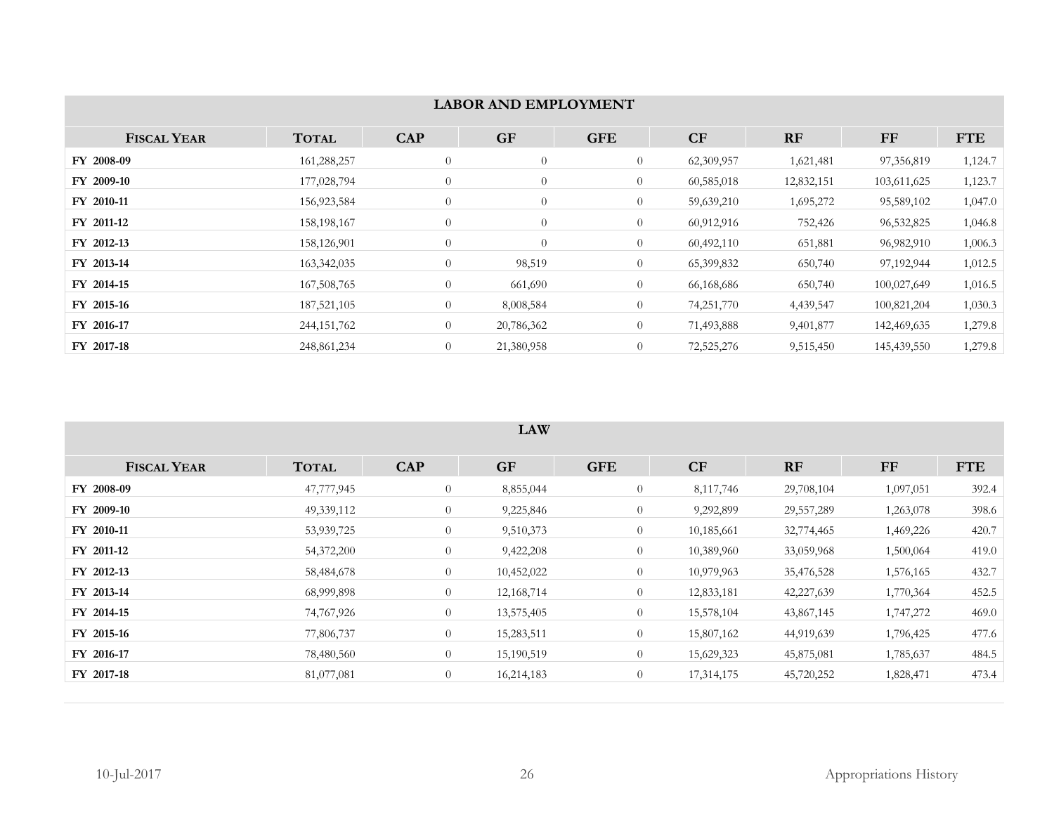|                    |               |                  | <b>LABOR AND EMPLOYMENT</b> |                |            |            |             |            |  |  |  |
|--------------------|---------------|------------------|-----------------------------|----------------|------------|------------|-------------|------------|--|--|--|
| <b>FISCAL YEAR</b> | <b>TOTAL</b>  | <b>CAP</b>       | <b>GF</b>                   | <b>GFE</b>     | CF         | RF         | $\bf FF$    | <b>FTE</b> |  |  |  |
| FY 2008-09         | 161,288,257   | $\overline{0}$   | $\overline{0}$              | $\overline{0}$ | 62,309,957 | 1,621,481  | 97,356,819  | 1,124.7    |  |  |  |
| FY 2009-10         | 177,028,794   | $\overline{0}$   | $\overline{0}$              | $\overline{0}$ | 60,585,018 | 12,832,151 | 103,611,625 | 1,123.7    |  |  |  |
| FY 2010-11         | 156,923,584   | $\overline{0}$   | $\overline{0}$              | $\overline{0}$ | 59,639,210 | 1,695,272  | 95,589,102  | 1,047.0    |  |  |  |
| FY 2011-12         | 158, 198, 167 | $\overline{0}$   | $\overline{0}$              | $\overline{0}$ | 60,912,916 | 752,426    | 96,532,825  | 1,046.8    |  |  |  |
| FY 2012-13         | 158,126,901   | $\boldsymbol{0}$ | $\theta$                    | $\overline{0}$ | 60,492,110 | 651,881    | 96,982,910  | 1,006.3    |  |  |  |
| FY 2013-14         | 163,342,035   | $\overline{0}$   | 98,519                      | $\overline{0}$ | 65,399,832 | 650,740    | 97,192,944  | 1,012.5    |  |  |  |
| FY 2014-15         | 167,508,765   | $\overline{0}$   | 661,690                     | $\overline{0}$ | 66,168,686 | 650,740    | 100,027,649 | 1,016.5    |  |  |  |
| FY 2015-16         | 187, 521, 105 | $\overline{0}$   | 8,008,584                   | $\overline{0}$ | 74,251,770 | 4,439,547  | 100,821,204 | 1,030.3    |  |  |  |
| FY 2016-17         | 244, 151, 762 | $\theta$         | 20,786,362                  | $\overline{0}$ | 71,493,888 | 9,401,877  | 142,469,635 | 1,279.8    |  |  |  |
| FY 2017-18         | 248,861,234   | $\overline{0}$   | 21,380,958                  | $\overline{0}$ | 72,525,276 | 9,515,450  | 145,439,550 | 1,279.8    |  |  |  |

#### **LAW**

| <b>FISCAL YEAR</b> | <b>TOTAL</b> | <b>CAP</b>     | <b>GF</b>  | <b>GFE</b>     | CF         | <b>RF</b>    | FF        | <b>FTE</b> |
|--------------------|--------------|----------------|------------|----------------|------------|--------------|-----------|------------|
| FY 2008-09         | 47,777,945   | $\overline{0}$ | 8,855,044  | $\overline{0}$ | 8,117,746  | 29,708,104   | 1,097,051 | 392.4      |
| FY 2009-10         | 49,339,112   | $\overline{0}$ | 9,225,846  | $\overline{0}$ | 9,292,899  | 29, 557, 289 | 1,263,078 | 398.6      |
| FY 2010-11         | 53,939,725   | $\overline{0}$ | 9,510,373  | $\overline{0}$ | 10,185,661 | 32,774,465   | 1,469,226 | 420.7      |
| FY 2011-12         | 54,372,200   | $\overline{0}$ | 9,422,208  | $\overline{0}$ | 10,389,960 | 33,059,968   | 1,500,064 | 419.0      |
| FY 2012-13         | 58,484,678   | $\overline{0}$ | 10,452,022 | $\overline{0}$ | 10,979,963 | 35,476,528   | 1,576,165 | 432.7      |
| FY 2013-14         | 68,999,898   | $\overline{0}$ | 12,168,714 | $\overline{0}$ | 12,833,181 | 42,227,639   | 1,770,364 | 452.5      |
| FY 2014-15         | 74,767,926   | $\overline{0}$ | 13,575,405 | $\overline{0}$ | 15,578,104 | 43,867,145   | 1,747,272 | 469.0      |
| FY 2015-16         | 77,806,737   | $\overline{0}$ | 15,283,511 | $\overline{0}$ | 15,807,162 | 44,919,639   | 1,796,425 | 477.6      |
| FY 2016-17         | 78,480,560   | $\theta$       | 15,190,519 | $\overline{0}$ | 15,629,323 | 45,875,081   | 1,785,637 | 484.5      |
| FY 2017-18         | 81,077,081   | $\overline{0}$ | 16,214,183 | $\overline{0}$ | 17,314,175 | 45,720,252   | 1,828,471 | 473.4      |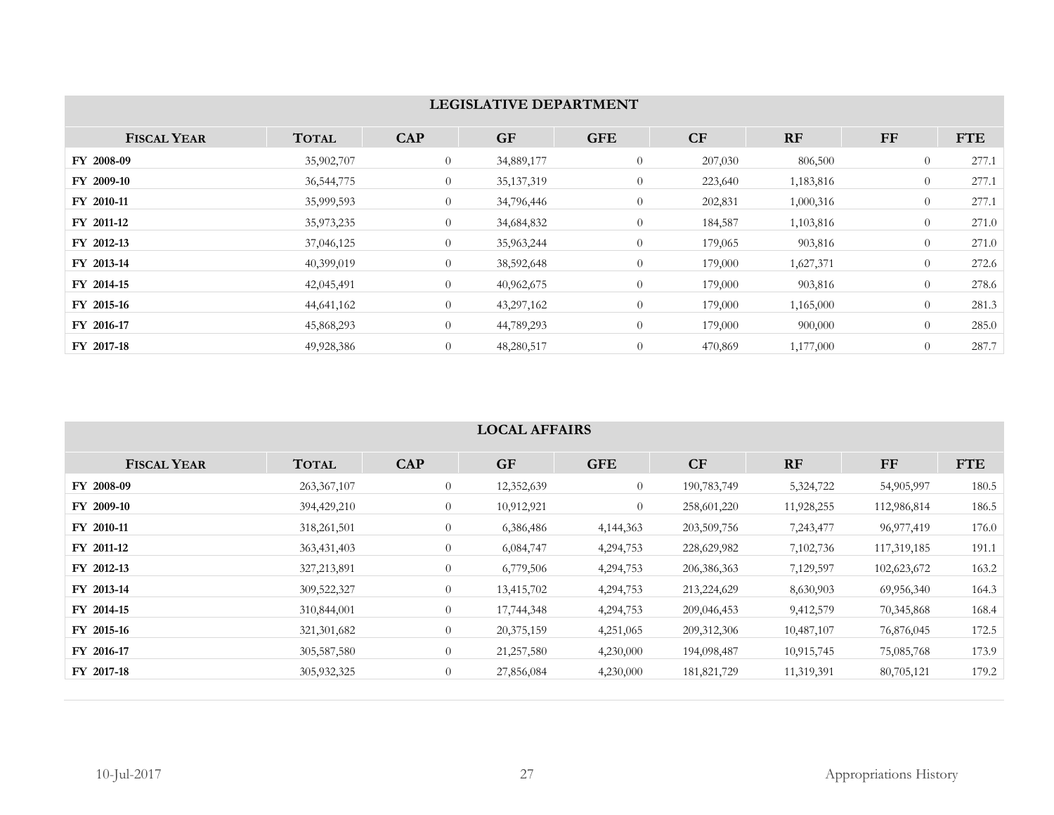|                    | <b>LEGISLATIVE DEPARTMENT</b> |                |              |                |         |           |                |            |  |  |  |  |
|--------------------|-------------------------------|----------------|--------------|----------------|---------|-----------|----------------|------------|--|--|--|--|
| <b>FISCAL YEAR</b> | <b>TOTAL</b>                  | <b>CAP</b>     | <b>GF</b>    | <b>GFE</b>     | CF      | RF        | $\bf FF$       | <b>FTE</b> |  |  |  |  |
| FY 2008-09         | 35,902,707                    | $\theta$       | 34,889,177   | $\overline{0}$ | 207,030 | 806,500   | $\theta$       | 277.1      |  |  |  |  |
| FY 2009-10         | 36, 544, 775                  | $\theta$       | 35, 137, 319 | $\overline{0}$ | 223,640 | 1,183,816 | $\overline{0}$ | 277.1      |  |  |  |  |
| FY 2010-11         | 35,999,593                    | $\theta$       | 34,796,446   | $\overline{0}$ | 202,831 | 1,000,316 | $\theta$       | 277.1      |  |  |  |  |
| FY 2011-12         | 35,973,235                    | $\overline{0}$ | 34,684,832   | $\overline{0}$ | 184,587 | 1,103,816 | $\overline{0}$ | 271.0      |  |  |  |  |
| FY 2012-13         | 37,046,125                    | $\overline{0}$ | 35,963,244   | $\overline{0}$ | 179,065 | 903,816   | $\overline{0}$ | 271.0      |  |  |  |  |
| FY 2013-14         | 40,399,019                    | $\theta$       | 38,592,648   | $\overline{0}$ | 179,000 | 1,627,371 | $\theta$       | 272.6      |  |  |  |  |
| FY 2014-15         | 42,045,491                    | $\overline{0}$ | 40,962,675   | $\theta$       | 179,000 | 903,816   | $\theta$       | 278.6      |  |  |  |  |
| FY 2015-16         | 44,641,162                    | $\theta$       | 43,297,162   | $\overline{0}$ | 179,000 | 1,165,000 | $\overline{0}$ | 281.3      |  |  |  |  |
| FY 2016-17         | 45,868,293                    | $\overline{0}$ | 44,789,293   | $\overline{0}$ | 179,000 | 900,000   | $\overline{0}$ | 285.0      |  |  |  |  |
| FY 2017-18         | 49,928,386                    | $\overline{0}$ | 48,280,517   | $\overline{0}$ | 470,869 | 1,177,000 | $\overline{0}$ | 287.7      |  |  |  |  |

### **LOCAL AFFAIRS**

| <b>FISCAL YEAR</b> | <b>TOTAL</b>  | <b>CAP</b>     | <b>GF</b>    | <b>GFE</b>  | <b>CF</b>     | <b>RF</b>  | FF          | <b>FTE</b> |
|--------------------|---------------|----------------|--------------|-------------|---------------|------------|-------------|------------|
| FY 2008-09         | 263, 367, 107 | $\overline{0}$ | 12,352,639   | $\theta$    | 190,783,749   | 5,324,722  | 54,905,997  | 180.5      |
| FY 2009-10         | 394,429,210   | $\overline{0}$ | 10,912,921   | $\theta$    | 258,601,220   | 11,928,255 | 112,986,814 | 186.5      |
| FY 2010-11         | 318,261,501   | $\overline{0}$ | 6,386,486    | 4, 144, 363 | 203,509,756   | 7,243,477  | 96,977,419  | 176.0      |
| FY 2011-12         | 363,431,403   | $\overline{0}$ | 6,084,747    | 4,294,753   | 228,629,982   | 7,102,736  | 117,319,185 | 191.1      |
| FY 2012-13         | 327, 213, 891 | $\overline{0}$ | 6,779,506    | 4,294,753   | 206, 386, 363 | 7,129,597  | 102,623,672 | 163.2      |
| FY 2013-14         | 309,522,327   | $\overline{0}$ | 13,415,702   | 4,294,753   | 213,224,629   | 8,630,903  | 69,956,340  | 164.3      |
| FY 2014-15         | 310,844,001   | $\overline{0}$ | 17,744,348   | 4,294,753   | 209,046,453   | 9,412,579  | 70,345,868  | 168.4      |
| FY 2015-16         | 321, 301, 682 | $\theta$       | 20,375,159   | 4,251,065   | 209, 312, 306 | 10,487,107 | 76,876,045  | 172.5      |
| FY 2016-17         | 305, 587, 580 | $\overline{0}$ | 21, 257, 580 | 4,230,000   | 194,098,487   | 10,915,745 | 75,085,768  | 173.9      |
| FY 2017-18         | 305,932,325   | $\theta$       | 27,856,084   | 4,230,000   | 181,821,729   | 11,319,391 | 80,705,121  | 179.2      |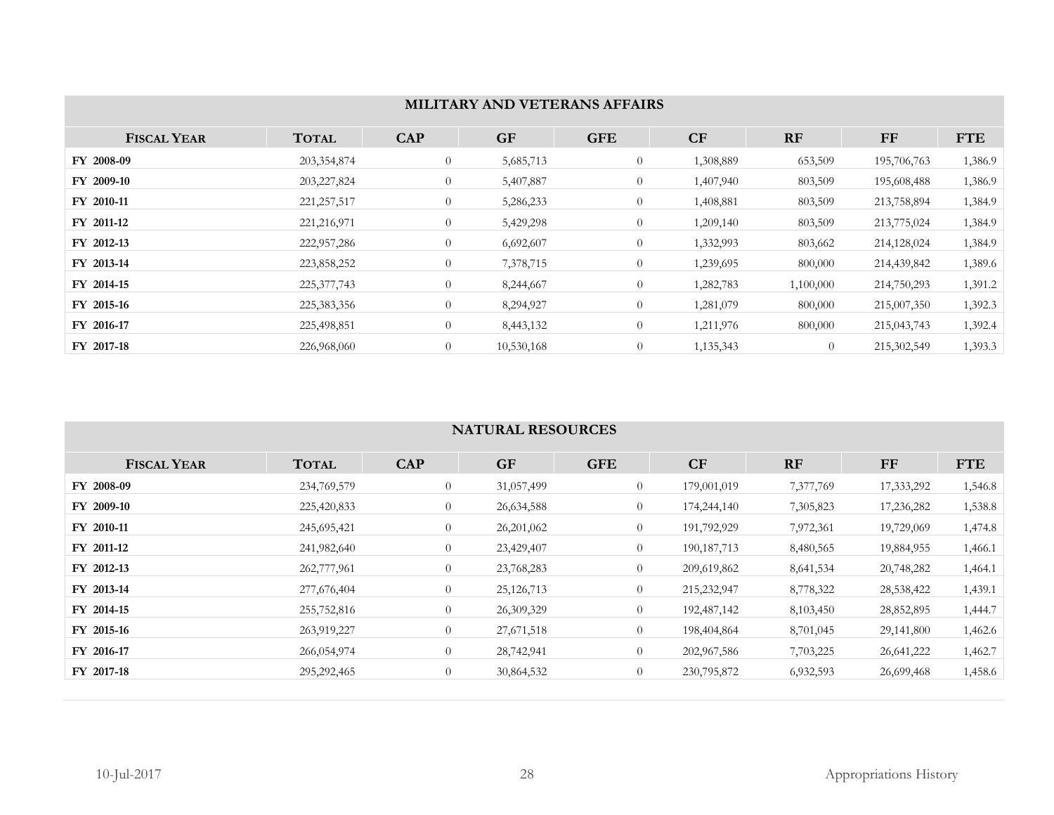| MILITARY AND VETERANS AFFAIRS |               |                |            |                |           |                |             |            |  |  |
|-------------------------------|---------------|----------------|------------|----------------|-----------|----------------|-------------|------------|--|--|
| <b>FISCAL YEAR</b>            | <b>TOTAL</b>  | <b>CAP</b>     | <b>GF</b>  | <b>GFE</b>     | CF        | RF             | FF          | <b>FTE</b> |  |  |
| FY 2008-09                    | 203,354,874   | $\overline{0}$ | 5,685,713  | $\overline{0}$ | 1,308,889 | 653,509        | 195,706,763 | 1,386.9    |  |  |
| <b>FY 2009-10</b>             | 203, 227, 824 | $\overline{0}$ | 5,407,887  | $\overline{0}$ | 1,407,940 | 803,509        | 195,608,488 | 1,386.9    |  |  |
| FY 2010-11                    | 221, 257, 517 | $\theta$       | 5,286,233  | $\overline{0}$ | 1,408,881 | 803,509        | 213,758,894 | 1,384.9    |  |  |
| FY 2011-12                    | 221, 216, 971 | $\theta$       | 5,429,298  | $\overline{0}$ | 1,209,140 | 803,509        | 213,775,024 | 1,384.9    |  |  |
| FY 2012-13                    | 222,957,286   | $\overline{0}$ | 6,692,607  | $\overline{0}$ | 1,332,993 | 803,662        | 214,128,024 | 1,384.9    |  |  |
| FY 2013-14                    | 223,858,252   | $\overline{0}$ | 7,378,715  | $\overline{0}$ | 1,239,695 | 800,000        | 214,439,842 | 1,389.6    |  |  |
| FY 2014-15                    | 225, 377, 743 | $\overline{0}$ | 8,244,667  | $\overline{0}$ | 1,282,783 | 1,100,000      | 214,750,293 | 1,391.2    |  |  |
| FY 2015-16                    | 225,383,356   | $\theta$       | 8,294,927  | $\overline{0}$ | 1,281,079 | 800,000        | 215,007,350 | 1,392.3    |  |  |
| FY 2016-17                    | 225,498,851   | $\theta$       | 8,443,132  | $\overline{0}$ | 1,211,976 | 800,000        | 215,043,743 | 1,392.4    |  |  |
| FY 2017-18                    | 226,968,060   | $\overline{0}$ | 10,530,168 | $\theta$       | 1,135,343 | $\overline{0}$ | 215,302,549 | 1,393.3    |  |  |

### **NATURAL RESOURCES**

| <b>FISCAL YEAR</b> | <b>TOTAL</b>  | <b>CAP</b>     | <b>GF</b>    | <b>GFE</b>     | <b>CF</b>     | RF        | $\bf FF$   | <b>FTE</b> |
|--------------------|---------------|----------------|--------------|----------------|---------------|-----------|------------|------------|
| FY 2008-09         | 234,769,579   | $\theta$       | 31,057,499   | $\overline{0}$ | 179,001,019   | 7,377,769 | 17,333,292 | 1,546.8    |
| FY 2009-10         | 225,420,833   | $\overline{0}$ | 26,634,588   | $\theta$       | 174,244,140   | 7,305,823 | 17,236,282 | 1,538.8    |
| FY 2010-11         | 245,695,421   | $\theta$       | 26,201,062   | $\overline{0}$ | 191,792,929   | 7,972,361 | 19,729,069 | 1,474.8    |
| FY 2011-12         | 241,982,640   | $\theta$       | 23,429,407   | $\theta$       | 190, 187, 713 | 8,480,565 | 19,884,955 | 1,466.1    |
| FY 2012-13         | 262,777,961   | $\overline{0}$ | 23,768,283   | $\overline{0}$ | 209,619,862   | 8,641,534 | 20,748,282 | 1,464.1    |
| FY 2013-14         | 277,676,404   | $\theta$       | 25, 126, 713 | $\theta$       | 215,232,947   | 8,778,322 | 28,538,422 | 1,439.1    |
| FY 2014-15         | 255,752,816   | $\overline{0}$ | 26,309,329   | $\overline{0}$ | 192,487,142   | 8,103,450 | 28,852,895 | 1,444.7    |
| FY 2015-16         | 263,919,227   | $\theta$       | 27,671,518   | $\overline{0}$ | 198,404,864   | 8,701,045 | 29,141,800 | 1,462.6    |
| FY 2016-17         | 266,054,974   | $\theta$       | 28,742,941   | $\theta$       | 202,967,586   | 7,703,225 | 26,641,222 | 1,462.7    |
| FY 2017-18         | 295, 292, 465 | $\theta$       | 30,864,532   | $\overline{0}$ | 230,795,872   | 6,932,593 | 26,699,468 | 1,458.6    |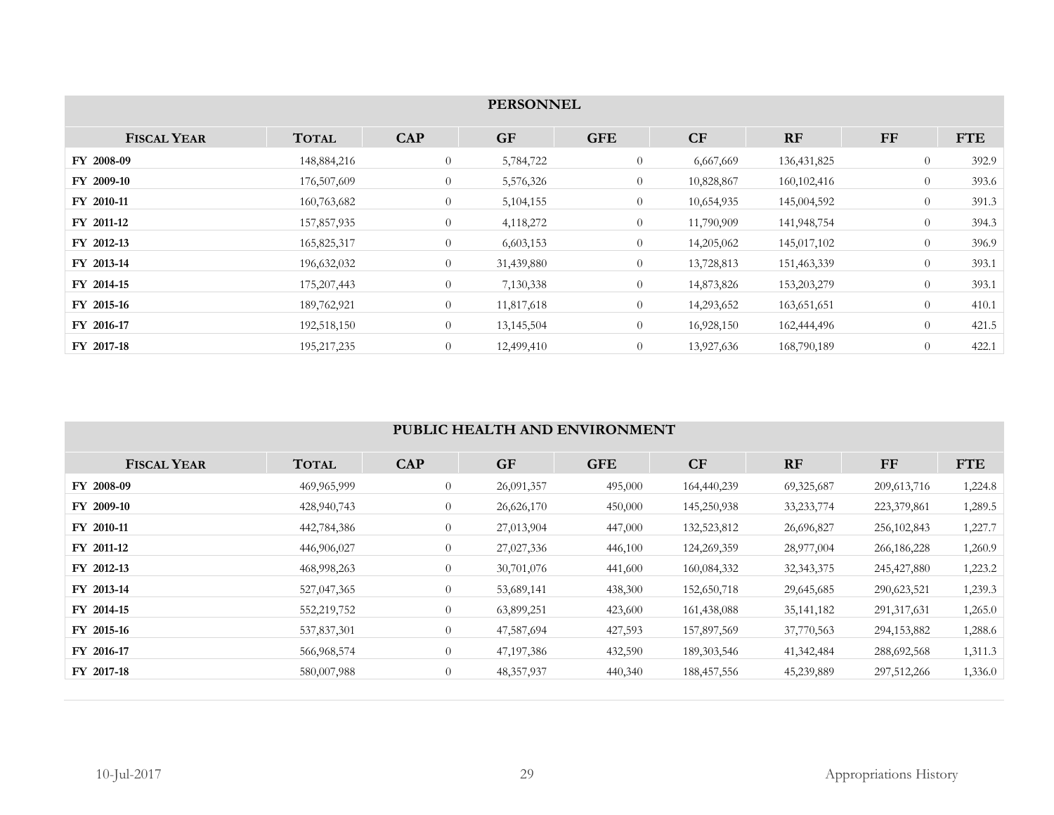| <b>PERSONNEL</b>   |               |                |             |                |            |               |                |            |  |  |
|--------------------|---------------|----------------|-------------|----------------|------------|---------------|----------------|------------|--|--|
| <b>FISCAL YEAR</b> | <b>TOTAL</b>  | <b>CAP</b>     | <b>GF</b>   | <b>GFE</b>     | CF         | <b>RF</b>     | $\bf FF$       | <b>FTE</b> |  |  |
| FY 2008-09         | 148,884,216   | $\overline{0}$ | 5,784,722   | $\overline{0}$ | 6,667,669  | 136, 431, 825 | $\overline{0}$ | 392.9      |  |  |
| FY 2009-10         | 176,507,609   | $\overline{0}$ | 5,576,326   | $\overline{0}$ | 10,828,867 | 160, 102, 416 | $\overline{0}$ | 393.6      |  |  |
| FY 2010-11         | 160,763,682   | $\overline{0}$ | 5, 104, 155 | $\overline{0}$ | 10,654,935 | 145,004,592   | $\overline{0}$ | 391.3      |  |  |
| FY 2011-12         | 157,857,935   | $\overline{0}$ | 4,118,272   | $\overline{0}$ | 11,790,909 | 141,948,754   | $\overline{0}$ | 394.3      |  |  |
| FY 2012-13         | 165,825,317   | $\overline{0}$ | 6,603,153   | $\overline{0}$ | 14,205,062 | 145,017,102   | $\overline{0}$ | 396.9      |  |  |
| FY 2013-14         | 196,632,032   | $\overline{0}$ | 31,439,880  | $\overline{0}$ | 13,728,813 | 151,463,339   | $\overline{0}$ | 393.1      |  |  |
| FY 2014-15         | 175, 207, 443 | $\overline{0}$ | 7,130,338   | $\overline{0}$ | 14,873,826 | 153,203,279   | $\overline{0}$ | 393.1      |  |  |
| FY 2015-16         | 189,762,921   | $\overline{0}$ | 11,817,618  | $\overline{0}$ | 14,293,652 | 163,651,651   | $\overline{0}$ | 410.1      |  |  |
| FY 2016-17         | 192,518,150   | $\overline{0}$ | 13,145,504  | $\overline{0}$ | 16,928,150 | 162,444,496   | $\overline{0}$ | 421.5      |  |  |
| FY 2017-18         | 195, 217, 235 | $\overline{0}$ | 12,499,410  | $\overline{0}$ | 13,927,636 | 168,790,189   | $\overline{0}$ | 422.1      |  |  |

### **PUBLIC HEALTH AND ENVIRONMENT**

| <b>FISCAL YEAR</b> | <b>TOTAL</b> | <b>CAP</b>     | <b>GF</b>    | <b>GFE</b> | CF            | <b>RF</b>    | FF            | <b>FTE</b> |
|--------------------|--------------|----------------|--------------|------------|---------------|--------------|---------------|------------|
| FY 2008-09         | 469,965,999  | $\overline{0}$ | 26,091,357   | 495,000    | 164,440,239   | 69,325,687   | 209, 613, 716 | 1,224.8    |
| FY 2009-10         | 428,940,743  | $\overline{0}$ | 26,626,170   | 450,000    | 145,250,938   | 33, 233, 774 | 223,379,861   | 1,289.5    |
| FY 2010-11         | 442,784,386  | $\overline{0}$ | 27,013,904   | 447,000    | 132,523,812   | 26,696,827   | 256, 102, 843 | 1,227.7    |
| FY 2011-12         | 446,906,027  | $\overline{0}$ | 27,027,336   | 446,100    | 124,269,359   | 28,977,004   | 266,186,228   | 1,260.9    |
| FY 2012-13         | 468,998,263  | $\overline{0}$ | 30,701,076   | 441,600    | 160,084,332   | 32, 343, 375 | 245, 427, 880 | 1,223.2    |
| FY 2013-14         | 527,047,365  | $\overline{0}$ | 53,689,141   | 438,300    | 152,650,718   | 29,645,685   | 290,623,521   | 1,239.3    |
| FY 2014-15         | 552,219,752  | $\overline{0}$ | 63,899,251   | 423,600    | 161,438,088   | 35, 141, 182 | 291, 317, 631 | 1,265.0    |
| FY 2015-16         | 537,837,301  | $\overline{0}$ | 47,587,694   | 427,593    | 157,897,569   | 37,770,563   | 294,153,882   | 1,288.6    |
| FY 2016-17         | 566,968,574  | $\overline{0}$ | 47, 197, 386 | 432,590    | 189, 303, 546 | 41, 342, 484 | 288,692,568   | 1,311.3    |
| FY 2017-18         | 580,007,988  | $\overline{0}$ | 48, 357, 937 | 440,340    | 188,457,556   | 45,239,889   | 297,512,266   | 1,336.0    |
|                    |              |                |              |            |               |              |               |            |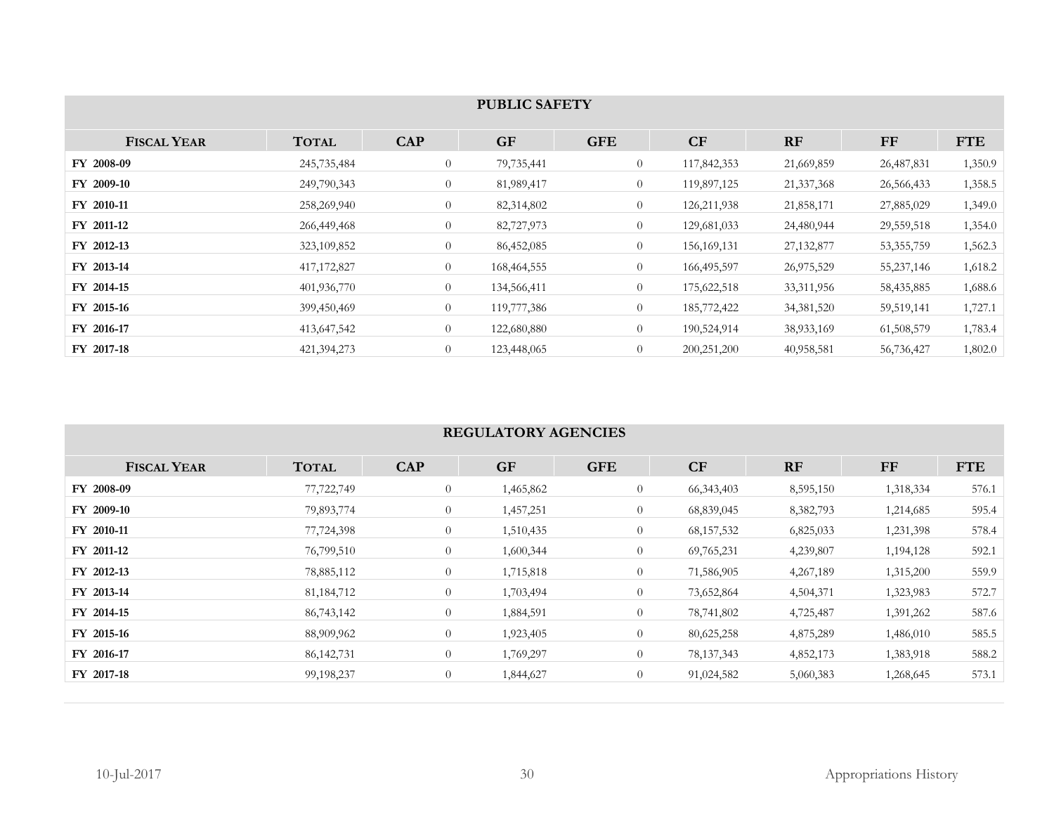| <b>PUBLIC SAFETY</b> |               |                |               |                |               |              |              |            |  |  |
|----------------------|---------------|----------------|---------------|----------------|---------------|--------------|--------------|------------|--|--|
| <b>FISCAL YEAR</b>   | <b>TOTAL</b>  | <b>CAP</b>     | <b>GF</b>     | <b>GFE</b>     | CF            | RF           | <b>FF</b>    | <b>FTE</b> |  |  |
| FY 2008-09           | 245,735,484   | $\overline{0}$ | 79,735,441    | $\theta$       | 117,842,353   | 21,669,859   | 26,487,831   | 1,350.9    |  |  |
| FY 2009-10           | 249,790,343   | $\overline{0}$ | 81,989,417    | $\overline{0}$ | 119,897,125   | 21, 337, 368 | 26,566,433   | 1,358.5    |  |  |
| FY 2010-11           | 258,269,940   | $\overline{0}$ | 82,314,802    | $\theta$       | 126, 211, 938 | 21,858,171   | 27,885,029   | 1,349.0    |  |  |
| FY 2011-12           | 266,449,468   | $\overline{0}$ | 82,727,973    | $\theta$       | 129,681,033   | 24,480,944   | 29,559,518   | 1,354.0    |  |  |
| FY 2012-13           | 323,109,852   | $\overline{0}$ | 86,452,085    | $\theta$       | 156, 169, 131 | 27, 132, 877 | 53, 355, 759 | 1,562.3    |  |  |
| FY 2013-14           | 417, 172, 827 | $\theta$       | 168, 464, 555 | $\theta$       | 166,495,597   | 26,975,529   | 55, 237, 146 | 1,618.2    |  |  |
| FY 2014-15           | 401,936,770   | $\overline{0}$ | 134,566,411   | $\theta$       | 175,622,518   | 33, 311, 956 | 58,435,885   | 1,688.6    |  |  |
| FY 2015-16           | 399,450,469   | $\overline{0}$ | 119,777,386   | $\theta$       | 185,772,422   | 34, 381, 520 | 59,519,141   | 1,727.1    |  |  |
| FY 2016-17           | 413,647,542   | $\theta$       | 122,680,880   | $\overline{0}$ | 190,524,914   | 38,933,169   | 61,508,579   | 1,783.4    |  |  |
| FY 2017-18           | 421,394,273   | $\overline{0}$ | 123,448,065   | $\theta$       | 200, 251, 200 | 40,958,581   | 56,736,427   | 1,802.0    |  |  |

# **REGULATORY AGENCIES**

| <b>FISCAL YEAR</b> | <b>TOTAL</b> | <b>CAP</b>     | <b>GF</b> | <b>GFE</b>     | CF           | RF        | FF        | <b>FTE</b> |
|--------------------|--------------|----------------|-----------|----------------|--------------|-----------|-----------|------------|
| FY 2008-09         | 77,722,749   | $\theta$       | 1,465,862 | $\overline{0}$ | 66, 343, 403 | 8,595,150 | 1,318,334 | 576.1      |
| FY 2009-10         | 79,893,774   | $\theta$       | 1,457,251 | $\overline{0}$ | 68,839,045   | 8,382,793 | 1,214,685 | 595.4      |
| FY 2010-11         | 77,724,398   | $\overline{0}$ | 1,510,435 | $\theta$       | 68, 157, 532 | 6,825,033 | 1,231,398 | 578.4      |
| FY 2011-12         | 76,799,510   | $\theta$       | 1,600,344 | $\overline{0}$ | 69,765,231   | 4,239,807 | 1,194,128 | 592.1      |
| FY 2012-13         | 78,885,112   | $\overline{0}$ | 1,715,818 | $\overline{0}$ | 71,586,905   | 4,267,189 | 1,315,200 | 559.9      |
| FY 2013-14         | 81, 184, 712 | $\theta$       | 1,703,494 | $\overline{0}$ | 73,652,864   | 4,504,371 | 1,323,983 | 572.7      |
| FY 2014-15         | 86,743,142   | $\overline{0}$ | 1,884,591 | $\overline{0}$ | 78,741,802   | 4,725,487 | 1,391,262 | 587.6      |
| FY 2015-16         | 88,909,962   | $\overline{0}$ | 1,923,405 | $\overline{0}$ | 80,625,258   | 4,875,289 | 1,486,010 | 585.5      |
| FY 2016-17         | 86, 142, 731 | $\theta$       | 1,769,297 | $\overline{0}$ | 78, 137, 343 | 4,852,173 | 1,383,918 | 588.2      |
| FY 2017-18         | 99,198,237   | $\overline{0}$ | 1,844,627 | $\overline{0}$ | 91,024,582   | 5,060,383 | 1,268,645 | 573.1      |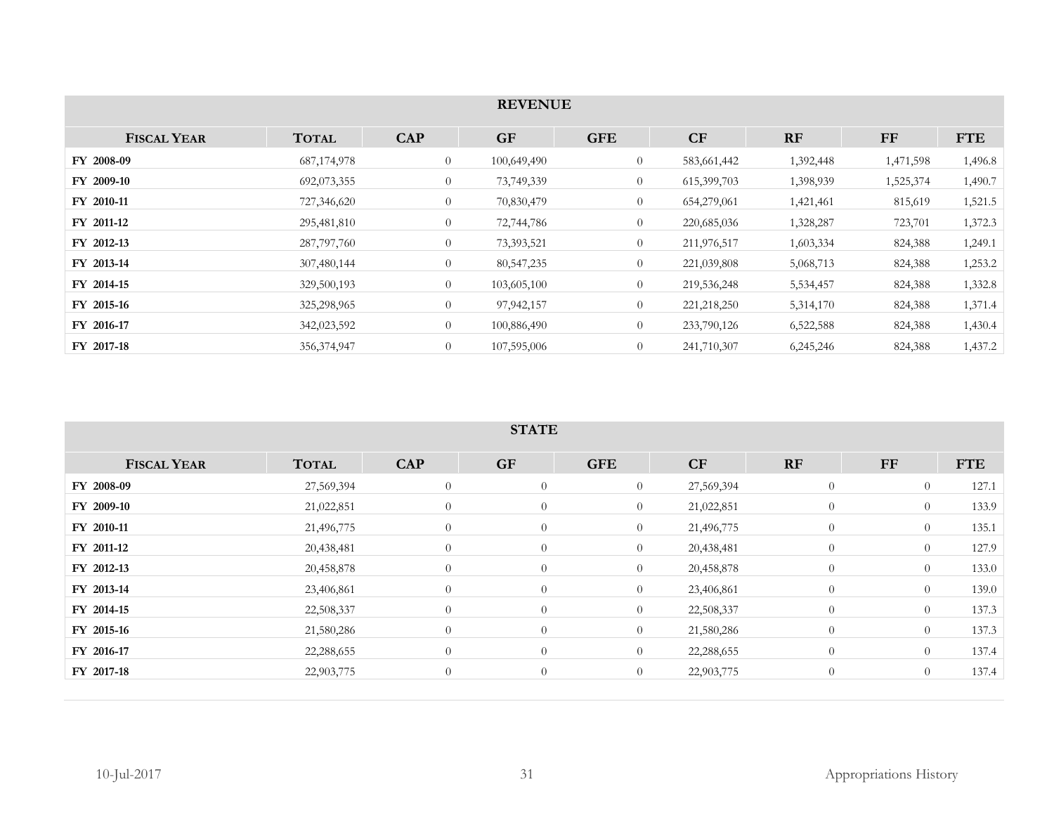|                    |               |                | <b>REVENUE</b> |                |             |           |           |            |
|--------------------|---------------|----------------|----------------|----------------|-------------|-----------|-----------|------------|
|                    |               |                |                |                |             |           |           |            |
| <b>FISCAL YEAR</b> | <b>TOTAL</b>  | <b>CAP</b>     | <b>GF</b>      | <b>GFE</b>     | CF          | RF        | $\bf FF$  | <b>FTE</b> |
| FY 2008-09         | 687, 174, 978 | $\overline{0}$ | 100,649,490    | $\overline{0}$ | 583,661,442 | 1,392,448 | 1,471,598 | 1,496.8    |
| FY 2009-10         | 692,073,355   | $\theta$       | 73,749,339     | $\overline{0}$ | 615,399,703 | 1,398,939 | 1,525,374 | 1,490.7    |
| FY 2010-11         | 727,346,620   | $\theta$       | 70,830,479     | $\overline{0}$ | 654,279,061 | 1,421,461 | 815,619   | 1,521.5    |
| FY 2011-12         | 295,481,810   | $\theta$       | 72,744,786     | $\overline{0}$ | 220,685,036 | 1,328,287 | 723,701   | 1,372.3    |
| FY 2012-13         | 287,797,760   | $\overline{0}$ | 73,393,521     | $\overline{0}$ | 211,976,517 | 1,603,334 | 824,388   | 1,249.1    |
| FY 2013-14         | 307,480,144   | $\overline{0}$ | 80, 547, 235   | $\overline{0}$ | 221,039,808 | 5,068,713 | 824,388   | 1,253.2    |
| FY 2014-15         | 329,500,193   | $\overline{0}$ | 103,605,100    | $\overline{0}$ | 219,536,248 | 5,534,457 | 824,388   | 1,332.8    |
| FY 2015-16         | 325,298,965   | $\theta$       | 97,942,157     | $\overline{0}$ | 221,218,250 | 5,314,170 | 824,388   | 1,371.4    |
| FY 2016-17         | 342,023,592   | $\theta$       | 100,886,490    | $\overline{0}$ | 233,790,126 | 6,522,588 | 824,388   | 1,430.4    |
| FY 2017-18         | 356, 374, 947 | $\theta$       | 107,595,006    | $\overline{0}$ | 241,710,307 | 6,245,246 | 824,388   | 1,437.2    |

#### **STATE**

| <b>FISCAL YEAR</b> | <b>TOTAL</b> | <b>CAP</b>     | <b>GF</b>      | <b>GFE</b>     | CF         | RF             | <b>FF</b>      | <b>FTE</b> |
|--------------------|--------------|----------------|----------------|----------------|------------|----------------|----------------|------------|
| FY 2008-09         | 27,569,394   | $\theta$       | $\theta$       | $\overline{0}$ | 27,569,394 | $\overline{0}$ | $\overline{0}$ | 127.1      |
| FY 2009-10         | 21,022,851   | $\overline{0}$ | $\overline{0}$ | $\overline{0}$ | 21,022,851 | $\theta$       | $\overline{0}$ | 133.9      |
| FY 2010-11         | 21,496,775   | $\overline{0}$ | $\theta$       | $\overline{0}$ | 21,496,775 | $\theta$       | $\overline{0}$ | 135.1      |
| FY 2011-12         | 20,438,481   | $\overline{0}$ | $\overline{0}$ | $\overline{0}$ | 20,438,481 | $\overline{0}$ | $\overline{0}$ | 127.9      |
| FY 2012-13         | 20,458,878   | $\overline{0}$ | $\overline{0}$ | $\overline{0}$ | 20,458,878 | $\overline{0}$ | $\overline{0}$ | 133.0      |
| FY 2013-14         | 23,406,861   | $\theta$       | $\theta$       | $\overline{0}$ | 23,406,861 | $\overline{0}$ | $\overline{0}$ | 139.0      |
| FY 2014-15         | 22,508,337   | $\theta$       | $\overline{0}$ | $\overline{0}$ | 22,508,337 | $\overline{0}$ | $\overline{0}$ | 137.3      |
| FY 2015-16         | 21,580,286   | $\overline{0}$ | $\overline{0}$ | $\overline{0}$ | 21,580,286 | $\overline{0}$ | $\overline{0}$ | 137.3      |
| FY 2016-17         | 22,288,655   | $\overline{0}$ | $\overline{0}$ | $\overline{0}$ | 22,288,655 | $\overline{0}$ | $\overline{0}$ | 137.4      |
| FY 2017-18         | 22,903,775   | $\theta$       | $\overline{0}$ | $\overline{0}$ | 22,903,775 | $\overline{0}$ | $\overline{0}$ | 137.4      |
|                    |              |                |                |                |            |                |                |            |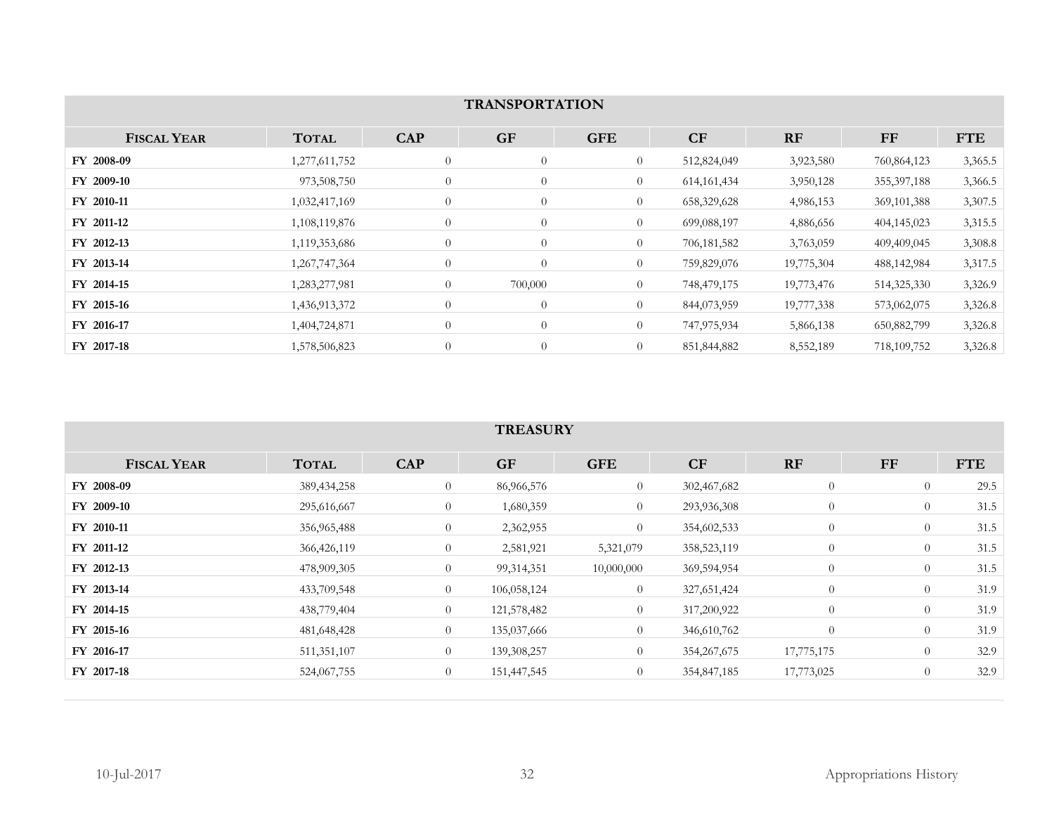| <b>TRANSPORTATION</b> |               |                |                |                |               |            |               |            |  |  |
|-----------------------|---------------|----------------|----------------|----------------|---------------|------------|---------------|------------|--|--|
|                       |               |                |                |                |               |            |               |            |  |  |
| <b>FISCAL YEAR</b>    | <b>TOTAL</b>  | <b>CAP</b>     | <b>GF</b>      | <b>GFE</b>     | CF            | <b>RF</b>  | $\bf FF$      | <b>FTE</b> |  |  |
| FY 2008-09            | 1,277,611,752 | $\overline{0}$ | $\overline{0}$ | $\overline{0}$ | 512,824,049   | 3,923,580  | 760,864,123   | 3,365.5    |  |  |
| FY 2009-10            | 973,508,750   | $\overline{0}$ | $\overline{0}$ | $\overline{0}$ | 614, 161, 434 | 3,950,128  | 355, 397, 188 | 3,366.5    |  |  |
| FY 2010-11            | 1,032,417,169 | $\overline{0}$ | $\theta$       | $\overline{0}$ | 658,329,628   | 4,986,153  | 369, 101, 388 | 3,307.5    |  |  |
| FY 2011-12            | 1,108,119,876 | $\overline{0}$ | $\overline{0}$ | $\overline{0}$ | 699,088,197   | 4,886,656  | 404,145,023   | 3,315.5    |  |  |
| FY 2012-13            | 1,119,353,686 | $\overline{0}$ | $\theta$       | $\overline{0}$ | 706,181,582   | 3,763,059  | 409,409,045   | 3,308.8    |  |  |
| FY 2013-14            | 1,267,747,364 | $\theta$       | $\overline{0}$ | $\overline{0}$ | 759,829,076   | 19,775,304 | 488, 142, 984 | 3,317.5    |  |  |
| FY 2014-15            | 1,283,277,981 | $\overline{0}$ | 700,000        | $\overline{0}$ | 748,479,175   | 19,773,476 | 514,325,330   | 3,326.9    |  |  |
| FY 2015-16            | 1,436,913,372 | $\overline{0}$ | $\overline{0}$ | $\overline{0}$ | 844,073,959   | 19,777,338 | 573,062,075   | 3,326.8    |  |  |
| FY 2016-17            | 1,404,724,871 | $\theta$       | $\overline{0}$ | $\overline{0}$ | 747,975,934   | 5,866,138  | 650,882,799   | 3,326.8    |  |  |
| FY 2017-18            | 1,578,506,823 | $\theta$       | $\theta$       | $\overline{0}$ | 851,844,882   | 8,552,189  | 718, 109, 752 | 3,326.8    |  |  |

### **TREASURY**

| 29.5<br>31.5 |
|--------------|
|              |
|              |
| 31.5         |
| 31.5         |
| 31.5         |
| 31.9         |
| 31.9         |
| 31.9         |
| 32.9         |
| 32.9         |
|              |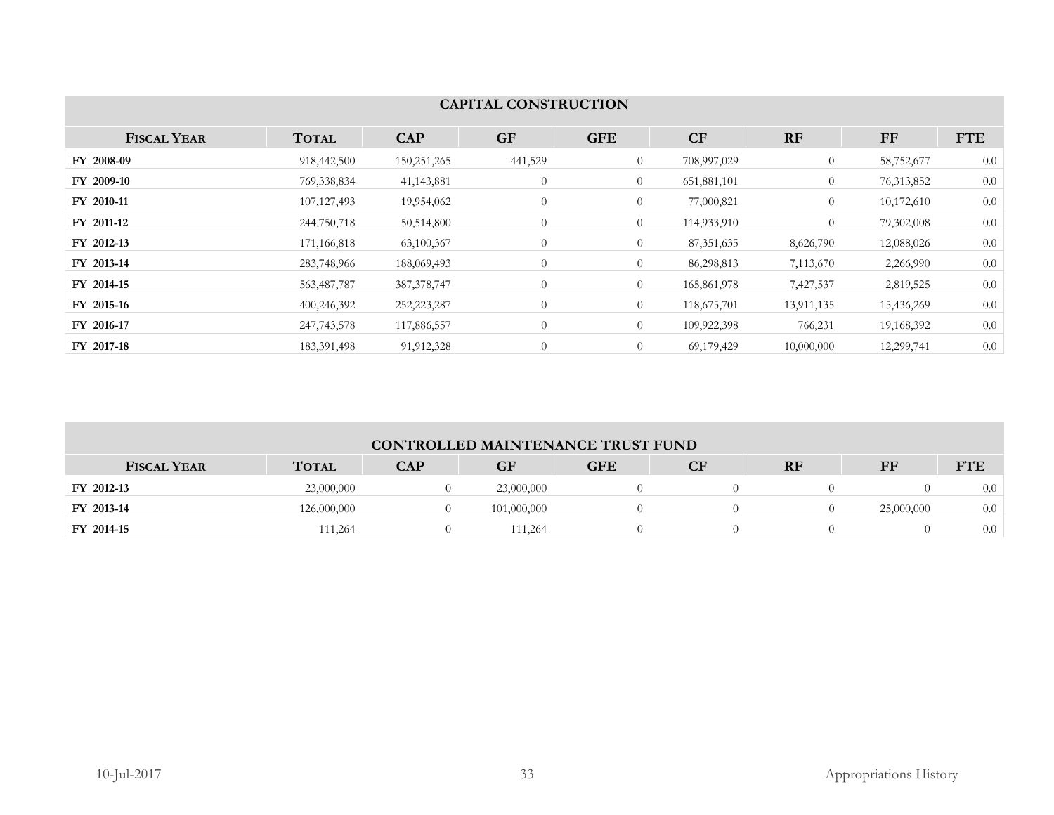| <b>CAPITAL CONSTRUCTION</b> |               |               |                |                |              |                |            |            |  |
|-----------------------------|---------------|---------------|----------------|----------------|--------------|----------------|------------|------------|--|
|                             |               |               |                |                |              |                |            |            |  |
| <b>FISCAL YEAR</b>          | <b>TOTAL</b>  | <b>CAP</b>    | <b>GF</b>      | <b>GFE</b>     | CF           | <b>RF</b>      | <b>FF</b>  | <b>FTE</b> |  |
| FY 2008-09                  | 918,442,500   | 150,251,265   | 441,529        | $\overline{0}$ | 708,997,029  | $\overline{0}$ | 58,752,677 | 0.0        |  |
| FY 2009-10                  | 769,338,834   | 41, 143, 881  | $\overline{0}$ | $\overline{0}$ | 651,881,101  | $\overline{0}$ | 76,313,852 | 0.0        |  |
| FY 2010-11                  | 107, 127, 493 | 19,954,062    | $\theta$       | $\overline{0}$ | 77,000,821   | $\overline{0}$ | 10,172,610 | 0.0        |  |
| FY 2011-12                  | 244,750,718   | 50,514,800    | $\overline{0}$ | $\overline{0}$ | 114,933,910  | $\overline{0}$ | 79,302,008 | 0.0        |  |
| FY 2012-13                  | 171,166,818   | 63,100,367    | $\overline{0}$ | $\overline{0}$ | 87, 351, 635 | 8,626,790      | 12,088,026 | 0.0        |  |
| FY 2013-14                  | 283,748,966   | 188,069,493   | $\overline{0}$ | $\overline{0}$ | 86,298,813   | 7,113,670      | 2,266,990  | 0.0        |  |
| FY 2014-15                  | 563,487,787   | 387, 378, 747 | $\overline{0}$ | $\overline{0}$ | 165,861,978  | 7,427,537      | 2,819,525  | 0.0        |  |
| FY 2015-16                  | 400,246,392   | 252,223,287   | $\theta$       | $\overline{0}$ | 118,675,701  | 13,911,135     | 15,436,269 | 0.0        |  |
| FY 2016-17                  | 247,743,578   | 117,886,557   | $\theta$       | $\overline{0}$ | 109,922,398  | 766,231        | 19,168,392 | 0.0        |  |
| FY 2017-18                  | 183,391,498   | 91,912,328    | $\overline{0}$ | $\overline{0}$ | 69,179,429   | 10,000,000     | 12,299,741 | 0.0        |  |

| <b>CONTROLLED MAINTENANCE TRUST FUND</b> |              |            |             |            |    |    |            |            |  |
|------------------------------------------|--------------|------------|-------------|------------|----|----|------------|------------|--|
| <b>FISCAL YEAR</b>                       | <b>TOTAL</b> | <b>CAP</b> | GF          | <b>GFE</b> | CF | RF | FF         | <b>FTE</b> |  |
| FY 2012-13                               | 23,000,000   |            | 23,000,000  |            |    |    |            | 0.0        |  |
| FY 2013-14                               | 126,000,000  |            | 101,000,000 |            |    |    | 25,000,000 | 0.0        |  |
| FY 2014-15                               | 111,264      |            | 111,264     |            |    |    |            | $0.0\,$    |  |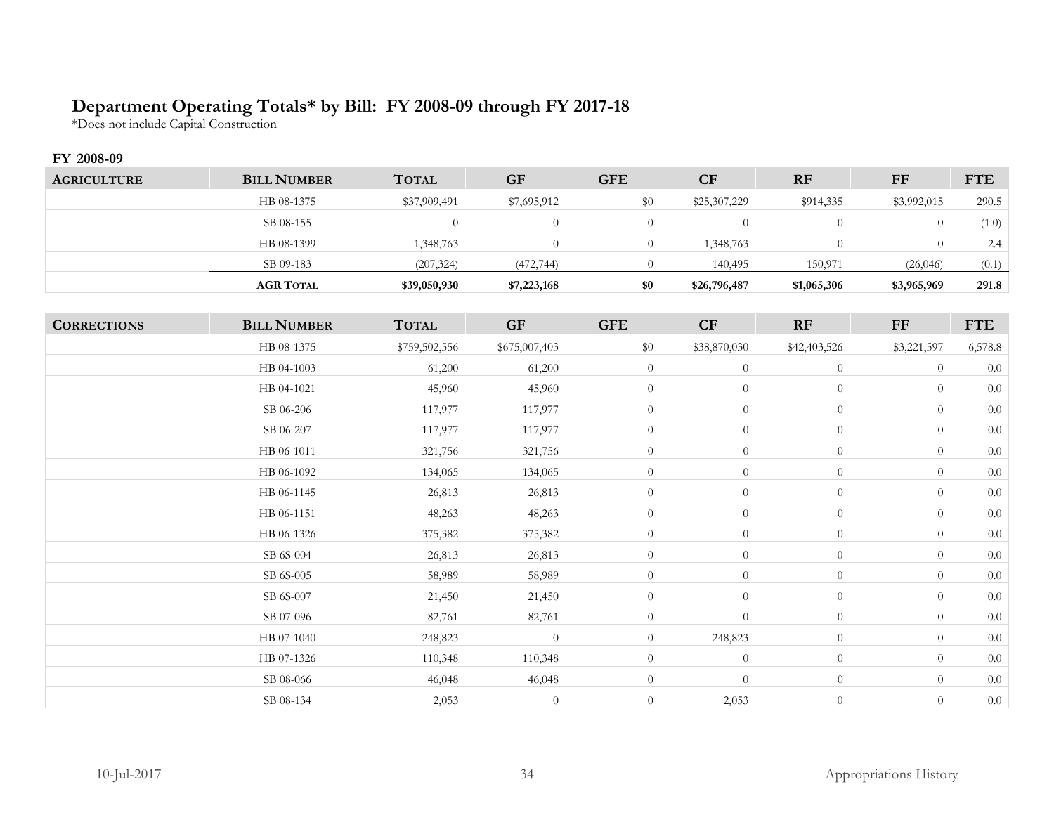# **Department Operating Totals\* by Bill: FY 2008-09 through FY 2017-18**

\*Does not include Capital Construction

### **FY 2008-09**

| <b>AGRICULTURE</b> | <b>BILL NUMBER</b> | <b>TOTAL</b> | <b>GF</b>   | <b>GFE</b> | <b>CF</b>    | <b>RF</b>   | FF          | <b>FTE</b> |
|--------------------|--------------------|--------------|-------------|------------|--------------|-------------|-------------|------------|
|                    | HB 08-1375         | \$37,909,491 | \$7,695,912 | \$0        | \$25,307,229 | \$914,335   | \$3,992,015 | 290.5      |
|                    | SB 08-155          |              |             |            |              |             |             | (1.0)      |
|                    | HB 08-1399         | 1,348,763    |             |            | 1,348,763    |             |             | 2.4        |
|                    | SB 09-183          | (207, 324)   | (472, 744)  |            | 140,495      | 150,971     | (26, 046)   | (0.1)      |
|                    | <b>AGR TOTAL</b>   | \$39,050,930 | \$7,223,168 | \$0        | \$26,796,487 | \$1,065,306 | \$3,965,969 | 291.8      |

| <b>CORRECTIONS</b> | <b>BILL NUMBER</b> | <b>TOTAL</b>  | GF            | <b>GFE</b>     | CF               | RF               | FF             | <b>FTE</b> |
|--------------------|--------------------|---------------|---------------|----------------|------------------|------------------|----------------|------------|
|                    | HB 08-1375         | \$759,502,556 | \$675,007,403 | \$0            | \$38,870,030     | \$42,403,526     | \$3,221,597    | 6,578.8    |
|                    | HB 04-1003         | 61,200        | 61,200        | $\theta$       | $\boldsymbol{0}$ | $\theta$         | $\overline{0}$ | $0.0\,$    |
|                    | HB 04-1021         | 45,960        | 45,960        | $\theta$       | $\boldsymbol{0}$ | $\theta$         | $\theta$       | 0.0        |
|                    | SB 06-206          | 117,977       | 117,977       | $\overline{0}$ | $\overline{0}$   | $\overline{0}$   | $\theta$       | $0.0\,$    |
|                    | SB 06-207          | 117,977       | 117,977       | $\overline{0}$ | $\theta$         | $\overline{0}$   | $\theta$       | $0.0\,$    |
|                    | HB 06-1011         | 321,756       | 321,756       | $\overline{0}$ | $\theta$         | $\overline{0}$   | $\theta$       | $0.0\,$    |
|                    | HB 06-1092         | 134,065       | 134,065       | $\overline{0}$ | $\theta$         | $\overline{0}$   | $\overline{0}$ | $0.0\,$    |
|                    | HB 06-1145         | 26,813        | 26,813        | $\overline{0}$ | $\boldsymbol{0}$ | $\overline{0}$   | $\overline{0}$ | 0.0        |
|                    | HB 06-1151         | 48,263        | 48,263        | $\overline{0}$ | $\overline{0}$   | $\overline{0}$   | $\theta$       | $0.0\,$    |
|                    | HB 06-1326         | 375,382       | 375,382       | $\overline{0}$ | $\theta$         | $\overline{0}$   | $\theta$       | 0.0        |
|                    | SB 6S-004          | 26,813        | 26,813        | $\overline{0}$ | $\theta$         | $\overline{0}$   | $\theta$       | 0.0        |
|                    | SB 6S-005          | 58,989        | 58,989        | $\overline{0}$ | $\boldsymbol{0}$ | $\overline{0}$   | $\theta$       | $0.0\,$    |
|                    | SB 6S-007          | 21,450        | 21,450        | $\overline{0}$ | $\boldsymbol{0}$ | $\boldsymbol{0}$ | $\theta$       | 0.0        |
|                    | SB 07-096          | 82,761        | 82,761        | $\overline{0}$ | $\overline{0}$   | $\overline{0}$   | $\overline{0}$ | $0.0\,$    |
|                    | HB 07-1040         | 248,823       | $\theta$      | $\overline{0}$ | 248,823          | $\overline{0}$   | $\overline{0}$ | 0.0        |
|                    | HB 07-1326         | 110,348       | 110,348       | $\overline{0}$ | $\theta$         | $\overline{0}$   | $\overline{0}$ | 0.0        |
|                    | SB 08-066          | 46,048        | 46,048        | $\theta$       | $\boldsymbol{0}$ | $\overline{0}$   | $\overline{0}$ | $0.0\,$    |
|                    | SB 08-134          | 2,053         | $\theta$      | $\overline{0}$ | 2,053            | $\theta$         | $\overline{0}$ | 0.0        |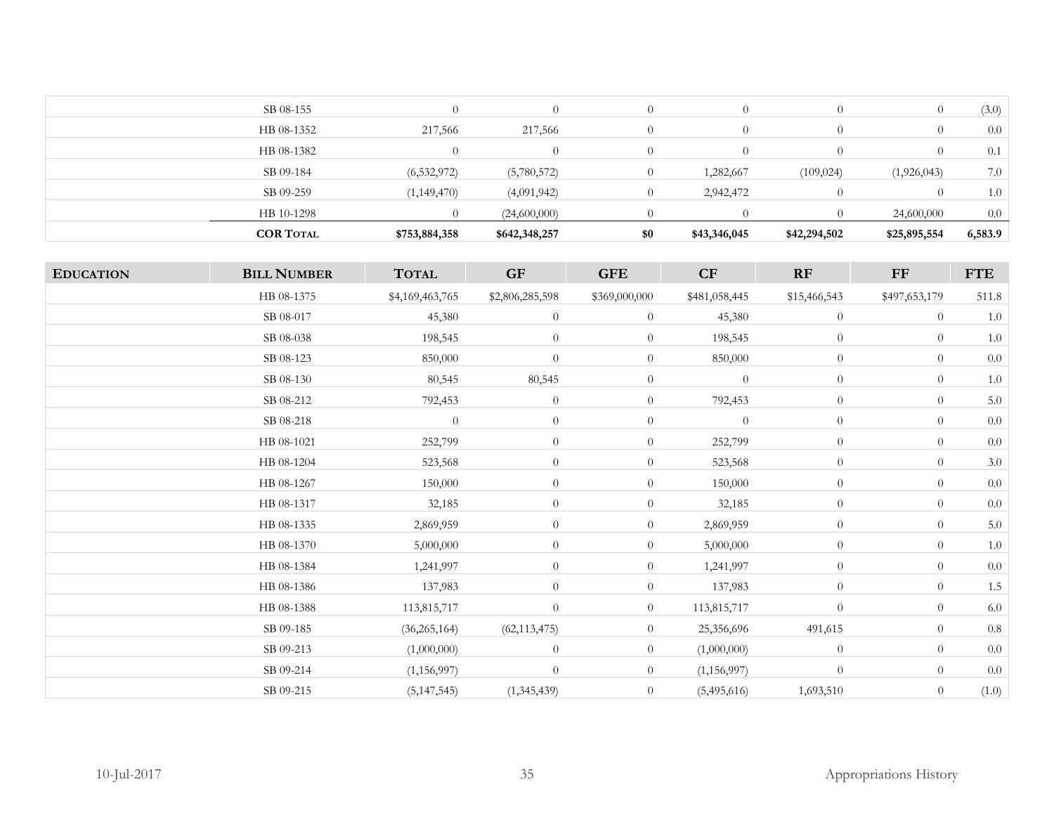| (3.0)<br>SB 08-155<br>$\bigcirc$<br>$\theta$<br>$\cup$<br>217,566<br>HB 08-1352<br>217,566<br>0.0<br>$\theta$<br>HB 08-1382<br>$\theta$<br>$\Omega$<br>0.1<br>$\theta$<br>7.0<br>SB 09-184<br>(6, 532, 972)<br>(1,926,043)<br>(5,780,572)<br>$\Omega$<br>1,282,667<br>(109, 024)<br>SB 09-259<br>(1, 149, 470)<br>2,942,472<br>1.0<br>(4,091,942)<br>$\Omega$<br>0.0<br>HB 10-1298<br>(24,600,000)<br>24,600,000 | <b>COR TOTAL</b> | \$753,884,358 | \$642,348,257 | \$0 | \$43,346,045 | \$42,294,502 | \$25,895,554 | 6,583.9 |
|------------------------------------------------------------------------------------------------------------------------------------------------------------------------------------------------------------------------------------------------------------------------------------------------------------------------------------------------------------------------------------------------------------------|------------------|---------------|---------------|-----|--------------|--------------|--------------|---------|
|                                                                                                                                                                                                                                                                                                                                                                                                                  |                  |               |               |     |              |              |              |         |
|                                                                                                                                                                                                                                                                                                                                                                                                                  |                  |               |               |     |              |              |              |         |
|                                                                                                                                                                                                                                                                                                                                                                                                                  |                  |               |               |     |              |              |              |         |
|                                                                                                                                                                                                                                                                                                                                                                                                                  |                  |               |               |     |              |              |              |         |
|                                                                                                                                                                                                                                                                                                                                                                                                                  |                  |               |               |     |              |              |              |         |
|                                                                                                                                                                                                                                                                                                                                                                                                                  |                  |               |               |     |              |              |              |         |

| <b>EDUCATION</b> | <b>BILL NUMBER</b> | <b>TOTAL</b>    | GF               | <b>GFE</b>     | CF             | RF             | ${\rm FF}$     | <b>FTE</b> |
|------------------|--------------------|-----------------|------------------|----------------|----------------|----------------|----------------|------------|
|                  | HB 08-1375         | \$4,169,463,765 | \$2,806,285,598  | \$369,000,000  | \$481,058,445  | \$15,466,543   | \$497,653,179  | 511.8      |
|                  | SB 08-017          | 45,380          | $\theta$         | $\theta$       | 45,380         | $\overline{0}$ | $\overline{0}$ | $1.0\,$    |
|                  | SB 08-038          | 198,545         | $\theta$         | $\overline{0}$ | 198,545        | $\overline{0}$ | $\overline{0}$ | $1.0\,$    |
|                  | SB 08-123          | 850,000         | $\theta$         | $\overline{0}$ | 850,000        | $\overline{0}$ | $\overline{0}$ | $0.0\,$    |
|                  | SB 08-130          | 80,545          | 80,545           | $\overline{0}$ | $\overline{0}$ | $\overline{0}$ | $\overline{0}$ | $1.0\,$    |
|                  | SB 08-212          | 792,453         | $\theta$         | $\overline{0}$ | 792,453        | $\overline{0}$ | $\overline{0}$ | 5.0        |
|                  | SB 08-218          | $\overline{0}$  | $\overline{0}$   | $\overline{0}$ | $\theta$       | $\overline{0}$ | $\overline{0}$ | 0.0        |
|                  | HB 08-1021         | 252,799         | $\theta$         | $\overline{0}$ | 252,799        | $\overline{0}$ | $\overline{0}$ | 0.0        |
|                  | HB 08-1204         | 523,568         | $\boldsymbol{0}$ | $\overline{0}$ | 523,568        | $\theta$       | $\theta$       | 3.0        |
|                  | HB 08-1267         | 150,000         | $\overline{0}$   | $\overline{0}$ | 150,000        | $\overline{0}$ | $\overline{0}$ | $0.0\,$    |
|                  | HB 08-1317         | 32,185          | $\theta$         | $\overline{0}$ | 32,185         | $\theta$       | $\overline{0}$ | $0.0\,$    |
|                  | HB 08-1335         | 2,869,959       | $\theta$         | $\overline{0}$ | 2,869,959      | $\overline{0}$ | $\overline{0}$ | $5.0\,$    |
|                  | HB 08-1370         | 5,000,000       | $\theta$         | $\overline{0}$ | 5,000,000      | $\overline{0}$ | $\overline{0}$ | $1.0\,$    |
|                  | HB 08-1384         | 1,241,997       | $\theta$         | $\overline{0}$ | 1,241,997      | $\overline{0}$ | $\overline{0}$ | $0.0\,$    |
|                  | HB 08-1386         | 137,983         | $\theta$         | $\overline{0}$ | 137,983        | $\overline{0}$ | $\overline{0}$ | 1.5        |
|                  | HB 08-1388         | 113,815,717     | $\overline{0}$   | $\overline{0}$ | 113,815,717    | $\overline{0}$ | $\theta$       | $6.0\,$    |
|                  | SB 09-185          | (36, 265, 164)  | (62, 113, 475)   | $\overline{0}$ | 25,356,696     | 491,615        | $\overline{0}$ | $0.8\,$    |
|                  | SB 09-213          | (1,000,000)     | $\theta$         | $\overline{0}$ | (1,000,000)    | $\overline{0}$ | $\theta$       | 0.0        |
|                  | SB 09-214          | (1, 156, 997)   | $\overline{0}$   | $\overline{0}$ | (1, 156, 997)  | $\overline{0}$ | $\theta$       | $0.0\,$    |
|                  | SB 09-215          | (5, 147, 545)   | (1,345,439)      | $\overline{0}$ | (5,495,616)    | 1,693,510      | $\theta$       | (1.0)      |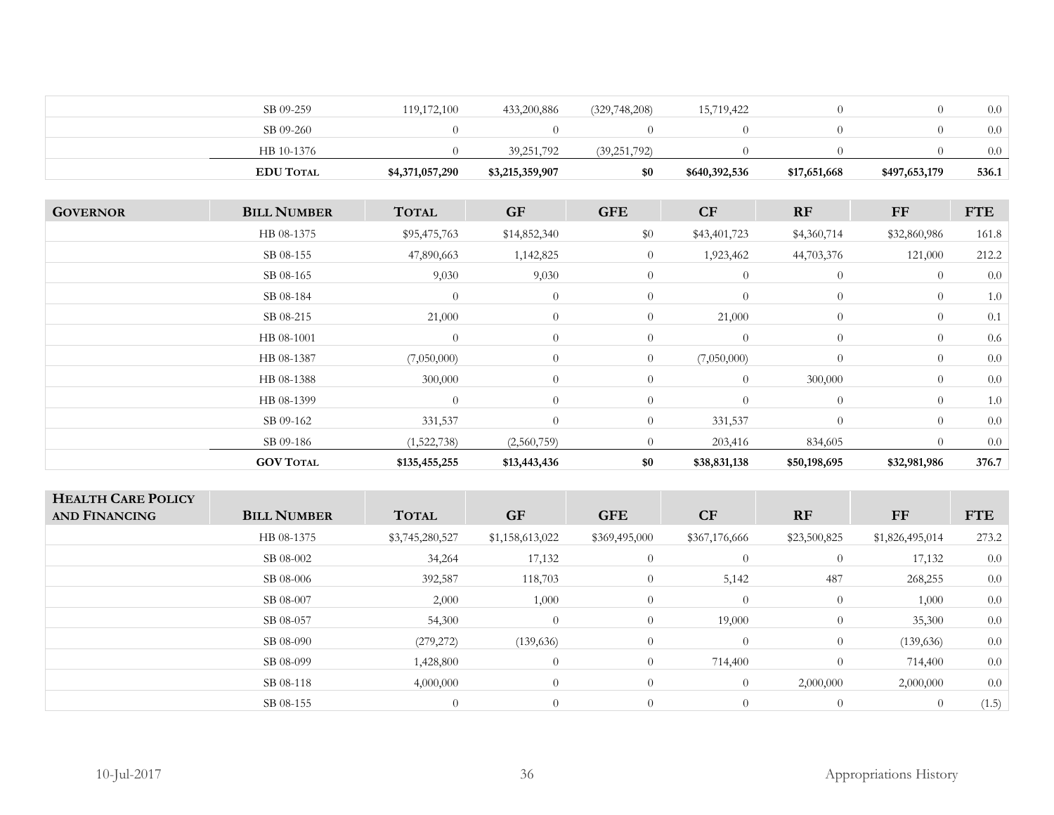|                 | SB 09-259          | 119,172,100     | 433,200,886     | (329, 748, 208) | 15,719,422     | $\overline{0}$ | $\overline{0}$ | 0.0        |
|-----------------|--------------------|-----------------|-----------------|-----------------|----------------|----------------|----------------|------------|
|                 | SB 09-260          | $\overline{0}$  | $\theta$        | $\overline{0}$  | $\overline{0}$ | $\overline{0}$ | $\overline{0}$ | 0.0        |
|                 | HB 10-1376         | $\theta$        | 39,251,792      | (39, 251, 792)  | $\overline{0}$ | $\theta$       | $\theta$       | 0.0        |
|                 | <b>EDU TOTAL</b>   | \$4,371,057,290 | \$3,215,359,907 | \$0             | \$640,392,536  | \$17,651,668   | \$497,653,179  | 536.1      |
|                 |                    |                 |                 |                 |                |                |                |            |
| <b>GOVERNOR</b> | <b>BILL NUMBER</b> | <b>TOTAL</b>    | <b>GF</b>       | <b>GFE</b>      | CF             | RF             | <b>FF</b>      | <b>FTE</b> |
|                 | HB 08-1375         | \$95,475,763    | \$14,852,340    | $\$0$           | \$43,401,723   | \$4,360,714    | \$32,860,986   | 161.8      |
|                 | SB 08-155          | 47,890,663      | 1,142,825       | $\theta$        | 1,923,462      | 44,703,376     | 121,000        | 212.2      |
|                 | SB 08-165          | 9,030           | 9,030           | $\overline{0}$  | $\overline{0}$ | $\overline{0}$ | $\overline{0}$ | 0.0        |
|                 | SB 08-184          | $\overline{0}$  | $\theta$        | $\overline{0}$  | $\overline{0}$ | $\theta$       | $\overline{0}$ | 1.0        |
|                 | SB 08-215          | 21,000          | $\theta$        | $\overline{0}$  | 21,000         | $\theta$       | $\theta$       | 0.1        |
|                 | HB 08-1001         | $\overline{0}$  | $\theta$        | $\overline{0}$  | $\overline{0}$ | $\overline{0}$ | $\theta$       | 0.6        |
|                 | HB 08-1387         | (7,050,000)     | $\theta$        | $\overline{0}$  | (7,050,000)    | $\Omega$       | $\theta$       | 0.0        |
|                 | HB 08-1388         | 300,000         | $\theta$        | $\overline{0}$  | $\overline{0}$ | 300,000        | $\theta$       | $0.0\,$    |
|                 | HB 08-1399         | $\overline{0}$  | $\theta$        | $\theta$        | $\overline{0}$ | $\theta$       | $\theta$       | 1.0        |
|                 | SB 09-162          | 331,537         | $\theta$        | $\overline{0}$  | 331,537        | $\theta$       | $\overline{0}$ | 0.0        |

|              | (1,522,738)     |  |                | $+60F$             |                   | 0.0   |
|--------------|-----------------|--|----------------|--------------------|-------------------|-------|
| $\mathbf{M}$ | こつちち<br>7JJ,∠JJ |  | 120<br>531.138 | 3.695<br>$\lambda$ | \$32,981,986<br>. | 376.7 |
|              |                 |  |                |                    |                   |       |

| <b>HEALTH CARE POLICY</b><br><b>AND FINANCING</b> | <b>BILL NUMBER</b> | <b>TOTAL</b>    | <b>GF</b>       | <b>GFE</b>     | CF             | RF           | <b>FF</b>       | <b>FTE</b> |
|---------------------------------------------------|--------------------|-----------------|-----------------|----------------|----------------|--------------|-----------------|------------|
|                                                   | HB 08-1375         | \$3,745,280,527 | \$1,158,613,022 | \$369,495,000  | \$367,176,666  | \$23,500,825 | \$1,826,495,014 | 273.2      |
|                                                   | SB 08-002          | 34,264          | 17,132          | $\overline{0}$ | $\overline{0}$ | $\theta$     | 17,132          | 0.0        |
|                                                   | SB 08-006          | 392,587         | 118,703         | $\overline{0}$ | 5,142          | 487          | 268,255         | 0.0        |
|                                                   | SB 08-007          | 2,000           | 1,000           | $\overline{0}$ | $\overline{0}$ | $\theta$     | 1,000           | 0.0        |
|                                                   | SB 08-057          | 54,300          | $\theta$        | $\overline{0}$ | 19,000         | $\theta$     | 35,300          | 0.0        |
|                                                   | SB 08-090          | (279, 272)      | (139, 636)      | $\theta$       | $\overline{0}$ | $\theta$     | (139, 636)      | 0.0        |
|                                                   | SB 08-099          | 1,428,800       | $\theta$        | $\overline{0}$ | 714,400        | $\Omega$     | 714,400         | 0.0        |
|                                                   | SB 08-118          | 4,000,000       | $\theta$        | $\Omega$       | $\overline{0}$ | 2,000,000    | 2,000,000       | 0.0        |
|                                                   | SB 08-155          | $\overline{0}$  | $\theta$        | $\Omega$       | $\overline{0}$ | $\theta$     | $\overline{0}$  | (1.5)      |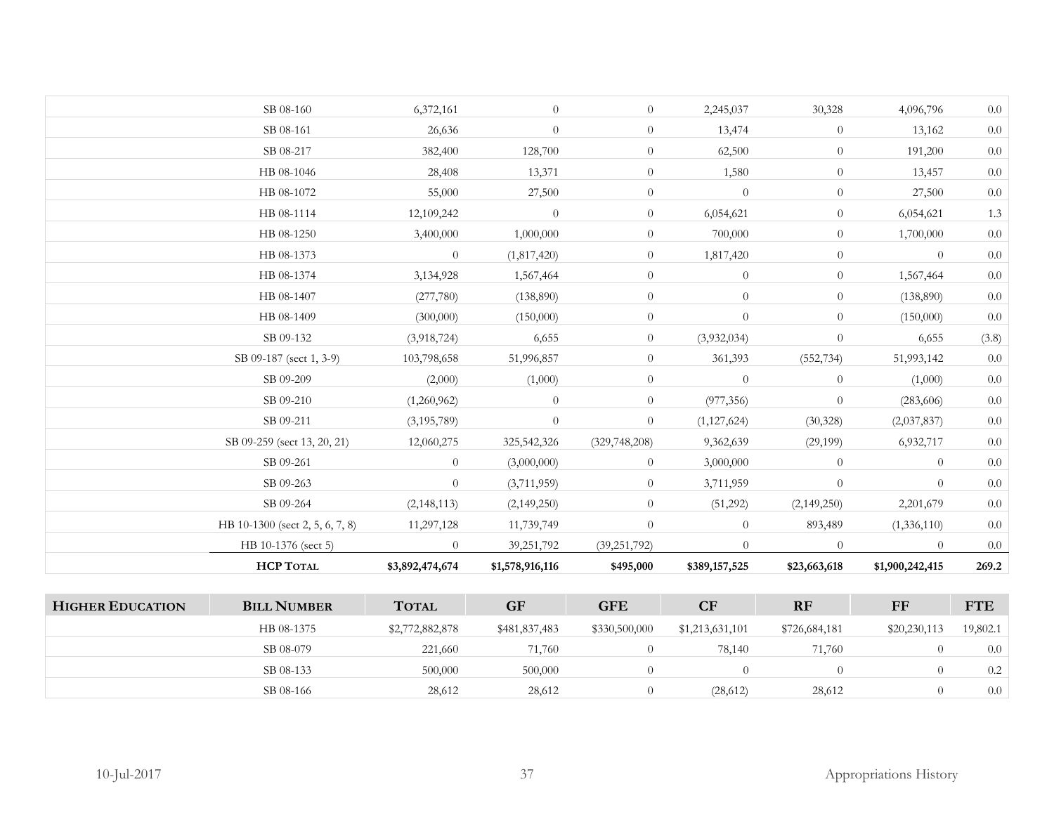|                         | SB 08-160                       | 6,372,161       | $\overline{0}$  | $\overline{0}$  | 2,245,037       | 30,328         | 4,096,796       | $0.0\,$    |
|-------------------------|---------------------------------|-----------------|-----------------|-----------------|-----------------|----------------|-----------------|------------|
|                         | SB 08-161                       | 26,636          | $\overline{0}$  | $\overline{0}$  | 13,474          | $\overline{0}$ | 13,162          | $0.0\,$    |
|                         | SB 08-217                       | 382,400         | 128,700         | $\overline{0}$  | 62,500          | $\overline{0}$ | 191,200         | $0.0\,$    |
|                         | HB 08-1046                      | 28,408          | 13,371          | $\overline{0}$  | 1,580           | $\overline{0}$ | 13,457          | $0.0\,$    |
|                         | HB 08-1072                      | 55,000          | 27,500          | $\overline{0}$  | $\theta$        | $\overline{0}$ | 27,500          | $0.0\,$    |
|                         | HB 08-1114                      | 12,109,242      | $\overline{0}$  | $\overline{0}$  | 6,054,621       | $\overline{0}$ | 6,054,621       | 1.3        |
|                         | HB 08-1250                      | 3,400,000       | 1,000,000       | $\overline{0}$  | 700,000         | $\overline{0}$ | 1,700,000       | $0.0\,$    |
|                         | HB 08-1373                      | $\overline{0}$  | (1,817,420)     | $\overline{0}$  | 1,817,420       | $\overline{0}$ | $\overline{0}$  | 0.0        |
|                         | HB 08-1374                      | 3,134,928       | 1,567,464       | $\overline{0}$  | $\overline{0}$  | $\overline{0}$ | 1,567,464       | $0.0\,$    |
|                         | HB 08-1407                      | (277,780)       | (138,890)       | $\overline{0}$  | $\overline{0}$  | $\overline{0}$ | (138,890)       | $0.0\,$    |
|                         | HB 08-1409                      | (300,000)       | (150,000)       | $\overline{0}$  | $\overline{0}$  | $\overline{0}$ | (150,000)       | $0.0\,$    |
|                         | SB 09-132                       | (3,918,724)     | 6,655           | $\overline{0}$  | (3,932,034)     | $\theta$       | 6,655           | (3.8)      |
|                         | SB 09-187 (sect 1, 3-9)         | 103,798,658     | 51,996,857      | $\overline{0}$  | 361,393         | (552, 734)     | 51,993,142      | $0.0\,$    |
|                         | SB 09-209                       | (2,000)         | (1,000)         | $\overline{0}$  | $\overline{0}$  | $\overline{0}$ | (1,000)         | $0.0\,$    |
|                         | SB 09-210                       | (1,260,962)     | $\overline{0}$  | $\overline{0}$  | (977, 356)      | $\overline{0}$ | (283, 606)      | $0.0\,$    |
|                         | SB 09-211                       | (3, 195, 789)   | $\overline{0}$  | $\overline{0}$  | (1, 127, 624)   | (30, 328)      | (2,037,837)     | 0.0        |
|                         | SB 09-259 (sect 13, 20, 21)     | 12,060,275      | 325,542,326     | (329, 748, 208) | 9,362,639       | (29,199)       | 6,932,717       | $0.0\,$    |
|                         | SB 09-261                       | $\overline{0}$  | (3,000,000)     | $\overline{0}$  | 3,000,000       | $\overline{0}$ | $\overline{0}$  | $0.0\,$    |
|                         | SB 09-263                       | $\overline{0}$  | (3,711,959)     | $\overline{0}$  | 3,711,959       | $\overline{0}$ | $\overline{0}$  | $0.0\,$    |
|                         | SB 09-264                       | (2, 148, 113)   | (2,149,250)     | $\overline{0}$  | (51,292)        | (2,149,250)    | 2,201,679       | $0.0\,$    |
|                         | HB 10-1300 (sect 2, 5, 6, 7, 8) | 11,297,128      | 11,739,749      | $\overline{0}$  | $\overline{0}$  | 893,489        | (1,336,110)     | $0.0\,$    |
|                         | HB 10-1376 (sect 5)             | $\overline{0}$  | 39,251,792      | (39, 251, 792)  | $\overline{0}$  | $\overline{0}$ | $\overline{0}$  | $0.0\,$    |
|                         | <b>HCP TOTAL</b>                | \$3,892,474,674 | \$1,578,916,116 | \$495,000       | \$389,157,525   | \$23,663,618   | \$1,900,242,415 | 269.2      |
|                         |                                 |                 |                 |                 |                 |                |                 |            |
| <b>HIGHER EDUCATION</b> | <b>BILL NUMBER</b>              | <b>TOTAL</b>    | <b>GF</b>       | <b>GFE</b>      | CF              | RF             | $\bf FF$        | <b>FTE</b> |
|                         | HB 08-1375                      | \$2,772,882,878 | \$481,837,483   | \$330,500,000   | \$1,213,631,101 | \$726,684,181  | \$20,230,113    | 19,802.1   |
|                         | SB 08-079                       | 221,660         | 71,760          | $\overline{0}$  | 78,140          | 71,760         | $\overline{0}$  | 0.0        |
|                         | SB 08-133                       | 500,000         | 500,000         | $\overline{0}$  | $\overline{0}$  | $\overline{0}$ | $\overline{0}$  | $0.2\,$    |

 $SB\ 08-166$  28,612 28,612 0 (28,612) 28,612 0 0.0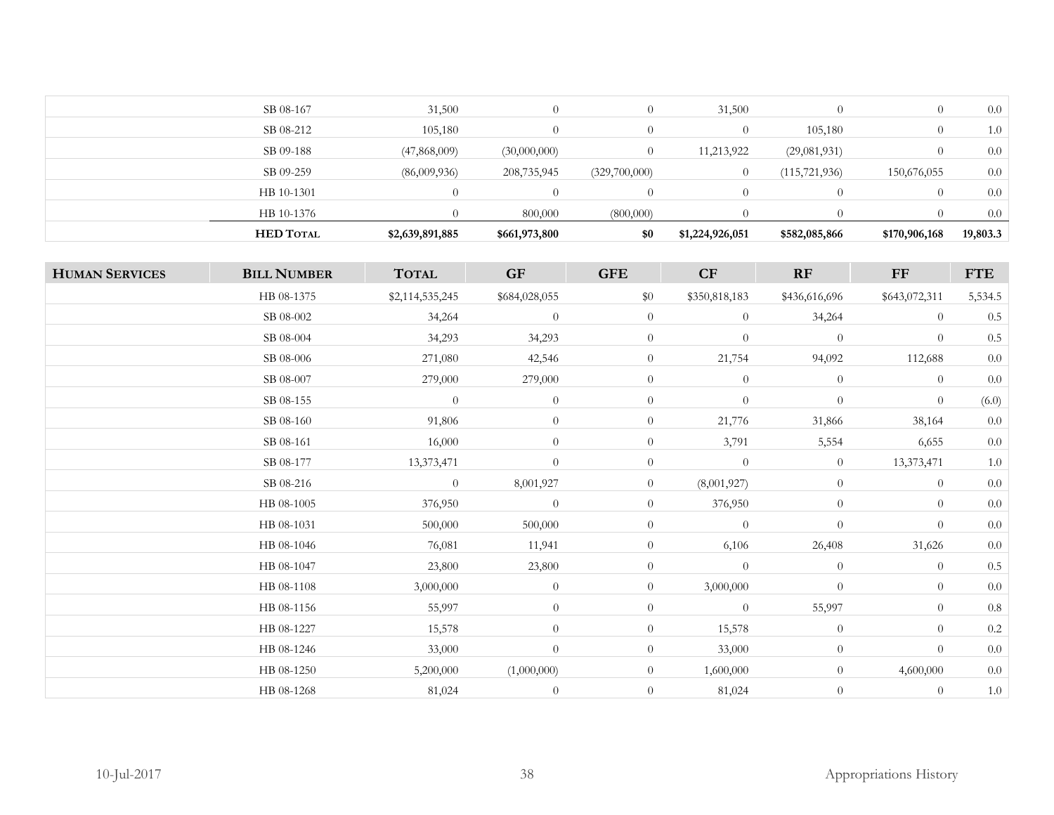| SB 08-212<br>105,180<br>105,180<br>$\Omega$<br>$\Omega$<br>$\theta$<br>SB 09-188<br>(47,868,009)<br>(30,000,000)<br>11,213,922<br>(29,081,931)<br>$\Omega$<br>SB 09-259<br>(86,009,936)<br>208,735,945<br>(115, 721, 936)<br>(329,700,000)<br>150,676,055<br>HB 10-1301<br>$\Omega$<br>$\Omega$<br>HB 10-1376<br>800,000<br>(800,000) | <b>HED TOTAL</b> | \$2,639,891,885 | \$661,973,800 | \$0            | \$1,224,926,051 | \$582,085,866 | \$170,906,168 | 19,803.3 |
|---------------------------------------------------------------------------------------------------------------------------------------------------------------------------------------------------------------------------------------------------------------------------------------------------------------------------------------|------------------|-----------------|---------------|----------------|-----------------|---------------|---------------|----------|
|                                                                                                                                                                                                                                                                                                                                       |                  |                 |               |                |                 |               |               | $0.0\,$  |
|                                                                                                                                                                                                                                                                                                                                       |                  |                 |               |                |                 |               |               | 0.0      |
|                                                                                                                                                                                                                                                                                                                                       |                  |                 |               |                |                 |               |               | $0.0\,$  |
|                                                                                                                                                                                                                                                                                                                                       |                  |                 |               |                |                 |               |               | 0.0      |
|                                                                                                                                                                                                                                                                                                                                       |                  |                 |               |                |                 |               |               | 1.0      |
|                                                                                                                                                                                                                                                                                                                                       | SB 08-167        | 31,500          | $\theta$      | $\overline{0}$ | 31,500          |               |               | $0.0\,$  |

| <b>HUMAN SERVICES</b> | <b>BILL NUMBER</b> | <b>TOTAL</b>    | GF            | <b>GFE</b>     | $\bf CF$         | RF             | FF             | <b>FTE</b> |
|-----------------------|--------------------|-----------------|---------------|----------------|------------------|----------------|----------------|------------|
|                       | HB 08-1375         | \$2,114,535,245 | \$684,028,055 | $\$0$          | \$350,818,183    | \$436,616,696  | \$643,072,311  | 5,534.5    |
|                       | SB 08-002          | 34,264          | $\theta$      | $\overline{0}$ | $\overline{0}$   | 34,264         | $\theta$       | $0.5\,$    |
|                       | SB 08-004          | 34,293          | 34,293        | $\overline{0}$ | $\theta$         | $\theta$       | $\theta$       | $0.5\,$    |
|                       | SB 08-006          | 271,080         | 42,546        | $\overline{0}$ | 21,754           | 94,092         | 112,688        | $0.0\,$    |
|                       | SB 08-007          | 279,000         | 279,000       | $\overline{0}$ | $\theta$         | $\overline{0}$ | $\overline{0}$ | $0.0\,$    |
|                       | SB 08-155          | $\theta$        | $\theta$      | $\overline{0}$ | $\boldsymbol{0}$ | $\theta$       | $\theta$       | (6.0)      |
|                       | SB 08-160          | 91,806          | $\theta$      | $\overline{0}$ | 21,776           | 31,866         | 38,164         | $0.0\,$    |
|                       | SB 08-161          | 16,000          | $\theta$      | $\overline{0}$ | 3,791            | 5,554          | 6,655          | $0.0\,$    |
|                       | SB 08-177          | 13,373,471      | $\theta$      | $\overline{0}$ | $\theta$         | $\overline{0}$ | 13,373,471     | $1.0\,$    |
|                       | SB 08-216          | $\overline{0}$  | 8,001,927     | $\overline{0}$ | (8,001,927)      | $\theta$       | $\overline{0}$ | $0.0\,$    |
|                       | HB 08-1005         | 376,950         | $\theta$      | $\overline{0}$ | 376,950          | $\theta$       | $\overline{0}$ | $0.0\,$    |
|                       | HB 08-1031         | 500,000         | 500,000       | $\overline{0}$ | $\theta$         | $\theta$       | $\overline{0}$ | $0.0\,$    |
|                       | HB 08-1046         | 76,081          | 11,941        | $\overline{0}$ | 6,106            | 26,408         | 31,626         | $0.0\,$    |
|                       | HB 08-1047         | 23,800          | 23,800        | $\overline{0}$ | $\overline{0}$   | $\theta$       | $\theta$       | $0.5\,$    |
|                       | HB 08-1108         | 3,000,000       | $\theta$      | $\overline{0}$ | 3,000,000        | $\theta$       | $\overline{0}$ | $0.0\,$    |
|                       | HB 08-1156         | 55,997          | $\theta$      | $\overline{0}$ | $\theta$         | 55,997         | $\theta$       | $0.8\,$    |
|                       | HB 08-1227         | 15,578          | $\theta$      | $\overline{0}$ | 15,578           | $\overline{0}$ | $\overline{0}$ | $0.2\,$    |
|                       | HB 08-1246         | 33,000          | $\theta$      | $\overline{0}$ | 33,000           | $\theta$       | $\overline{0}$ | $0.0\,$    |
|                       | HB 08-1250         | 5,200,000       | (1,000,000)   | $\overline{0}$ | 1,600,000        | $\overline{0}$ | 4,600,000      | $0.0\,$    |
|                       | HB 08-1268         | 81,024          | $\theta$      | $\overline{0}$ | 81,024           | $\theta$       | $\theta$       | 1.0        |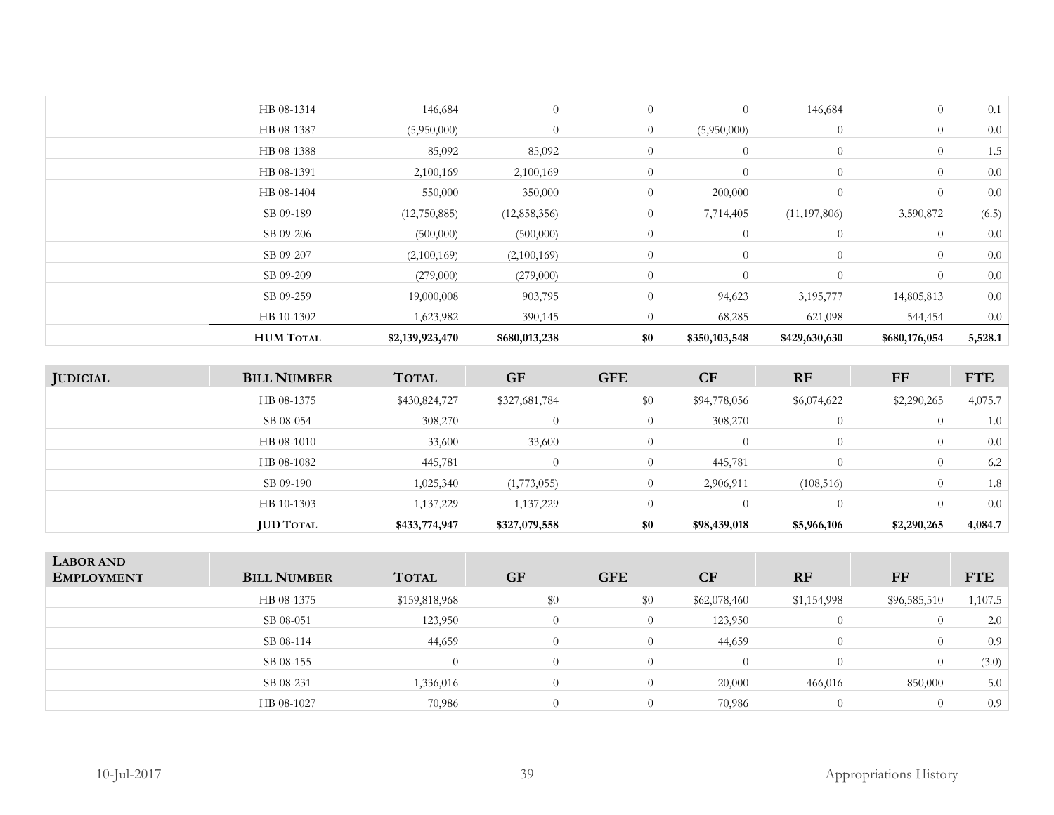| <b>HUM TOTAL</b> | \$2,139,923,470 | \$680,013,238  | \$0            | \$350,103,548  | \$429,630,630  | \$680,176,054  | 5,528.1 |
|------------------|-----------------|----------------|----------------|----------------|----------------|----------------|---------|
| HB 10-1302       | 1,623,982       | 390,145        | $\Omega$       | 68,285         | 621,098        | 544,454        | 0.0     |
| SB 09-259        | 19,000,008      | 903,795        | $\overline{0}$ | 94,623         | 3,195,777      | 14,805,813     | 0.0     |
| SB 09-209        | (279,000)       | (279,000)      | $\theta$       | $\overline{0}$ | $\overline{0}$ | $\theta$       | 0.0     |
| SB 09-207        | (2,100,169)     | (2,100,169)    | $\overline{0}$ | $\theta$       | $\theta$       | $\overline{0}$ | 0.0     |
| SB 09-206        | (500,000)       | (500,000)      | $\theta$       | $\overline{0}$ | $\overline{0}$ | $\overline{0}$ | 0.0     |
| SB 09-189        | (12,750,885)    | (12, 858, 356) | $\overline{0}$ | 7,714,405      | (11, 197, 806) | 3,590,872      | (6.5)   |
| HB 08-1404       | 550,000         | 350,000        | $\overline{0}$ | 200,000        | $\overline{0}$ | $\overline{0}$ | $0.0\,$ |
| HB 08-1391       | 2,100,169       | 2,100,169      | $\overline{0}$ | $\theta$       | $\overline{0}$ | $\overline{0}$ | 0.0     |
| HB 08-1388       | 85,092          | 85,092         | $\overline{0}$ | $\theta$       | $\overline{0}$ | $\overline{0}$ | 1.5     |
| HB 08-1387       | (5,950,000)     | $\theta$       | $\overline{0}$ | (5,950,000)    | $\theta$       | $\overline{0}$ | 0.0     |
| HB 08-1314       | 146,684         | $\theta$       | $\overline{0}$ | $\theta$       | 146,684        | $\overline{0}$ | 0.1     |
|                  |                 |                |                |                |                |                |         |

| <b>JUDICIAL</b> | <b>BILL NUMBER</b> | <b>TOTAL</b>  | <b>GF</b>     | <b>GFE</b>     | <b>CF</b>    | <b>RF</b>   | FF          | <b>FTE</b> |
|-----------------|--------------------|---------------|---------------|----------------|--------------|-------------|-------------|------------|
|                 | HB 08-1375         | \$430,824,727 | \$327,681,784 | \$0            | \$94,778,056 | \$6,074,622 | \$2,290,265 | 4,075.7    |
|                 | SB 08-054          | 308,270       |               | $\theta$       | 308,270      |             |             | 1.0        |
|                 | HB 08-1010         | 33,600        | 33,600        | $\Omega$       | $\theta$     |             |             | 0.0        |
|                 | HB 08-1082         | 445,781       |               | $\overline{0}$ | 445,781      |             |             | 6.2        |
|                 | SB 09-190          | 1,025,340     | (1,773,055)   | $\Omega$       | 2,906,911    | (108, 516)  |             | 1.8        |
|                 | HB 10-1303         | 1,137,229     | 1,137,229     |                | $\Omega$     |             |             | 0.0        |
|                 | <b>JUD TOTAL</b>   | \$433,774,947 | \$327,079,558 | \$0            | \$98,439,018 | \$5,966,106 | \$2,290,265 | 4,084.7    |

| \$0<br>HB 08-1375<br>\$159,818,968<br>\$0<br>\$62,078,460<br>\$1,154,998<br>\$96,585,510<br>SB 08-051<br>123,950<br>123,950<br>$\Omega$<br>44,659<br>44,659<br>SB 08-114<br>0<br>$\Omega$<br>SB 08-155<br>$\overline{0}$<br>$\Omega$<br>$\Omega$<br>0<br>SB 08-231<br>1,336,016<br>20,000<br>466,016<br>850,000<br>$\theta$<br>70,986<br>HB 08-1027<br>70,986<br>$\Omega$<br>$\cup$ | <b>LABOR AND</b><br><b>EMPLOYMENT</b> | <b>BILL NUMBER</b> | <b>TOTAL</b> | <b>GF</b> | <b>GFE</b> | <b>CF</b> | <b>RF</b> | FF | <b>FTE</b> |
|-------------------------------------------------------------------------------------------------------------------------------------------------------------------------------------------------------------------------------------------------------------------------------------------------------------------------------------------------------------------------------------|---------------------------------------|--------------------|--------------|-----------|------------|-----------|-----------|----|------------|
|                                                                                                                                                                                                                                                                                                                                                                                     |                                       |                    |              |           |            |           |           |    | 1,107.5    |
|                                                                                                                                                                                                                                                                                                                                                                                     |                                       |                    |              |           |            |           |           |    | 2.0        |
|                                                                                                                                                                                                                                                                                                                                                                                     |                                       |                    |              |           |            |           |           |    | 0.9        |
|                                                                                                                                                                                                                                                                                                                                                                                     |                                       |                    |              |           |            |           |           |    | (3.0)      |
|                                                                                                                                                                                                                                                                                                                                                                                     |                                       |                    |              |           |            |           |           |    | 5.0        |
|                                                                                                                                                                                                                                                                                                                                                                                     |                                       |                    |              |           |            |           |           |    | 0.9        |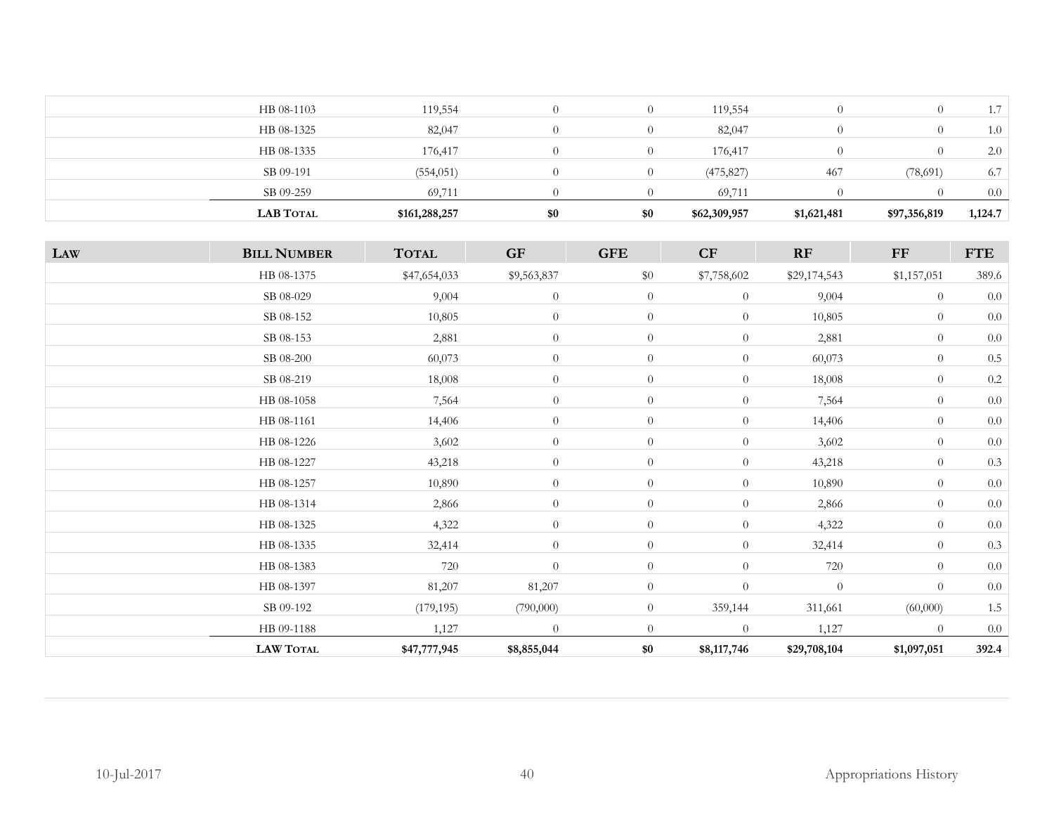| SB 09-191<br>SB 09-259 | (554, 051)<br>69,711 | $\theta$         | (475, 827)<br>69,711 | 467 | (78, 691) | 6.7<br>0.0 |
|------------------------|----------------------|------------------|----------------------|-----|-----------|------------|
| HB 08-1335             | 176,417              | $\theta$         | 176,417              |     | $\theta$  | 2.0        |
| HB 08-1325             | 82,047               | $\theta$         | 82,047               |     | $\theta$  | 1.0        |
| HB 08-1103             | 119,554              | $\left( \right)$ | 119,554              |     | $\theta$  | - 7        |

| LAW | <b>BILL NUMBER</b> | <b>TOTAL</b> | <b>GF</b>      | <b>GFE</b>     | CF               | RF           | FF             | <b>FTE</b> |
|-----|--------------------|--------------|----------------|----------------|------------------|--------------|----------------|------------|
|     | HB 08-1375         | \$47,654,033 | \$9,563,837    | $\$0$          | \$7,758,602      | \$29,174,543 | \$1,157,051    | 389.6      |
|     | SB 08-029          | 9,004        | $\theta$       | $\overline{0}$ | $\overline{0}$   | 9,004        | $\overline{0}$ | $0.0\,$    |
|     | SB 08-152          | 10,805       | $\theta$       | $\overline{0}$ | $\overline{0}$   | 10,805       | $\overline{0}$ | $0.0\,$    |
|     | SB 08-153          | 2,881        | $\overline{0}$ | $\overline{0}$ | $\overline{0}$   | 2,881        | $\overline{0}$ | $0.0\,$    |
|     | SB 08-200          | 60,073       | $\overline{0}$ | $\overline{0}$ | $\overline{0}$   | 60,073       | $\overline{0}$ | $0.5\,$    |
|     | SB 08-219          | 18,008       | $\overline{0}$ | $\overline{0}$ | $\overline{0}$   | 18,008       | $\theta$       | $0.2\,$    |
|     | HB 08-1058         | 7,564        | $\overline{0}$ | $\overline{0}$ | $\theta$         | 7,564        | $\overline{0}$ | $0.0\,$    |
|     | HB 08-1161         | 14,406       | $\overline{0}$ | $\overline{0}$ | $\theta$         | 14,406       | $\overline{0}$ | 0.0        |
|     | HB 08-1226         | 3,602        | $\overline{0}$ | $\overline{0}$ | $\overline{0}$   | 3,602        | $\overline{0}$ | $0.0\,$    |
|     | HB 08-1227         | 43,218       | $\overline{0}$ | $\overline{0}$ | $\overline{0}$   | 43,218       | $\overline{0}$ | 0.3        |
|     | HB 08-1257         | 10,890       | $\overline{0}$ | $\overline{0}$ | $\overline{0}$   | 10,890       | $\overline{0}$ | $0.0\,$    |
|     | HB 08-1314         | 2,866        | $\overline{0}$ | $\overline{0}$ | $\overline{0}$   | 2,866        | $\overline{0}$ | $0.0\,$    |
|     | HB 08-1325         | 4,322        | $\overline{0}$ | $\overline{0}$ | $\theta$         | 4,322        | $\overline{0}$ | 0.0        |
|     | HB 08-1335         | 32,414       | $\theta$       | $\overline{0}$ | $\overline{0}$   | 32,414       | $\overline{0}$ | 0.3        |
|     | HB 08-1383         | 720          | $\overline{0}$ | $\overline{0}$ | $\theta$         | 720          | $\overline{0}$ | $0.0\,$    |
|     | HB 08-1397         | 81,207       | 81,207         | $\overline{0}$ | $\boldsymbol{0}$ | $\theta$     | $\overline{0}$ | $0.0\,$    |
|     | SB 09-192          | (179, 195)   | (790,000)      | $\overline{0}$ | 359,144          | 311,661      | (60,000)       | 1.5        |
|     | HB 09-1188         | 1,127        | $\theta$       | $\overline{0}$ | $\overline{0}$   | 1,127        | $\overline{0}$ | $0.0\,$    |
|     | <b>LAW TOTAL</b>   | \$47,777,945 | \$8,855,044    | \$0            | \$8,117,746      | \$29,708,104 | \$1,097,051    | 392.4      |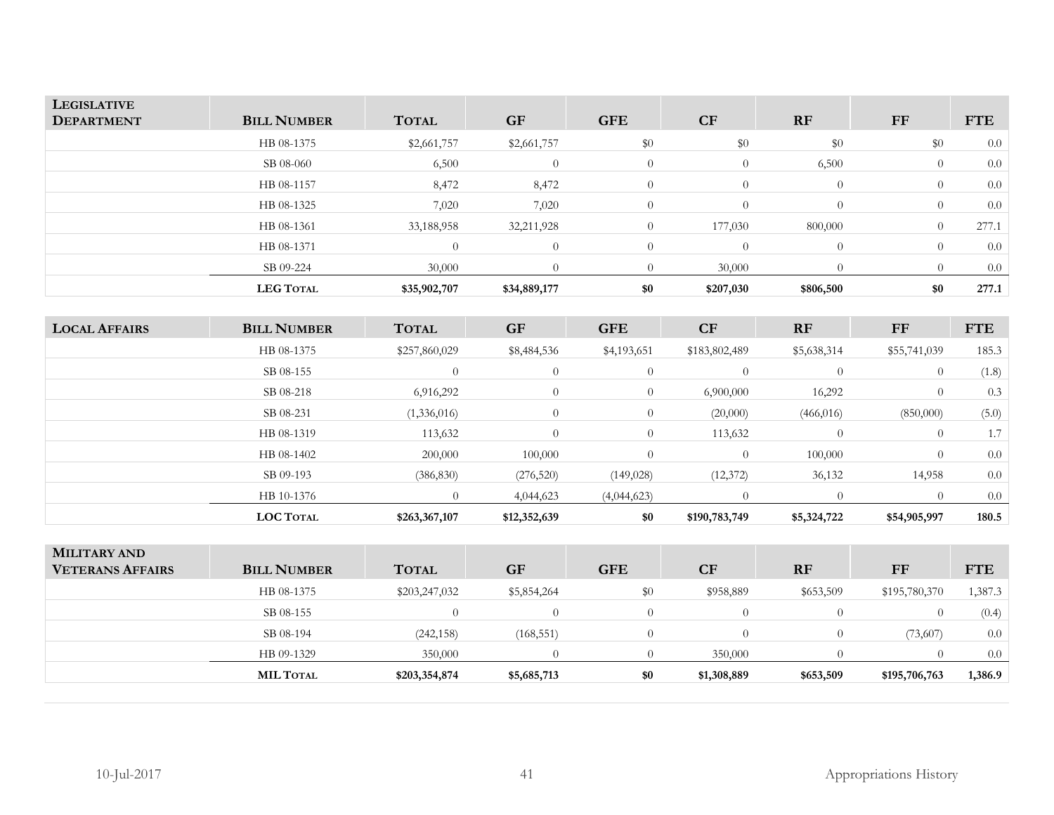| <b>LEGISLATIVE</b><br><b>DEPARTMENT</b> | <b>BILL NUMBER</b> | <b>TOTAL</b> | <b>GF</b>    | <b>GFE</b>     | CF        | <b>RF</b> | FF       | <b>FTE</b> |
|-----------------------------------------|--------------------|--------------|--------------|----------------|-----------|-----------|----------|------------|
|                                         | HB 08-1375         | \$2,661,757  | \$2,661,757  | \$0            | \$0       | \$0       | \$0      | 0.0        |
|                                         | SB 08-060          | 6,500        |              | $\overline{0}$ | $\theta$  | 6,500     | $\theta$ | 0.0        |
|                                         | HB 08-1157         | 8,472        | 8,472        | $\overline{0}$ |           | $\Omega$  | $\theta$ | 0.0        |
|                                         | HB 08-1325         | 7,020        | 7,020        | $\overline{0}$ | $\Omega$  | $\theta$  | $\Omega$ | 0.0        |
|                                         | HB 08-1361         | 33,188,958   | 32,211,928   | $\Omega$       | 177,030   | 800,000   | $\theta$ | 277.1      |
|                                         | HB 08-1371         | $\Omega$     | $\Omega$     | $\Omega$       | $\Omega$  | $\Omega$  | $\Omega$ | 0.0        |
|                                         | SB 09-224          | 30,000       |              |                | 30,000    | $\Omega$  |          | 0.0        |
|                                         | <b>LEG TOTAL</b>   | \$35,902,707 | \$34,889,177 | \$0            | \$207,030 | \$806,500 | \$0      | 277.1      |

| <b>LOCAL AFFAIRS</b> | <b>BILL NUMBER</b> | <b>TOTAL</b>  | <b>GF</b>    | <b>GFE</b>     | CF            | <b>RF</b>   | FF             | <b>FTE</b> |
|----------------------|--------------------|---------------|--------------|----------------|---------------|-------------|----------------|------------|
|                      | HB 08-1375         | \$257,860,029 | \$8,484,536  | \$4,193,651    | \$183,802,489 | \$5,638,314 | \$55,741,039   | 185.3      |
|                      | SB 08-155          | $\Omega$      | $\theta$     | $\overline{0}$ | $\theta$      | $\theta$    | $\theta$       | (1.8)      |
|                      | SB 08-218          | 6,916,292     | $\theta$     | $\overline{0}$ | 6,900,000     | 16,292      | $\theta$       | 0.3        |
|                      | SB 08-231          | (1,336,016)   | $\theta$     | $\overline{0}$ | (20,000)      | (466, 016)  | (850,000)      | (5.0)      |
|                      | HB 08-1319         | 113,632       | $\Omega$     | $\overline{0}$ | 113,632       | $\Omega$    | $\overline{0}$ | 1.7        |
|                      | HB 08-1402         | 200,000       | 100,000      |                | $\theta$      | 100,000     | $\Omega$       | 0.0        |
|                      | SB 09-193          | (386, 830)    | (276, 520)   | (149, 028)     | (12, 372)     | 36,132      | 14,958         | 0.0        |
|                      | HB 10-1376         | 0.            | 4,044,623    | (4,044,623)    |               |             | $\Omega$       | 0.0        |
|                      | <b>LOC TOTAL</b>   | \$263,367,107 | \$12,352,639 | \$0            | \$190,783,749 | \$5,324,722 | \$54,905,997   | 180.5      |

| <b>MILITARY AND</b><br><b>VETERANS AFFAIRS</b> | <b>BILL NUMBER</b> | <b>TOTAL</b>  | <b>GF</b>   | <b>GFE</b> | CF          | <b>RF</b> | FF            | <b>FTE</b> |
|------------------------------------------------|--------------------|---------------|-------------|------------|-------------|-----------|---------------|------------|
|                                                | HB 08-1375         | \$203,247,032 | \$5,854,264 | $\$0$      | \$958,889   | \$653,509 | \$195,780,370 | 1,387.3    |
|                                                | SB 08-155          |               |             |            | $\theta$    |           | $\Omega$      | (0.4)      |
|                                                | SB 08-194          | (242, 158)    | (168, 551)  |            |             |           | (73,607)      | 0.0        |
|                                                | HB 09-1329         | 350,000       |             |            | 350,000     |           |               | 0.0        |
|                                                | <b>MIL TOTAL</b>   | \$203,354,874 | \$5,685,713 | \$0        | \$1,308,889 | \$653,509 | \$195,706,763 | 1,386.9    |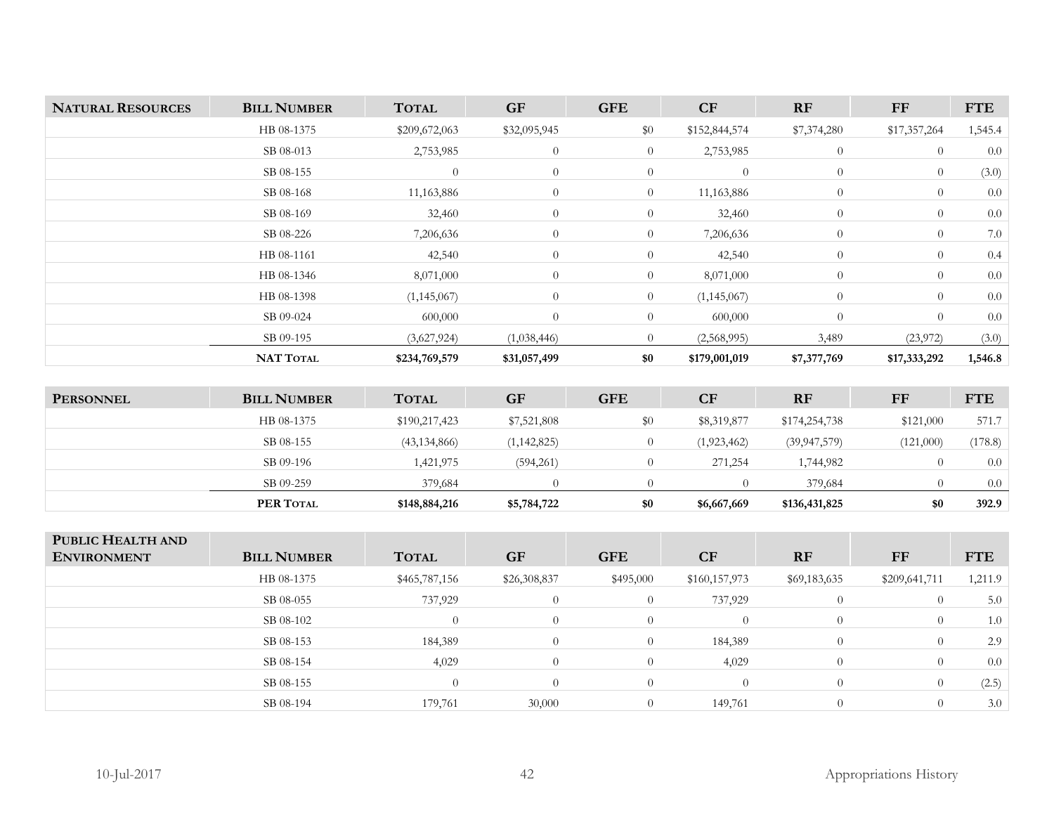| <b>NATURAL RESOURCES</b> | <b>BILL NUMBER</b> | <b>TOTAL</b>  | <b>GF</b>      | <b>GFE</b>     | CF             | <b>RF</b>      | FF             | <b>FTE</b> |
|--------------------------|--------------------|---------------|----------------|----------------|----------------|----------------|----------------|------------|
|                          | HB 08-1375         | \$209,672,063 | \$32,095,945   | \$0            | \$152,844,574  | \$7,374,280    | \$17,357,264   | 1,545.4    |
|                          | SB 08-013          | 2,753,985     | $\theta$       | $\overline{0}$ | 2,753,985      | $\overline{0}$ | $\overline{0}$ | 0.0        |
|                          | SB 08-155          | $\theta$      | $\theta$       | $\overline{0}$ | $\overline{0}$ | $\overline{0}$ | $\theta$       | (3.0)      |
|                          | SB 08-168          | 11,163,886    | $\theta$       | $\overline{0}$ | 11,163,886     | $\overline{0}$ | $\theta$       | 0.0        |
|                          | SB 08-169          | 32,460        | $\theta$       | $\overline{0}$ | 32,460         | $\overline{0}$ | $\theta$       | 0.0        |
|                          | SB 08-226          | 7,206,636     | $\theta$       | $\overline{0}$ | 7,206,636      | $\overline{0}$ | $\overline{0}$ | 7.0        |
|                          | HB 08-1161         | 42,540        | $\theta$       | $\overline{0}$ | 42,540         | $\overline{0}$ | $\overline{0}$ | 0.4        |
|                          | HB 08-1346         | 8,071,000     | $\theta$       | $\overline{0}$ | 8,071,000      | $\overline{0}$ | $\Omega$       | 0.0        |
|                          | HB 08-1398         | (1, 145, 067) | $\overline{0}$ | $\overline{0}$ | (1, 145, 067)  | $\overline{0}$ | $\Omega$       | 0.0        |
|                          | SB 09-024          | 600,000       | $\theta$       | $\overline{0}$ | 600,000        | $\overline{0}$ | $\theta$       | 0.0        |
|                          | SB 09-195          | (3,627,924)   | (1,038,446)    | $\overline{0}$ | (2,568,995)    | 3,489          | (23, 972)      | (3.0)      |
|                          | <b>NAT TOTAL</b>   | \$234,769,579 | \$31,057,499   | \$0            | \$179,001,019  | \$7,377,769    | \$17,333,292   | 1,546.8    |

| <b>PERSONNEL</b> | <b>BILL NUMBER</b> | <b>TOTAL</b>   | <b>GF</b>     | <b>GFE</b> | CF          | RF             | <b>FF</b> | <b>FTE</b> |
|------------------|--------------------|----------------|---------------|------------|-------------|----------------|-----------|------------|
|                  | HB 08-1375         | \$190,217,423  | \$7,521,808   | $\$0$      | \$8,319,877 | \$174,254,738  | \$121,000 | 571.7      |
|                  | SB 08-155          | (43, 134, 866) | (1, 142, 825) |            | (1,923,462) | (39, 947, 579) | (121,000) | (178.8)    |
|                  | SB 09-196          | 1,421,975      | (594,261)     |            | 271,254     | 1,744,982      |           | 0.0        |
|                  | SB 09-259          | 379,684        |               |            |             | 379,684        |           | 0.0        |
|                  | PER TOTAL          | \$148,884,216  | \$5,784,722   | \$0        | \$6,667,669 | \$136,431,825  | \$0       | 392.9      |

| PUBLIC HEALTH AND<br><b>ENVIRONMENT</b> | <b>BILL NUMBER</b> | <b>TOTAL</b>  | <b>GF</b>      | <b>GFE</b> | <b>CF</b>      | <b>RF</b>      | FF            | <b>FTE</b> |
|-----------------------------------------|--------------------|---------------|----------------|------------|----------------|----------------|---------------|------------|
|                                         | HB 08-1375         | \$465,787,156 | \$26,308,837   | \$495,000  | \$160,157,973  | \$69,183,635   | \$209,641,711 | 1,211.9    |
|                                         | SB 08-055          | 737,929       | $\overline{0}$ | 0          | 737,929        | $\theta$       |               | 5.0        |
|                                         | SB 08-102          | $\Omega$      | $\Omega$       |            | $\overline{0}$ | $\overline{0}$ |               | 1.0        |
|                                         | SB 08-153          | 184,389       | $\Omega$       |            | 184,389        | $\Omega$       |               | 2.9        |
|                                         | SB 08-154          | 4,029         | $\Omega$       | $\Omega$   | 4,029          | $\theta$       | $\left($      | 0.0        |
|                                         | SB 08-155          | $\Omega$      | $\Omega$       |            | $\overline{0}$ | $\Omega$       | $\Omega$      | (2.5)      |
|                                         | SB 08-194          | 179,761       | 30,000         |            | 149,761        | $\Omega$       |               | 3.0        |
|                                         |                    |               |                |            |                |                |               |            |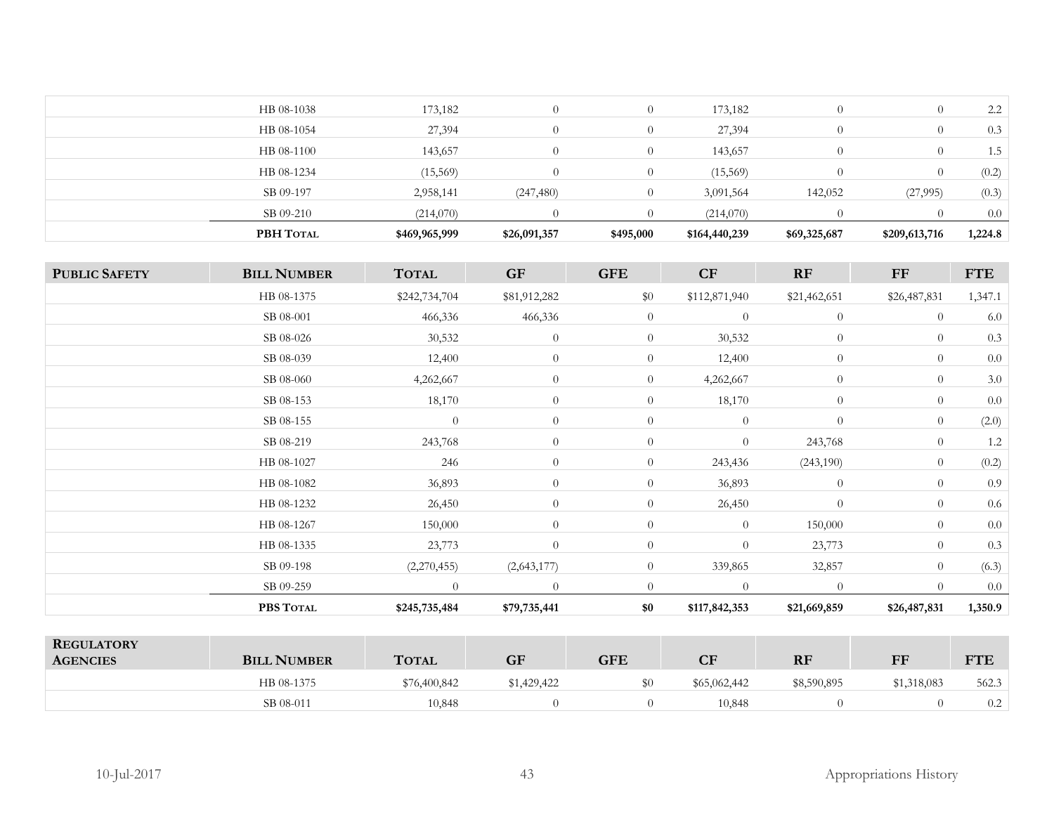| 173,182<br>2.2<br>HB 08-1038<br>173,182<br>$\overline{0}$<br>HB 08-1054<br>27,394<br>27,394<br>0.3<br>$\overline{0}$<br>HB 08-1100<br>143,657<br>143,657<br>1.5<br>$\overline{0}$<br>(0.2)<br>(15,569)<br>(15,569)<br>HB 08-1234<br>$\overline{0}$<br>(0.3)<br>SB 09-197<br>2,958,141<br>(247, 480)<br>142,052<br>(27,995)<br>$\Omega$<br>3,091,564<br>SB 09-210<br>(214,070)<br>0.0<br>(214,070) | PBH TOTAL | \$469,965,999 | \$26,091,357 | \$495,000 | \$164,440,239 | \$69,325,687 | \$209,613,716 | 1,224.8 |
|---------------------------------------------------------------------------------------------------------------------------------------------------------------------------------------------------------------------------------------------------------------------------------------------------------------------------------------------------------------------------------------------------|-----------|---------------|--------------|-----------|---------------|--------------|---------------|---------|
|                                                                                                                                                                                                                                                                                                                                                                                                   |           |               |              |           |               |              |               |         |
|                                                                                                                                                                                                                                                                                                                                                                                                   |           |               |              |           |               |              |               |         |
|                                                                                                                                                                                                                                                                                                                                                                                                   |           |               |              |           |               |              |               |         |
|                                                                                                                                                                                                                                                                                                                                                                                                   |           |               |              |           |               |              |               |         |
|                                                                                                                                                                                                                                                                                                                                                                                                   |           |               |              |           |               |              |               |         |
|                                                                                                                                                                                                                                                                                                                                                                                                   |           |               |              |           |               |              |               |         |

| <b>PUBLIC SAFETY</b> | <b>BILL NUMBER</b> | <b>TOTAL</b>   | <b>GF</b>      | <b>GFE</b>     | CF             | RF             | $\bf FF$       | <b>FTE</b> |
|----------------------|--------------------|----------------|----------------|----------------|----------------|----------------|----------------|------------|
|                      | HB 08-1375         | \$242,734,704  | \$81,912,282   | \$0            | \$112,871,940  | \$21,462,651   | \$26,487,831   | 1,347.1    |
|                      | SB 08-001          | 466,336        | 466,336        | $\overline{0}$ | $\overline{0}$ | $\theta$       | $\theta$       | 6.0        |
|                      | SB 08-026          | 30,532         | $\overline{0}$ | $\overline{0}$ | 30,532         | $\overline{0}$ | $\theta$       | 0.3        |
|                      | SB 08-039          | 12,400         | $\overline{0}$ | $\overline{0}$ | 12,400         | $\overline{0}$ | $\theta$       | 0.0        |
|                      | SB 08-060          | 4,262,667      | $\overline{0}$ | $\overline{0}$ | 4,262,667      | $\overline{0}$ | $\theta$       | $3.0\,$    |
|                      | SB 08-153          | 18,170         | $\overline{0}$ | $\overline{0}$ | 18,170         | $\overline{0}$ | $\theta$       | 0.0        |
|                      | SB 08-155          | $\overline{0}$ | $\theta$       | $\overline{0}$ | $\overline{0}$ | $\theta$       | $\theta$       | (2.0)      |
|                      | SB 08-219          | 243,768        | $\overline{0}$ | $\overline{0}$ | $\overline{0}$ | 243,768        | $\theta$       | 1.2        |
|                      | HB 08-1027         | 246            | $\overline{0}$ | $\overline{0}$ | 243,436        | (243, 190)     | $\overline{0}$ | (0.2)      |
|                      | HB 08-1082         | 36,893         | $\overline{0}$ | $\overline{0}$ | 36,893         | $\overline{0}$ | $\theta$       | 0.9        |
|                      | HB 08-1232         | 26,450         | $\overline{0}$ | $\overline{0}$ | 26,450         | $\overline{0}$ | $\theta$       | 0.6        |
|                      | HB 08-1267         | 150,000        | $\overline{0}$ | $\overline{0}$ | $\overline{0}$ | 150,000        | $\theta$       | 0.0        |
|                      | HB 08-1335         | 23,773         | $\theta$       | $\overline{0}$ | $\overline{0}$ | 23,773         | $\theta$       | 0.3        |
|                      | SB 09-198          | (2,270,455)    | (2,643,177)    | $\overline{0}$ | 339,865        | 32,857         | $\theta$       | (6.3)      |
|                      | SB 09-259          | $\overline{0}$ | $\theta$       | $\overline{0}$ | $\theta$       | $\theta$       | $\Omega$       | 0.0        |
|                      | PBS TOTAL          | \$245,735,484  | \$79,735,441   | \$0            | \$117,842,353  | \$21,669,859   | \$26,487,831   | 1,350.9    |

| <b>REGULATORY</b><br><b>AGENCIES</b> | <b>BILL NUMBER</b> | <b>TOTAL</b> | <b>GF</b>   | GFE | $\bf CF$     | <b>RF</b>   | FF          | <b>TTE</b><br>FIL |
|--------------------------------------|--------------------|--------------|-------------|-----|--------------|-------------|-------------|-------------------|
|                                      | HB 08-1375         | \$76,400,842 | \$1,429,422 |     | \$65,062,442 | \$8,590,895 | \$1,318,083 | 562.3             |
|                                      | SB 08-011          | 10.848       |             |     | 10,848       |             |             | 0.2               |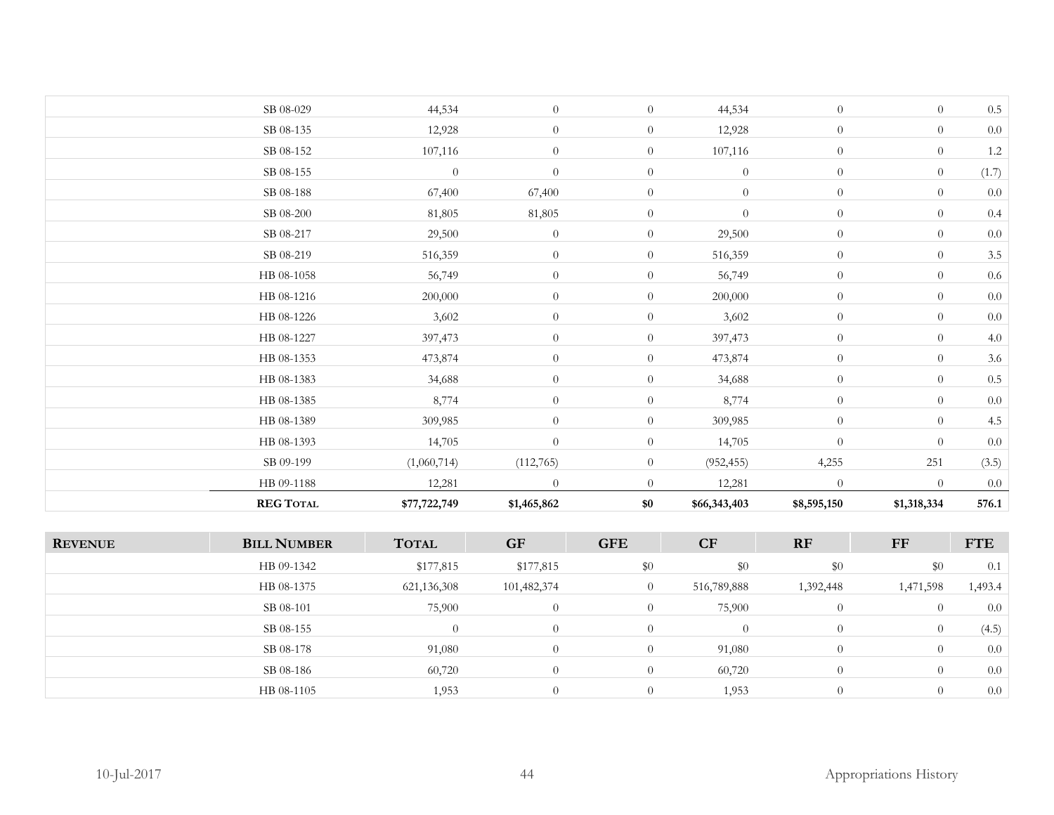| <b>REG TOTAL</b> | \$77,722,749   | \$1,465,862      | \$0            | \$66,343,403     | \$8,595,150      | \$1,318,334    | 576.1   |
|------------------|----------------|------------------|----------------|------------------|------------------|----------------|---------|
| HB 09-1188       | 12,281         | $\theta$         | $\theta$       | 12,281           | $\overline{0}$   | $\overline{0}$ | 0.0     |
| SB 09-199        | (1,060,714)    | (112, 765)       | $\overline{0}$ | (952, 455)       | 4,255            | 251            | (3.5)   |
| HB 08-1393       | 14,705         | $\theta$         | $\overline{0}$ | 14,705           | $\overline{0}$   | $\overline{0}$ | $0.0\,$ |
| HB 08-1389       | 309,985        | $\theta$         | $\overline{0}$ | 309,985          | $\theta$         | $\overline{0}$ | 4.5     |
| HB 08-1385       | 8,774          | $\theta$         | $\overline{0}$ | 8,774            | $\theta$         | $\overline{0}$ | $0.0\,$ |
| HB 08-1383       | 34,688         | $\overline{0}$   | $\overline{0}$ | 34,688           | $\boldsymbol{0}$ | $\overline{0}$ | $0.5\,$ |
| HB 08-1353       | 473,874        | $\overline{0}$   | $\overline{0}$ | 473,874          | $\boldsymbol{0}$ | $\overline{0}$ | 3.6     |
| HB 08-1227       | 397,473        | $\theta$         | $\overline{0}$ | 397,473          | $\theta$         | $\overline{0}$ | 4.0     |
| HB 08-1226       | 3,602          | $\overline{0}$   | $\overline{0}$ | 3,602            | $\overline{0}$   | $\overline{0}$ | $0.0\,$ |
| HB 08-1216       | 200,000        | $\theta$         | $\overline{0}$ | 200,000          | $\theta$         | $\overline{0}$ | 0.0     |
| HB 08-1058       | 56,749         | $\theta$         | $\overline{0}$ | 56,749           | $\theta$         | $\overline{0}$ | $0.6\,$ |
| SB 08-219        | 516,359        | $\theta$         | $\overline{0}$ | 516,359          | $\overline{0}$   | $\overline{0}$ | $3.5\,$ |
| SB 08-217        | 29,500         | $\overline{0}$   | $\overline{0}$ | 29,500           | $\theta$         | $\overline{0}$ | $0.0\,$ |
| SB 08-200        | 81,805         | 81,805           | $\overline{0}$ | $\boldsymbol{0}$ | $\theta$         | $\overline{0}$ | 0.4     |
| SB 08-188        | 67,400         | 67,400           | $\overline{0}$ | $\overline{0}$   | $\overline{0}$   | $\overline{0}$ | 0.0     |
| SB 08-155        | $\overline{0}$ | $\overline{0}$   | $\overline{0}$ | $\boldsymbol{0}$ | $\overline{0}$   | $\overline{0}$ | (1.7)   |
| SB 08-152        | 107,116        | $\theta$         | $\overline{0}$ | 107,116          | $\overline{0}$   | $\overline{0}$ | $1.2\,$ |
| SB 08-135        | 12,928         | $\theta$         | $\overline{0}$ | 12,928           | $\theta$         | $\overline{0}$ | 0.0     |
| SB 08-029        | 44,534         | $\boldsymbol{0}$ | $\overline{0}$ | 44,534           | $\theta$         | $\overline{0}$ | $0.5\,$ |

| <b>REVENUE</b> | <b>BILL NUMBER</b> | <b>TOTAL</b>  | <b>GF</b>   | <b>GFE</b> | CF             | <b>RF</b> | FF             | <b>FTE</b> |
|----------------|--------------------|---------------|-------------|------------|----------------|-----------|----------------|------------|
|                | HB 09-1342         | \$177,815     | \$177,815   | \$0        | \$0            | \$0       | \$0            | 0.1        |
|                | HB 08-1375         | 621, 136, 308 | 101,482,374 |            | 516,789,888    | 1,392,448 | 1,471,598      | 1,493.4    |
|                | SB 08-101          | 75,900        |             |            | 75,900         | $\Omega$  | $\theta$       | 0.0        |
|                | SB 08-155          | $\Omega$      |             |            | $\overline{0}$ | $\theta$  | $\overline{0}$ | (4.5)      |
|                | SB 08-178          | 91,080        |             |            | 91,080         |           | $\theta$       | 0.0        |
|                | SB 08-186          | 60,720        |             |            | 60,720         |           |                | 0.0        |
|                | HB 08-1105         | 1,953         |             |            | 1,953          | $\theta$  | $\Omega$       | 0.0        |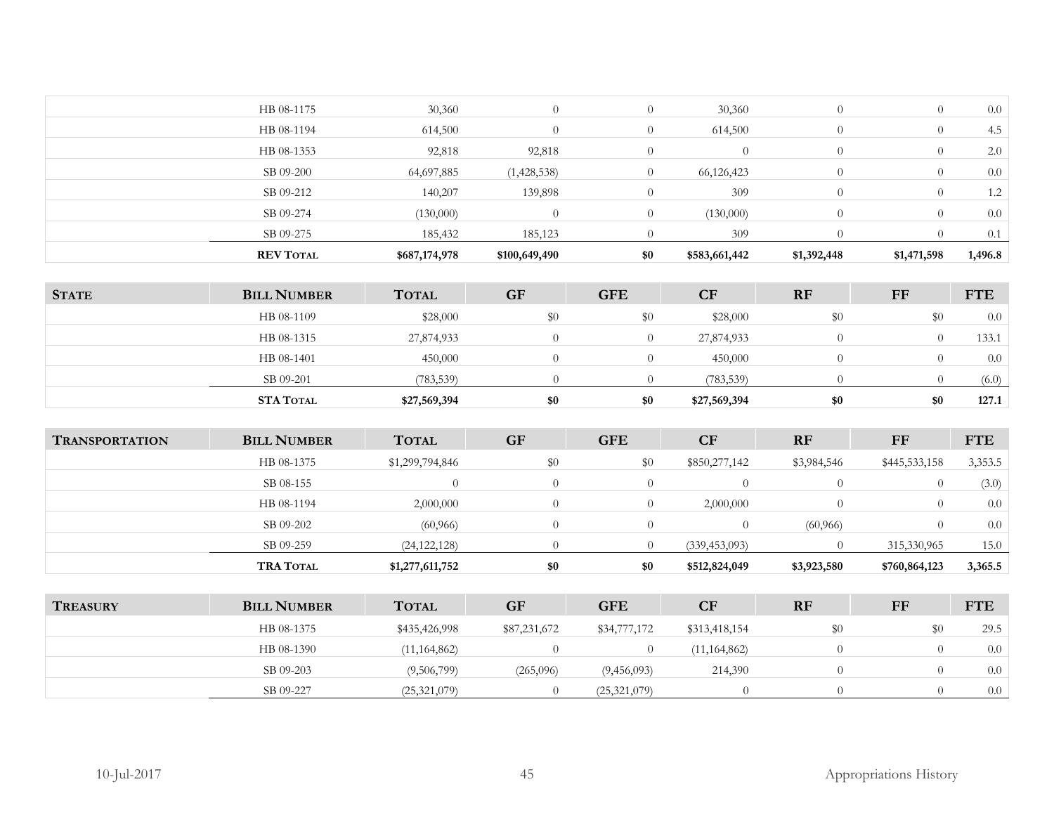| <b>REV TOTAL</b> | \$687,174,978 | \$100,649,490 | \$0      | \$583,661,442 | \$1,392,448 | \$1,471,598      | 1,496.8 |
|------------------|---------------|---------------|----------|---------------|-------------|------------------|---------|
| SB 09-275        | 185,432       | 185,123       |          | 309           |             |                  | 0.1     |
| SB 09-274        | (130,000)     |               | $\Omega$ | (130,000)     | $\Omega$    | $\left($         | 0.0     |
| SB 09-212        | 140,207       | 139,898       |          | 309           |             | $\left( \right)$ | 1.2     |
| SB 09-200        | 64,697,885    | (1,428,538)   | 0        | 66,126,423    |             | $\left( \right)$ | 0.0     |
| HB 08-1353       | 92,818        | 92,818        | $\Omega$ |               | $\Omega$    | $\theta$         | 2.0     |
| HB 08-1194       | 614,500       |               | $\theta$ | 614,500       | $\Omega$    | $\theta$         | 4.5     |
| HB 08-1175       | 30,360        |               | 0        | 30,360        | $\Omega$    | $\theta$         | 0.0     |
|                  |               |               |          |               |             |                  |         |

| <b>STATE</b> | <b>BILL NUMBER</b> | <b>TOTAL</b> | <b>GF</b> | <b>GFE</b> | <b>CF</b>    | <b>RF</b> | FF  | <b>FTE</b> |
|--------------|--------------------|--------------|-----------|------------|--------------|-----------|-----|------------|
|              | HB 08-1109         | \$28,000     | \$0       | \$0        | \$28,000     | $\$0$     | \$0 | 0.0        |
|              | HB 08-1315         | 27,874,933   |           |            | 27,874,933   |           |     | 133.1      |
|              | HB 08-1401         | 450,000      |           |            | 450,000      |           |     | 0.0        |
|              | SB 09-201          | (783, 539)   |           |            | (783, 539)   |           |     | (6.0)      |
|              | <b>STA TOTAL</b>   | \$27,569,394 | \$0       | \$0        | \$27,569,394 | \$0       | \$0 | 127.1      |

| <b>TRANSPORTATION</b> | <b>BILL NUMBER</b> | <b>TOTAL</b>    | <b>GF</b> | <b>GFE</b> | <b>CF</b>       | <b>RF</b>   | FF            | <b>FTE</b> |
|-----------------------|--------------------|-----------------|-----------|------------|-----------------|-------------|---------------|------------|
|                       | HB 08-1375         | \$1,299,794,846 | \$0       | \$0        | \$850,277,142   | \$3,984,546 | \$445,533,158 | 3,353.5    |
|                       | SB 08-155          |                 | $\Omega$  |            |                 |             |               | (3.0)      |
|                       | HB 08-1194         | 2,000,000       | $\Omega$  |            | 2,000,000       |             |               | 0.0        |
|                       | SB 09-202          | (60, 966)       | $\Omega$  |            |                 | (60, 966)   |               | 0.0        |
|                       | SB 09-259          | (24, 122, 128)  |           |            | (339, 453, 093) |             | 315,330,965   | 15.0       |
|                       | <b>TRA TOTAL</b>   | \$1,277,611,752 | \$0       | \$0        | \$512,824,049   | \$3,923,580 | \$760,864,123 | 3,365.5    |

| <b>TREASURY</b> | <b>BILL NUMBER</b> | <b>TOTAL</b>   | <b>GF</b>    | <b>GFE</b>     | CF             | <b>RF</b> | FF  | <b>FTE</b> |
|-----------------|--------------------|----------------|--------------|----------------|----------------|-----------|-----|------------|
|                 | HB 08-1375         | \$435,426,998  | \$87,231,672 | \$34,777,172   | \$313,418,154  | \$0       | \$0 | 29.5       |
|                 | HB 08-1390         | (11, 164, 862) |              |                | (11, 164, 862) |           |     | 0.0        |
|                 | SB 09-203          | (9,506,799)    | (265,096)    | (9,456,093)    | 214,390        |           |     | 0.0        |
|                 | SB 09-227          | (25,321,079)   |              | (25, 321, 079) |                |           |     | 0.0        |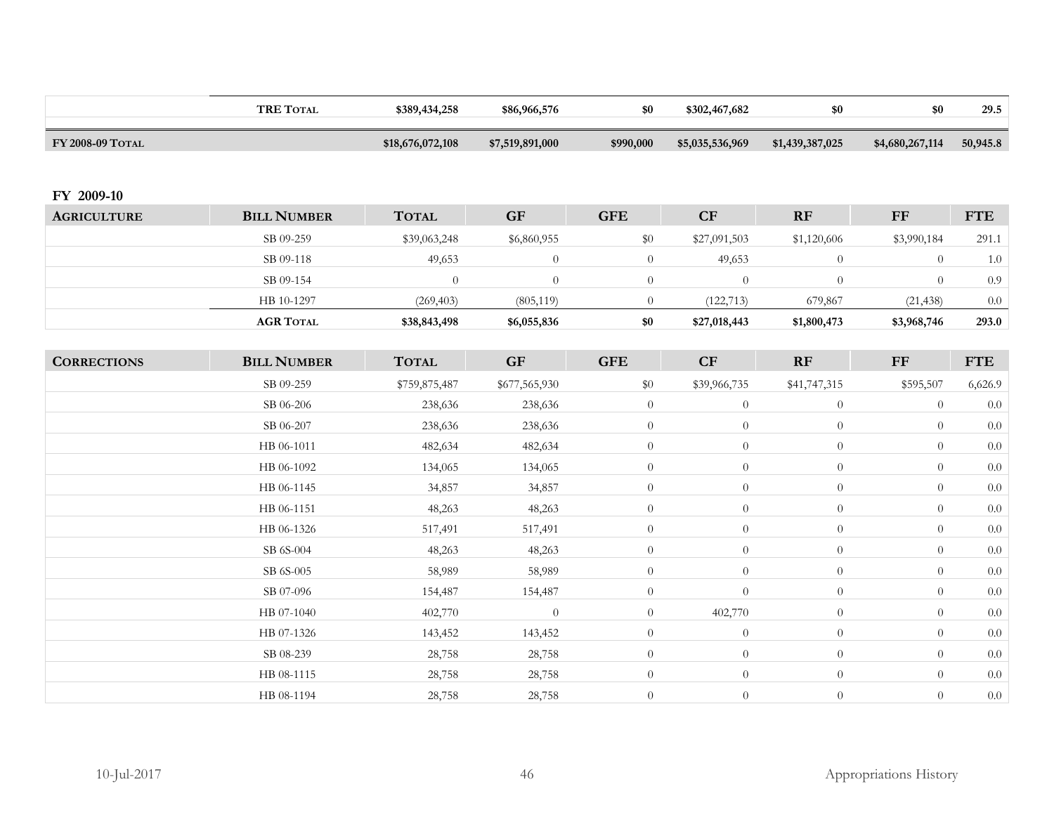|                    | <b>TRE TOTAL</b>   | \$389,434,258    | \$86,966,576     | \$0            | \$302,467,682    | \$0             | \$0             | 29.5       |
|--------------------|--------------------|------------------|------------------|----------------|------------------|-----------------|-----------------|------------|
| FY 2008-09 TOTAL   |                    | \$18,676,072,108 | \$7,519,891,000  | \$990,000      | \$5,035,536,969  | \$1,439,387,025 | \$4,680,267,114 | 50,945.8   |
|                    |                    |                  |                  |                |                  |                 |                 |            |
| FY 2009-10         |                    |                  |                  |                |                  |                 |                 |            |
| <b>AGRICULTURE</b> | <b>BILL NUMBER</b> | <b>TOTAL</b>     | <b>GF</b>        | <b>GFE</b>     | CF               | RF              | $\rm FF$        | <b>FTE</b> |
|                    | SB 09-259          | \$39,063,248     | \$6,860,955      | \$0            | \$27,091,503     | \$1,120,606     | \$3,990,184     | 291.1      |
|                    | SB 09-118          | 49,653           | $\boldsymbol{0}$ | $\theta$       | 49,653           | $\theta$        | $\overline{0}$  | $1.0\,$    |
|                    | SB 09-154          | $\overline{0}$   | $\boldsymbol{0}$ | $\overline{0}$ | $\theta$         | $\overline{0}$  | $\overline{0}$  | 0.9        |
|                    | HB 10-1297         | (269, 403)       | (805, 119)       | $\overline{0}$ | (122, 713)       | 679,867         | (21, 438)       | $0.0\,$    |
|                    | <b>AGR TOTAL</b>   | \$38,843,498     | \$6,055,836      | $\$0$          | \$27,018,443     | \$1,800,473     | \$3,968,746     | 293.0      |
|                    |                    |                  |                  |                |                  |                 |                 |            |
| <b>CORRECTIONS</b> | <b>BILL NUMBER</b> | <b>TOTAL</b>     | <b>GF</b>        | <b>GFE</b>     | CF               | RF              | $\bf FF$        | <b>FTE</b> |
|                    | SB 09-259          | \$759,875,487    | \$677,565,930    | \$0            | \$39,966,735     | \$41,747,315    | \$595,507       | 6,626.9    |
|                    | SB 06-206          | 238,636          | 238,636          | $\theta$       | $\theta$         | $\overline{0}$  | $\theta$        | $0.0\,$    |
|                    | SB 06-207          | 238,636          | 238,636          | $\theta$       | $\theta$         | $\overline{0}$  | $\overline{0}$  | $0.0\,$    |
|                    | HB 06-1011         | 482,634          | 482,634          | $\overline{0}$ | $\boldsymbol{0}$ | $\overline{0}$  | $\theta$        | $0.0\,$    |
|                    | HB 06-1092         | 134,065          | 134,065          | $\overline{0}$ | $\theta$         | $\overline{0}$  | $\overline{0}$  | $0.0\,$    |
|                    | HB 06-1145         | 34,857           | 34,857           | $\overline{0}$ | $\overline{0}$   | $\overline{0}$  | $\overline{0}$  | $0.0\,$    |
|                    | HB 06-1151         | 48,263           | 48,263           | $\overline{0}$ | $\boldsymbol{0}$ | $\overline{0}$  | $\overline{0}$  | $0.0\,$    |
|                    | HB 06-1326         | 517,491          | 517,491          | $\overline{0}$ | $\overline{0}$   | $\overline{0}$  | $\theta$        | 0.0        |
|                    | SB 6S-004          | 48,263           | 48,263           | $\overline{0}$ | $\boldsymbol{0}$ | $\theta$        | $\theta$        | $0.0\,$    |
|                    | SB 6S-005          | 58,989           | 58,989           | $\theta$       | $\overline{0}$   | $\overline{0}$  | $\overline{0}$  | $0.0\,$    |
|                    | SB 07-096          | 154,487          | 154,487          | $\overline{0}$ | $\boldsymbol{0}$ | $\theta$        | $\overline{0}$  | 0.0        |
|                    | HB 07-1040         | 402,770          | $\overline{0}$   | $\overline{0}$ | 402,770          | $\overline{0}$  | $\overline{0}$  | $0.0\,$    |
|                    | HB 07-1326         | 143,452          | 143,452          | $\overline{0}$ | $\theta$         | $\overline{0}$  | $\theta$        | $0.0\,$    |
|                    | SB 08-239          | 28,758           | 28,758           | $\overline{0}$ | $\overline{0}$   | $\overline{0}$  | $\overline{0}$  | $0.0\,$    |
|                    | HB 08-1115         | 28,758           | 28,758           | $\overline{0}$ | $\overline{0}$   | $\overline{0}$  | $\overline{0}$  | $0.0\,$    |
|                    | HB 08-1194         | 28,758           | 28,758           | $\overline{0}$ | $\overline{0}$   | $\theta$        | $\theta$        | $0.0\,$    |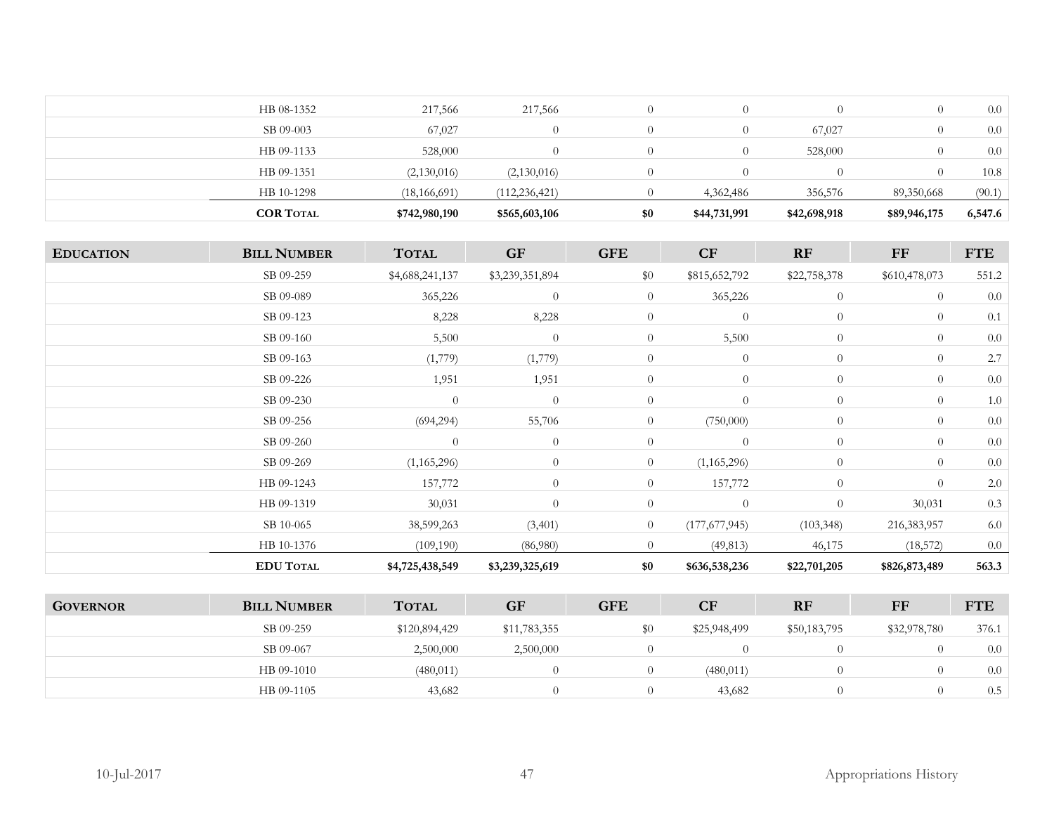| <b>COR TOTAL</b> | \$742,980,190  | \$565,603,106   | \$0      | \$44,731,991 | \$42,698,918 | \$89,946,175 | 6,547.6 |
|------------------|----------------|-----------------|----------|--------------|--------------|--------------|---------|
| HB 10-1298       | (18, 166, 691) | (112, 236, 421) |          | 4,362,486    | 356,576      | 89,350,668   | (90.1)  |
| HB 09-1351       | (2,130,016)    | (2,130,016)     |          |              |              |              | 10.8    |
| HB 09-1133       | 528,000        | $\theta$        | $\theta$ |              | 528,000      |              | 0.0     |
| SB 09-003        | 67,027         | $\theta$        |          |              | 67,027       |              | 0.0     |
| HB 08-1352       | 217,566        | 217,566         |          |              |              |              | 0.0     |

| <b>EDUCATION</b>     | <b>BILL NUMBER</b>   | <b>TOTAL</b>    | <b>GF</b>       | <b>GFE</b>     | CF              | RF             | FF             | <b>FTE</b> |
|----------------------|----------------------|-----------------|-----------------|----------------|-----------------|----------------|----------------|------------|
|                      | SB 09-259            | \$4,688,241,137 | \$3,239,351,894 | \$0            | \$815,652,792   | \$22,758,378   | \$610,478,073  | 551.2      |
|                      | SB 09-089            | 365,226         | $\theta$        | $\overline{0}$ | 365,226         | $\overline{0}$ | $\overline{0}$ | $0.0\,$    |
|                      | SB 09-123            | 8,228           | 8,228           | $\overline{0}$ | $\overline{0}$  | $\overline{0}$ | $\overline{0}$ | 0.1        |
|                      | SB 09-160            | 5,500           | $\theta$        | $\overline{0}$ | 5,500           | $\overline{0}$ | $\overline{0}$ | 0.0        |
|                      | SB 09-163            | (1,779)         | (1,779)         | $\overline{0}$ | $\theta$        | $\overline{0}$ | $\overline{0}$ | 2.7        |
|                      | SB 09-226            | 1,951           | 1,951           | $\overline{0}$ | $\overline{0}$  | $\overline{0}$ | $\overline{0}$ | $0.0\,$    |
|                      | SB 09-230            | $\overline{0}$  | $\theta$        | $\overline{0}$ | $\theta$        | $\overline{0}$ | $\overline{0}$ | 1.0        |
|                      | SB 09-256            | (694, 294)      | 55,706          | $\overline{0}$ | (750,000)       | $\overline{0}$ | $\overline{0}$ | $0.0\,$    |
|                      | SB 09-260            | $\theta$        | $\theta$        | $\overline{0}$ | $\overline{0}$  | $\overline{0}$ | $\overline{0}$ | $0.0\,$    |
|                      | SB 09-269            | (1,165,296)     | $\theta$        | $\overline{0}$ | (1,165,296)     | $\theta$       | $\overline{0}$ | $0.0\,$    |
|                      | HB 09-1243           | 157,772         | $\theta$        | $\overline{0}$ | 157,772         | $\overline{0}$ | $\overline{0}$ | 2.0        |
|                      | HB 09-1319           | 30,031          | $\Omega$        | $\overline{0}$ | $\overline{0}$  | $\overline{0}$ | 30,031         | 0.3        |
|                      | SB 10-065            | 38,599,263      | (3,401)         | $\overline{0}$ | (177, 677, 945) | (103, 348)     | 216,383,957    | 6.0        |
|                      | HB 10-1376           | (109, 190)      | (86,980)        | $\overline{0}$ | (49, 813)       | 46,175         | (18, 572)      | $0.0\,$    |
|                      | <b>EDU TOTAL</b>     | \$4,725,438,549 | \$3,239,325,619 | \$0            | \$636,538,236   | \$22,701,205   | \$826,873,489  | 563.3      |
|                      |                      |                 |                 |                |                 |                |                |            |
| $C$ <i>ave DNIAD</i> | <b>RILL MILLADED</b> | <b>TOTAL</b>    | CE              | CFF            | $\mathbf C$     | <b>DE</b>      | <b>EE</b>      | <b>ETE</b> |

| <b>GOVERNOR</b> | <b>BILL NUMBER</b> | <b>TOTAL</b>  | GF           | <b>GFE</b> | $\overline{\mathbf{C}}\mathbf{F}$ | <b>RF</b>    | FF           | <b>FTE</b> |
|-----------------|--------------------|---------------|--------------|------------|-----------------------------------|--------------|--------------|------------|
|                 | SB 09-259          | \$120,894,429 | \$11,783,355 | $\$0$      | \$25,948,499                      | \$50,183,795 | \$32,978,780 | 376.1      |
|                 | SB 09-067          | 2,500,000     | 2,500,000    |            |                                   |              |              | 0.0        |
|                 | HB 09-1010         | (480, 011)    |              |            | (480, 011)                        |              |              | 0.0        |
|                 | HB 09-1105         | 43,682        |              |            | 43,682                            |              |              | 0.5        |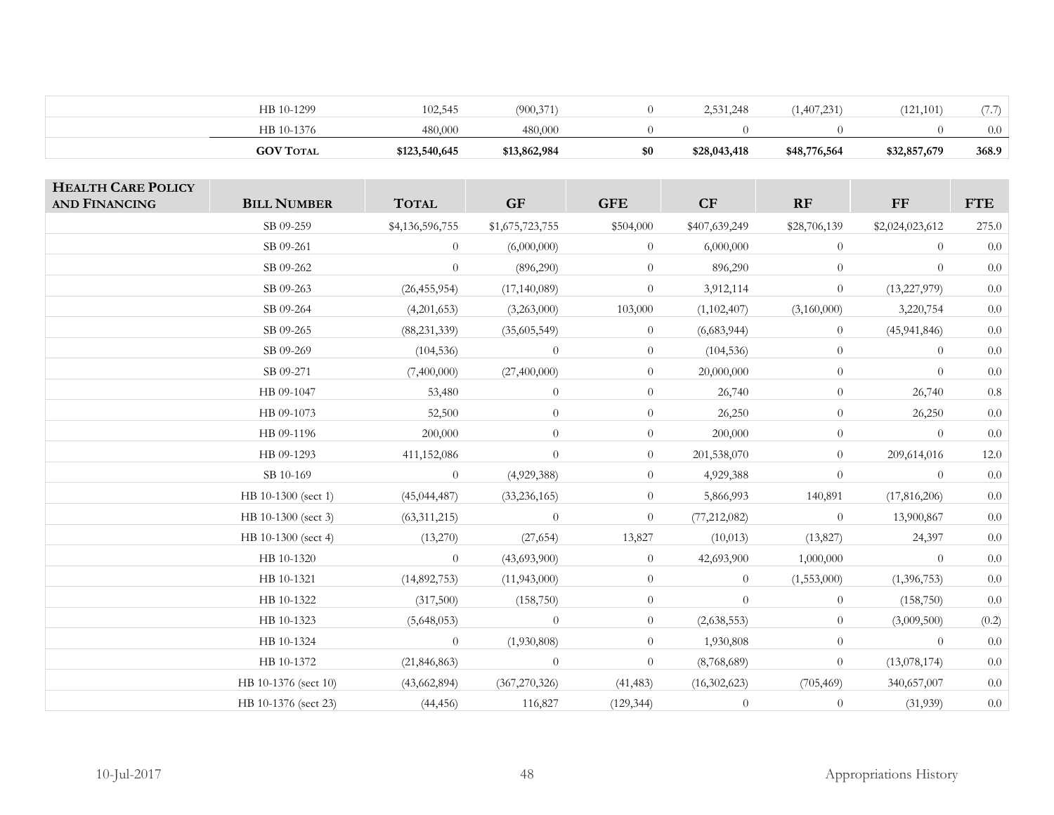| <b>GOV TOTAL</b> | \$123,540,645 | \$13,862,984 | \$0 | \$28,043,418 | \$48,776,564 | \$32,857,679 | 368.9        |
|------------------|---------------|--------------|-----|--------------|--------------|--------------|--------------|
| HB 10-1376       | 480,000       | 480,000      |     |              |              |              | 0.0          |
| HB 10-1299       | 102,545       | (900, 371)   |     | 2,531,248    | (1,407,231)  | (121, 101)   | $\sqrt{1+i}$ |

| <b>HEALTH CARE POLICY</b><br><b>AND FINANCING</b> | <b>BILL NUMBER</b>   | <b>TOTAL</b>    | <b>GF</b>       | <b>GFE</b>     | CF             | <b>RF</b>      | $\bf FF$        | <b>FTE</b> |
|---------------------------------------------------|----------------------|-----------------|-----------------|----------------|----------------|----------------|-----------------|------------|
|                                                   | SB 09-259            | \$4,136,596,755 | \$1,675,723,755 | \$504,000      | \$407,639,249  | \$28,706,139   | \$2,024,023,612 | 275.0      |
|                                                   | SB 09-261            | $\overline{0}$  | (6,000,000)     | $\overline{0}$ | 6,000,000      | $\overline{0}$ | $\overline{0}$  | 0.0        |
|                                                   | SB 09-262            | $\overline{0}$  | (896, 290)      | $\overline{0}$ | 896,290        | $\overline{0}$ | $\overline{0}$  | $0.0\,$    |
|                                                   | SB 09-263            | (26, 455, 954)  | (17, 140, 089)  | $\overline{0}$ | 3,912,114      | $\overline{0}$ | (13, 227, 979)  | $0.0\,$    |
|                                                   | SB 09-264            | (4,201,653)     | (3,263,000)     | 103,000        | (1,102,407)    | (3,160,000)    | 3,220,754       | $0.0\,$    |
|                                                   | SB 09-265            | (88, 231, 339)  | (35,605,549)    | $\overline{0}$ | (6,683,944)    | $\overline{0}$ | (45, 941, 846)  | 0.0        |
|                                                   | SB 09-269            | (104, 536)      | $\overline{0}$  | $\overline{0}$ | (104, 536)     | $\overline{0}$ | $\overline{0}$  | $0.0\,$    |
|                                                   | SB 09-271            | (7,400,000)     | (27,400,000)    | $\overline{0}$ | 20,000,000     | $\overline{0}$ | $\overline{0}$  | $0.0\,$    |
|                                                   | HB 09-1047           | 53,480          | $\overline{0}$  | $\overline{0}$ | 26,740         | $\overline{0}$ | 26,740          | $0.8\,$    |
|                                                   | HB 09-1073           | 52,500          | $\theta$        | $\overline{0}$ | 26,250         | $\overline{0}$ | 26,250          | $0.0\,$    |
|                                                   | HB 09-1196           | 200,000         | $\theta$        | $\overline{0}$ | 200,000        | $\theta$       | $\theta$        | $0.0\,$    |
|                                                   | HB 09-1293           | 411,152,086     | $\theta$        | $\overline{0}$ | 201,538,070    | $\overline{0}$ | 209,614,016     | $12.0\,$   |
|                                                   | SB 10-169            | $\overline{0}$  | (4,929,388)     | $\overline{0}$ | 4,929,388      | $\overline{0}$ | $\theta$        | $0.0\,$    |
|                                                   | HB 10-1300 (sect 1)  | (45, 044, 487)  | (33, 236, 165)  | $\overline{0}$ | 5,866,993      | 140,891        | (17,816,206)    | 0.0        |
|                                                   | HB 10-1300 (sect 3)  | (63, 311, 215)  | $\theta$        | $\overline{0}$ | (77, 212, 082) | $\overline{0}$ | 13,900,867      | $0.0\,$    |
|                                                   | HB 10-1300 (sect 4)  | (13,270)        | (27, 654)       | 13,827         | (10, 013)      | (13, 827)      | 24,397          | $0.0\,$    |
|                                                   | HB 10-1320           | $\theta$        | (43,693,900)    | $\overline{0}$ | 42,693,900     | 1,000,000      | $\theta$        | 0.0        |
|                                                   | HB 10-1321           | (14,892,753)    | (11,943,000)    | $\overline{0}$ | $\overline{0}$ | (1,553,000)    | (1,396,753)     | $0.0\,$    |
|                                                   | HB 10-1322           | (317,500)       | (158, 750)      | $\overline{0}$ | $\overline{0}$ | $\overline{0}$ | (158, 750)      | $0.0\,$    |
|                                                   | HB 10-1323           | (5,648,053)     | $\theta$        | $\overline{0}$ | (2,638,553)    | $\overline{0}$ | (3,009,500)     | (0.2)      |
|                                                   | HB 10-1324           | $\overline{0}$  | (1,930,808)     | $\overline{0}$ | 1,930,808      | $\overline{0}$ | $\theta$        | 0.0        |
|                                                   | HB 10-1372           | (21, 846, 863)  | $\overline{0}$  | $\overline{0}$ | (8,768,689)    | $\overline{0}$ | (13,078,174)    | 0.0        |
|                                                   | HB 10-1376 (sect 10) | (43,662,894)    | (367,270,326)   | (41, 483)      | (16, 302, 623) | (705, 469)     | 340,657,007     | $0.0\,$    |
|                                                   | HB 10-1376 (sect 23) | (44, 456)       | 116,827         | (129, 344)     | $\theta$       | $\overline{0}$ | (31,939)        | $0.0\,$    |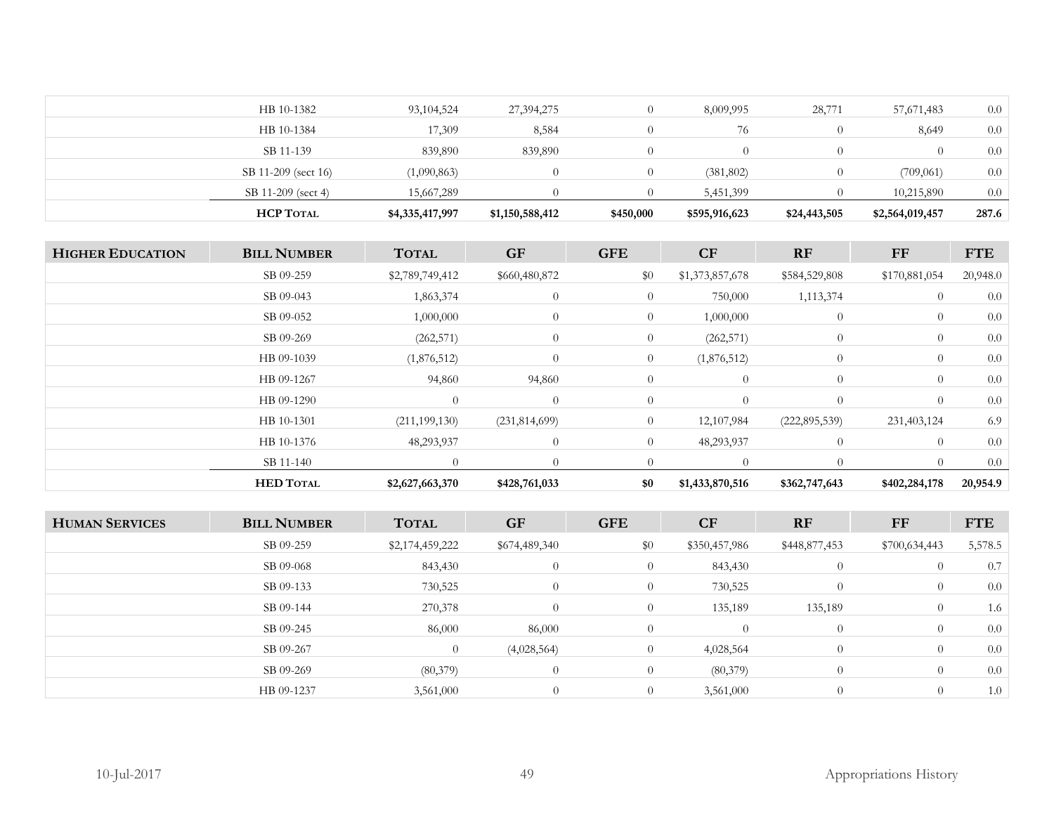| <b>HCP TOTAL</b>    | \$4,335,417,997 | \$1,150,588,412 | \$450,000 | \$595,916,623    | \$24,443,505 | \$2,564,019,457 | 287.6 |
|---------------------|-----------------|-----------------|-----------|------------------|--------------|-----------------|-------|
| SB 11-209 (sect 4)  | 15,667,289      |                 |           | 5,451,399        |              | 10,215,890      | 0.0   |
| SB 11-209 (sect 16) | (1,090,863)     |                 |           | (381, 802)       |              | (709,061)       | 0.0   |
| SB 11-139           | 839,890         | 839,890         |           | $\left( \right)$ |              |                 | 0.0   |
| HB 10-1384          | 17,309          | 8,584           |           | 76               |              | 8,649           | 0.0   |
| HB 10-1382          | 93,104,524      | 27,394,275      |           | 8,009,995        | 28,771       | 57,671,483      | 0.0   |

| <b>HIGHER EDUCATION</b> | <b>BILL NUMBER</b> | <b>TOTAL</b>    | <b>GF</b>       | <b>GFE</b>     | <b>CF</b>       | RF              | FF             | <b>FTE</b> |
|-------------------------|--------------------|-----------------|-----------------|----------------|-----------------|-----------------|----------------|------------|
|                         | SB 09-259          | \$2,789,749,412 | \$660,480,872   | \$0            | \$1,373,857,678 | \$584,529,808   | \$170,881,054  | 20,948.0   |
|                         | SB 09-043          | 1,863,374       | $\overline{0}$  | $\overline{0}$ | 750,000         | 1,113,374       | $\overline{0}$ | 0.0        |
|                         | SB 09-052          | 1,000,000       | $\overline{0}$  | $\overline{0}$ | 1,000,000       | $\overline{0}$  | $\overline{0}$ | 0.0        |
|                         | SB 09-269          | (262, 571)      | $\theta$        | $\overline{0}$ | (262, 571)      | $\overline{0}$  | $\overline{0}$ | 0.0        |
|                         | HB 09-1039         | (1,876,512)     | $\overline{0}$  | $\overline{0}$ | (1,876,512)     | $\overline{0}$  | $\overline{0}$ | 0.0        |
|                         | HB 09-1267         | 94,860          | 94,860          | $\theta$       | $\overline{0}$  | $\theta$        | $\overline{0}$ | 0.0        |
|                         | HB 09-1290         | $\overline{0}$  | $\overline{0}$  | $\overline{0}$ | $\Omega$        | $\overline{0}$  | $\overline{0}$ | 0.0        |
|                         | HB 10-1301         | (211, 199, 130) | (231, 814, 699) | $\overline{0}$ | 12,107,984      | (222, 895, 539) | 231,403,124    | 6.9        |
|                         | HB 10-1376         | 48,293,937      | $\theta$        | $\overline{0}$ | 48,293,937      | $\overline{0}$  | $\overline{0}$ | 0.0        |
|                         | SB 11-140          | $\overline{0}$  | $\Omega$        | $\Omega$       |                 | $\Omega$        | $\Omega$       | 0.0        |
|                         | <b>HED TOTAL</b>   | \$2,627,663,370 | \$428,761,033   | \$0            | \$1,433,870,516 | \$362,747,643   | \$402,284,178  | 20,954.9   |

| <b>HUMAN SERVICES</b> | <b>BILL NUMBER</b> | <b>TOTAL</b>    | <b>GF</b>     | <b>GFE</b>     | CF            | RF             | FF             | <b>FTE</b> |
|-----------------------|--------------------|-----------------|---------------|----------------|---------------|----------------|----------------|------------|
|                       | SB 09-259          | \$2,174,459,222 | \$674,489,340 | \$0            | \$350,457,986 | \$448,877,453  | \$700,634,443  | 5,578.5    |
|                       | SB 09-068          | 843,430         | $\theta$      | $\overline{0}$ | 843,430       | $\theta$       | $\overline{0}$ | 0.7        |
|                       | SB 09-133          | 730,525         | $\theta$      | $\overline{0}$ | 730,525       | $\theta$       | $\overline{0}$ | 0.0        |
|                       | SB 09-144          | 270,378         | $\Omega$      | $\theta$       | 135,189       | 135,189        | $\overline{0}$ | 1.6        |
|                       | SB 09-245          | 86,000          | 86,000        | $\Omega$       | $\Omega$      | $\theta$       | $\overline{0}$ | 0.0        |
|                       | SB 09-267          | $\overline{0}$  | (4,028,564)   | $\theta$       | 4,028,564     | $\overline{0}$ | $\overline{0}$ | 0.0        |
|                       | SB 09-269          | (80, 379)       | $\theta$      | $\theta$       | (80, 379)     | $\overline{0}$ | $\overline{0}$ | 0.0        |
|                       | HB 09-1237         | 3,561,000       | $\theta$      | $\overline{0}$ | 3,561,000     | $\overline{0}$ | $\overline{0}$ | 1.0        |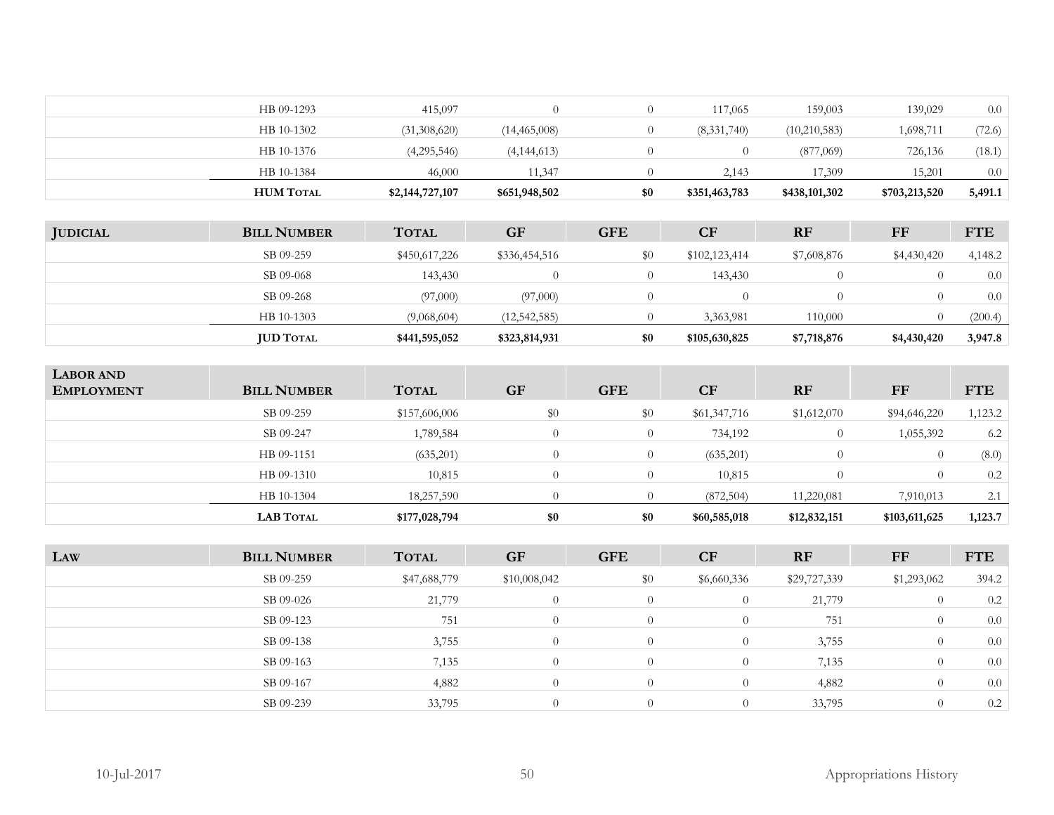| HB 09-1293       | 415,097         |                |     | 117,065       | 159,003       | 139,029       | 0.0     |
|------------------|-----------------|----------------|-----|---------------|---------------|---------------|---------|
| HB 10-1302       | (31,308,620)    | (14, 465, 008) |     | (8,331,740)   | (10,210,583)  | 1,698,711     | (72.6)  |
| HB 10-1376       | (4,295,546)     | (4, 144, 613)  |     |               | (877,069)     | 726,136       | (18.1)  |
| HB 10-1384       | 46,000          | 11,347         |     | 2,143         | 17,309        | 15,201        | 0.0     |
| <b>HUM TOTAL</b> | \$2,144,727,107 | \$651,948,502  | \$0 | \$351,463,783 | \$438,101,302 | \$703,213,520 | 5,491.1 |

| <b>JUDICIAL</b> | <b>BILL NUMBER</b> | <b>TOTAL</b>  | <b>GF</b>      | <b>GFE</b> | <b>CF</b>     | <b>RF</b>   | FF          | <b>FTE</b> |
|-----------------|--------------------|---------------|----------------|------------|---------------|-------------|-------------|------------|
|                 | SB 09-259          | \$450,617,226 | \$336,454,516  | $\$0$      | \$102,123,414 | \$7,608,876 | \$4,430,420 | 4,148.2    |
|                 | SB 09-068          | 143,430       |                |            | 143,430       |             |             | 0.0        |
|                 | SB 09-268          | (97,000)      | (97,000)       |            |               |             |             | 0.0        |
|                 | HB 10-1303         | (9,068,604)   | (12, 542, 585) |            | 3,363,981     | 110,000     |             | (200.4)    |
|                 | <b>JUD TOTAL</b>   | \$441,595,052 | \$323,814,931  | \$0        | \$105,630,825 | \$7,718,876 | \$4,430,420 | 3,947.8    |

| <b>LABOR AND</b><br><b>EMPLOYMENT</b> | <b>BILL NUMBER</b> | <b>TOTAL</b>  | <b>GF</b> | <b>GFE</b> | <b>CF</b>    | <b>RF</b>    | FF            | <b>FTE</b> |
|---------------------------------------|--------------------|---------------|-----------|------------|--------------|--------------|---------------|------------|
|                                       | SB 09-259          | \$157,606,006 | \$0       | \$0        | \$61,347,716 | \$1,612,070  | \$94,646,220  | 1,123.2    |
|                                       | SB 09-247          | 1,789,584     | $\bigcap$ |            | 734,192      | $\theta$     | 1,055,392     | 6.2        |
|                                       | HB 09-1151         | (635,201)     | $\Omega$  | 0          | (635,201)    |              |               | (8.0)      |
|                                       | HB 09-1310         | 10,815        | $\Omega$  | $\Omega$   | 10,815       |              |               | 0.2        |
|                                       | HB 10-1304         | 18,257,590    |           |            | (872,504)    | 11,220,081   | 7,910,013     | 2.1        |
|                                       | <b>LAB TOTAL</b>   | \$177,028,794 | \$0       | \$0        | \$60,585,018 | \$12,832,151 | \$103,611,625 | 1,123.7    |

| LAW | <b>BILL NUMBER</b> | <b>TOTAL</b> | <b>GF</b>    | <b>GFE</b>     | <b>CF</b>   | <b>RF</b>    | FF          | <b>FTE</b> |
|-----|--------------------|--------------|--------------|----------------|-------------|--------------|-------------|------------|
|     | SB 09-259          | \$47,688,779 | \$10,008,042 | \$0            | \$6,660,336 | \$29,727,339 | \$1,293,062 | 394.2      |
|     | SB 09-026          | 21,779       |              | $\theta$       | $\theta$    | 21,779       |             | 0.2        |
|     | SB 09-123          | 751          | $\theta$     | $\Omega$       | $\theta$    | 751          |             | 0.0        |
|     | SB 09-138          | 3,755        | $\Omega$     | $\overline{0}$ | $\theta$    | 3,755        |             | 0.0        |
|     | SB 09-163          | 7,135        | $\Omega$     | $\overline{0}$ | $\theta$    | 7,135        |             | 0.0        |
|     | SB 09-167          | 4,882        | $\Omega$     | $\Omega$       | $\theta$    | 4,882        |             | 0.0        |
|     | SB 09-239          | 33,795       |              | $\theta$       | $\theta$    | 33,795       |             | 0.2        |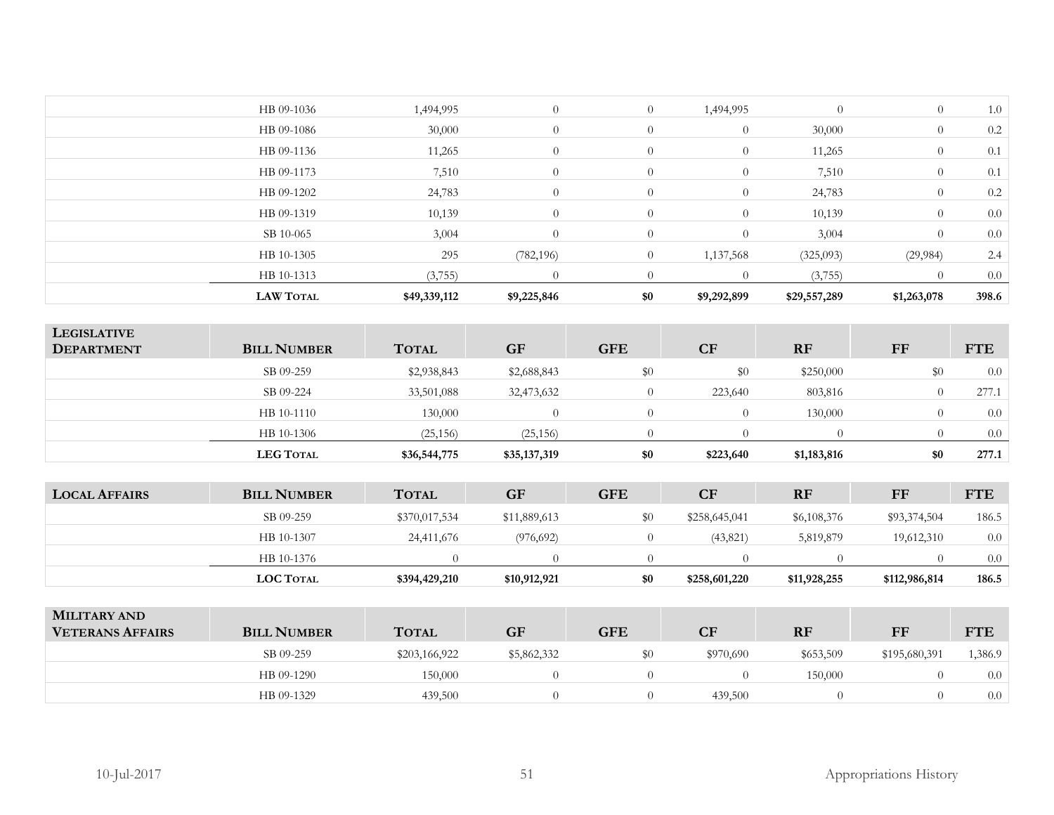| <b>LAW TOTAL</b> | \$49,339,112 | \$9,225,846 | \$0            | \$9,292,899    | \$29,557,289 | \$1,263,078    | 398.6 |
|------------------|--------------|-------------|----------------|----------------|--------------|----------------|-------|
| HB 10-1313       | (3,755)      | $\Omega$    | $\Omega$       | $\theta$       | (3,755)      |                | 0.0   |
| HB 10-1305       | 295          | (782, 196)  | $\overline{0}$ | 1,137,568      | (325,093)    | (29, 984)      | 2.4   |
| SB 10-065        | 3,004        | $\theta$    | $\overline{0}$ | $\overline{0}$ | 3,004        | $\overline{0}$ | 0.0   |
| HB 09-1319       | 10,139       | $\theta$    | $\overline{0}$ | $\overline{0}$ | 10,139       | $\overline{0}$ | 0.0   |
| HB 09-1202       | 24,783       | $\theta$    | $\overline{0}$ | $\overline{0}$ | 24,783       | $\overline{0}$ | 0.2   |
| HB 09-1173       | 7,510        | $\theta$    | $\overline{0}$ | $\overline{0}$ | 7,510        | $\overline{0}$ | 0.1   |
| HB 09-1136       | 11,265       | $\theta$    | $\overline{0}$ | $\overline{0}$ | 11,265       | $\overline{0}$ | 0.1   |
| HB 09-1086       | 30,000       | $\theta$    | $\overline{0}$ | $\overline{0}$ | 30,000       | $\overline{0}$ | 0.2   |
| HB 09-1036       | 1,494,995    | $\theta$    | $\overline{0}$ | 1,494,995      | $\theta$     | $\overline{0}$ | 1.0   |
|                  |              |             |                |                |              |                |       |

|                                         | <b>LEG TOTAL</b>   | \$36,544,775 | \$35,137,319 | \$0        | \$223,640        | \$1,183,816 | \$0      | 277.1      |
|-----------------------------------------|--------------------|--------------|--------------|------------|------------------|-------------|----------|------------|
|                                         | HB 10-1306         | (25, 156)    | (25, 156)    |            |                  |             |          | 0.0        |
|                                         | HB 10-1110         | 130,000      | $\Omega$     | $\bigcap$  | $\left( \right)$ | 130,000     | $\Omega$ | 0.0        |
|                                         | SB 09-224          | 33,501,088   | 32,473,632   |            | 223,640          | 803,816     |          | 277.1      |
|                                         | SB 09-259          | \$2,938,843  | \$2,688,843  | \$0        | \$0              | \$250,000   | \$0      | 0.0        |
| <b>LEGISLATIVE</b><br><b>DEPARTMENT</b> | <b>BILL NUMBER</b> | <b>TOTAL</b> | <b>GF</b>    | <b>GFE</b> | <b>CF</b>        | <b>RF</b>   | FF       | <b>FTE</b> |

| <b>LOCAL AFFAIRS</b> | <b>BILL NUMBER</b> | <b>TOTAL</b>  | <b>GF</b>    | <b>GFE</b> | <b>CF</b>     | <b>RF</b>    | FF            | <b>FTE</b> |
|----------------------|--------------------|---------------|--------------|------------|---------------|--------------|---------------|------------|
|                      | SB 09-259          | \$370,017,534 | \$11,889,613 | $\$0$      | \$258,645,041 | \$6,108,376  | \$93,374,504  | 186.5      |
|                      | HB 10-1307         | 24,411,676    | (976, 692)   |            | (43, 821)     | 5,819,879    | 19,612,310    | 0.0        |
|                      | HB 10-1376         |               |              |            |               |              |               | 0.0        |
|                      | <b>LOC TOTAL</b>   | \$394,429,210 | \$10,912,921 | \$0        | \$258,601,220 | \$11,928,255 | \$112,986,814 | 186.5      |

| <b>MILITARY AND</b><br><b>VETERANS AFFAIRS</b> | <b>BILL NUMBER</b> | <b>TOTAL</b>  | <b>GF</b>   | GFE | CF        | <b>RF</b> | FF            | <b>FTE</b> |
|------------------------------------------------|--------------------|---------------|-------------|-----|-----------|-----------|---------------|------------|
|                                                | SB 09-259          | \$203,166,922 | \$5,862,332 |     | \$970,690 | \$653,509 | \$195,680,391 | 1,386.9    |
|                                                | HB 09-1290         | 150,000       |             |     |           | 150,000   |               | 0.0        |
|                                                | HB 09-1329         | 439,500       |             |     | 439,500   |           |               | 0.0        |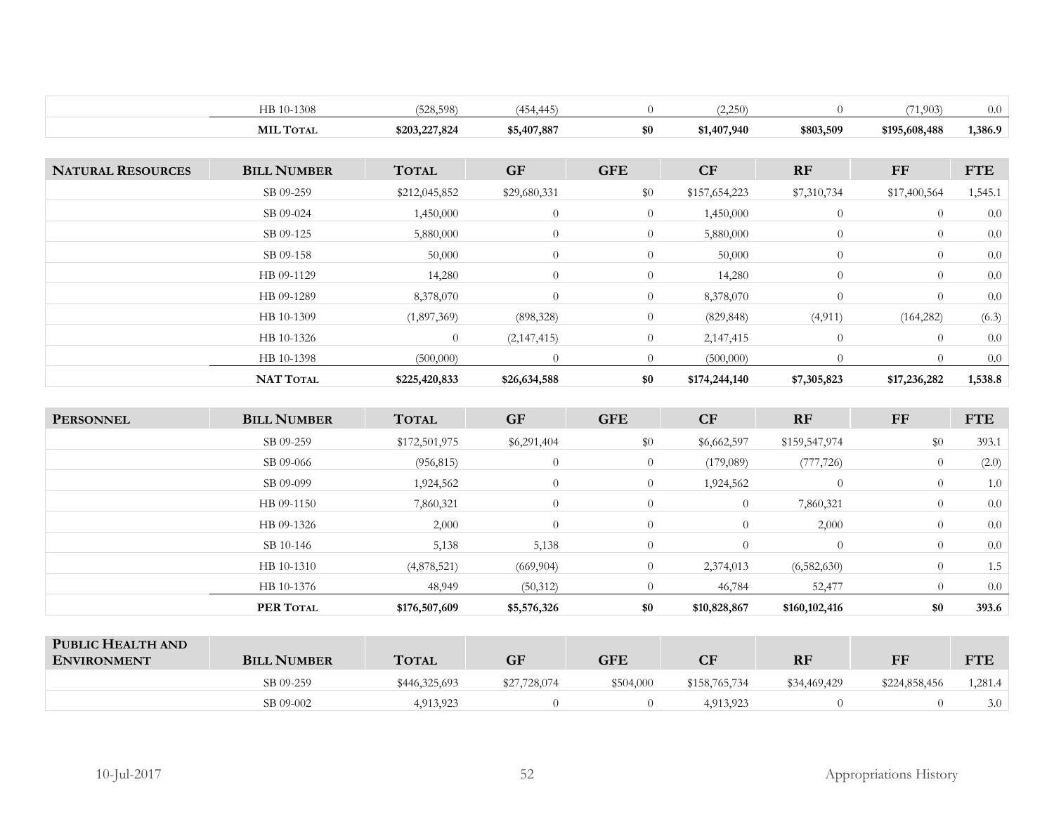|                          | HB 10-1308         | (528, 598)     | (454, 445)   | $\overline{0}$ | (2,250)       | $\Omega$       | (71,903)       | 0.0        |
|--------------------------|--------------------|----------------|--------------|----------------|---------------|----------------|----------------|------------|
|                          | <b>MIL TOTAL</b>   | \$203,227,824  | \$5,407,887  | \$0            | \$1,407,940   | \$803,509      | \$195,608,488  | 1,386.9    |
|                          |                    |                |              |                |               |                |                |            |
| <b>NATURAL RESOURCES</b> | <b>BILL NUMBER</b> | <b>TOTAL</b>   | <b>GF</b>    | <b>GFE</b>     | CF            | RF             | FF             | <b>FTE</b> |
|                          | SB 09-259          | \$212,045,852  | \$29,680,331 | $\$0$          | \$157,654,223 | \$7,310,734    | \$17,400,564   | 1,545.1    |
|                          | SB 09-024          | 1,450,000      | $\theta$     | $\overline{0}$ | 1,450,000     | $\theta$       | $\overline{0}$ | 0.0        |
|                          | SB 09-125          | 5,880,000      | $\theta$     | $\overline{0}$ | 5,880,000     | $\overline{0}$ | $\overline{0}$ | 0.0        |
|                          | SB 09-158          | 50,000         | $\theta$     | $\overline{0}$ | 50,000        | $\overline{0}$ | $\overline{0}$ | 0.0        |
|                          | HB 09-1129         | 14,280         | $\theta$     | $\overline{0}$ | 14,280        | $\theta$       | $\overline{0}$ | 0.0        |
|                          | HB 09-1289         | 8,378,070      | $\theta$     | $\theta$       | 8,378,070     | $\theta$       | $\overline{0}$ | 0.0        |
|                          | HB 10-1309         | (1,897,369)    | (898, 328)   | $\overline{0}$ | (829, 848)    | (4, 911)       | (164, 282)     | (6.3)      |
|                          | HB 10-1326         | $\overline{0}$ | (2,147,415)  | $\overline{0}$ | 2,147,415     | $\theta$       | $\overline{0}$ | 0.0        |
|                          | HB 10-1398         | (500,000)      | $\theta$     | $\overline{0}$ | (500,000)     | $\theta$       | $\overline{0}$ | 0.0        |
|                          | <b>NAT TOTAL</b>   | \$225,420,833  | \$26,634,588 | \$0            | \$174,244,140 | \$7,305,823    | \$17,236,282   | 1,538.8    |

| <b>PERSONNEL</b> | <b>BILL NUMBER</b> | <b>TOTAL</b>  | <b>GF</b>      | <b>GFE</b>     | CF             | <b>RF</b>      | FF             | <b>FTE</b> |
|------------------|--------------------|---------------|----------------|----------------|----------------|----------------|----------------|------------|
|                  | SB 09-259          | \$172,501,975 | \$6,291,404    | \$0            | \$6,662,597    | \$159,547,974  | \$0            | 393.1      |
|                  | SB 09-066          | (956, 815)    | $\overline{0}$ | $\overline{0}$ | (179,089)      | (777, 726)     | $\overline{0}$ | (2.0)      |
|                  | SB 09-099          | 1,924,562     | $\overline{0}$ | $\overline{0}$ | 1,924,562      | $\overline{0}$ | $\overline{0}$ | 1.0        |
|                  | HB 09-1150         | 7,860,321     | $\overline{0}$ | $\theta$       | $\overline{0}$ | 7,860,321      | $\overline{0}$ | 0.0        |
|                  | HB 09-1326         | 2,000         | $\overline{0}$ | $\theta$       | $\Omega$       | 2,000          | $\overline{0}$ | 0.0        |
|                  | SB 10-146          | 5,138         | 5,138          | $\overline{0}$ | $\Omega$       | $\Omega$       | $\overline{0}$ | 0.0        |
|                  | HB 10-1310         | (4,878,521)   | (669, 904)     | $\overline{0}$ | 2,374,013      | (6,582,630)    | $\theta$       | 1.5        |
|                  | HB 10-1376         | 48,949        | (50,312)       | $\theta$       | 46,784         | 52,477         | $\theta$       | 0.0        |
|                  | PER TOTAL          | \$176,507,609 | \$5,576,326    | \$0            | \$10,828,867   | \$160,102,416  | \$0            | 393.6      |

| PUBLIC HEALTH AND<br><b>ENVIRONMENT</b> | <b>BILL NUMBER</b> | <b>TOTAL</b>  | <b>GF</b>    | <b>GFE</b> | CF            | <b>RF</b>    | FF            | <b>FTE</b> |
|-----------------------------------------|--------------------|---------------|--------------|------------|---------------|--------------|---------------|------------|
|                                         | SB 09-259          | \$446,325,693 | \$27,728,074 | \$504,000  | \$158,765,734 | \$34,469,429 | \$224,858,456 | .281.4     |
|                                         | SB 09-002          | 4,913,923     |              |            | 4,913,923     |              |               | 3.0        |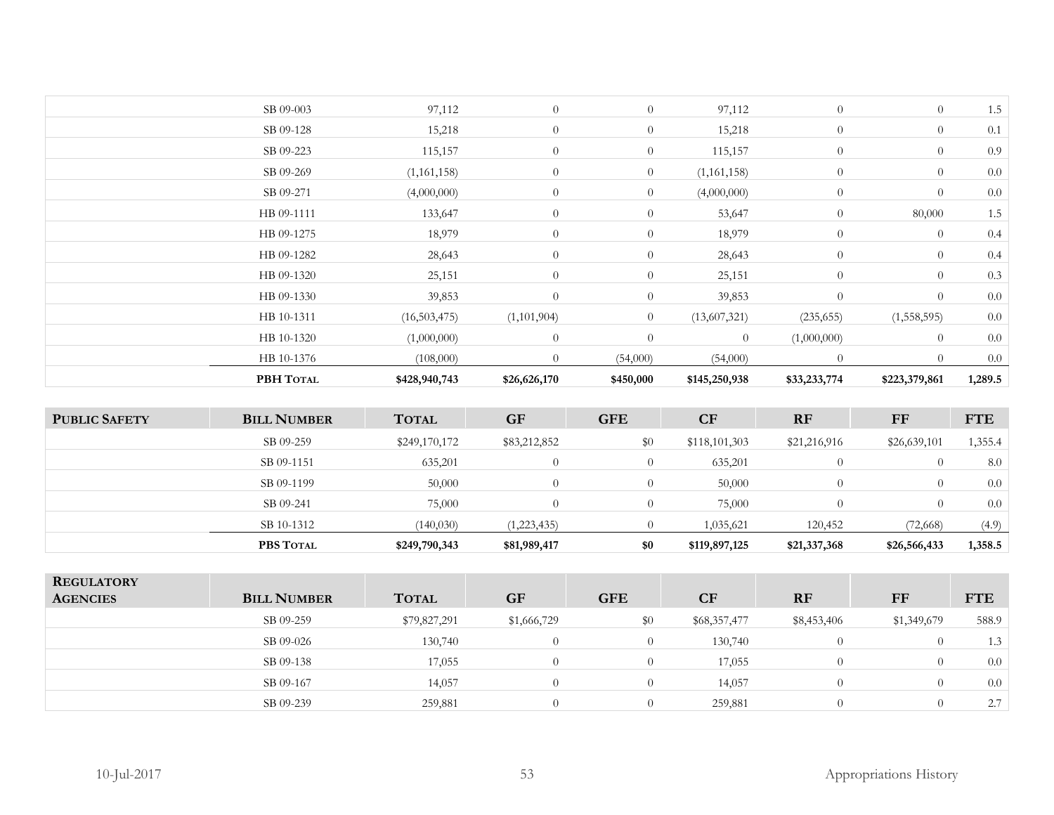| PBH TOTAL  | \$428,940,743 | \$26,626,170 | \$450,000      | \$145,250,938  | \$33,233,774   | \$223,379,861  | 1,289.5 |
|------------|---------------|--------------|----------------|----------------|----------------|----------------|---------|
| HB 10-1376 | (108,000)     | $\theta$     | (54,000)       | (54,000)       | $\overline{0}$ | $\Omega$       | 0.0     |
| HB 10-1320 | (1,000,000)   | $\theta$     | $\overline{0}$ | $\overline{0}$ | (1,000,000)    | $\overline{0}$ | 0.0     |
| HB 10-1311 | (16,503,475)  | (1,101,904)  | $\overline{0}$ | (13,607,321)   | (235, 655)     | (1,558,595)    | $0.0\,$ |
| HB 09-1330 | 39,853        | $\theta$     | $\overline{0}$ | 39,853         | $\theta$       | $\theta$       | 0.0     |
| HB 09-1320 | 25,151        | $\theta$     | $\overline{0}$ | 25,151         | $\overline{0}$ | $\overline{0}$ | 0.3     |
| HB 09-1282 | 28,643        | $\theta$     | $\overline{0}$ | 28,643         | $\overline{0}$ | $\overline{0}$ | 0.4     |
| HB 09-1275 | 18,979        | $\theta$     | $\overline{0}$ | 18,979         | $\overline{0}$ | $\overline{0}$ | 0.4     |
| HB 09-1111 | 133,647       | $\theta$     | $\overline{0}$ | 53,647         | $\overline{0}$ | 80,000         | 1.5     |
| SB 09-271  | (4,000,000)   | $\theta$     | $\overline{0}$ | (4,000,000)    | $\overline{0}$ | $\overline{0}$ | 0.0     |
| SB 09-269  | (1,161,158)   | $\theta$     | $\overline{0}$ | (1,161,158)    | $\theta$       | $\overline{0}$ | 0.0     |
| SB 09-223  | 115,157       | $\theta$     | $\overline{0}$ | 115,157        | $\overline{0}$ | $\overline{0}$ | 0.9     |
| SB 09-128  | 15,218        | $\theta$     | $\overline{0}$ | 15,218         | $\theta$       | $\theta$       | 0.1     |
| SB 09-003  | 97,112        | $\theta$     | $\overline{0}$ | 97,112         | $\overline{0}$ | $\theta$       | 1.5     |
|            |               |              |                |                |                |                |         |

| <b>PUBLIC SAFETY</b> | <b>BILL NUMBER</b> | <b>TOTAL</b>  | <b>GF</b>    | <b>GFE</b> | CF            | <b>RF</b>    | FF           | <b>FTE</b> |
|----------------------|--------------------|---------------|--------------|------------|---------------|--------------|--------------|------------|
|                      | SB 09-259          | \$249,170,172 | \$83,212,852 | $\$0$      | \$118,101,303 | \$21,216,916 | \$26,639,101 | 1,355.4    |
|                      | SB 09-1151         | 635,201       |              |            | 635,201       |              |              | 8.0        |
|                      | SB 09-1199         | 50,000        |              |            | 50,000        |              |              | 0.0        |
|                      | SB 09-241          | 75,000        |              |            | 75,000        |              |              | 0.0        |
|                      | SB 10-1312         | (140, 030)    | (1,223,435)  |            | 1,035,621     | 120,452      | (72, 668)    | (4.9)      |
|                      | PBS TOTAL          | \$249,790,343 | \$81,989,417 | \$0        | \$119,897,125 | \$21,337,368 | \$26,566,433 | 1,358.5    |

| <b>REGULATORY</b><br><b>AGENCIES</b> | <b>BILL NUMBER</b> | <b>TOTAL</b> | <b>GF</b>   | <b>GFE</b> | CF           | RF          | FF          | <b>FTE</b> |
|--------------------------------------|--------------------|--------------|-------------|------------|--------------|-------------|-------------|------------|
|                                      | SB 09-259          | \$79,827,291 | \$1,666,729 | \$0        | \$68,357,477 | \$8,453,406 | \$1,349,679 | 588.9      |
|                                      | SB 09-026          | 130,740      | $\theta$    | $\Omega$   | 130,740      | $\Omega$    | $\left($    | 1.3        |
|                                      | SB 09-138          | 17,055       | $\theta$    | $\theta$   | 17,055       | $\Omega$    | $\Omega$    | 0.0        |
|                                      | SB 09-167          | 14,057       | 0           | $\theta$   | 14,057       | $\Omega$    |             | 0.0        |
|                                      | SB 09-239          | 259,881      | $\theta$    | $\Omega$   | 259,881      | $\Omega$    |             | 2.7        |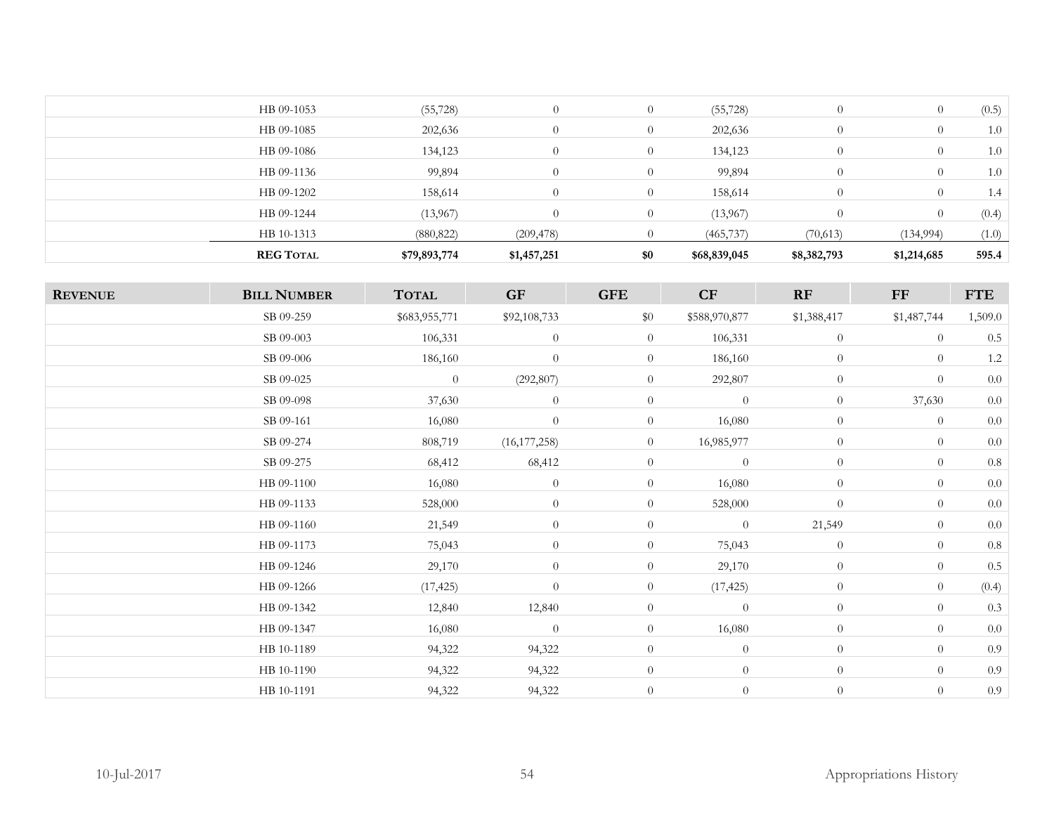| <b>REG TOTAL</b> | \$79,893,774 | \$1,457,251 | \$0            | \$68,839,045 | \$8,382,793    | \$1,214,685 | 595.4 |
|------------------|--------------|-------------|----------------|--------------|----------------|-------------|-------|
| HB 10-1313       | (880, 822)   | (209, 478)  |                | (465, 737)   | (70, 613)      | (134, 994)  | (1.0) |
| HB 09-1244       | (13,967)     | $\Omega$    | $\Omega$       | (13,967)     | $\Omega$       |             | (0.4) |
| HB 09-1202       | 158,614      | $\Omega$    | $\overline{0}$ | 158,614      | $\Omega$       | $\Omega$    | 1.4   |
| HB 09-1136       | 99,894       | $\theta$    | $\Omega$       | 99,894       | $\overline{0}$ | $\theta$    | 1.0   |
| HB 09-1086       | 134,123      | $\Omega$    | $\overline{0}$ | 134,123      | $\overline{0}$ | $\theta$    | 1.0   |
| HB 09-1085       | 202,636      | $\Omega$    | $\Omega$       | 202,636      | $\overline{0}$ | U           | 1.0   |
| HB 09-1053       | (55, 728)    | $\Omega$    | $\overline{0}$ | (55, 728)    | $\Omega$       | U           | (0.5) |
|                  |              |             |                |              |                |             |       |

| <b>REVENUE</b> | <b>BILL NUMBER</b> | <b>TOTAL</b>   | <b>GF</b>        | <b>GFE</b>     | CF             | RF             | $\bf FF$         | <b>FTE</b> |
|----------------|--------------------|----------------|------------------|----------------|----------------|----------------|------------------|------------|
|                | SB 09-259          | \$683,955,771  | \$92,108,733     | \$0            | \$588,970,877  | \$1,388,417    | \$1,487,744      | 1,509.0    |
|                | SB 09-003          | 106,331        | $\theta$         | $\overline{0}$ | 106,331        | $\overline{0}$ | $\theta$         | $0.5\,$    |
|                | SB 09-006          | 186,160        | $\theta$         | $\theta$       | 186,160        | $\overline{0}$ | $\boldsymbol{0}$ | $1.2\,$    |
|                | SB 09-025          | $\overline{0}$ | (292, 807)       | $\theta$       | 292,807        | $\overline{0}$ | $\theta$         | 0.0        |
|                | SB 09-098          | 37,630         | $\boldsymbol{0}$ | $\overline{0}$ | $\overline{0}$ | $\overline{0}$ | 37,630           | 0.0        |
|                | SB 09-161          | 16,080         | $\theta$         | $\overline{0}$ | 16,080         | $\theta$       | $\theta$         | $0.0\,$    |
|                | SB 09-274          | 808,719        | (16, 177, 258)   | $\overline{0}$ | 16,985,977     | $\overline{0}$ | $\theta$         | $0.0\,$    |
|                | SB 09-275          | 68,412         | 68,412           | $\overline{0}$ | $\overline{0}$ | $\overline{0}$ | $\theta$         | $0.8\,$    |
|                | HB 09-1100         | 16,080         | $\theta$         | $\overline{0}$ | 16,080         | $\overline{0}$ | $\theta$         | $0.0\,$    |
|                | HB 09-1133         | 528,000        | $\theta$         | $\overline{0}$ | 528,000        | $\theta$       | $\theta$         | $0.0\,$    |
|                | HB 09-1160         | 21,549         | $\boldsymbol{0}$ | $\overline{0}$ | $\overline{0}$ | 21,549         | $\theta$         | 0.0        |
|                | HB 09-1173         | 75,043         | $\theta$         | $\overline{0}$ | 75,043         | $\theta$       | $\theta$         | $0.8\,$    |
|                | HB 09-1246         | 29,170         | $\theta$         | $\overline{0}$ | 29,170         | $\overline{0}$ | $\theta$         | $0.5\,$    |
|                | HB 09-1266         | (17, 425)      | $\boldsymbol{0}$ | $\overline{0}$ | (17, 425)      | $\overline{0}$ | $\theta$         | (0.4)      |
|                | HB 09-1342         | 12,840         | 12,840           | $\overline{0}$ | $\overline{0}$ | $\overline{0}$ | $\theta$         | 0.3        |
|                | HB 09-1347         | 16,080         | $\theta$         | $\overline{0}$ | 16,080         | $\overline{0}$ | $\theta$         | $0.0\,$    |
|                | HB 10-1189         | 94,322         | 94,322           | $\overline{0}$ | $\overline{0}$ | $\overline{0}$ | $\theta$         | 0.9        |
|                | HB 10-1190         | 94,322         | 94,322           | $\overline{0}$ | $\overline{0}$ | $\overline{0}$ | $\overline{0}$   | 0.9        |
|                | HB 10-1191         | 94,322         | 94,322           | $\overline{0}$ | $\overline{0}$ | $\theta$       | $\theta$         | 0.9        |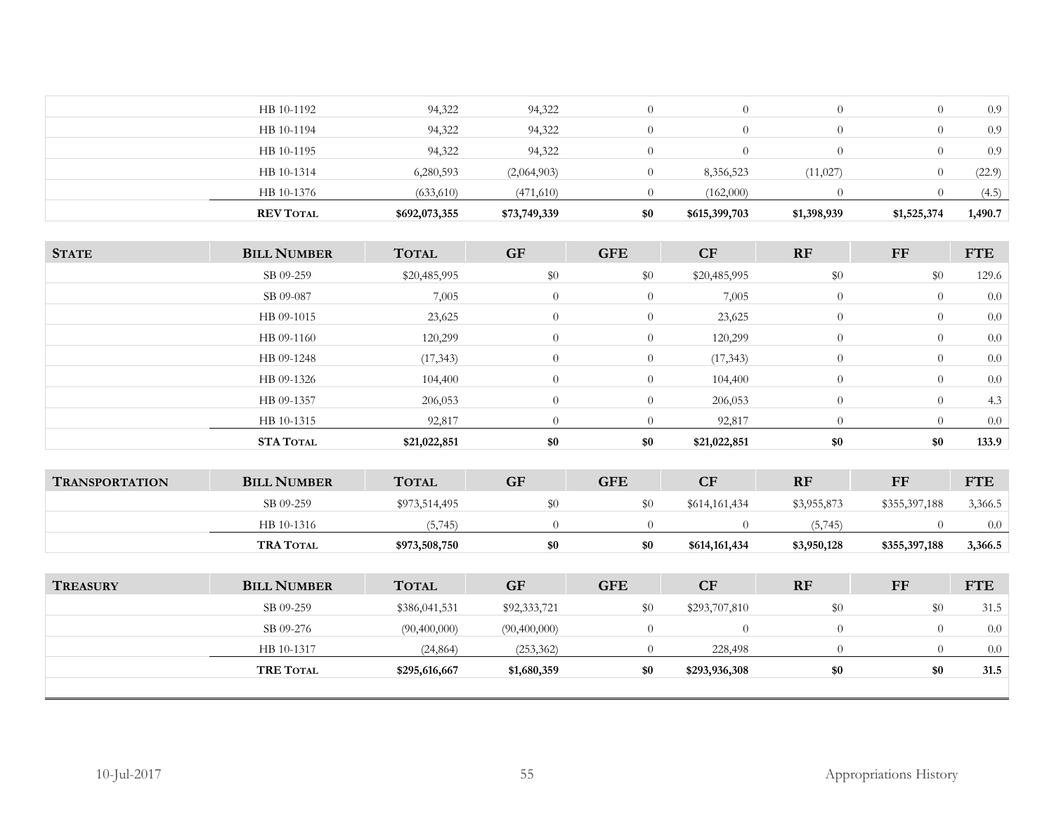| <b>REV TOTAL</b> | \$692,073,355 | \$73,749,339 | \$0 | \$615,399,703 | \$1,398,939 | \$1,525,374 | 1,490.7 |
|------------------|---------------|--------------|-----|---------------|-------------|-------------|---------|
| HB 10-1376       | (633,610)     | (471,610)    |     | (162,000)     |             |             | (4.5)   |
| HB 10-1314       | 6,280,593     | (2,064,903)  |     | 8,356,523     | (11,027)    |             | (22.9)  |
| HB 10-1195       | 94,322        | 94,322       |     |               |             |             | 0.9     |
| HB 10-1194       | 94,322        | 94,322       |     |               |             |             | 0.9     |
| HB 10-1192       | 94,322        | 94,322       |     |               |             |             | 0.9     |
|                  |               |              |     |               |             |             |         |

| <b>STATE</b>          | <b>BILL NUMBER</b> | <b>TOTAL</b>  | <b>GF</b> | <b>GFE</b>     | CF             | RF             | <b>FF</b>      | <b>FTE</b> |
|-----------------------|--------------------|---------------|-----------|----------------|----------------|----------------|----------------|------------|
|                       | SB 09-259          | \$20,485,995  | \$0       | \$0            | \$20,485,995   | \$0            | \$0            | 129.6      |
|                       | SB 09-087          | 7,005         | $\theta$  | $\overline{0}$ | 7,005          | $\overline{0}$ | $\overline{0}$ | 0.0        |
|                       | HB 09-1015         | 23,625        | $\theta$  | $\overline{0}$ | 23,625         | $\overline{0}$ | $\overline{0}$ | 0.0        |
|                       | HB 09-1160         | 120,299       | $\theta$  | $\overline{0}$ | 120,299        | $\overline{0}$ | $\overline{0}$ | 0.0        |
|                       | HB 09-1248         | (17, 343)     | $\theta$  | $\overline{0}$ | (17, 343)      | $\overline{0}$ | $\theta$       | 0.0        |
|                       | HB 09-1326         | 104,400       | $\theta$  | $\overline{0}$ | 104,400        | $\overline{0}$ | $\overline{0}$ | 0.0        |
|                       | HB 09-1357         | 206,053       | $\theta$  | $\overline{0}$ | 206,053        | $\overline{0}$ | $\overline{0}$ | 4.3        |
|                       | HB 10-1315         | 92,817        | $\Omega$  | $\Omega$       | 92,817         | $\theta$       | $\Omega$       | 0.0        |
|                       | <b>STA TOTAL</b>   | \$21,022,851  | \$0       | \$0            | \$21,022,851   | \$0            | \$0            | 133.9      |
|                       |                    |               |           |                |                |                |                |            |
| <b>TRANSPORTATION</b> | <b>BILL NUMBER</b> | <b>TOTAL</b>  | <b>GF</b> | <b>GFE</b>     | CF             | RF             | <b>FF</b>      | <b>FTE</b> |
|                       | SB 09-259          | \$973,514,495 | \$0       | \$0            | \$614,161,434  | \$3,955,873    | \$355,397,188  | 3,366.5    |
|                       | HB 10-1316         | (5,745)       | $\Omega$  | $\Omega$       | $\overline{0}$ | (5,745)        | $\Omega$       | 0.0        |
|                       | <b>TRA TOTAL</b>   | \$973,508,750 | \$0       | \$0            | \$614,161,434  | \$3,950,128    | \$355,397,188  | 3,366.5    |
|                       |                    |               |           |                |                |                |                |            |
| <b>TREASURY</b>       | <b>BILL NUMBER</b> | <b>TOTAL</b>  | <b>GF</b> | <b>GFE</b>     | CF             | RF             | <b>FF</b>      | <b>FTE</b> |
|                       | SB 09-259          | \$386041531   | \$0233721 | \$0.           | \$293.707.810  | ፍሰ             | ፍሰ             | 31.5       |

| <b>TRE TOTAL</b> | \$295,616,667 | \$1,680,359  | \$0 | \$293,936,308 | \$0 | \$0 | 31.5 |
|------------------|---------------|--------------|-----|---------------|-----|-----|------|
| HB 10-1317       | (24, 864)     | (253, 362)   |     | 228,498       |     |     | 0.0  |
| SB 09-276        | (90,400,000)  | (90,400,000) |     |               |     |     | 0.0  |
| SB 09-259        | \$386,041,531 | \$92,333,721 | ፍሰ  | \$293,707,810 | \$0 |     | 31.5 |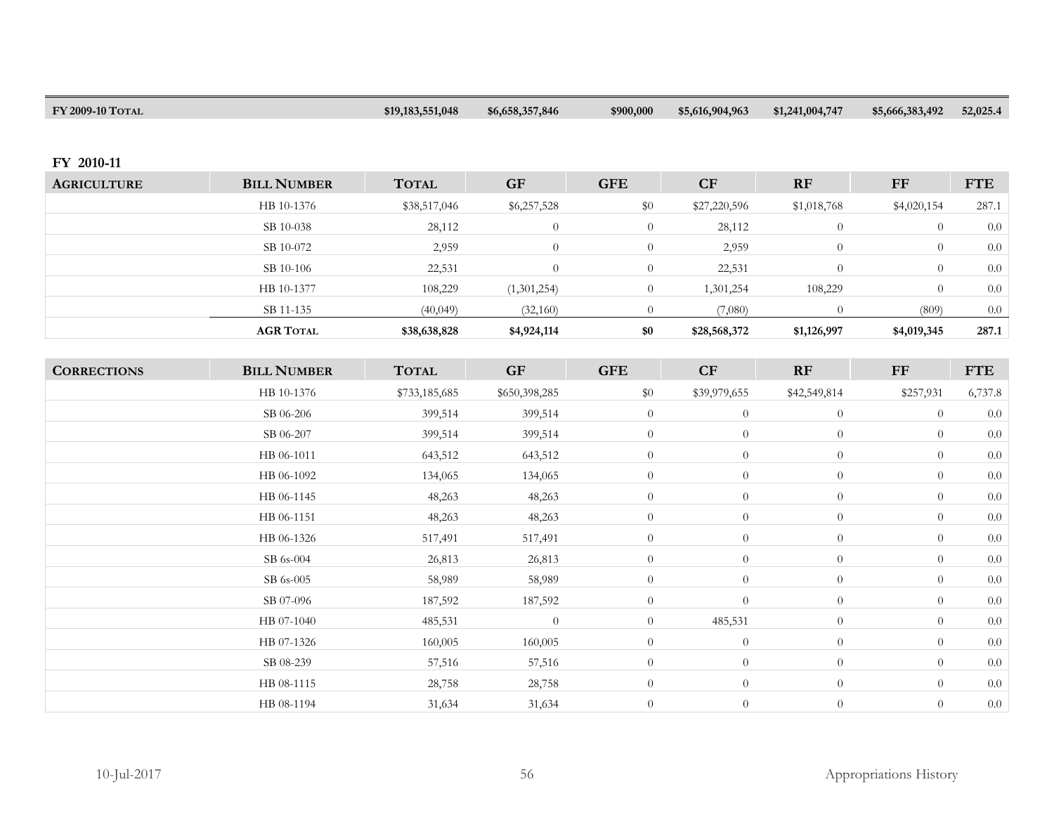| FY 2009-10 TOTAL | \$19,183,551,048 | \$6,658,357,846 | \$900,000 | \$5,616,904,963 | \$1,241,004,747 | \$5,666,383,492 | 52,025.4 |
|------------------|------------------|-----------------|-----------|-----------------|-----------------|-----------------|----------|
|                  |                  |                 |           |                 |                 |                 |          |

## **FY 2010-11**

| <b>AGRICULTURE</b> | <b>BILL NUMBER</b> | <b>TOTAL</b> | <b>GF</b>   | <b>GFE</b> | CF           | <b>RF</b>   | FF               | <b>FTE</b> |
|--------------------|--------------------|--------------|-------------|------------|--------------|-------------|------------------|------------|
|                    | HB 10-1376         | \$38,517,046 | \$6,257,528 | \$0        | \$27,220,596 | \$1,018,768 | \$4,020,154      | 287.1      |
|                    | SB 10-038          | 28,112       | $\Omega$    | $\Omega$   | 28,112       |             | $\theta$         | 0.0        |
|                    | SB 10-072          | 2,959        | $\Omega$    | $\Omega$   | 2,959        |             | $\theta$         | 0.0        |
|                    | SB 10-106          | 22,531       | $\Omega$    | $\Omega$   | 22,531       |             | $\left( \right)$ | 0.0        |
|                    | HB 10-1377         | 108,229      | (1,301,254) | $\Omega$   | 1,301,254    | 108,229     | $\Omega$         | 0.0        |
|                    | SB 11-135          | (40,049)     | (32,160)    |            | (7,080)      |             | (809)            | 0.0        |
|                    | <b>AGR TOTAL</b>   | \$38,638,828 | \$4,924,114 | \$0        | \$28,568,372 | \$1,126,997 | \$4,019,345      | 287.1      |

| <b>CORRECTIONS</b> | <b>BILL NUMBER</b> | <b>TOTAL</b>  | <b>GF</b>     | <b>GFE</b>     | CF               | RF             | FF             | <b>FTE</b> |
|--------------------|--------------------|---------------|---------------|----------------|------------------|----------------|----------------|------------|
|                    | HB 10-1376         | \$733,185,685 | \$650,398,285 | \$0            | \$39,979,655     | \$42,549,814   | \$257,931      | 6,737.8    |
|                    | SB 06-206          | 399,514       | 399,514       | $\overline{0}$ | $\theta$         | $\theta$       | $\overline{0}$ | 0.0        |
|                    | SB 06-207          | 399,514       | 399,514       | $\overline{0}$ | $\overline{0}$   | $\overline{0}$ | $\overline{0}$ | 0.0        |
|                    | HB 06-1011         | 643,512       | 643,512       | $\overline{0}$ | $\theta$         | $\overline{0}$ | $\overline{0}$ | 0.0        |
|                    | HB 06-1092         | 134,065       | 134,065       | $\overline{0}$ | $\boldsymbol{0}$ | $\overline{0}$ | $\overline{0}$ | $0.0\,$    |
|                    | HB 06-1145         | 48,263        | 48,263        | $\overline{0}$ | $\theta$         | $\overline{0}$ | $\theta$       | $0.0\,$    |
|                    | HB 06-1151         | 48,263        | 48,263        | $\overline{0}$ | $\theta$         | $\overline{0}$ | $\overline{0}$ | 0.0        |
|                    | HB 06-1326         | 517,491       | 517,491       | $\overline{0}$ | $\overline{0}$   | $\overline{0}$ | $\overline{0}$ | 0.0        |
|                    | SB 6s-004          | 26,813        | 26,813        | $\overline{0}$ | $\overline{0}$   | $\overline{0}$ | $\overline{0}$ | 0.0        |
|                    | SB 6s-005          | 58,989        | 58,989        | $\overline{0}$ | $\theta$         | $\overline{0}$ | $\overline{0}$ | $0.0\,$    |
|                    | SB 07-096          | 187,592       | 187,592       | $\overline{0}$ | $\overline{0}$   | $\overline{0}$ | $\theta$       | $0.0\,$    |
|                    | HB 07-1040         | 485,531       | $\theta$      | $\overline{0}$ | 485,531          | $\overline{0}$ | $\overline{0}$ | 0.0        |
|                    | HB 07-1326         | 160,005       | 160,005       | $\overline{0}$ | $\overline{0}$   | $\overline{0}$ | $\theta$       | $0.0\,$    |
|                    | SB 08-239          | 57,516        | 57,516        | $\overline{0}$ | $\theta$         | $\overline{0}$ | $\overline{0}$ | 0.0        |
|                    | HB 08-1115         | 28,758        | 28,758        | $\overline{0}$ | $\overline{0}$   | $\overline{0}$ | $\overline{0}$ | $0.0\,$    |
|                    | HB 08-1194         | 31,634        | 31,634        | $\theta$       | $\theta$         | $\overline{0}$ | $\overline{0}$ | 0.0        |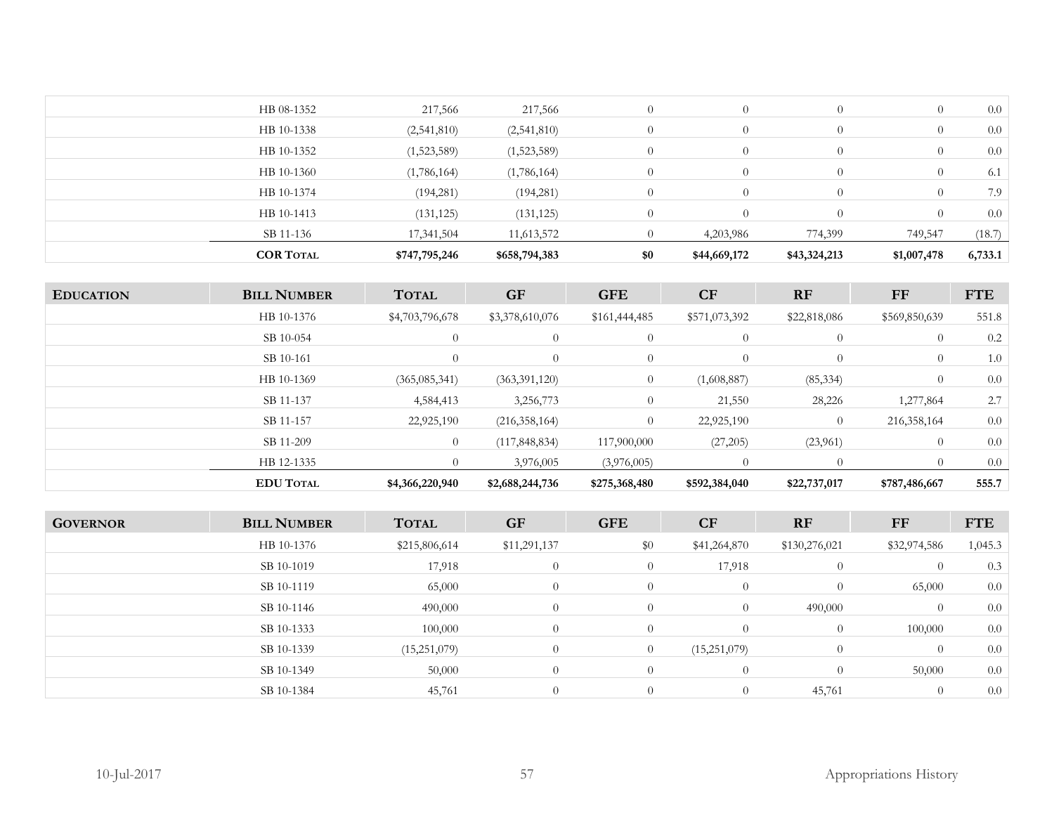| <b>COR TOTAL</b> | \$747,795,246 | \$658,794,383 | \$0            | \$44,669,172 | \$43,324,213 | \$1,007,478 | 6,733.1 |
|------------------|---------------|---------------|----------------|--------------|--------------|-------------|---------|
| SB 11-136        | 17,341,504    | 11,613,572    |                | 4,203,986    | 774,399      | 749,547     | (18.7)  |
| HB 10-1413       | (131, 125)    | (131, 125)    | $\Omega$       |              |              |             | 0.0     |
| HB 10-1374       | (194, 281)    | (194, 281)    | $\Omega$       |              | $\Omega$     | $\theta$    | 7.9     |
| HB 10-1360       | (1,786,164)   | (1,786,164)   | 0              |              | $\Omega$     | $\theta$    | 6.1     |
| HB 10-1352       | (1,523,589)   | (1,523,589)   | $\overline{0}$ |              | $\Omega$     | $\theta$    | 0.0     |
| HB 10-1338       | (2,541,810)   | (2,541,810)   | $\Omega$       |              | $\Omega$     | $\theta$    | 0.0     |
| HB 08-1352       | 217,566       | 217,566       | $\Omega$       |              | $\theta$     | $\theta$    | 0.0     |
|                  |               |               |                |              |              |             |         |

| <b>EDUCATION</b> | <b>BILL NUMBER</b> | <b>TOTAL</b>    | <b>GF</b>       | <b>GFE</b>     | CF            | RF             | $\bf FF$       | <b>FTE</b> |
|------------------|--------------------|-----------------|-----------------|----------------|---------------|----------------|----------------|------------|
|                  | HB 10-1376         | \$4,703,796,678 | \$3,378,610,076 | \$161,444,485  | \$571,073,392 | \$22,818,086   | \$569,850,639  | 551.8      |
|                  | SB 10-054          | $\theta$        | $\theta$        | $\overline{0}$ | $\theta$      | $\overline{0}$ | $\overline{0}$ | 0.2        |
|                  | SB 10-161          | $\Omega$        | $\theta$        | $\overline{0}$ | $\theta$      | $\overline{0}$ | $\overline{0}$ | 1.0        |
|                  | HB 10-1369         | (365, 085, 341) | (363,391,120)   | $\overline{0}$ | (1,608,887)   | (85, 334)      | $\overline{0}$ | 0.0        |
|                  | SB 11-137          | 4,584,413       | 3,256,773       | $\overline{0}$ | 21,550        | 28,226         | 1,277,864      | 2.7        |
|                  | SB 11-157          | 22,925,190      | (216, 358, 164) | $\Omega$       | 22,925,190    | $\overline{0}$ | 216, 358, 164  | 0.0        |
|                  | SB 11-209          | $\overline{0}$  | (117, 848, 834) | 117,900,000    | (27,205)      | (23,961)       | $\overline{0}$ | 0.0        |
|                  | HB 12-1335         | $\theta$        | 3,976,005       | (3,976,005)    |               | $\Omega$       | $\left($       | 0.0        |
|                  | <b>EDU TOTAL</b>   | \$4,366,220,940 | \$2,688,244,736 | \$275,368,480  | \$592,384,040 | \$22,737,017   | \$787,486,667  | 555.7      |

| <b>GOVERNOR</b> | <b>BILL NUMBER</b> | <b>TOTAL</b>  | <b>GF</b>      | <b>GFE</b>     | <b>CF</b>      | RF             | FF           | <b>FTE</b> |
|-----------------|--------------------|---------------|----------------|----------------|----------------|----------------|--------------|------------|
|                 | HB 10-1376         | \$215,806,614 | \$11,291,137   | \$0            | \$41,264,870   | \$130,276,021  | \$32,974,586 | 1,045.3    |
|                 | SB 10-1019         | 17,918        | 0              | $\overline{0}$ | 17,918         | $\overline{0}$ | $\theta$     | 0.3        |
|                 | SB 10-1119         | 65,000        | 0              | $\overline{0}$ | $\overline{0}$ | $\overline{0}$ | 65,000       | 0.0        |
|                 | SB 10-1146         | 490,000       | 0              | $\overline{0}$ |                | 490,000        | $\Omega$     | 0.0        |
|                 | SB 10-1333         | 100,000       | 0              | $\overline{0}$ |                | $\overline{0}$ | 100,000      | 0.0        |
|                 | SB 10-1339         | (15,251,079)  | $\overline{0}$ | $\overline{0}$ | (15,251,079)   | $\overline{0}$ | $\theta$     | 0.0        |
|                 | SB 10-1349         | 50,000        | 0              | $\overline{0}$ |                | $\overline{0}$ | 50,000       | 0.0        |
|                 | SB 10-1384         | 45,761        | 0              | $\overline{0}$ |                | 45,761         | $\theta$     | 0.0        |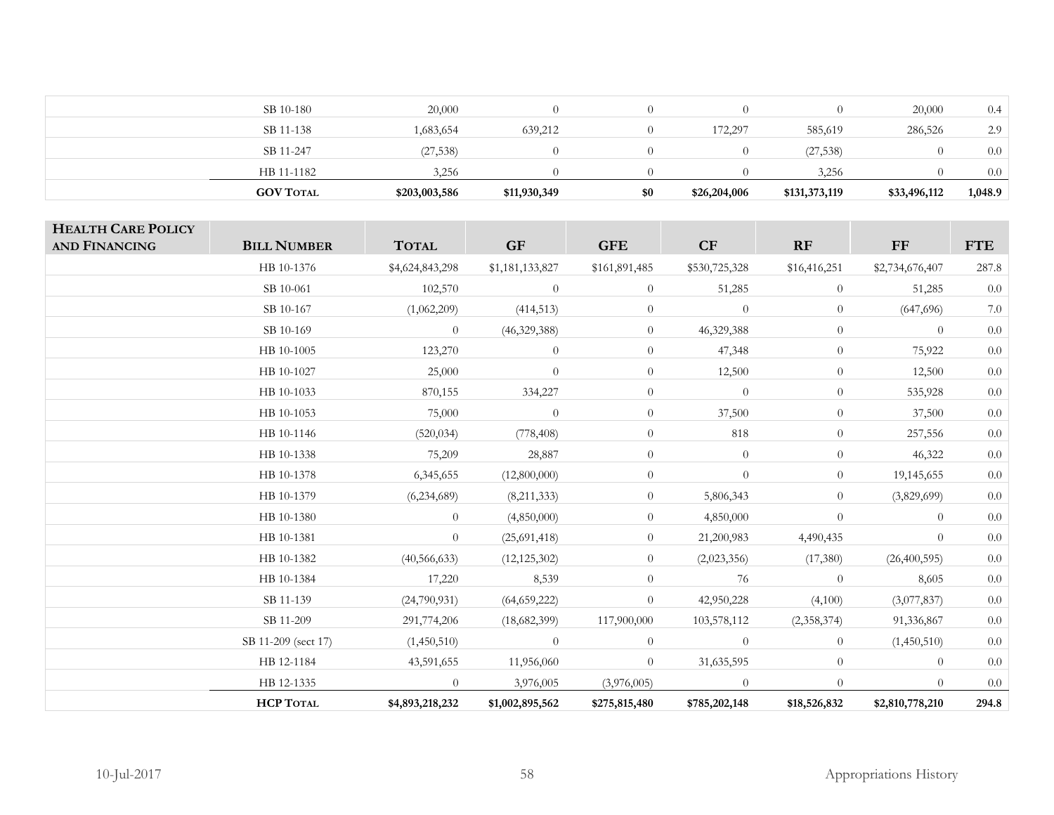| SB 10-180        | 20,000        |              |     |              |               | 20,000       | 0.4     |
|------------------|---------------|--------------|-----|--------------|---------------|--------------|---------|
| SB 11-138        | 1,683,654     | 639,212      |     | 172,297      | 585,619       | 286,526      | 2.9     |
| SB 11-247        | (27, 538)     |              |     |              | (27, 538)     |              | 0.0     |
| HB 11-1182       | 3,256         |              |     |              | 3,256         |              | 0.0     |
| <b>GOV TOTAL</b> | \$203,003,586 | \$11,930,349 | \$0 | \$26,204,006 | \$131,373,119 | \$33,496,112 | 1,048.9 |

| <b>HEALTH CARE POLICY</b><br><b>AND FINANCING</b> | <b>BILL NUMBER</b>  | <b>TOTAL</b>    | <b>GF</b>       | <b>GFE</b>     | CF             | RF             | FF              | <b>FTE</b> |
|---------------------------------------------------|---------------------|-----------------|-----------------|----------------|----------------|----------------|-----------------|------------|
|                                                   | HB 10-1376          | \$4,624,843,298 | \$1,181,133,827 | \$161,891,485  | \$530,725,328  | \$16,416,251   | \$2,734,676,407 | 287.8      |
|                                                   | SB 10-061           | 102,570         | $\overline{0}$  | $\overline{0}$ | 51,285         | $\overline{0}$ | 51,285          | $0.0\,$    |
|                                                   | SB 10-167           | (1,062,209)     | (414,513)       | $\overline{0}$ | $\overline{0}$ | $\overline{0}$ | (647,696)       | $7.0\,$    |
|                                                   | SB 10-169           | $\overline{0}$  | (46,329,388)    | $\overline{0}$ | 46,329,388     | $\theta$       | $\overline{0}$  | $0.0\,$    |
|                                                   | HB 10-1005          | 123,270         | $\overline{0}$  | $\overline{0}$ | 47,348         | $\overline{0}$ | 75,922          | $0.0\,$    |
|                                                   | HB 10-1027          | 25,000          | $\overline{0}$  | $\overline{0}$ | 12,500         | $\overline{0}$ | 12,500          | $0.0\,$    |
|                                                   | HB 10-1033          | 870,155         | 334,227         | $\overline{0}$ | $\overline{0}$ | $\overline{0}$ | 535,928         | $0.0\,$    |
|                                                   | HB 10-1053          | 75,000          | $\overline{0}$  | $\overline{0}$ | 37,500         | $\overline{0}$ | 37,500          | 0.0        |
|                                                   | HB 10-1146          | (520, 034)      | (778, 408)      | $\overline{0}$ | 818            | $\overline{0}$ | 257,556         | $0.0\,$    |
|                                                   | HB 10-1338          | 75,209          | 28,887          | $\overline{0}$ | $\overline{0}$ | $\overline{0}$ | 46,322          | $0.0\,$    |
|                                                   | HB 10-1378          | 6,345,655       | (12,800,000)    | $\overline{0}$ | $\theta$       | $\overline{0}$ | 19,145,655      | $0.0\,$    |
|                                                   | HB 10-1379          | (6,234,689)     | (8,211,333)     | $\overline{0}$ | 5,806,343      | $\overline{0}$ | (3,829,699)     | 0.0        |
|                                                   | HB 10-1380          | $\overline{0}$  | (4,850,000)     | $\overline{0}$ | 4,850,000      | $\theta$       | $\theta$        | $0.0\,$    |
|                                                   | HB 10-1381          | $\theta$        | (25,691,418)    | $\overline{0}$ | 21,200,983     | 4,490,435      | $\theta$        | $0.0\,$    |
|                                                   | HB 10-1382          | (40, 566, 633)  | (12, 125, 302)  | $\overline{0}$ | (2,023,356)    | (17,380)       | (26,400,595)    | $0.0\,$    |
|                                                   | HB 10-1384          | 17,220          | 8,539           | $\overline{0}$ | 76             | $\overline{0}$ | 8,605           | 0.0        |
|                                                   | SB 11-139           | (24,790,931)    | (64, 659, 222)  | $\overline{0}$ | 42,950,228     | (4,100)        | (3,077,837)     | $0.0\,$    |
|                                                   | SB 11-209           | 291,774,206     | (18,682,399)    | 117,900,000    | 103,578,112    | (2,358,374)    | 91,336,867      | $0.0\,$    |
|                                                   | SB 11-209 (sect 17) | (1,450,510)     | $\theta$        | $\overline{0}$ | $\overline{0}$ | $\overline{0}$ | (1,450,510)     | $0.0\,$    |
|                                                   | HB 12-1184          | 43,591,655      | 11,956,060      | $\overline{0}$ | 31,635,595     | $\overline{0}$ | $\theta$        | 0.0        |
|                                                   | HB 12-1335          | $\overline{0}$  | 3,976,005       | (3,976,005)    | $\overline{0}$ | $\overline{0}$ | $\theta$        | $0.0\,$    |
|                                                   | <b>HCP TOTAL</b>    | \$4,893,218,232 | \$1,002,895,562 | \$275,815,480  | \$785,202,148  | \$18,526,832   | \$2,810,778,210 | 294.8      |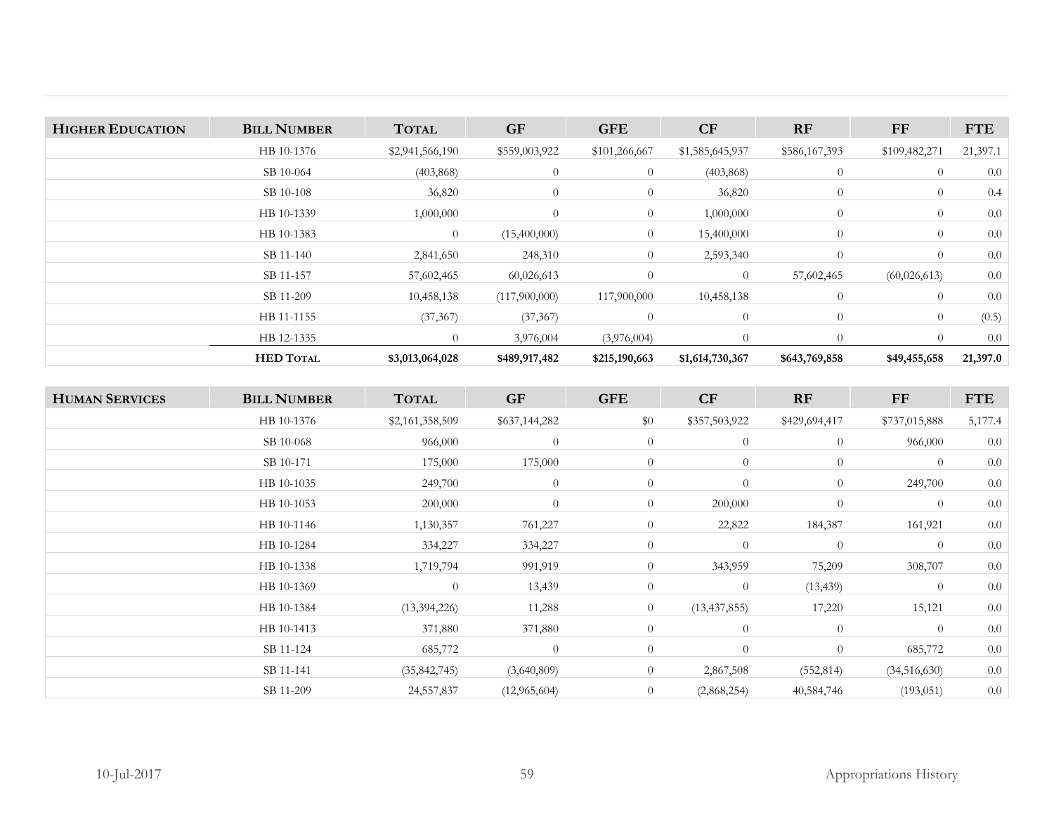| <b>HIGHER EDUCATION</b> | <b>BILL NUMBER</b> | <b>TOTAL</b>    | <b>GF</b>      | <b>GFE</b>     | <b>CF</b>       | RF             | FF             | <b>FTE</b> |
|-------------------------|--------------------|-----------------|----------------|----------------|-----------------|----------------|----------------|------------|
|                         | HB 10-1376         | \$2,941,566,190 | \$559,003,922  | \$101,266,667  | \$1,585,645,937 | \$586,167,393  | \$109,482,271  | 21,397.1   |
|                         | SB 10-064          | (403, 868)      | $\overline{0}$ | $\overline{0}$ | (403, 868)      | $\overline{0}$ | $\overline{0}$ | 0.0        |
|                         | SB 10-108          | 36,820          | $\overline{0}$ | $\overline{0}$ | 36,820          | $\overline{0}$ | $\theta$       | 0.4        |
|                         | HB 10-1339         | 1,000,000       | $\overline{0}$ | $\overline{0}$ | 1,000,000       | $\overline{0}$ | $\overline{0}$ | 0.0        |
|                         | HB 10-1383         | $\overline{0}$  | (15,400,000)   | $\overline{0}$ | 15,400,000      | $\overline{0}$ | $\theta$       | 0.0        |
|                         | SB 11-140          | 2,841,650       | 248,310        | $\overline{0}$ | 2,593,340       | $\overline{0}$ | $\Omega$       | 0.0        |
|                         | SB 11-157          | 57,602,465      | 60,026,613     | $\overline{0}$ | $\theta$        | 57,602,465     | (60,026,613)   | 0.0        |
|                         | SB 11-209          | 10,458,138      | (117,900,000)  | 117,900,000    | 10,458,138      | $\overline{0}$ | $\Omega$       | 0.0        |
|                         | HB 11-1155         | (37, 367)       | (37, 367)      | $\overline{0}$ | $\theta$        | $\overline{0}$ | $\overline{0}$ | (0.5)      |
|                         | HB 12-1335         | $\overline{0}$  | 3,976,004      | (3,976,004)    | $\Omega$        | $\Omega$       |                | 0.0        |
|                         | <b>HED TOTAL</b>   | \$3,013,064,028 | \$489,917,482  | \$215,190,663  | \$1,614,730,367 | \$643,769,858  | \$49,455,658   | 21,397.0   |

| <b>HUMAN SERVICES</b> | <b>BILL NUMBER</b> | <b>TOTAL</b>    | <b>GF</b>      | <b>GFE</b>     | CF             | RF             | FF             | <b>FTE</b> |
|-----------------------|--------------------|-----------------|----------------|----------------|----------------|----------------|----------------|------------|
|                       | HB 10-1376         | \$2,161,358,509 | \$637,144,282  | \$0            | \$357,503,922  | \$429,694,417  | \$737,015,888  | 5,177.4    |
|                       | SB 10-068          | 966,000         | $\theta$       | $\overline{0}$ | $\theta$       | $\overline{0}$ | 966,000        | 0.0        |
|                       | SB 10-171          | 175,000         | 175,000        | $\overline{0}$ | $\overline{0}$ | $\overline{0}$ | $\overline{0}$ | 0.0        |
|                       | HB 10-1035         | 249,700         | $\overline{0}$ | $\overline{0}$ | $\theta$       | $\overline{0}$ | 249,700        | 0.0        |
|                       | HB 10-1053         | 200,000         | $\theta$       | $\overline{0}$ | 200,000        | $\overline{0}$ | $\overline{0}$ | 0.0        |
|                       | HB 10-1146         | 1,130,357       | 761,227        | $\overline{0}$ | 22,822         | 184,387        | 161,921        | $0.0\,$    |
|                       | HB 10-1284         | 334,227         | 334,227        | $\overline{0}$ | $\theta$       | $\overline{0}$ | $\overline{0}$ | 0.0        |
|                       | HB 10-1338         | 1,719,794       | 991,919        | $\overline{0}$ | 343,959        | 75,209         | 308,707        | 0.0        |
|                       | HB 10-1369         | $\Omega$        | 13,439         | $\overline{0}$ | $\overline{0}$ | (13, 439)      | $\overline{0}$ | 0.0        |
|                       | HB 10-1384         | (13, 394, 226)  | 11,288         | $\overline{0}$ | (13, 437, 855) | 17,220         | 15,121         | 0.0        |
|                       | HB 10-1413         | 371,880         | 371,880        | $\overline{0}$ | $\theta$       | $\overline{0}$ | $\theta$       | 0.0        |
|                       | SB 11-124          | 685,772         | $\theta$       | $\overline{0}$ | $\theta$       | $\theta$       | 685,772        | 0.0        |
|                       | SB 11-141          | (35, 842, 745)  | (3,640,809)    | $\overline{0}$ | 2,867,508      | (552, 814)     | (34, 516, 630) | 0.0        |
|                       | SB 11-209          | 24,557,837      | (12, 965, 604) | $\overline{0}$ | (2,868,254)    | 40,584,746     | (193, 051)     | 0.0        |
|                       |                    |                 |                |                |                |                |                |            |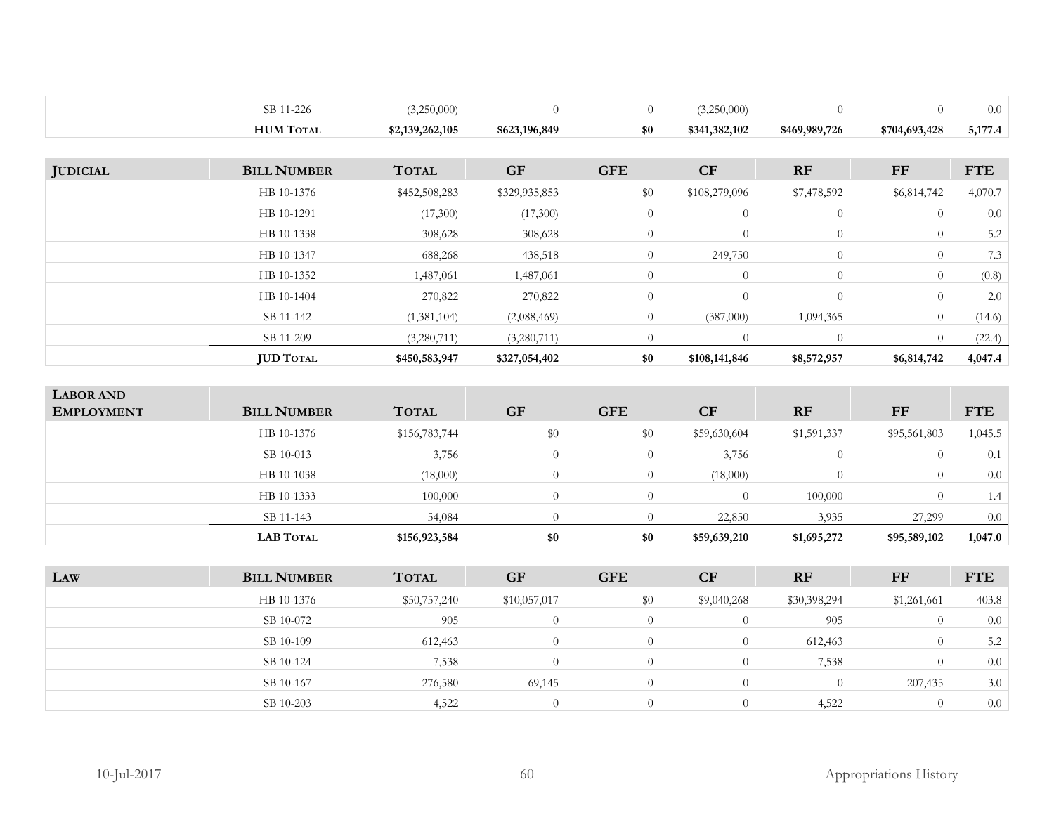|                 | SB 11-226          | (3,250,000)     | $\theta$      | $\overline{0}$ | (3,250,000)    | $\theta$       | $\overline{0}$ | 0.0        |
|-----------------|--------------------|-----------------|---------------|----------------|----------------|----------------|----------------|------------|
|                 | <b>HUM TOTAL</b>   | \$2,139,262,105 | \$623,196,849 | \$0            | \$341,382,102  | \$469,989,726  | \$704,693,428  | 5,177.4    |
|                 |                    |                 |               |                |                |                |                |            |
| <b>JUDICIAL</b> | <b>BILL NUMBER</b> | <b>TOTAL</b>    | <b>GF</b>     | <b>GFE</b>     | <b>CF</b>      | <b>RF</b>      | <b>FF</b>      | <b>FTE</b> |
|                 | HB 10-1376         | \$452,508,283   | \$329,935,853 | \$0            | \$108,279,096  | \$7,478,592    | \$6,814,742    | 4,070.7    |
|                 | HB 10-1291         | (17,300)        | (17,300)      | $\overline{0}$ | $\overline{0}$ | $\overline{0}$ | $\overline{0}$ | 0.0        |
|                 | HB 10-1338         | 308,628         | 308,628       | $\overline{0}$ | $\theta$       | $\overline{0}$ | $\theta$       | 5.2        |
|                 | HB 10-1347         | 688,268         | 438,518       | $\overline{0}$ | 249,750        | $\overline{0}$ | $\overline{0}$ | 7.3        |
|                 | HB 10-1352         | 1,487,061       | 1,487,061     | $\overline{0}$ | $\overline{0}$ | $\overline{0}$ | $\overline{0}$ | (0.8)      |
|                 | HB 10-1404         | 270,822         | 270,822       | $\overline{0}$ | $\theta$       | $\overline{0}$ | $\overline{0}$ | 2.0        |
|                 | SB 11-142          | (1,381,104)     | (2,088,469)   | $\overline{0}$ | (387,000)      | 1,094,365      | $\theta$       | (14.6)     |
|                 | SB 11-209          | (3,280,711)     | (3,280,711)   | $\overline{0}$ | $\overline{0}$ | $\overline{0}$ | $\theta$       | (22.4)     |
|                 | <b>JUD TOTAL</b>   | \$450,583,947   | \$327,054,402 | \$0            | \$108,141,846  | \$8,572,957    | \$6,814,742    | 4,047.4    |

| <b>LABOR AND</b><br><b>EMPLOYMENT</b> | <b>BILL NUMBER</b> | <b>TOTAL</b>  | <b>GF</b> | <b>GFE</b> | CF           | <b>RF</b>      | FF           | <b>FTE</b> |
|---------------------------------------|--------------------|---------------|-----------|------------|--------------|----------------|--------------|------------|
|                                       | HB 10-1376         | \$156,783,744 | \$0       | \$0        | \$59,630,604 | \$1,591,337    | \$95,561,803 | 1,045.5    |
|                                       | SB 10-013          | 3,756         | $\bigcap$ | $^{(1)}$   | 3,756        | $\overline{0}$ |              | 0.1        |
|                                       | HB 10-1038         | (18,000)      | $\Omega$  | 0          | (18,000)     | $\Omega$       |              | 0.0        |
|                                       | HB 10-1333         | 100,000       | $\Omega$  | $\Omega$   | $\Omega$     | 100,000        |              | 1.4        |
|                                       | SB 11-143          | 54,084        |           |            | 22,850       | 3,935          | 27,299       | 0.0        |
|                                       | <b>LAB TOTAL</b>   | \$156,923,584 | \$0       | \$0        | \$59,639,210 | \$1,695,272    | \$95,589,102 | 1,047.0    |

| LAW | <b>BILL NUMBER</b> | <b>TOTAL</b> | <b>GF</b>    | <b>GFE</b> | CF           | <b>RF</b>    | FF          | <b>FTE</b> |
|-----|--------------------|--------------|--------------|------------|--------------|--------------|-------------|------------|
|     | HB 10-1376         | \$50,757,240 | \$10,057,017 | \$0        | \$9,040,268  | \$30,398,294 | \$1,261,661 | 403.8      |
|     | SB 10-072          | 905          |              |            | $\Box$       | 905          | $\Omega$    | 0.0        |
|     | SB 10-109          | 612,463      |              |            | U            | 612,463      |             | 5.2        |
|     | SB 10-124          | 7,538        |              |            |              | 7,538        |             | 0.0        |
|     | SB 10-167          | 276,580      | 69,145       | 0          | $\mathbf{U}$ |              | 207,435     | 3.0        |
|     | SB 10-203          | 4,522        |              |            | $\Box$       | 4,522        | $\Omega$    | 0.0        |
|     |                    |              |              |            |              |              |             |            |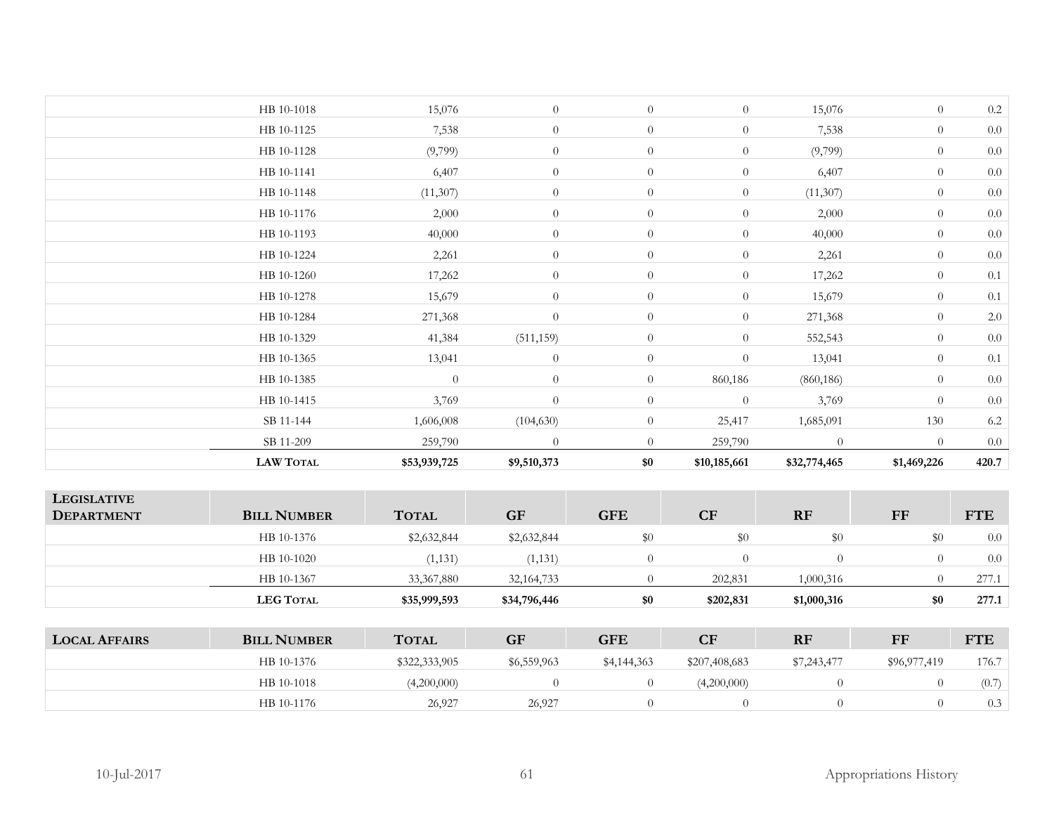| <b>LAW TOTAL</b> | \$53,939,725   | \$9,510,373    | \$0            | \$10,185,661     | \$32,774,465 | \$1,469,226    | 420.7   |
|------------------|----------------|----------------|----------------|------------------|--------------|----------------|---------|
| SB 11-209        | 259,790        | $\theta$       | $\theta$       | 259,790          | $\theta$     | $\overline{0}$ | 0.0     |
| SB 11-144        | 1,606,008      | (104, 630)     | $\overline{0}$ | 25,417           | 1,685,091    | 130            | $6.2\,$ |
| HB 10-1415       | 3,769          | $\theta$       | $\overline{0}$ | $\overline{0}$   | 3,769        | $\overline{0}$ | $0.0\,$ |
| HB 10-1385       | $\overline{0}$ | $\theta$       | $\overline{0}$ | 860,186          | (860, 186)   | $\overline{0}$ | $0.0\,$ |
| HB 10-1365       | 13,041         | $\theta$       | $\overline{0}$ | $\overline{0}$   | 13,041       | $\overline{0}$ | 0.1     |
| HB 10-1329       | 41,384         | (511, 159)     | $\overline{0}$ | $\overline{0}$   | 552,543      | $\overline{0}$ | 0.0     |
| HB 10-1284       | 271,368        | $\overline{0}$ | $\overline{0}$ | $\overline{0}$   | 271,368      | $\overline{0}$ | $2.0\,$ |
| HB 10-1278       | 15,679         | $\overline{0}$ | $\overline{0}$ | $\overline{0}$   | 15,679       | $\overline{0}$ | 0.1     |
| HB 10-1260       | 17,262         | $\overline{0}$ | $\overline{0}$ | $\overline{0}$   | 17,262       | $\overline{0}$ | 0.1     |
| HB 10-1224       | 2,261          | $\overline{0}$ | $\overline{0}$ | $\overline{0}$   | 2,261        | $\overline{0}$ | 0.0     |
| HB 10-1193       | 40,000         | $\overline{0}$ | $\overline{0}$ | $\overline{0}$   | 40,000       | $\overline{0}$ | $0.0\,$ |
| HB 10-1176       | 2,000          | $\overline{0}$ | $\overline{0}$ | $\overline{0}$   | 2,000        | $\overline{0}$ | 0.0     |
| HB 10-1148       | (11, 307)      | $\overline{0}$ | $\overline{0}$ | $\overline{0}$   | (11, 307)    | $\overline{0}$ | 0.0     |
| HB 10-1141       | 6,407          | $\overline{0}$ | $\overline{0}$ | $\overline{0}$   | 6,407        | $\overline{0}$ | 0.0     |
| HB 10-1128       | (9,799)        | $\overline{0}$ | $\overline{0}$ | $\boldsymbol{0}$ | (9,799)      | $\overline{0}$ | $0.0\,$ |
| HB 10-1125       | 7,538          | $\overline{0}$ | $\overline{0}$ | $\boldsymbol{0}$ | 7,538        | $\overline{0}$ | $0.0\,$ |
| HB 10-1018       | 15,076         | $\theta$       | $\overline{0}$ | $\overline{0}$   | 15,076       | $\overline{0}$ | $0.2\,$ |
|                  |                |                |                |                  |              |                |         |

| <b>LEGISLATIVE</b><br><b>DEPARTMENT</b> | <b>BILL NUMBER</b> | <b>TOTAL</b>  | <b>GF</b>    | <b>GFE</b>     | CF             | <b>RF</b>      | FF           | <b>FTE</b> |
|-----------------------------------------|--------------------|---------------|--------------|----------------|----------------|----------------|--------------|------------|
|                                         | HB 10-1376         | \$2,632,844   | \$2,632,844  | \$0            | \$0            | \$0            | \$0          | 0.0        |
|                                         | HB 10-1020         | (1, 131)      | (1, 131)     | $\theta$       | $\overline{0}$ | $\theta$       | $\theta$     | 0.0        |
|                                         | HB 10-1367         | 33, 367, 880  | 32, 164, 733 | $\theta$       | 202,831        | 1,000,316      |              | 277.1      |
|                                         | <b>LEG TOTAL</b>   | \$35,999,593  | \$34,796,446 | \$0            | \$202,831      | \$1,000,316    | \$0          | 277.1      |
|                                         |                    |               |              |                |                |                |              |            |
| <b>LOCAL AFFAIRS</b>                    | <b>BILL NUMBER</b> | <b>TOTAL</b>  | <b>GF</b>    | <b>GFE</b>     | CF             | <b>RF</b>      | FF           | <b>FTE</b> |
|                                         | HB 10-1376         | \$322,333,905 | \$6,559,963  | \$4,144,363    | \$207,408,683  | \$7,243,477    | \$96,977,419 | 176.7      |
|                                         | HB 10-1018         | (4,200,000)   | $\theta$     | $\theta$       | (4,200,000)    | $\overline{0}$ | $\theta$     | (0.7)      |
|                                         | HB 10-1176         | 26,927        | 26,927       | $\overline{0}$ | $\overline{0}$ | $\theta$       | $\Omega$     | 0.3        |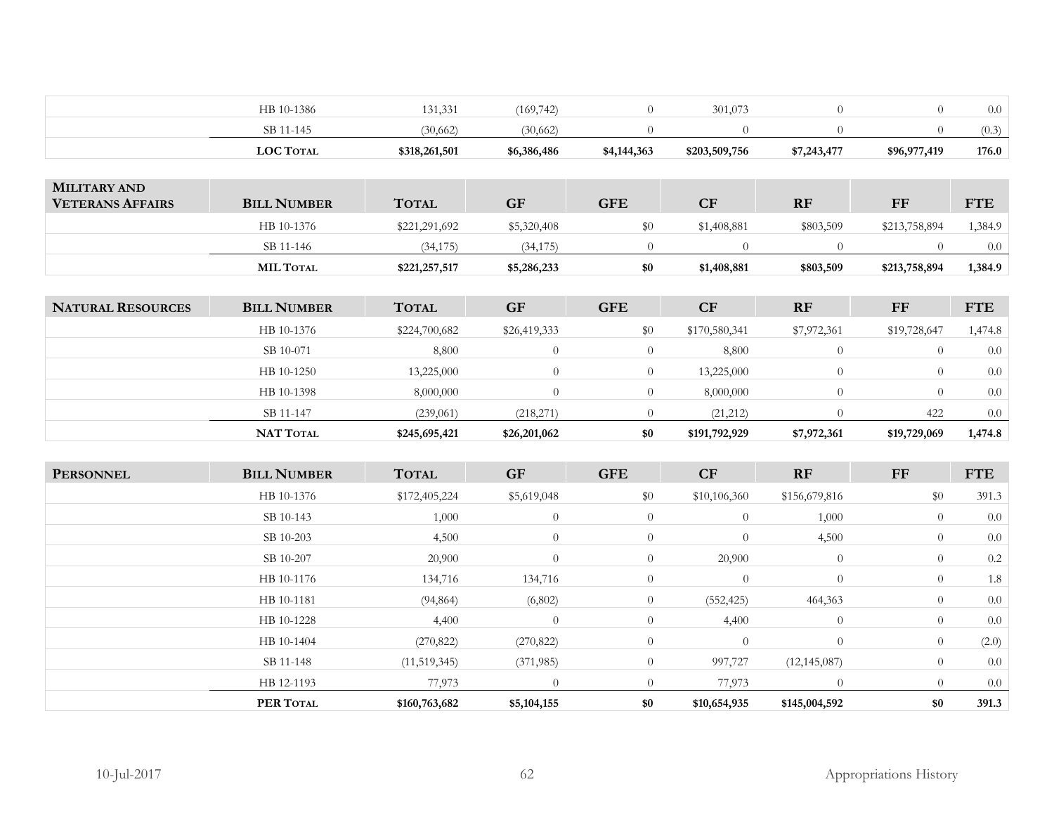| SB 11-145  | (30,662) | (30,662)   |         |  | (0.3) |
|------------|----------|------------|---------|--|-------|
| HB 10-1386 | 131,331  | (169, 742) | 301,073 |  | 0.0   |

|                                                | <b>MIL TOTAL</b>   | \$221,257,517 | \$5,286,233 | \$0        | \$1,408,881 | \$803,509 | \$213,758,894 | 1,384.9    |
|------------------------------------------------|--------------------|---------------|-------------|------------|-------------|-----------|---------------|------------|
|                                                | SB 11-146          | (34, 175)     | (34, 175)   |            |             |           |               | -0.0       |
|                                                | HB 10-1376         | \$221,291,692 | \$5,320,408 |            | \$1,408,881 | \$803,509 | \$213,758,894 | .384.9     |
| <b>MILITARY AND</b><br><b>VETERANS AFFAIRS</b> | <b>BILL NUMBER</b> | <b>TOTAL</b>  | GF          | <b>GFE</b> | CF          | <b>RF</b> | FF            | <b>FTE</b> |

| <b>NATURAL RESOURCES</b> | <b>BILL NUMBER</b> | <b>TOTAL</b>  | <b>GF</b>    | <b>GFE</b> | <b>CF</b>     | <b>RF</b>   | FF           | <b>FTE</b> |
|--------------------------|--------------------|---------------|--------------|------------|---------------|-------------|--------------|------------|
|                          | HB 10-1376         | \$224,700,682 | \$26,419,333 | $\$0$      | \$170,580,341 | \$7,972,361 | \$19,728,647 | 1,474.8    |
|                          | SB 10-071          | 8,800         |              | $\theta$   | 8,800         |             | $\theta$     | 0.0        |
|                          | HB 10-1250         | 13,225,000    | $\Omega$     |            | 13,225,000    |             | $\left($     | 0.0        |
|                          | HB 10-1398         | 8,000,000     |              |            | 8,000,000     |             | $\theta$     | 0.0        |
|                          | SB 11-147          | (239,061)     | (218,271)    |            | (21,212)      |             | 422          | 0.0        |
|                          | <b>NAT TOTAL</b>   | \$245,695,421 | \$26,201,062 | \$0        | \$191,792,929 | \$7,972,361 | \$19,729,069 | 1,474.8    |

| <b>PERSONNEL</b> | <b>BILL NUMBER</b> | <b>TOTAL</b>  | <b>GF</b>      | <b>GFE</b>     | CF             | RF             | FF             | <b>FTE</b> |
|------------------|--------------------|---------------|----------------|----------------|----------------|----------------|----------------|------------|
|                  | HB 10-1376         | \$172,405,224 | \$5,619,048    | \$0            | \$10,106,360   | \$156,679,816  | \$0            | 391.3      |
|                  | SB 10-143          | 1,000         | $\theta$       | $\overline{0}$ | $\overline{0}$ | 1,000          | $\overline{0}$ | 0.0        |
|                  | SB 10-203          | 4,500         | $\theta$       | $\overline{0}$ | $\overline{0}$ | 4,500          | $\overline{0}$ | 0.0        |
|                  | SB 10-207          | 20,900        | $\overline{0}$ | $\overline{0}$ | 20,900         | $\overline{0}$ | $\overline{0}$ | 0.2        |
|                  | HB 10-1176         | 134,716       | 134,716        | $\theta$       | $\overline{0}$ | $\overline{0}$ | $\overline{0}$ | 1.8        |
|                  | HB 10-1181         | (94, 864)     | (6,802)        | $\overline{0}$ | (552, 425)     | 464,363        | $\overline{0}$ | 0.0        |
|                  | HB 10-1228         | 4,400         | $\overline{0}$ | $\overline{0}$ | 4,400          | $\overline{0}$ | $\overline{0}$ | 0.0        |
|                  | HB 10-1404         | (270, 822)    | (270, 822)     | $\theta$       | $\overline{0}$ | $\overline{0}$ | $\overline{0}$ | (2.0)      |
|                  | SB 11-148          | (11,519,345)  | (371, 985)     | $\overline{0}$ | 997,727        | (12, 145, 087) | $\overline{0}$ | 0.0        |
|                  | HB 12-1193         | 77,973        | $\overline{0}$ | $\overline{0}$ | 77,973         | $\overline{0}$ | $\overline{0}$ | 0.0        |
|                  | PER TOTAL          | \$160,763,682 | \$5,104,155    | \$0            | \$10,654,935   | \$145,004,592  | \$0            | 391.3      |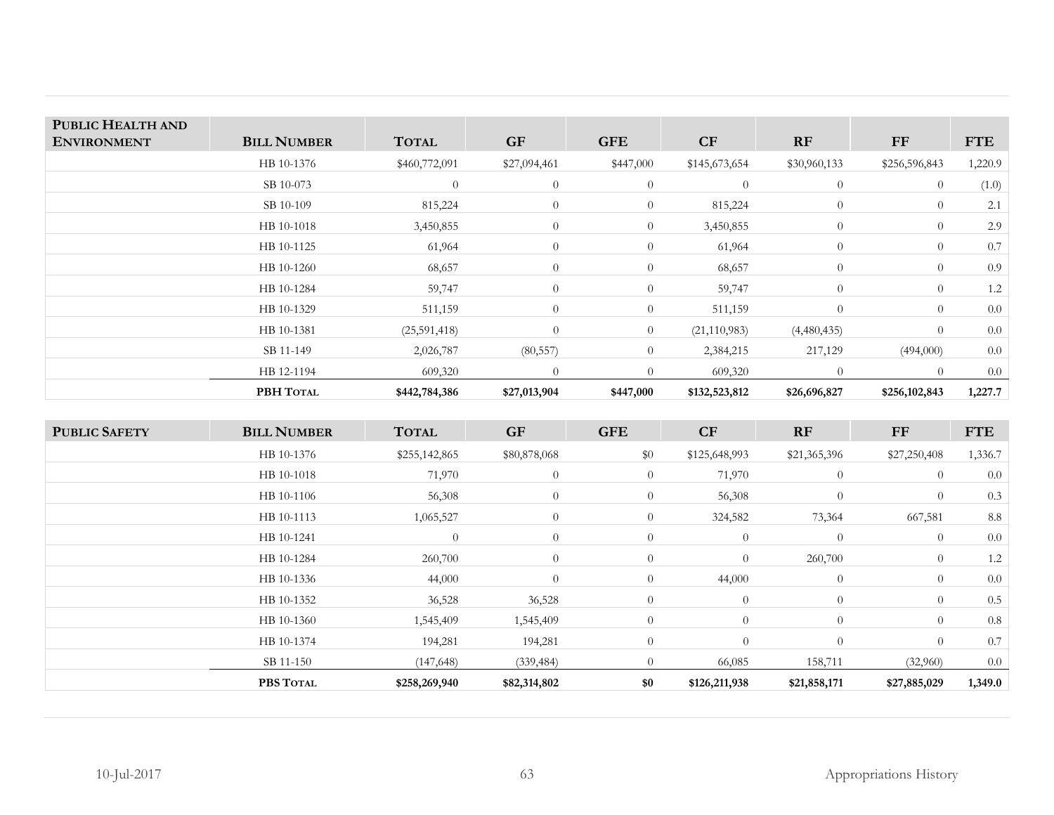| PUBLIC HEALTH AND<br><b>ENVIRONMENT</b> | <b>BILL NUMBER</b> | <b>TOTAL</b>  | <b>GF</b>    | <b>GFE</b>     | CF             | RF             | <b>FF</b>      | <b>FTE</b> |
|-----------------------------------------|--------------------|---------------|--------------|----------------|----------------|----------------|----------------|------------|
|                                         | HB 10-1376         | \$460,772,091 | \$27,094,461 | \$447,000      | \$145,673,654  | \$30,960,133   | \$256,596,843  | 1,220.9    |
|                                         | SB 10-073          | $\theta$      | $\theta$     | $\overline{0}$ | $\overline{0}$ | $\overline{0}$ | $\overline{0}$ | (1.0)      |
|                                         | SB 10-109          | 815,224       | $\theta$     | $\overline{0}$ | 815,224        | $\overline{0}$ | $\overline{0}$ | 2.1        |
|                                         | HB 10-1018         | 3,450,855     | $\theta$     | $\overline{0}$ | 3,450,855      | $\overline{0}$ | $\overline{0}$ | 2.9        |
|                                         | HB 10-1125         | 61,964        | $\theta$     | $\overline{0}$ | 61,964         | $\overline{0}$ | $\overline{0}$ | 0.7        |
|                                         | HB 10-1260         | 68,657        | $\theta$     | $\overline{0}$ | 68,657         | $\overline{0}$ | $\overline{0}$ | 0.9        |
|                                         | HB 10-1284         | 59,747        | $\theta$     | $\overline{0}$ | 59,747         | $\overline{0}$ | $\overline{0}$ | 1.2        |
|                                         | HB 10-1329         | 511,159       | $\theta$     | $\overline{0}$ | 511,159        | $\theta$       | $\overline{0}$ | 0.0        |
|                                         | HB 10-1381         | (25,591,418)  | $\theta$     | $\overline{0}$ | (21, 110, 983) | (4,480,435)    | $\overline{0}$ | 0.0        |
|                                         | SB 11-149          | 2,026,787     | (80, 557)    | $\overline{0}$ | 2,384,215      | 217,129        | (494,000)      | 0.0        |
|                                         | HB 12-1194         | 609,320       | $\Omega$     | $\Omega$       | 609,320        | $\overline{0}$ | $\Omega$       | 0.0        |
|                                         | PBH TOTAL          | \$442,784,386 | \$27,013,904 | \$447,000      | \$132,523,812  | \$26,696,827   | \$256,102,843  | 1,227.7    |

| <b>PUBLIC SAFETY</b> | <b>BILL NUMBER</b> | <b>TOTAL</b>   | <b>GF</b>      | <b>GFE</b>     | CF             | <b>RF</b>      | $\bf FF$       | <b>FTE</b> |
|----------------------|--------------------|----------------|----------------|----------------|----------------|----------------|----------------|------------|
|                      | HB 10-1376         | \$255,142,865  | \$80,878,068   | \$0            | \$125,648,993  | \$21,365,396   | \$27,250,408   | 1,336.7    |
|                      | HB 10-1018         | 71,970         | $\overline{0}$ | $\overline{0}$ | 71,970         | $\overline{0}$ | $\theta$       | 0.0        |
|                      | HB 10-1106         | 56,308         | $\overline{0}$ | $\theta$       | 56,308         | $\overline{0}$ | $\overline{0}$ | 0.3        |
|                      | HB 10-1113         | 1,065,527      | $\overline{0}$ | $\overline{0}$ | 324,582        | 73,364         | 667,581        | 8.8        |
|                      | HB 10-1241         | $\overline{0}$ | $\overline{0}$ | $\overline{0}$ | $\overline{0}$ | $\Omega$       | $\overline{0}$ | 0.0        |
|                      | HB 10-1284         | 260,700        | $\overline{0}$ | $\overline{0}$ | $\overline{0}$ | 260,700        | $\overline{0}$ | 1.2        |
|                      | HB 10-1336         | 44,000         | $\overline{0}$ | $\overline{0}$ | 44,000         | $\overline{0}$ | $\overline{0}$ | 0.0        |
|                      | HB 10-1352         | 36,528         | 36,528         | $\theta$       | $\overline{0}$ | $\overline{0}$ | $\overline{0}$ | 0.5        |
|                      | HB 10-1360         | 1,545,409      | 1,545,409      | $\overline{0}$ | $\overline{0}$ | $\overline{0}$ | $\overline{0}$ | 0.8        |
|                      | HB 10-1374         | 194,281        | 194,281        | $\theta$       | $\theta$       | $\Omega$       | $\theta$       | 0.7        |
|                      | SB 11-150          | (147, 648)     | (339, 484)     | $\Omega$       | 66,085         | 158,711        | (32,960)       | $0.0\,$    |
|                      | PBS TOTAL          | \$258,269,940  | \$82,314,802   | \$0            | \$126,211,938  | \$21,858,171   | \$27,885,029   | 1,349.0    |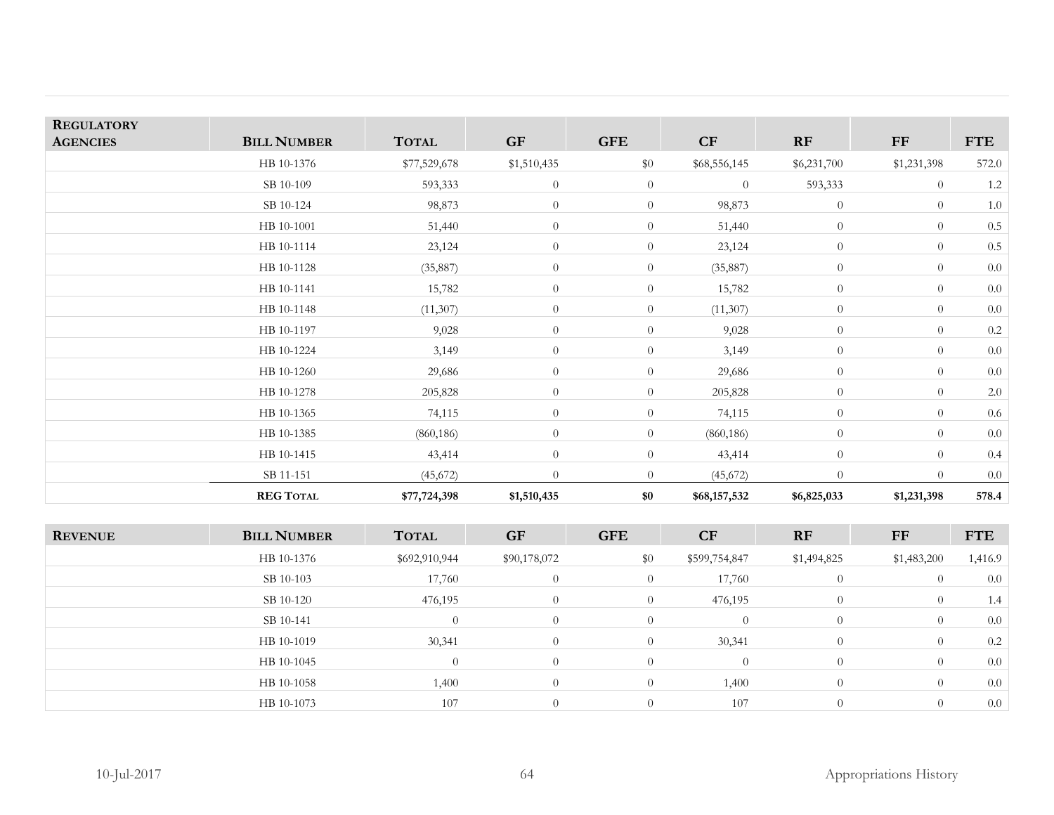| <b>REGULATORY</b><br><b>AGENCIES</b> | <b>BILL NUMBER</b> | <b>TOTAL</b>  | <b>GF</b>      | <b>GFE</b>       | CF             | RF             | ${\rm FF}$     | <b>FTE</b> |
|--------------------------------------|--------------------|---------------|----------------|------------------|----------------|----------------|----------------|------------|
|                                      |                    |               |                |                  |                |                |                |            |
|                                      | HB 10-1376         | \$77,529,678  | \$1,510,435    | \$0              | \$68,556,145   | \$6,231,700    | \$1,231,398    | 572.0      |
|                                      | SB 10-109          | 593,333       | $\overline{0}$ | $\overline{0}$   | $\overline{0}$ | 593,333        | $\theta$       | 1.2        |
|                                      | SB 10-124          | 98,873        | $\theta$       | $\theta$         | 98,873         | $\overline{0}$ | $\theta$       | $1.0\,$    |
|                                      | HB 10-1001         | 51,440        | $\theta$       | $\overline{0}$   | 51,440         | $\overline{0}$ | $\theta$       | $0.5\,$    |
|                                      | HB 10-1114         | 23,124        | $\theta$       | $\overline{0}$   | 23,124         | $\overline{0}$ | $\theta$       | $0.5\,$    |
|                                      | HB 10-1128         | (35, 887)     | $\theta$       | $\overline{0}$   | (35, 887)      | $\overline{0}$ | $\theta$       | $0.0\,$    |
|                                      | HB 10-1141         | 15,782        | $\theta$       | $\overline{0}$   | 15,782         | $\overline{0}$ | $\theta$       | $0.0\,$    |
|                                      | HB 10-1148         | (11, 307)     | $\theta$       | $\overline{0}$   | (11,307)       | $\overline{0}$ | $\theta$       | $0.0\,$    |
|                                      | HB 10-1197         | 9,028         | $\theta$       | $\overline{0}$   | 9,028          | $\overline{0}$ | $\theta$       | $0.2\,$    |
|                                      | HB 10-1224         | 3,149         | $\theta$       | $\overline{0}$   | 3,149          | $\overline{0}$ | $\theta$       | $0.0\,$    |
|                                      | HB 10-1260         | 29,686        | $\theta$       | $\overline{0}$   | 29,686         | $\overline{0}$ | $\overline{0}$ | $0.0\,$    |
|                                      | HB 10-1278         | 205,828       | $\theta$       | $\overline{0}$   | 205,828        | $\overline{0}$ | $\theta$       | 2.0        |
|                                      | HB 10-1365         | 74,115        | $\overline{0}$ | $\overline{0}$   | 74,115         | $\overline{0}$ | $\overline{0}$ | $0.6\,$    |
|                                      | HB 10-1385         | (860, 186)    | $\theta$       | $\overline{0}$   | (860, 186)     | $\overline{0}$ | $\theta$       | $0.0\,$    |
|                                      | HB 10-1415         | 43,414        | $\theta$       | $\boldsymbol{0}$ | 43,414         | $\overline{0}$ | $\overline{0}$ | 0.4        |
|                                      | SB 11-151          | (45, 672)     | $\Omega$       | $\overline{0}$   | (45,672)       | $\overline{0}$ | $\theta$       | 0.0        |
|                                      | <b>REG TOTAL</b>   | \$77,724,398  | \$1,510,435    | \$0              | \$68,157,532   | \$6,825,033    | \$1,231,398    | 578.4      |
|                                      |                    |               |                |                  |                |                |                |            |
| <b>REVENUE</b>                       | <b>BILL NUMBER</b> | <b>TOTAL</b>  | <b>GF</b>      | <b>GFE</b>       | CF             | RF             | ${\rm FF}$     | <b>FTE</b> |
|                                      | HB 10-1376         | \$692,910,944 | \$90,178,072   | \$0              | \$599,754,847  | \$1,494,825    | \$1,483,200    | 1,416.9    |
|                                      | SB 10-103          | 17,760        | $\theta$       | $\overline{0}$   | 17,760         | $\overline{0}$ | $\theta$       | $0.0\,$    |
|                                      | SB 10-120          | 476,195       | $\theta$       | $\overline{0}$   | 476,195        | $\overline{0}$ | $\overline{0}$ | 1.4        |

 $0 \t 0 \t 0 \t 0 \t 0 \t 0 \t 0 \t 0 \t 0$ 

0 0 0 0 0 0.0

 $0 \t 0 \t 107 \t 0 \t 0 \t 0.0$ 

 $H\text{B}~10-1019$  30,341 0 0 30,341 0 0 0.2

 $H\text{B}~10-1058$  1,400 0 0 1,400 0 0 0.0

SB 10-141 0

HB 10-1045 0

HB 10-1073 107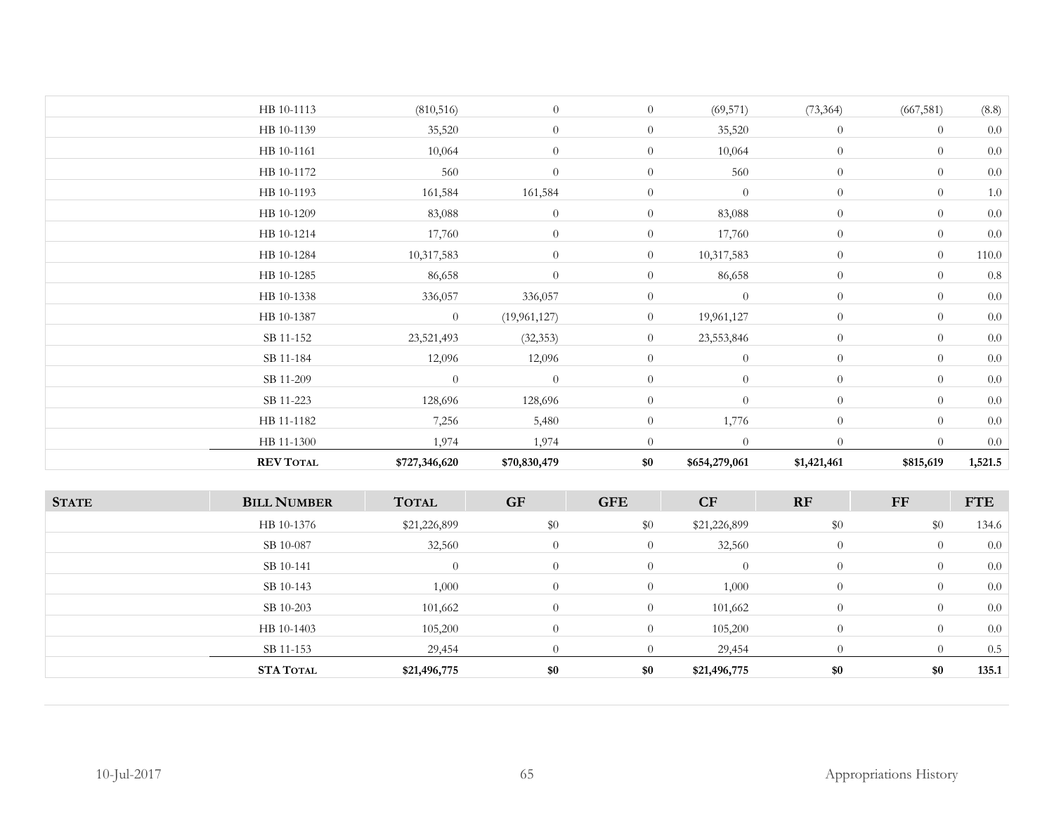|              | HB 10-1113         | (810, 516)     | $\theta$         | $\overline{0}$ | (69, 571)        | (73, 364)        | (667, 581)     | (8.8)      |
|--------------|--------------------|----------------|------------------|----------------|------------------|------------------|----------------|------------|
|              | HB 10-1139         | 35,520         | $\theta$         | $\overline{0}$ | 35,520           | $\overline{0}$   | $\overline{0}$ | $0.0\,$    |
|              | HB 10-1161         | 10,064         | $\theta$         | $\overline{0}$ | 10,064           | $\boldsymbol{0}$ | $\overline{0}$ | $0.0\,$    |
|              | HB 10-1172         | 560            | $\overline{0}$   | $\overline{0}$ | 560              | $\theta$         | $\theta$       | $0.0\,$    |
|              | HB 10-1193         | 161,584        | 161,584          | $\overline{0}$ | $\theta$         | $\theta$         | $\theta$       | $1.0\,$    |
|              | HB 10-1209         | 83,088         | $\theta$         | $\overline{0}$ | 83,088           | $\theta$         | $\overline{0}$ | $0.0\,$    |
|              | HB 10-1214         | 17,760         | $\theta$         | $\overline{0}$ | 17,760           | $\overline{0}$   | $\theta$       | $0.0\,$    |
|              | HB 10-1284         | 10,317,583     | $\theta$         | $\overline{0}$ | 10,317,583       | $\theta$         | $\theta$       | $110.0\,$  |
|              | HB 10-1285         | 86,658         | $\theta$         | $\overline{0}$ | 86,658           | $\boldsymbol{0}$ | $\overline{0}$ | $0.8\,$    |
|              | HB 10-1338         | 336,057        | 336,057          | $\overline{0}$ | $\overline{0}$   | $\overline{0}$   | $\overline{0}$ | $0.0\,$    |
|              | HB 10-1387         | $\overline{0}$ | (19,961,127)     | $\overline{0}$ | 19,961,127       | $\theta$         | $\overline{0}$ | $0.0\,$    |
|              | SB 11-152          | 23,521,493     | (32, 353)        | $\overline{0}$ | 23,553,846       | $\theta$         | $\overline{0}$ | $0.0\,$    |
|              | SB 11-184          | 12,096         | 12,096           | $\overline{0}$ | $\boldsymbol{0}$ | $\boldsymbol{0}$ | $\theta$       | $0.0\,$    |
|              | SB 11-209          | $\theta$       | $\overline{0}$   | $\theta$       | $\overline{0}$   | $\overline{0}$   | $\theta$       | $0.0\,$    |
|              | SB 11-223          | 128,696        | 128,696          | $\overline{0}$ | $\theta$         | $\overline{0}$   | $\overline{0}$ | $0.0\,$    |
|              | HB 11-1182         | 7,256          | 5,480            | $\overline{0}$ | 1,776            | $\overline{0}$   | $\overline{0}$ | $0.0\,$    |
|              | HB 11-1300         | 1,974          | 1,974            | $\overline{0}$ | $\overline{0}$   | $\theta$         | $\overline{0}$ | $0.0\,$    |
|              | <b>REV TOTAL</b>   | \$727,346,620  | \$70,830,479     | \$0            | \$654,279,061    | \$1,421,461      | \$815,619      | 1,521.5    |
| <b>STATE</b> | <b>BILL NUMBER</b> | <b>TOTAL</b>   | <b>GF</b>        | <b>GFE</b>     | CF               | RF               | $\bf FF$       | <b>FTE</b> |
|              | HB 10-1376         | \$21,226,899   | \$0              | \$0            | \$21,226,899     | $\$0$            | \$0            | 134.6      |
|              | SB 10-087          | 32,560         | $\boldsymbol{0}$ | $\overline{0}$ | 32,560           | $\boldsymbol{0}$ | $\overline{0}$ | $0.0\,$    |
|              | SB 10-141          | $\overline{0}$ | $\theta$         | $\overline{0}$ | $\theta$         | $\overline{0}$   | $\theta$       | $0.0\,$    |
|              | SB 10-143          | 1,000          | $\theta$         | $\overline{0}$ | 1,000            | $\theta$         | $\overline{0}$ | $0.0\,$    |
|              | SB 10-203          | 101,662        | $\theta$         | $\overline{0}$ | 101,662          | $\theta$         | $\overline{0}$ | 0.0        |
|              | HB 10-1403         | 105,200        | $\theta$         | $\overline{0}$ | 105,200          | $\theta$         | $\overline{0}$ | $0.0\,$    |
|              | SB 11-153          | 29,454         | $\theta$         | $\overline{0}$ | 29,454           | $\overline{0}$   | $\overline{0}$ | $0.5\,$    |
|              | <b>STA TOTAL</b>   | \$21,496,775   | $\$0$            | \$0            | \$21,496,775     | $\$0$            | $\$0$          | 135.1      |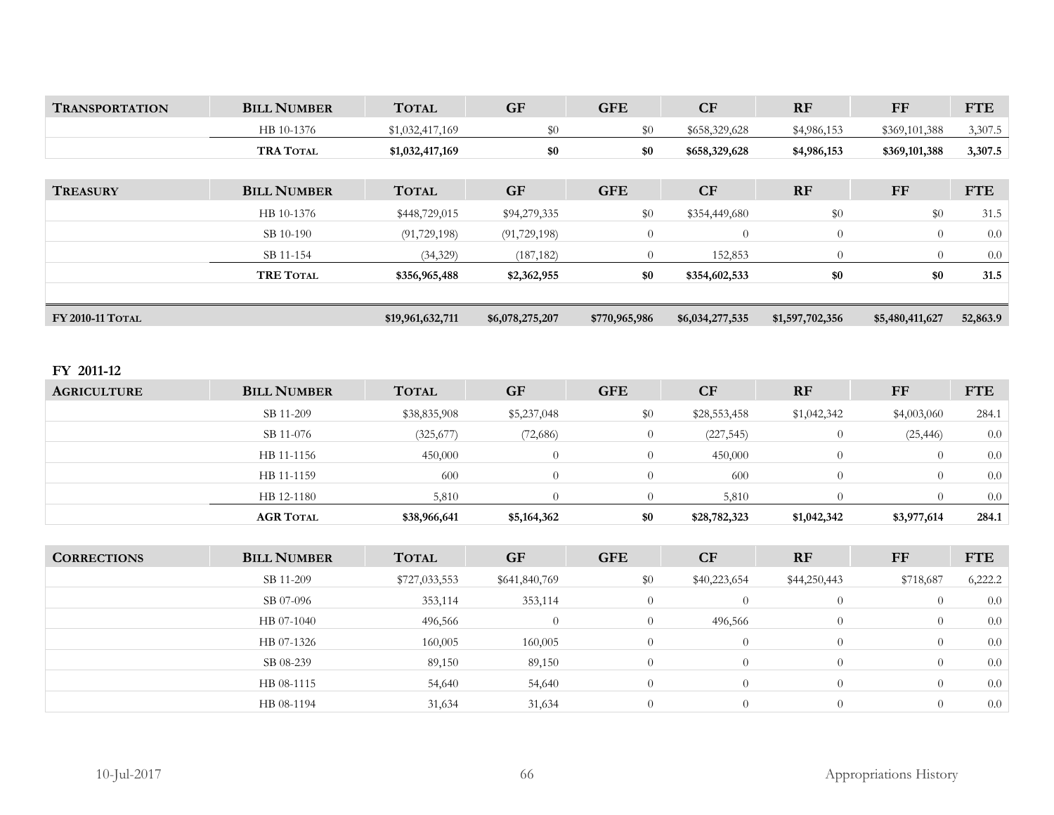| <b>TRANSPORTATION</b> | <b>BILL NUMBER</b> | <b>TOTAL</b>     | <b>GF</b>       | <b>GFE</b>     | CF              | <b>RF</b>       | $\bf FF$        | <b>FTE</b> |
|-----------------------|--------------------|------------------|-----------------|----------------|-----------------|-----------------|-----------------|------------|
|                       | HB 10-1376         | \$1,032,417,169  | \$0             | \$0            | \$658,329,628   | \$4,986,153     | \$369,101,388   | 3,307.5    |
|                       | <b>TRA TOTAL</b>   | \$1,032,417,169  | \$0             | \$0            | \$658,329,628   | \$4,986,153     | \$369,101,388   | 3,307.5    |
|                       |                    |                  |                 |                |                 |                 |                 |            |
| <b>TREASURY</b>       | <b>BILL NUMBER</b> | <b>TOTAL</b>     | <b>GF</b>       | <b>GFE</b>     | CF              | <b>RF</b>       | <b>FF</b>       | <b>FTE</b> |
|                       | HB 10-1376         | \$448,729,015    | \$94,279,335    | $\$0$          | \$354,449,680   | \$0             | \$0             | 31.5       |
|                       | SB 10-190          | (91, 729, 198)   | (91, 729, 198)  | $\overline{0}$ | $\overline{0}$  | $\overline{0}$  | $\theta$        | 0.0        |
|                       | SB 11-154          | (34,329)         | (187, 182)      | $\Omega$       | 152,853         | $\overline{0}$  | $\Omega$        | 0.0        |
|                       | <b>TRE TOTAL</b>   | \$356,965,488    | \$2,362,955     | \$0            | \$354,602,533   | \$0             | \$0             | 31.5       |
| FY 2010-11 TOTAL      |                    | \$19,961,632,711 | \$6,078,275,207 | \$770,965,986  | \$6,034,277,535 | \$1,597,702,356 | \$5,480,411,627 | 52,863.9   |

## **FY 2011-12**

| <b>AGRICULTURE</b> | <b>BILL NUMBER</b> | <b>TOTAL</b> | <b>GF</b>   | <b>GFE</b> | <b>CF</b>    | <b>RF</b>   | FF          | <b>FTE</b> |
|--------------------|--------------------|--------------|-------------|------------|--------------|-------------|-------------|------------|
|                    | SB 11-209          | \$38,835,908 | \$5,237,048 | \$0        | \$28,553,458 | \$1,042,342 | \$4,003,060 | 284.1      |
|                    | SB 11-076          | (325, 677)   | (72,686)    |            | (227, 545)   |             | (25, 446)   | 0.0        |
|                    | HB 11-1156         | 450,000      | $\Omega$    |            | 450,000      |             |             | 0.0        |
|                    | HB 11-1159         | 600          | $\Omega$    |            | 600          |             |             | 0.0        |
|                    | HB 12-1180         | 5,810        |             |            | 5,810        |             |             | 0.0        |
|                    | <b>AGR TOTAL</b>   | \$38,966,641 | \$5,164,362 | \$0        | \$28,782,323 | \$1,042,342 | \$3,977,614 | 284.1      |

| <b>CORRECTIONS</b> | <b>BILL NUMBER</b> | <b>TOTAL</b>  | <b>GF</b>     | <b>GFE</b>     | <b>CF</b>    | <b>RF</b>    | FF        | <b>FTE</b> |
|--------------------|--------------------|---------------|---------------|----------------|--------------|--------------|-----------|------------|
|                    | SB 11-209          | \$727,033,553 | \$641,840,769 | \$0            | \$40,223,654 | \$44,250,443 | \$718,687 | 6,222.2    |
|                    | SB 07-096          | 353,114       | 353,114       | $\Omega$       |              |              |           | 0.0        |
|                    | HB 07-1040         | 496,566       | $\Omega$      | $\overline{0}$ | 496,566      | $\theta$     |           | 0.0        |
|                    | HB 07-1326         | 160,005       | 160,005       | $\Omega$       |              | $\Omega$     |           | 0.0        |
|                    | SB 08-239          | 89,150        | 89,150        | $\overline{0}$ |              |              |           | 0.0        |
|                    | HB 08-1115         | 54,640        | 54,640        | $\Omega$       |              |              |           | 0.0        |
|                    | HB 08-1194         | 31,634        | 31,634        | $\Omega$       |              |              |           | 0.0        |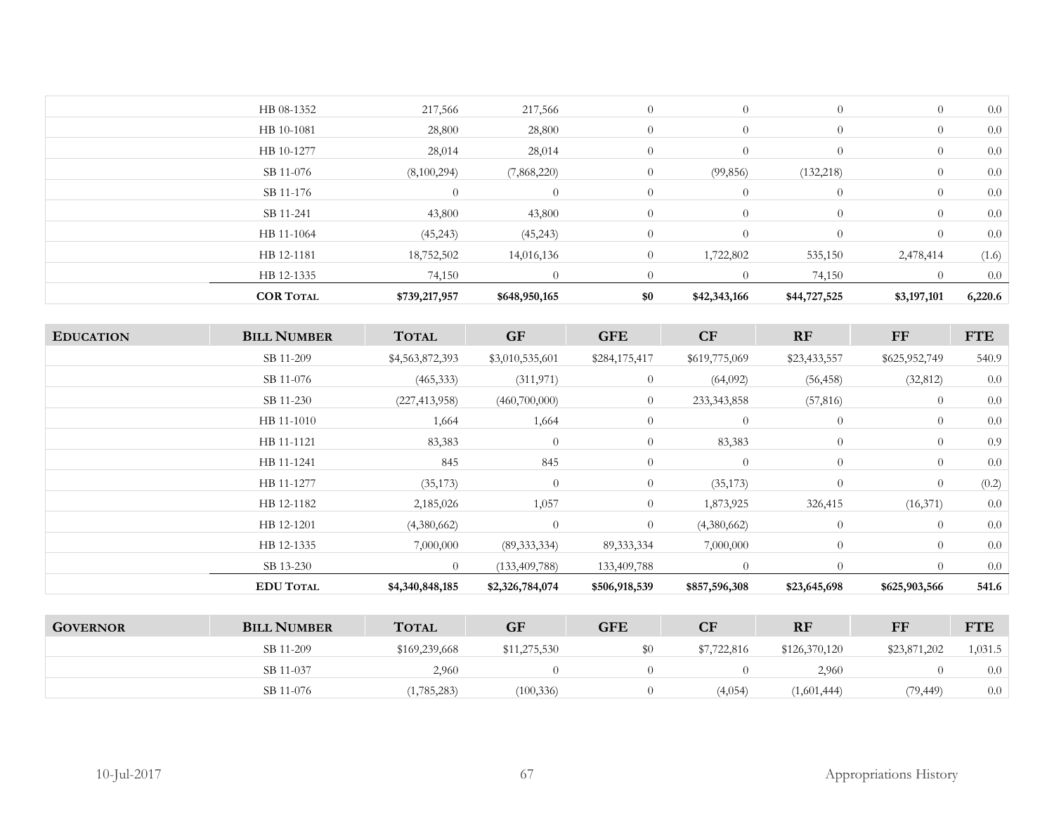| <b>COR TOTAL</b> | \$739,217,957 | \$648,950,165 | \$0            | \$42,343,166   | \$44,727,525   | \$3,197,101    | 6,220.6 |
|------------------|---------------|---------------|----------------|----------------|----------------|----------------|---------|
| HB 12-1335       | 74,150        |               |                | $\Omega$       | 74,150         |                | $0.0\,$ |
| HB 12-1181       | 18,752,502    | 14,016,136    | $\overline{0}$ | 1,722,802      | 535,150        | 2,478,414      | (1.6)   |
| HB 11-1064       | (45, 243)     | (45,243)      | $\overline{0}$ | $\theta$       | $\theta$       | $\theta$       | 0.0     |
| SB 11-241        | 43,800        | 43,800        | $\overline{0}$ | $\overline{0}$ | $\overline{0}$ | $\overline{0}$ | 0.0     |
| SB 11-176        | $\theta$      | $\theta$      | $\overline{0}$ | $\overline{0}$ | $\overline{0}$ | $\overline{0}$ | 0.0     |
| SB 11-076        | (8,100,294)   | (7,868,220)   | $\overline{0}$ | (99, 856)      | (132, 218)     | $\overline{0}$ | 0.0     |
| HB 10-1277       | 28,014        | 28,014        | $\overline{0}$ | $\overline{0}$ | $\overline{0}$ | $\overline{0}$ | 0.0     |
| HB 10-1081       | 28,800        | 28,800        | $\overline{0}$ | $\theta$       | $\overline{0}$ | $\overline{0}$ | 0.0     |
| HB 08-1352       | 217,566       | 217,566       | $\overline{0}$ | $\theta$       | $\overline{0}$ | $\overline{0}$ | 0.0     |
|                  |               |               |                |                |                |                |         |

| <b>EDUCATION</b>    | <b>BILL NUMBER</b>   | <b>TOTAL</b>            | <b>GF</b>       | <b>GFE</b>     | CF             | RF             | $\bf FF$       | <b>FTE</b> |
|---------------------|----------------------|-------------------------|-----------------|----------------|----------------|----------------|----------------|------------|
|                     | SB 11-209            | \$4,563,872,393         | \$3,010,535,601 | \$284,175,417  | \$619,775,069  | \$23,433,557   | \$625,952,749  | 540.9      |
|                     | SB 11-076            | (465, 333)              | (311, 971)      | $\overline{0}$ | (64,092)       | (56, 458)      | (32, 812)      | 0.0        |
|                     | SB 11-230            | (227, 413, 958)         | (460,700,000)   | $\overline{0}$ | 233, 343, 858  | (57, 816)      | $\overline{0}$ | 0.0        |
|                     | HB 11-1010           | 1,664                   | 1,664           | $\overline{0}$ | $\theta$       | $\overline{0}$ | $\theta$       | 0.0        |
|                     | HB 11-1121           | 83,383                  | $\overline{0}$  | $\overline{0}$ | 83,383         | $\overline{0}$ | $\theta$       | 0.9        |
|                     | HB 11-1241           | 845                     | 845             | $\overline{0}$ | $\overline{0}$ | $\overline{0}$ | $\theta$       | 0.0        |
|                     | HB 11-1277           | (35, 173)               | $\theta$        | $\overline{0}$ | (35, 173)      | $\overline{0}$ | $\theta$       | (0.2)      |
|                     | HB 12-1182           | 2,185,026               | 1,057           | $\overline{0}$ | 1,873,925      | 326,415        | (16,371)       | 0.0        |
|                     | HB 12-1201           | (4,380,662)             | $\theta$        | $\theta$       | (4,380,662)    | $\overline{0}$ | $\theta$       | 0.0        |
|                     | HB 12-1335           | 7,000,000               | (89, 333, 334)  | 89, 333, 334   | 7,000,000      | $\overline{0}$ | $\theta$       | 0.0        |
|                     | SB 13-230            | $\theta$                | (133,409,788)   | 133,409,788    | $\Omega$       | $\Omega$       | $\theta$       | 0.0        |
|                     | <b>EDU TOTAL</b>     | \$4,340,848,185         | \$2,326,784,074 | \$506,918,539  | \$857,596,308  | \$23,645,698   | \$625,903,566  | 541.6      |
|                     |                      |                         |                 |                |                |                |                |            |
| $C$ <i>AVEDNIAD</i> | <b>DIII MILIONED</b> | $T$ $\Omega T \wedge T$ | $\mathbf C$     | CET            | $\mathbf C$    | <b>DE</b>      | <b>TP</b>      | <b>LTE</b> |

| <b>GOVERNOR</b> | <b>BILL NUMBER</b> | <b>TOTAL</b>  | GF           | <b>GFE</b> | $\overline{\text{CF}}$ | <b>RF</b>     | FF           | <b>FTE</b> |
|-----------------|--------------------|---------------|--------------|------------|------------------------|---------------|--------------|------------|
|                 | SB 11-209          | \$169,239,668 | \$11,275,530 | \$0        | \$7,722,816            | \$126,370,120 | \$23,871,202 | 1,031.5    |
|                 | SB 11-037          | 2,960         |              |            |                        | 2,960         |              | 0.0        |
|                 | SB 11-076          | (1,785,283)   | (100, 336)   |            | (4,054)                | (1,601,444)   | (79, 449)    | 0.0        |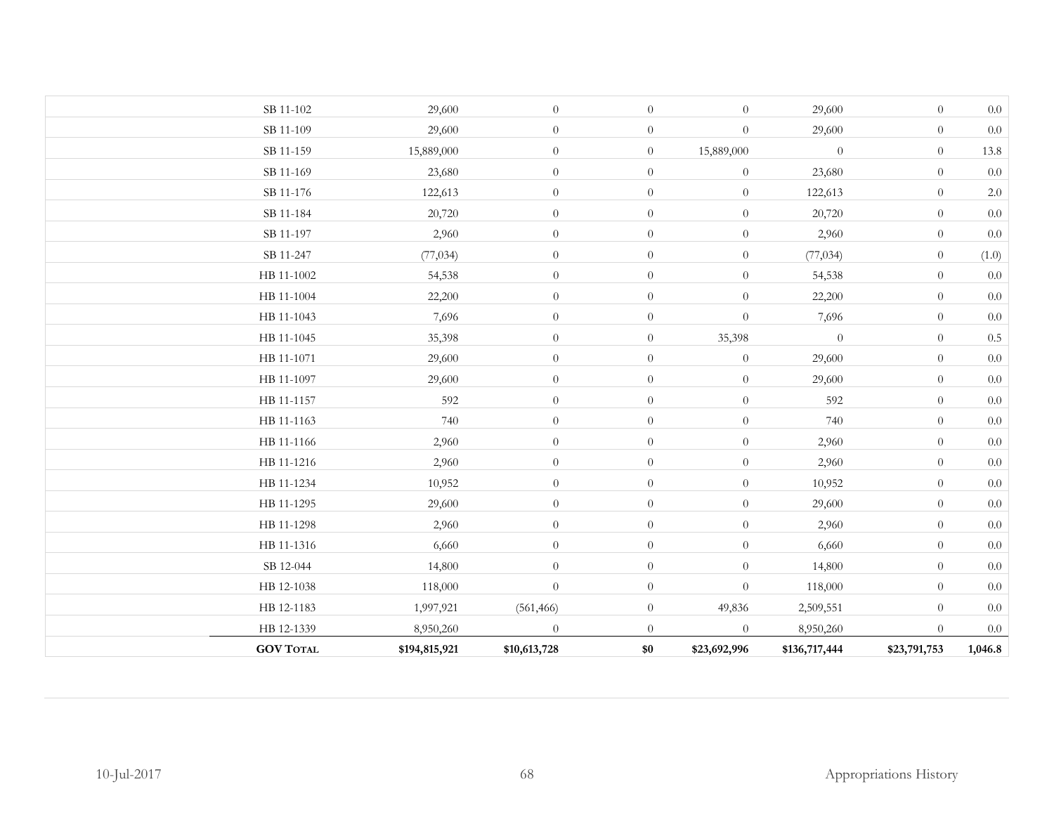| <b>GOV TOTAL</b> | \$194,815,921 | \$10,613,728     | \$0            | \$23,692,996     | \$136,717,444  | \$23,791,753     | 1,046.8 |
|------------------|---------------|------------------|----------------|------------------|----------------|------------------|---------|
| HB 12-1339       | 8,950,260     | $\theta$         | $\overline{0}$ | $\theta$         | 8,950,260      | $\overline{0}$   | $0.0\,$ |
| HB 12-1183       | 1,997,921     | (561, 466)       | $\overline{0}$ | 49,836           | 2,509,551      | $\overline{0}$   | $0.0\,$ |
| HB 12-1038       | 118,000       | $\theta$         | $\overline{0}$ | $\overline{0}$   | 118,000        | $\overline{0}$   | 0.0     |
| SB 12-044        | 14,800        | $\theta$         | $\overline{0}$ | $\theta$         | 14,800         | $\overline{0}$   | $0.0\,$ |
| HB 11-1316       | 6,660         | $\theta$         | $\overline{0}$ | $\theta$         | 6,660          | $\overline{0}$   | $0.0\,$ |
| HB 11-1298       | 2,960         | $\theta$         | $\theta$       | $\boldsymbol{0}$ | 2,960          | $\theta$         | $0.0\,$ |
| HB 11-1295       | 29,600        | $\theta$         | $\overline{0}$ | $\theta$         | 29,600         | $\overline{0}$   | $0.0\,$ |
| HB 11-1234       | 10,952        | $\overline{0}$   | $\overline{0}$ | $\theta$         | 10,952         | $\overline{0}$   | $0.0\,$ |
| HB 11-1216       | 2,960         | $\overline{0}$   | $\theta$       | $\boldsymbol{0}$ | 2,960          | $\theta$         | $0.0\,$ |
| HB 11-1166       | 2,960         | $\boldsymbol{0}$ | $\overline{0}$ | $\boldsymbol{0}$ | 2,960          | $\overline{0}$   | $0.0\,$ |
| HB 11-1163       | 740           | $\theta$         | $\overline{0}$ | $\boldsymbol{0}$ | 740            | $\theta$         | $0.0\,$ |
| HB 11-1157       | 592           | $\theta$         | $\overline{0}$ | $\theta$         | 592            | $\overline{0}$   | $0.0\,$ |
| HB 11-1097       | 29,600        | $\theta$         | $\overline{0}$ | $\theta$         | 29,600         | $\overline{0}$   | $0.0\,$ |
| HB 11-1071       | 29,600        | $\boldsymbol{0}$ | $\overline{0}$ | $\boldsymbol{0}$ | 29,600         | $\theta$         | $0.0\,$ |
| HB 11-1045       | 35,398        | $\overline{0}$   | $\overline{0}$ | 35,398           | $\overline{0}$ | $\overline{0}$   | $0.5\,$ |
| HB 11-1043       | 7,696         | $\theta$         | $\theta$       | $\theta$         | 7,696          | $\overline{0}$   | $0.0\,$ |
| HB 11-1004       | 22,200        | $\overline{0}$   | $\overline{0}$ | $\theta$         | 22,200         | $\overline{0}$   | $0.0\,$ |
| HB 11-1002       | 54,538        | $\theta$         | $\overline{0}$ | $\boldsymbol{0}$ | 54,538         | $\theta$         | $0.0\,$ |
| SB 11-247        | (77, 034)     | $\theta$         | $\overline{0}$ | $\theta$         | (77, 034)      | $\overline{0}$   | (1.0)   |
| SB 11-197        | 2,960         | $\theta$         | $\overline{0}$ | $\theta$         | 2,960          | $\theta$         | $0.0\,$ |
| SB 11-184        | 20,720        | $\theta$         | $\overline{0}$ | $\theta$         | 20,720         | $\overline{0}$   | $0.0\,$ |
| SB 11-176        | 122,613       | $\theta$         | $\overline{0}$ | $\theta$         | 122,613        | $\overline{0}$   | $2.0\,$ |
| SB 11-169        | 23,680        | $\theta$         | $\overline{0}$ | $\theta$         | 23,680         | $\overline{0}$   | $0.0\,$ |
| SB 11-159        | 15,889,000    | $\theta$         | $\overline{0}$ | 15,889,000       | $\theta$       | $\overline{0}$   | 13.8    |
| SB 11-109        | 29,600        | $\theta$         | $\overline{0}$ | $\theta$         | 29,600         | $\overline{0}$   | $0.0\,$ |
| SB 11-102        | 29,600        | $\boldsymbol{0}$ | $\overline{0}$ | $\theta$         | 29,600         | $\boldsymbol{0}$ | $0.0\,$ |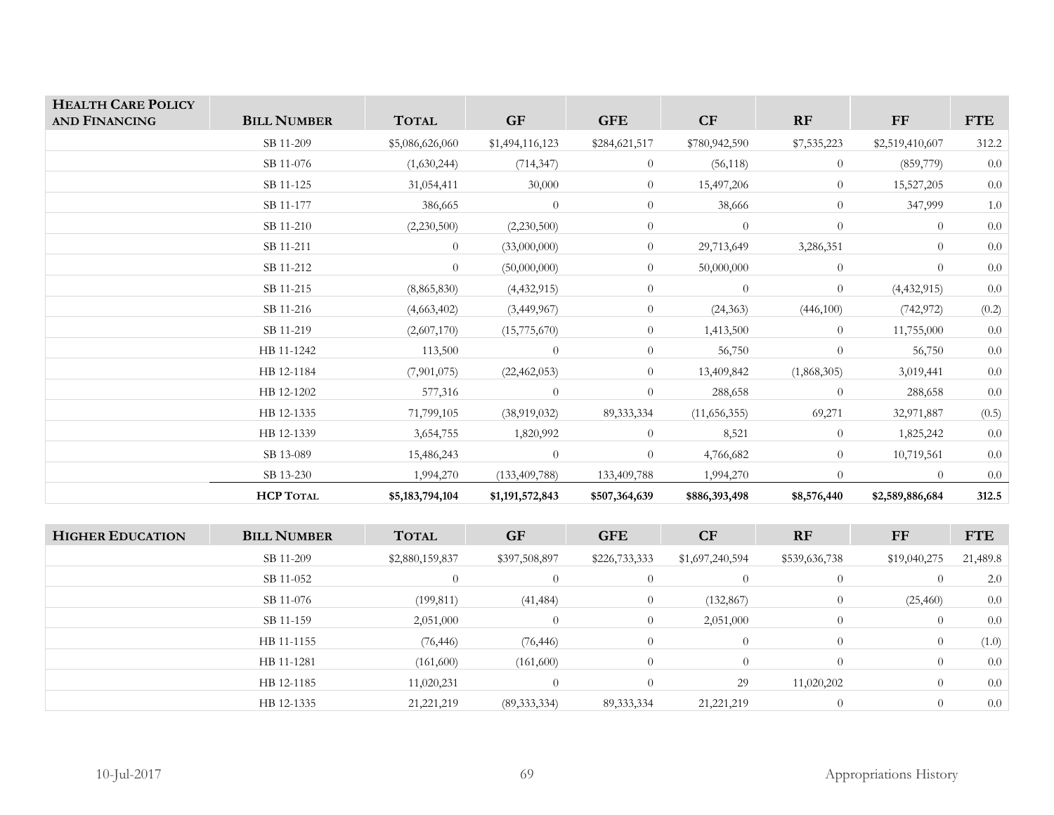| <b>HEALTH CARE POLICY</b> |                    |                 |                 |                |                 |                |                 |            |
|---------------------------|--------------------|-----------------|-----------------|----------------|-----------------|----------------|-----------------|------------|
| AND FINANCING             | <b>BILL NUMBER</b> | <b>TOTAL</b>    | <b>GF</b>       | <b>GFE</b>     | CF              | RF             | <b>FF</b>       | <b>FTE</b> |
|                           | SB 11-209          | \$5,086,626,060 | \$1,494,116,123 | \$284,621,517  | \$780,942,590   | \$7,535,223    | \$2,519,410,607 | 312.2      |
|                           | SB 11-076          | (1,630,244)     | (714, 347)      | $\overline{0}$ | (56, 118)       | $\overline{0}$ | (859,779)       | 0.0        |
|                           | SB 11-125          | 31,054,411      | 30,000          | $\overline{0}$ | 15,497,206      | $\overline{0}$ | 15,527,205      | 0.0        |
|                           | SB 11-177          | 386,665         | $\overline{0}$  | $\overline{0}$ | 38,666          | $\overline{0}$ | 347,999         | 1.0        |
|                           | SB 11-210          | (2,230,500)     | (2,230,500)     | $\overline{0}$ | $\overline{0}$  | $\overline{0}$ | $\overline{0}$  | 0.0        |
|                           | SB 11-211          | $\overline{0}$  | (33,000,000)    | $\overline{0}$ | 29,713,649      | 3,286,351      | $\theta$        | 0.0        |
|                           | SB 11-212          | $\overline{0}$  | (50,000,000)    | $\overline{0}$ | 50,000,000      | $\overline{0}$ | $\theta$        | $0.0\,$    |
|                           | SB 11-215          | (8,865,830)     | (4, 432, 915)   | $\overline{0}$ | $\overline{0}$  | $\overline{0}$ | (4, 432, 915)   | $0.0\,$    |
|                           | SB 11-216          | (4,663,402)     | (3,449,967)     | $\overline{0}$ | (24, 363)       | (446,100)      | (742, 972)      | (0.2)      |
|                           | SB 11-219          | (2,607,170)     | (15,775,670)    | $\overline{0}$ | 1,413,500       | $\overline{0}$ | 11,755,000      | 0.0        |
|                           | HB 11-1242         | 113,500         | $\overline{0}$  | $\overline{0}$ | 56,750          | $\overline{0}$ | 56,750          | $0.0\,$    |
|                           | HB 12-1184         | (7,901,075)     | (22, 462, 053)  | $\overline{0}$ | 13,409,842      | (1,868,305)    | 3,019,441       | 0.0        |
|                           | HB 12-1202         | 577,316         | $\overline{0}$  | $\overline{0}$ | 288,658         | $\overline{0}$ | 288,658         | 0.0        |
|                           | HB 12-1335         | 71,799,105      | (38,919,032)    | 89, 333, 334   | (11,656,355)    | 69,271         | 32,971,887      | (0.5)      |
|                           | HB 12-1339         | 3,654,755       | 1,820,992       | $\overline{0}$ | 8,521           | $\overline{0}$ | 1,825,242       | $0.0\,$    |
|                           | SB 13-089          | 15,486,243      | $\overline{0}$  | $\overline{0}$ | 4,766,682       | $\overline{0}$ | 10,719,561      | $0.0\,$    |
|                           | SB 13-230          | 1,994,270       | (133, 409, 788) | 133,409,788    | 1,994,270       | $\overline{0}$ | $\overline{0}$  | $0.0\,$    |
|                           | <b>HCP TOTAL</b>   | \$5,183,794,104 | \$1,191,572,843 | \$507,364,639  | \$886,393,498   | \$8,576,440    | \$2,589,886,684 | 312.5      |
|                           |                    |                 |                 |                |                 |                |                 |            |
| <b>HIGHER EDUCATION</b>   | <b>BILL NUMBER</b> | <b>TOTAL</b>    | <b>GF</b>       | <b>GFE</b>     | CF              | RF             | $\bf FF$        | <b>FTE</b> |
|                           | SB 11-209          | \$2,880,159,837 | \$397,508,897   | \$226,733,333  | \$1,697,240,594 | \$539,636,738  | \$19,040,275    | 21,489.8   |
|                           | SB 11-052          | $\overline{0}$  | $\overline{0}$  | $\overline{0}$ | $\overline{0}$  | $\overline{0}$ | $\theta$        | 2.0        |
|                           | SB 11-076          | (199, 811)      | (41, 484)       | $\overline{0}$ | (132, 867)      | $\overline{0}$ | (25, 460)       | 0.0        |
|                           | SB 11-159          | 2,051,000       | $\overline{0}$  | $\overline{0}$ | 2,051,000       | $\overline{0}$ | $\overline{0}$  | 0.0        |
|                           | HB 11-1155         | (76, 446)       | (76, 446)       | $\overline{0}$ | $\overline{0}$  | $\overline{0}$ | $\overline{0}$  | (1.0)      |
|                           | HB 11-1281         | (161,600)       | (161,600)       | $\overline{0}$ | $\overline{0}$  | $\overline{0}$ | $\overline{0}$  | 0.0        |
|                           | HB 12-1185         | 11,020,231      | $\theta$        | $\overline{0}$ | 29              | 11,020,202     | $\overline{0}$  | 0.0        |
|                           |                    |                 |                 |                |                 |                |                 |            |

HB 12-1335 21,221,219 (89,333,334) 89,333,334 21,221,219 0 0 0.0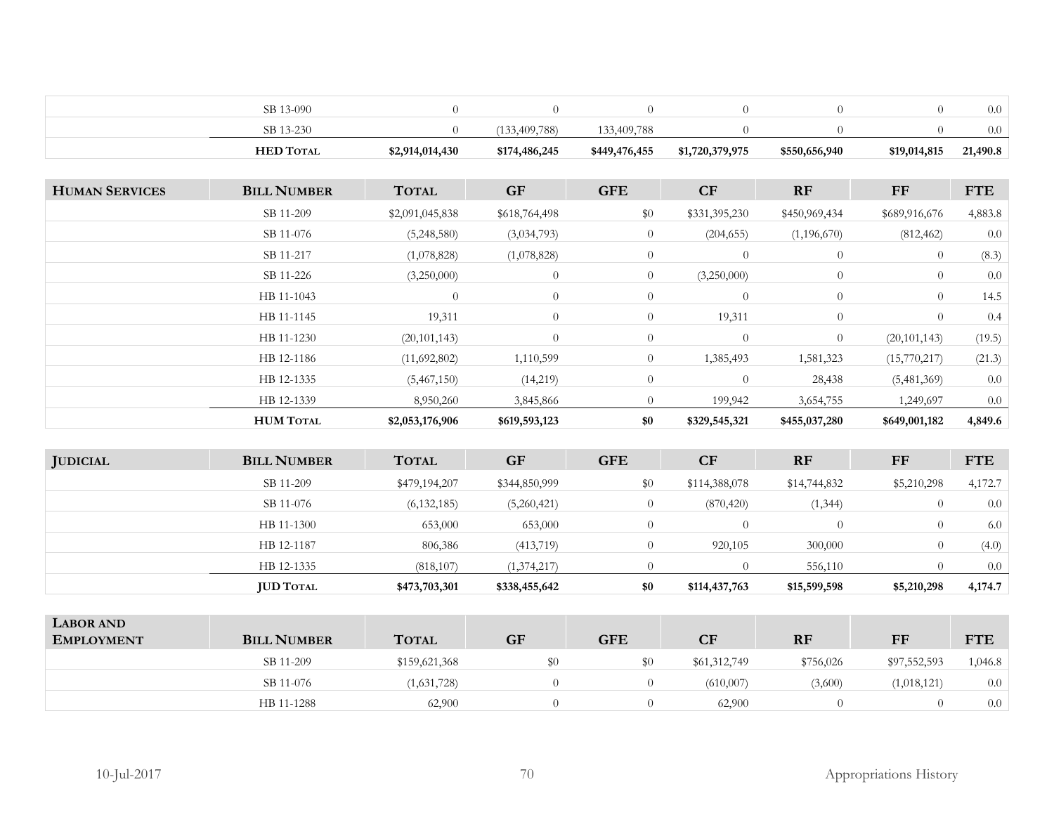| <b>HED TOTAL</b>  | \$2,914,014,430 | \$174,486,245 | \$449,476,455 | \$1,720,379,975 | \$550,656,940 | \$19,014,815 | 21,490.8 |
|-------------------|-----------------|---------------|---------------|-----------------|---------------|--------------|----------|
| $3 - 230$<br>SB 1 |                 | 33,409,788)   | 33.409.788    |                 |               |              | $0.0\,$  |
| SB 1<br>13-090    |                 |               |               |                 |               |              | 0.0      |

| <b>HUMAN SERVICES</b> | <b>BILL NUMBER</b> | <b>TOTAL</b>    | <b>GF</b>      | <b>GFE</b>     | CF             | RF             | FF             | <b>FTE</b> |
|-----------------------|--------------------|-----------------|----------------|----------------|----------------|----------------|----------------|------------|
|                       | SB 11-209          | \$2,091,045,838 | \$618,764,498  | \$0            | \$331,395,230  | \$450,969,434  | \$689,916,676  | 4,883.8    |
|                       | SB 11-076          | (5,248,580)     | (3,034,793)    | $\overline{0}$ | (204, 655)     | (1,196,670)    | (812, 462)     | 0.0        |
|                       | SB 11-217          | (1,078,828)     | (1,078,828)    | $\overline{0}$ | $\overline{0}$ | $\overline{0}$ | $\theta$       | (8.3)      |
|                       | SB 11-226          | (3,250,000)     | $\overline{0}$ | $\overline{0}$ | (3,250,000)    | $\overline{0}$ | $\theta$       | 0.0        |
|                       | HB 11-1043         | $\theta$        | $\overline{0}$ | $\theta$       | $\overline{0}$ | $\overline{0}$ | $\theta$       | 14.5       |
|                       | HB 11-1145         | 19,311          | $\theta$       | $\overline{0}$ | 19,311         | $\overline{0}$ | $\theta$       | 0.4        |
|                       | HB 11-1230         | (20, 101, 143)  | $\overline{0}$ | $\overline{0}$ | $\overline{0}$ | $\overline{0}$ | (20, 101, 143) | (19.5)     |
|                       | HB 12-1186         | (11,692,802)    | 1,110,599      | $\overline{0}$ | 1,385,493      | 1,581,323      | (15,770,217)   | (21.3)     |
|                       | HB 12-1335         | (5,467,150)     | (14,219)       | $\theta$       | $\theta$       | 28,438         | (5,481,369)    | 0.0        |
|                       | HB 12-1339         | 8,950,260       | 3,845,866      | $\overline{0}$ | 199,942        | 3,654,755      | 1,249,697      | 0.0        |
|                       | <b>HUM TOTAL</b>   | \$2,053,176,906 | \$619,593,123  | \$0            | \$329,545,321  | \$455,037,280  | \$649,001,182  | 4,849.6    |

| <b>JUDICIAL</b> | <b>BILL NUMBER</b> | <b>TOTAL</b>  | <b>GF</b>     | <b>GFE</b> | <b>CF</b>     | RF           | $\bf FF$    | <b>FTE</b> |
|-----------------|--------------------|---------------|---------------|------------|---------------|--------------|-------------|------------|
|                 | SB 11-209          | \$479,194,207 | \$344,850,999 | \$0        | \$114,388,078 | \$14,744,832 | \$5,210,298 | 4,172.7    |
|                 | SB 11-076          | (6, 132, 185) | (5,260,421)   |            | (870, 420)    | (1, 344)     |             | 0.0        |
|                 | HB 11-1300         | 653,000       | 653,000       |            |               |              |             | 6.0        |
|                 | HB 12-1187         | 806,386       | (413,719)     |            | 920,105       | 300,000      |             | (4.0)      |
|                 | HB 12-1335         | (818, 107)    | (1,374,217)   |            |               | 556,110      |             | 0.0        |
|                 | <b>JUD TOTAL</b>   | \$473,703,301 | \$338,455,642 | \$0        | \$114,437,763 | \$15,599,598 | \$5,210,298 | 4,174.7    |

| <b>LABOR AND</b><br><b>EMPLOYMENT</b> | <b>BILL NUMBER</b> | <b>TOTAL</b>  | <b>GF</b> | <b>GFE</b> | CF           | <b>RF</b> | FF           | <b>FTE</b> |
|---------------------------------------|--------------------|---------------|-----------|------------|--------------|-----------|--------------|------------|
|                                       | SB 11-209          | \$159,621,368 | \$0       | $\$0$      | \$61,312,749 | \$756,026 | \$97,552,593 | 1,046.8    |
|                                       | SB 11-076          | (1,631,728)   |           |            | (610,007)    | (3,600)   | (1,018,121)  | 0.0        |
|                                       | HB 11-1288         | 62,900        |           |            | 62,900       |           |              | 0.0        |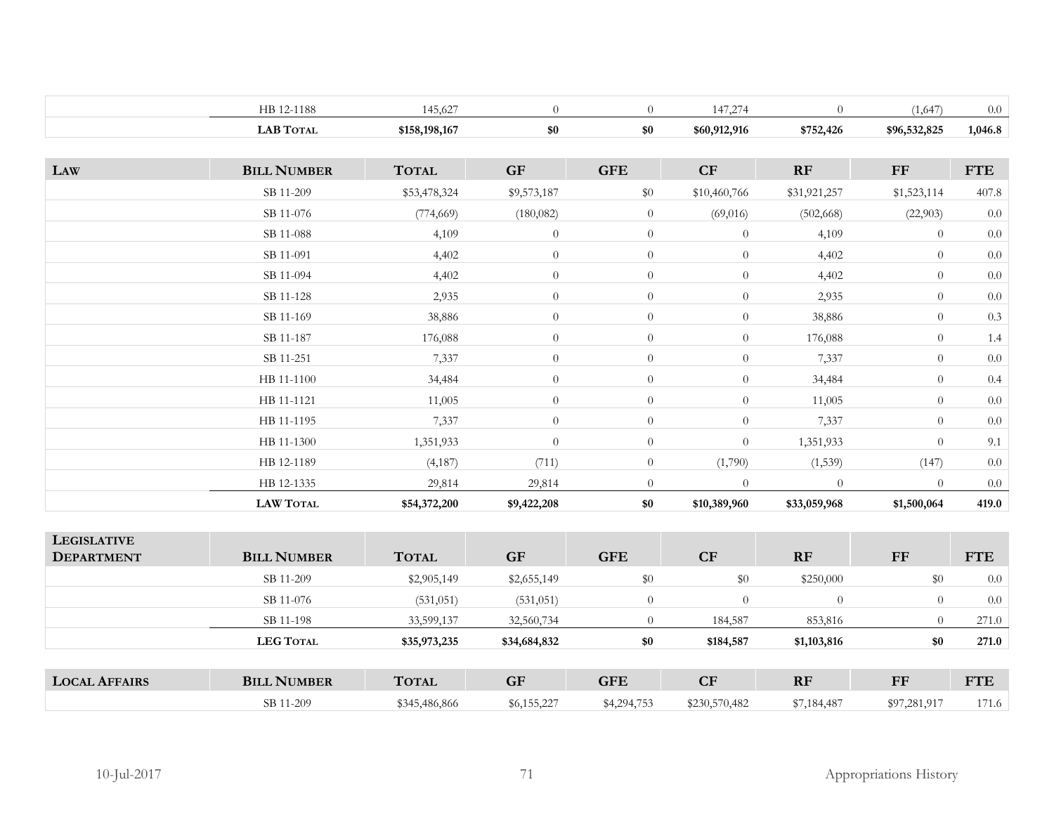|     | HB 12-1188         | 145,627       | $\theta$    | $\theta$       | 147,274        | $\Omega$     | (1,647)        | 0.0        |
|-----|--------------------|---------------|-------------|----------------|----------------|--------------|----------------|------------|
|     | <b>LAB TOTAL</b>   | \$158,198,167 | \$0         | \$0            | \$60,912,916   | \$752,426    | \$96,532,825   | 1,046.8    |
|     |                    |               |             |                |                |              |                |            |
| LAW | <b>BILL NUMBER</b> | <b>TOTAL</b>  | <b>GF</b>   | <b>GFE</b>     | CF             | RF           | $\bf FF$       | <b>FTE</b> |
|     | SB 11-209          | \$53,478,324  | \$9,573,187 | \$0            | \$10,460,766   | \$31,921,257 | \$1,523,114    | 407.8      |
|     | SB 11-076          | (774, 669)    | (180,082)   | $\overline{0}$ | (69,016)       | (502, 668)   | (22,903)       | $0.0\,$    |
|     | SB 11-088          | 4,109         | $\theta$    | $\overline{0}$ | $\overline{0}$ | 4,109        | $\overline{0}$ | 0.0        |
|     | SB 11-091          | 4,402         | $\theta$    | $\overline{0}$ | $\overline{0}$ | 4,402        | $\overline{0}$ | 0.0        |
|     | SB 11-094          | 4,402         | $\theta$    | $\overline{0}$ | $\overline{0}$ | 4,402        | $\theta$       | 0.0        |
|     | SB 11-128          | 2,935         | $\theta$    | $\overline{0}$ | $\overline{0}$ | 2,935        | $\theta$       | 0.0        |
|     | SB 11-169          | 38,886        | $\theta$    | $\overline{0}$ | $\overline{0}$ | 38,886       | $\theta$       | 0.3        |
|     | SB 11-187          | 176,088       | $\theta$    | $\overline{0}$ | $\overline{0}$ | 176,088      | $\theta$       | 1.4        |
|     | SB 11-251          | 7,337         | $\theta$    | $\overline{0}$ | $\theta$       | 7,337        | $\overline{0}$ | $0.0\,$    |
|     | HB 11-1100         | 34,484        | $\theta$    | $\overline{0}$ | $\overline{0}$ | 34,484       | $\theta$       | 0.4        |
|     | HB 11-1121         | 11,005        | $\theta$    | $\overline{0}$ | $\overline{0}$ | 11,005       | $\theta$       | $0.0\,$    |
|     | HB 11-1195         | 7,337         | $\theta$    | $\overline{0}$ | $\overline{0}$ | 7,337        | $\theta$       | 0.0        |
|     | HB 11-1300         | 1,351,933     | $\theta$    | $\theta$       | $\overline{0}$ | 1,351,933    | $\overline{0}$ | 9.1        |
|     | HB 12-1189         | (4, 187)      | (711)       | $\overline{0}$ | (1,790)        | (1, 539)     | (147)          | 0.0        |
|     | HB 12-1335         | 29,814        | 29,814      | $\theta$       | $\theta$       | $\theta$     | $\Omega$       | $0.0\,$    |
|     | <b>LAW TOTAL</b>   | \$54,372,200  | \$9,422,208 | \$0            | \$10,389,960   | \$33,059,968 | \$1,500,064    | 419.0      |

| <b>LEGISLATIVE</b><br><b>DEPARTMENT</b> | <b>BILL NUMBER</b> | <b>TOTAL</b>  | <b>GF</b>    | <b>GFE</b>  | CF             | <b>RF</b>   | FF           | <b>FTE</b> |
|-----------------------------------------|--------------------|---------------|--------------|-------------|----------------|-------------|--------------|------------|
|                                         | SB 11-209          | \$2,905,149   | \$2,655,149  | \$0         | \$0            | \$250,000   | \$0          | 0.0        |
|                                         | SB 11-076          | (531, 051)    | (531, 051)   | 0           | $\overline{0}$ | $\theta$    | $\theta$     | 0.0        |
|                                         | SB 11-198          | 33,599,137    | 32,560,734   |             | 184,587        | 853,816     | $\Omega$     | 271.0      |
|                                         | <b>LEG TOTAL</b>   | \$35,973,235  | \$34,684,832 | \$0         | \$184,587      | \$1,103,816 | \$0          | 271.0      |
| <b>LOCAL AFFAIRS</b>                    | <b>BILL NUMBER</b> | <b>TOTAL</b>  | <b>GF</b>    | <b>GFE</b>  | CF             | <b>RF</b>   | FF           | <b>FTE</b> |
|                                         | SB 11-209          | \$345,486,866 | \$6,155,227  | \$4,294,753 | \$230,570,482  | \$7,184,487 | \$97,281,917 | 171.6      |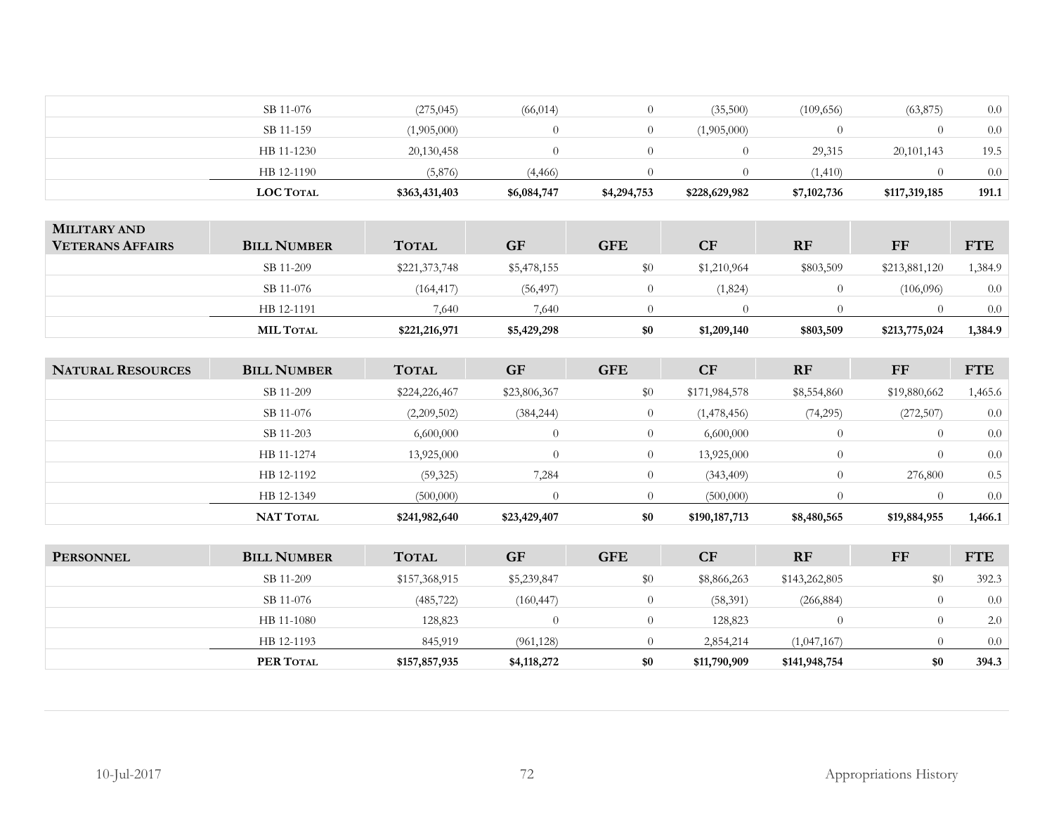| <b>LOC TOTAL</b> | \$363,431,403 | \$6,084,747 | \$4,294,753 | \$228,629,982 | \$7,102,736 | \$117,319,185 | 191.1 |
|------------------|---------------|-------------|-------------|---------------|-------------|---------------|-------|
| HB 12-1190       | (5,876)       | (4, 466)    |             |               | (1.410)     |               | 0.0   |
| HB 11-1230       | 20,130,458    |             |             |               | 29,315      | 20,101,143    | 19.5  |
| SB 11-159        | (1,905,000)   |             |             | (1,905,000)   |             |               | 0.0   |
| SB 11-076        | (275, 045)    | (66, 014)   |             | (35,500)      | (109, 656)  | (63, 875)     | 0.0   |
|                  |               |             |             |               |             |               |       |

| <b>MILITARY AND</b><br><b>VETERANS AFFAIRS</b> | <b>BILL NUMBER</b> | <b>TOTAL</b>  | <b>GF</b>   | <b>GFE</b> | CF          | <b>RF</b> | FF            | <b>FTE</b> |
|------------------------------------------------|--------------------|---------------|-------------|------------|-------------|-----------|---------------|------------|
|                                                | SB 11-209          | \$221,373,748 | \$5,478,155 | \$0        | \$1,210,964 | \$803,509 | \$213,881,120 | ,384.9     |
|                                                | SB 11-076          | (164, 417)    | (56, 497)   |            | (1,824)     | $\Omega$  | (106,096)     | 0.0        |
|                                                | HB 12-1191         | 7,640         | 7.640       |            |             |           |               | 0.0        |
|                                                | <b>MIL TOTAL</b>   | \$221,216,971 | \$5,429,298 | \$0        | \$1,209,140 | \$803,509 | \$213,775,024 | 1,384.9    |

| <b>NATURAL RESOURCES</b> | <b>BILL NUMBER</b> | <b>TOTAL</b>  | <b>GF</b>    | <b>GFE</b> | <b>CF</b>     | <b>RF</b>   | FF           | <b>FTE</b> |
|--------------------------|--------------------|---------------|--------------|------------|---------------|-------------|--------------|------------|
|                          | SB 11-209          | \$224,226,467 | \$23,806,367 | \$0        | \$171,984,578 | \$8,554,860 | \$19,880,662 | 1,465.6    |
|                          | SB 11-076          | (2,209,502)   | (384, 244)   |            | (1,478,456)   | (74,295)    | (272, 507)   | 0.0        |
|                          | SB 11-203          | 6,600,000     | $\bigcirc$   |            | 6,600,000     |             | $\left($     | 0.0        |
|                          | HB 11-1274         | 13,925,000    | $\Omega$     |            | 13,925,000    |             | $\Omega$     | 0.0        |
|                          | HB 12-1192         | (59, 325)     | 7,284        | $\theta$   | (343, 409)    |             | 276,800      | 0.5        |
|                          | HB 12-1349         | (500,000)     |              |            | (500,000)     |             |              | 0.0        |
|                          | <b>NAT TOTAL</b>   | \$241,982,640 | \$23,429,407 | \$0        | \$190,187,713 | \$8,480,565 | \$19,884,955 | 1,466.1    |

| <b>PERSONNEL</b> | <b>BILL NUMBER</b> | <b>TOTAL</b>  | <b>GF</b>   | <b>GFE</b> | <b>CF</b>    | <b>RF</b>     | FF       | <b>FTE</b> |
|------------------|--------------------|---------------|-------------|------------|--------------|---------------|----------|------------|
|                  | SB 11-209          | \$157,368,915 | \$5,239,847 | \$0        | \$8,866,263  | \$143,262,805 | \$0      | 392.3      |
|                  | SB 11-076          | (485, 722)    | (160, 447)  |            | (58, 391)    | (266, 884)    |          | 0.0        |
|                  | HB 11-1080         | 128,823       |             |            | 128,823      |               | $\left($ | 2.0        |
|                  | HB 12-1193         | 845,919       | (961, 128)  |            | 2,854,214    | (1,047,167)   |          | 0.0        |
|                  | PER TOTAL          | \$157,857,935 | \$4,118,272 | \$0        | \$11,790,909 | \$141,948,754 | \$0      | 394.3      |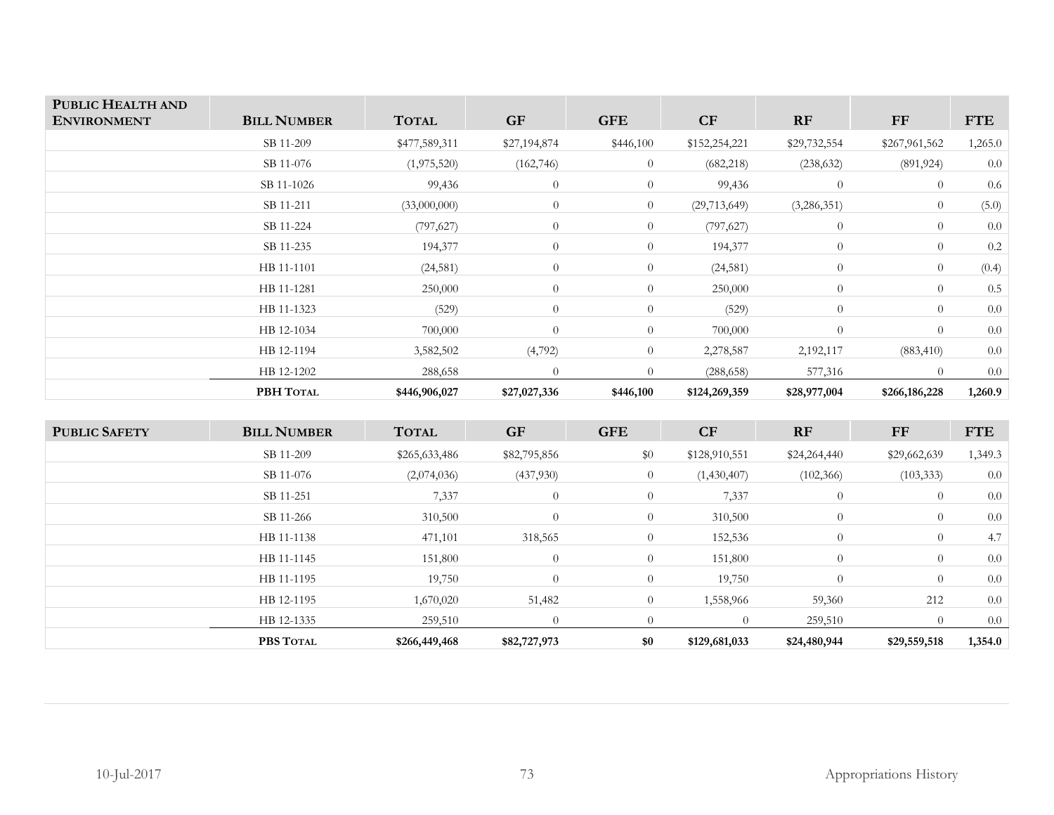| PUBLIC HEALTH AND<br><b>ENVIRONMENT</b> | <b>BILL NUMBER</b> | <b>TOTAL</b>  | <b>GF</b>    | <b>GFE</b>     | CF             | RF             | FF             | <b>FTE</b> |
|-----------------------------------------|--------------------|---------------|--------------|----------------|----------------|----------------|----------------|------------|
|                                         | SB 11-209          | \$477,589,311 | \$27,194,874 | \$446,100      | \$152,254,221  | \$29,732,554   | \$267,961,562  | 1,265.0    |
|                                         | SB 11-076          | (1,975,520)   | (162, 746)   | $\overline{0}$ | (682, 218)     | (238, 632)     | (891, 924)     | 0.0        |
|                                         | SB 11-1026         | 99,436        | $\theta$     | $\overline{0}$ | 99,436         | $\overline{0}$ | $\overline{0}$ | 0.6        |
|                                         | SB 11-211          | (33,000,000)  | $\theta$     | $\overline{0}$ | (29, 713, 649) | (3,286,351)    | $\overline{0}$ | (5.0)      |
|                                         | SB 11-224          | (797, 627)    | $\theta$     | $\overline{0}$ | (797, 627)     | $\overline{0}$ | $\theta$       | 0.0        |
|                                         | SB 11-235          | 194,377       | $\theta$     | $\overline{0}$ | 194,377        | $\overline{0}$ | $\theta$       | 0.2        |
|                                         | HB 11-1101         | (24, 581)     | $\theta$     | $\overline{0}$ | (24, 581)      | $\overline{0}$ | $\theta$       | (0.4)      |
|                                         | HB 11-1281         | 250,000       | $\theta$     | $\overline{0}$ | 250,000        | $\overline{0}$ | $\theta$       | 0.5        |
|                                         | HB 11-1323         | (529)         | $\theta$     | $\overline{0}$ | (529)          | $\overline{0}$ | $\theta$       | 0.0        |
|                                         | HB 12-1034         | 700,000       | $\Omega$     | $\overline{0}$ | 700,000        | $\overline{0}$ | $\theta$       | 0.0        |
|                                         | HB 12-1194         | 3,582,502     | (4,792)      | $\overline{0}$ | 2,278,587      | 2,192,117      | (883, 410)     | 0.0        |
|                                         | HB 12-1202         | 288,658       | $\theta$     | $\Omega$       | (288, 658)     | 577,316        | $\theta$       | 0.0        |
|                                         | PBH TOTAL          | \$446,906,027 | \$27,027,336 | \$446,100      | \$124,269,359  | \$28,977,004   | \$266,186,228  | 1,260.9    |

| <b>PUBLIC SAFETY</b> | <b>BILL NUMBER</b> | <b>TOTAL</b>  | <b>GF</b>      | <b>GFE</b>     | <b>CF</b>     | <b>RF</b>      | FF           | <b>FTE</b> |
|----------------------|--------------------|---------------|----------------|----------------|---------------|----------------|--------------|------------|
|                      | SB 11-209          | \$265,633,486 | \$82,795,856   | \$0            | \$128,910,551 | \$24,264,440   | \$29,662,639 | 1,349.3    |
|                      | SB 11-076          | (2,074,036)   | (437,930)      | $\overline{0}$ | (1,430,407)   | (102, 366)     | (103, 333)   | 0.0        |
|                      | SB 11-251          | 7,337         | $\overline{0}$ | $\overline{0}$ | 7,337         | $\overline{0}$ | $\theta$     | 0.0        |
|                      | SB 11-266          | 310,500       | $\theta$       | $\overline{0}$ | 310,500       | $\overline{0}$ | $\theta$     | 0.0        |
|                      | HB 11-1138         | 471,101       | 318,565        | $\overline{0}$ | 152,536       | $\overline{0}$ | $\theta$     | 4.7        |
|                      | HB 11-1145         | 151,800       | $\overline{0}$ | $\overline{0}$ | 151,800       | $\overline{0}$ | $\theta$     | 0.0        |
|                      | HB 11-1195         | 19,750        | $\overline{0}$ | $\overline{0}$ | 19,750        | $\overline{0}$ | $\theta$     | 0.0        |
|                      | HB 12-1195         | 1,670,020     | 51,482         | $\overline{0}$ | 1,558,966     | 59,360         | 212          | 0.0        |
|                      | HB 12-1335         | 259,510       | $\overline{0}$ | $\Omega$       | $\theta$      | 259,510        | $\Omega$     | 0.0        |
|                      | PBS TOTAL          | \$266,449,468 | \$82,727,973   | \$0            | \$129,681,033 | \$24,480,944   | \$29,559,518 | 1,354.0    |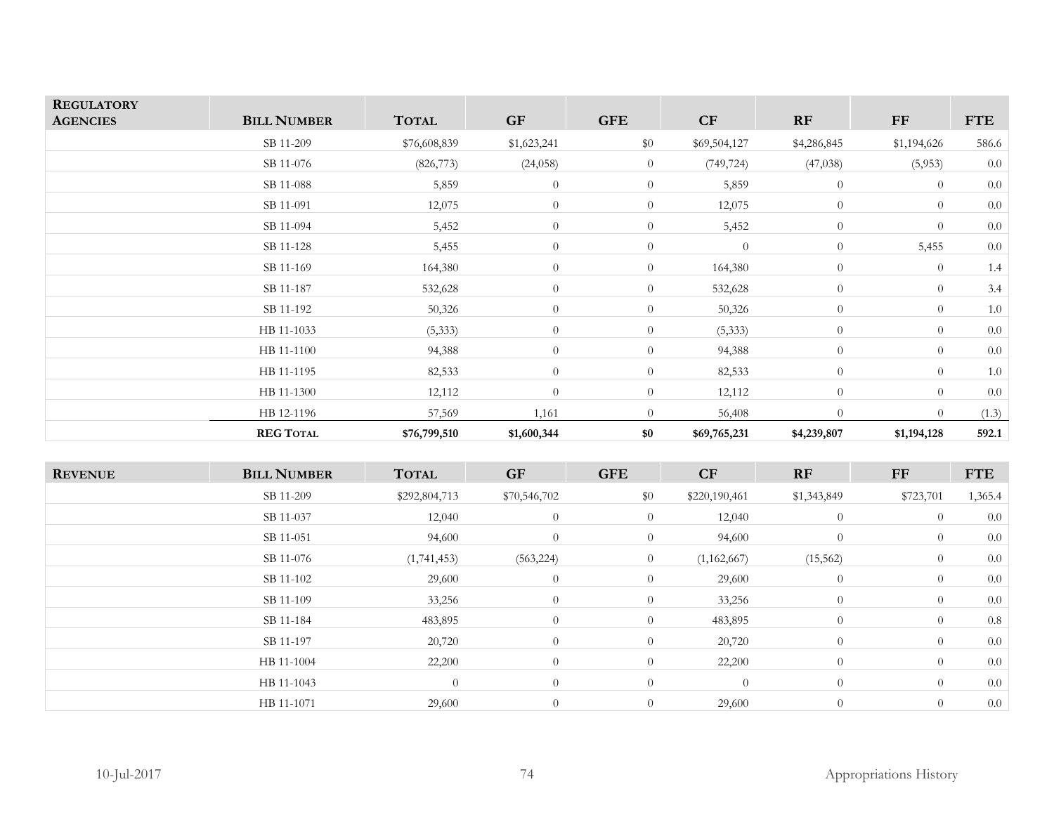| <b>REGULATORY</b><br><b>AGENCIES</b> | <b>BILL NUMBER</b> | <b>TOTAL</b> | GF             | <b>GFE</b>     | CF           | RF             | ${\rm FF}$     | <b>FTE</b> |
|--------------------------------------|--------------------|--------------|----------------|----------------|--------------|----------------|----------------|------------|
|                                      | SB 11-209          | \$76,608,839 | \$1,623,241    | \$0            | \$69,504,127 | \$4,286,845    | \$1,194,626    | 586.6      |
|                                      | SB 11-076          | (826, 773)   | (24, 058)      | $\overline{0}$ | (749, 724)   | (47, 038)      | (5,953)        | 0.0        |
|                                      | SB 11-088          | 5,859        | $\theta$       | $\overline{0}$ | 5,859        | $\overline{0}$ | $\overline{0}$ | 0.0        |
|                                      | SB 11-091          | 12,075       | $\theta$       | $\overline{0}$ | 12,075       | $\theta$       | $\overline{0}$ | 0.0        |
|                                      | SB 11-094          | 5,452        | $\theta$       | $\overline{0}$ | 5,452        | $\overline{0}$ | $\theta$       | 0.0        |
|                                      | SB 11-128          | 5,455        | $\theta$       | $\overline{0}$ | $\theta$     | $\overline{0}$ | 5,455          | $0.0\,$    |
|                                      | SB 11-169          | 164,380      | $\theta$       | $\overline{0}$ | 164,380      | $\overline{0}$ | $\theta$       | 1.4        |
|                                      | SB 11-187          | 532,628      | $\theta$       | $\overline{0}$ | 532,628      | $\overline{0}$ | $\overline{0}$ | 3.4        |
|                                      | SB 11-192          | 50,326       | $\theta$       | $\overline{0}$ | 50,326       | $\overline{0}$ | $\theta$       | $1.0\,$    |
|                                      | HB 11-1033         | (5, 333)     | $\theta$       | $\overline{0}$ | (5, 333)     | $\overline{0}$ | $\overline{0}$ | 0.0        |
|                                      | HB 11-1100         | 94,388       | $\theta$       | $\overline{0}$ | 94,388       | $\overline{0}$ | $\overline{0}$ | 0.0        |
|                                      | HB 11-1195         | 82,533       | $\overline{0}$ | $\overline{0}$ | 82,533       | $\overline{0}$ | $\overline{0}$ | $1.0\,$    |
|                                      | HB 11-1300         | 12,112       | $\theta$       | $\overline{0}$ | 12,112       | $\overline{0}$ | $\theta$       | 0.0        |
|                                      | HB 12-1196         | 57,569       | 1,161          | $\overline{0}$ | 56,408       | $\overline{0}$ | $\overline{0}$ | (1.3)      |
|                                      | <b>REG TOTAL</b>   | \$76,799,510 | \$1,600,344    | \$0            | \$69,765,231 | \$4,239,807    | \$1,194,128    | 592.1      |

| <b>REVENUE</b> | <b>BILL NUMBER</b> | <b>TOTAL</b>  | <b>GF</b>      | <b>GFE</b>     | CF             | RF             | FF             | <b>FTE</b> |
|----------------|--------------------|---------------|----------------|----------------|----------------|----------------|----------------|------------|
|                | SB 11-209          | \$292,804,713 | \$70,546,702   | $\$0$          | \$220,190,461  | \$1,343,849    | \$723,701      | 1,365.4    |
|                | SB 11-037          | 12,040        | $\overline{0}$ | $\overline{0}$ | 12,040         | $\theta$       | $\overline{0}$ | 0.0        |
|                | SB 11-051          | 94,600        | $\overline{0}$ | $\overline{0}$ | 94,600         | $\theta$       | $\overline{0}$ | 0.0        |
|                | SB 11-076          | (1,741,453)   | (563, 224)     | $\overline{0}$ | (1,162,667)    | (15, 562)      | $\overline{0}$ | 0.0        |
|                | SB 11-102          | 29,600        | $\overline{0}$ | $\overline{0}$ | 29,600         | $\theta$       | $\overline{0}$ | 0.0        |
|                | SB 11-109          | 33,256        | $\overline{0}$ | $\overline{0}$ | 33,256         | $\theta$       | $\overline{0}$ | 0.0        |
|                | SB 11-184          | 483,895       | $\theta$       | $\overline{0}$ | 483,895        | $\overline{0}$ | $\overline{0}$ | 0.8        |
|                | SB 11-197          | 20,720        | $\overline{0}$ | $\overline{0}$ | 20,720         | $\theta$       | $\overline{0}$ | 0.0        |
|                | HB 11-1004         | 22,200        | $\theta$       | $\overline{0}$ | 22,200         | $\theta$       | $\overline{0}$ | 0.0        |
|                | HB 11-1043         | $\theta$      | $\theta$       | $\overline{0}$ | $\overline{0}$ | $\theta$       | $\overline{0}$ | 0.0        |
|                | HB 11-1071         | 29,600        | $\overline{0}$ | $\overline{0}$ | 29,600         | $\theta$       | $\theta$       | 0.0        |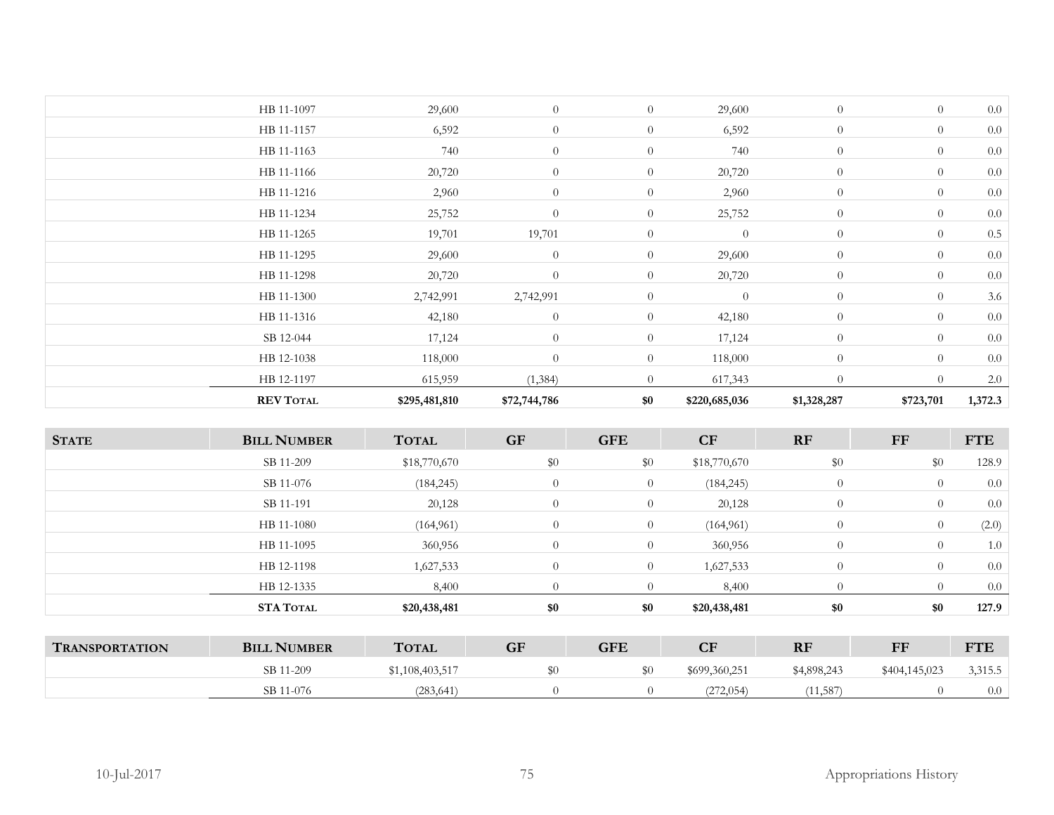| <b>REV TOTAL</b> | \$295,481,810 | \$72,744,786   | \$0              | \$220,685,036  | \$1,328,287    | \$723,701      | 1,372.3 |
|------------------|---------------|----------------|------------------|----------------|----------------|----------------|---------|
| HB 12-1197       | 615,959       | (1,384)        | $\overline{0}$   | 617,343        | $\theta$       | $\Omega$       | 2.0     |
| HB 12-1038       | 118,000       | $\overline{0}$ | $\theta$         | 118,000        | $\overline{0}$ | $\overline{0}$ | 0.0     |
| SB 12-044        | 17,124        | $\overline{0}$ | $\overline{0}$   | 17,124         | $\overline{0}$ | $\theta$       | 0.0     |
| HB 11-1316       | 42,180        | $\overline{0}$ | $\overline{0}$   | 42,180         | $\overline{0}$ | $\overline{0}$ | 0.0     |
| HB 11-1300       | 2,742,991     | 2,742,991      | $\theta$         | $\overline{0}$ | $\overline{0}$ | $\overline{0}$ | 3.6     |
| HB 11-1298       | 20,720        | $\overline{0}$ | $\overline{0}$   | 20,720         | $\theta$       | $\theta$       | 0.0     |
| HB 11-1295       | 29,600        | $\overline{0}$ | $\theta$         | 29,600         | $\overline{0}$ | $\overline{0}$ | 0.0     |
| HB 11-1265       | 19,701        | 19,701         | $\overline{0}$   | $\overline{0}$ | $\overline{0}$ | $\theta$       | 0.5     |
| HB 11-1234       | 25,752        | $\overline{0}$ | $\overline{0}$   | 25,752         | $\overline{0}$ | $\overline{0}$ | 0.0     |
| HB 11-1216       | 2,960         | $\theta$       | $\boldsymbol{0}$ | 2,960          | $\overline{0}$ | $\overline{0}$ | 0.0     |
| HB 11-1166       | 20,720        | $\theta$       | $\overline{0}$   | 20,720         | $\overline{0}$ | $\theta$       | 0.0     |
| HB 11-1163       | 740           | $\theta$       | $\overline{0}$   | 740            | $\overline{0}$ | $\overline{0}$ | 0.0     |
| HB 11-1157       | 6,592         | $\theta$       | $\overline{0}$   | 6,592          | $\overline{0}$ | $\overline{0}$ | 0.0     |
| HB 11-1097       | 29,600        | $\overline{0}$ | $\overline{0}$   | 29,600         | $\overline{0}$ | $\overline{0}$ | 0.0     |

| <b>STATE</b> | <b>BILL NUMBER</b> | <b>TOTAL</b> | <b>GF</b>      | <b>GFE</b>     | CF           | RF             | FF       | <b>FTE</b> |
|--------------|--------------------|--------------|----------------|----------------|--------------|----------------|----------|------------|
|              | SB 11-209          | \$18,770,670 | \$0            | \$0            | \$18,770,670 | \$0            | \$0      | 128.9      |
|              | SB 11-076          | (184, 245)   | $\theta$       | $\overline{0}$ | (184, 245)   | $\overline{0}$ | $\theta$ | 0.0        |
|              | SB 11-191          | 20,128       | $\overline{0}$ | $\overline{0}$ | 20,128       | $\overline{0}$ | $\theta$ | 0.0        |
|              | HB 11-1080         | (164, 961)   | $\overline{0}$ | $\overline{0}$ | (164, 961)   | $\overline{0}$ | $\theta$ | (2.0)      |
|              | HB 11-1095         | 360,956      | $\theta$       | $\overline{0}$ | 360,956      | $\overline{0}$ | $\theta$ | 1.0        |
|              | HB 12-1198         | 1,627,533    | $\theta$       | $\overline{0}$ | 1,627,533    | $\theta$       | $\Omega$ | 0.0        |
|              | HB 12-1335         | 8,400        | $\overline{0}$ | $\overline{0}$ | 8,400        | $\overline{0}$ | $\Omega$ | 0.0        |
|              | <b>STA TOTAL</b>   | \$20,438,481 | \$0            | \$0            | \$20,438,481 | \$0            | \$0      | 127.9      |

| <b>TRANSPORTATION</b> | <b>BILL NUMBER</b> | <b>TOTAL</b>    | GF | <b>GFE</b> | CF            | RF          | FF<br>. .     | <b>FTE</b> |
|-----------------------|--------------------|-----------------|----|------------|---------------|-------------|---------------|------------|
|                       | SB 11-209          | \$1,108,403,517 |    | ູບບ        | \$699,360,251 | \$4,898,243 | \$404,145,023 | 3,315.5    |
|                       | SB 11-076          | (283, 641)      |    |            | (272, 054)    | 11,587      |               | 0.0        |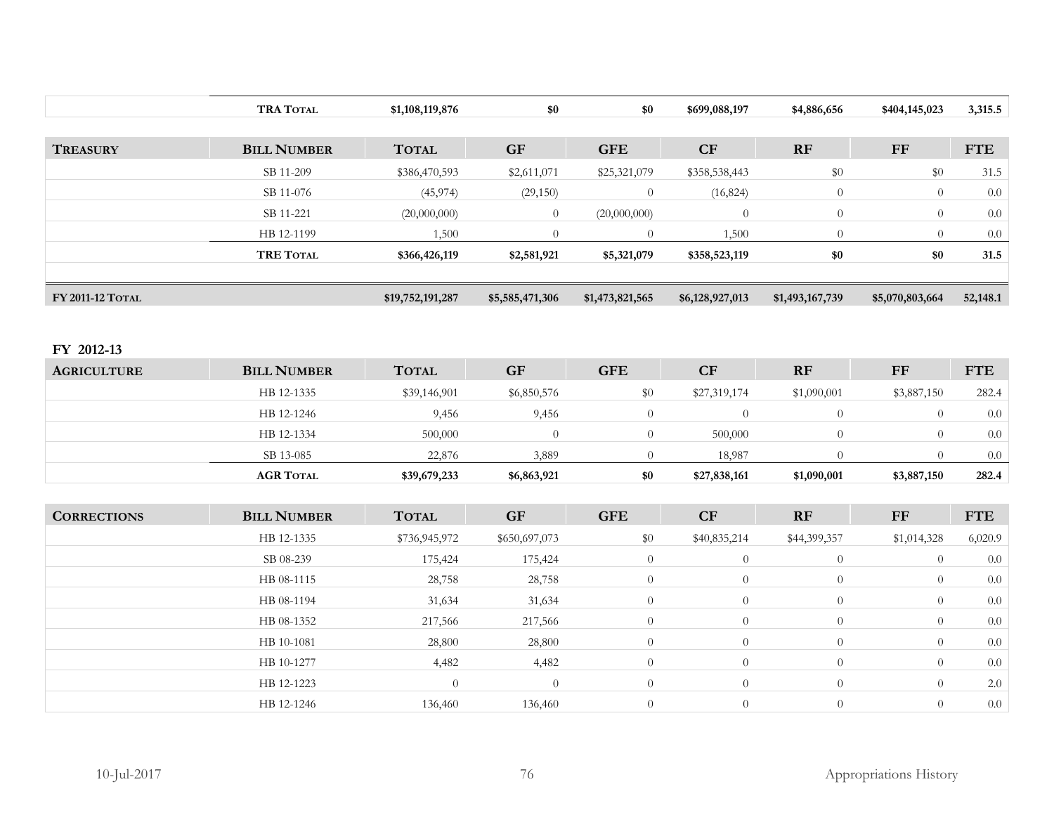|                    | <b>TRA TOTAL</b>              | \$1,108,119,876  | \$0             | \$0                   | \$699,088,197    | \$4,886,656     | \$404,145,023   | 3,315.5          |
|--------------------|-------------------------------|------------------|-----------------|-----------------------|------------------|-----------------|-----------------|------------------|
|                    |                               |                  |                 |                       |                  |                 |                 |                  |
| <b>TREASURY</b>    | <b>BILL NUMBER</b>            | <b>TOTAL</b>     | <b>GF</b>       | <b>GFE</b>            | CF               | RF              | $\bf FF$        | <b>FTE</b>       |
|                    | SB 11-209                     | \$386,470,593    | \$2,611,071     | \$25,321,079          | \$358,538,443    | $\$0$           | \$0             | 31.5             |
|                    | SB 11-076                     | (45, 974)        | (29, 150)       | $\overline{0}$        | (16, 824)        | $\overline{0}$  | $\overline{0}$  | $0.0\,$          |
|                    | SB 11-221                     | (20,000,000)     | $\theta$        | (20,000,000)          | $\overline{0}$   | $\overline{0}$  | $\theta$        | $0.0\,$          |
|                    | HB 12-1199                    | 1,500            | $\theta$        | $\overline{0}$        | 1,500            | $\overline{0}$  | $\theta$        | 0.0              |
|                    | <b>TRE TOTAL</b>              | \$366,426,119    | \$2,581,921     | \$5,321,079           | \$358,523,119    | \$0             | \$0             | 31.5             |
|                    |                               |                  |                 |                       |                  |                 |                 |                  |
| FY 2011-12 TOTAL   |                               | \$19,752,191,287 | \$5,585,471,306 | \$1,473,821,565       | \$6,128,927,013  | \$1,493,167,739 | \$5,070,803,664 | 52,148.1         |
|                    |                               |                  |                 |                       |                  |                 |                 |                  |
| FY 2012-13         |                               |                  |                 |                       |                  |                 |                 |                  |
| <b>AGRICULTURE</b> | <b>BILL NUMBER</b>            | <b>TOTAL</b>     | <b>GF</b>       | <b>GFE</b>            | CF               | RF              | $\bf FF$        | <b>FTE</b>       |
|                    | HB 12-1335                    |                  | \$6,850,576     | \$0                   | \$27,319,174     | \$1,090,001     | \$3,887,150     |                  |
|                    |                               | \$39,146,901     |                 |                       |                  |                 |                 | 282.4            |
|                    | HB 12-1246                    | 9,456            | 9,456           | $\overline{0}$        | $\overline{0}$   | $\overline{0}$  | $\overline{0}$  | $0.0\,$          |
|                    | HB 12-1334                    | 500,000          | $\overline{0}$  | $\overline{0}$        | 500,000          | $\overline{0}$  | $\theta$        | 0.0              |
|                    | SB 13-085<br><b>AGR TOTAL</b> | 22,876           | 3,889           | $\overline{0}$<br>\$0 | 18,987           | $\overline{0}$  | $\overline{0}$  | $0.0\,$<br>282.4 |
|                    |                               | \$39,679,233     | \$6,863,921     |                       | \$27,838,161     | \$1,090,001     | \$3,887,150     |                  |
| <b>CORRECTIONS</b> | <b>BILL NUMBER</b>            | <b>TOTAL</b>     | <b>GF</b>       | <b>GFE</b>            | CF               | RF              | <b>FF</b>       | <b>FTE</b>       |
|                    | HB 12-1335                    | \$736,945,972    | \$650,697,073   | \$0                   | \$40,835,214     | \$44,399,357    | \$1,014,328     | 6,020.9          |
|                    | SB 08-239                     | 175,424          | 175,424         | $\overline{0}$        | $\overline{0}$   | $\overline{0}$  | $\theta$        | 0.0              |
|                    | HB 08-1115                    | 28,758           | 28,758          | $\theta$              | $\overline{0}$   | $\overline{0}$  | $\theta$        | 0.0              |
|                    | HB 08-1194                    | 31,634           | 31,634          | $\boldsymbol{0}$      | $\theta$         | $\overline{0}$  | $\theta$        | $0.0\,$          |
|                    | HB 08-1352                    | 217,566          | 217,566         | $\overline{0}$        | $\overline{0}$   | $\overline{0}$  | $\theta$        | 0.0              |
|                    | HB 10-1081                    | 28,800           | 28,800          | $\boldsymbol{0}$      | $\boldsymbol{0}$ | $\overline{0}$  | $\theta$        | $0.0\,$          |
|                    | HB 10-1277                    | 4,482            | 4,482           | $\overline{0}$        | $\theta$         | $\overline{0}$  | $\overline{0}$  | $0.0\,$          |
|                    | HB 12-1223                    | $\theta$         | $\overline{0}$  | $\overline{0}$        | $\overline{0}$   | $\overline{0}$  | $\overline{0}$  | $2.0\,$          |
|                    | HB 12-1246                    | 136,460          | 136,460         | $\overline{0}$        | $\theta$         | $\overline{0}$  | $\overline{0}$  | 0.0              |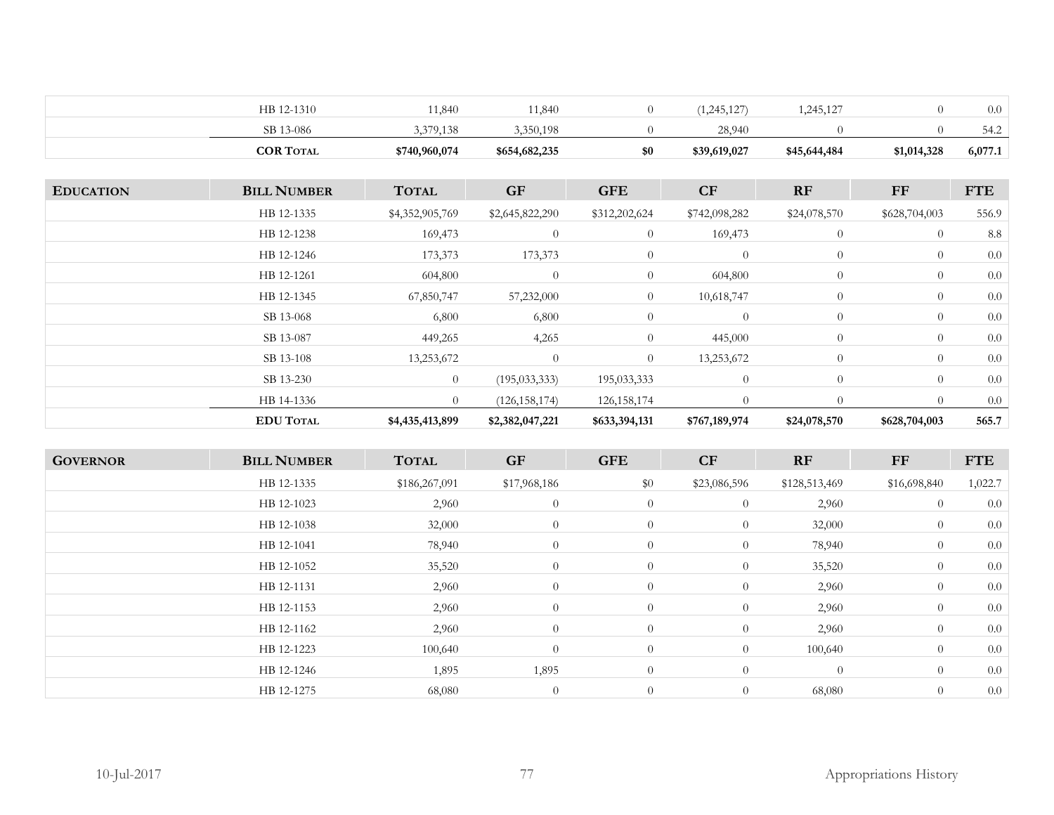| HB 12-1310       | 1,840         | 1,840         |     | 1,245,127    | .245,127     |             | 0.0     |
|------------------|---------------|---------------|-----|--------------|--------------|-------------|---------|
| SB 13-086        | 3,379,138     | .350.198      |     | 28,940       |              |             | 54.2    |
| <b>COR TOTAL</b> | \$740,960,074 | \$654,682,235 | \$0 | \$39,619,027 | \$45,644,484 | \$1,014,328 | 6,077.1 |

| <b>EDUCATION</b> | <b>BILL NUMBER</b> | <b>TOTAL</b>    | <b>GF</b>       | <b>GFE</b>     | CF             | <b>RF</b>      | FF             | <b>FTE</b> |
|------------------|--------------------|-----------------|-----------------|----------------|----------------|----------------|----------------|------------|
|                  | HB 12-1335         | \$4,352,905,769 | \$2,645,822,290 | \$312,202,624  | \$742,098,282  | \$24,078,570   | \$628,704,003  | 556.9      |
|                  | HB 12-1238         | 169,473         | $\theta$        | $\overline{0}$ | 169,473        | $\overline{0}$ | $\overline{0}$ | 8.8        |
|                  | HB 12-1246         | 173,373         | 173,373         | $\overline{0}$ | $\overline{0}$ | $\overline{0}$ | $\overline{0}$ | 0.0        |
|                  | HB 12-1261         | 604,800         | $\theta$        | $\overline{0}$ | 604,800        | $\overline{0}$ | $\overline{0}$ | 0.0        |
|                  | HB 12-1345         | 67,850,747      | 57,232,000      | $\overline{0}$ | 10,618,747     | $\overline{0}$ | $\overline{0}$ | 0.0        |
|                  | SB 13-068          | 6,800           | 6,800           | $\overline{0}$ | $\overline{0}$ | $\overline{0}$ | $\overline{0}$ | 0.0        |
|                  | SB 13-087          | 449,265         | 4,265           | $\overline{0}$ | 445,000        | $\overline{0}$ | $\overline{0}$ | 0.0        |
|                  | SB 13-108          | 13,253,672      | $\theta$        | $\overline{0}$ | 13,253,672     | $\overline{0}$ | $\overline{0}$ | 0.0        |
|                  | SB 13-230          | $\overline{0}$  | (195, 033, 333) | 195,033,333    | $\theta$       | $\overline{0}$ | $\overline{0}$ | 0.0        |
|                  | HB 14-1336         | $\theta$        | (126, 158, 174) | 126, 158, 174  | $\Omega$       | $\Omega$       | $\overline{0}$ | 0.0        |
|                  | <b>EDU TOTAL</b>   | \$4,435,413,899 | \$2,382,047,221 | \$633,394,131  | \$767,189,974  | \$24,078,570   | \$628,704,003  | 565.7      |

| <b>BILL NUMBER</b> | <b>TOTAL</b>  | <b>GF</b>      | <b>GFE</b>     | CF             | RF             | FF           | <b>FTE</b> |
|--------------------|---------------|----------------|----------------|----------------|----------------|--------------|------------|
| HB 12-1335         | \$186,267,091 | \$17,968,186   | \$0            | \$23,086,596   | \$128,513,469  | \$16,698,840 | 1,022.7    |
| HB 12-1023         | 2,960         | $\theta$       | $\overline{0}$ | $\overline{0}$ | 2,960          | $\theta$     | 0.0        |
| HB 12-1038         | 32,000        | $\overline{0}$ | $\overline{0}$ | $\overline{0}$ | 32,000         | $\theta$     | 0.0        |
| HB 12-1041         | 78,940        | $\overline{0}$ | $\overline{0}$ | $\overline{0}$ | 78,940         | $\theta$     | 0.0        |
| HB 12-1052         | 35,520        | $\theta$       | $\overline{0}$ | $\overline{0}$ | 35,520         | $\theta$     | 0.0        |
| HB 12-1131         | 2,960         | $\overline{0}$ | $\overline{0}$ | $\overline{0}$ | 2,960          | $\theta$     | 0.0        |
| HB 12-1153         | 2,960         | $\overline{0}$ | $\overline{0}$ | $\overline{0}$ | 2,960          | $\theta$     | 0.0        |
| HB 12-1162         | 2,960         | $\overline{0}$ | $\overline{0}$ | $\overline{0}$ | 2,960          | $\theta$     | 0.0        |
| HB 12-1223         | 100,640       | $\theta$       | $\overline{0}$ | $\overline{0}$ | 100,640        | $\theta$     | 0.0        |
| HB 12-1246         | 1,895         | 1,895          | $\overline{0}$ | $\overline{0}$ | $\overline{0}$ | $\theta$     | 0.0        |
| HB 12-1275         | 68,080        | $\overline{0}$ | $\overline{0}$ | $\overline{0}$ | 68,080         | $\theta$     | 0.0        |
|                    |               |                |                |                |                |              |            |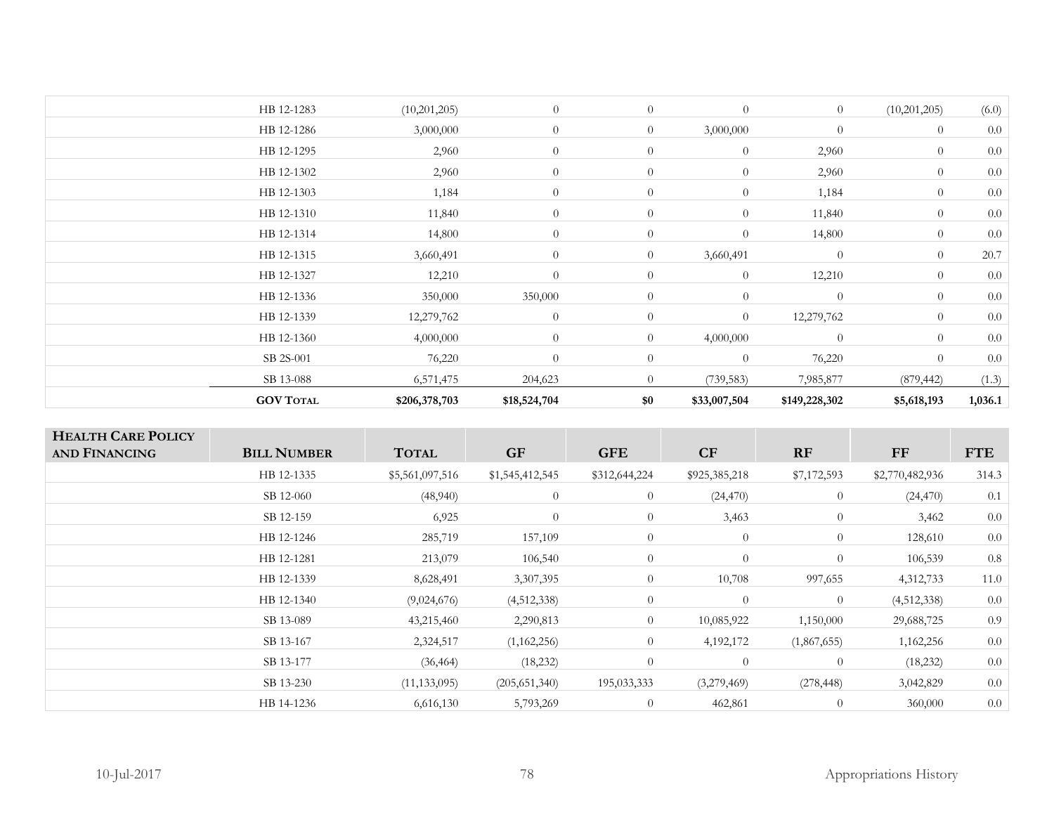| <b>GOV TOTAL</b> | \$206,378,703 | \$18,524,704 | \$0            | \$33,007,504   | \$149,228,302 | \$5,618,193    | 1,036.1 |
|------------------|---------------|--------------|----------------|----------------|---------------|----------------|---------|
| SB 13-088        | 6,571,475     | 204,623      | $\overline{0}$ | (739, 583)     | 7,985,877     | (879, 442)     | (1.3)   |
| SB 2S-001        | 76,220        | $\theta$     | $\overline{0}$ | $\overline{0}$ | 76,220        | $\overline{0}$ | 0.0     |
| HB 12-1360       | 4,000,000     | $\theta$     | $\overline{0}$ | 4,000,000      | $\theta$      | $\overline{0}$ | 0.0     |
| HB 12-1339       | 12,279,762    | $\theta$     | $\theta$       | $\overline{0}$ | 12,279,762    | $\overline{0}$ | 0.0     |
| HB 12-1336       | 350,000       | 350,000      | $\overline{0}$ | $\overline{0}$ | $\theta$      | $\overline{0}$ | 0.0     |
| HB 12-1327       | 12,210        | $\theta$     | $\theta$       | $\overline{0}$ | 12,210        | $\overline{0}$ | 0.0     |
| HB 12-1315       | 3,660,491     | $\theta$     | $\overline{0}$ | 3,660,491      | $\theta$      | $\overline{0}$ | 20.7    |
| HB 12-1314       | 14,800        | $\theta$     | $\overline{0}$ | $\overline{0}$ | 14,800        | $\theta$       | 0.0     |
| HB 12-1310       | 11,840        | $\theta$     | $\overline{0}$ | $\overline{0}$ | 11,840        | $\theta$       | 0.0     |
| HB 12-1303       | 1,184         | $\theta$     | $\overline{0}$ | $\overline{0}$ | 1,184         | $\overline{0}$ | 0.0     |
| HB 12-1302       | 2,960         | $\theta$     | $\overline{0}$ | $\overline{0}$ | 2,960         | $\overline{0}$ | 0.0     |
| HB 12-1295       | 2,960         | $\theta$     | $\overline{0}$ | $\overline{0}$ | 2,960         | $\theta$       | 0.0     |
| HB 12-1286       | 3,000,000     | $\theta$     | $\overline{0}$ | 3,000,000      | $\theta$      | $\theta$       | 0.0     |
| HB 12-1283       | (10,201,205)  | $\theta$     | $\theta$       | $\theta$       | $\theta$      | (10,201,205)   | (6.0)   |
|                  |               |              |                |                |               |                |         |

| <b>HEALTH CARE POLICY</b><br>AND FINANCING | <b>BILL NUMBER</b> | <b>TOTAL</b>    | <b>GF</b>       | <b>GFE</b>     | CF             | RF             | <b>FF</b>       | <b>FTE</b> |
|--------------------------------------------|--------------------|-----------------|-----------------|----------------|----------------|----------------|-----------------|------------|
|                                            | HB 12-1335         | \$5,561,097,516 | \$1,545,412,545 | \$312,644,224  | \$925,385,218  | \$7,172,593    | \$2,770,482,936 | 314.3      |
|                                            | SB 12-060          | (48,940)        | $\theta$        | $\overline{0}$ | (24, 470)      | $\overline{0}$ | (24, 470)       | 0.1        |
|                                            | SB 12-159          | 6,925           | $\theta$        | $\theta$       | 3,463          | $\overline{0}$ | 3,462           | 0.0        |
|                                            | HB 12-1246         | 285,719         | 157,109         | $\overline{0}$ | $\overline{0}$ | $\overline{0}$ | 128,610         | 0.0        |
|                                            | HB 12-1281         | 213,079         | 106,540         | $\overline{0}$ | $\overline{0}$ | $\overline{0}$ | 106,539         | 0.8        |
|                                            | HB 12-1339         | 8,628,491       | 3,307,395       | $\overline{0}$ | 10,708         | 997,655        | 4,312,733       | 11.0       |
|                                            | HB 12-1340         | (9,024,676)     | (4,512,338)     | $\theta$       | $\Omega$       | $\overline{0}$ | (4,512,338)     | 0.0        |
|                                            | SB 13-089          | 43,215,460      | 2,290,813       | $\overline{0}$ | 10,085,922     | 1,150,000      | 29,688,725      | 0.9        |
|                                            | SB 13-167          | 2,324,517       | (1,162,256)     | $\overline{0}$ | 4,192,172      | (1,867,655)    | 1,162,256       | 0.0        |
|                                            | SB 13-177          | (36, 464)       | (18, 232)       | $\overline{0}$ | $\overline{0}$ | $\overline{0}$ | (18, 232)       | 0.0        |
|                                            | SB 13-230          | (11, 133, 095)  | (205, 651, 340) | 195,033,333    | (3,279,469)    | (278, 448)     | 3,042,829       | 0.0        |
|                                            | HB 14-1236         | 6,616,130       | 5,793,269       | $\overline{0}$ | 462,861        | $\overline{0}$ | 360,000         | 0.0        |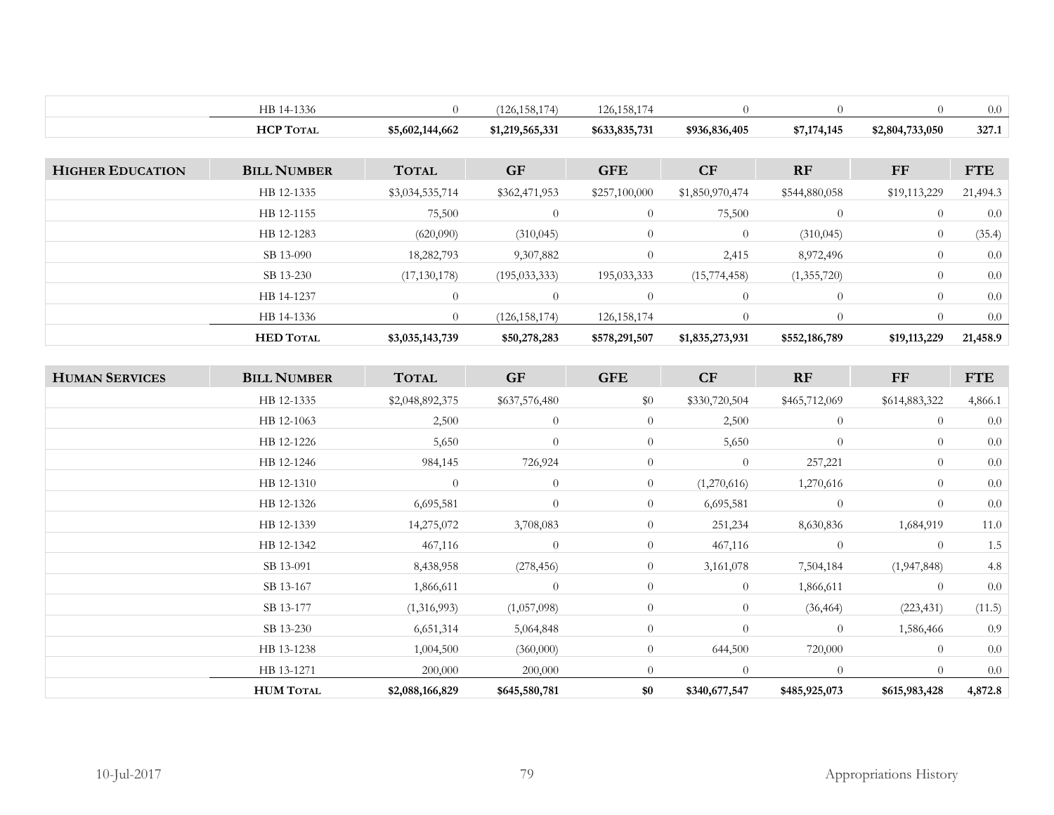|                         | HB 14-1336         | $\overline{0}$  | (126, 158, 174) | 126, 158, 174  | $\overline{0}$  | $\theta$       | $\overline{0}$  | 0.0        |
|-------------------------|--------------------|-----------------|-----------------|----------------|-----------------|----------------|-----------------|------------|
|                         | <b>HCP TOTAL</b>   | \$5,602,144,662 | \$1,219,565,331 | \$633,835,731  | \$936,836,405   | \$7,174,145    | \$2,804,733,050 | 327.1      |
|                         |                    |                 |                 |                |                 |                |                 |            |
| <b>HIGHER EDUCATION</b> | <b>BILL NUMBER</b> | <b>TOTAL</b>    | <b>GF</b>       | <b>GFE</b>     | CF              | RF             | <b>FF</b>       | <b>FTE</b> |
|                         | HB 12-1335         | \$3,034,535,714 | \$362,471,953   | \$257,100,000  | \$1,850,970,474 | \$544,880,058  | \$19,113,229    | 21,494.3   |
|                         | HB 12-1155         | 75,500          | $\overline{0}$  | $\overline{0}$ | 75,500          | $\overline{0}$ | $\overline{0}$  | 0.0        |
|                         | HB 12-1283         | (620,090)       | (310, 045)      | $\overline{0}$ | $\overline{0}$  | (310, 045)     | $\overline{0}$  | (35.4)     |
|                         | SB 13-090          | 18,282,793      | 9,307,882       | $\overline{0}$ | 2,415           | 8,972,496      | $\theta$        | $0.0\,$    |
|                         | SB 13-230          | (17, 130, 178)  | (195, 033, 333) | 195,033,333    | (15,774,458)    | (1,355,720)    | $\overline{0}$  | 0.0        |
|                         | HB 14-1237         | $\theta$        | $\overline{0}$  | $\overline{0}$ | $\overline{0}$  | $\theta$       | $\overline{0}$  | $0.0\,$    |
|                         | HB 14-1336         | $\Omega$        | (126, 158, 174) | 126, 158, 174  | $\overline{0}$  | $\Omega$       | $\theta$        | 0.0        |
|                         |                    |                 |                 | \$578,291,507  | \$1,835,273,931 | \$552,186,789  | \$19,113,229    | 21,458.9   |
|                         | <b>HED TOTAL</b>   | \$3,035,143,739 | \$50,278,283    |                |                 |                |                 |            |
|                         |                    |                 |                 |                |                 |                |                 |            |
| <b>HUMAN SERVICES</b>   | <b>BILL NUMBER</b> | <b>TOTAL</b>    | <b>GF</b>       | <b>GFE</b>     | CF              | RF             | <b>FF</b>       | <b>FTE</b> |
|                         | HB 12-1335         | \$2,048,892,375 | \$637,576,480   | \$0            | \$330,720,504   | \$465,712,069  | \$614,883,322   | 4,866.1    |
|                         | HB 12-1063         | 2,500           | $\theta$        | $\overline{0}$ | 2,500           | $\theta$       | $\theta$        | 0.0        |
|                         | HB 12-1226         | 5,650           | $\theta$        | $\overline{0}$ | 5,650           | $\overline{0}$ | $\Omega$        | $0.0\,$    |
|                         | HB 12-1246         | 984,145         | 726,924         | $\overline{0}$ | $\overline{0}$  | 257,221        | $\theta$        | $0.0\,$    |
|                         | HB 12-1310         | $\overline{0}$  | $\theta$        | $\overline{0}$ | (1,270,616)     | 1,270,616      | $\theta$        | 0.0        |
|                         | HB 12-1326         | 6,695,581       | $\Omega$        | $\overline{0}$ | 6,695,581       | $\overline{0}$ | $\theta$        | $0.0\,$    |
|                         | HB 12-1339         | 14,275,072      | 3,708,083       | $\overline{0}$ | 251,234         | 8,630,836      | 1,684,919       | 11.0       |
|                         | HB 12-1342         | 467,116         | $\theta$        | $\overline{0}$ | 467,116         | $\overline{0}$ | $\theta$        | 1.5        |
|                         | SB 13-091          | 8,438,958       | (278, 456)      | $\overline{0}$ | 3,161,078       | 7,504,184      | (1,947,848)     | 4.8        |

**HUM**

SB 13-177 (1,316,993) (1,057,098) 0 0 (36,464) (223,431) (11.5) SB 13-230 6,651,314 5,064,848 0 0 0 1,586,466 0.9 HB 13-1238 1,004,500 (360,000) 0 644,500 720,000 0 0.0  $\text{HB } 13-1271$  200,000 200,000 0 0 0 0 0.0

**TOTAL \$2,088,166,829 \$645,580,781 \$0 \$340,677,547 \$485,925,073 \$615,983,428 4,872.8**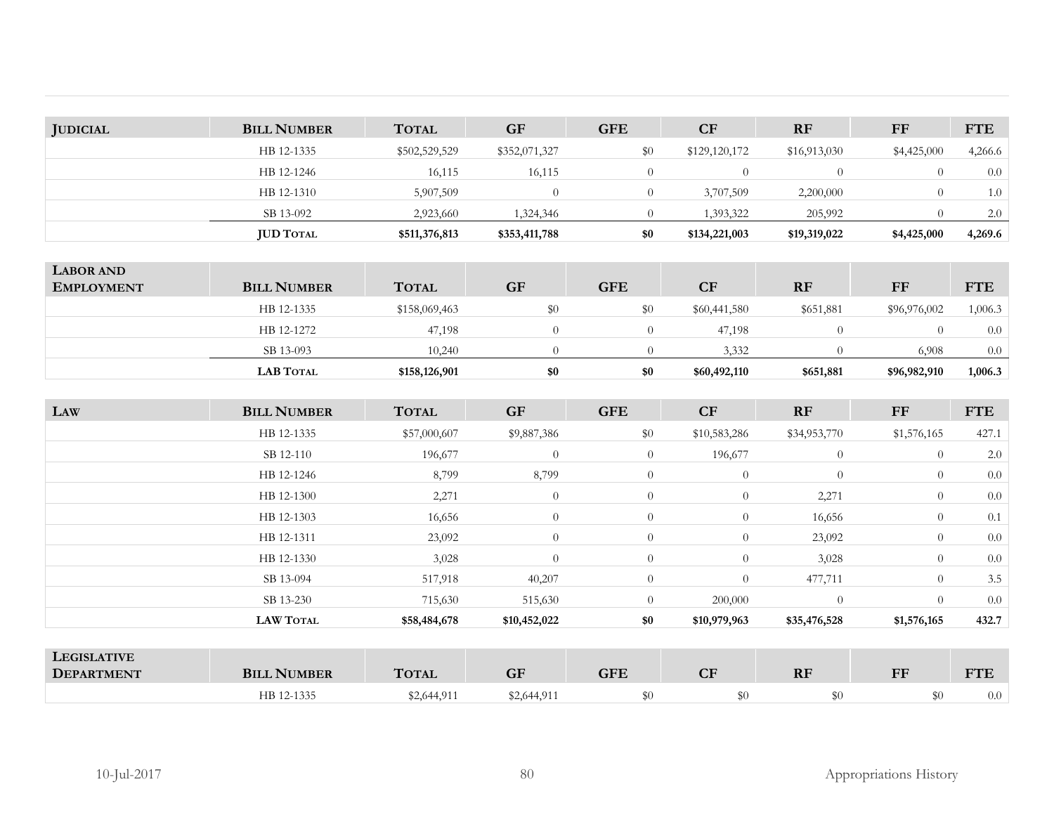| <b>JUDICIAL</b> | <b>BILL NUMBER</b> | <b>TOTAL</b>  | <b>GF</b>     | <b>GFE</b> | CF            | <b>RF</b>    | FF          | <b>FTE</b> |
|-----------------|--------------------|---------------|---------------|------------|---------------|--------------|-------------|------------|
|                 | HB 12-1335         | \$502,529,529 | \$352,071,327 | \$0        | \$129,120,172 | \$16,913,030 | \$4,425,000 | 4,266.6    |
|                 | HB 12-1246         | 16,115        | 16,115        |            |               |              |             | 0.0        |
|                 | HB 12-1310         | 5,907,509     |               |            | 3,707,509     | 2,200,000    | $\theta$    | 1.0        |
|                 | SB 13-092          | 2,923,660     | 1,324,346     |            | 1,393,322     | 205,992      |             | 2.0        |
|                 | <b>JUD TOTAL</b>   | \$511,376,813 | \$353,411,788 | \$0        | \$134,221,003 | \$19,319,022 | \$4,425,000 | 4,269.6    |

|                                       | <b>LAB TOTAL</b>   | \$158,126,901 | \$0       | \$0        | \$60,492,110 | \$651,881 | \$96,982,910 | 1,006.3    |
|---------------------------------------|--------------------|---------------|-----------|------------|--------------|-----------|--------------|------------|
|                                       | SB 13-093          | 10.240        |           |            | 3,332        |           | 6,908        | 0.0        |
|                                       | HB 12-1272         | 47,198        |           |            | 47,198       | $\theta$  |              | 0.0        |
|                                       | HB 12-1335         | \$158,069,463 | \$0       | \$0        | \$60,441,580 | \$651,881 | \$96,976,002 | 1,006.3    |
| <b>LABOR AND</b><br><b>EMPLOYMENT</b> | <b>BILL NUMBER</b> | <b>TOTAL</b>  | <b>GF</b> | <b>GFE</b> | CF           | <b>RF</b> | FF           | <b>FTE</b> |

| LAW                                                                                                                                                                                                                                                        | <b>BILL NUMBER</b>                             | <b>TOTAL</b>                        | <b>GF</b>      | <b>GFE</b>           | CF             | <b>RF</b>      | FF             | <b>FTE</b> |
|------------------------------------------------------------------------------------------------------------------------------------------------------------------------------------------------------------------------------------------------------------|------------------------------------------------|-------------------------------------|----------------|----------------------|----------------|----------------|----------------|------------|
|                                                                                                                                                                                                                                                            | HB 12-1335                                     | \$57,000,607                        | \$9,887,386    | \$0                  | \$10,583,286   | \$34,953,770   | \$1,576,165    | 427.1      |
|                                                                                                                                                                                                                                                            | SB 12-110                                      | 196,677                             | $\theta$       | $\overline{0}$       | 196,677        | $\overline{0}$ | $\Omega$       | 2.0        |
|                                                                                                                                                                                                                                                            | HB 12-1246                                     | 8,799                               | 8,799          | $\overline{0}$       | $\overline{0}$ | $\overline{0}$ | $\theta$       | 0.0        |
|                                                                                                                                                                                                                                                            | HB 12-1300                                     | 2,271                               | $\theta$       | $\overline{0}$       | $\overline{0}$ | 2,271          | $\theta$       | 0.0        |
|                                                                                                                                                                                                                                                            | HB 12-1303                                     | 16,656                              | $\overline{0}$ | $\overline{0}$       | $\theta$       | 16,656         | $\Omega$       | 0.1        |
|                                                                                                                                                                                                                                                            | HB 12-1311                                     | 23,092                              | $\overline{0}$ | $\overline{0}$       | $\theta$       | 23,092         | $\Omega$       | 0.0        |
|                                                                                                                                                                                                                                                            | HB 12-1330                                     | 3,028                               | $\overline{0}$ | $\overline{0}$       | $\overline{0}$ | 3,028          | $\theta$       | 0.0        |
|                                                                                                                                                                                                                                                            | SB 13-094                                      | 517,918                             | 40,207         | $\overline{0}$       | $\theta$       | 477,711        | $\theta$       | 3.5        |
|                                                                                                                                                                                                                                                            | SB 13-230                                      | 715,630                             | 515,630        | $\overline{0}$       | 200,000        | $\overline{0}$ | $\theta$       | 0.0        |
|                                                                                                                                                                                                                                                            | <b>LAW TOTAL</b>                               | \$58,484,678                        | \$10,452,022   | \$0                  | \$10,979,963   | \$35,476,528   | \$1,576,165    | 432.7      |
|                                                                                                                                                                                                                                                            |                                                |                                     |                |                      |                |                |                |            |
| <b>LEGISLATIVE</b><br>$\blacksquare$ . The contract of the contract of the contract of the contract of the contract of the contract of the contract of the contract of the contract of the contract of the contract of the contract of the contract of the | $\mathbf{r}$ and $\mathbf{r}$ and $\mathbf{r}$ | and the contract of the contract of | $\sim$ $\sim$  | $\sim$ $\sim$ $\sim$ | $\sim$         | $\sim$ $-$     | $\overline{ }$ | $-$        |

| LEGISLATIVE<br><b>DEPART</b><br>ን እ ተካ | <b>JMBER</b>     | $T_{\rm max}$ | $\sim$ r<br>$\overline{\mathbf{u}}$ | $\alpha_{\rm ET}$ | $\Gamma$<br>ᅛ | DL<br><b>VI</b> | <b>EF</b><br>$\sim$ $\sim$ | <b>CONTINUE</b> |
|----------------------------------------|------------------|---------------|-------------------------------------|-------------------|---------------|-----------------|----------------------------|-----------------|
|                                        | HB 12-<br>1.3.35 | \$2,644,911   | 44,91 <sup>1</sup>                  |                   |               | \$0             |                            | $_{0.0}$        |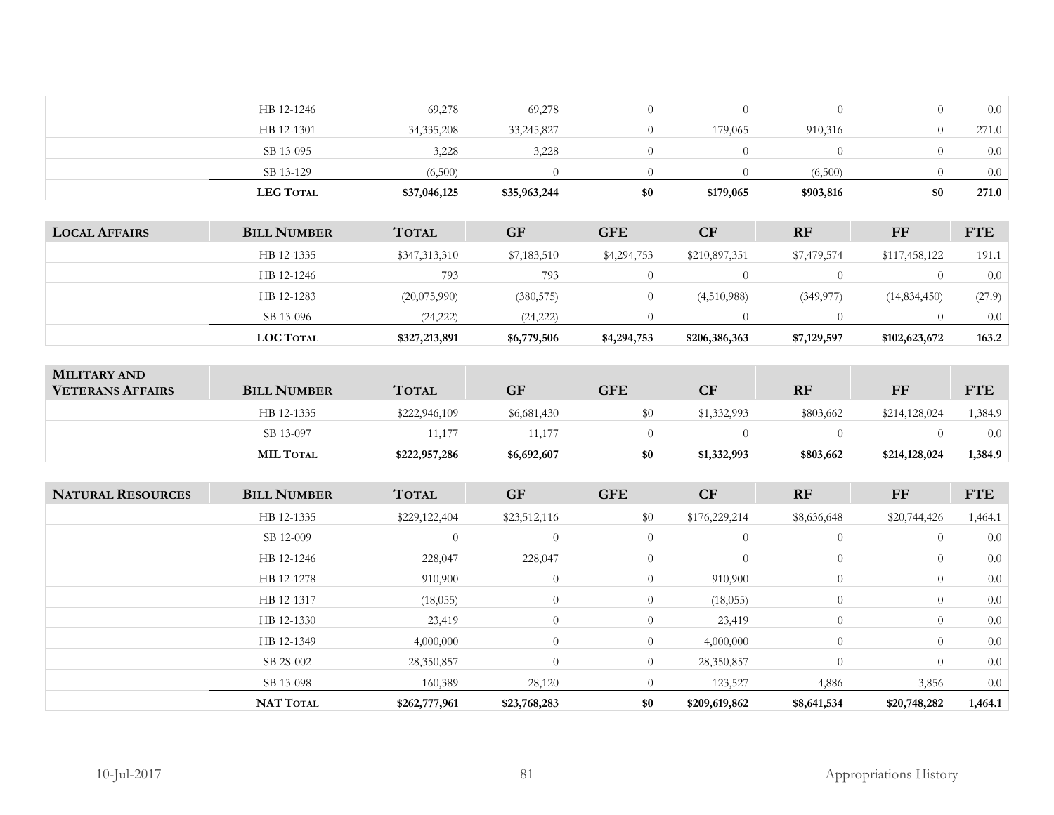| HB 12-1246       | 69,278       | 69,278       |     |           |           |     | 0.0   |
|------------------|--------------|--------------|-----|-----------|-----------|-----|-------|
| HB 12-1301       | 34, 335, 208 | 33,245,827   |     | 179,065   | 910,316   |     | 271.0 |
| SB 13-095        | 3,228        | 3,228        |     |           |           |     | 0.0   |
| SB 13-129        | (6,500)      |              |     |           | (6,500)   |     | 0.0   |
| <b>LEG TOTAL</b> | \$37,046,125 | \$35,963,244 | \$0 | \$179,065 | \$903,816 | \$0 | 271.0 |

| <b>LOCAL AFFAIRS</b> | <b>BILL NUMBER</b> | <b>TOTAL</b>  | <b>GF</b>   | <b>GFE</b>  | <b>CF</b>     | <b>RF</b>   | FF            | <b>FTE</b> |
|----------------------|--------------------|---------------|-------------|-------------|---------------|-------------|---------------|------------|
|                      | HB 12-1335         | \$347,313,310 | \$7,183,510 | \$4,294,753 | \$210,897,351 | \$7,479,574 | \$117,458,122 | 191.1      |
|                      | HB 12-1246         | 793           | 793         |             |               |             |               | 0.0        |
|                      | HB 12-1283         | (20,075,990)  | (380, 575)  |             | (4,510,988)   | (349, 977)  | (14,834,450)  | (27.9)     |
|                      | SB 13-096          | (24, 222)     | (24, 222)   |             |               |             |               | 0.0        |
|                      | <b>LOC TOTAL</b>   | \$327,213,891 | \$6,779,506 | \$4,294,753 | \$206,386,363 | \$7,129,597 | \$102,623,672 | 163.2      |

| <b>MILITARY AND</b><br><b>VETERANS AFFAIRS</b> | <b>BILL NUMBER</b> | <b>TOTAL</b>  | <b>GF</b>   | ${\rm \bf GFE}$ | CF          | <b>RF</b> | FF            | <b>FTE</b> |
|------------------------------------------------|--------------------|---------------|-------------|-----------------|-------------|-----------|---------------|------------|
|                                                | HB 12-1335         | \$222,946,109 | \$6,681,430 |                 | \$1,332,993 | \$803,662 | \$214,128,024 | ,384.9     |
|                                                | SB 13-097          | .1.177        | 11,177      |                 |             |           |               | 0.0        |
|                                                | <b>MIL TOTAL</b>   | \$222,957,286 | \$6,692,607 | \$0             | \$1,332,993 | \$803,662 | \$214,128,024 | 1,384.9    |

| <b>NATURAL RESOURCES</b> | <b>BILL NUMBER</b> | <b>TOTAL</b>  | <b>GF</b>      | <b>GFE</b>     | CF             | <b>RF</b>      | FF             | <b>FTE</b> |
|--------------------------|--------------------|---------------|----------------|----------------|----------------|----------------|----------------|------------|
|                          | HB 12-1335         | \$229,122,404 | \$23,512,116   | \$0            | \$176,229,214  | \$8,636,648    | \$20,744,426   | 1,464.1    |
|                          | SB 12-009          | $\theta$      | $\theta$       | $\overline{0}$ | $\overline{0}$ | $\overline{0}$ | $\overline{0}$ | 0.0        |
|                          | HB 12-1246         | 228,047       | 228,047        | $\overline{0}$ | $\theta$       | $\overline{0}$ | $\overline{0}$ | 0.0        |
|                          | HB 12-1278         | 910,900       | $\overline{0}$ | $\overline{0}$ | 910,900        | $\overline{0}$ | $\overline{0}$ | 0.0        |
|                          | HB 12-1317         | (18,055)      | $\overline{0}$ | $\overline{0}$ | (18,055)       | $\overline{0}$ | $\overline{0}$ | 0.0        |
|                          | HB 12-1330         | 23,419        | $\overline{0}$ | $\overline{0}$ | 23,419         | $\overline{0}$ | $\overline{0}$ | 0.0        |
|                          | HB 12-1349         | 4,000,000     | $\theta$       | $\overline{0}$ | 4,000,000      | $\overline{0}$ | $\theta$       | 0.0        |
|                          | SB 2S-002          | 28,350,857    | $\theta$       | $\overline{0}$ | 28,350,857     | $\overline{0}$ | $\overline{0}$ | 0.0        |
|                          | SB 13-098          | 160,389       | 28,120         | $\overline{0}$ | 123,527        | 4,886          | 3,856          | 0.0        |
|                          | <b>NAT TOTAL</b>   | \$262,777,961 | \$23,768,283   | \$0            | \$209,619,862  | \$8,641,534    | \$20,748,282   | 1,464.1    |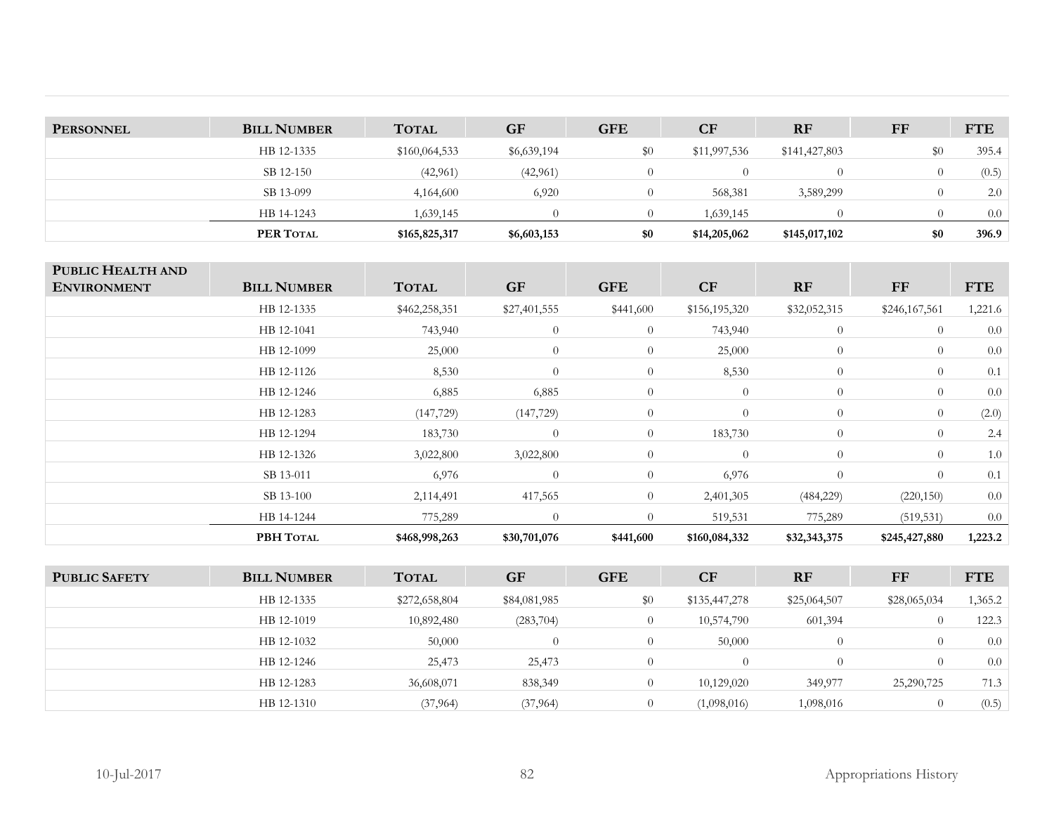| <b>PERSONNEL</b> | <b>BILL NUMBER</b> | <b>TOTAL</b>  | <b>GF</b>   | <b>GFE</b> | CF           | <b>RF</b>        | FF               | <b>FTE</b> |
|------------------|--------------------|---------------|-------------|------------|--------------|------------------|------------------|------------|
|                  | HB 12-1335         | \$160,064,533 | \$6,639,194 | \$0        | \$11,997,536 | \$141,427,803    | \$0              | 395.4      |
|                  | SB 12-150          | (42, 961)     | (42,961)    |            |              | $\left( \right)$ | $\left( \right)$ | (0.5)      |
|                  | SB 13-099          | 4,164,600     | 6,920       |            | 568,381      | 3,589,299        |                  | 2.0        |
|                  | HB 14-1243         | 1,639,145     |             |            | 1,639,145    |                  |                  | 0.0        |
|                  | PER TOTAL          | \$165,825,317 | \$6,603,153 | \$0        | \$14,205,062 | \$145,017,102    | \$0              | 396.9      |

| PUBLIC HEALTH AND  |                    |               |                |                |                |                |                |            |
|--------------------|--------------------|---------------|----------------|----------------|----------------|----------------|----------------|------------|
| <b>ENVIRONMENT</b> | <b>BILL NUMBER</b> | <b>TOTAL</b>  | <b>GF</b>      | <b>GFE</b>     | CF             | RF             | FF             | <b>FTE</b> |
|                    | HB 12-1335         | \$462,258,351 | \$27,401,555   | \$441,600      | \$156,195,320  | \$32,052,315   | \$246,167,561  | 1,221.6    |
|                    | HB 12-1041         | 743,940       | $\overline{0}$ | $\theta$       | 743,940        | $\overline{0}$ | $\overline{0}$ | 0.0        |
|                    | HB 12-1099         | 25,000        | $\overline{0}$ | $\overline{0}$ | 25,000         | $\theta$       | $\overline{0}$ | 0.0        |
|                    | HB 12-1126         | 8,530         | $\overline{0}$ | $\theta$       | 8,530          | $\overline{0}$ | $\theta$       | 0.1        |
|                    | HB 12-1246         | 6,885         | 6,885          | $\overline{0}$ | $\overline{0}$ | $\theta$       | $\overline{0}$ | 0.0        |
|                    | HB 12-1283         | (147, 729)    | (147, 729)     | $\overline{0}$ | $\theta$       | $\overline{0}$ | $\theta$       | (2.0)      |
|                    | HB 12-1294         | 183,730       | $\overline{0}$ | $\overline{0}$ | 183,730        | $\theta$       | $\theta$       | 2.4        |
|                    | HB 12-1326         | 3,022,800     | 3,022,800      | $\overline{0}$ | $\overline{0}$ | $\overline{0}$ | $\overline{0}$ | 1.0        |
|                    | SB 13-011          | 6,976         | $\overline{0}$ | $\theta$       | 6,976          | $\theta$       | $\theta$       | 0.1        |
|                    | SB 13-100          | 2,114,491     | 417,565        | $\overline{0}$ | 2,401,305      | (484, 229)     | (220, 150)     | 0.0        |
|                    | HB 14-1244         | 775,289       | $\Omega$       | $\Omega$       | 519,531        | 775,289        | (519, 531)     | 0.0        |
|                    | PBH TOTAL          | \$468,998,263 | \$30,701,076   | \$441,600      | \$160,084,332  | \$32,343,375   | \$245,427,880  | 1,223.2    |

| <b>PUBLIC SAFETY</b> | <b>BILL NUMBER</b> | <b>TOTAL</b>  | <b>GF</b>    | <b>GFE</b>     | CF            | <b>RF</b>    | FF           | <b>FTE</b> |
|----------------------|--------------------|---------------|--------------|----------------|---------------|--------------|--------------|------------|
|                      | HB 12-1335         | \$272,658,804 | \$84,081,985 | \$0            | \$135,447,278 | \$25,064,507 | \$28,065,034 | 1,365.2    |
|                      | HB 12-1019         | 10,892,480    | (283,704)    | $\theta$       | 10,574,790    | 601,394      |              | 122.3      |
|                      | HB 12-1032         | 50,000        | $\Omega$     | $\overline{0}$ | 50,000        |              |              | 0.0        |
|                      | HB 12-1246         | 25,473        | 25,473       | $\Omega$       | ()            |              |              | 0.0        |
|                      | HB 12-1283         | 36,608,071    | 838,349      |                | 10,129,020    | 349,977      | 25,290,725   | 71.3       |
|                      | HB 12-1310         | (37, 964)     | (37, 964)    | $\Omega$       | (1,098,016)   | 1,098,016    |              | (0.5)      |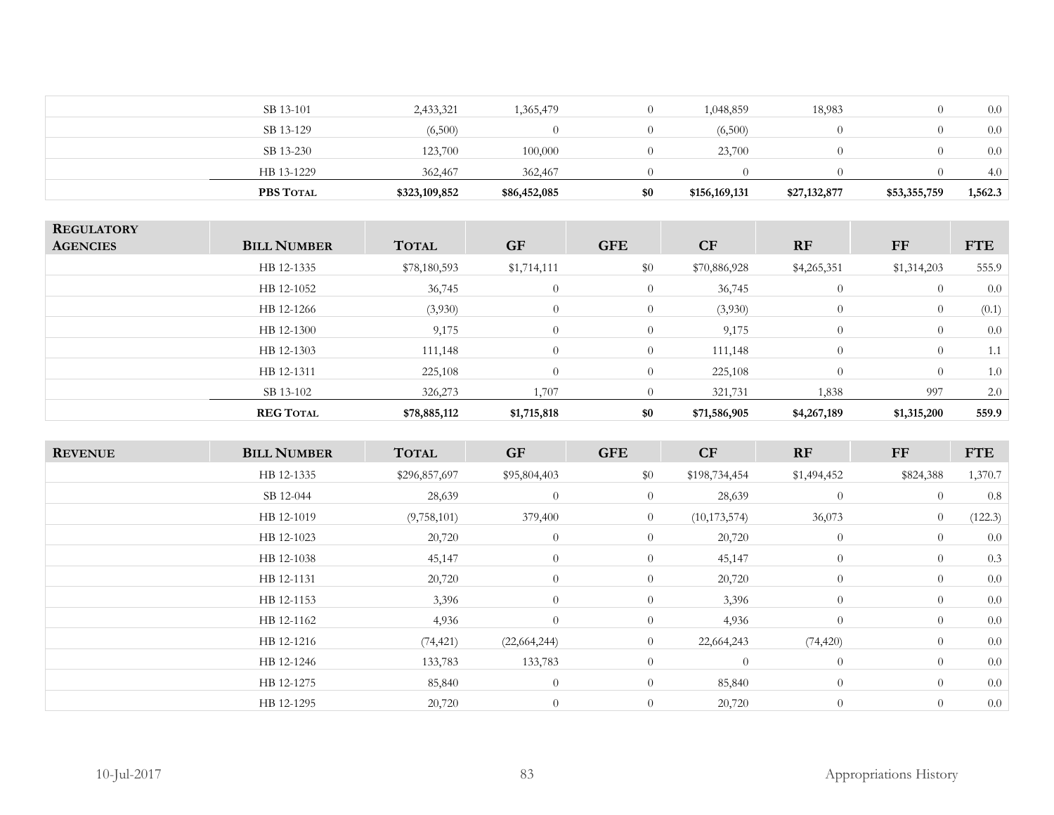| PBS TOTAL  | \$323,109,852 | \$86,452,085 | \$0 | \$156,169,131 | \$27,132,877 | \$53,355,759 | 1,562.3 |
|------------|---------------|--------------|-----|---------------|--------------|--------------|---------|
| HB 13-1229 | 362,467       | 362,467      |     |               |              |              | 4.0     |
| SB 13-230  | 123,700       | 100,000      |     | 23,700        |              |              | 0.0     |
| SB 13-129  | (6,500)       |              |     | (6,500)       |              |              | 0.0     |
| SB 13-101  | 2,433,321     | 1,365,479    |     | 1,048,859     | 18,983       |              | 0.0     |
|            |               |              |     |               |              |              |         |

| <b>REGULATORY</b><br><b>AGENCIES</b> | <b>BILL NUMBER</b> | <b>TOTAL</b> | <b>GF</b>      | <b>GFE</b>     | CF           | <b>RF</b>      | <b>FF</b>   | <b>FTE</b> |
|--------------------------------------|--------------------|--------------|----------------|----------------|--------------|----------------|-------------|------------|
|                                      | HB 12-1335         | \$78,180,593 | \$1,714,111    | \$0            | \$70,886,928 | \$4,265,351    | \$1,314,203 | 555.9      |
|                                      | HB 12-1052         | 36,745       | $\overline{0}$ | $\theta$       | 36,745       | $\overline{0}$ | $\theta$    | 0.0        |
|                                      | HB 12-1266         | (3,930)      | $\overline{0}$ | $\overline{0}$ | (3,930)      | $\overline{0}$ | $\theta$    | (0.1)      |
|                                      | HB 12-1300         | 9,175        | $\overline{0}$ | $\theta$       | 9,175        | $\overline{0}$ | $\theta$    | 0.0        |
|                                      | HB 12-1303         | 111,148      | $\overline{0}$ | $\overline{0}$ | 111,148      | $\Omega$       | $\theta$    | 1.1        |
|                                      | HB 12-1311         | 225,108      | $\overline{0}$ | $\overline{0}$ | 225,108      | $\theta$       | $\theta$    | 1.0        |
|                                      | SB 13-102          | 326,273      | 1,707          | $\theta$       | 321,731      | 1,838          | 997         | 2.0        |
|                                      | <b>REG TOTAL</b>   | \$78,885,112 | \$1,715,818    | \$0            | \$71,586,905 | \$4,267,189    | \$1,315,200 | 559.9      |

| <b>REVENUE</b> | <b>BILL NUMBER</b> | <b>TOTAL</b>  | <b>GF</b>      | <b>GFE</b>     | CF             | RF             | $\bf FF$       | <b>FTE</b> |
|----------------|--------------------|---------------|----------------|----------------|----------------|----------------|----------------|------------|
|                | HB 12-1335         | \$296,857,697 | \$95,804,403   | \$0            | \$198,734,454  | \$1,494,452    | \$824,388      | 1,370.7    |
|                | SB 12-044          | 28,639        | $\overline{0}$ | $\overline{0}$ | 28,639         | $\overline{0}$ | $\overline{0}$ | 0.8        |
|                | HB 12-1019         | (9,758,101)   | 379,400        | $\overline{0}$ | (10, 173, 574) | 36,073         | $\overline{0}$ | (122.3)    |
|                | HB 12-1023         | 20,720        | $\overline{0}$ | $\overline{0}$ | 20,720         | $\overline{0}$ | $\overline{0}$ | 0.0        |
|                | HB 12-1038         | 45,147        | $\overline{0}$ | $\overline{0}$ | 45,147         | $\overline{0}$ | $\overline{0}$ | 0.3        |
|                | HB 12-1131         | 20,720        | $\overline{0}$ | $\overline{0}$ | 20,720         | $\overline{0}$ | $\overline{0}$ | 0.0        |
|                | HB 12-1153         | 3,396         | $\overline{0}$ | $\overline{0}$ | 3,396          | $\theta$       | $\theta$       | 0.0        |
|                | HB 12-1162         | 4,936         | $\overline{0}$ | $\overline{0}$ | 4,936          | $\theta$       | $\theta$       | 0.0        |
|                | HB 12-1216         | (74, 421)     | (22, 664, 244) | $\overline{0}$ | 22,664,243     | (74, 420)      | $\theta$       | 0.0        |
|                | HB 12-1246         | 133,783       | 133,783        | $\overline{0}$ | $\theta$       | $\overline{0}$ | $\overline{0}$ | 0.0        |
|                | HB 12-1275         | 85,840        | $\overline{0}$ | $\overline{0}$ | 85,840         | $\overline{0}$ | $\overline{0}$ | 0.0        |
|                | HB 12-1295         | 20,720        | $\overline{0}$ | $\overline{0}$ | 20,720         | $\theta$       | $\overline{0}$ | 0.0        |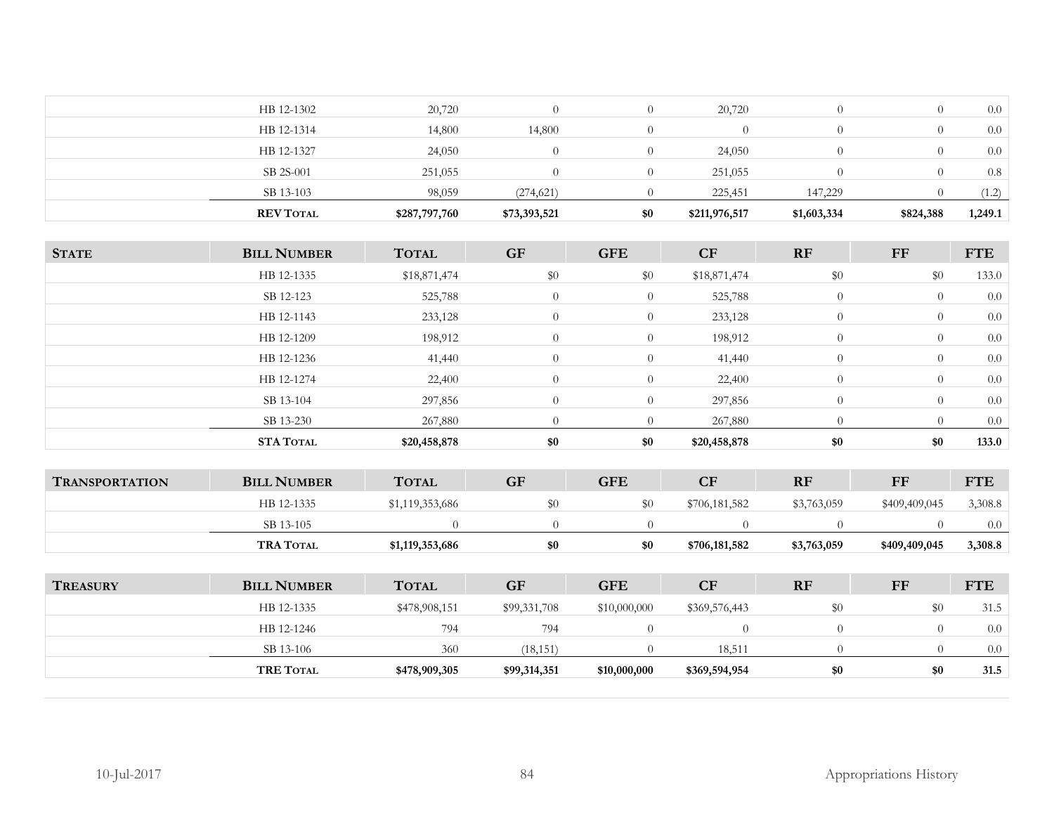| 14,800<br>14,800<br>HB 12-1314<br>$\Omega$<br>$\left( \right)$<br>24,050<br>HB 12-1327<br>24,050<br>$\Omega$<br>$\mathbf{U}$<br>251,055<br>251,055<br>SB 2S-001<br>$\Omega$<br>$\left($<br>147,229<br>98,059<br>(274, 621)<br>225,451<br>SB 13-103 | 1,249.1 |
|----------------------------------------------------------------------------------------------------------------------------------------------------------------------------------------------------------------------------------------------------|---------|
|                                                                                                                                                                                                                                                    | (1.2)   |
|                                                                                                                                                                                                                                                    | 0.8     |
|                                                                                                                                                                                                                                                    | 0.0     |
|                                                                                                                                                                                                                                                    | 0.0     |
| 20,720<br>20,720<br>HB 12-1302<br>0.<br>$\left($                                                                                                                                                                                                   | 0.0     |

| <b>STATE</b>          | <b>BILL NUMBER</b> | <b>TOTAL</b>    | <b>GF</b>      | <b>GFE</b>     | CF             | RF             | FF             | <b>FTE</b> |
|-----------------------|--------------------|-----------------|----------------|----------------|----------------|----------------|----------------|------------|
|                       | HB 12-1335         | \$18,871,474    | \$0            | \$0            | \$18,871,474   | \$0            | \$0            | 133.0      |
|                       | SB 12-123          | 525,788         | $\overline{0}$ | $\overline{0}$ | 525,788        | $\overline{0}$ | $\overline{0}$ | 0.0        |
|                       | HB 12-1143         | 233,128         | $\overline{0}$ | $\overline{0}$ | 233,128        | $\theta$       | $\overline{0}$ | $0.0\,$    |
|                       | HB 12-1209         | 198,912         | $\overline{0}$ | $\overline{0}$ | 198,912        | $\theta$       | $\overline{0}$ | 0.0        |
|                       | HB 12-1236         | 41,440          | $\overline{0}$ | $\overline{0}$ | 41,440         | $\theta$       | $\overline{0}$ | 0.0        |
|                       | HB 12-1274         | 22,400          | $\overline{0}$ | $\overline{0}$ | 22,400         | $\theta$       | $\overline{0}$ | 0.0        |
|                       | SB 13-104          | 297,856         | $\overline{0}$ | $\overline{0}$ | 297,856        | $\theta$       | $\overline{0}$ | 0.0        |
|                       | SB 13-230          | 267,880         | $\overline{0}$ | $\theta$       | 267,880        | $\overline{0}$ | $\overline{0}$ | 0.0        |
|                       | STA TOTAL          | \$20,458,878    | \$0            | \$0            | \$20,458,878   | \$0            | \$0            | 133.0      |
|                       |                    |                 |                |                |                |                |                |            |
| <b>TRANSPORTATION</b> | <b>BILL NUMBER</b> | <b>TOTAL</b>    | GF             | <b>GFE</b>     | CF             | RF             | FF             | <b>FTE</b> |
|                       | HB 12-1335         | \$1,119,353,686 | \$0            | \$0            | \$706,181,582  | \$3,763,059    | \$409,409,045  | 3,308.8    |
|                       | SB 13-105          | $\Omega$        | $\theta$       | $\Omega$       | $\overline{0}$ | $\theta$       | $\overline{0}$ | 0.0        |
|                       | <b>TRA TOTAL</b>   | \$1,119,353,686 | \$0            | \$0            | \$706,181,582  | \$3,763,059    | \$409,409,045  | 3,308.8    |
|                       |                    |                 |                |                |                |                |                |            |
| <b>TREASURY</b>       | <b>BILL NUMBER</b> | <b>TOTAL</b>    | <b>GF</b>      | <b>GFE</b>     | CF             | RF             | FF             | <b>FTE</b> |
|                       | HB 12-1335         | \$478,908,151   | \$99,331,708   | \$10,000,000   | \$369,576,443  | $\$0$          | \$0            | 31.5       |
|                       | HB 12-1246         | 794             | 794            | $\overline{0}$ | $\theta$       | $\overline{0}$ | $\overline{0}$ | 0.0        |

 $(18,151)$  0 18,511 0 0 0.0

**TOTAL \$478,909,305 \$99,314,351 \$10,000,000 \$369,594,954 \$0 \$0 31.5** 

SB 13-106 360

**TRE**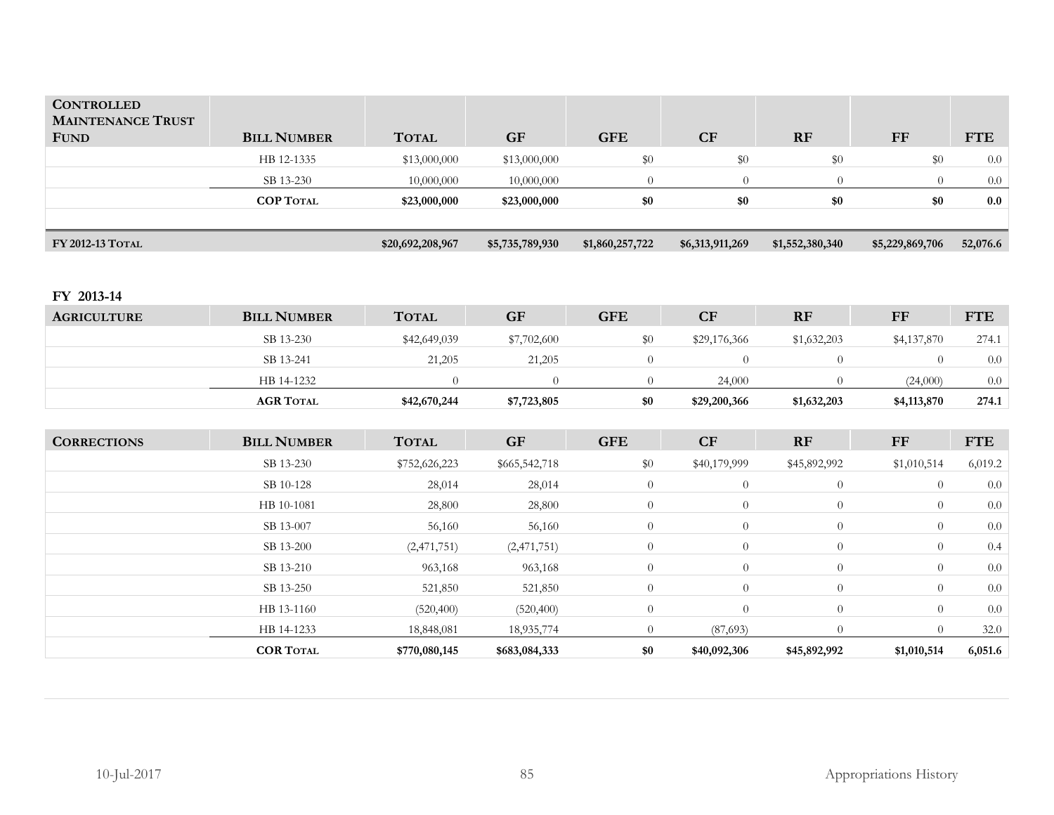| <b>CONTROLLED</b><br><b>MAINTENANCE TRUST</b> |                    |                  |                 |                 |                 |                 |                 |            |
|-----------------------------------------------|--------------------|------------------|-----------------|-----------------|-----------------|-----------------|-----------------|------------|
| <b>FUND</b>                                   | <b>BILL NUMBER</b> | <b>TOTAL</b>     | <b>GF</b>       | <b>GFE</b>      | CF              | RF              | FF              | <b>FTE</b> |
|                                               | HB 12-1335         | \$13,000,000     | \$13,000,000    | \$0             | \$0             | \$0             | \$0             | 0.0        |
|                                               | SB 13-230          | 10,000,000       | 10,000,000      | $\overline{0}$  | $\overline{0}$  | $\overline{0}$  | $\theta$        | $0.0\,$    |
|                                               | <b>COP TOTAL</b>   | \$23,000,000     | \$23,000,000    | \$0             | $\$0$           | $\$0$           | \$0             | $0.0\,$    |
|                                               |                    |                  |                 |                 |                 |                 |                 |            |
| FY 2012-13 TOTAL                              |                    | \$20,692,208,967 | \$5,735,789,930 | \$1,860,257,722 | \$6,313,911,269 | \$1,552,380,340 | \$5,229,869,706 | 52,076.6   |
|                                               |                    |                  |                 |                 |                 |                 |                 |            |
| FY 2013-14                                    |                    |                  |                 |                 |                 |                 |                 |            |
| <b>AGRICULTURE</b>                            | <b>BILL NUMBER</b> | <b>TOTAL</b>     | <b>GF</b>       | <b>GFE</b>      | CF              | RF              | ${\rm FF}$      | <b>FTE</b> |
|                                               | SB 13-230          | \$42,649,039     | \$7,702,600     | \$0             | \$29,176,366    | \$1,632,203     | \$4,137,870     | 274.1      |
|                                               | SB 13-241          | 21,205           | 21,205          | $\overline{0}$  | $\overline{0}$  | $\overline{0}$  | $\theta$        | 0.0        |
|                                               | HB 14-1232         | $\theta$         | $\overline{0}$  | $\overline{0}$  | 24,000          | $\overline{0}$  | (24,000)        | 0.0        |
|                                               | <b>AGR TOTAL</b>   | \$42,670,244     | \$7,723,805     | \$0             | \$29,200,366    | \$1,632,203     | \$4,113,870     | 274.1      |
|                                               |                    |                  |                 |                 |                 |                 |                 |            |
| <b>CORRECTIONS</b>                            | <b>BILL NUMBER</b> | <b>TOTAL</b>     | <b>GF</b>       | <b>GFE</b>      | CF              | RF              | ${\rm FF}$      | <b>FTE</b> |
|                                               | SB 13-230          | \$752,626,223    | \$665,542,718   | \$0             | \$40,179,999    | \$45,892,992    | \$1,010,514     | 6,019.2    |
|                                               | SB 10-128          | 28,014           | 28,014          | $\theta$        | $\overline{0}$  | $\overline{0}$  | $\theta$        | 0.0        |
|                                               | HB 10-1081         | 28,800           | 28,800          | $\theta$        | $\overline{0}$  | $\overline{0}$  | $\theta$        | 0.0        |
|                                               | SB 13-007          | 56,160           | 56,160          | $\overline{0}$  | $\overline{0}$  | $\overline{0}$  | $\theta$        | 0.0        |
|                                               | SB 13-200          | (2,471,751)      | (2,471,751)     | $\theta$        | $\overline{0}$  | $\overline{0}$  | $\theta$        | 0.4        |
|                                               | SB 13-210          | 963,168          | 963,168         | $\overline{0}$  | $\overline{0}$  | $\overline{0}$  | $\theta$        | 0.0        |
|                                               | SB 13-250          | 521,850          | 521,850         | $\overline{0}$  | $\overline{0}$  | $\overline{0}$  | $\theta$        | 0.0        |
|                                               | HB 13-1160         | (520, 400)       | (520, 400)      | $\overline{0}$  | $\theta$        | $\overline{0}$  | $\theta$        | 0.0        |
|                                               | HB 14-1233         | 18,848,081       | 18,935,774      | $\overline{0}$  | (87,693)        | $\overline{0}$  | $\theta$        | 32.0       |
|                                               | <b>COR TOTAL</b>   | \$770,080,145    | \$683,084,333   | \$0             | \$40,092,306    | \$45,892,992    | \$1,010,514     | 6,051.6    |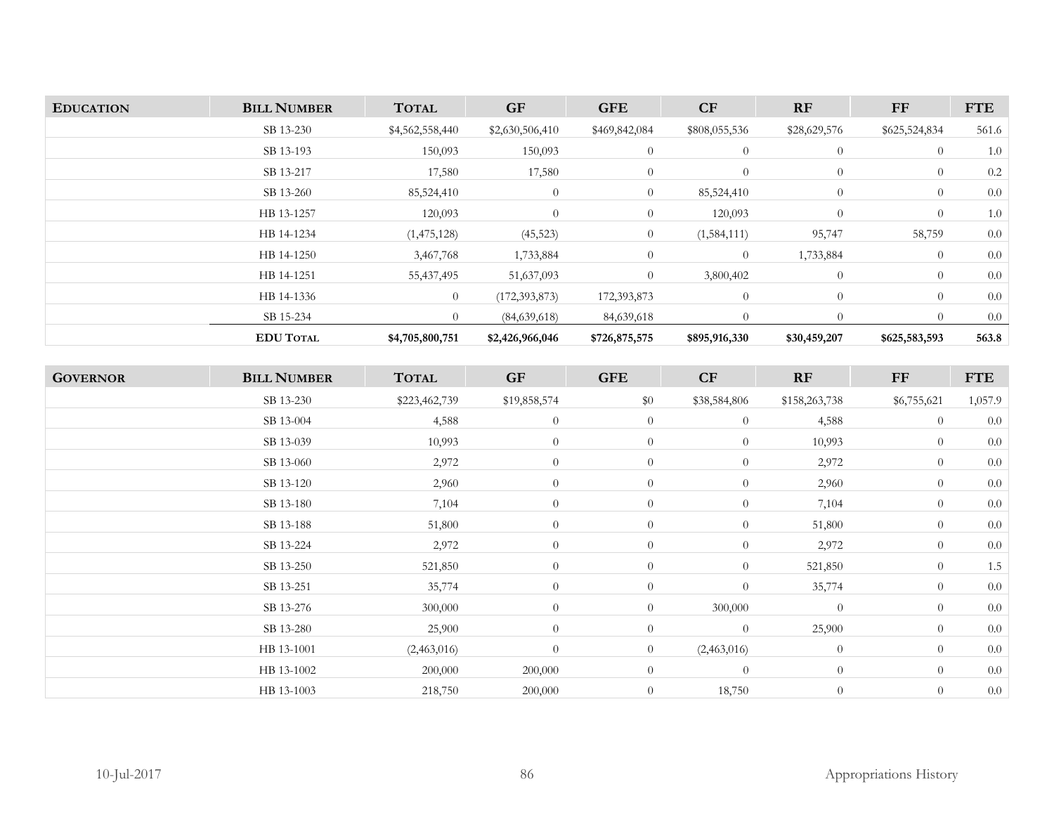| <b>EDUCATION</b> | <b>BILL NUMBER</b> | <b>TOTAL</b>    | <b>GF</b>       | <b>GFE</b>     | CF             | <b>RF</b>      | FF             | <b>FTE</b> |
|------------------|--------------------|-----------------|-----------------|----------------|----------------|----------------|----------------|------------|
|                  | SB 13-230          | \$4,562,558,440 | \$2,630,506,410 | \$469,842,084  | \$808,055,536  | \$28,629,576   | \$625,524,834  | 561.6      |
|                  | SB 13-193          | 150,093         | 150,093         | $\overline{0}$ | $\overline{0}$ | $\overline{0}$ | $\overline{0}$ | 1.0        |
|                  | SB 13-217          | 17,580          | 17,580          | $\overline{0}$ | $\theta$       | $\overline{0}$ | $\theta$       | 0.2        |
|                  | SB 13-260          | 85,524,410      | $\theta$        | $\overline{0}$ | 85,524,410     | $\overline{0}$ | $\overline{0}$ | 0.0        |
|                  | HB 13-1257         | 120,093         | $\Omega$        | $\overline{0}$ | 120,093        | $\overline{0}$ | $\overline{0}$ | 1.0        |
|                  | HB 14-1234         | (1,475,128)     | (45, 523)       | $\overline{0}$ | (1,584,111)    | 95,747         | 58,759         | 0.0        |
|                  | HB 14-1250         | 3,467,768       | 1,733,884       | $\overline{0}$ | $\overline{0}$ | 1,733,884      | $\overline{0}$ | 0.0        |
|                  | HB 14-1251         | 55,437,495      | 51,637,093      | $\overline{0}$ | 3,800,402      | $\overline{0}$ | $\overline{0}$ | 0.0        |
|                  | HB 14-1336         | $\theta$        | (172, 393, 873) | 172,393,873    | $\overline{0}$ | $\overline{0}$ | $\overline{0}$ | 0.0        |
|                  | SB 15-234          | $\overline{0}$  | (84,639,618)    | 84,639,618     | $\Omega$       | $\Omega$       | $\Omega$       | 0.0        |
|                  | <b>EDU TOTAL</b>   | \$4,705,800,751 | \$2,426,966,046 | \$726,875,575  | \$895,916,330  | \$30,459,207   | \$625,583,593  | 563.8      |

| <b>BILL NUMBER</b> | <b>TOTAL</b>  | <b>GF</b>        | <b>GFE</b>     | CF             | RF             | $\bf FF$       | <b>FTE</b> |
|--------------------|---------------|------------------|----------------|----------------|----------------|----------------|------------|
| SB 13-230          | \$223,462,739 | \$19,858,574     | \$0            | \$38,584,806   | \$158,263,738  | \$6,755,621    | 1,057.9    |
| SB 13-004          | 4,588         | $\theta$         | $\overline{0}$ | $\overline{0}$ | 4,588          | $\theta$       | 0.0        |
| SB 13-039          | 10,993        | $\theta$         | $\theta$       | $\overline{0}$ | 10,993         | $\overline{0}$ | 0.0        |
| SB 13-060          | 2,972         | $\theta$         | $\overline{0}$ | $\overline{0}$ | 2,972          | $\theta$       | 0.0        |
| SB 13-120          | 2,960         | $\theta$         | $\overline{0}$ | $\overline{0}$ | 2,960          | $\overline{0}$ | 0.0        |
| SB 13-180          | 7,104         | $\theta$         | $\theta$       | $\overline{0}$ | 7,104          | $\theta$       | 0.0        |
| SB 13-188          | 51,800        | $\theta$         | $\theta$       | $\overline{0}$ | 51,800         | $\theta$       | 0.0        |
| SB 13-224          | 2,972         | $\theta$         | $\overline{0}$ | $\overline{0}$ | 2,972          | $\theta$       | 0.0        |
| SB 13-250          | 521,850       | $\theta$         | $\overline{0}$ | $\overline{0}$ | 521,850        | $\overline{0}$ | 1.5        |
| SB 13-251          | 35,774        | $\theta$         | $\overline{0}$ | $\overline{0}$ | 35,774         | $\theta$       | 0.0        |
| SB 13-276          | 300,000       | $\theta$         | $\overline{0}$ | 300,000        | $\theta$       | $\theta$       | 0.0        |
| SB 13-280          | 25,900        | $\boldsymbol{0}$ | $\overline{0}$ | $\overline{0}$ | 25,900         | $\theta$       | 0.0        |
| HB 13-1001         | (2,463,016)   | $\theta$         | $\overline{0}$ | (2,463,016)    | $\overline{0}$ | $\theta$       | 0.0        |
| HB 13-1002         | 200,000       | 200,000          | $\theta$       | $\overline{0}$ | $\overline{0}$ | $\theta$       | 0.0        |
| HB 13-1003         | 218,750       | 200,000          | $\theta$       | 18,750         | $\overline{0}$ | $\theta$       | 0.0        |
|                    |               |                  |                |                |                |                |            |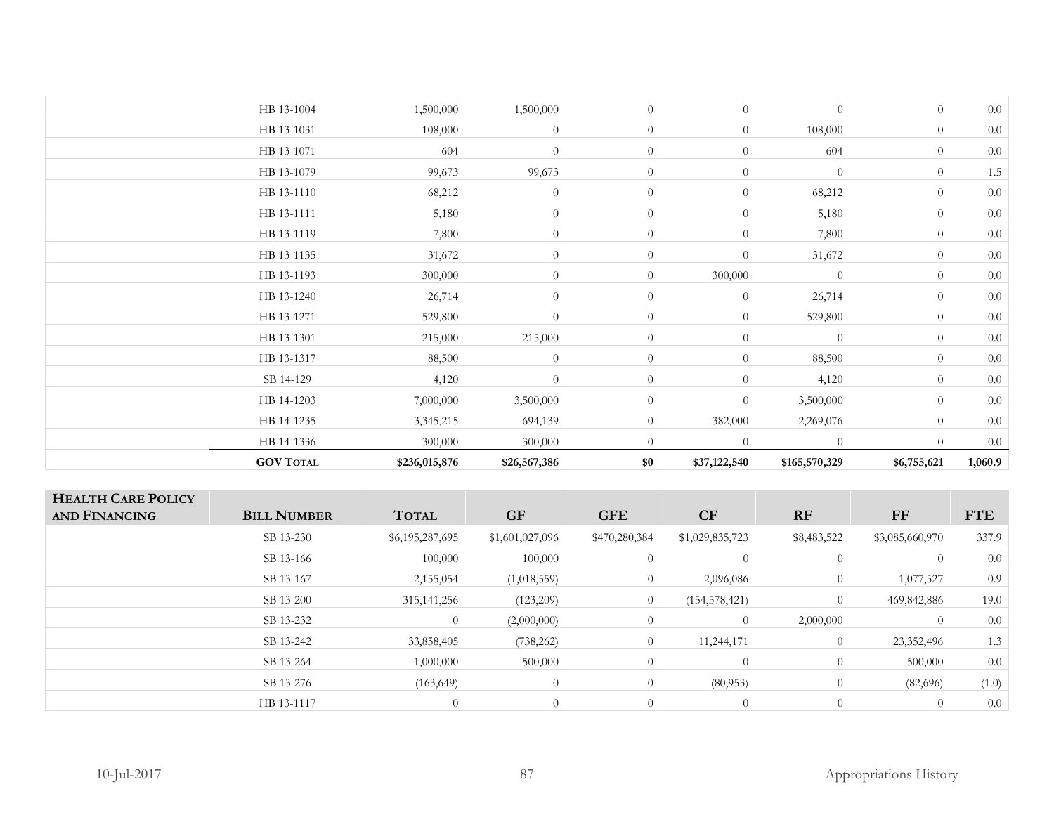| <b>GOV TOTAL</b> | \$236,015,876 | \$26,567,386     | $\$0$          | \$37,122,540   | \$165,570,329  | \$6,755,621    | 1,060.9 |
|------------------|---------------|------------------|----------------|----------------|----------------|----------------|---------|
| HB 14-1336       | 300,000       | 300,000          | $\theta$       | $\overline{0}$ | $\Omega$       | $\theta$       | 0.0     |
| HB 14-1235       | 3,345,215     | 694,139          | $\overline{0}$ | 382,000        | 2,269,076      | $\overline{0}$ | 0.0     |
| HB 14-1203       | 7,000,000     | 3,500,000        | $\overline{0}$ | $\overline{0}$ | 3,500,000      | $\overline{0}$ | $0.0\,$ |
| SB 14-129        | 4,120         | $\theta$         | $\overline{0}$ | $\overline{0}$ | 4,120          | $\overline{0}$ | 0.0     |
| HB 13-1317       | 88,500        | $\theta$         | $\overline{0}$ | $\overline{0}$ | 88,500         | $\overline{0}$ | $0.0\,$ |
| HB 13-1301       | 215,000       | 215,000          | $\overline{0}$ | $\overline{0}$ | $\overline{0}$ | $\overline{0}$ | 0.0     |
| HB 13-1271       | 529,800       | $\theta$         | $\overline{0}$ | $\overline{0}$ | 529,800        | $\overline{0}$ | $0.0\,$ |
| HB 13-1240       | 26,714        | $\theta$         | $\overline{0}$ | $\theta$       | 26,714         | $\overline{0}$ | $0.0\,$ |
| HB 13-1193       | 300,000       | $\theta$         | $\overline{0}$ | 300,000        | $\theta$       | $\overline{0}$ | 0.0     |
| HB 13-1135       | 31,672        | $\overline{0}$   | $\overline{0}$ | $\overline{0}$ | 31,672         | $\overline{0}$ | $0.0\,$ |
| HB 13-1119       | 7,800         | $\overline{0}$   | $\overline{0}$ | $\overline{0}$ | 7,800          | $\theta$       | 0.0     |
| HB 13-1111       | 5,180         | $\overline{0}$   | $\overline{0}$ | $\overline{0}$ | 5,180          | $\theta$       | 0.0     |
| HB 13-1110       | 68,212        | $\overline{0}$   | $\overline{0}$ | $\theta$       | 68,212         | $\overline{0}$ | $0.0\,$ |
| HB 13-1079       | 99,673        | 99,673           | $\overline{0}$ | $\overline{0}$ | $\overline{0}$ | $\theta$       | $1.5\,$ |
| HB 13-1071       | 604           | $\boldsymbol{0}$ | $\overline{0}$ | $\overline{0}$ | 604            | $\overline{0}$ | $0.0\,$ |
| HB 13-1031       | 108,000       | $\overline{0}$   | $\overline{0}$ | $\theta$       | 108,000        | $\theta$       | 0.0     |
| HB 13-1004       | 1,500,000     | 1,500,000        | $\overline{0}$ | $\overline{0}$ | $\overline{0}$ | $\overline{0}$ | 0.0     |
|                  |               |                  |                |                |                |                |         |

| <b>HEALTH CARE POLICY</b><br><b>AND FINANCING</b> | <b>BILL NUMBER</b> | <b>TOTAL</b>    | <b>GF</b>       | <b>GFE</b>     | CF              | <b>RF</b>      | FF              | <b>FTE</b> |
|---------------------------------------------------|--------------------|-----------------|-----------------|----------------|-----------------|----------------|-----------------|------------|
|                                                   | SB 13-230          | \$6,195,287,695 | \$1,601,027,096 | \$470,280,384  | \$1,029,835,723 | \$8,483,522    | \$3,085,660,970 | 337.9      |
|                                                   | SB 13-166          | 100,000         | 100,000         | $\overline{0}$ | $\overline{0}$  | $\overline{0}$ | $\overline{0}$  | 0.0        |
|                                                   | SB 13-167          | 2,155,054       | (1,018,559)     | $\overline{0}$ | 2,096,086       | $\overline{0}$ | 1,077,527       | 0.9        |
|                                                   | SB 13-200          | 315, 141, 256   | (123,209)       | $\overline{0}$ | (154, 578, 421) | $\overline{0}$ | 469,842,886     | 19.0       |
|                                                   | SB 13-232          | $\theta$        | (2,000,000)     | $\overline{0}$ | $\overline{0}$  | 2,000,000      | $\theta$        | 0.0        |
|                                                   | SB 13-242          | 33,858,405      | (738, 262)      | $\overline{0}$ | 11,244,171      | $\theta$       | 23,352,496      | 1.3        |
|                                                   | SB 13-264          | 1,000,000       | 500,000         | $\overline{0}$ | $\overline{0}$  | $\overline{0}$ | 500,000         | 0.0        |
|                                                   | SB 13-276          | (163, 649)      | $\theta$        | $\overline{0}$ | (80,953)        | $\overline{0}$ | (82,696)        | (1.0)      |
|                                                   | HB 13-1117         | $\overline{0}$  | $\overline{0}$  |                | $\overline{0}$  | $\theta$       | $\overline{0}$  | 0.0        |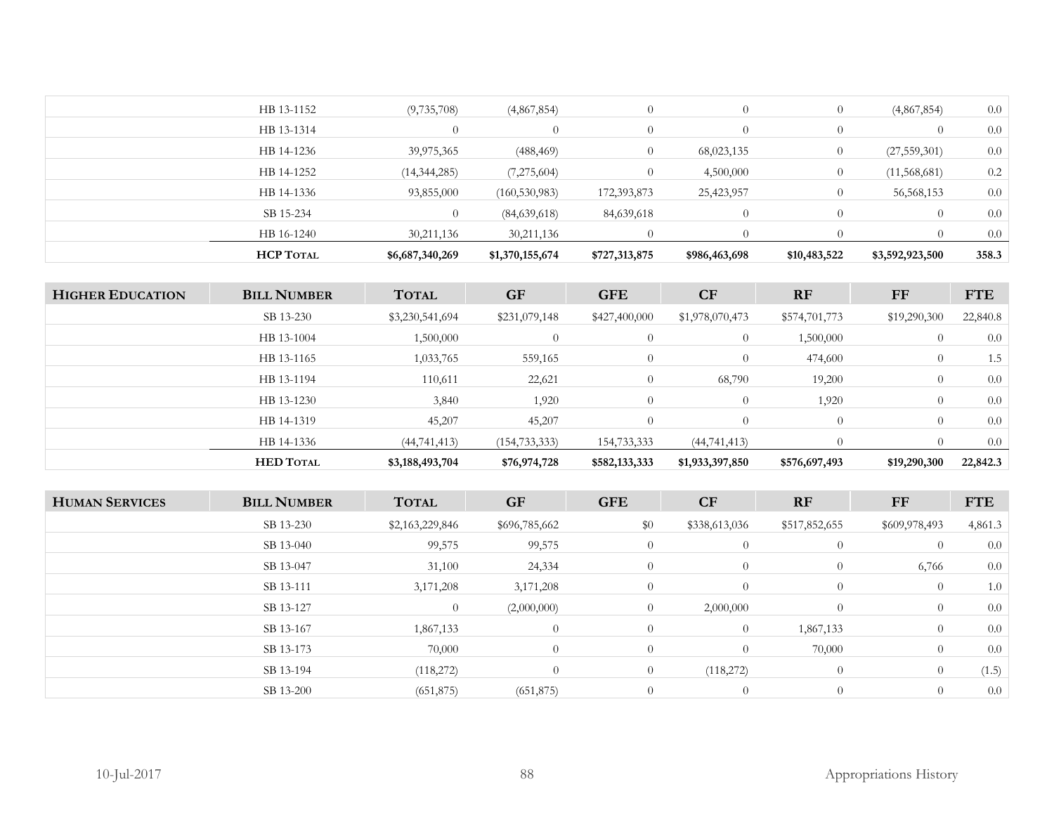| <b>HCP TOTAL</b> | \$6,687,340,269 | \$1,370,155,674 | \$727,313,875 | \$986,463,698 | \$10,483,522   | \$3,592,923,500 | 358.3 |
|------------------|-----------------|-----------------|---------------|---------------|----------------|-----------------|-------|
| HB 16-1240       | 30,211,136      | 30,211,136      |               |               |                |                 | 0.0   |
| SB 15-234        | $\Omega$        | (84,639,618)    | 84,639,618    |               |                |                 | 0.0   |
| HB 14-1336       | 93,855,000      | (160, 530, 983) | 172,393,873   | 25,423,957    | $\overline{0}$ | 56,568,153      | 0.0   |
| HB 14-1252       | (14, 344, 285)  | (7,275,604)     | $\theta$      | 4,500,000     |                | (11,568,681)    | 0.2   |
| HB 14-1236       | 39,975,365      | (488, 469)      | 0             | 68,023,135    | $\theta$       | (27, 559, 301)  | 0.0   |
| HB 13-1314       | $\Omega$        |                 | $\Omega$      |               | $\Omega$       | $\theta$        | 0.0   |
| HB 13-1152       | (9, 735, 708)   | (4,867,854)     | $\theta$      |               |                | (4,867,854)     | 0.0   |
|                  |                 |                 |               |               |                |                 |       |

| <b>HIGHER EDUCATION</b> | <b>BILL NUMBER</b> | <b>TOTAL</b>    | <b>GF</b>       | <b>GFE</b>     | <b>CF</b>       | <b>RF</b>     | FF               | <b>FTE</b> |
|-------------------------|--------------------|-----------------|-----------------|----------------|-----------------|---------------|------------------|------------|
|                         | SB 13-230          | \$3,230,541,694 | \$231,079,148   | \$427,400,000  | \$1,978,070,473 | \$574,701,773 | \$19,290,300     | 22,840.8   |
|                         | HB 13-1004         | 1,500,000       |                 | $\theta$       | $\theta$        | 1,500,000     | $\overline{0}$   | 0.0        |
|                         | HB 13-1165         | 1,033,765       | 559,165         | $\overline{0}$ | $\theta$        | 474,600       | $\overline{0}$   | 1.5        |
|                         | HB 13-1194         | 110,611         | 22,621          | $\overline{0}$ | 68,790          | 19,200        | $\overline{0}$   | 0.0        |
|                         | HB 13-1230         | 3,840           | 1,920           | $\overline{0}$ | $\Omega$        | 1,920         | $\theta$         | 0.0        |
|                         | HB 14-1319         | 45,207          | 45,207          | $\theta$       | $\Omega$        | $\Omega$      | $\theta$         | 0.0        |
|                         | HB 14-1336         | (44, 741, 413)  | (154, 733, 333) | 154,733,333    | (44, 741, 413)  | $\Omega$      | $\left( \right)$ | $0.0\,$    |
|                         | <b>HED TOTAL</b>   | \$3,188,493,704 | \$76,974,728    | \$582,133,333  | \$1,933,397,850 | \$576,697,493 | \$19,290,300     | 22,842.3   |

| <b>HUMAN SERVICES</b> | <b>BILL NUMBER</b> | <b>TOTAL</b>    | <b>GF</b>     | <b>GFE</b>     | CF             | RF             | FF             | <b>FTE</b> |
|-----------------------|--------------------|-----------------|---------------|----------------|----------------|----------------|----------------|------------|
|                       | SB 13-230          | \$2,163,229,846 | \$696,785,662 | \$0            | \$338,613,036  | \$517,852,655  | \$609,978,493  | 4,861.3    |
|                       | SB 13-040          | 99,575          | 99,575        | $\overline{0}$ | $\overline{0}$ | $\overline{0}$ | $\overline{0}$ | 0.0        |
|                       | SB 13-047          | 31,100          | 24,334        | $\overline{0}$ | $\overline{0}$ | $\overline{0}$ | 6,766          | 0.0        |
|                       | SB 13-111          | 3,171,208       | 3,171,208     | $\overline{0}$ | $\theta$       | $\overline{0}$ | $\overline{0}$ | 1.0        |
|                       | SB 13-127          | $\overline{0}$  | (2,000,000)   | $\overline{0}$ | 2,000,000      | $\overline{0}$ | $\overline{0}$ | 0.0        |
|                       | SB 13-167          | 1,867,133       | $\theta$      | $\overline{0}$ | $\overline{0}$ | 1,867,133      | $\overline{0}$ | 0.0        |
|                       | SB 13-173          | 70,000          | $\theta$      | $\overline{0}$ | $\theta$       | 70,000         | $\overline{0}$ | 0.0        |
|                       | SB 13-194          | (118,272)       | $\theta$      | $\overline{0}$ | (118,272)      | $\overline{0}$ | $\overline{0}$ | (1.5)      |
|                       | SB 13-200          | (651, 875)      | (651, 875)    | $\theta$       | $\theta$       | $\overline{0}$ | $\theta$       | 0.0        |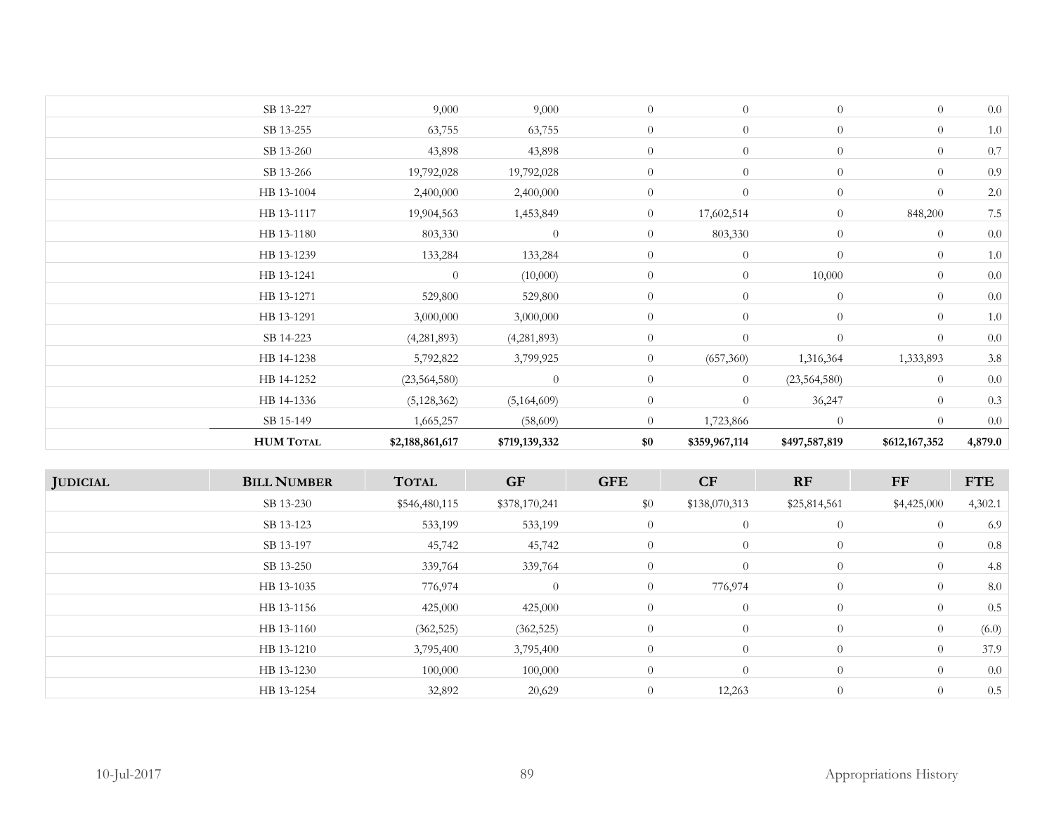| <b>HUM TOTAL</b> | \$2,188,861,617 | \$719,139,332  | \$0            | \$359,967,114  | \$497,587,819  | \$612,167,352  | 4,879.0 |
|------------------|-----------------|----------------|----------------|----------------|----------------|----------------|---------|
| SB 15-149        | 1,665,257       | (58,609)       | $\overline{0}$ | 1,723,866      | $\overline{0}$ | $\overline{0}$ | 0.0     |
| HB 14-1336       | (5, 128, 362)   | (5,164,609)    | $\overline{0}$ | $\overline{0}$ | 36,247         | $\overline{0}$ | 0.3     |
| HB 14-1252       | (23, 564, 580)  | $\overline{0}$ | $\overline{0}$ | $\overline{0}$ | (23, 564, 580) | $\overline{0}$ | 0.0     |
| HB 14-1238       | 5,792,822       | 3,799,925      | $\overline{0}$ | (657, 360)     | 1,316,364      | 1,333,893      | 3.8     |
| SB 14-223        | (4,281,893)     | (4,281,893)    | $\overline{0}$ | $\overline{0}$ | $\theta$       | $\overline{0}$ | 0.0     |
| HB 13-1291       | 3,000,000       | 3,000,000      | $\overline{0}$ | $\overline{0}$ | $\theta$       | $\overline{0}$ | 1.0     |
| HB 13-1271       | 529,800         | 529,800        | $\overline{0}$ | $\overline{0}$ | $\overline{0}$ | $\overline{0}$ | 0.0     |
| HB 13-1241       | $\overline{0}$  | (10,000)       | $\overline{0}$ | $\overline{0}$ | 10,000         | $\overline{0}$ | 0.0     |
| HB 13-1239       | 133,284         | 133,284        | $\overline{0}$ | $\overline{0}$ | $\theta$       | $\overline{0}$ | 1.0     |
| HB 13-1180       | 803,330         | $\overline{0}$ | $\overline{0}$ | 803,330        | $\overline{0}$ | $\overline{0}$ | 0.0     |
| HB 13-1117       | 19,904,563      | 1,453,849      | $\overline{0}$ | 17,602,514     | $\theta$       | 848,200        | 7.5     |
| HB 13-1004       | 2,400,000       | 2,400,000      | $\overline{0}$ | $\theta$       | $\theta$       | $\overline{0}$ | 2.0     |
| SB 13-266        | 19,792,028      | 19,792,028     | $\overline{0}$ | $\theta$       | $\theta$       | $\overline{0}$ | 0.9     |
| SB 13-260        | 43,898          | 43,898         | $\overline{0}$ | $\theta$       | $\theta$       | $\overline{0}$ | 0.7     |
| SB 13-255        | 63,755          | 63,755         | $\overline{0}$ | $\overline{0}$ | $\theta$       | $\overline{0}$ | 1.0     |
| SB 13-227        | 9,000           | 9,000          | $\overline{0}$ | $\overline{0}$ | $\theta$       | $\overline{0}$ | 0.0     |

| <b>JUDICIAL</b> | <b>BILL NUMBER</b> | <b>TOTAL</b>  | <b>GF</b>      | <b>GFE</b>     | CF             | RF             | FF             | <b>FTE</b> |
|-----------------|--------------------|---------------|----------------|----------------|----------------|----------------|----------------|------------|
|                 | SB 13-230          | \$546,480,115 | \$378,170,241  | \$0            | \$138,070,313  | \$25,814,561   | \$4,425,000    | 4,302.1    |
|                 | SB 13-123          | 533,199       | 533,199        | $\overline{0}$ | $\overline{0}$ | $\theta$       | $\overline{0}$ | 6.9        |
|                 | SB 13-197          | 45,742        | 45,742         | $\overline{0}$ | $\overline{0}$ | $\theta$       | $\overline{0}$ | 0.8        |
|                 | SB 13-250          | 339,764       | 339,764        | $\overline{0}$ | $\overline{0}$ | $\overline{0}$ | $\overline{0}$ | 4.8        |
|                 | HB 13-1035         | 776,974       | $\overline{0}$ | $\overline{0}$ | 776,974        | $\theta$       | $\overline{0}$ | 8.0        |
|                 | HB 13-1156         | 425,000       | 425,000        | $\overline{0}$ | $\overline{0}$ | $\overline{0}$ | $\overline{0}$ | 0.5        |
|                 | HB 13-1160         | (362, 525)    | (362, 525)     | $\overline{0}$ | $\overline{0}$ | $\theta$       | $\overline{0}$ | (6.0)      |
|                 | HB 13-1210         | 3,795,400     | 3,795,400      | $\overline{0}$ | $\overline{0}$ | $\theta$       | $\overline{0}$ | 37.9       |
|                 | HB 13-1230         | 100,000       | 100,000        | $\theta$       | $\overline{0}$ | $\theta$       | $\overline{0}$ | 0.0        |
|                 | HB 13-1254         | 32,892        | 20,629         | $\overline{0}$ | 12,263         | $\theta$       | $\overline{0}$ | 0.5        |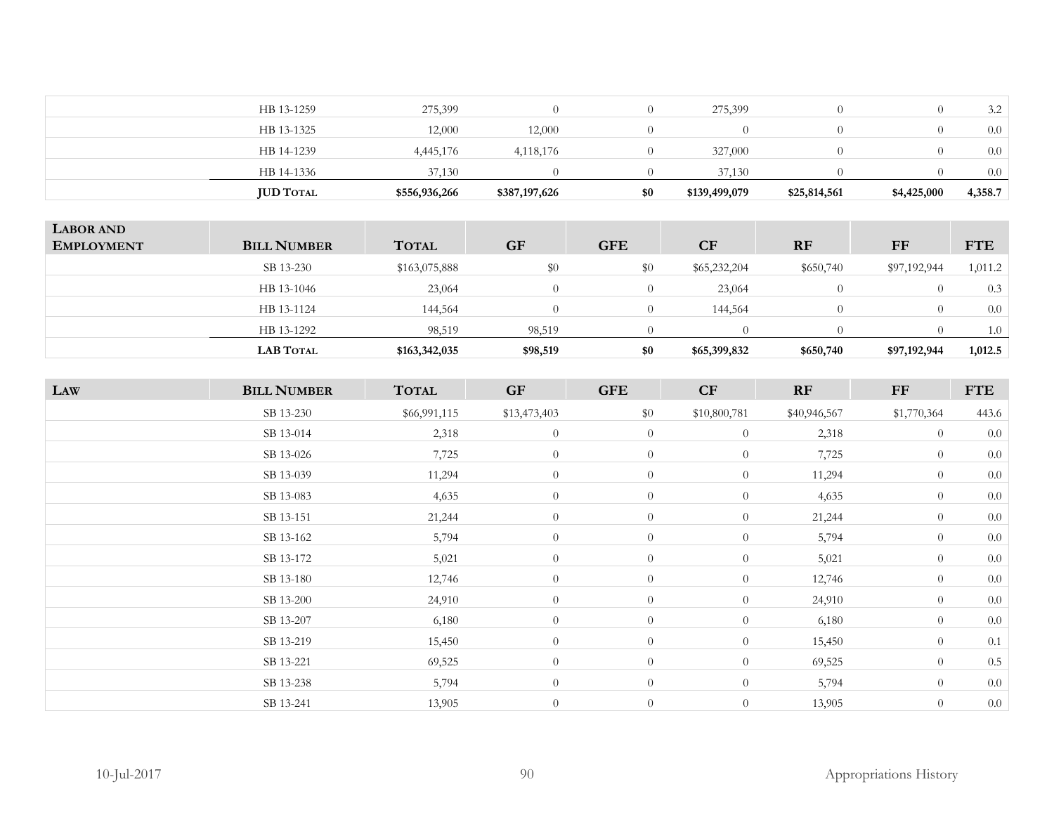| HB 13-1325<br>12,000<br>12,000<br>HB 14-1239<br>4,445,176<br>327,000<br>4,118,176<br>HB 14-1336<br>37,130<br>37.130 | 4,358.7 |
|---------------------------------------------------------------------------------------------------------------------|---------|
|                                                                                                                     | 0.0     |
|                                                                                                                     | 0.0     |
|                                                                                                                     | 0.0     |
| HB 13-1259<br>275,399<br>275,399                                                                                    | 3.2     |

| <b>LABOR AND</b><br><b>EMPLOYMENT</b> | <b>BILL NUMBER</b> | <b>TOTAL</b>  | <b>GF</b> | <b>GFE</b> | CF           | <b>RF</b> | FF           | <b>FTE</b> |
|---------------------------------------|--------------------|---------------|-----------|------------|--------------|-----------|--------------|------------|
|                                       | SB 13-230          | \$163,075,888 | \$0       | $\$0$      | \$65,232,204 | \$650,740 | \$97,192,944 | 1,011.2    |
|                                       | HB 13-1046         | 23,064        |           |            | 23,064       |           |              | 0.3        |
|                                       | HB 13-1124         | 144,564       |           |            | 144,564      | $\left($  |              | 0.0        |
|                                       | HB 13-1292         | 98,519        | 98,519    |            |              |           |              | 1.0        |
|                                       | <b>LAB TOTAL</b>   | \$163,342,035 | \$98,519  | \$0        | \$65,399,832 | \$650,740 | \$97,192,944 | 1,012.5    |

| LAW | <b>BILL NUMBER</b> | <b>TOTAL</b> | <b>GF</b>    | <b>GFE</b>     | CF             | RF           | FF             | <b>FTE</b> |
|-----|--------------------|--------------|--------------|----------------|----------------|--------------|----------------|------------|
|     | SB 13-230          | \$66,991,115 | \$13,473,403 | $\$0$          | \$10,800,781   | \$40,946,567 | \$1,770,364    | 443.6      |
|     | SB 13-014          | 2,318        | $\theta$     | $\overline{0}$ | $\overline{0}$ | 2,318        | $\overline{0}$ | 0.0        |
|     | SB 13-026          | 7,725        | $\theta$     | $\overline{0}$ | $\overline{0}$ | 7,725        | $\theta$       | $0.0\,$    |
|     | SB 13-039          | 11,294       | $\theta$     | $\overline{0}$ | $\overline{0}$ | 11,294       | $\overline{0}$ | 0.0        |
|     | SB 13-083          | 4,635        | $\theta$     | $\overline{0}$ | $\overline{0}$ | 4,635        | $\overline{0}$ | 0.0        |
|     | SB 13-151          | 21,244       | $\theta$     | $\overline{0}$ | $\overline{0}$ | 21,244       | $\overline{0}$ | $0.0\,$    |
|     | SB 13-162          | 5,794        | $\theta$     | $\overline{0}$ | $\theta$       | 5,794        | $\theta$       | $0.0\,$    |
|     | SB 13-172          | 5,021        | $\theta$     | $\overline{0}$ | $\overline{0}$ | 5,021        | $\theta$       | 0.0        |
|     | SB 13-180          | 12,746       | $\theta$     | $\overline{0}$ | $\overline{0}$ | 12,746       | $\theta$       | $0.0\,$    |
|     | SB 13-200          | 24,910       | $\theta$     | $\overline{0}$ | $\overline{0}$ | 24,910       | $\overline{0}$ | 0.0        |
|     | SB 13-207          | 6,180        | $\theta$     | $\overline{0}$ | $\overline{0}$ | 6,180        | $\overline{0}$ | 0.0        |
|     | SB 13-219          | 15,450       | $\theta$     | $\overline{0}$ | $\overline{0}$ | 15,450       | $\theta$       | 0.1        |
|     | SB 13-221          | 69,525       | $\theta$     | $\overline{0}$ | $\overline{0}$ | 69,525       | $\theta$       | $0.5\,$    |
|     | SB 13-238          | 5,794        | $\theta$     | $\overline{0}$ | $\overline{0}$ | 5,794        | $\theta$       | 0.0        |
|     | SB 13-241          | 13,905       | $\theta$     | $\overline{0}$ | $\overline{0}$ | 13,905       | $\theta$       | 0.0        |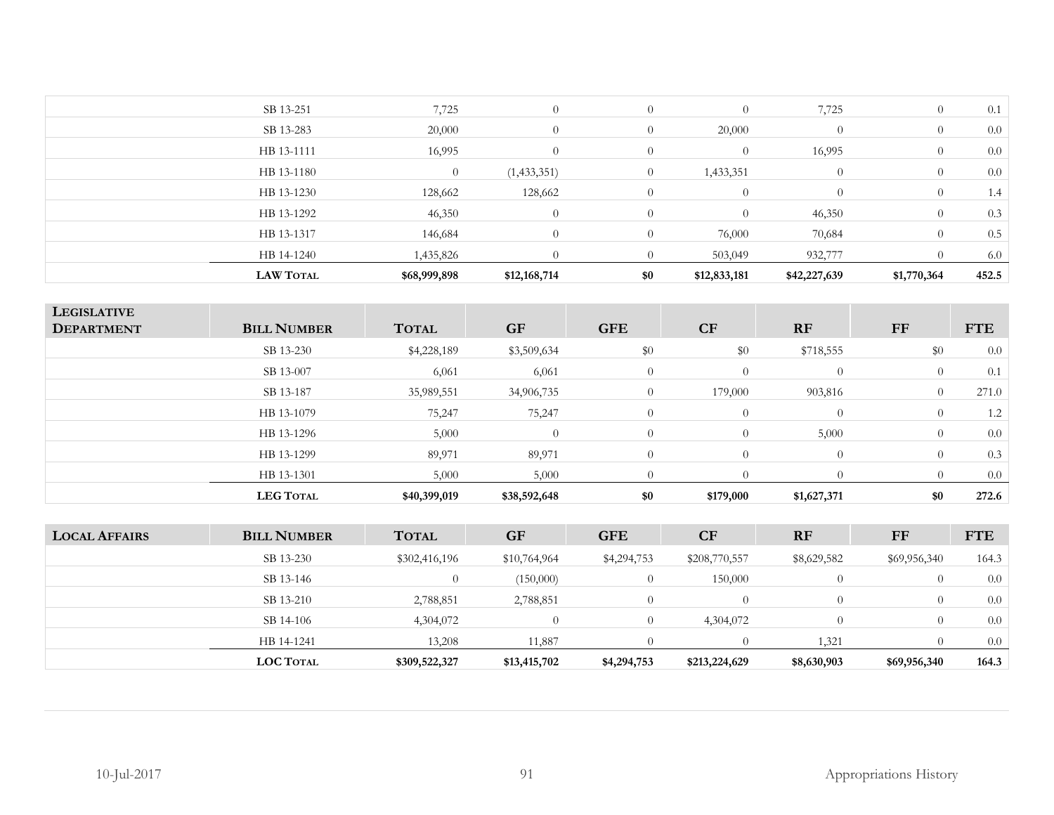| <b>LAW TOTAL</b> | \$68,999,898   | \$12,168,714 | \$0            | \$12,833,181   | \$42,227,639   | \$1,770,364    | 452.5 |
|------------------|----------------|--------------|----------------|----------------|----------------|----------------|-------|
| HB 14-1240       | 1,435,826      |              | $\Omega$       | 503,049        | 932,777        |                | 6.0   |
| HB 13-1317       | 146,684        | $\Omega$     | $\Omega$       | 76,000         | 70,684         | $\Omega$       | 0.5   |
| HB 13-1292       | 46,350         | $\Omega$     | $\theta$       | $\theta$       | 46,350         | $\theta$       | 0.3   |
| HB 13-1230       | 128,662        | 128,662      | $\theta$       | $\theta$       | $\overline{0}$ | $\theta$       | 1.4   |
| HB 13-1180       | $\overline{0}$ | (1,433,351)  | $\overline{0}$ | 1,433,351      | $\overline{0}$ | $\overline{0}$ | 0.0   |
| HB 13-1111       | 16,995         | $\theta$     | $\theta$       | $\overline{0}$ | 16,995         | $\theta$       | 0.0   |
| SB 13-283        | 20,000         | $\theta$     | $\overline{0}$ | 20,000         | $\theta$       | $\theta$       | 0.0   |
| SB 13-251        | 7,725          | $\Omega$     | $\overline{0}$ | $\theta$       | 7,725          | $\theta$       | 0.1   |
|                  |                |              |                |                |                |                |       |

| <b>LEGISLATIVE</b><br><b>DEPARTMENT</b> | <b>BILL NUMBER</b> | <b>TOTAL</b> | <b>GF</b>    | <b>GFE</b>     | CF        | <b>RF</b>   | FF             | <b>FTE</b> |
|-----------------------------------------|--------------------|--------------|--------------|----------------|-----------|-------------|----------------|------------|
|                                         | SB 13-230          | \$4,228,189  | \$3,509,634  | \$0            | \$0       | \$718,555   | \$0            | 0.0        |
|                                         | SB 13-007          | 6,061        | 6,061        | $\overline{0}$ | $\theta$  | $\Omega$    | $\theta$       | 0.1        |
|                                         | SB 13-187          | 35,989,551   | 34,906,735   | $\overline{0}$ | 179,000   | 903,816     | $\overline{0}$ | 271.0      |
|                                         | HB 13-1079         | 75,247       | 75,247       | $\Omega$       | $\Omega$  | $\Omega$    | $\overline{0}$ | 1.2        |
|                                         | HB 13-1296         | 5,000        | $\Omega$     | $\Omega$       | $\theta$  | 5,000       | $\Omega$       | 0.0        |
|                                         | HB 13-1299         | 89,971       | 89,971       | $\Omega$       | $\Omega$  | $\theta$    | $\Omega$       | 0.3        |
|                                         | HB 13-1301         | 5,000        | 5,000        | 0              | $\Omega$  | 0           |                | 0.0        |
|                                         | <b>LEG TOTAL</b>   | \$40,399,019 | \$38,592,648 | \$0            | \$179,000 | \$1,627,371 | \$0            | 272.6      |

| <b>LOCAL AFFAIRS</b> | <b>BILL NUMBER</b> | <b>TOTAL</b>  | <b>GF</b>    | <b>GFE</b>  | CF            | <b>RF</b>   | FF               | <b>FTE</b> |
|----------------------|--------------------|---------------|--------------|-------------|---------------|-------------|------------------|------------|
|                      | SB 13-230          | \$302,416,196 | \$10,764,964 | \$4,294,753 | \$208,770,557 | \$8,629,582 | \$69,956,340     | 164.3      |
|                      | SB 13-146          |               | (150,000)    |             | 150,000       | $\Omega$    |                  | 0.0        |
|                      | SB 13-210          | 2,788,851     | 2,788,851    |             |               | $\Omega$    | $\left( \right)$ | 0.0        |
|                      | SB 14-106          | 4,304,072     | $\left($     |             | 4,304,072     | $\Omega$    | $\theta$         | 0.0        |
|                      | HB 14-1241         | 13,208        | 11,887       |             |               | 1,321       |                  | 0.0        |
|                      | <b>LOC TOTAL</b>   | \$309,522,327 | \$13,415,702 | \$4,294,753 | \$213,224,629 | \$8,630,903 | \$69,956,340     | 164.3      |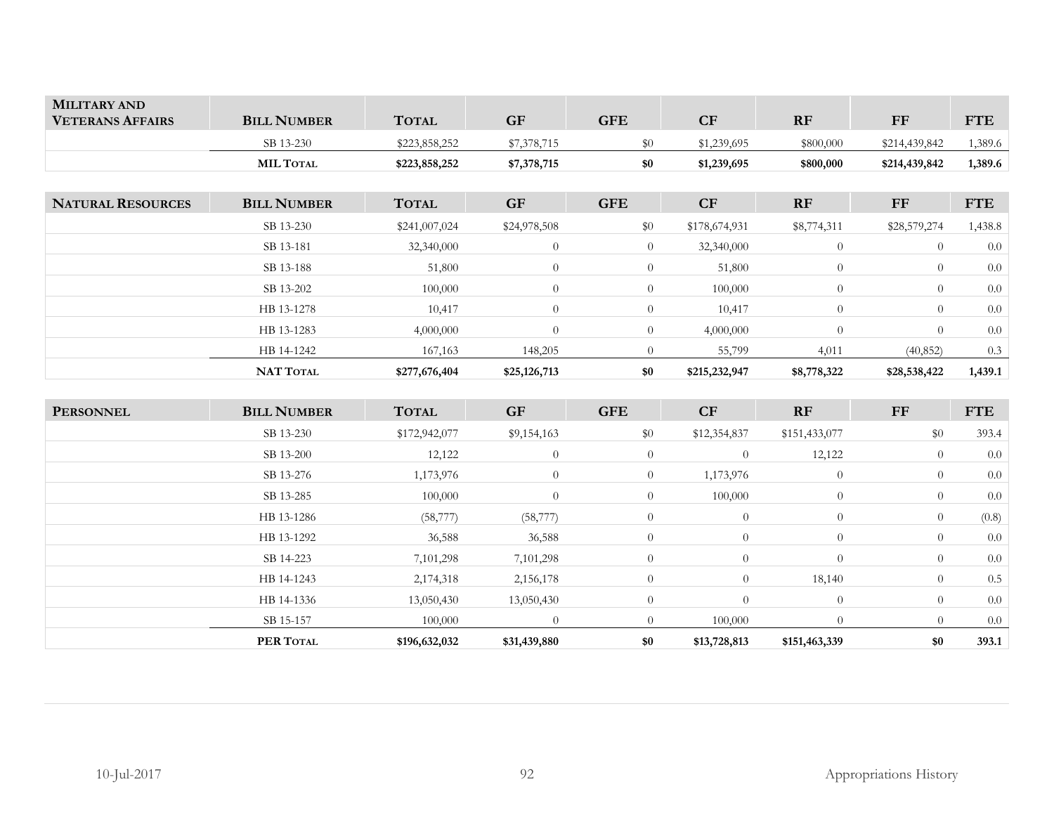| <b>MILITARY AND</b><br><b>VETERANS AFFAIRS</b> | <b>BILL NUMBER</b> | <b>TOTAL</b>  | <b>GF</b>   | <b>GFE</b> | $\cap$ F<br>u | <b>RF</b> | FF            | <b>FTE</b> |
|------------------------------------------------|--------------------|---------------|-------------|------------|---------------|-----------|---------------|------------|
|                                                | SB 13-230          | \$223,858,252 | \$7,378,715 | ፍበ         | \$1,239,695   | \$800,000 | \$214,439,842 | ,389.6     |
|                                                | <b>MIL TOTAL</b>   | \$223,858,252 | \$7,378,715 | \$0        | \$1,239,695   | \$800,000 | \$214,439,842 | 1,389.6    |

| <b>NATURAL RESOURCES</b> | <b>BILL NUMBER</b> | <b>TOTAL</b>  | <b>GF</b>    | <b>GFE</b>     | <b>CF</b>     | <b>RF</b>      | <b>FF</b>      | <b>FTE</b> |
|--------------------------|--------------------|---------------|--------------|----------------|---------------|----------------|----------------|------------|
|                          | SB 13-230          | \$241,007,024 | \$24,978,508 | \$0            | \$178,674,931 | \$8,774,311    | \$28,579,274   | 1,438.8    |
|                          | SB 13-181          | 32,340,000    | $\theta$     | $\overline{0}$ | 32,340,000    | $\overline{0}$ | $\theta$       | 0.0        |
|                          | SB 13-188          | 51,800        | $\theta$     | $\overline{0}$ | 51,800        | $\Omega$       | $\overline{0}$ | 0.0        |
|                          | SB 13-202          | 100,000       | $\theta$     | $\overline{0}$ | 100,000       | $\overline{0}$ | $\overline{0}$ | 0.0        |
|                          | HB 13-1278         | 10,417        | $\theta$     | $\overline{0}$ | 10,417        | $\overline{0}$ | $\theta$       | 0.0        |
|                          | HB 13-1283         | 4,000,000     | $\theta$     | $\overline{0}$ | 4,000,000     | $\Omega$       | $\theta$       | 0.0        |
|                          | HB 14-1242         | 167,163       | 148,205      | $\Omega$       | 55,799        | 4,011          | (40, 852)      | 0.3        |
|                          | <b>NAT TOTAL</b>   | \$277,676,404 | \$25,126,713 | \$0            | \$215,232,947 | \$8,778,322    | \$28,538,422   | 1,439.1    |

| <b>PERSONNEL</b> | <b>BILL NUMBER</b> | <b>TOTAL</b>  | <b>GF</b>    | <b>GFE</b>     | CF             | <b>RF</b>      | FF             | <b>FTE</b> |
|------------------|--------------------|---------------|--------------|----------------|----------------|----------------|----------------|------------|
|                  | SB 13-230          | \$172,942,077 | \$9,154,163  | \$0            | \$12,354,837   | \$151,433,077  | \$0            | 393.4      |
|                  | SB 13-200          | 12,122        | $\theta$     | $\overline{0}$ | $\theta$       | 12,122         | $\overline{0}$ | 0.0        |
|                  | SB 13-276          | 1,173,976     | $\theta$     | $\overline{0}$ | 1,173,976      | $\overline{0}$ | $\overline{0}$ | 0.0        |
|                  | SB 13-285          | 100,000       | $\theta$     | $\overline{0}$ | 100,000        | $\theta$       | $\theta$       | 0.0        |
|                  | HB 13-1286         | (58, 777)     | (58, 777)    | $\theta$       | $\overline{0}$ | $\theta$       | $\overline{0}$ | (0.8)      |
|                  | HB 13-1292         | 36,588        | 36,588       | $\overline{0}$ | $\overline{0}$ | $\theta$       | $\overline{0}$ | 0.0        |
|                  | SB 14-223          | 7,101,298     | 7,101,298    | $\overline{0}$ | $\overline{0}$ | $\theta$       | $\theta$       | 0.0        |
|                  | HB 14-1243         | 2,174,318     | 2,156,178    | $\theta$       | $\theta$       | 18,140         | $\overline{0}$ | 0.5        |
|                  | HB 14-1336         | 13,050,430    | 13,050,430   | $\overline{0}$ | $\theta$       | $\theta$       | $\overline{0}$ | 0.0        |
|                  | SB 15-157          | 100,000       | $\theta$     | $\overline{0}$ | 100,000        | $\theta$       | $\Omega$       | 0.0        |
|                  | PER TOTAL          | \$196,632,032 | \$31,439,880 | \$0            | \$13,728,813   | \$151,463,339  | \$0            | 393.1      |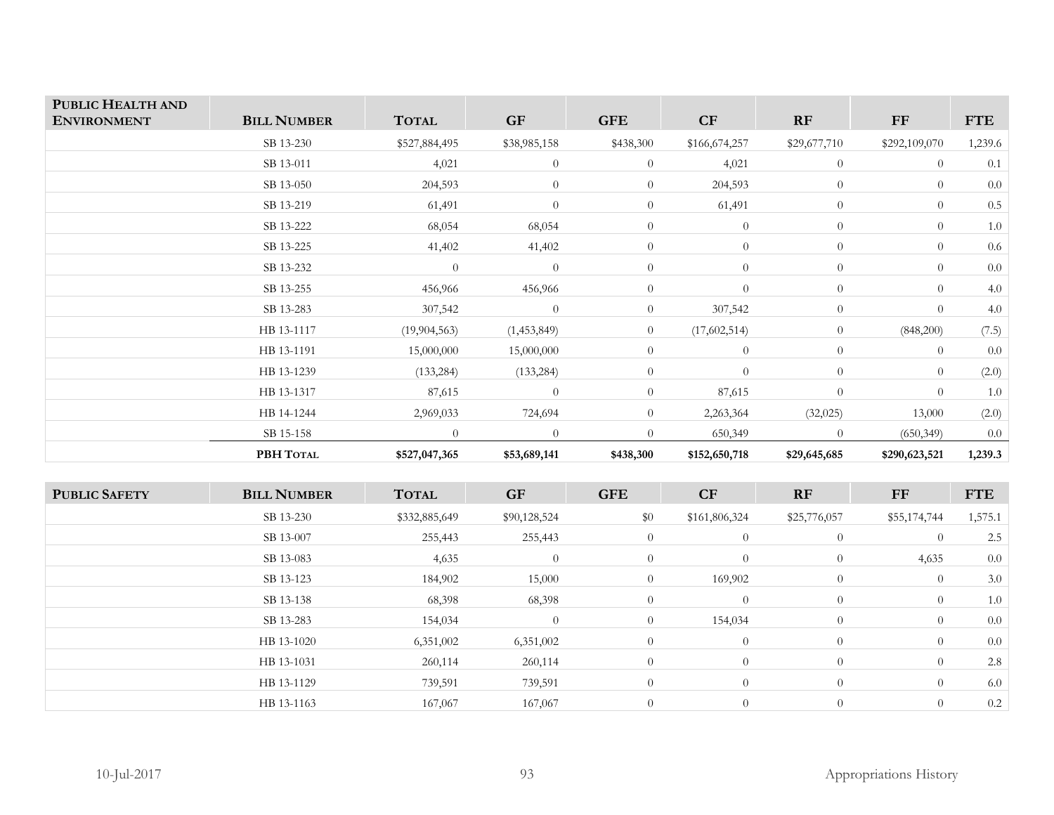| PUBLIC HEALTH AND<br><b>ENVIRONMENT</b> | <b>BILL NUMBER</b> | <b>TOTAL</b>   | GF             | <b>GFE</b>     | CF             | RF             | FF             | <b>FTE</b> |
|-----------------------------------------|--------------------|----------------|----------------|----------------|----------------|----------------|----------------|------------|
|                                         | SB 13-230          | \$527,884,495  | \$38,985,158   | \$438,300      | \$166,674,257  | \$29,677,710   | \$292,109,070  | 1,239.6    |
|                                         | SB 13-011          | 4,021          | $\theta$       | $\overline{0}$ | 4,021          | $\overline{0}$ | $\theta$       | 0.1        |
|                                         | SB 13-050          | 204,593        | $\theta$       | $\overline{0}$ | 204,593        | $\overline{0}$ | $\theta$       | 0.0        |
|                                         | SB 13-219          | 61,491         | $\overline{0}$ | $\overline{0}$ | 61,491         | $\overline{0}$ | $\overline{0}$ | $0.5\,$    |
|                                         | SB 13-222          | 68,054         | 68,054         | $\overline{0}$ | $\theta$       | $\overline{0}$ | $\overline{0}$ | 1.0        |
|                                         | SB 13-225          | 41,402         | 41,402         | $\overline{0}$ | $\overline{0}$ | $\overline{0}$ | $\overline{0}$ | 0.6        |
|                                         | SB 13-232          | $\theta$       | $\theta$       | $\overline{0}$ | $\overline{0}$ | $\overline{0}$ | $\overline{0}$ | 0.0        |
|                                         | SB 13-255          | 456,966        | 456,966        | $\overline{0}$ | $\theta$       | $\overline{0}$ | $\overline{0}$ | 4.0        |
|                                         | SB 13-283          | 307,542        | $\theta$       | $\overline{0}$ | 307,542        | $\overline{0}$ | $\overline{0}$ | 4.0        |
|                                         | HB 13-1117         | (19, 904, 563) | (1,453,849)    | $\overline{0}$ | (17,602,514)   | $\overline{0}$ | (848,200)      | (7.5)      |
|                                         | HB 13-1191         | 15,000,000     | 15,000,000     | $\overline{0}$ | $\overline{0}$ | $\overline{0}$ | $\theta$       | 0.0        |
|                                         | HB 13-1239         | (133, 284)     | (133, 284)     | $\overline{0}$ | $\theta$       | $\overline{0}$ | $\overline{0}$ | (2.0)      |
|                                         | HB 13-1317         | 87,615         | $\Omega$       | $\overline{0}$ | 87,615         | $\overline{0}$ | $\overline{0}$ | $1.0\,$    |
|                                         | HB 14-1244         | 2,969,033      | 724,694        | $\overline{0}$ | 2,263,364      | (32, 025)      | 13,000         | (2.0)      |
|                                         | SB 15-158          | $\Omega$       | $\Omega$       | $\Omega$       | 650,349        | $\Omega$       | (650, 349)     | 0.0        |
|                                         | PBH TOTAL          | \$527,047,365  | \$53,689,141   | \$438,300      | \$152,650,718  | \$29,645,685   | \$290,623,521  | 1,239.3    |

| <b>PUBLIC SAFETY</b> | <b>BILL NUMBER</b> | <b>TOTAL</b>  | <b>GF</b>      | <b>GFE</b>     | CF             | RF             | FF             | <b>FTE</b> |
|----------------------|--------------------|---------------|----------------|----------------|----------------|----------------|----------------|------------|
|                      | SB 13-230          | \$332,885,649 | \$90,128,524   | \$0            | \$161,806,324  | \$25,776,057   | \$55,174,744   | 1,575.1    |
|                      | SB 13-007          | 255,443       | 255,443        | $\overline{0}$ | $\overline{0}$ | $\overline{0}$ | $\theta$       | 2.5        |
|                      | SB 13-083          | 4,635         | $\theta$       | $\overline{0}$ | $\overline{0}$ | $\overline{0}$ | 4,635          | 0.0        |
|                      | SB 13-123          | 184,902       | 15,000         | $\overline{0}$ | 169,902        | $\overline{0}$ | $\overline{0}$ | 3.0        |
|                      | SB 13-138          | 68,398        | 68,398         | $\overline{0}$ | $\overline{0}$ | $\overline{0}$ | $\overline{0}$ | 1.0        |
|                      | SB 13-283          | 154,034       | $\overline{0}$ | $\overline{0}$ | 154,034        | $\overline{0}$ | $\overline{0}$ | 0.0        |
|                      | HB 13-1020         | 6,351,002     | 6,351,002      | $\overline{0}$ | $\overline{0}$ | $\overline{0}$ | $\overline{0}$ | 0.0        |
|                      | HB 13-1031         | 260,114       | 260,114        | $\overline{0}$ | $\theta$       | $\overline{0}$ | $\overline{0}$ | 2.8        |
|                      | HB 13-1129         | 739,591       | 739,591        | $\overline{0}$ | $\overline{0}$ | $\overline{0}$ | $\overline{0}$ | 6.0        |
|                      | HB 13-1163         | 167,067       | 167,067        | $\overline{0}$ | $\theta$       | $\overline{0}$ | $\theta$       | 0.2        |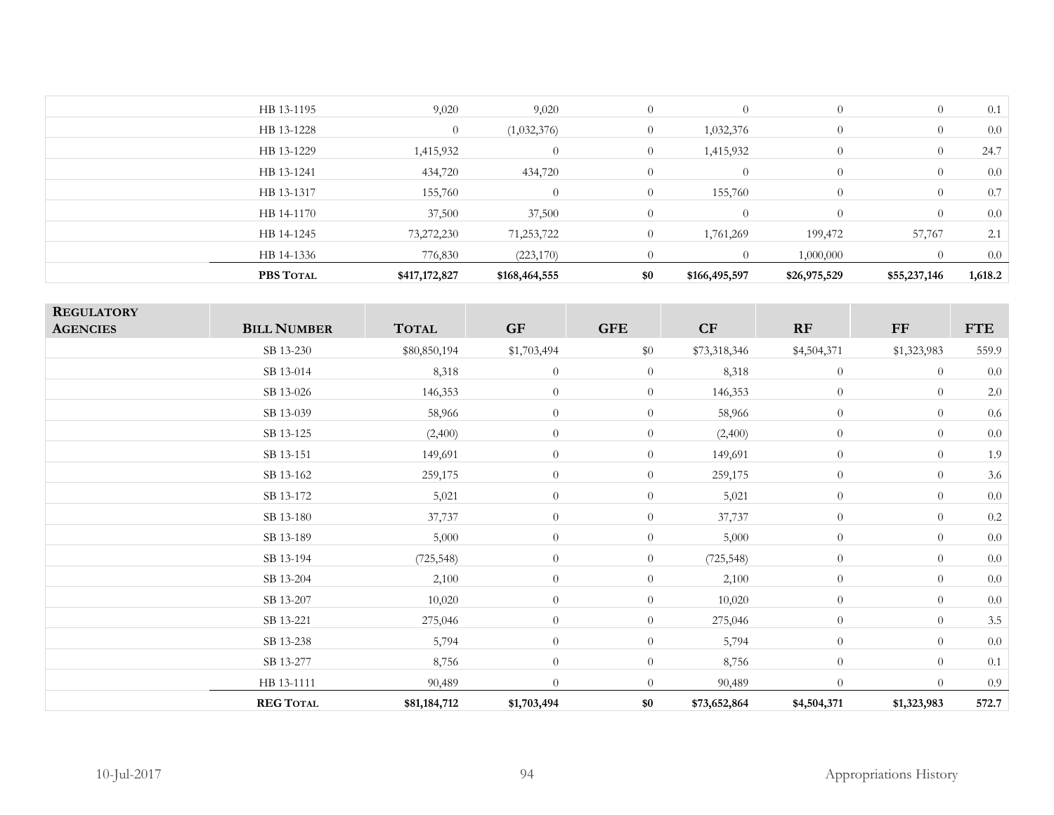| PBS TOTAL  | \$417,172,827 | \$168,464,555 | \$0            | \$166,495,597 | \$26,975,529   | \$55,237,146   | 1,618.2 |
|------------|---------------|---------------|----------------|---------------|----------------|----------------|---------|
| HB 14-1336 | 776,830       | (223, 170)    |                | $\theta$      | 1,000,000      |                | 0.0     |
| HB 14-1245 | 73,272,230    | 71,253,722    | $\theta$       | 1,761,269     | 199,472        | 57,767         | 2.1     |
| HB 14-1170 | 37,500        | 37,500        | $\overline{0}$ | $\theta$      | $\Omega$       | $\theta$       | 0.0     |
| HB 13-1317 | 155,760       | $\bigcap$     | $\overline{0}$ | 155,760       | $\overline{0}$ | $\theta$       | 0.7     |
| HB 13-1241 | 434,720       | 434,720       | $\overline{0}$ | $\theta$      | $\overline{0}$ | $\theta$       | 0.0     |
| HB 13-1229 | 1,415,932     | $\Omega$      | $\overline{0}$ | 1,415,932     | $\overline{0}$ | $\theta$       | 24.7    |
| HB 13-1228 | $\theta$      | (1,032,376)   | $\overline{0}$ | 1,032,376     | $\overline{0}$ | $\overline{0}$ | $0.0\,$ |
| HB 13-1195 | 9,020         | 9,020         | $\overline{0}$ | $\theta$      | $\overline{0}$ | $\overline{0}$ | 0.1     |
|            |               |               |                |               |                |                |         |

| <b>REGULATORY</b> |                    |              |                |                |              |                |                |            |
|-------------------|--------------------|--------------|----------------|----------------|--------------|----------------|----------------|------------|
| <b>AGENCIES</b>   | <b>BILL NUMBER</b> | <b>TOTAL</b> | GF             | <b>GFE</b>     | CF           | RF             | FF             | <b>FTE</b> |
|                   | SB 13-230          | \$80,850,194 | \$1,703,494    | \$0            | \$73,318,346 | \$4,504,371    | \$1,323,983    | 559.9      |
|                   | SB 13-014          | 8,318        | $\theta$       | $\overline{0}$ | 8,318        | $\theta$       | $\overline{0}$ | $0.0\,$    |
|                   | SB 13-026          | 146,353      | $\theta$       | $\overline{0}$ | 146,353      | $\theta$       | $\overline{0}$ | $2.0\,$    |
|                   | SB 13-039          | 58,966       | $\theta$       | $\overline{0}$ | 58,966       | $\theta$       | $\overline{0}$ | $0.6\,$    |
|                   | SB 13-125          | (2,400)      | $\theta$       | $\overline{0}$ | (2,400)      | $\overline{0}$ | $\overline{0}$ | $0.0\,$    |
|                   | SB 13-151          | 149,691      | $\theta$       | $\overline{0}$ | 149,691      | $\theta$       | $\overline{0}$ | 1.9        |
|                   | SB 13-162          | 259,175      | $\theta$       | $\overline{0}$ | 259,175      | $\theta$       | $\overline{0}$ | 3.6        |
|                   | SB 13-172          | 5,021        | $\theta$       | $\overline{0}$ | 5,021        | $\theta$       | $\overline{0}$ | 0.0        |
|                   | SB 13-180          | 37,737       | $\theta$       | $\overline{0}$ | 37,737       | $\theta$       | $\overline{0}$ | $0.2\,$    |
|                   | SB 13-189          | 5,000        | $\theta$       | $\overline{0}$ | 5,000        | $\theta$       | $\overline{0}$ | $0.0\,$    |
|                   | SB 13-194          | (725, 548)   | $\overline{0}$ | $\overline{0}$ | (725, 548)   | $\theta$       | $\overline{0}$ | $0.0\,$    |
|                   | SB 13-204          | 2,100        | $\theta$       | $\overline{0}$ | 2,100        | $\overline{0}$ | $\overline{0}$ | $0.0\,$    |
|                   | SB 13-207          | 10,020       | $\theta$       | $\overline{0}$ | 10,020       | $\theta$       | $\overline{0}$ | $0.0\,$    |
|                   | SB 13-221          | 275,046      | $\theta$       | $\overline{0}$ | 275,046      | $\overline{0}$ | $\overline{0}$ | $3.5\,$    |
|                   | SB 13-238          | 5,794        | $\theta$       | $\overline{0}$ | 5,794        | $\overline{0}$ | $\overline{0}$ | $0.0\,$    |
|                   | SB 13-277          | 8,756        | $\theta$       | $\overline{0}$ | 8,756        | $\theta$       | $\overline{0}$ | 0.1        |
|                   | HB 13-1111         | 90,489       | $\theta$       | $\overline{0}$ | 90,489       | $\overline{0}$ | $\overline{0}$ | 0.9        |
|                   | <b>REG TOTAL</b>   | \$81,184,712 | \$1,703,494    | \$0            | \$73,652,864 | \$4,504,371    | \$1,323,983    | 572.7      |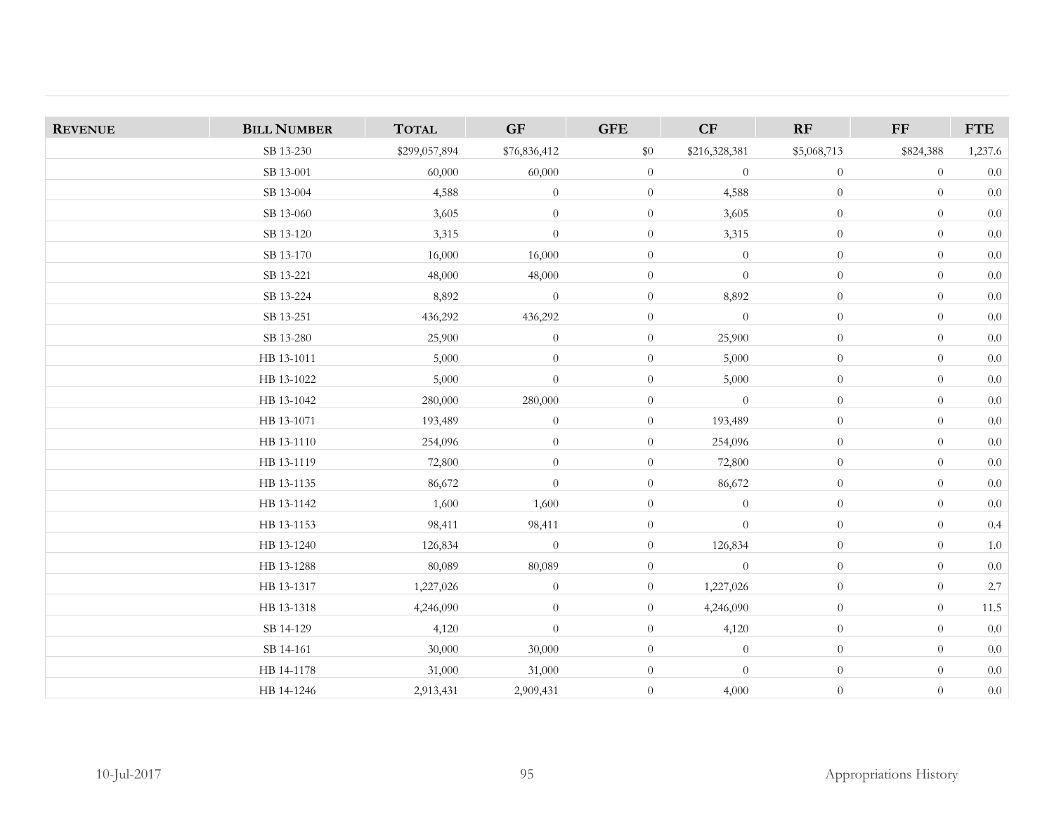| <b>REVENUE</b> | <b>BILL NUMBER</b> | <b>TOTAL</b>  | GF               | <b>GFE</b>       | CF             | RF               | $\bf FF$       | ${\rm FTE}$ |
|----------------|--------------------|---------------|------------------|------------------|----------------|------------------|----------------|-------------|
|                | SB 13-230          | \$299,057,894 | \$76,836,412     | $\$0$            | \$216,328,381  | \$5,068,713      | \$824,388      | 1,237.6     |
|                | SB 13-001          | 60,000        | 60,000           | $\overline{0}$   | $\overline{0}$ | $\boldsymbol{0}$ | $\overline{0}$ | $0.0\,$     |
|                | SB 13-004          | 4,588         | $\theta$         | $\overline{0}$   | 4,588          | $\overline{0}$   | $\overline{0}$ | $0.0\,$     |
|                | SB 13-060          | 3,605         | $\theta$         | $\overline{0}$   | 3,605          | $\overline{0}$   | $\theta$       | $0.0\,$     |
|                | SB 13-120          | 3,315         | $\boldsymbol{0}$ | $\theta$         | 3,315          | $\boldsymbol{0}$ | $\theta$       | $0.0\,$     |
|                | SB 13-170          | 16,000        | 16,000           | $\overline{0}$   | $\overline{0}$ | $\theta$         | $\theta$       | $0.0\,$     |
|                | SB 13-221          | 48,000        | 48,000           | $\overline{0}$   | $\overline{0}$ | $\overline{0}$   | $\theta$       | $0.0\,$     |
|                | SB 13-224          | 8,892         | $\boldsymbol{0}$ | $\theta$         | 8,892          | $\boldsymbol{0}$ | $\theta$       | $0.0\,$     |
|                | SB 13-251          | 436,292       | 436,292          | $\boldsymbol{0}$ | $\overline{0}$ | $\boldsymbol{0}$ | $\theta$       | $0.0\,$     |
|                | SB 13-280          | 25,900        | $\theta$         | $\overline{0}$   | 25,900         | $\overline{0}$   | $\theta$       | $0.0\,$     |
|                | HB 13-1011         | 5,000         | $\boldsymbol{0}$ | $\overline{0}$   | 5,000          | $\theta$         | $\theta$       | $0.0\,$     |
|                | HB 13-1022         | 5,000         | $\overline{0}$   | $\overline{0}$   | 5,000          | $\theta$         | $\overline{0}$ | 0.0         |
|                | HB 13-1042         | 280,000       | 280,000          | $\boldsymbol{0}$ | $\overline{0}$ | $\theta$         | $\theta$       | $0.0\,$     |
|                | HB 13-1071         | 193,489       | $\boldsymbol{0}$ | $\overline{0}$   | 193,489        | $\theta$         | $\theta$       | $0.0\,$     |
|                | HB 13-1110         | 254,096       | $\boldsymbol{0}$ | $\overline{0}$   | 254,096        | $\overline{0}$   | $\theta$       | $0.0\,$     |
|                | HB 13-1119         | 72,800        | $\boldsymbol{0}$ | $\overline{0}$   | 72,800         | $\overline{0}$   | $\theta$       | $0.0\,$     |
|                | HB 13-1135         | 86,672        | $\boldsymbol{0}$ | $\overline{0}$   | 86,672         | $\overline{0}$   | $\theta$       | $0.0\,$     |
|                | HB 13-1142         | 1,600         | 1,600            | $\overline{0}$   | $\theta$       | $\overline{0}$   | $\theta$       | $0.0\,$     |
|                | HB 13-1153         | 98,411        | 98,411           | $\overline{0}$   | $\theta$       | $\overline{0}$   | $\theta$       | $0.4\,$     |
|                | HB 13-1240         | 126,834       | $\theta$         | $\overline{0}$   | 126,834        | $\overline{0}$   | $\theta$       | $1.0\,$     |
|                | HB 13-1288         | 80,089        | 80,089           | $\overline{0}$   | $\overline{0}$ | $\overline{0}$   | $\theta$       | $0.0\,$     |
|                | HB 13-1317         | 1,227,026     | $\theta$         | $\overline{0}$   | 1,227,026      | $\boldsymbol{0}$ | $\theta$       | $2.7\,$     |
|                | HB 13-1318         | 4,246,090     | $\boldsymbol{0}$ | $\overline{0}$   | 4,246,090      | $\theta$         | $\theta$       | $11.5\,$    |
|                | SB 14-129          | 4,120         | $\boldsymbol{0}$ | $\overline{0}$   | 4,120          | $\overline{0}$   | $\theta$       | $0.0\,$     |
|                | SB 14-161          | 30,000        | 30,000           | $\boldsymbol{0}$ | $\theta$       | $\overline{0}$   | $\theta$       | $0.0\,$     |
|                | HB 14-1178         | 31,000        | 31,000           | $\boldsymbol{0}$ | $\overline{0}$ | $\theta$         | $\theta$       | $0.0\,$     |
|                | HB 14-1246         | 2,913,431     | 2,909,431        | $\overline{0}$   | 4,000          | $\overline{0}$   | $\theta$       | $0.0\,$     |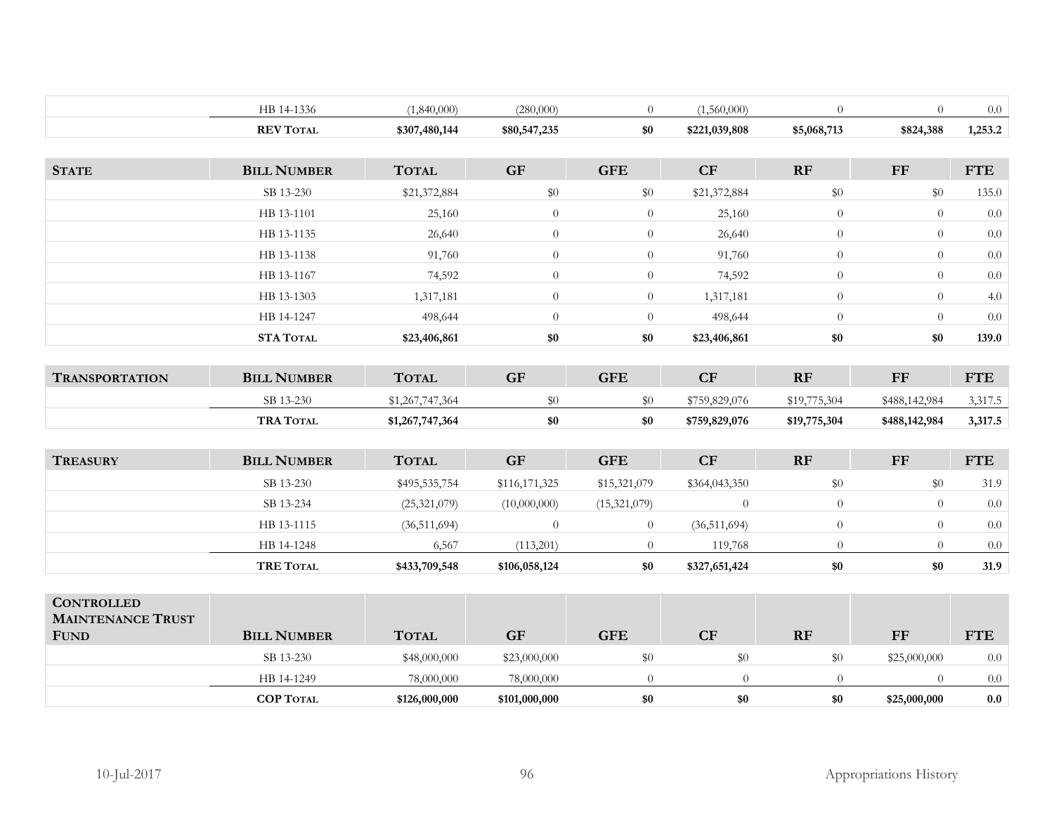|                          | HB 14-1336         | (1,840,000)     | (280,000)      | $\overline{0}$   | (1,560,000)    | $\overline{0}$ | $\Omega$       | 0.0        |
|--------------------------|--------------------|-----------------|----------------|------------------|----------------|----------------|----------------|------------|
|                          | <b>REV TOTAL</b>   | \$307,480,144   | \$80,547,235   | \$0              | \$221,039,808  | \$5,068,713    | \$824,388      | 1,253.2    |
|                          |                    |                 |                |                  |                |                |                |            |
| <b>STATE</b>             | <b>BILL NUMBER</b> | <b>TOTAL</b>    | <b>GF</b>      | <b>GFE</b>       | CF             | RF             | $\bf FF$       | <b>FTE</b> |
|                          | SB 13-230          | \$21,372,884    | $\$0$          | \$0              | \$21,372,884   | $\$0$          | \$0            | 135.0      |
|                          | HB 13-1101         | 25,160          | $\theta$       | $\overline{0}$   | 25,160         | $\overline{0}$ | $\theta$       | 0.0        |
|                          | HB 13-1135         | 26,640          | $\overline{0}$ | $\overline{0}$   | 26,640         | $\overline{0}$ | $\theta$       | $0.0\,$    |
|                          | HB 13-1138         | 91,760          | $\theta$       | $\overline{0}$   | 91,760         | $\overline{0}$ | $\theta$       | $0.0\,$    |
|                          | HB 13-1167         | 74,592          | $\overline{0}$ | $\boldsymbol{0}$ | 74,592         | $\overline{0}$ | $\theta$       | $0.0\,$    |
|                          | HB 13-1303         | 1,317,181       | $\theta$       | $\overline{0}$   | 1,317,181      | $\overline{0}$ | $\theta$       | 4.0        |
|                          | HB 14-1247         | 498,644         | $\overline{0}$ | $\overline{0}$   | 498,644        | $\overline{0}$ | $\theta$       | $0.0\,$    |
|                          | STA TOTAL          | \$23,406,861    | \$0            | \$0              | \$23,406,861   | \$0            | \$0            | 139.0      |
|                          |                    |                 |                |                  |                |                |                |            |
| <b>TRANSPORTATION</b>    | <b>BILL NUMBER</b> | <b>TOTAL</b>    | <b>GF</b>      | <b>GFE</b>       | CF             | RF             | ${\bf FF}$     | <b>FTE</b> |
|                          | SB 13-230          | \$1,267,747,364 | $\$0$          | \$0              | \$759,829,076  | \$19,775,304   | \$488,142,984  | 3,317.5    |
|                          | <b>TRA TOTAL</b>   | \$1,267,747,364 | \$0            | \$0              | \$759,829,076  | \$19,775,304   | \$488,142,984  | 3,317.5    |
|                          |                    |                 |                |                  |                |                |                |            |
| <b>TREASURY</b>          | <b>BILL NUMBER</b> | <b>TOTAL</b>    | <b>GF</b>      | <b>GFE</b>       | CF             | RF             | ${\rm FF}$     | <b>FTE</b> |
|                          | SB 13-230          | \$495,535,754   | \$116,171,325  | \$15,321,079     | \$364,043,350  | \$0            | \$0            | 31.9       |
|                          | SB 13-234          | (25, 321, 079)  | (10,000,000)   | (15,321,079)     | $\overline{0}$ | $\theta$       | $\theta$       | $0.0\,$    |
|                          | HB 13-1115         | (36, 511, 694)  | $\overline{0}$ | $\overline{0}$   | (36,511,694)   | $\overline{0}$ | $\theta$       | 0.0        |
|                          | HB 14-1248         | 6,567           | (113,201)      | $\overline{0}$   | 119,768        | $\overline{0}$ | $\theta$       | 0.0        |
|                          | <b>TRE TOTAL</b>   | \$433,709,548   | \$106,058,124  | \$0              | \$327,651,424  | \$0            | \$0            | 31.9       |
|                          |                    |                 |                |                  |                |                |                |            |
| <b>CONTROLLED</b>        |                    |                 |                |                  |                |                |                |            |
| <b>MAINTENANCE TRUST</b> | <b>BILL NUMBER</b> | <b>TOTAL</b>    | <b>GF</b>      | <b>GFE</b>       | CF             | RF             | $\bf FF$       | <b>FTE</b> |
| <b>FUND</b>              |                    |                 |                |                  |                |                |                |            |
|                          | SB 13-230          | \$48,000,000    | \$23,000,000   | \$0              | $\$0$          | \$0            | \$25,000,000   | 0.0        |
|                          | HB 14-1249         | 78,000,000      | 78,000,000     | $\overline{0}$   | $\overline{0}$ | $\overline{0}$ | $\overline{0}$ | 0.0        |
|                          | <b>COP TOTAL</b>   | \$126,000,000   | \$101,000,000  | \$0              | $\$0$          | \$0            | \$25,000,000   | $0.0\,$    |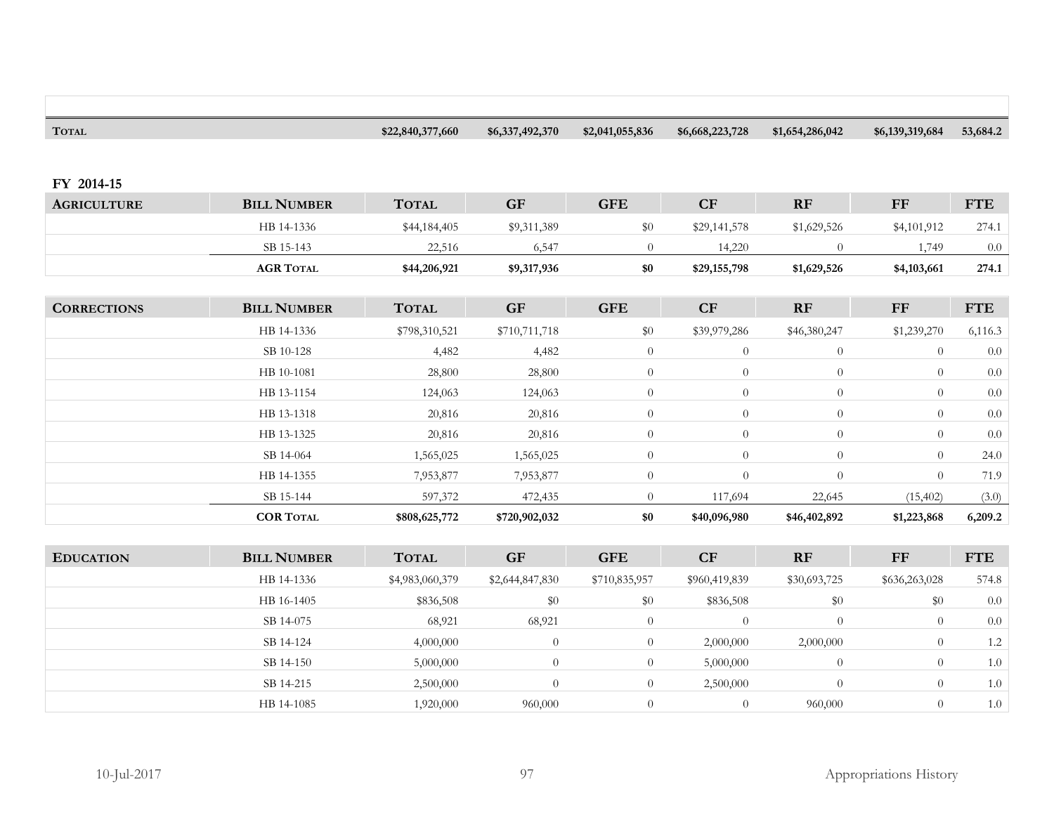| <b>TOTAL</b>       |                    | \$22,840,377,660 | \$6,337,492,370 | \$2,041,055,836 | \$6,668,223,728 | \$1,654,286,042 | \$6,139,319,684 | 53,684.2   |
|--------------------|--------------------|------------------|-----------------|-----------------|-----------------|-----------------|-----------------|------------|
|                    |                    |                  |                 |                 |                 |                 |                 |            |
| FY 2014-15         |                    |                  |                 |                 |                 |                 |                 |            |
| <b>AGRICULTURE</b> | <b>BILL NUMBER</b> | <b>TOTAL</b>     | <b>GF</b>       | <b>GFE</b>      | CF              | RF              | $\bf FF$        | <b>FTE</b> |
|                    | HB 14-1336         | \$44,184,405     | \$9,311,389     | \$0             | \$29,141,578    | \$1,629,526     | \$4,101,912     | 274.1      |
|                    | SB 15-143          | 22,516           | 6,547           | $\overline{0}$  | 14,220          | $\theta$        | 1,749           | $0.0\,$    |
|                    | <b>AGR TOTAL</b>   | \$44,206,921     | \$9,317,936     | \$0             | \$29,155,798    | \$1,629,526     | \$4,103,661     | 274.1      |
|                    |                    |                  |                 |                 |                 |                 |                 |            |
| <b>CORRECTIONS</b> | <b>BILL NUMBER</b> | <b>TOTAL</b>     | <b>GF</b>       | <b>GFE</b>      | CF              | RF              | $\mathbf{F}$    | <b>FTE</b> |
|                    | HB 14-1336         | \$798,310,521    | \$710,711,718   | \$0             | \$39,979,286    | \$46,380,247    | \$1,239,270     | 6,116.3    |
|                    | SB 10-128          | 4,482            | 4,482           | $\overline{0}$  | $\overline{0}$  | $\theta$        | $\theta$        | $0.0\,$    |
|                    | HB 10-1081         | 28,800           | 28,800          | $\overline{0}$  | $\theta$        | $\overline{0}$  | $\theta$        | $0.0\,$    |
|                    | HB 13-1154         | 124,063          | 124,063         | $\overline{0}$  | $\theta$        | $\theta$        | $\overline{0}$  | $0.0\,$    |
|                    | HB 13-1318         | 20,816           | 20,816          | $\overline{0}$  | $\theta$        | $\overline{0}$  | $\overline{0}$  | $0.0\,$    |
|                    | HB 13-1325         | 20,816           | 20,816          | $\overline{0}$  | $\overline{0}$  | $\overline{0}$  | $\theta$        | $0.0\,$    |
|                    | SB 14-064          | 1,565,025        | 1,565,025       | $\overline{0}$  | $\theta$        | $\overline{0}$  | $\overline{0}$  | 24.0       |
|                    | HB 14-1355         | 7,953,877        | 7,953,877       | $\theta$        | $\theta$        | $\overline{0}$  | $\theta$        | 71.9       |
|                    | SB 15-144          | 597,372          | 472,435         | $\overline{0}$  | 117,694         | 22,645          | (15, 402)       | (3.0)      |
|                    | <b>COR TOTAL</b>   | \$808,625,772    | \$720,902,032   | \$0             | \$40,096,980    | \$46,402,892    | \$1,223,868     | 6,209.2    |
|                    |                    |                  |                 |                 |                 |                 |                 |            |
| <b>EDUCATION</b>   | <b>BILL NUMBER</b> | <b>TOTAL</b>     | <b>GF</b>       | <b>GFE</b>      | CF              | RF              | ${\rm FF}$      | <b>FTE</b> |
|                    | HB 14-1336         | \$4,983,060,379  | \$2,644,847,830 | \$710,835,957   | \$960,419,839   | \$30,693,725    | \$636,263,028   | 574.8      |
|                    | HB 16-1405         | \$836,508        | $\$0$           | $\$0$           | \$836,508       | \$0             | \$0             | $0.0\,$    |
|                    | SB 14-075          | 68,921           | 68,921          | $\overline{0}$  | $\overline{0}$  | $\overline{0}$  | $\overline{0}$  | $0.0\,$    |
|                    | SB 14-124          | 4,000,000        | $\overline{0}$  | $\overline{0}$  | 2,000,000       | 2,000,000       | $\theta$        | $1.2\,$    |
|                    | SB 14-150          | 5,000,000        | $\theta$        | $\overline{0}$  | 5,000,000       | $\overline{0}$  | $\theta$        | $1.0\,$    |
|                    | SB 14-215          | 2,500,000        | $\theta$        | $\overline{0}$  | 2,500,000       | $\theta$        | $\theta$        | $1.0\,$    |
|                    | HB 14-1085         | 1,920,000        | 960,000         | $\overline{0}$  | $\overline{0}$  | 960,000         | $\theta$        | $1.0\,$    |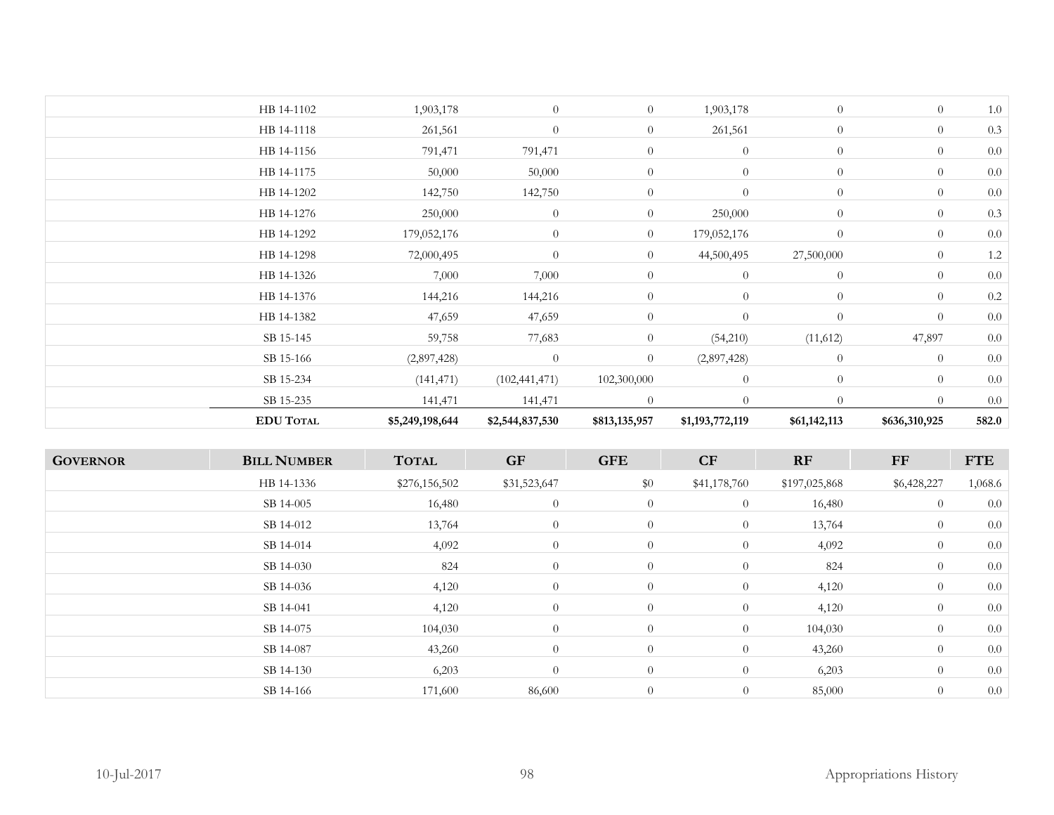| <b>EDU TOTAL</b> | \$5,249,198,644 | \$2,544,837,530 | \$813,135,957  | \$1,193,772,119 | \$61,142,113   | \$636,310,925  | 582.0   |
|------------------|-----------------|-----------------|----------------|-----------------|----------------|----------------|---------|
| SB 15-235        | 141,471         | 141,471         | $\Omega$       | $\overline{0}$  | $\Omega$       | $\Omega$       | 0.0     |
| SB 15-234        | (141, 471)      | (102, 441, 471) | 102,300,000    | $\overline{0}$  | $\theta$       | $\overline{0}$ | $0.0\,$ |
| SB 15-166        | (2,897,428)     | $\theta$        | $\overline{0}$ | (2,897,428)     | $\theta$       | $\overline{0}$ | 0.0     |
| SB 15-145        | 59,758          | 77,683          | $\overline{0}$ | (54,210)        | (11,612)       | 47,897         | 0.0     |
| HB 14-1382       | 47,659          | 47,659          | $\overline{0}$ | $\overline{0}$  | $\theta$       | $\overline{0}$ | 0.0     |
| HB 14-1376       | 144,216         | 144,216         | $\overline{0}$ | $\overline{0}$  | $\overline{0}$ | $\overline{0}$ | $0.2\,$ |
| HB 14-1326       | 7,000           | 7,000           | $\overline{0}$ | $\overline{0}$  | $\theta$       | $\overline{0}$ | 0.0     |
| HB 14-1298       | 72,000,495      | $\theta$        | $\overline{0}$ | 44,500,495      | 27,500,000     | $\theta$       | $1.2\,$ |
| HB 14-1292       | 179,052,176     | $\theta$        | $\overline{0}$ | 179,052,176     | $\overline{0}$ | $\overline{0}$ | 0.0     |
| HB 14-1276       | 250,000         | $\theta$        | $\overline{0}$ | 250,000         | $\theta$       | $\overline{0}$ | 0.3     |
| HB 14-1202       | 142,750         | 142,750         | $\theta$       | $\theta$        | $\theta$       | $\theta$       | 0.0     |
| HB 14-1175       | 50,000          | 50,000          | $\overline{0}$ | $\overline{0}$  | $\theta$       | $\overline{0}$ | 0.0     |
| HB 14-1156       | 791,471         | 791,471         | $\overline{0}$ | $\overline{0}$  | $\overline{0}$ | $\overline{0}$ | 0.0     |
| HB 14-1118       | 261,561         | $\overline{0}$  | $\overline{0}$ | 261,561         | $\theta$       | $\overline{0}$ | 0.3     |
| HB 14-1102       | 1,903,178       | $\overline{0}$  | $\overline{0}$ | 1,903,178       | $\theta$       | $\overline{0}$ | 1.0     |
|                  |                 |                 |                |                 |                |                |         |

| <b>GOVERNOR</b> | <b>BILL NUMBER</b> | <b>TOTAL</b>  | <b>GF</b>      | <b>GFE</b>     | CF             | RF            | FF             | <b>FTE</b> |
|-----------------|--------------------|---------------|----------------|----------------|----------------|---------------|----------------|------------|
|                 | HB 14-1336         | \$276,156,502 | \$31,523,647   | \$0            | \$41,178,760   | \$197,025,868 | \$6,428,227    | 1,068.6    |
|                 | SB 14-005          | 16,480        | $\theta$       | $\overline{0}$ | $\overline{0}$ | 16,480        | $\overline{0}$ | 0.0        |
|                 | SB 14-012          | 13,764        | $\theta$       | $\overline{0}$ | $\overline{0}$ | 13,764        | $\overline{0}$ | 0.0        |
|                 | SB 14-014          | 4,092         | $\overline{0}$ | $\overline{0}$ | $\overline{0}$ | 4,092         | $\overline{0}$ | 0.0        |
|                 | SB 14-030          | 824           | $\theta$       | $\overline{0}$ | $\theta$       | 824           | $\overline{0}$ | 0.0        |
|                 | SB 14-036          | 4,120         | $\overline{0}$ | $\overline{0}$ | $\overline{0}$ | 4,120         | $\overline{0}$ | 0.0        |
|                 | SB 14-041          | 4,120         | $\overline{0}$ | $\overline{0}$ | $\overline{0}$ | 4,120         | $\overline{0}$ | 0.0        |
|                 | SB 14-075          | 104,030       | $\theta$       | $\overline{0}$ | $\overline{0}$ | 104,030       | $\overline{0}$ | 0.0        |
|                 | SB 14-087          | 43,260        | $\overline{0}$ | $\overline{0}$ | $\overline{0}$ | 43,260        | $\overline{0}$ | 0.0        |
|                 | SB 14-130          | 6,203         | $\theta$       | $\overline{0}$ | $\overline{0}$ | 6,203         | $\overline{0}$ | 0.0        |
|                 | SB 14-166          | 171,600       | 86,600         | $\overline{0}$ | $\overline{0}$ | 85,000        | $\overline{0}$ | 0.0        |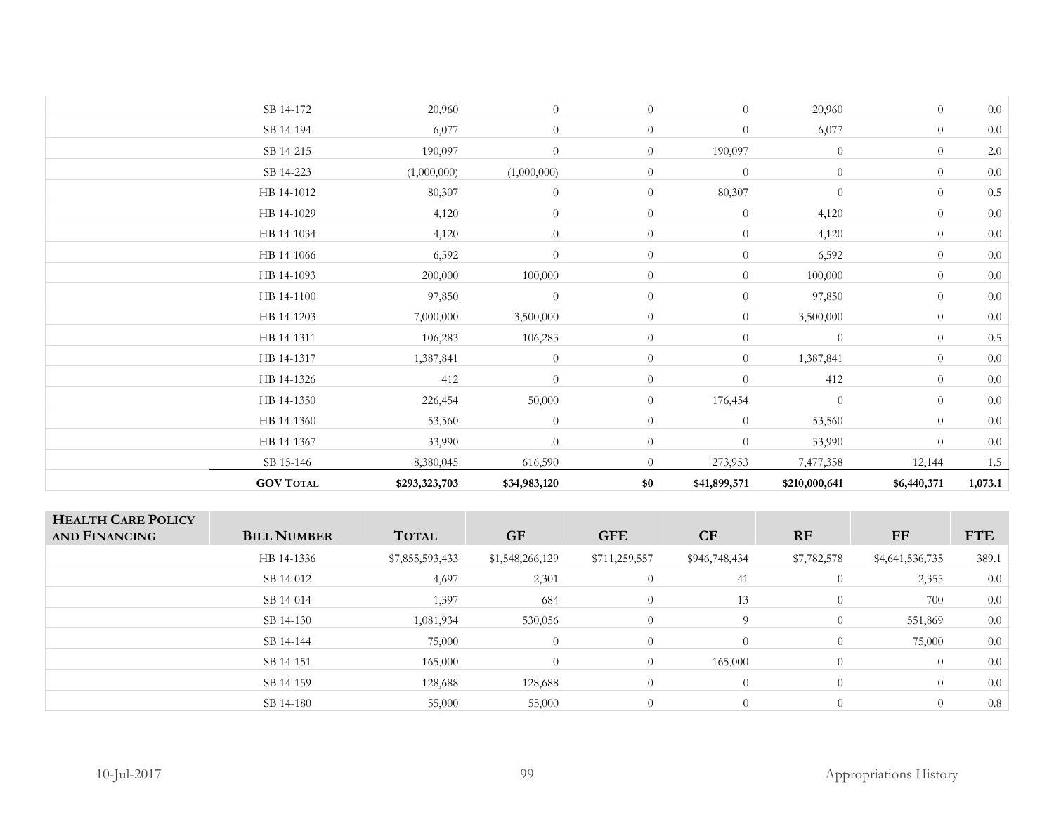| <b>GOV TOTAL</b> | \$293,323,703 | \$34,983,120     | \$0            | \$41,899,571     | \$210,000,641  | \$6,440,371    | 1,073.1 |
|------------------|---------------|------------------|----------------|------------------|----------------|----------------|---------|
| SB 15-146        | 8,380,045     | 616,590          | $\Omega$       | 273,953          | 7,477,358      | 12,144         | 1.5     |
| HB 14-1367       | 33,990        | $\overline{0}$   | $\overline{0}$ | $\overline{0}$   | 33,990         | $\overline{0}$ | $0.0\,$ |
| HB 14-1360       | 53,560        | $\overline{0}$   | $\overline{0}$ | $\theta$         | 53,560         | $\overline{0}$ | $0.0\,$ |
| HB 14-1350       | 226,454       | 50,000           | $\overline{0}$ | 176,454          | $\overline{0}$ | $\overline{0}$ | 0.0     |
| HB 14-1326       | 412           | $\overline{0}$   | $\overline{0}$ | $\theta$         | 412            | $\overline{0}$ | 0.0     |
| HB 14-1317       | 1,387,841     | $\theta$         | $\overline{0}$ | $\overline{0}$   | 1,387,841      | $\overline{0}$ | 0.0     |
| HB 14-1311       | 106,283       | 106,283          | $\overline{0}$ | $\overline{0}$   | $\overline{0}$ | $\overline{0}$ | $0.5\,$ |
| HB 14-1203       | 7,000,000     | 3,500,000        | $\overline{0}$ | $\overline{0}$   | 3,500,000      | $\theta$       | 0.0     |
| HB 14-1100       | 97,850        | $\theta$         | $\overline{0}$ | $\overline{0}$   | 97,850         | $\overline{0}$ | $0.0\,$ |
| HB 14-1093       | 200,000       | 100,000          | $\overline{0}$ | $\theta$         | 100,000        | $\theta$       | $0.0\,$ |
| HB 14-1066       | 6,592         | $\theta$         | $\overline{0}$ | $\overline{0}$   | 6,592          | $\overline{0}$ | 0.0     |
| HB 14-1034       | 4,120         | $\theta$         | $\overline{0}$ | $\overline{0}$   | 4,120          | $\overline{0}$ | 0.0     |
| HB 14-1029       | 4,120         | $\overline{0}$   | $\overline{0}$ | $\theta$         | 4,120          | $\overline{0}$ | $0.0\,$ |
| HB 14-1012       | 80,307        | $\boldsymbol{0}$ | $\overline{0}$ | 80,307           | $\overline{0}$ | $\overline{0}$ | $0.5\,$ |
| SB 14-223        | (1,000,000)   | (1,000,000)      | $\overline{0}$ | $\theta$         | $\theta$       | $\overline{0}$ | $0.0\,$ |
| SB 14-215        | 190,097       | $\overline{0}$   | $\overline{0}$ | 190,097          | $\overline{0}$ | $\theta$       | $2.0\,$ |
| SB 14-194        | 6,077         | $\overline{0}$   | $\overline{0}$ | $\overline{0}$   | 6,077          | $\overline{0}$ | $0.0\,$ |
| SB 14-172        | 20,960        | $\overline{0}$   | $\overline{0}$ | $\boldsymbol{0}$ | 20,960         | $\overline{0}$ | 0.0     |
|                  |               |                  |                |                  |                |                |         |

| <b>HEALTH CARE POLICY</b><br><b>AND FINANCING</b> | <b>BILL NUMBER</b> | <b>TOTAL</b>    | <b>GF</b>       | <b>GFE</b>     | CF             | <b>RF</b>      | <b>FF</b>       | <b>FTE</b> |
|---------------------------------------------------|--------------------|-----------------|-----------------|----------------|----------------|----------------|-----------------|------------|
|                                                   | HB 14-1336         | \$7,855,593,433 | \$1,548,266,129 | \$711,259,557  | \$946,748,434  | \$7,782,578    | \$4,641,536,735 | 389.1      |
|                                                   | SB 14-012          | 4,697           | 2,301           | $\theta$       | 41             | $\overline{0}$ | 2,355           | 0.0        |
|                                                   | SB 14-014          | 1,397           | 684             | $\Omega$       | 13             | $\overline{0}$ | 700             | 0.0        |
|                                                   | SB 14-130          | 1,081,934       | 530,056         | $\overline{0}$ | 9              | $\overline{0}$ | 551,869         | 0.0        |
|                                                   | SB 14-144          | 75,000          | $\overline{0}$  | $\Omega$       | $\Omega$       | $\overline{0}$ | 75,000          | 0.0        |
|                                                   | SB 14-151          | 165,000         | $\overline{0}$  | $\overline{0}$ | 165,000        | $\overline{0}$ | $\Omega$        | 0.0        |
|                                                   | SB 14-159          | 128,688         | 128,688         | $\overline{0}$ | $\overline{0}$ | $\overline{0}$ | $\theta$        | 0.0        |
|                                                   | SB 14-180          | 55,000          | 55,000          | $\overline{0}$ | $\Omega$       | $\theta$       | $\Omega$        | 0.8        |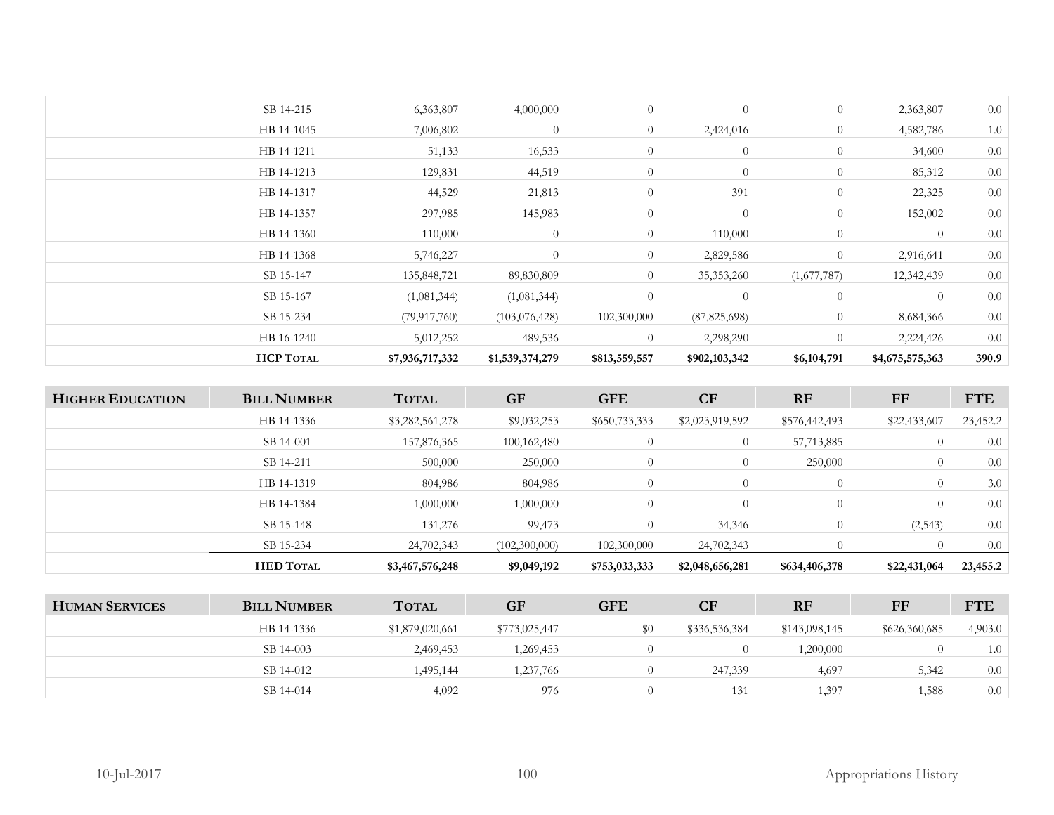| SB 14-215<br>6,363,807<br>4,000,000<br>$\overline{0}$<br>0.0<br>$\theta$<br>$\overline{0}$<br>2,363,807<br>$\overline{0}$<br>1.0<br>7,006,802<br>$\overline{0}$<br>$\overline{0}$<br>HB 14-1045<br>2,424,016<br>4,582,786<br>0.0<br>51,133<br>16,533<br>$\overline{0}$<br>$\overline{0}$<br>$\overline{0}$<br>HB 14-1211<br>34,600<br>$\overline{0}$<br>0.0<br>129,831<br>44,519<br>$\overline{0}$<br>$\overline{0}$<br>HB 14-1213<br>85,312<br>0.0<br>44,529<br>$\overline{0}$<br>391<br>21,813<br>$\overline{0}$<br>22,325<br>HB 14-1317<br>0.0<br>$\overline{0}$<br>HB 14-1357<br>297,985<br>145,983<br>$\overline{0}$<br>$\overline{0}$<br>152,002<br>$\overline{0}$<br>$\overline{0}$<br>$\overline{0}$<br>0.0<br>110,000<br>110,000<br>$\theta$<br>HB 14-1360<br>$\overline{0}$<br>$\overline{0}$<br>0.0<br>HB 14-1368<br>5,746,227<br>2,829,586<br>$\overline{0}$<br>2,916,641<br>$\overline{0}$<br>0.0<br>SB 15-147<br>35,353,260<br>(1,677,787)<br>12,342,439<br>135,848,721<br>89,830,809<br>$\theta$<br>0.0<br>SB 15-167<br>$\theta$<br>$\overline{0}$<br>$\theta$<br>(1,081,344)<br>(1,081,344)<br>0.0<br>SB 15-234<br>$\overline{0}$<br>(79, 917, 760)<br>102,300,000<br>(87, 825, 698)<br>(103,076,428)<br>8,684,366<br>0.0<br>HB 16-1240<br>5,012,252<br>$\overline{0}$<br>2,298,290<br>$\overline{0}$<br>2,224,426<br>489,536 | <b>HCP TOTAL</b> | \$7,936,717,332 | \$1,539,374,279 | \$813,559,557 | \$902,103,342 | \$6,104,791 | \$4,675,575,363 | 390.9 |
|-----------------------------------------------------------------------------------------------------------------------------------------------------------------------------------------------------------------------------------------------------------------------------------------------------------------------------------------------------------------------------------------------------------------------------------------------------------------------------------------------------------------------------------------------------------------------------------------------------------------------------------------------------------------------------------------------------------------------------------------------------------------------------------------------------------------------------------------------------------------------------------------------------------------------------------------------------------------------------------------------------------------------------------------------------------------------------------------------------------------------------------------------------------------------------------------------------------------------------------------------------------------------------------------------------------------------------------------------|------------------|-----------------|-----------------|---------------|---------------|-------------|-----------------|-------|
|                                                                                                                                                                                                                                                                                                                                                                                                                                                                                                                                                                                                                                                                                                                                                                                                                                                                                                                                                                                                                                                                                                                                                                                                                                                                                                                                               |                  |                 |                 |               |               |             |                 |       |
|                                                                                                                                                                                                                                                                                                                                                                                                                                                                                                                                                                                                                                                                                                                                                                                                                                                                                                                                                                                                                                                                                                                                                                                                                                                                                                                                               |                  |                 |                 |               |               |             |                 |       |
|                                                                                                                                                                                                                                                                                                                                                                                                                                                                                                                                                                                                                                                                                                                                                                                                                                                                                                                                                                                                                                                                                                                                                                                                                                                                                                                                               |                  |                 |                 |               |               |             |                 |       |
|                                                                                                                                                                                                                                                                                                                                                                                                                                                                                                                                                                                                                                                                                                                                                                                                                                                                                                                                                                                                                                                                                                                                                                                                                                                                                                                                               |                  |                 |                 |               |               |             |                 |       |
|                                                                                                                                                                                                                                                                                                                                                                                                                                                                                                                                                                                                                                                                                                                                                                                                                                                                                                                                                                                                                                                                                                                                                                                                                                                                                                                                               |                  |                 |                 |               |               |             |                 |       |
|                                                                                                                                                                                                                                                                                                                                                                                                                                                                                                                                                                                                                                                                                                                                                                                                                                                                                                                                                                                                                                                                                                                                                                                                                                                                                                                                               |                  |                 |                 |               |               |             |                 |       |
|                                                                                                                                                                                                                                                                                                                                                                                                                                                                                                                                                                                                                                                                                                                                                                                                                                                                                                                                                                                                                                                                                                                                                                                                                                                                                                                                               |                  |                 |                 |               |               |             |                 |       |
|                                                                                                                                                                                                                                                                                                                                                                                                                                                                                                                                                                                                                                                                                                                                                                                                                                                                                                                                                                                                                                                                                                                                                                                                                                                                                                                                               |                  |                 |                 |               |               |             |                 |       |
|                                                                                                                                                                                                                                                                                                                                                                                                                                                                                                                                                                                                                                                                                                                                                                                                                                                                                                                                                                                                                                                                                                                                                                                                                                                                                                                                               |                  |                 |                 |               |               |             |                 |       |
|                                                                                                                                                                                                                                                                                                                                                                                                                                                                                                                                                                                                                                                                                                                                                                                                                                                                                                                                                                                                                                                                                                                                                                                                                                                                                                                                               |                  |                 |                 |               |               |             |                 |       |
|                                                                                                                                                                                                                                                                                                                                                                                                                                                                                                                                                                                                                                                                                                                                                                                                                                                                                                                                                                                                                                                                                                                                                                                                                                                                                                                                               |                  |                 |                 |               |               |             |                 |       |
|                                                                                                                                                                                                                                                                                                                                                                                                                                                                                                                                                                                                                                                                                                                                                                                                                                                                                                                                                                                                                                                                                                                                                                                                                                                                                                                                               |                  |                 |                 |               |               |             |                 |       |

| <b>HIGHER EDUCATION</b> | <b>BILL NUMBER</b> | <b>TOTAL</b>    | <b>GF</b>     | <b>GFE</b>     | CF              | <b>RF</b>     | FF             | <b>FTE</b> |
|-------------------------|--------------------|-----------------|---------------|----------------|-----------------|---------------|----------------|------------|
|                         | HB 14-1336         | \$3,282,561,278 | \$9,032,253   | \$650,733,333  | \$2,023,919,592 | \$576,442,493 | \$22,433,607   | 23,452.2   |
|                         | SB 14-001          | 157,876,365     | 100,162,480   | $\overline{0}$ | $\overline{0}$  | 57,713,885    | $\overline{0}$ | 0.0        |
|                         | SB 14-211          | 500,000         | 250,000       | $\overline{0}$ | $\overline{0}$  | 250,000       | $\overline{0}$ | 0.0        |
|                         | HB 14-1319         | 804,986         | 804,986       | 0              | $\overline{0}$  | $\theta$      | $\theta$       | 3.0        |
|                         | HB 14-1384         | 1,000,000       | 1,000,000     | $\overline{0}$ | $\overline{0}$  | $\theta$      | $\theta$       | 0.0        |
|                         | SB 15-148          | 131,276         | 99,473        | $\overline{0}$ | 34,346          | $\theta$      | (2,543)        | 0.0        |
|                         | SB 15-234          | 24,702,343      | (102,300,000) | 102,300,000    | 24,702,343      | $\Omega$      |                | 0.0        |
|                         | <b>HED TOTAL</b>   | \$3,467,576,248 | \$9,049,192   | \$753,033,333  | \$2,048,656,281 | \$634,406,378 | \$22,431,064   | 23,455.2   |
|                         |                    |                 |               |                |                 |               |                |            |

| <b>HUMAN SERVICES</b> | <b>BILL NUMBER</b> | <b>TOTAL</b>    | <b>GF</b>     | <b>GFE</b> | CF            | <b>RF</b>     | FF            | <b>FTE</b> |
|-----------------------|--------------------|-----------------|---------------|------------|---------------|---------------|---------------|------------|
|                       | HB 14-1336         | \$1,879,020,661 | \$773,025,447 | \$0        | \$336,536,384 | \$143,098,145 | \$626,360,685 | 4,903.0    |
|                       | SB 14-003          | 2,469,453       | ,269,453      |            |               | 1,200,000     |               | 1.0        |
|                       | SB 14-012          | 1,495,144       | .237,766      |            | 247,339       | 4,697         | 5,342         | 0.0        |
|                       | SB 14-014          | 4,092           | 976           |            | 131           | . 397         | .588          | 0.0        |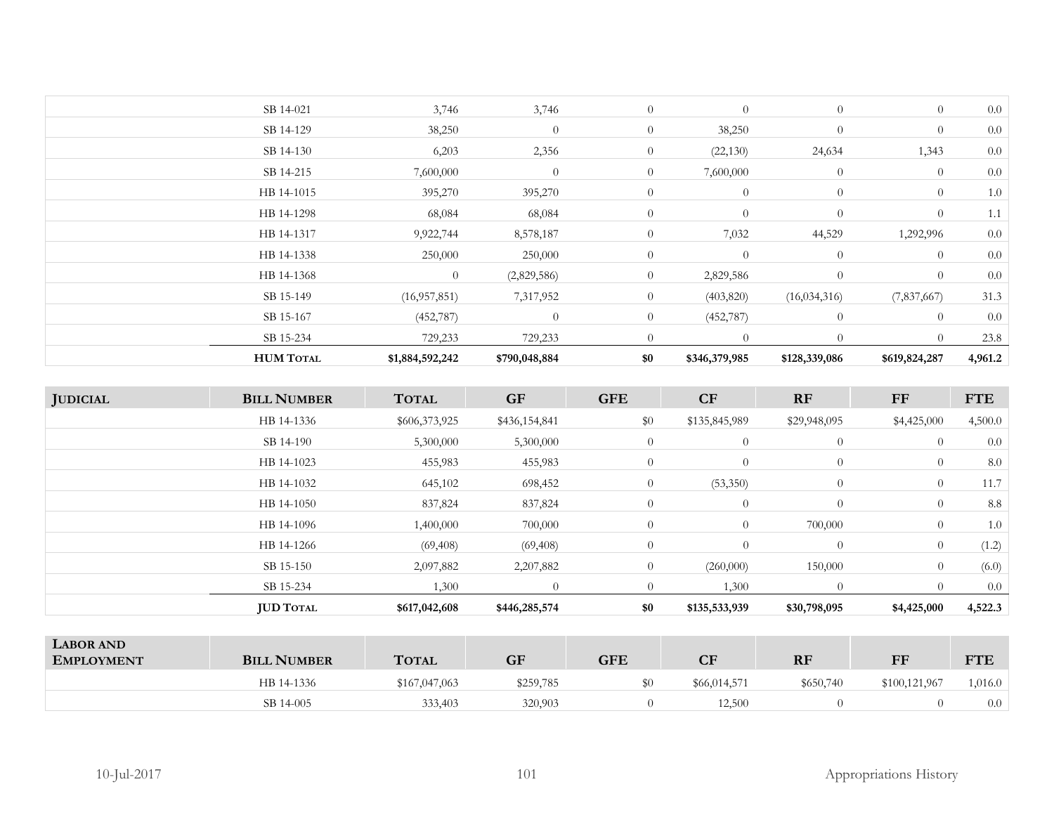| <b>HUM TOTAL</b> | \$1,884,592,242 | \$790,048,884  | \$0            | \$346,379,985  | \$128,339,086  | \$619,824,287  | 4,961.2 |
|------------------|-----------------|----------------|----------------|----------------|----------------|----------------|---------|
| SB 15-234        | 729,233         | 729,233        | $\overline{0}$ | $\theta$       | $\overline{0}$ | $\overline{0}$ | 23.8    |
| SB 15-167        | (452, 787)      | $\overline{0}$ | $\overline{0}$ | (452, 787)     | $\overline{0}$ | $\overline{0}$ | 0.0     |
| SB 15-149        | (16, 957, 851)  | 7,317,952      | $\overline{0}$ | (403, 820)     | (16, 034, 316) | (7,837,667)    | 31.3    |
| HB 14-1368       | $\overline{0}$  | (2,829,586)    | $\overline{0}$ | 2,829,586      | $\overline{0}$ | $\overline{0}$ | 0.0     |
| HB 14-1338       | 250,000         | 250,000        | $\overline{0}$ | $\overline{0}$ | $\overline{0}$ | $\overline{0}$ | 0.0     |
| HB 14-1317       | 9,922,744       | 8,578,187      | $\overline{0}$ | 7,032          | 44,529         | 1,292,996      | 0.0     |
| HB 14-1298       | 68,084          | 68,084         | $\overline{0}$ | $\theta$       | $\overline{0}$ | $\overline{0}$ | 1.1     |
| HB 14-1015       | 395,270         | 395,270        | $\overline{0}$ | $\theta$       | $\overline{0}$ | $\overline{0}$ | 1.0     |
| SB 14-215        | 7,600,000       | $\theta$       | $\overline{0}$ | 7,600,000      | $\overline{0}$ | $\overline{0}$ | 0.0     |
| SB 14-130        | 6,203           | 2,356          | $\overline{0}$ | (22, 130)      | 24,634         | 1,343          | 0.0     |
| SB 14-129        | 38,250          | $\theta$       | $\overline{0}$ | 38,250         | $\overline{0}$ | $\overline{0}$ | 0.0     |
| SB 14-021        | 3,746           | 3,746          | $\overline{0}$ | $\theta$       | $\overline{0}$ | $\overline{0}$ | 0.0     |
|                  |                 |                |                |                |                |                |         |

| <b>JUDICIAL</b> | <b>BILL NUMBER</b> | <b>TOTAL</b>  | <b>GF</b>     | <b>GFE</b>     | CF             | <b>RF</b>      | FF             | <b>FTE</b> |
|-----------------|--------------------|---------------|---------------|----------------|----------------|----------------|----------------|------------|
|                 | HB 14-1336         | \$606,373,925 | \$436,154,841 | \$0            | \$135,845,989  | \$29,948,095   | \$4,425,000    | 4,500.0    |
|                 | SB 14-190          | 5,300,000     | 5,300,000     | $\overline{0}$ | $\overline{0}$ | $\overline{0}$ | $\overline{0}$ | 0.0        |
|                 | HB 14-1023         | 455,983       | 455,983       | $\overline{0}$ | $\overline{0}$ | $\overline{0}$ | $\overline{0}$ | 8.0        |
|                 | HB 14-1032         | 645,102       | 698,452       | $\overline{0}$ | (53,350)       | $\overline{0}$ | $\overline{0}$ | 11.7       |
|                 | HB 14-1050         | 837,824       | 837,824       | $\overline{0}$ | $\overline{0}$ | $\overline{0}$ | $\overline{0}$ | 8.8        |
|                 | HB 14-1096         | 1,400,000     | 700,000       | $\overline{0}$ | $\overline{0}$ | 700,000        | $\overline{0}$ | 1.0        |
|                 | HB 14-1266         | (69, 408)     | (69, 408)     | $\overline{0}$ | $\overline{0}$ | $\overline{0}$ | $\overline{0}$ | (1.2)      |
|                 | SB 15-150          | 2,097,882     | 2,207,882     | $\overline{0}$ | (260,000)      | 150,000        | $\theta$       | (6.0)      |
|                 | SB 15-234          | 1,300         | $\Omega$      | $\theta$       | 1,300          | $\overline{0}$ | $\Omega$       | 0.0        |
|                 | <b>JUD TOTAL</b>   | \$617,042,608 | \$446,285,574 | \$0            | \$135,533,939  | \$30,798,095   | \$4,425,000    | 4,522.3    |

| <b>LABOR AND</b><br><b>EMPLOYMENT</b> | <b>BILL NUMBER</b> | <b>TOTAL</b>  | GF        | GFE | $\mathbf{C}\mathbf{F}$ | <b>RF</b> | FF            | <b>TTE</b><br>1 L |
|---------------------------------------|--------------------|---------------|-----------|-----|------------------------|-----------|---------------|-------------------|
|                                       | HB 14-1336         | \$167,047,063 | \$259,785 |     | \$66,014,571           | \$650,740 | \$100,121,967 | 1,016.0           |
|                                       | SB 14-005          | 333,403       | 320,903   |     | 12,500                 |           |               | 0.0               |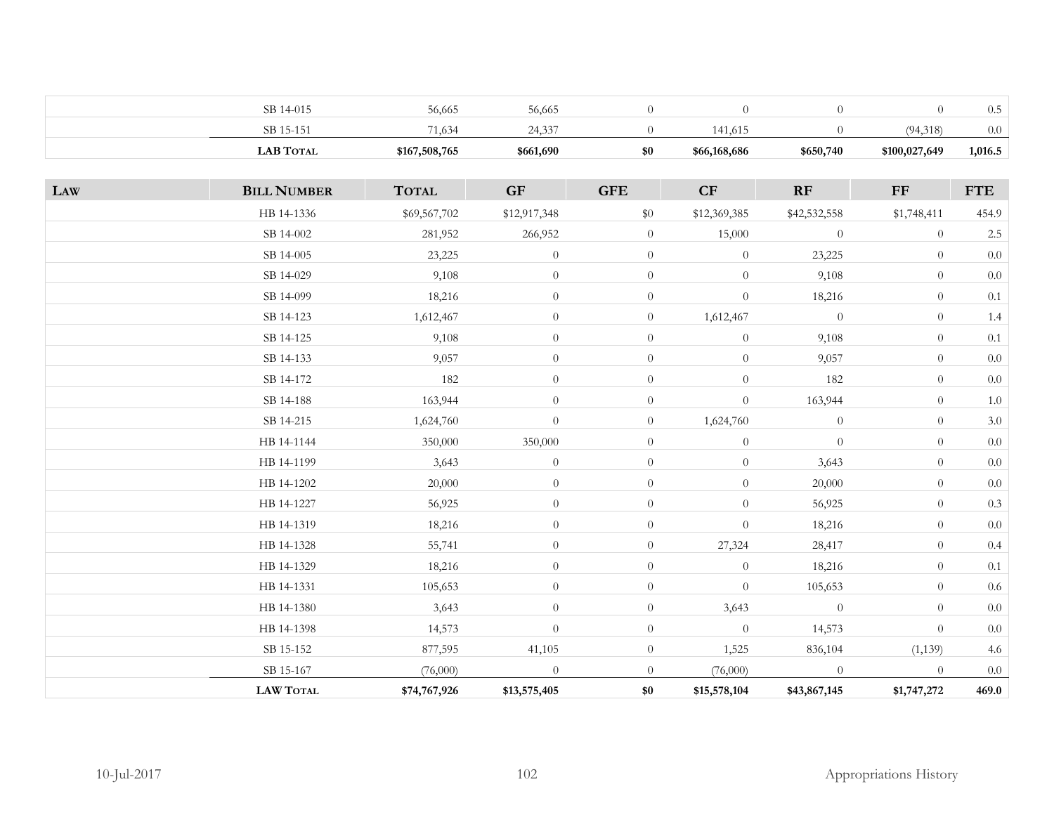| <b>LAB TOTAL</b> | \$167,508,765 | \$661,690             | \$0 | \$66,168,686 | \$650,740 | \$100,027,649 | 1,016.5 |
|------------------|---------------|-----------------------|-----|--------------|-----------|---------------|---------|
| SB 15-151        | 71,634        | 2422<br>- 4<br>24.II' |     | 141.615      |           | (94,318)      | 0.0     |
| SB 14-015        | 56,665        | 56,665                |     |              |           |               | 0.5     |

| LAW | <b>BILL NUMBER</b> | <b>TOTAL</b> | GF               | <b>GFE</b>     | CF               | RF             | ${\rm FF}$     | <b>FTE</b> |
|-----|--------------------|--------------|------------------|----------------|------------------|----------------|----------------|------------|
|     | HB 14-1336         | \$69,567,702 | \$12,917,348     | \$0            | \$12,369,385     | \$42,532,558   | \$1,748,411    | 454.9      |
|     | SB 14-002          | 281,952      | 266,952          | $\overline{0}$ | 15,000           | $\overline{0}$ | $\overline{0}$ | $2.5\,$    |
|     | SB 14-005          | 23,225       | $\boldsymbol{0}$ | $\overline{0}$ | $\boldsymbol{0}$ | 23,225         | $\theta$       | $0.0\,$    |
|     | SB 14-029          | 9,108        | $\theta$         | $\overline{0}$ | $\overline{0}$   | 9,108          | $\theta$       | $0.0\,$    |
|     | SB 14-099          | 18,216       | $\theta$         | $\overline{0}$ | $\boldsymbol{0}$ | 18,216         | $\overline{0}$ | $0.1\,$    |
|     | SB 14-123          | 1,612,467    | $\theta$         | $\overline{0}$ | 1,612,467        | $\theta$       | $\theta$       | $1.4\,$    |
|     | SB 14-125          | 9,108        | $\boldsymbol{0}$ | $\overline{0}$ | $\overline{0}$   | 9,108          | $\theta$       | 0.1        |
|     | SB 14-133          | 9,057        | $\theta$         | $\theta$       | $\overline{0}$   | 9,057          | $\theta$       | $0.0\,$    |
|     | SB 14-172          | 182          | $\theta$         | $\overline{0}$ | $\theta$         | 182            | $\overline{0}$ | $0.0\,$    |
|     | SB 14-188          | 163,944      | $\theta$         | $\overline{0}$ | $\overline{0}$   | 163,944        | $\overline{0}$ | $1.0\,$    |
|     | SB 14-215          | 1,624,760    | $\theta$         | $\overline{0}$ | 1,624,760        | $\theta$       | $\theta$       | $3.0\,$    |
|     | HB 14-1144         | 350,000      | 350,000          | $\overline{0}$ | $\overline{0}$   | $\overline{0}$ | $\theta$       | $0.0\,$    |
|     | HB 14-1199         | 3,643        | $\theta$         | $\overline{0}$ | $\overline{0}$   | 3,643          | $\theta$       | $0.0\,$    |
|     | HB 14-1202         | 20,000       | $\theta$         | $\overline{0}$ | $\overline{0}$   | 20,000         | $\overline{0}$ | $0.0\,$    |
|     | HB 14-1227         | 56,925       | $\theta$         | $\overline{0}$ | $\boldsymbol{0}$ | 56,925         | $\theta$       | $0.3\,$    |
|     | HB 14-1319         | 18,216       | $\theta$         | $\overline{0}$ | $\overline{0}$   | 18,216         | $\overline{0}$ | $0.0\,$    |
|     | HB 14-1328         | 55,741       | $\theta$         | $\overline{0}$ | 27,324           | 28,417         | $\overline{0}$ | $0.4\,$    |
|     | HB 14-1329         | 18,216       | $\theta$         | $\overline{0}$ | $\overline{0}$   | 18,216         | $\theta$       | $0.1\,$    |
|     | HB 14-1331         | 105,653      | $\theta$         | $\overline{0}$ | $\overline{0}$   | 105,653        | $\theta$       | $0.6\,$    |
|     | HB 14-1380         | 3,643        | $\theta$         | $\overline{0}$ | 3,643            | $\theta$       | $\overline{0}$ | $0.0\,$    |
|     | HB 14-1398         | 14,573       | $\theta$         | $\overline{0}$ | $\overline{0}$   | 14,573         | $\theta$       | $0.0\,$    |
|     | SB 15-152          | 877,595      | 41,105           | $\overline{0}$ | 1,525            | 836,104        | (1,139)        | 4.6        |
|     | SB 15-167          | (76,000)     | $\overline{0}$   | $\overline{0}$ | (76,000)         | $\overline{0}$ | $\overline{0}$ | $0.0\,$    |
|     | <b>LAW TOTAL</b>   | \$74,767,926 | \$13,575,405     | \$0            | \$15,578,104     | \$43,867,145   | \$1,747,272    | 469.0      |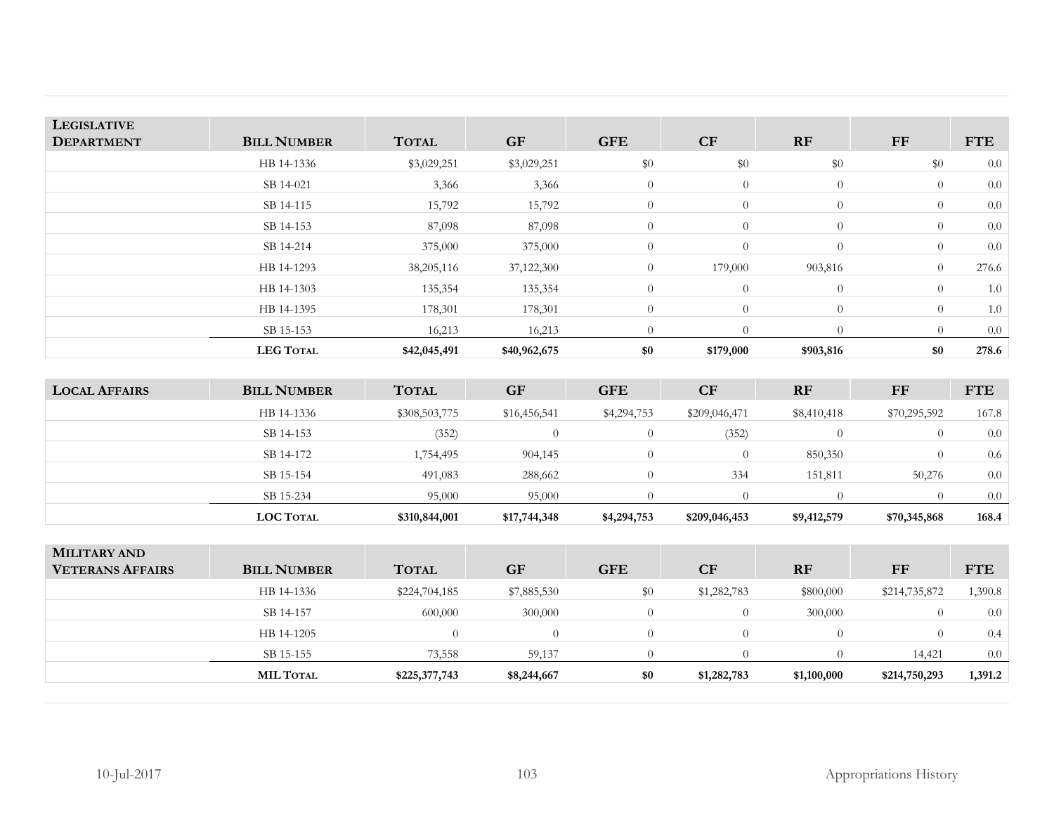| <b>LEGISLATIVE</b> |                    |              |              |                |                |                |           |            |
|--------------------|--------------------|--------------|--------------|----------------|----------------|----------------|-----------|------------|
| <b>DEPARTMENT</b>  | <b>BILL NUMBER</b> | <b>TOTAL</b> | <b>GF</b>    | <b>GFE</b>     | CF             | <b>RF</b>      | <b>FF</b> | <b>FTE</b> |
|                    | HB 14-1336         | \$3,029,251  | \$3,029,251  | \$0            | $\$0$          | \$0            | \$0       | 0.0        |
|                    | SB 14-021          | 3,366        | 3,366        | $\overline{0}$ | $\overline{0}$ | $\overline{0}$ | $\theta$  | 0.0        |
|                    | SB 14-115          | 15,792       | 15,792       | $\overline{0}$ | $\overline{0}$ | $\overline{0}$ | $\theta$  | 0.0        |
|                    | SB 14-153          | 87,098       | 87,098       | $\overline{0}$ | $\theta$       | $\overline{0}$ | $\theta$  | 0.0        |
|                    | SB 14-214          | 375,000      | 375,000      | $\overline{0}$ | $\overline{0}$ | $\overline{0}$ | $\theta$  | 0.0        |
|                    | HB 14-1293         | 38,205,116   | 37,122,300   | $\overline{0}$ | 179,000        | 903,816        | $\theta$  | 276.6      |
|                    | HB 14-1303         | 135,354      | 135,354      | $\overline{0}$ | $\overline{0}$ | $\overline{0}$ | $\theta$  | 1.0        |
|                    | HB 14-1395         | 178,301      | 178,301      | $\overline{0}$ | $\theta$       | $\overline{0}$ | $\theta$  | 1.0        |
|                    | SB 15-153          | 16,213       | 16,213       | $\Omega$       | $\Omega$       | $\Omega$       | $\Omega$  | 0.0        |
|                    | <b>LEG TOTAL</b>   | \$42,045,491 | \$40,962,675 | \$0            | \$179,000      | \$903,816      | \$0       | 278.6      |

| <b>LOCAL AFFAIRS</b> | <b>BILL NUMBER</b> | <b>TOTAL</b>  | <b>GF</b>    | <b>GFE</b>  | <b>CF</b>     | RF          | <b>FF</b>    | <b>FTE</b>       |
|----------------------|--------------------|---------------|--------------|-------------|---------------|-------------|--------------|------------------|
|                      | HB 14-1336         | \$308,503,775 | \$16,456,541 | \$4,294,753 | \$209,046,471 | \$8,410,418 | \$70,295,592 | 167.8            |
|                      | SB 14-153          | (352)         |              |             | (352          |             |              | 0.0              |
|                      | SB 14-172          | 1,754,495     | 904,145      |             |               | 850,350     |              | 0.6              |
|                      | SB 15-154          | 491,083       | 288,662      |             | 334           | 151,811     | 50,276       | 0.0              |
|                      | SB 15-234          | 95,000        | 95,000       |             |               |             |              | 0.0 <sub>1</sub> |
|                      | <b>LOC TOTAL</b>   | \$310,844,001 | \$17,744,348 | \$4,294,753 | \$209,046,453 | \$9,412,579 | \$70,345,868 | 168.4            |

| <b>MILITARY AND</b><br><b>VETERANS AFFAIRS</b> | <b>BILL NUMBER</b> | <b>TOTAL</b>  | <b>GF</b>   | <b>GFE</b> | CF          | <b>RF</b>   | FF            | <b>FTE</b> |
|------------------------------------------------|--------------------|---------------|-------------|------------|-------------|-------------|---------------|------------|
|                                                | HB 14-1336         | \$224,704,185 | \$7,885,530 | \$0        | \$1,282,783 | \$800,000   | \$214,735,872 | 1,390.8    |
|                                                | SB 14-157          | 600,000       | 300,000     |            |             | 300,000     |               | 0.0        |
|                                                | HB 14-1205         | $\Omega$      |             |            |             |             | $\theta$      | 0.4        |
|                                                | SB 15-155          | 73,558        | 59,137      |            |             |             | 14,421        | 0.0        |
|                                                | <b>MIL TOTAL</b>   | \$225,377,743 | \$8,244,667 | \$0        | \$1,282,783 | \$1,100,000 | \$214,750,293 | 1,391.2    |
|                                                |                    |               |             |            |             |             |               |            |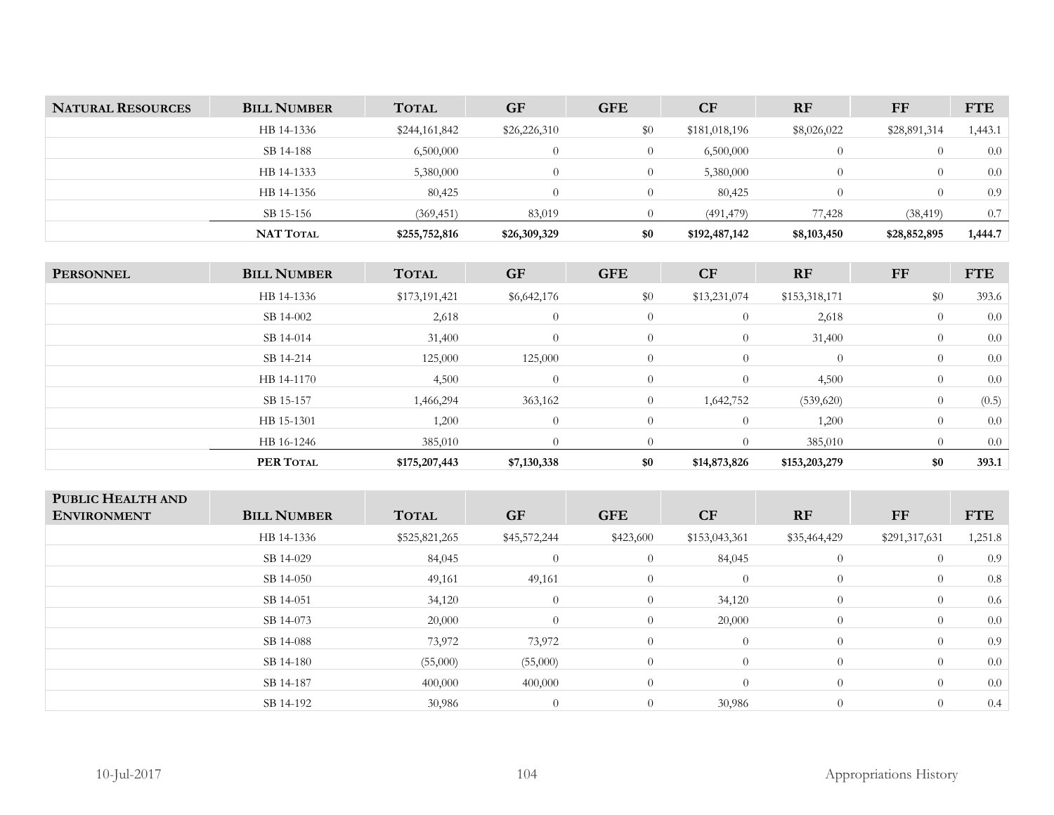| <b>NATURAL RESOURCES</b> | <b>BILL NUMBER</b> | <b>TOTAL</b>  | <b>GF</b>    | <b>GFE</b> | <b>CF</b>     | <b>RF</b>   | FF           | <b>FTE</b> |
|--------------------------|--------------------|---------------|--------------|------------|---------------|-------------|--------------|------------|
|                          | HB 14-1336         | \$244,161,842 | \$26,226,310 | \$0        | \$181,018,196 | \$8,026,022 | \$28,891,314 | 1,443.1    |
|                          | SB 14-188          | 6,500,000     |              |            | 6,500,000     |             |              | 0.0        |
|                          | HB 14-1333         | 5,380,000     |              |            | 5,380,000     |             |              | 0.0        |
|                          | HB 14-1356         | 80,425        |              |            | 80,425        |             | $\theta$     | 0.9        |
|                          | SB 15-156          | (369, 451)    | 83,019       |            | (491, 479)    | 77,428      | (38, 419)    | 0.7        |
|                          | <b>NAT TOTAL</b>   | \$255,752,816 | \$26,309,329 | \$0        | \$192,487,142 | \$8,103,450 | \$28,852,895 | 1,444.7    |

| <b>PERSONNEL</b> | <b>BILL NUMBER</b> | <b>TOTAL</b>  | <b>GF</b>   | <b>GFE</b>     | CF             | <b>RF</b>      | FF             | <b>FTE</b> |
|------------------|--------------------|---------------|-------------|----------------|----------------|----------------|----------------|------------|
|                  | HB 14-1336         | \$173,191,421 | \$6,642,176 | \$0            | \$13,231,074   | \$153,318,171  | \$0            | 393.6      |
|                  | SB 14-002          | 2,618         | $\theta$    | $\overline{0}$ | $\overline{0}$ | 2,618          | $\overline{0}$ | 0.0        |
|                  | SB 14-014          | 31,400        | $\theta$    | $\overline{0}$ | $\theta$       | 31,400         | $\overline{0}$ | 0.0        |
|                  | SB 14-214          | 125,000       | 125,000     | $\overline{0}$ | $\theta$       | $\overline{0}$ | $\overline{0}$ | 0.0        |
|                  | HB 14-1170         | 4,500         | $\theta$    | $\overline{0}$ | $\theta$       | 4,500          | $\overline{0}$ | 0.0        |
|                  | SB 15-157          | 1,466,294     | 363,162     | $\overline{0}$ | 1,642,752      | (539, 620)     | $\overline{0}$ | (0.5)      |
|                  | HB 15-1301         | 1,200         | $\theta$    | $\overline{0}$ | $\overline{0}$ | 1,200          | $\overline{0}$ | 0.0        |
|                  | HB 16-1246         | 385,010       | $\Omega$    | $\Omega$       | $\overline{0}$ | 385,010        | $\theta$       | $0.0\,$    |
|                  | PER TOTAL          | \$175,207,443 | \$7,130,338 | \$0            | \$14,873,826   | \$153,203,279  | \$0            | 393.1      |

| PUBLIC HEALTH AND<br><b>ENVIRONMENT</b> | <b>BILL NUMBER</b> | <b>TOTAL</b>  | <b>GF</b>      | <b>GFE</b>     | CF             | RF             | FF             | <b>FTE</b> |
|-----------------------------------------|--------------------|---------------|----------------|----------------|----------------|----------------|----------------|------------|
|                                         | HB 14-1336         | \$525,821,265 | \$45,572,244   | \$423,600      | \$153,043,361  | \$35,464,429   | \$291,317,631  | 1,251.8    |
|                                         | SB 14-029          | 84,045        | $\Omega$       | $\overline{0}$ | 84,045         | $\overline{0}$ | $\overline{0}$ | 0.9        |
|                                         | SB 14-050          | 49,161        | 49,161         | $\overline{0}$ | $\overline{0}$ | $\overline{0}$ | $\overline{0}$ | 0.8        |
|                                         | SB 14-051          | 34,120        | $\Omega$       | $\overline{0}$ | 34,120         | $\overline{0}$ | $\overline{0}$ | 0.6        |
|                                         | SB 14-073          | 20,000        | $\Omega$       | $\overline{0}$ | 20,000         | $\overline{0}$ | $\overline{0}$ | 0.0        |
|                                         | SB 14-088          | 73,972        | 73,972         | $\overline{0}$ | $\overline{0}$ | $\overline{0}$ | $\overline{0}$ | 0.9        |
|                                         | SB 14-180          | (55,000)      | (55,000)       | $\overline{0}$ | $\overline{0}$ | $\theta$       | $\overline{0}$ | 0.0        |
|                                         | SB 14-187          | 400,000       | 400,000        | $\overline{0}$ | $\theta$       | $\overline{0}$ | $\overline{0}$ | 0.0        |
|                                         | SB 14-192          | 30,986        | $\overline{0}$ | $\overline{0}$ | 30,986         | $\overline{0}$ | $\overline{0}$ | 0.4        |
|                                         |                    |               |                |                |                |                |                |            |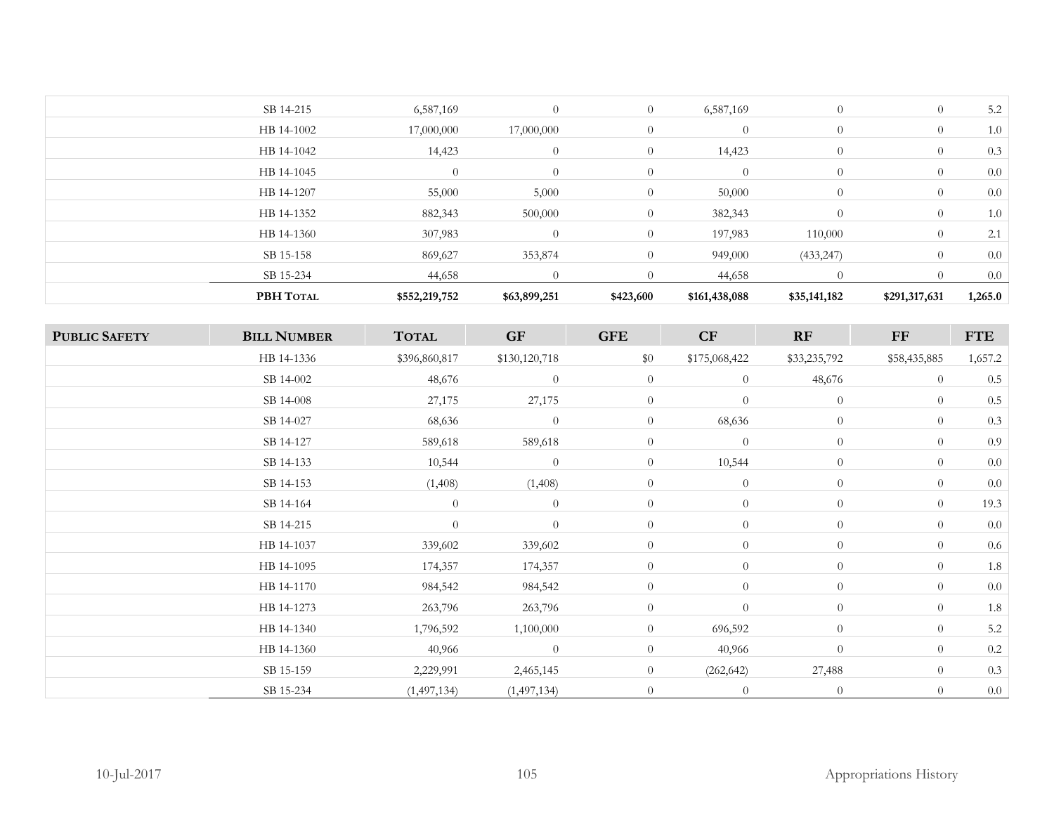| PBH TOTAL  | \$552,219,752  | \$63,899,251 | \$423,600      | \$161,438,088  | \$35,141,182   | \$291,317,631  | 1,265.0 |
|------------|----------------|--------------|----------------|----------------|----------------|----------------|---------|
| SB 15-234  | 44,658         |              | $\Omega$       | 44,658         |                |                | 0.0     |
| SB 15-158  | 869,627        | 353,874      | $\overline{0}$ | 949,000        | (433, 247)     | $\overline{0}$ | 0.0     |
| HB 14-1360 | 307,983        | $\Omega$     | $\overline{0}$ | 197,983        | 110,000        | $\overline{0}$ | 2.1     |
| HB 14-1352 | 882,343        | 500,000      | $\overline{0}$ | 382,343        | $\Omega$       | $\overline{0}$ | 1.0     |
| HB 14-1207 | 55,000         | 5,000        | $\overline{0}$ | 50,000         | $\overline{0}$ | $\overline{0}$ | 0.0     |
| HB 14-1045 | $\overline{0}$ | $\Omega$     | $\overline{0}$ | $\theta$       | $\overline{0}$ | $\overline{0}$ | 0.0     |
| HB 14-1042 | 14,423         | $\theta$     | $\overline{0}$ | 14,423         | $\overline{0}$ | $\overline{0}$ | 0.3     |
| HB 14-1002 | 17,000,000     | 17,000,000   | $\theta$       | $\overline{0}$ | $\overline{0}$ | $\overline{0}$ | 1.0     |
| SB 14-215  | 6,587,169      | $\Omega$     | $\overline{0}$ | 6,587,169      | $\overline{0}$ | $\overline{0}$ | 5.2     |
|            |                |              |                |                |                |                |         |

| <b>PUBLIC SAFETY</b> | <b>BILL NUMBER</b> | <b>TOTAL</b>  | <b>GF</b>     | <b>GFE</b>     | CF             | RF             | $\bf FF$       | <b>FTE</b> |
|----------------------|--------------------|---------------|---------------|----------------|----------------|----------------|----------------|------------|
|                      | HB 14-1336         | \$396,860,817 | \$130,120,718 | \$0            | \$175,068,422  | \$33,235,792   | \$58,435,885   | 1,657.2    |
|                      | SB 14-002          | 48,676        | $\theta$      | $\overline{0}$ | $\overline{0}$ | 48,676         | $\overline{0}$ | $0.5\,$    |
|                      | SB 14-008          | 27,175        | 27,175        | $\overline{0}$ | $\overline{0}$ | $\overline{0}$ | $\theta$       | 0.5        |
|                      | SB 14-027          | 68,636        | $\theta$      | $\overline{0}$ | 68,636         | $\overline{0}$ | $\overline{0}$ | 0.3        |
|                      | SB 14-127          | 589,618       | 589,618       | $\theta$       | $\overline{0}$ | $\overline{0}$ | $\overline{0}$ | 0.9        |
|                      | SB 14-133          | 10,544        | $\theta$      | $\theta$       | 10,544         | $\overline{0}$ | $\overline{0}$ | 0.0        |
|                      | SB 14-153          | (1,408)       | (1,408)       | $\theta$       | $\overline{0}$ | $\overline{0}$ | $\overline{0}$ | $0.0\,$    |
|                      | SB 14-164          | $\theta$      | $\theta$      | $\overline{0}$ | $\overline{0}$ | $\overline{0}$ | $\overline{0}$ | 19.3       |
|                      | SB 14-215          | $\theta$      | $\theta$      | $\overline{0}$ | $\overline{0}$ | $\overline{0}$ | $\overline{0}$ | 0.0        |
|                      | HB 14-1037         | 339,602       | 339,602       | $\overline{0}$ | $\overline{0}$ | $\overline{0}$ | $\overline{0}$ | $0.6\,$    |
|                      | HB 14-1095         | 174,357       | 174,357       | $\overline{0}$ | $\overline{0}$ | $\overline{0}$ | $\overline{0}$ | $1.8\,$    |
|                      | HB 14-1170         | 984,542       | 984,542       | $\theta$       | $\overline{0}$ | $\overline{0}$ | $\overline{0}$ | 0.0        |
|                      | HB 14-1273         | 263,796       | 263,796       | $\theta$       | $\overline{0}$ | $\overline{0}$ | $\overline{0}$ | $1.8\,$    |
|                      | HB 14-1340         | 1,796,592     | 1,100,000     | $\overline{0}$ | 696,592        | $\overline{0}$ | $\overline{0}$ | 5.2        |
|                      | HB 14-1360         | 40,966        | $\theta$      | $\overline{0}$ | 40,966         | $\overline{0}$ | $\overline{0}$ | $0.2\,$    |
|                      | SB 15-159          | 2,229,991     | 2,465,145     | $\overline{0}$ | (262, 642)     | 27,488         | $\overline{0}$ | 0.3        |
|                      | SB 15-234          | (1,497,134)   | (1,497,134)   | $\theta$       | $\theta$       | $\overline{0}$ | $\theta$       | 0.0        |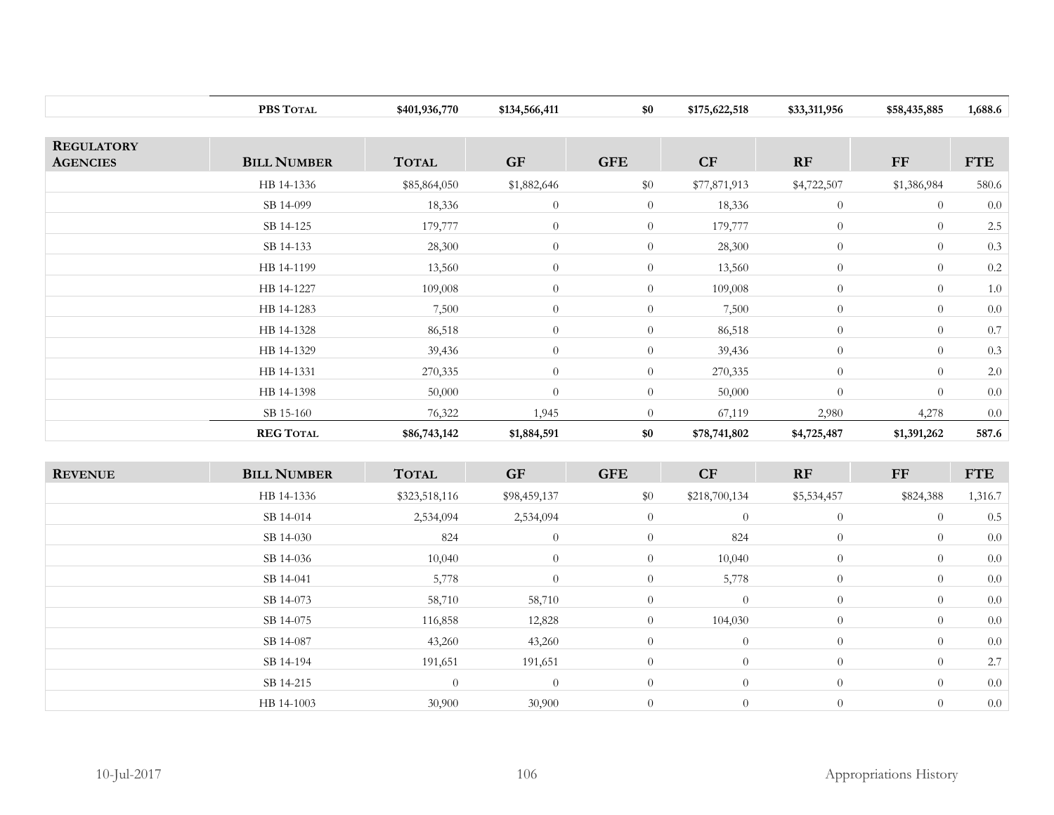|                   | PBS TOTAL          | \$401,936,770 | \$134,566,411 | \$0            | \$175,622,518 | \$33,311,956   | \$58,435,885   | 1,688.6    |
|-------------------|--------------------|---------------|---------------|----------------|---------------|----------------|----------------|------------|
|                   |                    |               |               |                |               |                |                |            |
| <b>REGULATORY</b> |                    |               |               |                |               |                |                |            |
| <b>AGENCIES</b>   | <b>BILL NUMBER</b> | <b>TOTAL</b>  | <b>GF</b>     | <b>GFE</b>     | CF            | RF             | FF             | <b>FTE</b> |
|                   | HB 14-1336         | \$85,864,050  | \$1,882,646   | \$0            | \$77,871,913  | \$4,722,507    | \$1,386,984    | 580.6      |
|                   | SB 14-099          | 18,336        | $\theta$      | $\overline{0}$ | 18,336        | $\overline{0}$ | $\overline{0}$ | 0.0        |
|                   | SB 14-125          | 179,777       | $\theta$      | $\overline{0}$ | 179,777       | $\overline{0}$ | $\theta$       | $2.5\,$    |
|                   | SB 14-133          | 28,300        | $\theta$      | $\overline{0}$ | 28,300        | $\overline{0}$ | $\overline{0}$ | 0.3        |
|                   | HB 14-1199         | 13,560        | $\theta$      | $\overline{0}$ | 13,560        | $\overline{0}$ | $\theta$       | 0.2        |
|                   | HB 14-1227         | 109,008       | $\theta$      | $\overline{0}$ | 109,008       | $\theta$       | $\overline{0}$ | 1.0        |
|                   | HB 14-1283         | 7,500         | $\theta$      | $\overline{0}$ | 7,500         | $\overline{0}$ | $\overline{0}$ | 0.0        |
|                   | HB 14-1328         | 86,518        | $\theta$      | $\overline{0}$ | 86,518        | $\overline{0}$ | $\overline{0}$ | 0.7        |
|                   | HB 14-1329         | 39,436        | $\theta$      | $\overline{0}$ | 39,436        | $\overline{0}$ | $\overline{0}$ | 0.3        |
|                   | HB 14-1331         | 270,335       | $\theta$      | $\overline{0}$ | 270,335       | $\overline{0}$ | $\overline{0}$ | $2.0\,$    |
|                   | HB 14-1398         | 50,000        | $\theta$      | $\overline{0}$ | 50,000        | $\overline{0}$ | $\overline{0}$ | 0.0        |
|                   | SB 15-160          | 76,322        | 1,945         | $\overline{0}$ | 67,119        | 2,980          | 4,278          | 0.0        |
|                   | <b>REG TOTAL</b>   | \$86,743,142  | \$1,884,591   | \$0            | \$78,741,802  | \$4,725,487    | \$1,391,262    | 587.6      |

| <b>REVENUE</b> | <b>BILL NUMBER</b> | <b>TOTAL</b>   | <b>GF</b>      | <b>GFE</b>     | CF             | RF             | FF             | <b>FTE</b> |
|----------------|--------------------|----------------|----------------|----------------|----------------|----------------|----------------|------------|
|                | HB 14-1336         | \$323,518,116  | \$98,459,137   | \$0            | \$218,700,134  | \$5,534,457    | \$824,388      | 1,316.7    |
|                | SB 14-014          | 2,534,094      | 2,534,094      | $\overline{0}$ | $\overline{0}$ | $\theta$       | $\theta$       | 0.5        |
|                | SB 14-030          | 824            | $\theta$       | $\overline{0}$ | 824            | $\overline{0}$ | $\overline{0}$ | 0.0        |
|                | SB 14-036          | 10,040         | $\theta$       | $\overline{0}$ | 10,040         | $\theta$       | $\overline{0}$ | 0.0        |
|                | SB 14-041          | 5,778          | $\theta$       | $\overline{0}$ | 5,778          | $\theta$       | $\overline{0}$ | 0.0        |
|                | SB 14-073          | 58,710         | 58,710         | $\overline{0}$ | $\overline{0}$ | $\theta$       | $\overline{0}$ | 0.0        |
|                | SB 14-075          | 116,858        | 12,828         | $\overline{0}$ | 104,030        | $\theta$       | $\overline{0}$ | 0.0        |
|                | SB 14-087          | 43,260         | 43,260         | $\overline{0}$ | $\overline{0}$ | $\theta$       | $\overline{0}$ | 0.0        |
|                | SB 14-194          | 191,651        | 191,651        | $\overline{0}$ | $\overline{0}$ | $\theta$       | $\overline{0}$ | 2.7        |
|                | SB 14-215          | $\overline{0}$ | $\overline{0}$ | $\overline{0}$ | $\overline{0}$ | $\overline{0}$ | $\overline{0}$ | 0.0        |
|                | HB 14-1003         | 30,900         | 30,900         | $\theta$       | $\overline{0}$ | $\theta$       | $\overline{0}$ | 0.0        |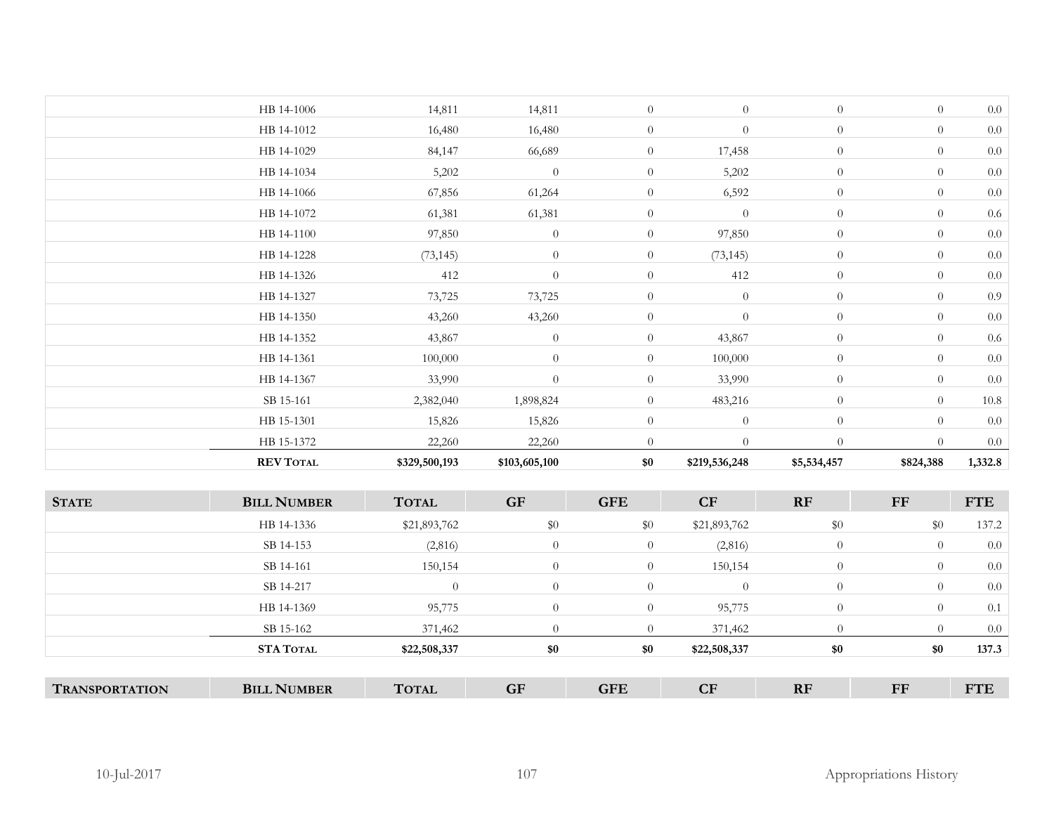|                  |                                                                                                                                                                                 |                                                                                                                                                   |                                                                                                                                                                 |                                                                                                                                                                                             |                                                                                                                                         |                                                                                                                      | 0.0                                                                                                                                 |
|------------------|---------------------------------------------------------------------------------------------------------------------------------------------------------------------------------|---------------------------------------------------------------------------------------------------------------------------------------------------|-----------------------------------------------------------------------------------------------------------------------------------------------------------------|---------------------------------------------------------------------------------------------------------------------------------------------------------------------------------------------|-----------------------------------------------------------------------------------------------------------------------------------------|----------------------------------------------------------------------------------------------------------------------|-------------------------------------------------------------------------------------------------------------------------------------|
|                  |                                                                                                                                                                                 |                                                                                                                                                   | $\overline{0}$                                                                                                                                                  |                                                                                                                                                                                             | $\overline{0}$                                                                                                                          | $\theta$                                                                                                             | 0.9                                                                                                                                 |
| HB 14-1350       | 43,260                                                                                                                                                                          | 43,260                                                                                                                                            | $\overline{0}$                                                                                                                                                  | $\boldsymbol{0}$                                                                                                                                                                            | $\theta$                                                                                                                                | $\theta$                                                                                                             | 0.0                                                                                                                                 |
| HB 14-1352       | 43,867                                                                                                                                                                          | $\boldsymbol{0}$                                                                                                                                  | $\overline{0}$                                                                                                                                                  | 43,867                                                                                                                                                                                      | $\overline{0}$                                                                                                                          | $\overline{0}$                                                                                                       | $0.6\,$                                                                                                                             |
| HB 14-1361       | 100,000                                                                                                                                                                         | $\theta$                                                                                                                                          | $\overline{0}$                                                                                                                                                  | 100,000                                                                                                                                                                                     | $\overline{0}$                                                                                                                          | $\theta$                                                                                                             | $0.0\,$                                                                                                                             |
| HB 14-1367       | 33,990                                                                                                                                                                          | $\boldsymbol{0}$                                                                                                                                  | $\overline{0}$                                                                                                                                                  | 33,990                                                                                                                                                                                      | $\theta$                                                                                                                                | $\theta$                                                                                                             | $0.0\,$                                                                                                                             |
| SB 15-161        | 2,382,040                                                                                                                                                                       | 1,898,824                                                                                                                                         | $\overline{0}$                                                                                                                                                  | 483,216                                                                                                                                                                                     | $\theta$                                                                                                                                | $\theta$                                                                                                             | $10.8\,$                                                                                                                            |
| HB 15-1301       | 15,826                                                                                                                                                                          | 15,826                                                                                                                                            | $\overline{0}$                                                                                                                                                  | $\theta$                                                                                                                                                                                    | $\theta$                                                                                                                                | $\theta$                                                                                                             | 0.0                                                                                                                                 |
| HB 15-1372       | 22,260                                                                                                                                                                          | 22,260                                                                                                                                            | $\boldsymbol{0}$                                                                                                                                                | $\boldsymbol{0}$                                                                                                                                                                            | $\theta$                                                                                                                                | $\overline{0}$                                                                                                       | $0.0\,$                                                                                                                             |
| <b>REV TOTAL</b> | \$329,500,193                                                                                                                                                                   | \$103,605,100                                                                                                                                     | \$0                                                                                                                                                             | \$219,536,248                                                                                                                                                                               | \$5,534,457                                                                                                                             | \$824,388                                                                                                            | 1,332.8                                                                                                                             |
|                  |                                                                                                                                                                                 |                                                                                                                                                   |                                                                                                                                                                 |                                                                                                                                                                                             |                                                                                                                                         |                                                                                                                      | <b>FTE</b>                                                                                                                          |
|                  |                                                                                                                                                                                 |                                                                                                                                                   |                                                                                                                                                                 |                                                                                                                                                                                             |                                                                                                                                         |                                                                                                                      |                                                                                                                                     |
|                  |                                                                                                                                                                                 |                                                                                                                                                   |                                                                                                                                                                 |                                                                                                                                                                                             |                                                                                                                                         |                                                                                                                      | 137.2                                                                                                                               |
|                  |                                                                                                                                                                                 |                                                                                                                                                   |                                                                                                                                                                 |                                                                                                                                                                                             |                                                                                                                                         |                                                                                                                      | 0.0<br>$0.0\,$                                                                                                                      |
|                  |                                                                                                                                                                                 |                                                                                                                                                   |                                                                                                                                                                 |                                                                                                                                                                                             |                                                                                                                                         |                                                                                                                      | $0.0\,$                                                                                                                             |
|                  |                                                                                                                                                                                 |                                                                                                                                                   |                                                                                                                                                                 |                                                                                                                                                                                             |                                                                                                                                         |                                                                                                                      |                                                                                                                                     |
|                  |                                                                                                                                                                                 |                                                                                                                                                   |                                                                                                                                                                 |                                                                                                                                                                                             |                                                                                                                                         |                                                                                                                      | 0.1                                                                                                                                 |
|                  |                                                                                                                                                                                 |                                                                                                                                                   |                                                                                                                                                                 |                                                                                                                                                                                             |                                                                                                                                         |                                                                                                                      | $0.0\,$<br>137.3                                                                                                                    |
|                  | HB 14-1228<br>HB 14-1326<br>HB 14-1327<br><b>BILL NUMBER</b><br>HB 14-1336<br>SB 14-153<br>SB 14-161<br>SB 14-217<br>HB 14-1369<br>SB 15-162<br>STA TOTAL<br><b>BILL NUMBER</b> | (73, 145)<br>412<br>73,725<br><b>TOTAL</b><br>\$21,893,762<br>(2,816)<br>150,154<br>$\theta$<br>95,775<br>371,462<br>\$22,508,337<br><b>TOTAL</b> | $\boldsymbol{0}$<br>$\theta$<br>73,725<br><b>GF</b><br>$\$0$<br>$\boldsymbol{0}$<br>$\boldsymbol{0}$<br>$\boldsymbol{0}$<br>$\boldsymbol{0}$<br>$\theta$<br>\$0 | $\boldsymbol{0}$<br>$\overline{0}$<br><b>GFE</b><br>$\$0$<br>$\boldsymbol{0}$<br>$\overline{0}$<br>$\boldsymbol{0}$<br>$\boldsymbol{0}$<br>$\overline{0}$<br>\$0<br><b>GF</b><br><b>GFE</b> | (73, 145)<br>412<br>$\boldsymbol{0}$<br>CF<br>\$21,893,762<br>(2,816)<br>150,154<br>$\theta$<br>95,775<br>371,462<br>\$22,508,337<br>CF | $\theta$<br>$\theta$<br>RF<br>$\$0$<br>$\theta$<br>$\overline{0}$<br>$\overline{0}$<br>$\theta$<br>$\theta$<br>$\$0$ | $\overline{0}$<br>$\theta$<br><b>FF</b><br>\$0<br>$\overline{0}$<br>$\theta$<br>$\overline{0}$<br>$\theta$<br>$\overline{0}$<br>\$0 |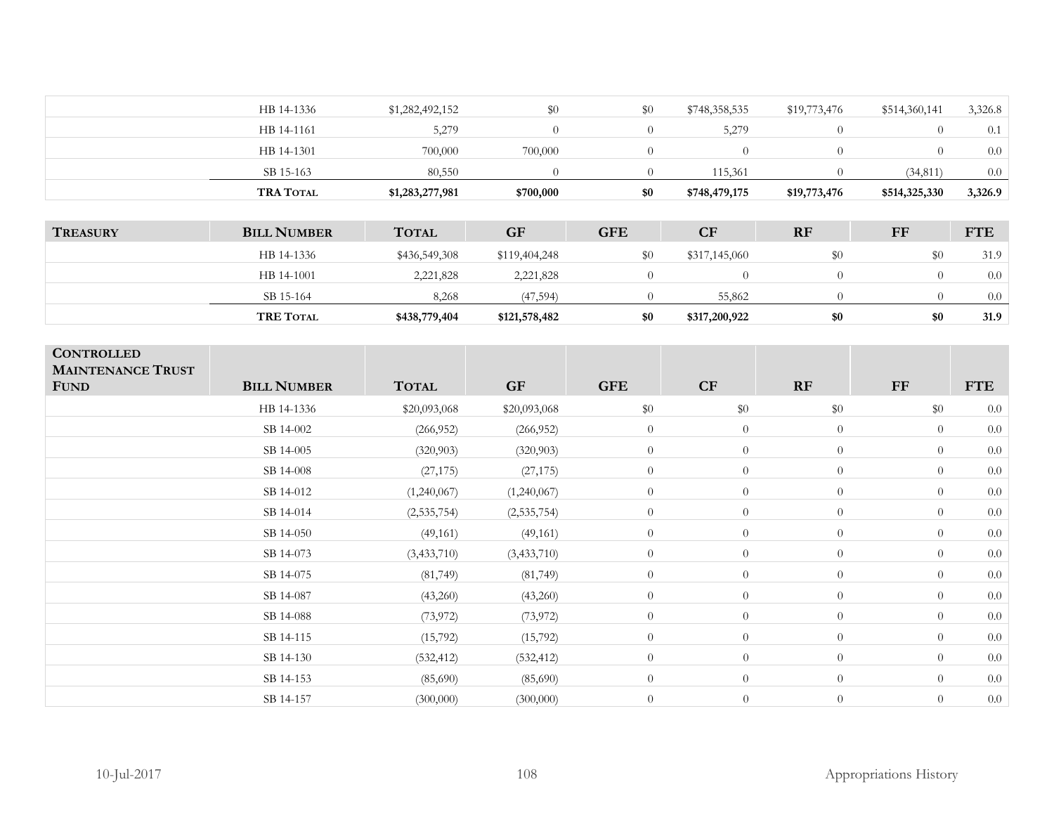| <b>TRA TOTAL</b> | \$1,283,277,981 | \$700,000 | \$0 | \$748,479,175 | \$19,773,476 | \$514,325,330 | 3,326.9 |
|------------------|-----------------|-----------|-----|---------------|--------------|---------------|---------|
| SB 15-163        | 80,550          |           |     | 115.361       |              | (34, 811)     | 0.0     |
| HB 14-1301       | 700,000         | 700,000   |     | $\theta$      |              |               | 0.0     |
| HB 14-1161       | 5,279           |           |     | 5,279         |              |               | 0.1     |
| HB 14-1336       | \$1,282,492,152 | \$0       | \$0 | \$748,358,535 | \$19,773,476 | \$514,360,141 | 3,326.8 |
|                  |                 |           |     |               |              |               |         |

| <b>TREASURY</b> | <b>BILL NUMBER</b> | <b>TOTAL</b>  | <b>GF</b>     | <b>GFE</b> | CF            | <b>RF</b> | FF  | <b>FTE</b> |
|-----------------|--------------------|---------------|---------------|------------|---------------|-----------|-----|------------|
|                 | HB 14-1336         | \$436,549,308 | \$119,404,248 |            | \$317,145,060 |           | \$0 | 31.9       |
|                 | HB 14-1001         | 2,221,828     | 2,221,828     |            |               |           |     | 0.0        |
|                 | SB 15-164          | 8.268         | (47, 594)     |            | 55,862        |           |     | 0.0        |
|                 | <b>TRE TOTAL</b>   | \$438,779,404 | \$121,578,482 | \$0        | \$317,200,922 | \$0       | \$0 | 31.9       |

| <b>CONTROLLED</b><br><b>MAINTENANCE TRUST</b><br><b>FUND</b> | <b>BILL NUMBER</b> | <b>TOTAL</b>  | <b>GF</b>     | <b>GFE</b>     | CF               | RF             | FF             | <b>FTE</b> |
|--------------------------------------------------------------|--------------------|---------------|---------------|----------------|------------------|----------------|----------------|------------|
|                                                              | HB 14-1336         | \$20,093,068  | \$20,093,068  | \$0            | $\$0$            | \$0            | \$0            | 0.0        |
|                                                              | SB 14-002          | (266, 952)    | (266, 952)    | $\overline{0}$ | $\theta$         | $\overline{0}$ | $\overline{0}$ | 0.0        |
|                                                              | SB 14-005          | (320, 903)    | (320, 903)    | $\overline{0}$ | $\theta$         | $\overline{0}$ | $\theta$       | 0.0        |
|                                                              | SB 14-008          | (27, 175)     | (27, 175)     | $\theta$       | $\theta$         | $\overline{0}$ | $\theta$       | 0.0        |
|                                                              | SB 14-012          | (1,240,067)   | (1,240,067)   | $\overline{0}$ | $\theta$         | $\overline{0}$ | $\theta$       | 0.0        |
|                                                              | SB 14-014          | (2, 535, 754) | (2,535,754)   | $\overline{0}$ | $\theta$         | $\overline{0}$ | $\theta$       | 0.0        |
|                                                              | SB 14-050          | (49, 161)     | (49, 161)     | $\overline{0}$ | $\theta$         | $\overline{0}$ | $\theta$       | 0.0        |
|                                                              | SB 14-073          | (3, 433, 710) | (3, 433, 710) | $\overline{0}$ | $\theta$         | $\overline{0}$ | $\theta$       | 0.0        |
|                                                              | SB 14-075          | (81, 749)     | (81, 749)     | $\overline{0}$ | $\theta$         | $\overline{0}$ | $\theta$       | $0.0\,$    |
|                                                              | SB 14-087          | (43,260)      | (43,260)      | $\overline{0}$ | $\boldsymbol{0}$ | $\overline{0}$ | $\overline{0}$ | 0.0        |
|                                                              | SB 14-088          | (73, 972)     | (73, 972)     | $\overline{0}$ | $\theta$         | $\overline{0}$ | $\theta$       | 0.0        |
|                                                              | SB 14-115          | (15,792)      | (15,792)      | $\overline{0}$ | $\boldsymbol{0}$ | $\overline{0}$ | $\theta$       | 0.0        |
|                                                              | SB 14-130          | (532, 412)    | (532, 412)    | $\theta$       | $\theta$         | $\overline{0}$ | $\theta$       | 0.0        |
|                                                              | SB 14-153          | (85,690)      | (85,690)      | $\overline{0}$ | $\theta$         | $\overline{0}$ | $\theta$       | 0.0        |
|                                                              | SB 14-157          | (300,000)     | (300,000)     | $\overline{0}$ | $\theta$         | $\overline{0}$ | $\theta$       | 0.0        |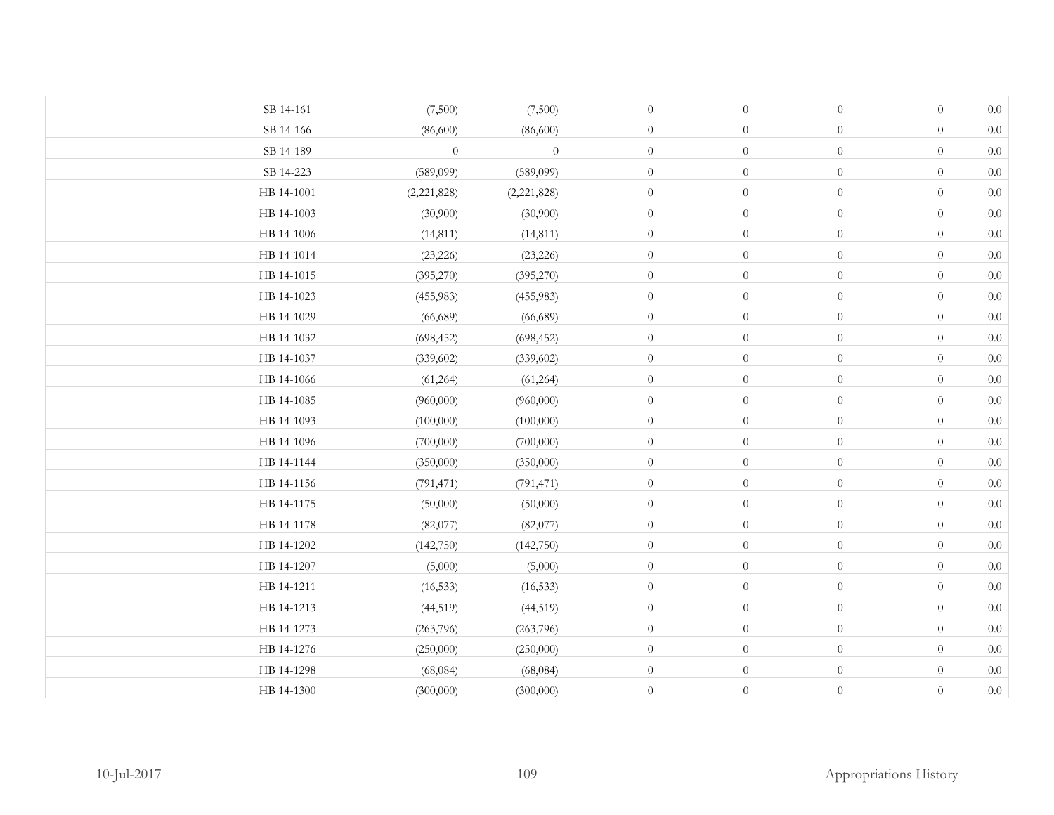| SB 14-161  | (7,500)     | (7,500)     | $\overline{0}$   | $\theta$         | $\boldsymbol{0}$ | $\theta$         | $0.0\,$ |
|------------|-------------|-------------|------------------|------------------|------------------|------------------|---------|
| SB 14-166  | (86,600)    | (86,600)    | $\overline{0}$   | $\boldsymbol{0}$ | $\overline{0}$   | $\overline{0}$   | $0.0\,$ |
| SB 14-189  | $\theta$    | $\theta$    | $\overline{0}$   | $\boldsymbol{0}$ | $\theta$         | $\theta$         | $0.0\,$ |
| SB 14-223  | (589,099)   | (589,099)   | $\boldsymbol{0}$ | $\boldsymbol{0}$ | $\boldsymbol{0}$ | $\boldsymbol{0}$ | $0.0\,$ |
| HB 14-1001 | (2,221,828) | (2,221,828) | $\overline{0}$   | $\boldsymbol{0}$ | $\boldsymbol{0}$ | $\boldsymbol{0}$ | $0.0\,$ |
| HB 14-1003 | (30,900)    | (30,900)    | $\overline{0}$   | $\boldsymbol{0}$ | $\boldsymbol{0}$ | $\boldsymbol{0}$ | $0.0\,$ |
| HB 14-1006 | (14, 811)   | (14, 811)   | $\overline{0}$   | $\boldsymbol{0}$ | $\boldsymbol{0}$ | $\boldsymbol{0}$ | $0.0\,$ |
| HB 14-1014 | (23, 226)   | (23, 226)   | $\boldsymbol{0}$ | $\boldsymbol{0}$ | $\boldsymbol{0}$ | $\boldsymbol{0}$ | $0.0\,$ |
| HB 14-1015 | (395,270)   | (395,270)   | $\overline{0}$   | $\boldsymbol{0}$ | $\boldsymbol{0}$ | $\theta$         | $0.0\,$ |
| HB 14-1023 | (455,983)   | (455,983)   | $\overline{0}$   | $\boldsymbol{0}$ | $\boldsymbol{0}$ | $\theta$         | $0.0\,$ |
| HB 14-1029 | (66, 689)   | (66, 689)   | $\overline{0}$   | $\boldsymbol{0}$ | $\boldsymbol{0}$ | $\boldsymbol{0}$ | $0.0\,$ |
| HB 14-1032 | (698, 452)  | (698, 452)  | $\boldsymbol{0}$ | $\boldsymbol{0}$ | $\boldsymbol{0}$ | $\overline{0}$   | $0.0\,$ |
| HB 14-1037 | (339, 602)  | (339, 602)  | $\boldsymbol{0}$ | $\boldsymbol{0}$ | $\boldsymbol{0}$ | $\overline{0}$   | $0.0\,$ |
| HB 14-1066 | (61, 264)   | (61, 264)   | $\overline{0}$   | $\boldsymbol{0}$ | $\boldsymbol{0}$ | $\theta$         | $0.0\,$ |
| HB 14-1085 | (960,000)   | (960,000)   | $\overline{0}$   | $\boldsymbol{0}$ | $\boldsymbol{0}$ | $\boldsymbol{0}$ | 0.0     |
| HB 14-1093 | (100,000)   | (100,000)   | $\overline{0}$   | $\boldsymbol{0}$ | $\theta$         | $\boldsymbol{0}$ | $0.0\,$ |
| HB 14-1096 | (700,000)   | (700,000)   | $\boldsymbol{0}$ | $\boldsymbol{0}$ | $\theta$         | $\boldsymbol{0}$ | $0.0\,$ |
| HB 14-1144 | (350,000)   | (350,000)   | $\overline{0}$   | $\boldsymbol{0}$ | $\theta$         | $\boldsymbol{0}$ | $0.0\,$ |
| HB 14-1156 | (791, 471)  | (791, 471)  | $\boldsymbol{0}$ | $\boldsymbol{0}$ | $\boldsymbol{0}$ | $\boldsymbol{0}$ | $0.0\,$ |
| HB 14-1175 | (50,000)    | (50,000)    | $\overline{0}$   | $\boldsymbol{0}$ | $\theta$         | $\boldsymbol{0}$ | $0.0\,$ |
| HB 14-1178 | (82,077)    | (82,077)    | $\overline{0}$   | $\boldsymbol{0}$ | $\boldsymbol{0}$ | $\theta$         | $0.0\,$ |
| HB 14-1202 | (142,750)   | (142,750)   | $\overline{0}$   | $\overline{0}$   | $\boldsymbol{0}$ | $\theta$         | $0.0\,$ |
| HB 14-1207 | (5,000)     | (5,000)     | $\overline{0}$   | $\theta$         | $\theta$         | $\theta$         | $0.0\,$ |
| HB 14-1211 | (16, 533)   | (16, 533)   | $\overline{0}$   | $\overline{0}$   | $\overline{0}$   | $\overline{0}$   | $0.0\,$ |
| HB 14-1213 | (44, 519)   | (44, 519)   | $\overline{0}$   | $\overline{0}$   | $\theta$         | $\overline{0}$   | $0.0\,$ |
| HB 14-1273 | (263,796)   | (263,796)   | $\overline{0}$   | $\overline{0}$   | $\boldsymbol{0}$ | $\overline{0}$   | $0.0\,$ |
| HB 14-1276 | (250,000)   | (250,000)   | $\overline{0}$   | $\theta$         | $\theta$         | $\overline{0}$   | $0.0\,$ |
| HB 14-1298 | (68,084)    | (68, 084)   | $\overline{0}$   | $\overline{0}$   | $\theta$         | $\overline{0}$   | $0.0\,$ |
| HB 14-1300 | (300,000)   | (300,000)   | $\overline{0}$   | $\overline{0}$   | $\overline{0}$   | $\overline{0}$   | $0.0\,$ |
|            |             |             |                  |                  |                  |                  |         |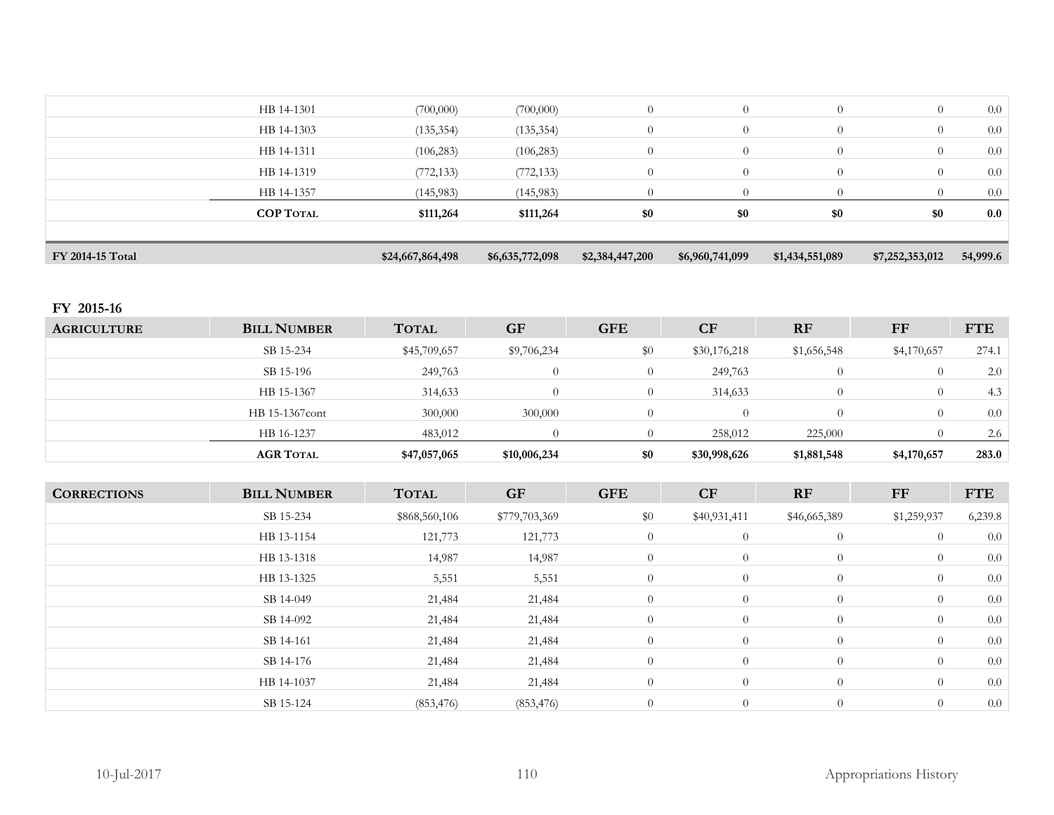| FY 2014-15 Total |                  | \$24,667,864,498 | \$6,635,772,098 | \$2,384,447,200 | \$6,960,741,099 | \$1,434,551,089 | \$7,252,353,012 | 54,999.6 |
|------------------|------------------|------------------|-----------------|-----------------|-----------------|-----------------|-----------------|----------|
|                  | <b>COP TOTAL</b> | \$111,264        | \$111,264       | \$0             | \$0             | \$0             | \$0             | 0.0      |
|                  |                  |                  |                 |                 |                 |                 |                 |          |
|                  | HB 14-1357       | (145, 983)       | (145, 983)      | $\Omega$        | $\Omega$        | $\Omega$        | $\Omega$        | 0.0      |
|                  | HB 14-1319       | (772, 133)       | (772, 133)      | $\overline{0}$  | $\overline{0}$  | $\overline{0}$  | $\overline{0}$  | 0.0      |
|                  | HB 14-1311       | (106, 283)       | (106, 283)      | $\overline{0}$  | $\overline{0}$  | $\overline{0}$  | $\overline{0}$  | 0.0      |
|                  | HB 14-1303       | (135, 354)       | (135, 354)      | $\overline{0}$  | $\theta$        | $\Omega$        | $\overline{0}$  | 0.0      |
|                  | HB 14-1301       | (700,000)        | (700,000)       | $\overline{0}$  | $\overline{0}$  | $\overline{0}$  | $\overline{0}$  | 0.0      |
|                  |                  |                  |                 |                 |                 |                 |                 |          |

# **FY 2015-16**

| <b>AGRICULTURE</b> | <b>BILL NUMBER</b> | <b>TOTAL</b> | <b>GF</b>    | <b>GFE</b> | CF           | <b>RF</b>   | FF          | <b>FTE</b> |
|--------------------|--------------------|--------------|--------------|------------|--------------|-------------|-------------|------------|
|                    | SB 15-234          | \$45,709,657 | \$9,706,234  | $\$0$      | \$30,176,218 | \$1,656,548 | \$4,170,657 | 274.1      |
|                    | SB 15-196          | 249,763      | $\Omega$     | $\Omega$   | 249,763      | $\Omega$    |             | 2.0        |
|                    | HB 15-1367         | 314,633      | $\bigcap$    | 0          | 314,633      | $\Omega$    | $\left($ )  | 4.3        |
|                    | HB 15-1367cont     | 300,000      | 300,000      |            | $\Omega$     |             |             | 0.0        |
|                    | HB 16-1237         | 483,012      |              |            | 258,012      | 225,000     |             | 2.6        |
|                    | <b>AGR TOTAL</b>   | \$47,057,065 | \$10,006,234 | \$0        | \$30,998,626 | \$1,881,548 | \$4,170,657 | 283.0      |

| <b>CORRECTIONS</b> | <b>BILL NUMBER</b> | <b>TOTAL</b>  | GF            | <b>GFE</b>     | <b>CF</b>      | RF             | FF             | <b>FTE</b> |
|--------------------|--------------------|---------------|---------------|----------------|----------------|----------------|----------------|------------|
|                    | SB 15-234          | \$868,560,106 | \$779,703,369 | \$0            | \$40,931,411   | \$46,665,389   | \$1,259,937    | 6,239.8    |
|                    | HB 13-1154         | 121,773       | 121,773       | $\overline{0}$ | $\theta$       | $\overline{0}$ | $\overline{0}$ | 0.0        |
|                    | HB 13-1318         | 14,987        | 14,987        | $\overline{0}$ | $\overline{0}$ | $\overline{0}$ | $\overline{0}$ | 0.0        |
|                    | HB 13-1325         | 5,551         | 5,551         | $\overline{0}$ | $\theta$       | $\overline{0}$ | $\overline{0}$ | 0.0        |
|                    | SB 14-049          | 21,484        | 21,484        | $\overline{0}$ | $\theta$       | $\overline{0}$ | $\overline{0}$ | 0.0        |
|                    | SB 14-092          | 21,484        | 21,484        | $\overline{0}$ | $\overline{0}$ | $\overline{0}$ | $\overline{0}$ | 0.0        |
|                    | SB 14-161          | 21,484        | 21,484        | $\overline{0}$ | $\theta$       | $\overline{0}$ | $\overline{0}$ | 0.0        |
|                    | SB 14-176          | 21,484        | 21,484        | $\overline{0}$ | $\overline{0}$ | $\overline{0}$ | $\overline{0}$ | $0.0\,$    |
|                    | HB 14-1037         | 21,484        | 21,484        | $\overline{0}$ | $\overline{0}$ | $\overline{0}$ | $\overline{0}$ | 0.0        |
|                    | SB 15-124          | (853, 476)    | (853, 476)    | $\overline{0}$ | $\overline{0}$ | $\overline{0}$ | $\overline{0}$ | $0.0\,$    |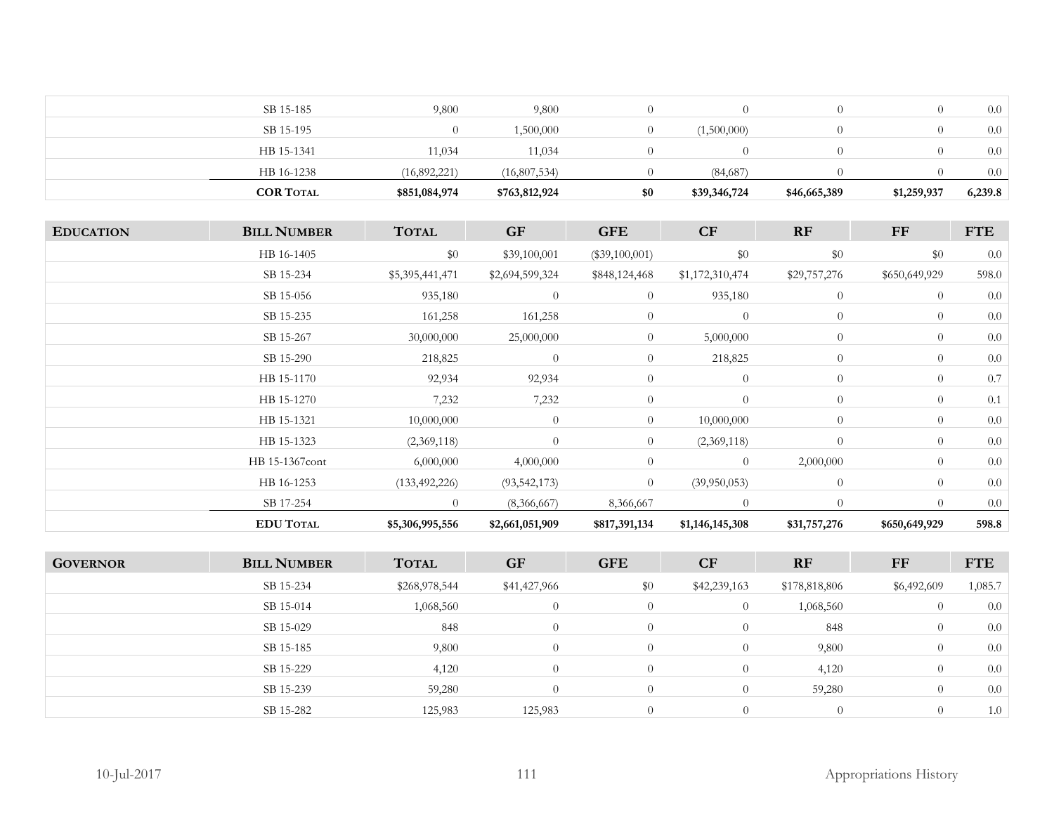| HB 16-1238<br><b>COR TOTAL</b> | (16,892,221)<br>\$851,084,974 | (16,807,534)<br>\$763,812,924 | \$0 | (84,687)<br>\$39,346,724 | \$46,665,389 | \$1,259,937 | 0.0<br>6,239.8 |
|--------------------------------|-------------------------------|-------------------------------|-----|--------------------------|--------------|-------------|----------------|
|                                |                               |                               |     |                          |              |             |                |
| HB 15-1341                     | 11,034                        | 11,034                        |     |                          |              |             | 0.0            |
| SB 15-195                      | $\left( 0 \right)$            | 1,500,000                     |     | (1,500,000)              | 0            |             | $0.0\,$        |
| SB 15-185                      | 9,800                         | 9,800                         |     |                          |              |             | 0.0            |

| <b>EDUCATION</b> | <b>BILL NUMBER</b> | <b>TOTAL</b>    | <b>GF</b>       | <b>GFE</b>       | <b>CF</b>       | <b>RF</b>      | FF             | <b>FTE</b> |
|------------------|--------------------|-----------------|-----------------|------------------|-----------------|----------------|----------------|------------|
|                  | HB 16-1405         | \$0             | \$39,100,001    | $(\$39,100,001)$ | \$0             | $\$0$          | \$0            | 0.0        |
|                  | SB 15-234          | \$5,395,441,471 | \$2,694,599,324 | \$848,124,468    | \$1,172,310,474 | \$29,757,276   | \$650,649,929  | 598.0      |
|                  | SB 15-056          | 935,180         | $\overline{0}$  | $\overline{0}$   | 935,180         | $\theta$       | $\overline{0}$ | 0.0        |
|                  | SB 15-235          | 161,258         | 161,258         | $\overline{0}$   | $\theta$        | $\overline{0}$ | $\overline{0}$ | 0.0        |
|                  | SB 15-267          | 30,000,000      | 25,000,000      | $\overline{0}$   | 5,000,000       | $\overline{0}$ | $\overline{0}$ | 0.0        |
|                  | SB 15-290          | 218,825         | $\overline{0}$  | $\overline{0}$   | 218,825         | $\overline{0}$ | $\overline{0}$ | 0.0        |
|                  | HB 15-1170         | 92,934          | 92,934          | $\overline{0}$   | $\overline{0}$  | $\overline{0}$ | $\overline{0}$ | 0.7        |
|                  | HB 15-1270         | 7,232           | 7,232           | $\overline{0}$   | $\theta$        | $\overline{0}$ | $\overline{0}$ | 0.1        |
|                  | HB 15-1321         | 10,000,000      | $\overline{0}$  | $\overline{0}$   | 10,000,000      | $\overline{0}$ | $\overline{0}$ | 0.0        |
|                  | HB 15-1323         | (2,369,118)     | $\overline{0}$  | $\overline{0}$   | (2,369,118)     | $\theta$       | $\overline{0}$ | 0.0        |
|                  | HB 15-1367cont     | 6,000,000       | 4,000,000       | $\overline{0}$   | $\overline{0}$  | 2,000,000      | $\theta$       | 0.0        |
|                  | HB 16-1253         | (133, 492, 226) | (93, 542, 173)  | $\overline{0}$   | (39,950,053)    | $\overline{0}$ | $\overline{0}$ | 0.0        |
|                  | SB 17-254          | $\overline{0}$  | (8,366,667)     | 8,366,667        | $\theta$        | $\theta$       | $\overline{0}$ | 0.0        |
|                  | <b>EDU TOTAL</b>   | \$5,306,995,556 | \$2,661,051,909 | \$817,391,134    | \$1,146,145,308 | \$31,757,276   | \$650,649,929  | 598.8      |

| <b>GOVERNOR</b> | <b>BILL NUMBER</b> | <b>TOTAL</b>  | <b>GF</b>    | <b>GFE</b> | <b>CF</b>    | <b>RF</b>     | FF          | <b>FTE</b> |
|-----------------|--------------------|---------------|--------------|------------|--------------|---------------|-------------|------------|
|                 | SB 15-234          | \$268,978,544 | \$41,427,966 | \$0        | \$42,239,163 | \$178,818,806 | \$6,492,609 | 1,085.7    |
|                 | SB 15-014          | 1,068,560     | $\theta$     |            | $\theta$     | 1,068,560     | $\left($    | 0.0        |
|                 | SB 15-029          | 848           | $\theta$     | $\Omega$   |              | 848           | $\bigcirc$  | 0.0        |
|                 | SB 15-185          | 9,800         | $\theta$     | $\Omega$   |              | 9,800         | $\Omega$    | 0.0        |
|                 | SB 15-229          | 4,120         | $\Omega$     | $\Omega$   | $\Omega$     | 4,120         | $\Omega$    | 0.0        |
|                 | SB 15-239          | 59,280        | $\Omega$     | $\theta$   | $\theta$     | 59,280        | $\Omega$    | 0.0        |
|                 | SB 15-282          | 125,983       | 125,983      |            |              |               |             | 1.0        |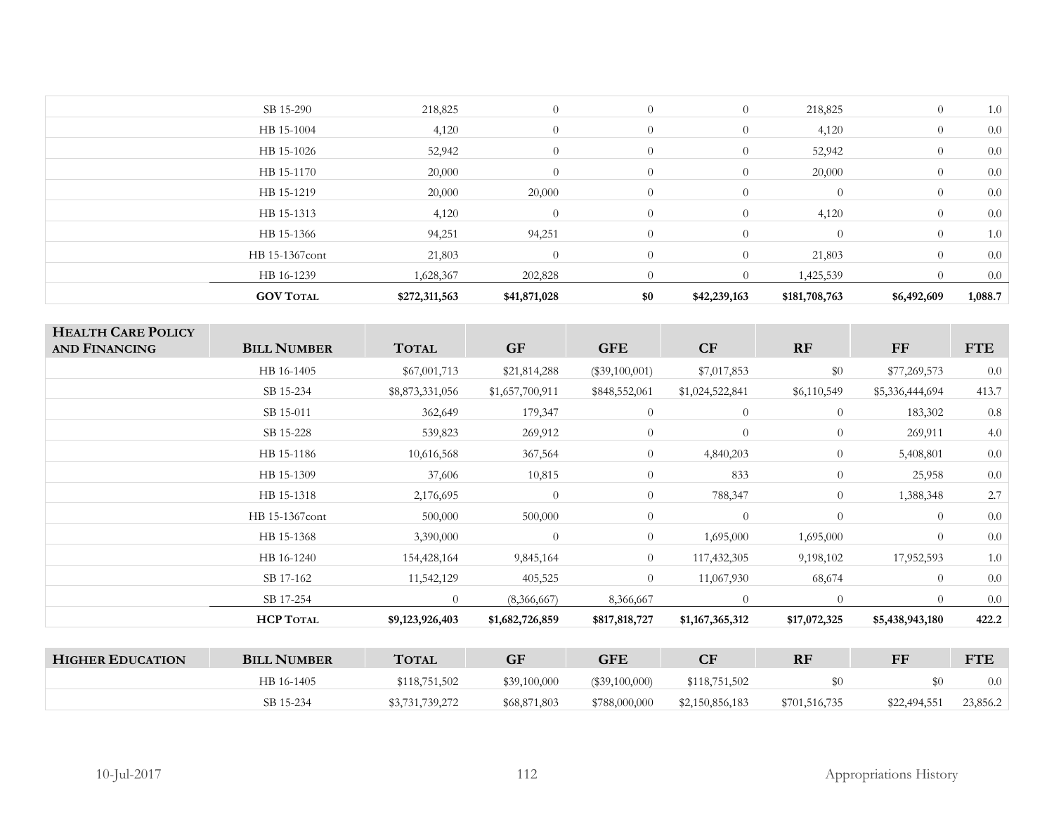| <b>GOV TOTAL</b> | \$272,311,563 | \$41,871,028   | \$0            | \$42,239,163   | \$181,708,763 | \$6,492,609    | 1,088.7 |
|------------------|---------------|----------------|----------------|----------------|---------------|----------------|---------|
| HB 16-1239       | 1,628,367     | 202,828        |                | $\overline{0}$ | 1,425,539     |                | 0.0     |
| HB 15-1367cont   | 21,803        | $\Omega$       | $\overline{0}$ | $\overline{0}$ | 21,803        | $\theta$       | 0.0     |
| HB 15-1366       | 94,251        | 94,251         | $\overline{0}$ | $\overline{0}$ | $\Omega$      | $\overline{0}$ | 1.0     |
| HB 15-1313       | 4,120         | $\theta$       | $\theta$       | $\overline{0}$ | 4,120         | $\theta$       | 0.0     |
| HB 15-1219       | 20,000        | 20,000         | $\Omega$       | $\overline{0}$ | $\Omega$      | $\theta$       | 0.0     |
| HB 15-1170       | 20,000        | $\overline{0}$ | $\theta$       | $\overline{0}$ | 20,000        | $\overline{0}$ | 0.0     |
| HB 15-1026       | 52,942        | $\theta$       |                | $\overline{0}$ | 52,942        | $\theta$       | 0.0     |
| HB 15-1004       | 4,120         | $\theta$       |                | $\overline{0}$ | 4,120         | $\overline{0}$ | 0.0     |
| SB 15-290        | 218,825       | $\overline{0}$ | $\overline{0}$ | $\overline{0}$ | 218,825       | $\overline{0}$ | 1.0     |
|                  |               |                |                |                |               |                |         |

| <b>HEALTH CARE POLICY</b><br><b>AND FINANCING</b> | <b>BILL NUMBER</b> | <b>TOTAL</b>    | <b>GF</b>       | <b>GFE</b>       | CF              | RF             | FF              | <b>FTE</b> |
|---------------------------------------------------|--------------------|-----------------|-----------------|------------------|-----------------|----------------|-----------------|------------|
|                                                   | HB 16-1405         | \$67,001,713    | \$21,814,288    | $(\$39,100,001)$ | \$7,017,853     | \$0            | \$77,269,573    | 0.0        |
|                                                   | SB 15-234          | \$8,873,331,056 | \$1,657,700,911 | \$848,552,061    | \$1,024,522,841 | \$6,110,549    | \$5,336,444,694 | 413.7      |
|                                                   | SB 15-011          | 362,649         | 179,347         | $\overline{0}$   | $\overline{0}$  | $\overline{0}$ | 183,302         | $0.8\,$    |
|                                                   | SB 15-228          | 539,823         | 269,912         | $\overline{0}$   | $\theta$        | $\overline{0}$ | 269,911         | 4.0        |
|                                                   | HB 15-1186         | 10,616,568      | 367,564         | $\overline{0}$   | 4,840,203       | $\theta$       | 5,408,801       | $0.0\,$    |
|                                                   | HB 15-1309         | 37,606          | 10,815          | $\overline{0}$   | 833             | $\Omega$       | 25,958          | 0.0        |
|                                                   | HB 15-1318         | 2,176,695       | $\Omega$        | $\overline{0}$   | 788,347         | $\theta$       | 1,388,348       | 2.7        |
|                                                   | HB 15-1367cont     | 500,000         | 500,000         | $\overline{0}$   | $\theta$        | $\theta$       | $\Omega$        | 0.0        |
|                                                   | HB 15-1368         | 3,390,000       | $\theta$        | $\overline{0}$   | 1,695,000       | 1,695,000      | $\theta$        | 0.0        |
|                                                   | HB 16-1240         | 154,428,164     | 9,845,164       | 0                | 117,432,305     | 9,198,102      | 17,952,593      | 1.0        |
|                                                   | SB 17-162          | 11,542,129      | 405,525         | $\overline{0}$   | 11,067,930      | 68,674         | $\overline{0}$  | 0.0        |
|                                                   | SB 17-254          | $\theta$        | (8,366,667)     | 8,366,667        | $\overline{0}$  | $\overline{0}$ | $\Omega$        | 0.0        |
|                                                   | <b>HCP TOTAL</b>   | \$9,123,926,403 | \$1,682,726,859 | \$817,818,727    | \$1,167,365,312 | \$17,072,325   | \$5,438,943,180 | 422.2      |
|                                                   |                    |                 |                 |                  |                 |                |                 |            |
| <b>HIGHER EDUCATION</b>                           | <b>BILL NUMBER</b> | <b>TOTAL</b>    | <b>GF</b>       | <b>GFE</b>       | CF              | RF             | FF              | <b>FTE</b> |
|                                                   | HB 16-1405         | \$118,751,502   | \$39,100,000    | $(\$39,100,000)$ | \$118,751,502   | \$0            | \$0             | 0.0        |
|                                                   | SB 15-234          | \$3,731,739,272 | \$68,871,803    | \$788,000,000    | \$2,150,856,183 | \$701,516,735  | \$22,494,551    | 23,856.2   |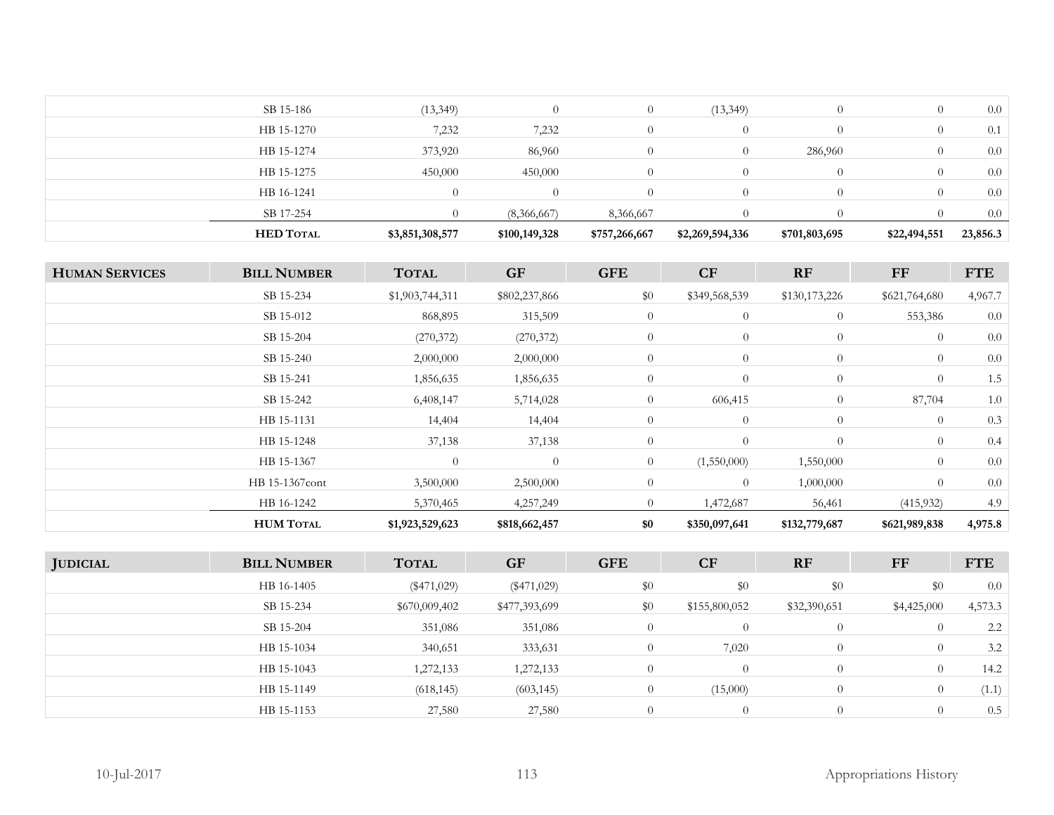| SB 15-186        | (13, 349)       | $\Omega$      | $\Omega$      | (13,349)         | $\Omega$      |              | 0.0      |
|------------------|-----------------|---------------|---------------|------------------|---------------|--------------|----------|
| HB 15-1270       | 7,232           | 7,232         | $\Omega$      | $\cup$           | $\Omega$      |              | 0.1      |
| HB 15-1274       | 373,920         | 86,960        | $\Omega$      | U                | 286,960       |              | 0.0      |
| HB 15-1275       | 450,000         | 450,000       | $\Omega$      | $\theta$         | $\Omega$      |              | 0.0      |
| HB 16-1241       | $\Omega$        | $\bigcap$     | $\theta$      | $\left( \right)$ | $\Omega$      |              | 0.0      |
| SB 17-254        |                 | (8,366,667)   | 8,366,667     |                  | $\Omega$      |              | 0.0      |
| <b>HED TOTAL</b> | \$3,851,308,577 | \$100,149,328 | \$757,266,667 | \$2,269,594,336  | \$701,803,695 | \$22,494,551 | 23,856.3 |

| <b>HUMAN SERVICES</b> | <b>BILL NUMBER</b> | <b>TOTAL</b>    | <b>GF</b>     | <b>GFE</b>     | CF             | RF             | FF             | <b>FTE</b> |
|-----------------------|--------------------|-----------------|---------------|----------------|----------------|----------------|----------------|------------|
|                       | SB 15-234          | \$1,903,744,311 | \$802,237,866 | \$0            | \$349,568,539  | \$130,173,226  | \$621,764,680  | 4,967.7    |
|                       | SB 15-012          | 868,895         | 315,509       | $\overline{0}$ | $\overline{0}$ | $\overline{0}$ | 553,386        | 0.0        |
|                       | SB 15-204          | (270, 372)      | (270,372)     | $\overline{0}$ | $\theta$       | $\overline{0}$ | $\overline{0}$ | 0.0        |
|                       | SB 15-240          | 2,000,000       | 2,000,000     | $\overline{0}$ | $\theta$       | $\theta$       | $\overline{0}$ | 0.0        |
|                       | SB 15-241          | 1,856,635       | 1,856,635     | $\overline{0}$ | $\theta$       | $\overline{0}$ | $\overline{0}$ | 1.5        |
|                       | SB 15-242          | 6,408,147       | 5,714,028     | $\overline{0}$ | 606,415        | $\overline{0}$ | 87,704         | 1.0        |
|                       | HB 15-1131         | 14,404          | 14,404        | $\overline{0}$ | $\theta$       | $\overline{0}$ | $\overline{0}$ | 0.3        |
|                       | HB 15-1248         | 37,138          | 37,138        | $\overline{0}$ | $\theta$       | $\theta$       | $\overline{0}$ | 0.4        |
|                       | HB 15-1367         | $\overline{0}$  | $\theta$      | $\overline{0}$ | (1,550,000)    | 1,550,000      | $\overline{0}$ | 0.0        |
|                       | HB 15-1367cont     | 3,500,000       | 2,500,000     | $\overline{0}$ | $\theta$       | 1,000,000      | $\overline{0}$ | 0.0        |
|                       | HB 16-1242         | 5,370,465       | 4,257,249     | $\overline{0}$ | 1,472,687      | 56,461         | (415, 932)     | 4.9        |
|                       | <b>HUM TOTAL</b>   | \$1,923,529,623 | \$818,662,457 | \$0            | \$350,097,641  | \$132,779,687  | \$621,989,838  | 4,975.8    |

| <b>JUDICIAL</b> | <b>BILL NUMBER</b> | <b>TOTAL</b>  | <b>GF</b>     | <b>GFE</b>     | CF            | RF           | FF                 | <b>FTE</b> |
|-----------------|--------------------|---------------|---------------|----------------|---------------|--------------|--------------------|------------|
|                 | HB 16-1405         | $(\$471,029)$ | $(\$471,029)$ | \$0            | \$0           | \$0          | \$0                | 0.0        |
|                 | SB 15-234          | \$670,009,402 | \$477,393,699 | \$0            | \$155,800,052 | \$32,390,651 | \$4,425,000        | 4,573.3    |
|                 | SB 15-204          | 351,086       | 351,086       | $\theta$       | $\theta$      | $\Omega$     | 0                  | 2.2        |
|                 | HB 15-1034         | 340,651       | 333,631       | $\overline{0}$ | 7,020         | $\sqrt{ }$   | $\sigma$           | 3.2        |
|                 | HB 15-1043         | 1,272,133     | 1,272,133     | $\Omega$       | $\Omega$      | $\Omega$     | $\left($           | 14.2       |
|                 | HB 15-1149         | (618, 145)    | (603, 145)    | $\Omega$       | (15,000)      | $\theta$     | $\left( 0 \right)$ | (1.1)      |
|                 | HB 15-1153         | 27,580        | 27,580        | $\Omega$       | $\Omega$      | $\theta$     | 0                  | 0.5        |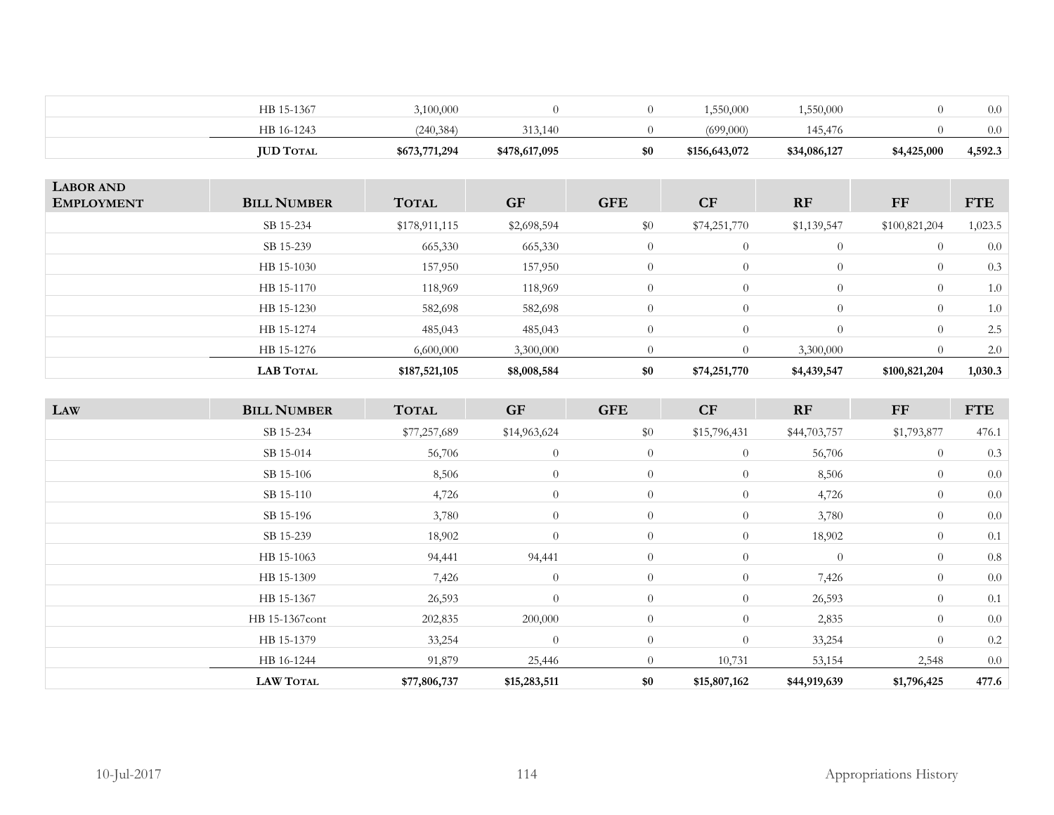| HB 16-1243       | (240, 384)    | 313,140       |     | (699,000)     | 145.476      |             | 0.0     |
|------------------|---------------|---------------|-----|---------------|--------------|-------------|---------|
| <b>JUD TOTAL</b> | \$673,771,294 | \$478,617,095 | \$0 | \$156,643,072 | \$34,086,127 | \$4,425,000 | 4,592.3 |

| <b>LABOR AND</b><br><b>EMPLOYMENT</b> | <b>BILL NUMBER</b> | <b>TOTAL</b>  | <b>GF</b>   | <b>GFE</b>     | CF           | <b>RF</b>   | FF             | <b>FTE</b> |
|---------------------------------------|--------------------|---------------|-------------|----------------|--------------|-------------|----------------|------------|
|                                       | SB 15-234          | \$178,911,115 | \$2,698,594 | \$0            | \$74,251,770 | \$1,139,547 | \$100,821,204  | 1,023.5    |
|                                       | SB 15-239          | 665,330       | 665,330     | $\overline{0}$ | $\theta$     | $\theta$    | $\Omega$       | 0.0        |
|                                       | HB 15-1030         | 157,950       | 157,950     | $\overline{0}$ | $\theta$     | $\theta$    | $\overline{0}$ | 0.3        |
|                                       | HB 15-1170         | 118,969       | 118,969     | $\overline{0}$ | $\theta$     | $\theta$    | $\overline{0}$ | 1.0        |
|                                       | HB 15-1230         | 582,698       | 582,698     | $\overline{0}$ | $\Omega$     | $\theta$    | $\overline{0}$ | 1.0        |
|                                       | HB 15-1274         | 485,043       | 485,043     | $\overline{0}$ | $\Omega$     | $\Omega$    | $\overline{0}$ | 2.5        |
|                                       | HB 15-1276         | 6,600,000     | 3,300,000   | $\overline{0}$ | $\Omega$     | 3,300,000   |                | 2.0        |
|                                       | <b>LAB TOTAL</b>   | \$187,521,105 | \$8,008,584 | \$0            | \$74,251,770 | \$4,439,547 | \$100,821,204  | 1,030.3    |

| LAW | <b>BILL NUMBER</b> | <b>TOTAL</b> | <b>GF</b>      | <b>GFE</b>     | CF             | RF           | <b>FF</b>      | <b>FTE</b> |
|-----|--------------------|--------------|----------------|----------------|----------------|--------------|----------------|------------|
|     | SB 15-234          | \$77,257,689 | \$14,963,624   | \$0            | \$15,796,431   | \$44,703,757 | \$1,793,877    | 476.1      |
|     | SB 15-014          | 56,706       | $\theta$       | $\overline{0}$ | $\overline{0}$ | 56,706       | $\overline{0}$ | 0.3        |
|     | SB 15-106          | 8,506        | $\overline{0}$ | $\overline{0}$ | $\overline{0}$ | 8,506        | $\overline{0}$ | 0.0        |
|     | SB 15-110          | 4,726        | $\theta$       | $\overline{0}$ | $\overline{0}$ | 4,726        | $\overline{0}$ | 0.0        |
|     | SB 15-196          | 3,780        | $\theta$       | $\overline{0}$ | $\overline{0}$ | 3,780        | $\overline{0}$ | 0.0        |
|     | SB 15-239          | 18,902       | $\theta$       | $\theta$       | $\overline{0}$ | 18,902       | $\overline{0}$ | 0.1        |
|     | HB 15-1063         | 94,441       | 94,441         | $\overline{0}$ | $\overline{0}$ | $\Omega$     | $\overline{0}$ | 0.8        |
|     | HB 15-1309         | 7,426        | $\overline{0}$ | $\overline{0}$ | $\overline{0}$ | 7,426        | $\overline{0}$ | 0.0        |
|     | HB 15-1367         | 26,593       | $\theta$       | $\overline{0}$ | $\overline{0}$ | 26,593       | $\overline{0}$ | 0.1        |
|     | HB 15-1367cont     | 202,835      | 200,000        | $\theta$       | $\overline{0}$ | 2,835        | $\overline{0}$ | 0.0        |
|     | HB 15-1379         | 33,254       | $\theta$       | $\theta$       | $\overline{0}$ | 33,254       | $\overline{0}$ | 0.2        |
|     | HB 16-1244         | 91,879       | 25,446         | $\overline{0}$ | 10,731         | 53,154       | 2,548          | 0.0        |
|     | <b>LAW TOTAL</b>   | \$77,806,737 | \$15,283,511   | \$0            | \$15,807,162   | \$44,919,639 | \$1,796,425    | 477.6      |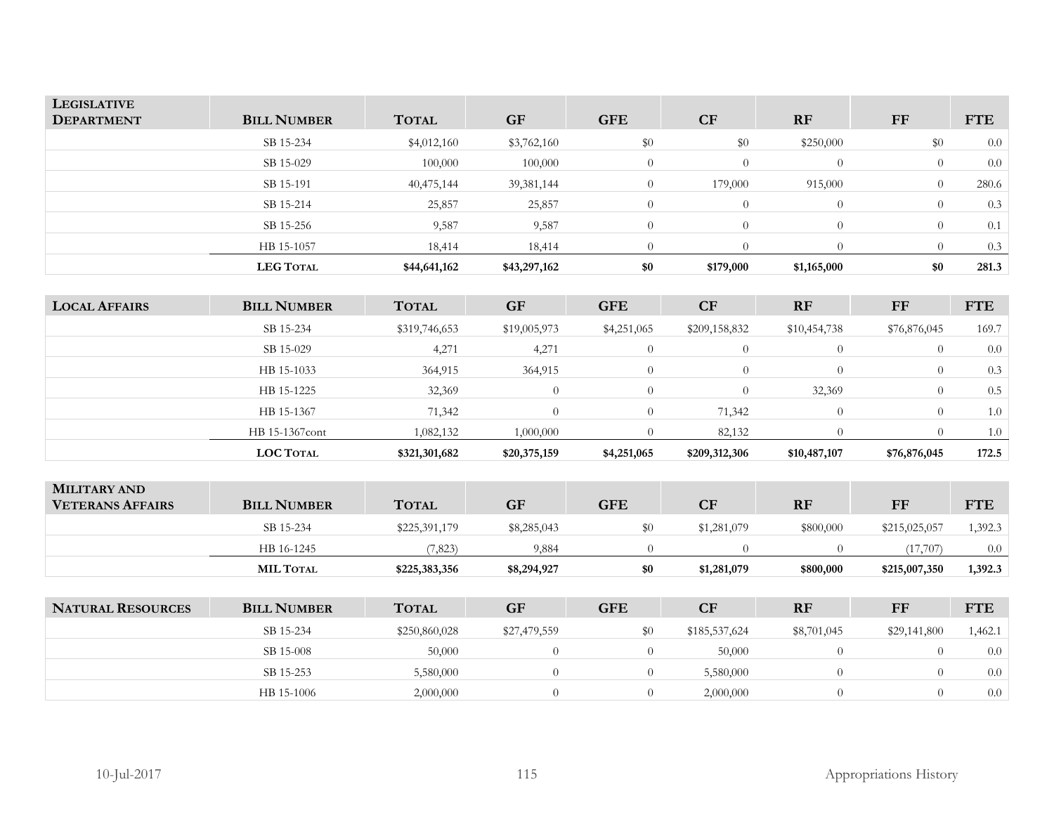| <b>LEGISLATIVE</b><br><b>DEPARTMENT</b> | <b>BILL NUMBER</b> | <b>TOTAL</b> | <b>GF</b>    | <b>GFE</b> | CF             | <b>RF</b>   | FF       | <b>FTE</b> |
|-----------------------------------------|--------------------|--------------|--------------|------------|----------------|-------------|----------|------------|
|                                         | SB 15-234          | \$4,012,160  | \$3,762,160  | \$0        | \$0            | \$250,000   | \$0      | 0.0        |
|                                         | SB 15-029          | 100,000      | 100,000      |            | $\overline{0}$ | $\Omega$    |          | 0.0        |
|                                         | SB 15-191          | 40,475,144   | 39, 381, 144 |            | 179,000        | 915,000     |          | 280.6      |
|                                         | SB 15-214          | 25,857       | 25,857       |            | $\overline{0}$ | $\Omega$    | $\Omega$ | 0.3        |
|                                         | SB 15-256          | 9,587        | 9,587        | 0          | $\overline{0}$ | $\Omega$    |          | 0.1        |
|                                         | HB 15-1057         | 18,414       | 18,414       |            |                | $\Omega$    |          | 0.3        |
|                                         | <b>LEG TOTAL</b>   | \$44,641,162 | \$43,297,162 | \$0        | \$179,000      | \$1,165,000 | \$0      | 281.3      |

| <b>LOCAL AFFAIRS</b> | <b>BILL NUMBER</b> | <b>TOTAL</b>  | <b>GF</b>    | <b>GFE</b>  | <b>CF</b>     | <b>RF</b>    | FF           | <b>FTE</b> |
|----------------------|--------------------|---------------|--------------|-------------|---------------|--------------|--------------|------------|
|                      | SB 15-234          | \$319,746,653 | \$19,005,973 | \$4,251,065 | \$209,158,832 | \$10,454,738 | \$76,876,045 | 169.7      |
|                      | SB 15-029          | 4,271         | 4,271        |             | $\Omega$      |              | $\Omega$     | 0.0        |
|                      | HB 15-1033         | 364,915       | 364,915      |             |               |              | $\theta$     | 0.3        |
|                      | HB 15-1225         | 32,369        | $\Omega$     |             | $\Omega$      | 32,369       | $\Omega$     | 0.5        |
|                      | HB 15-1367         | 71,342        | $\Omega$     |             | 71,342        |              | $\theta$     | 1.0        |
|                      | HB 15-1367cont     | 1,082,132     | 1,000,000    |             | 82,132        |              |              | 1.0        |
|                      | <b>LOC TOTAL</b>   | \$321,301,682 | \$20,375,159 | \$4,251,065 | \$209,312,306 | \$10,487,107 | \$76,876,045 | 172.5      |

| <b>MILITARY AND</b><br><b>VETERANS AFFAIRS</b> | <b>BILL NUMBER</b> | <b>TOTAL</b>  | <b>GF</b>   | GFE | CF          | <b>RF</b> | FF            | <b>FTE</b> |
|------------------------------------------------|--------------------|---------------|-------------|-----|-------------|-----------|---------------|------------|
|                                                | SB 15-234          | \$225,391,179 | \$8,285,043 | \$0 | \$1,281,079 | \$800,000 | \$215,025,057 | 1,392.3    |
|                                                | HB 16-1245         | (7,823)       | 9,884       |     |             |           | (17,707)      | 0.0        |
|                                                | <b>MIL TOTAL</b>   | \$225,383,356 | \$8,294,927 | \$0 | \$1,281,079 | \$800,000 | \$215,007,350 | 1,392.3    |

| <b>NATURAL RESOURCES</b> | <b>BILL NUMBER</b> | <b>TOTAL</b>  | <b>GF</b>    | <b>GFE</b> | <b>CF</b>     | <b>RF</b>   | FF           | <b>FTE</b> |
|--------------------------|--------------------|---------------|--------------|------------|---------------|-------------|--------------|------------|
|                          | SB 15-234          | \$250,860,028 | \$27,479,559 | \$0        | \$185,537,624 | \$8,701,045 | \$29,141,800 | 1,462.1    |
|                          | SB 15-008          | 50,000        |              |            | 50,000        |             |              | 0.0        |
|                          | SB 15-253          | 5,580,000     |              |            | 5,580,000     |             |              | 0.0        |
|                          | HB 15-1006         | 2,000,000     |              |            | 2,000,000     |             |              | 0.0        |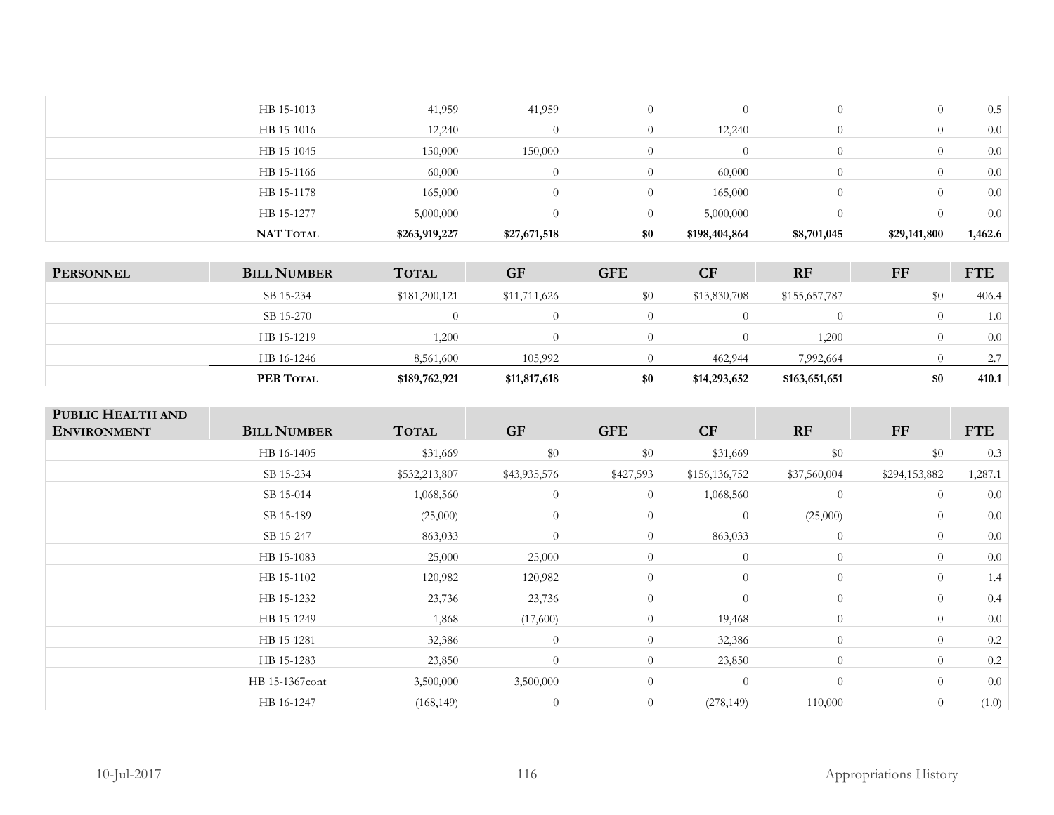| HB 15-1013<br>41,959<br>41,959<br>$\Omega$<br>0.5<br>$\Omega$<br>HB 15-1016<br>12,240<br>0.0<br>$\Omega$<br>$\overline{0}$<br>12,240<br>$\Omega$<br>150,000<br>HB 15-1045<br>0.0<br>150,000<br>$\Omega$<br>$\Omega$<br>0.0<br>HB 15-1166<br>60,000<br>$\Omega$<br>$\Omega$<br>60,000<br>$\Omega$<br>165,000<br>165,000<br>0.0<br>HB 15-1178<br>$\overline{0}$<br>$\Omega$<br>$\Omega$<br>HB 15-1277<br>5,000,000<br>5,000,000<br>0.0<br>0. | <b>NAT TOTAL</b> | \$263,919,227 | \$27,671,518 | \$0 | \$198,404,864 | \$8,701,045 | \$29,141,800 | 1,462.6 |
|--------------------------------------------------------------------------------------------------------------------------------------------------------------------------------------------------------------------------------------------------------------------------------------------------------------------------------------------------------------------------------------------------------------------------------------------|------------------|---------------|--------------|-----|---------------|-------------|--------------|---------|
|                                                                                                                                                                                                                                                                                                                                                                                                                                            |                  |               |              |     |               |             |              |         |
|                                                                                                                                                                                                                                                                                                                                                                                                                                            |                  |               |              |     |               |             |              |         |
|                                                                                                                                                                                                                                                                                                                                                                                                                                            |                  |               |              |     |               |             |              |         |
|                                                                                                                                                                                                                                                                                                                                                                                                                                            |                  |               |              |     |               |             |              |         |
|                                                                                                                                                                                                                                                                                                                                                                                                                                            |                  |               |              |     |               |             |              |         |
|                                                                                                                                                                                                                                                                                                                                                                                                                                            |                  |               |              |     |               |             |              |         |

| <b>PERSONNEL</b> | <b>BILL NUMBER</b> | <b>TOTAL</b>  | <b>GF</b>    | <b>GFE</b> | <b>CF</b>    | <b>RF</b>     | FF  | <b>FTE</b> |
|------------------|--------------------|---------------|--------------|------------|--------------|---------------|-----|------------|
|                  | SB 15-234          | \$181,200,121 | \$11,711,626 | \$0        | \$13,830,708 | \$155,657,787 | \$0 | 406.4      |
|                  | SB 15-270          |               | $\Omega$     |            |              |               |     | 1.0        |
|                  | HB 15-1219         | 1,200         | $\Omega$     |            |              | 1,200         |     | 0.0        |
|                  | HB 16-1246         | 8,561,600     | 105,992      |            | 462,944      | 7,992,664     |     | 2.7        |
|                  | PER TOTAL          | \$189,762,921 | \$11,817,618 | \$0        | \$14,293,652 | \$163,651,651 | \$0 | 410.1      |

| PUBLIC HEALTH AND<br><b>ENVIRONMENT</b> | <b>BILL NUMBER</b> | <b>TOTAL</b>  | <b>GF</b>      | <b>GFE</b>     | CF             | RF             | FF             | <b>FTE</b> |
|-----------------------------------------|--------------------|---------------|----------------|----------------|----------------|----------------|----------------|------------|
|                                         | HB 16-1405         | \$31,669      | \$0            | \$0            | \$31,669       | \$0            | \$0            | 0.3        |
|                                         | SB 15-234          | \$532,213,807 | \$43,935,576   | \$427,593      | \$156,136,752  | \$37,560,004   | \$294,153,882  | 1,287.1    |
|                                         | SB 15-014          | 1,068,560     | $\overline{0}$ | $\overline{0}$ | 1,068,560      | $\overline{0}$ | $\overline{0}$ | 0.0        |
|                                         | SB 15-189          | (25,000)      | $\overline{0}$ | $\overline{0}$ | $\overline{0}$ | (25,000)       | $\overline{0}$ | 0.0        |
|                                         | SB 15-247          | 863,033       | $\overline{0}$ | $\overline{0}$ | 863,033        | $\overline{0}$ | $\overline{0}$ | 0.0        |
|                                         | HB 15-1083         | 25,000        | 25,000         | $\overline{0}$ | $\theta$       | $\overline{0}$ | $\overline{0}$ | 0.0        |
|                                         | HB 15-1102         | 120,982       | 120,982        | $\overline{0}$ | $\theta$       | $\overline{0}$ | $\overline{0}$ | 1.4        |
|                                         | HB 15-1232         | 23,736        | 23,736         | $\overline{0}$ | $\theta$       | $\overline{0}$ | $\overline{0}$ | 0.4        |
|                                         | HB 15-1249         | 1,868         | (17,600)       | $\overline{0}$ | 19,468         | $\overline{0}$ | $\overline{0}$ | 0.0        |
|                                         | HB 15-1281         | 32,386        | $\theta$       | $\overline{0}$ | 32,386         | $\overline{0}$ | $\theta$       | 0.2        |
|                                         | HB 15-1283         | 23,850        | $\theta$       | $\overline{0}$ | 23,850         | $\overline{0}$ | $\theta$       | 0.2        |
|                                         | HB 15-1367cont     | 3,500,000     | 3,500,000      | $\overline{0}$ | $\theta$       | $\overline{0}$ | $\theta$       | 0.0        |
|                                         | HB 16-1247         | (168, 149)    | $\theta$       | $\overline{0}$ | (278, 149)     | 110,000        | $\theta$       | (1.0)      |
|                                         |                    |               |                |                |                |                |                |            |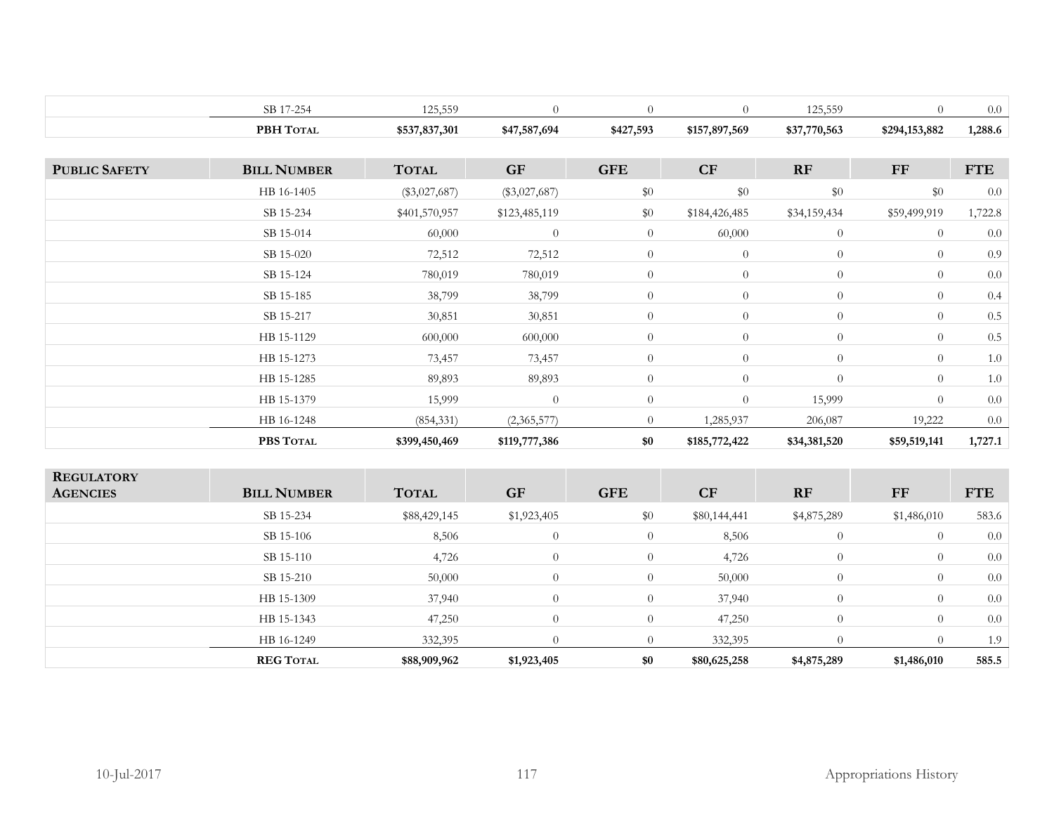|                      | SB 17-254          | 125,559         | $\overline{0}$  | $\overline{0}$ | $\overline{0}$   | 125,559        | $\overline{0}$ | $0.0\,$    |
|----------------------|--------------------|-----------------|-----------------|----------------|------------------|----------------|----------------|------------|
|                      | PBH TOTAL          | \$537,837,301   | \$47,587,694    | \$427,593      | \$157,897,569    | \$37,770,563   | \$294,153,882  | 1,288.6    |
|                      |                    |                 |                 |                |                  |                |                |            |
| <b>PUBLIC SAFETY</b> | <b>BILL NUMBER</b> | <b>TOTAL</b>    | <b>GF</b>       | <b>GFE</b>     | CF               | RF             | $\bf FF$       | <b>FTE</b> |
|                      | HB 16-1405         | $(\$3,027,687)$ | $(\$3,027,687)$ | $\$0$          | $\$0$            | $\$0$          | \$0            | 0.0        |
|                      | SB 15-234          | \$401,570,957   | \$123,485,119   | \$0            | \$184,426,485    | \$34,159,434   | \$59,499,919   | 1,722.8    |
|                      | SB 15-014          | 60,000          | $\theta$        | $\overline{0}$ | 60,000           | $\overline{0}$ | $\overline{0}$ | $0.0\,$    |
|                      | SB 15-020          | 72,512          | 72,512          | $\overline{0}$ | $\theta$         | $\overline{0}$ | $\overline{0}$ | 0.9        |
|                      | SB 15-124          | 780,019         | 780,019         | $\overline{0}$ | $\overline{0}$   | $\overline{0}$ | $\overline{0}$ | $0.0\,$    |
|                      | SB 15-185          | 38,799          | 38,799          | $\overline{0}$ | $\theta$         | $\overline{0}$ | $\overline{0}$ | 0.4        |
|                      | SB 15-217          | 30,851          | 30,851          | $\overline{0}$ | $\theta$         | $\overline{0}$ | $\theta$       | $0.5\,$    |
|                      | HB 15-1129         | 600,000         | 600,000         | $\overline{0}$ | $\overline{0}$   | $\overline{0}$ | $\overline{0}$ | $0.5\,$    |
|                      | HB 15-1273         | 73,457          | 73,457          | $\overline{0}$ | $\overline{0}$   | $\overline{0}$ | $\theta$       | $1.0\,$    |
|                      | HB 15-1285         | 89,893          | 89,893          | $\overline{0}$ | $\boldsymbol{0}$ | $\overline{0}$ | $\overline{0}$ | $1.0\,$    |
|                      | HB 15-1379         | 15,999          | $\overline{0}$  | $\theta$       | $\overline{0}$   | 15,999         | $\theta$       | $0.0\,$    |
|                      | HB 16-1248         | (854, 331)      | (2,365,577)     | $\overline{0}$ | 1,285,937        | 206,087        | 19,222         | $0.0\,$    |
|                      | PBS TOTAL          | \$399,450,469   | \$119,777,386   | \$0            | \$185,772,422    | \$34,381,520   | \$59,519,141   | 1,727.1    |
|                      |                    |                 |                 |                |                  |                |                |            |
| <b>REGULATORY</b>    |                    |                 |                 |                |                  |                |                |            |
| <b>AGENCIES</b>      | <b>BILL NUMBER</b> | <b>TOTAL</b>    | <b>GF</b>       | <b>GFE</b>     | CF               | RF             | <b>FF</b>      | <b>FTE</b> |
|                      | SB 15-234          | \$88,429,145    | \$1,923,405     | $\$0$          | \$80,144,441     | \$4,875,289    | \$1,486,010    | 583.6      |
|                      | SB 15-106          | 8,506           | $\theta$        | $\overline{0}$ | 8,506            | $\overline{0}$ | $\overline{0}$ | $0.0\,$    |
|                      | SB 15-110          | 4,726           | $\theta$        | $\overline{0}$ | 4,726            | $\overline{0}$ | $\theta$       | 0.0        |
|                      | SB 15-210          | 50,000          | $\theta$        | $\overline{0}$ | 50,000           | $\overline{0}$ | $\overline{0}$ | 0.0        |
|                      | HB 15-1309         | 37,940          | $\theta$        | $\overline{0}$ | 37,940           | $\overline{0}$ | $\overline{0}$ | 0.0        |
|                      | HB 15-1343         | 47,250          | $\theta$        | $\theta$       | 47,250           | $\overline{0}$ | $\theta$       | $0.0\,$    |
|                      | HB 16-1249         | 332,395         | $\theta$        | $\overline{0}$ | 332,395          | $\overline{0}$ | $\overline{0}$ | 1.9        |
|                      | <b>REG TOTAL</b>   | \$88,909,962    | \$1,923,405     | \$0            | \$80,625,258     | \$4,875,289    | \$1,486,010    | 585.5      |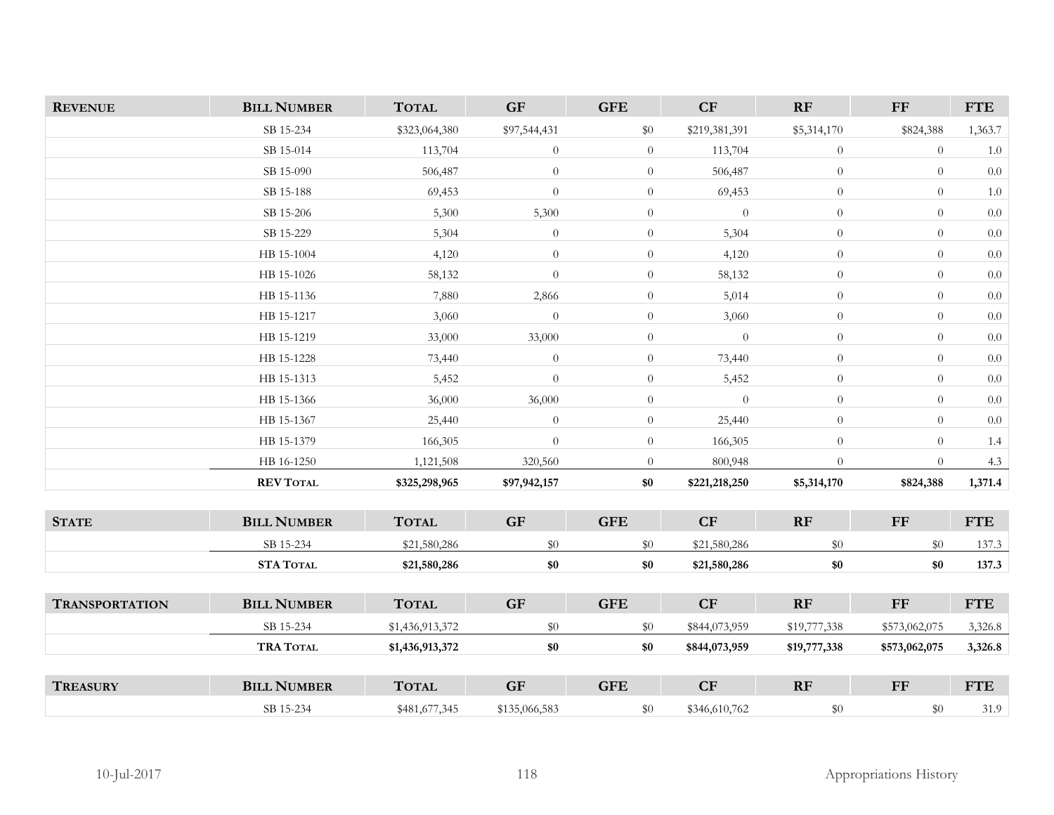| <b>REVENUE</b>        | <b>BILL NUMBER</b> | <b>TOTAL</b>    | GF                     | <b>GFE</b>     | CF             | RF             | $\bf FF$       | <b>FTE</b> |
|-----------------------|--------------------|-----------------|------------------------|----------------|----------------|----------------|----------------|------------|
|                       | SB 15-234          | \$323,064,380   | \$97,544,431           | \$0            | \$219,381,391  | \$5,314,170    | \$824,388      | 1,363.7    |
|                       | SB 15-014          | 113,704         | $\boldsymbol{0}$       | $\overline{0}$ | 113,704        | $\theta$       | $\overline{0}$ | $1.0\,$    |
|                       | SB 15-090          | 506,487         | $\theta$               | $\overline{0}$ | 506,487        | $\overline{0}$ | $\theta$       | 0.0        |
|                       | SB 15-188          | 69,453          | $\overline{0}$         | $\overline{0}$ | 69,453         | $\overline{0}$ | $\theta$       | $1.0\,$    |
|                       | SB 15-206          | 5,300           | 5,300                  | $\overline{0}$ | $\overline{0}$ | $\overline{0}$ | $\theta$       | $0.0\,$    |
|                       | SB 15-229          | 5,304           | $\theta$               | $\overline{0}$ | 5,304          | $\theta$       | $\theta$       | $0.0\,$    |
|                       | HB 15-1004         | 4,120           | $\theta$               | $\overline{0}$ | 4,120          | $\overline{0}$ | $\overline{0}$ | 0.0        |
|                       | HB 15-1026         | 58,132          | $\theta$               | $\overline{0}$ | 58,132         | $\overline{0}$ | $\theta$       | 0.0        |
|                       | HB 15-1136         | 7,880           | 2,866                  | $\overline{0}$ | 5,014          | $\overline{0}$ | $\overline{0}$ | 0.0        |
|                       | HB 15-1217         | 3,060           | $\theta$               | $\overline{0}$ | 3,060          | $\overline{0}$ | $\theta$       | $0.0\,$    |
|                       | HB 15-1219         | 33,000          | 33,000                 | $\overline{0}$ | $\theta$       | $\overline{0}$ | $\overline{0}$ | 0.0        |
|                       | HB 15-1228         | 73,440          | $\theta$               | $\overline{0}$ | 73,440         | $\overline{0}$ | $\theta$       | $0.0\,$    |
|                       | HB 15-1313         | 5,452           | $\theta$               | $\overline{0}$ | 5,452          | $\overline{0}$ | $\overline{0}$ | 0.0        |
|                       | HB 15-1366         | 36,000          | 36,000                 | $\overline{0}$ | $\overline{0}$ | $\overline{0}$ | $\theta$       | $0.0\,$    |
|                       | HB 15-1367         | 25,440          | $\overline{0}$         | $\overline{0}$ | 25,440         | $\overline{0}$ | $\overline{0}$ | 0.0        |
|                       | HB 15-1379         | 166,305         | $\theta$               | $\overline{0}$ | 166,305        | $\overline{0}$ | $\theta$       | 1.4        |
|                       | HB 16-1250         | 1,121,508       | 320,560                | $\overline{0}$ | 800,948        | $\overline{0}$ | $\theta$       | 4.3        |
|                       | <b>REV TOTAL</b>   | \$325,298,965   | \$97,942,157           | \$0            | \$221,218,250  | \$5,314,170    | \$824,388      | 1,371.4    |
|                       |                    |                 |                        |                |                |                |                |            |
| <b>STATE</b>          | <b>BILL NUMBER</b> | <b>TOTAL</b>    | GF                     | <b>GFE</b>     | CF             | RF             | $\bf FF$       | <b>FTE</b> |
|                       | SB 15-234          | \$21,580,286    | \$0                    | \$0            | \$21,580,286   | $\$0$          | \$0            | 137.3      |
|                       | <b>STA TOTAL</b>   | \$21,580,286    | \$0                    | \$0            | \$21,580,286   | \$0            | \$0            | 137.3      |
|                       |                    |                 |                        |                |                |                |                |            |
| <b>TRANSPORTATION</b> | <b>BILL NUMBER</b> | <b>TOTAL</b>    | $\mathbf{G}\mathbf{F}$ | <b>GFE</b>     | CF             | RF             | $\bf FF$       | <b>FTE</b> |
|                       | SB 15-234          | \$1,436,913,372 | \$0                    | \$0            | \$844,073,959  | \$19,777,338   | \$573,062,075  | 3,326.8    |
|                       | <b>TRA TOTAL</b>   | \$1,436,913,372 | \$0                    | \$0            | \$844,073,959  | \$19,777,338   | \$573,062,075  | 3,326.8    |
|                       |                    |                 |                        |                |                |                |                |            |
| <b>TREASURY</b>       | <b>BILL NUMBER</b> | <b>TOTAL</b>    | $\mathbf{G}\mathbf{F}$ | <b>GFE</b>     | CF             | RF             | $\mathbf{F}$   | <b>FTE</b> |
|                       | SB 15-234          | \$481,677,345   | \$135,066,583          | \$0            | \$346,610,762  | \$0            | \$0            | 31.9       |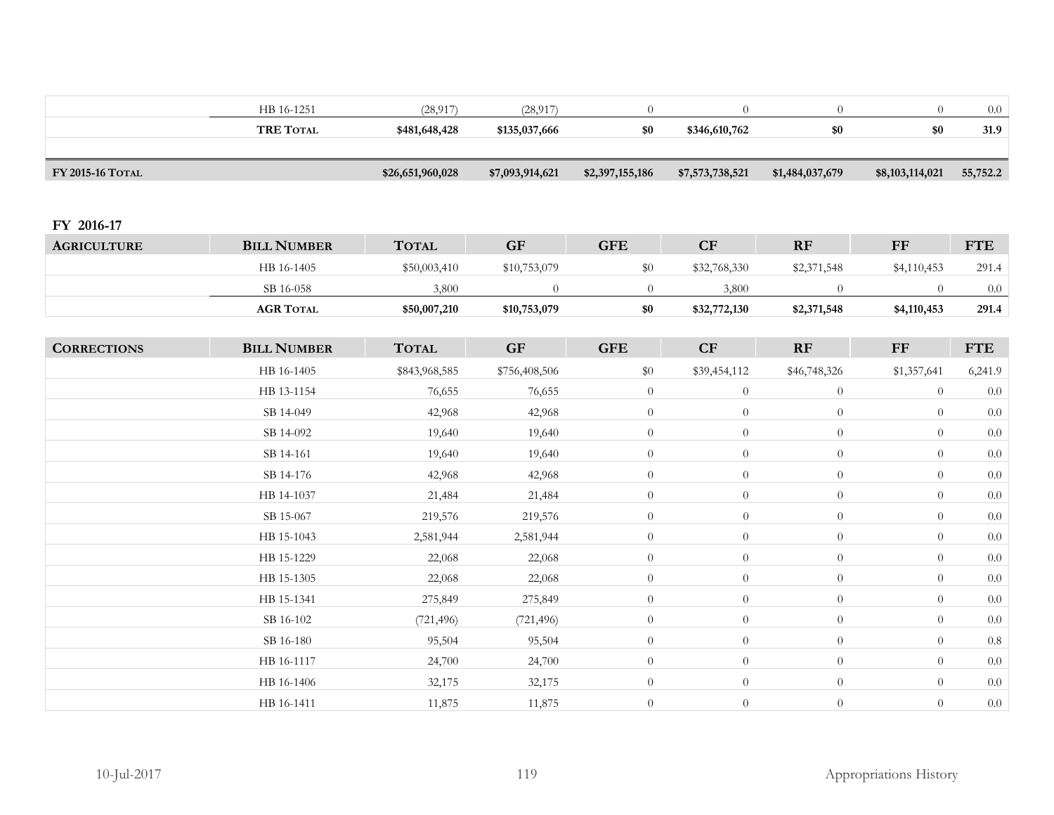|                    | HB 16-1251         | (28, 917)        | (28, 917)       | $\theta$         | $\overline{0}$   | $\overline{0}$   | $\overline{0}$  | $0.0\,$    |
|--------------------|--------------------|------------------|-----------------|------------------|------------------|------------------|-----------------|------------|
|                    | <b>TRE TOTAL</b>   | \$481,648,428    | \$135,037,666   | $\$0$            | \$346,610,762    | $\$0$            | $\$0$           | 31.9       |
|                    |                    |                  |                 |                  |                  |                  |                 |            |
| FY 2015-16 TOTAL   |                    | \$26,651,960,028 | \$7,093,914,621 | \$2,397,155,186  | \$7,573,738,521  | \$1,484,037,679  | \$8,103,114,021 | 55,752.2   |
|                    |                    |                  |                 |                  |                  |                  |                 |            |
| FY 2016-17         |                    |                  |                 |                  |                  |                  |                 |            |
| <b>AGRICULTURE</b> | <b>BILL NUMBER</b> | <b>TOTAL</b>     | <b>GF</b>       | <b>GFE</b>       | CF               | RF               | <b>FF</b>       | <b>FTE</b> |
|                    | HB 16-1405         | \$50,003,410     | \$10,753,079    | $\$0$            | \$32,768,330     | \$2,371,548      | \$4,110,453     | 291.4      |
|                    | SB 16-058          | 3,800            | $\theta$        | $\overline{0}$   | 3,800            | $\overline{0}$   | $\overline{0}$  | $0.0\,$    |
|                    | <b>AGR TOTAL</b>   | \$50,007,210     | \$10,753,079    | \$0              | \$32,772,130     | \$2,371,548      | \$4,110,453     | 291.4      |
|                    |                    |                  |                 |                  |                  |                  |                 |            |
| <b>CORRECTIONS</b> | <b>BILL NUMBER</b> | <b>TOTAL</b>     | <b>GF</b>       | <b>GFE</b>       | CF               | RF               | FF              | <b>FTE</b> |
|                    | HB 16-1405         | \$843,968,585    | \$756,408,506   | \$0              | \$39,454,112     | \$46,748,326     | \$1,357,641     | 6,241.9    |
|                    | HB 13-1154         | 76,655           | 76,655          | $\boldsymbol{0}$ | $\overline{0}$   | $\boldsymbol{0}$ | $\overline{0}$  | $0.0\,$    |
|                    | SB 14-049          | 42,968           | 42,968          | $\overline{0}$   | $\boldsymbol{0}$ | $\boldsymbol{0}$ | $\overline{0}$  | $0.0\,$    |
|                    | SB 14-092          | 19,640           | 19,640          | $\overline{0}$   | $\overline{0}$   | $\overline{0}$   | $\overline{0}$  | $0.0\,$    |
|                    | SB 14-161          | 19,640           | 19,640          | $\overline{0}$   | $\overline{0}$   | $\overline{0}$   | $\overline{0}$  | 0.0        |
|                    | SB 14-176          | 42,968           | 42,968          | $\overline{0}$   | $\overline{0}$   | $\overline{0}$   | $\overline{0}$  | 0.0        |
|                    | HB 14-1037         | 21,484           | 21,484          | $\overline{0}$   | $\overline{0}$   | $\overline{0}$   | $\overline{0}$  | $0.0\,$    |
|                    | SB 15-067          | 219,576          | 219,576         | $\overline{0}$   | $\overline{0}$   | $\theta$         | $\theta$        | $0.0\,$    |
|                    | HB 15-1043         | 2,581,944        | 2,581,944       | $\overline{0}$   | $\overline{0}$   | $\theta$         | $\overline{0}$  | $0.0\,$    |
|                    | HB 15-1229         | 22,068           | 22,068          | $\boldsymbol{0}$ | $\boldsymbol{0}$ | $\boldsymbol{0}$ | $\overline{0}$  | $0.0\,$    |
|                    | HB 15-1305         | 22,068           | 22,068          | $\overline{0}$   | $\overline{0}$   | $\overline{0}$   | $\overline{0}$  | $0.0\,$    |
|                    | HB 15-1341         | 275,849          | 275,849         | $\overline{0}$   | $\overline{0}$   | $\overline{0}$   | $\overline{0}$  | $0.0\,$    |
|                    | SB 16-102          | (721, 496)       | (721, 496)      | $\boldsymbol{0}$ | $\boldsymbol{0}$ | $\boldsymbol{0}$ | $\overline{0}$  | $0.0\,$    |
|                    | SB 16-180          | 95,504           | 95,504          | $\boldsymbol{0}$ | $\overline{0}$   | $\boldsymbol{0}$ | $\overline{0}$  | $0.8\,$    |
|                    | HB 16-1117         | 24,700           | 24,700          | $\theta$         | $\overline{0}$   | $\boldsymbol{0}$ | $\overline{0}$  | $0.0\,$    |
|                    | HB 16-1406         | 32,175           | 32,175          | $\overline{0}$   | $\overline{0}$   | $\overline{0}$   | $\overline{0}$  | $0.0\,$    |
|                    | HB 16-1411         | 11,875           | 11,875          | $\overline{0}$   | $\theta$         | $\theta$         | $\overline{0}$  | $0.0\,$    |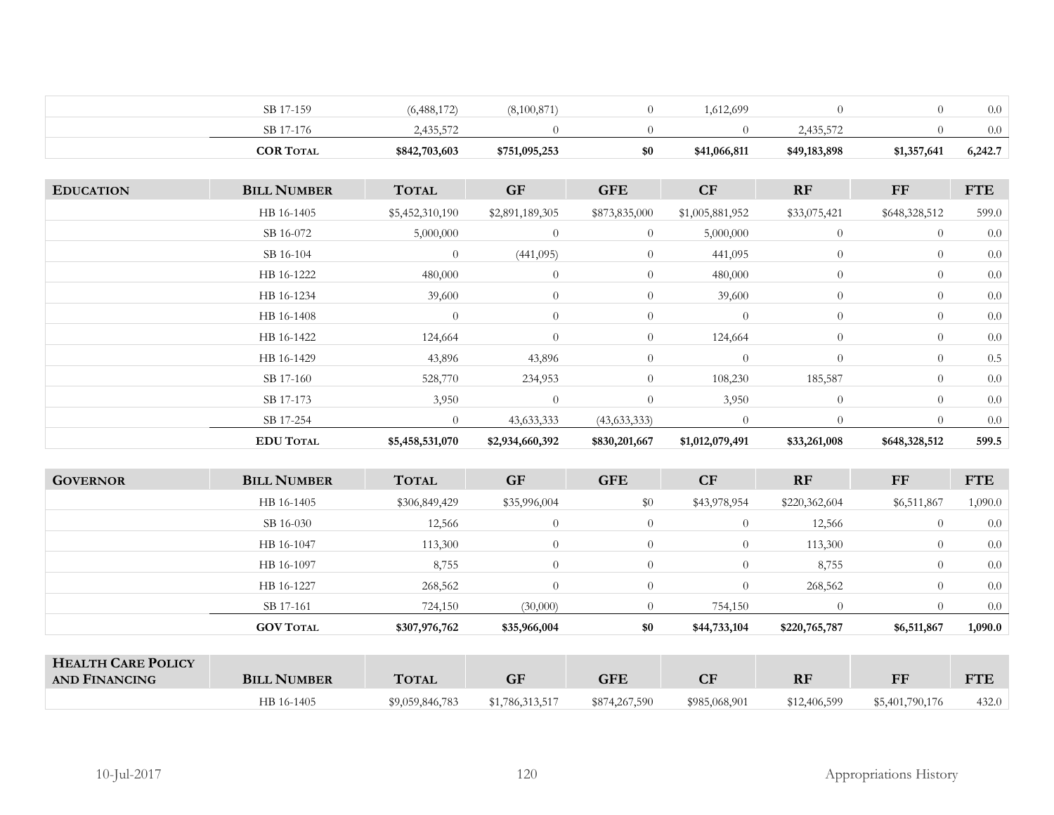| <b>COR TOTAL</b> | \$842,703,603 | \$751,095,253 | \$0 | \$41,066,811 | \$49,183,898 | \$1,357,641 | 6,242.7 |
|------------------|---------------|---------------|-----|--------------|--------------|-------------|---------|
| SB 17-176        | 2.435.572     |               |     |              | 2,435,572    |             | 0.0     |
| SB 17-159        | (6,488,172)   | 8,100,871     |     | .612,699     |              |             | 0.0     |

| <b>EDUCATION</b> | <b>BILL NUMBER</b> | <b>TOTAL</b>    | <b>GF</b>       | <b>GFE</b>     | CF              | RF             | FF             | <b>FTE</b> |
|------------------|--------------------|-----------------|-----------------|----------------|-----------------|----------------|----------------|------------|
|                  | HB 16-1405         | \$5,452,310,190 | \$2,891,189,305 | \$873,835,000  | \$1,005,881,952 | \$33,075,421   | \$648,328,512  | 599.0      |
|                  | SB 16-072          | 5,000,000       | $\theta$        | $\overline{0}$ | 5,000,000       | $\overline{0}$ | $\overline{0}$ | 0.0        |
|                  | SB 16-104          | $\theta$        | (441,095)       | $\overline{0}$ | 441,095         | $\overline{0}$ | $\overline{0}$ | 0.0        |
|                  | HB 16-1222         | 480,000         | $\theta$        | $\overline{0}$ | 480,000         | $\theta$       | $\overline{0}$ | 0.0        |
|                  | HB 16-1234         | 39,600          | $\theta$        | $\overline{0}$ | 39,600          | $\theta$       | $\overline{0}$ | 0.0        |
|                  | HB 16-1408         | $\theta$        | $\overline{0}$  | $\overline{0}$ | $\overline{0}$  | $\overline{0}$ | $\overline{0}$ | 0.0        |
|                  | HB 16-1422         | 124,664         | $\theta$        | $\overline{0}$ | 124,664         | $\theta$       | $\overline{0}$ | 0.0        |
|                  | HB 16-1429         | 43,896          | 43,896          | $\overline{0}$ | $\overline{0}$  | $\overline{0}$ | $\overline{0}$ | 0.5        |
|                  | SB 17-160          | 528,770         | 234,953         | $\overline{0}$ | 108,230         | 185,587        | $\overline{0}$ | 0.0        |
|                  | SB 17-173          | 3,950           | $\theta$        | $\overline{0}$ | 3,950           | $\overline{0}$ | $\overline{0}$ | 0.0        |
|                  | SB 17-254          | $\theta$        | 43, 633, 333    | (43,633,333)   | $\Omega$        |                | $\Omega$       | 0.0        |
|                  | <b>EDU TOTAL</b>   | \$5,458,531,070 | \$2,934,660,392 | \$830,201,667  | \$1,012,079,491 | \$33,261,008   | \$648,328,512  | 599.5      |

| <b>GOVERNOR</b> | <b>BILL NUMBER</b> | <b>TOTAL</b>  | <b>GF</b>    | <b>GFE</b>     | CF           | <b>RF</b>     | FF               | <b>FTE</b> |
|-----------------|--------------------|---------------|--------------|----------------|--------------|---------------|------------------|------------|
|                 | HB 16-1405         | \$306,849,429 | \$35,996,004 | \$0            | \$43,978,954 | \$220,362,604 | \$6,511,867      | 1,090.0    |
|                 | SB 16-030          | 12,566        | $\theta$     | $\overline{0}$ | $\theta$     | 12,566        | $\theta$         | 0.0        |
|                 | HB 16-1047         | 113,300       | $\theta$     | $\Omega$       | $\theta$     | 113,300       | $\overline{0}$   | 0.0        |
|                 | HB 16-1097         | 8,755         | $\Omega$     | 0              | $\theta$     | 8,755         | $\overline{0}$   | 0.0        |
|                 | HB 16-1227         | 268,562       | $\Omega$     | $\Omega$       | $\theta$     | 268,562       | $\overline{0}$   | 0.0        |
|                 | SB 17-161          | 724,150       | (30,000)     | $\mathbf{U}$   | 754,150      | $\Omega$      | $\left( \right)$ | 0.0        |
|                 | <b>GOV TOTAL</b>   | \$307,976,762 | \$35,966,004 | \$0            | \$44,733,104 | \$220,765,787 | \$6,511,867      | 1,090.0    |
|                 |                    |               |              |                |              |               |                  |            |

| <b>HEALTH CARE POLICY</b><br>AND FINANCING | <b>BILL NUMBER</b> | <b>TOTAL</b>    |                 | <b>GFE</b>    | $\Gamma$      | RF           | <b>FF</b>       | <b>FTE</b> |
|--------------------------------------------|--------------------|-----------------|-----------------|---------------|---------------|--------------|-----------------|------------|
|                                            | HB 16-1405         | \$9,059,846,783 | \$1,786,313,517 | \$874,267,590 | \$985,068,901 | \$12,406,599 | \$5,401,790,176 | 432.0      |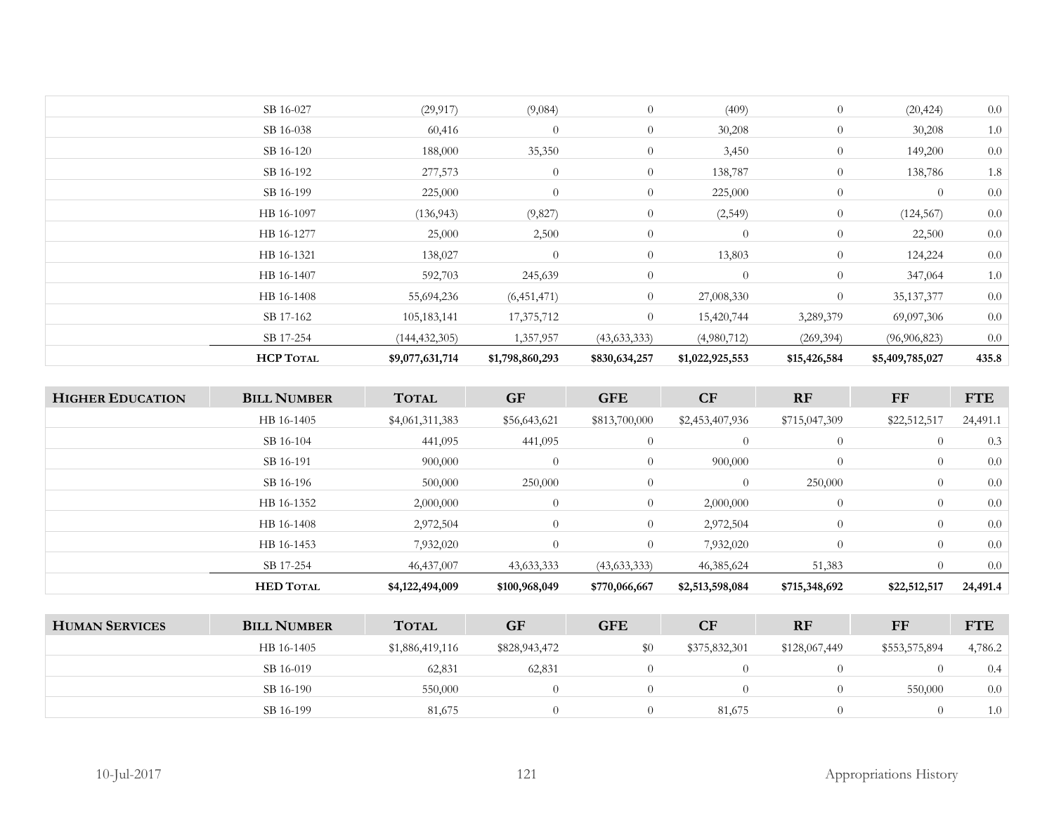| <b>HCP TOTAL</b> | \$9,077,631,714 | \$1,798,860,293 | \$830,634,257  | \$1,022,925,553 | \$15,426,584   | \$5,409,785,027 | 435.8 |
|------------------|-----------------|-----------------|----------------|-----------------|----------------|-----------------|-------|
| SB 17-254        | (144, 432, 305) | 1,357,957       | (43, 633, 333) | (4,980,712)     | (269, 394)     | (96, 906, 823)  | 0.0   |
| SB 17-162        | 105,183,141     | 17,375,712      | $\overline{0}$ | 15,420,744      | 3,289,379      | 69,097,306      | 0.0   |
| HB 16-1408       | 55,694,236      | (6,451,471)     | $\overline{0}$ | 27,008,330      | $\overline{0}$ | 35, 137, 377    | 0.0   |
| HB 16-1407       | 592,703         | 245,639         | $\overline{0}$ | $\overline{0}$  | $\overline{0}$ | 347,064         | 1.0   |
| HB 16-1321       | 138,027         | $\overline{0}$  | $\overline{0}$ | 13,803          | $\overline{0}$ | 124,224         | 0.0   |
| HB 16-1277       | 25,000          | 2,500           | $\theta$       | $\overline{0}$  | $\overline{0}$ | 22,500          | 0.0   |
| HB 16-1097       | (136, 943)      | (9,827)         | $\overline{0}$ | (2,549)         | $\overline{0}$ | (124, 567)      | 0.0   |
| SB 16-199        | 225,000         | $\overline{0}$  | $\overline{0}$ | 225,000         | $\overline{0}$ | $\overline{0}$  | 0.0   |
| SB 16-192        | 277,573         | $\overline{0}$  | $\overline{0}$ | 138,787         | $\overline{0}$ | 138,786         | 1.8   |
| SB 16-120        | 188,000         | 35,350          | $\overline{0}$ | 3,450           | $\overline{0}$ | 149,200         | 0.0   |
| SB 16-038        | 60,416          | $\overline{0}$  | $\overline{0}$ | 30,208          | $\overline{0}$ | 30,208          | 1.0   |
| SB 16-027        | (29, 917)       | (9,084)         | $\theta$       | (409)           | $\overline{0}$ | (20, 424)       | 0.0   |
|                  |                 |                 |                |                 |                |                 |       |

| <b>HIGHER EDUCATION</b> | <b>BILL NUMBER</b> | <b>TOTAL</b>    | <b>GF</b>      | <b>GFE</b>     | CF              | RF             | FF             | <b>FTE</b> |
|-------------------------|--------------------|-----------------|----------------|----------------|-----------------|----------------|----------------|------------|
|                         | HB 16-1405         | \$4,061,311,383 | \$56,643,621   | \$813,700,000  | \$2,453,407,936 | \$715,047,309  | \$22,512,517   | 24,491.1   |
|                         | SB 16-104          | 441,095         | 441,095        | $\overline{0}$ | $\overline{0}$  | $\overline{0}$ | $\overline{0}$ | 0.3        |
|                         | SB 16-191          | 900,000         | $\theta$       | $\overline{0}$ | 900,000         | $\theta$       | $\overline{0}$ | 0.0        |
|                         | SB 16-196          | 500,000         | 250,000        | $\overline{0}$ | $\overline{0}$  | 250,000        | $\overline{0}$ | 0.0        |
|                         | HB 16-1352         | 2,000,000       | $\overline{0}$ | $\overline{0}$ | 2,000,000       | $\theta$       | $\overline{0}$ | 0.0        |
|                         | HB 16-1408         | 2,972,504       | $\overline{0}$ | $\overline{0}$ | 2,972,504       | $\overline{0}$ | $\theta$       | 0.0        |
|                         | HB 16-1453         | 7,932,020       | $\theta$       | $\overline{0}$ | 7,932,020       | $\theta$       | $\theta$       | 0.0        |
|                         | SB 17-254          | 46,437,007      | 43,633,333     | (43,633,333)   | 46, 385, 624    | 51,383         | $\left($       | 0.0        |
|                         | <b>HED TOTAL</b>   | \$4,122,494,009 | \$100,968,049  | \$770,066,667  | \$2,513,598,084 | \$715,348,692  | \$22,512,517   | 24,491.4   |
|                         |                    |                 |                |                |                 |                |                |            |

| <b>HUMAN SERVICES</b> | <b>BILL NUMBER</b> | <b>TOTAL</b>    | <b>GF</b>     | GFE | CF            | <b>RF</b>     | FF            | <b>FTE</b> |
|-----------------------|--------------------|-----------------|---------------|-----|---------------|---------------|---------------|------------|
|                       | HB 16-1405         | \$1,886,419,116 | \$828,943,472 |     | \$375,832,301 | \$128,067,449 | \$553,575,894 | 4,786.2    |
|                       | SB 16-019          | 62,831          | 62,831        |     |               |               |               | 0.4        |
|                       | SB 16-190          | 550,000         |               |     |               |               | 550,000       | 0.0        |
|                       | SB 16-199          | 81,675          |               |     | 81,675        |               |               | 1.0        |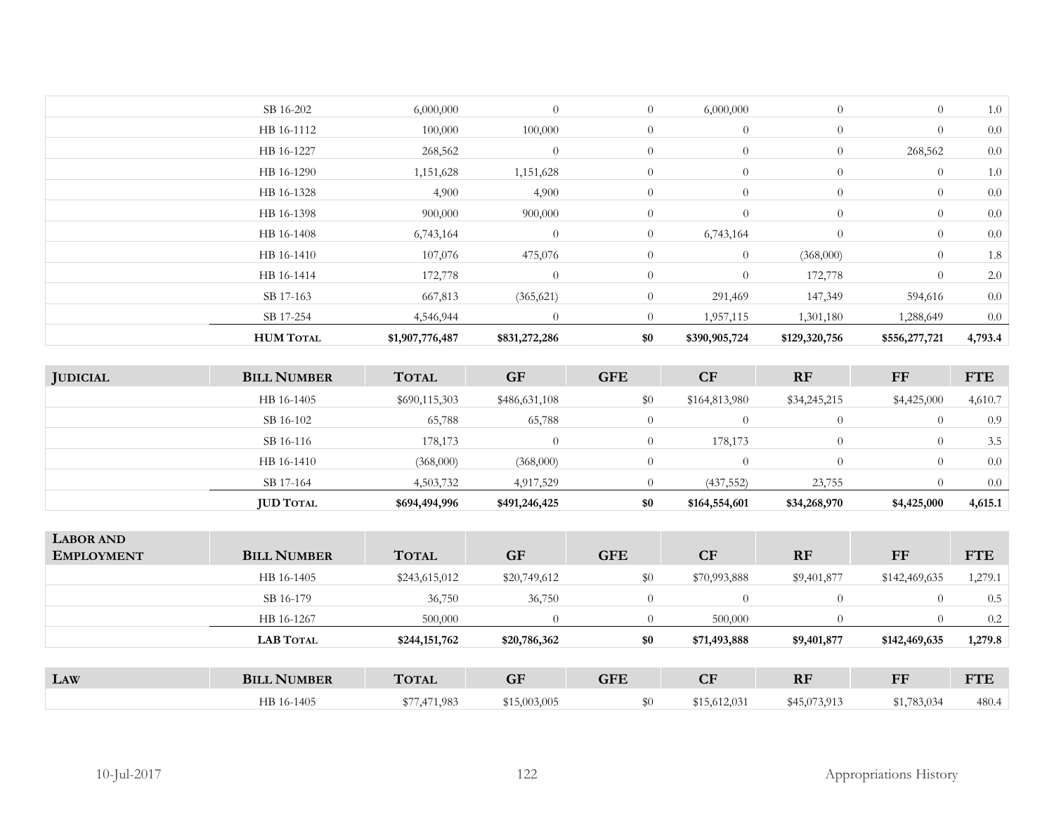| <b>HUM TOTAL</b> | \$1,907,776,487 | \$831,272,286 | \$0            | \$390,905,724  | \$129,320,756  | \$556,277,721  | 4,793.4 |
|------------------|-----------------|---------------|----------------|----------------|----------------|----------------|---------|
| SB 17-254        | 4,546,944       | $\Omega$      | $\Omega$       | 1,957,115      | 1,301,180      | 1,288,649      | 0.0     |
| SB 17-163        | 667,813         | (365, 621)    | $\overline{0}$ | 291,469        | 147,349        | 594,616        | 0.0     |
| HB 16-1414       | 172,778         | $\theta$      | $\theta$       | $\theta$       | 172,778        | $\overline{0}$ | 2.0     |
| HB 16-1410       | 107,076         | 475,076       | $\overline{0}$ | $\overline{0}$ | (368,000)      | $\overline{0}$ | 1.8     |
| HB 16-1408       | 6,743,164       | $\theta$      | $\overline{0}$ | 6,743,164      | $\overline{0}$ | $\overline{0}$ | 0.0     |
| HB 16-1398       | 900,000         | 900,000       | $\overline{0}$ | $\theta$       | $\overline{0}$ | $\overline{0}$ | 0.0     |
| HB 16-1328       | 4,900           | 4,900         | $\overline{0}$ | $\theta$       | $\overline{0}$ | $\overline{0}$ | 0.0     |
| HB 16-1290       | 1,151,628       | 1,151,628     | $\overline{0}$ | $\overline{0}$ | $\overline{0}$ | $\overline{0}$ | 1.0     |
| HB 16-1227       | 268,562         | $\theta$      | $\overline{0}$ | $\overline{0}$ | $\overline{0}$ | 268,562        | 0.0     |
| HB 16-1112       | 100,000         | 100,000       | $\overline{0}$ | $\overline{0}$ | $\overline{0}$ | $\overline{0}$ | 0.0     |
| SB 16-202        | 6,000,000       | $\theta$      | $\overline{0}$ | 6,000,000      | $\overline{0}$ | $\theta$       | 1.0     |
|                  |                 |               |                |                |                |                |         |

| <b>JUDICIAL</b> | <b>BILL NUMBER</b> | <b>TOTAL</b>  | <b>GF</b>     | <b>GFE</b> | <b>CF</b>     | <b>RF</b>    | FF          | <b>FTE</b> |
|-----------------|--------------------|---------------|---------------|------------|---------------|--------------|-------------|------------|
|                 | HB 16-1405         | \$690,115,303 | \$486,631,108 | $\$0$      | \$164,813,980 | \$34,245,215 | \$4,425,000 | 4,610.7    |
|                 | SB 16-102          | 65,788        | 65,788        |            |               |              | $\theta$    | 0.9        |
|                 | SB 16-116          | 178,173       |               |            | 178,173       |              | $\theta$    | 3.5        |
|                 | HB 16-1410         | (368,000)     | (368,000)     | 0          |               |              | $\theta$    | 0.0        |
|                 | SB 17-164          | 4,503,732     | 4,917,529     |            | (437, 552)    | 23,755       |             | 0.0        |
|                 | <b>JUD TOTAL</b>   | \$694,494,996 | \$491,246,425 | \$0        | \$164,554,601 | \$34,268,970 | \$4,425,000 | 4,615.1    |

| <b>LABOR AND</b><br><b>EMPLOYMENT</b> | <b>BILL NUMBER</b> | <b>TOTAL</b>  | <b>GF</b>    | <b>GFE</b> | CF           | <b>RF</b>    | FF            | <b>FTE</b> |
|---------------------------------------|--------------------|---------------|--------------|------------|--------------|--------------|---------------|------------|
|                                       | HB 16-1405         | \$243,615,012 | \$20,749,612 | \$0        | \$70,993,888 | \$9,401,877  | \$142,469,635 | 1,279.1    |
|                                       | SB 16-179          | 36,750        | 36,750       |            | $\theta$     |              | $\left($      | 0.5        |
|                                       | HB 16-1267         | 500,000       | $\Omega$     |            | 500,000      |              | 0             | 0.2        |
|                                       | <b>LAB TOTAL</b>   | \$244,151,762 | \$20,786,362 | \$0        | \$71,493,888 | \$9,401,877  | \$142,469,635 | 1,279.8    |
|                                       |                    |               |              |            |              |              |               |            |
| LAW                                   | <b>BILL NUMBER</b> | <b>TOTAL</b>  | <b>GF</b>    | <b>GFE</b> | CF           | <b>RF</b>    | FF            | <b>FTE</b> |
|                                       | HB 16-1405         | \$77,471,983  | \$15,003,005 | $\$0$      | \$15,612,031 | \$45,073,913 | \$1,783,034   | 480.4      |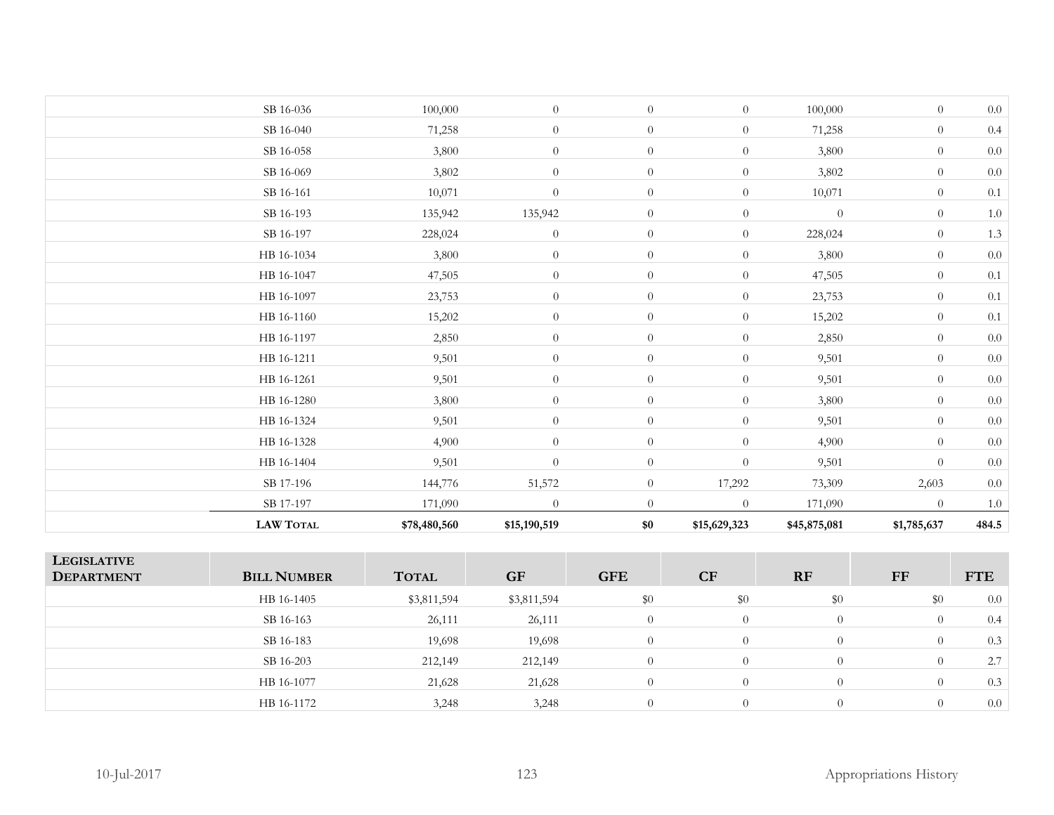| <b>LAW TOTAL</b> | \$78,480,560 | \$15,190,519     | \$0            | \$15,629,323     | \$45,875,081 | \$1,785,637    | 484.5   |
|------------------|--------------|------------------|----------------|------------------|--------------|----------------|---------|
| SB 17-197        | 171,090      | $\overline{0}$   | $\overline{0}$ | $\overline{0}$   | 171,090      | $\overline{0}$ | $1.0\,$ |
| SB 17-196        | 144,776      | 51,572           | $\overline{0}$ | 17,292           | 73,309       | 2,603          | $0.0\,$ |
| HB 16-1404       | 9,501        | $\theta$         | $\overline{0}$ | $\boldsymbol{0}$ | 9,501        | $\overline{0}$ | $0.0\,$ |
| HB 16-1328       | 4,900        | $\theta$         | $\overline{0}$ | $\overline{0}$   | 4,900        | $\overline{0}$ | $0.0\,$ |
| HB 16-1324       | 9,501        | $\theta$         | $\overline{0}$ | $\overline{0}$   | 9,501        | $\overline{0}$ | $0.0\,$ |
| HB 16-1280       | 3,800        | $\theta$         | $\overline{0}$ | $\overline{0}$   | 3,800        | $\overline{0}$ | $0.0\,$ |
| HB 16-1261       | 9,501        | $\theta$         | $\overline{0}$ | $\overline{0}$   | 9,501        | $\overline{0}$ | $0.0\,$ |
| HB 16-1211       | 9,501        | $\boldsymbol{0}$ | $\overline{0}$ | $\overline{0}$   | 9,501        | $\overline{0}$ | $0.0\,$ |
| HB 16-1197       | 2,850        | $\overline{0}$   | $\overline{0}$ | $\overline{0}$   | 2,850        | $\overline{0}$ | $0.0\,$ |
| HB 16-1160       | 15,202       | $\theta$         | $\overline{0}$ | $\overline{0}$   | 15,202       | $\overline{0}$ | $0.1\,$ |
| HB 16-1097       | 23,753       | $\theta$         | $\overline{0}$ | $\overline{0}$   | 23,753       | $\overline{0}$ | $0.1\,$ |
| HB 16-1047       | 47,505       | $\boldsymbol{0}$ | $\overline{0}$ | $\overline{0}$   | 47,505       | $\overline{0}$ | $0.1\,$ |
| HB 16-1034       | 3,800        | $\theta$         | $\overline{0}$ | $\overline{0}$   | 3,800        | $\overline{0}$ | $0.0\,$ |
| SB 16-197        | 228,024      | $\boldsymbol{0}$ | $\overline{0}$ | $\overline{0}$   | 228,024      | $\overline{0}$ | 1.3     |
| SB 16-193        | 135,942      | 135,942          | $\overline{0}$ | $\overline{0}$   | $\theta$     | $\overline{0}$ | $1.0\,$ |
| SB 16-161        | 10,071       | $\boldsymbol{0}$ | $\overline{0}$ | $\overline{0}$   | 10,071       | $\overline{0}$ | $0.1\,$ |
| SB 16-069        | 3,802        | $\overline{0}$   | $\overline{0}$ | $\overline{0}$   | 3,802        | $\overline{0}$ | $0.0\,$ |
| SB 16-058        | 3,800        | $\overline{0}$   | $\overline{0}$ | $\overline{0}$   | 3,800        | $\overline{0}$ | $0.0\,$ |
| SB 16-040        | 71,258       | $\theta$         | $\overline{0}$ | $\overline{0}$   | 71,258       | $\overline{0}$ | 0.4     |
| SB 16-036        | 100,000      | $\theta$         | $\overline{0}$ | $\overline{0}$   | 100,000      | $\overline{0}$ | 0.0     |
|                  |              |                  |                |                  |              |                |         |

| <b>LEGISLATIVE</b><br><b>DEPARTMENT</b> | <b>BILL NUMBER</b> | <b>TOTAL</b> | <b>GF</b>   | <b>GFE</b> | <b>CF</b> | <b>RF</b>      | FF  | <b>FTE</b> |
|-----------------------------------------|--------------------|--------------|-------------|------------|-----------|----------------|-----|------------|
|                                         | HB 16-1405         | \$3,811,594  | \$3,811,594 | \$0        | \$0       | \$0            | \$0 | 0.0        |
|                                         | SB 16-163          | 26,111       | 26,111      | $\Omega$   | $\Omega$  | $\Omega$       |     | 0.4        |
|                                         | SB 16-183          | 19,698       | 19,698      | $\theta$   | $\Omega$  | $\overline{0}$ |     | 0.3        |
|                                         | SB 16-203          | 212,149      | 212,149     | $\Omega$   | $\Omega$  | $\Omega$       |     | 2.7        |
|                                         | HB 16-1077         | 21,628       | 21,628      | $\Omega$   | $\Omega$  | $\Omega$       |     | 0.3        |
|                                         | HB 16-1172         | 3,248        | 3,248       | $\Omega$   | $\Omega$  | $\Omega$       |     | 0.0        |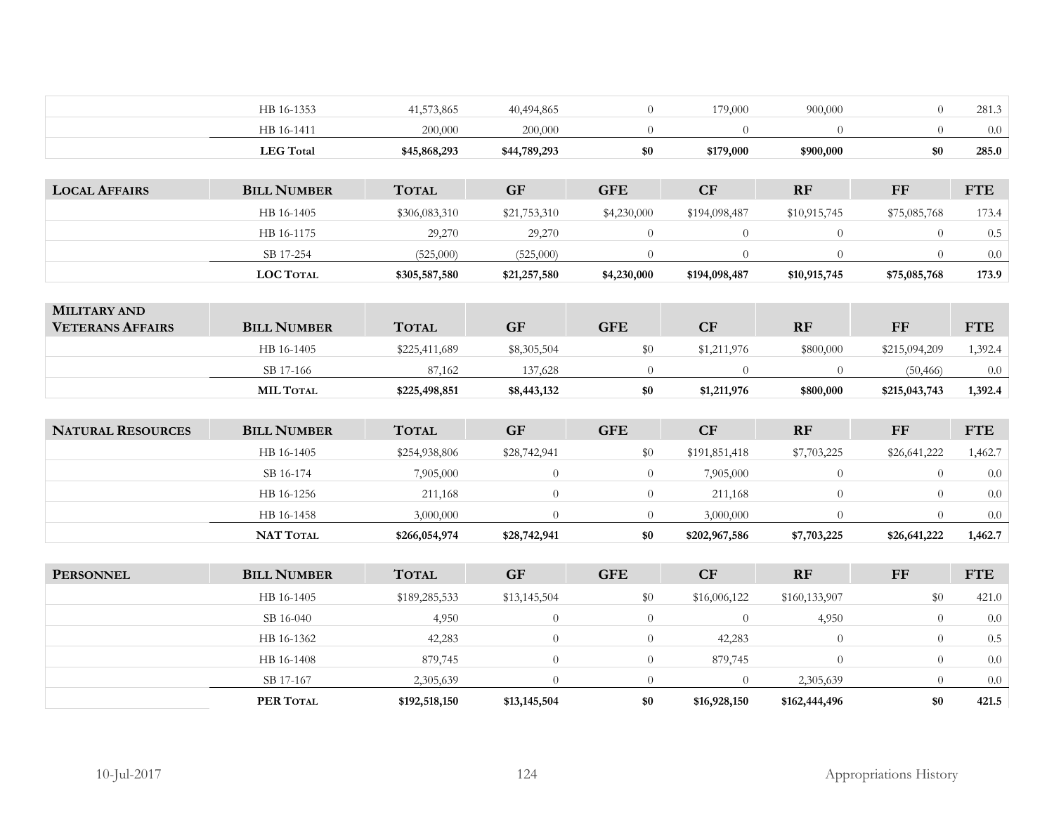|                          | HB 16-1353         | 41,573,865    | 40,494,865     | $\overline{0}$ | 179,000        | 900,000        | $\theta$       | 281.3      |
|--------------------------|--------------------|---------------|----------------|----------------|----------------|----------------|----------------|------------|
|                          | HB 16-1411         | 200,000       | 200,000        | $\overline{0}$ | $\theta$       | $\overline{0}$ | $\theta$       | $0.0\,$    |
|                          | <b>LEG</b> Total   | \$45,868,293  | \$44,789,293   | \$0            | \$179,000      | \$900,000      | \$0            | 285.0      |
|                          |                    |               |                |                |                |                |                |            |
| <b>LOCAL AFFAIRS</b>     | <b>BILL NUMBER</b> | <b>TOTAL</b>  | <b>GF</b>      | <b>GFE</b>     | CF             | RF             | <b>FF</b>      | <b>FTE</b> |
|                          | HB 16-1405         | \$306,083,310 | \$21,753,310   | \$4,230,000    | \$194,098,487  | \$10,915,745   | \$75,085,768   | 173.4      |
|                          | HB 16-1175         | 29,270        | 29,270         | $\overline{0}$ | $\theta$       | $\overline{0}$ | $\theta$       | $0.5\,$    |
|                          | SB 17-254          | (525,000)     | (525,000)      | $\overline{0}$ | $\overline{0}$ | $\overline{0}$ | $\overline{0}$ | $0.0\,$    |
|                          | LOC TOTAL          | \$305,587,580 | \$21,257,580   | \$4,230,000    | \$194,098,487  | \$10,915,745   | \$75,085,768   | 173.9      |
|                          |                    |               |                |                |                |                |                |            |
| MILITARY AND             |                    |               |                |                |                |                |                |            |
| <b>VETERANS AFFAIRS</b>  | <b>BILL NUMBER</b> | <b>TOTAL</b>  | <b>GF</b>      | <b>GFE</b>     | CF             | RF             | <b>FF</b>      | <b>FTE</b> |
|                          | HB 16-1405         | \$225,411,689 | \$8,305,504    | \$0            | \$1,211,976    | \$800,000      | \$215,094,209  | 1,392.4    |
|                          | SB 17-166          | 87,162        | 137,628        | $\overline{0}$ | $\overline{0}$ | $\overline{0}$ | (50, 466)      | $0.0\,$    |
|                          | <b>MIL TOTAL</b>   | \$225,498,851 | \$8,443,132    | \$0            | \$1,211,976    | \$800,000      | \$215,043,743  | 1,392.4    |
|                          |                    |               |                |                |                |                |                |            |
| <b>NATURAL RESOURCES</b> | <b>BILL NUMBER</b> | <b>TOTAL</b>  | GF             | <b>GFE</b>     | CF             | RF             | <b>FF</b>      | <b>FTE</b> |
|                          | HB 16-1405         | \$254,938,806 | \$28,742,941   | \$0            | \$191,851,418  | \$7,703,225    | \$26,641,222   | 1,462.7    |
|                          | SB 16-174          | 7,905,000     | $\overline{0}$ | $\overline{0}$ | 7,905,000      | $\overline{0}$ | $\overline{0}$ | $0.0\,$    |
|                          | HB 16-1256         | 211,168       | $\Omega$       | $\overline{0}$ | 211,168        | $\Omega$       | $\theta$       | 0.0        |
|                          | HB 16-1458         | 3,000,000     | $\Omega$       | $\overline{0}$ | 3,000,000      | $\overline{0}$ | $\theta$       | $0.0\,$    |
|                          | <b>NAT TOTAL</b>   | \$266,054,974 | \$28,742,941   | \$0            | \$202,967,586  | \$7,703,225    | \$26,641,222   | 1,462.7    |
|                          |                    |               |                |                |                |                |                |            |
| <b>PERSONNEL</b>         | <b>BILL NUMBER</b> | <b>TOTAL</b>  | <b>GF</b>      | <b>GFE</b>     | CF             | RF             | $\bf FF$       | <b>FTE</b> |
|                          | HB 16-1405         | \$189,285,533 | \$13,145,504   | \$0            | \$16,006,122   | \$160,133,907  | \$0            | 421.0      |
|                          | SB 16-040          | 4,950         | $\overline{0}$ | $\overline{0}$ | $\overline{0}$ | 4,950          | $\overline{0}$ | 0.0        |
|                          | HB 16-1362         | 42,283        | $\overline{0}$ | $\overline{0}$ | 42,283         | $\overline{0}$ | $\theta$       | $0.5\,$    |
|                          | HB 16-1408         | 879,745       | $\overline{0}$ | $\overline{0}$ | 879,745        | $\overline{0}$ | $\theta$       | $0.0\,$    |
|                          | SB 17-167          | 2,305,639     | $\theta$       | $\overline{0}$ | $\overline{0}$ | 2,305,639      | $\overline{0}$ | $0.0\,$    |
|                          | PER TOTAL          | \$192,518,150 | \$13,145,504   | \$0            | \$16,928,150   | \$162,444,496  | \$0            | 421.5      |
|                          |                    |               |                |                |                |                |                |            |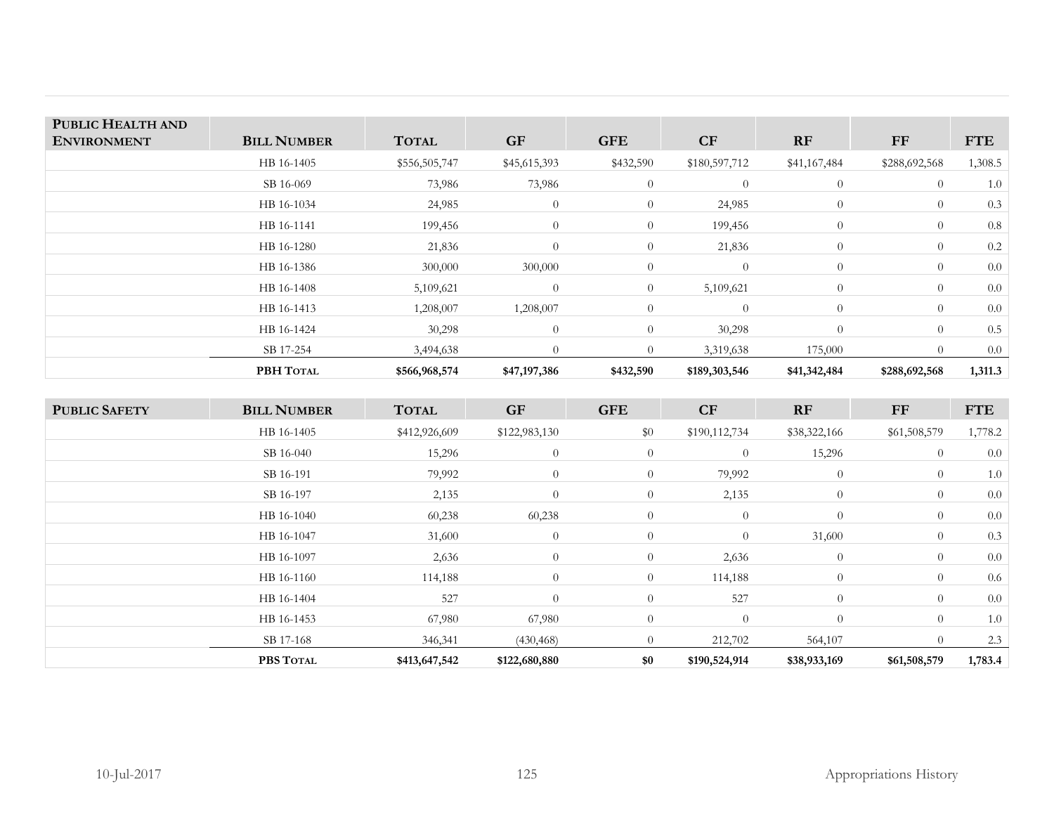| PUBLIC HEALTH AND  |                    |               |                |                |                |                |               |            |
|--------------------|--------------------|---------------|----------------|----------------|----------------|----------------|---------------|------------|
| <b>ENVIRONMENT</b> | <b>BILL NUMBER</b> | <b>TOTAL</b>  | <b>GF</b>      | <b>GFE</b>     | CF             | <b>RF</b>      | FF            | <b>FTE</b> |
|                    | HB 16-1405         | \$556,505,747 | \$45,615,393   | \$432,590      | \$180,597,712  | \$41,167,484   | \$288,692,568 | 1,308.5    |
|                    | SB 16-069          | 73,986        | 73,986         | $\overline{0}$ | $\overline{0}$ | $\overline{0}$ | $\theta$      | 1.0        |
|                    | HB 16-1034         | 24,985        | $\overline{0}$ | $\overline{0}$ | 24,985         | $\overline{0}$ | $\theta$      | 0.3        |
|                    | HB 16-1141         | 199,456       | $\overline{0}$ | $\overline{0}$ | 199,456        | $\overline{0}$ | $\theta$      | 0.8        |
|                    | HB 16-1280         | 21,836        | $\overline{0}$ | $\overline{0}$ | 21,836         | $\overline{0}$ | $\theta$      | 0.2        |
|                    | HB 16-1386         | 300,000       | 300,000        | $\overline{0}$ | $\overline{0}$ | $\theta$       | $\theta$      | 0.0        |
|                    | HB 16-1408         | 5,109,621     | $\overline{0}$ | $\theta$       | 5,109,621      | $\overline{0}$ | $\theta$      | 0.0        |
|                    | HB 16-1413         | 1,208,007     | 1,208,007      | $\theta$       | $\theta$       | $\theta$       | $\theta$      | 0.0        |
|                    | HB 16-1424         | 30,298        | $\overline{0}$ | $\overline{0}$ | 30,298         | $\Omega$       | $\theta$      | 0.5        |
|                    | SB 17-254          | 3,494,638     | $\Omega$       | $\theta$       | 3,319,638      | 175,000        | $\Omega$      | 0.0        |
|                    | PBH TOTAL          | \$566,968,574 | \$47,197,386   | \$432,590      | \$189,303,546  | \$41,342,484   | \$288,692,568 | 1,311.3    |

| <b>PUBLIC SAFETY</b> | <b>BILL NUMBER</b> | <b>TOTAL</b>  | <b>GF</b>      | <b>GFE</b>     | <b>CF</b>      | RF             | FF           | <b>FTE</b> |
|----------------------|--------------------|---------------|----------------|----------------|----------------|----------------|--------------|------------|
|                      | HB 16-1405         | \$412,926,609 | \$122,983,130  | \$0            | \$190,112,734  | \$38,322,166   | \$61,508,579 | 1,778.2    |
|                      | SB 16-040          | 15,296        | $\overline{0}$ | $\overline{0}$ | $\overline{0}$ | 15,296         | $\theta$     | 0.0        |
|                      | SB 16-191          | 79,992        | $\overline{0}$ | $\overline{0}$ | 79,992         | $\overline{0}$ | $\theta$     | 1.0        |
|                      | SB 16-197          | 2,135         | $\overline{0}$ | $\overline{0}$ | 2,135          | $\overline{0}$ | $\theta$     | 0.0        |
|                      | HB 16-1040         | 60,238        | 60,238         | $\overline{0}$ | $\overline{0}$ | $\overline{0}$ | $\theta$     | 0.0        |
|                      | HB 16-1047         | 31,600        | $\theta$       | $\theta$       | $\theta$       | 31,600         | $\theta$     | 0.3        |
|                      | HB 16-1097         | 2,636         | $\overline{0}$ | $\overline{0}$ | 2,636          | $\overline{0}$ | $\theta$     | 0.0        |
|                      | HB 16-1160         | 114,188       | $\overline{0}$ | $\overline{0}$ | 114,188        | $\overline{0}$ | $\theta$     | 0.6        |
|                      | HB 16-1404         | 527           | $\overline{0}$ | $\overline{0}$ | 527            | $\overline{0}$ | $\theta$     | 0.0        |
|                      | HB 16-1453         | 67,980        | 67,980         | $\overline{0}$ | $\theta$       | $\Omega$       | $\theta$     | 1.0        |
|                      | SB 17-168          | 346,341       | (430, 468)     | $\overline{0}$ | 212,702        | 564,107        | $\theta$     | 2.3        |
|                      | PBS TOTAL          | \$413,647,542 | \$122,680,880  | \$0            | \$190,524,914  | \$38,933,169   | \$61,508,579 | 1,783.4    |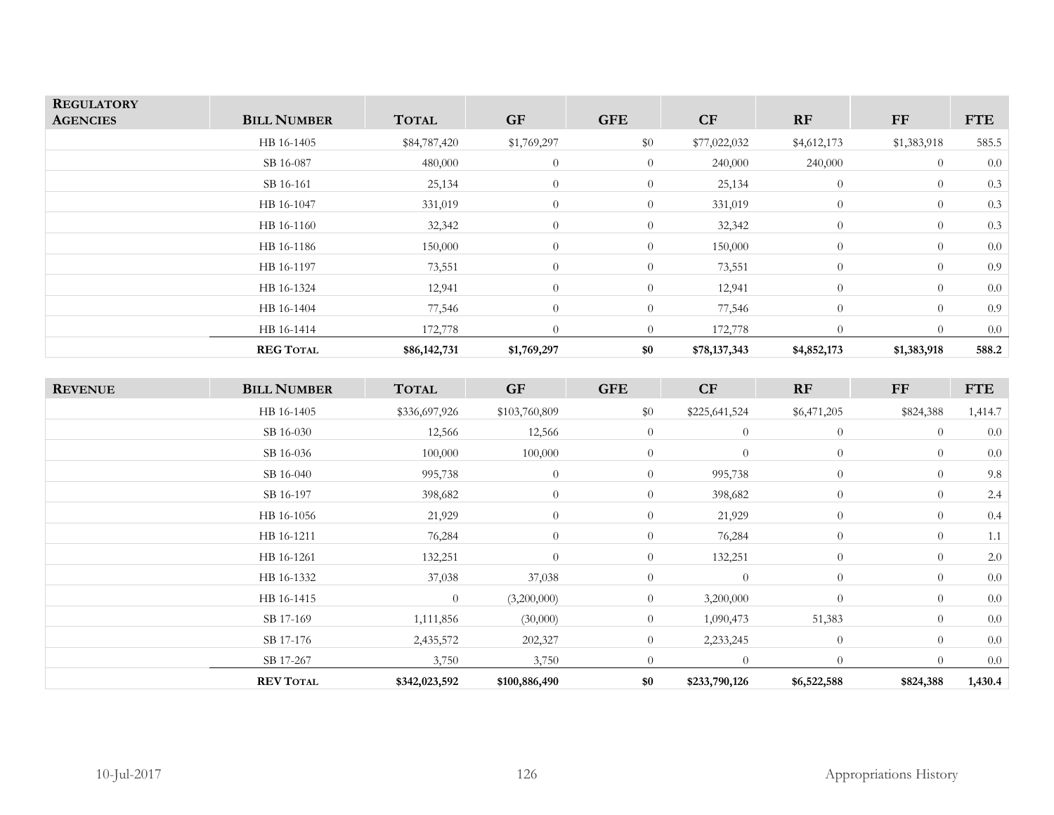| <b>REGULATORY</b><br><b>AGENCIES</b> | <b>BILL NUMBER</b> | <b>TOTAL</b> | <b>GF</b>        | <b>GFE</b>     | CF           | RF             | <b>FF</b>   | <b>FTE</b> |
|--------------------------------------|--------------------|--------------|------------------|----------------|--------------|----------------|-------------|------------|
|                                      | HB 16-1405         | \$84,787,420 | \$1,769,297      | \$0            | \$77,022,032 | \$4,612,173    | \$1,383,918 | 585.5      |
|                                      | SB 16-087          | 480,000      | $\theta$         | $\overline{0}$ | 240,000      | 240,000        | $\theta$    | 0.0        |
|                                      | SB 16-161          | 25,134       | $\theta$         | $\overline{0}$ | 25,134       | $\theta$       | $\theta$    | 0.3        |
|                                      | HB 16-1047         | 331,019      | $\overline{0}$   | $\overline{0}$ | 331,019      | $\overline{0}$ | $\theta$    | 0.3        |
|                                      | HB 16-1160         | 32,342       | $\overline{0}$   | $\overline{0}$ | 32,342       | $\overline{0}$ | $\Omega$    | 0.3        |
|                                      | HB 16-1186         | 150,000      | $\boldsymbol{0}$ | $\overline{0}$ | 150,000      | $\overline{0}$ | $\Omega$    | 0.0        |
|                                      | HB 16-1197         | 73,551       | $\theta$         | $\overline{0}$ | 73,551       | $\overline{0}$ | $\Omega$    | 0.9        |
|                                      | HB 16-1324         | 12,941       | $\theta$         | $\overline{0}$ | 12,941       | $\overline{0}$ | $\Omega$    | 0.0        |
|                                      | HB 16-1404         | 77,546       | $\theta$         | $\overline{0}$ | 77,546       | $\overline{0}$ | $\Omega$    | 0.9        |
|                                      | HB 16-1414         | 172,778      | $\Omega$         | $\overline{0}$ | 172,778      | $\theta$       | $\Omega$    | 0.0        |
|                                      | <b>REG TOTAL</b>   | \$86,142,731 | \$1,769,297      | \$0            | \$78,137,343 | \$4,852,173    | \$1,383,918 | 588.2      |

| <b>REVENUE</b> | <b>BILL NUMBER</b> | <b>TOTAL</b>   | <b>GF</b>      | <b>GFE</b>     | CF             | RF             | ${\rm FF}$ | <b>FTE</b> |
|----------------|--------------------|----------------|----------------|----------------|----------------|----------------|------------|------------|
|                | HB 16-1405         | \$336,697,926  | \$103,760,809  | \$0            | \$225,641,524  | \$6,471,205    | \$824,388  | 1,414.7    |
|                | SB 16-030          | 12,566         | 12,566         | $\theta$       | $\overline{0}$ | $\overline{0}$ | $\theta$   | 0.0        |
|                | SB 16-036          | 100,000        | 100,000        | $\theta$       | $\overline{0}$ | $\overline{0}$ | $\theta$   | 0.0        |
|                | SB 16-040          | 995,738        | $\overline{0}$ | $\overline{0}$ | 995,738        | $\overline{0}$ | $\Omega$   | 9.8        |
|                | SB 16-197          | 398,682        | $\overline{0}$ | $\overline{0}$ | 398,682        | $\overline{0}$ | $\theta$   | 2.4        |
|                | HB 16-1056         | 21,929         | $\overline{0}$ | $\overline{0}$ | 21,929         | $\overline{0}$ | $\theta$   | 0.4        |
|                | HB 16-1211         | 76,284         | $\overline{0}$ | $\overline{0}$ | 76,284         | $\overline{0}$ | $\theta$   | 1.1        |
|                | HB 16-1261         | 132,251        | $\overline{0}$ | $\overline{0}$ | 132,251        | $\overline{0}$ | $\Omega$   | 2.0        |
|                | HB 16-1332         | 37,038         | 37,038         | $\theta$       | $\overline{0}$ | $\overline{0}$ | $\theta$   | 0.0        |
|                | HB 16-1415         | $\overline{0}$ | (3,200,000)    | $\overline{0}$ | 3,200,000      | $\overline{0}$ | $\Omega$   | 0.0        |
|                | SB 17-169          | 1,111,856      | (30,000)       | $\theta$       | 1,090,473      | 51,383         | $\Omega$   | 0.0        |
|                | SB 17-176          | 2,435,572      | 202,327        | $\overline{0}$ | 2,233,245      | $\overline{0}$ | $\Omega$   | 0.0        |
|                | SB 17-267          | 3,750          | 3,750          | $\overline{0}$ | $\overline{0}$ | $\overline{0}$ | $\Omega$   | 0.0        |
|                | <b>REV TOTAL</b>   | \$342,023,592  | \$100,886,490  | \$0            | \$233,790,126  | \$6,522,588    | \$824,388  | 1,430.4    |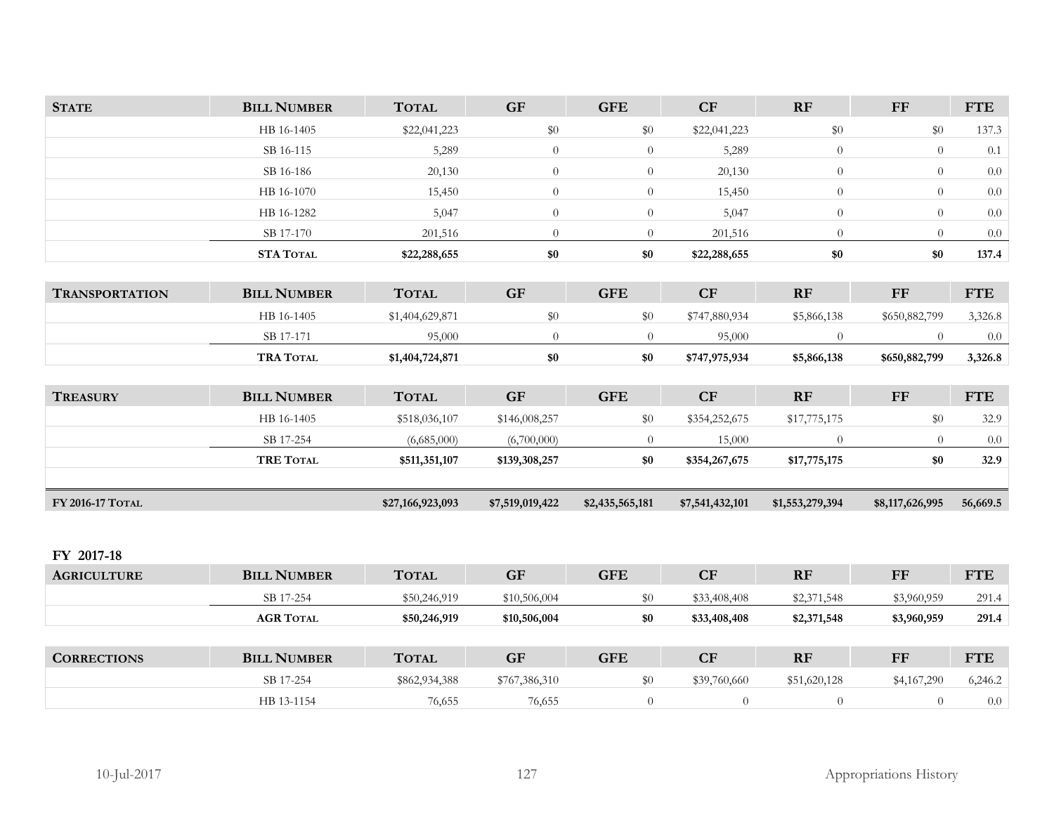| <b>STATE</b>          | <b>BILL NUMBER</b> | <b>TOTAL</b>     | <b>GF</b>       | <b>GFE</b>      | CF              | <b>RF</b>       | $\bf FF$        | <b>FTE</b> |
|-----------------------|--------------------|------------------|-----------------|-----------------|-----------------|-----------------|-----------------|------------|
|                       | HB 16-1405         | \$22,041,223     | $\$0$           | \$0             | \$22,041,223    | $\$0$           | \$0             | 137.3      |
|                       | SB 16-115          | 5,289            | $\overline{0}$  | $\overline{0}$  | 5,289           | $\overline{0}$  | $\theta$        | 0.1        |
|                       | SB 16-186          | 20,130           | $\theta$        | $\overline{0}$  | 20,130          | $\overline{0}$  | $\overline{0}$  | $0.0\,$    |
|                       | HB 16-1070         | 15,450           | $\overline{0}$  | $\overline{0}$  | 15,450          | $\overline{0}$  | $\overline{0}$  | $0.0\,$    |
|                       | HB 16-1282         | 5,047            | $\theta$        | $\overline{0}$  | 5,047           | $\theta$        | $\overline{0}$  | 0.0        |
|                       | SB 17-170          | 201,516          | $\overline{0}$  | $\overline{0}$  | 201,516         | $\overline{0}$  | $\overline{0}$  | $0.0\,$    |
|                       | <b>STA TOTAL</b>   | \$22,288,655     | $\$0$           | \$0             | \$22,288,655    | \$0             | \$0             | 137.4      |
|                       |                    |                  |                 |                 |                 |                 |                 |            |
| <b>TRANSPORTATION</b> | <b>BILL NUMBER</b> | <b>TOTAL</b>     | <b>GF</b>       | <b>GFE</b>      | CF              | <b>RF</b>       | <b>FF</b>       | <b>FTE</b> |
|                       | HB 16-1405         | \$1,404,629,871  | \$0             | \$0             | \$747,880,934   | \$5,866,138     | \$650,882,799   | 3,326.8    |
|                       | SB 17-171          | 95,000           | $\theta$        | $\Omega$        | 95,000          | $\Omega$        | $\Omega$        | $0.0\,$    |
|                       | <b>TRA TOTAL</b>   | \$1,404,724,871  | $\$0$           | \$0             | \$747,975,934   | \$5,866,138     | \$650,882,799   | 3,326.8    |
|                       |                    |                  |                 |                 |                 |                 |                 |            |
| <b>TREASURY</b>       | <b>BILL NUMBER</b> | <b>TOTAL</b>     | <b>GF</b>       | <b>GFE</b>      | CF              | RF              | $\bf FF$        | <b>FTE</b> |
|                       | HB 16-1405         | \$518,036,107    | \$146,008,257   | \$0             | \$354,252,675   | \$17,775,175    | \$0             | 32.9       |
|                       | SB 17-254          | (6,685,000)      | (6,700,000)     | $\overline{0}$  | 15,000          | $\overline{0}$  | $\theta$        | $0.0\,$    |
|                       | <b>TRE TOTAL</b>   | \$511,351,107    | \$139,308,257   | \$0             | \$354,267,675   | \$17,775,175    | \$0             | 32.9       |
|                       |                    |                  |                 |                 |                 |                 |                 |            |
| FY 2016-17 TOTAL      |                    | \$27,166,923,093 | \$7,519,019,422 | \$2,435,565,181 | \$7,541,432,101 | \$1,553,279,394 | \$8,117,626,995 | 56,669.5   |
|                       |                    |                  |                 |                 |                 |                 |                 |            |
|                       |                    |                  |                 |                 |                 |                 |                 |            |
| FY 2017-18            |                    |                  |                 |                 |                 |                 |                 |            |
| <b>AGRICULTURE</b>    | <b>BILL NUMBER</b> | <b>TOTAL</b>     | <b>GF</b>       | <b>GFE</b>      | CF              | RF              | <b>FF</b>       | <b>FTE</b> |
|                       | SB 17-254          | \$50,246,919     | \$10,506,004    | \$0             | \$33,408,408    | \$2,371,548     | \$3,960,959     | 291.4      |

| <b>CORRECTIONS</b> | <b>BILL NUMBER</b> | <b>TOTAL</b>  | GF            | <b>GFE</b> | $\overline{\mathbf{C}}\mathbf{F}$ | <b>RF</b>    | FF          | <b>FTE</b> |
|--------------------|--------------------|---------------|---------------|------------|-----------------------------------|--------------|-------------|------------|
|                    | SB 17-254          | \$862,934,388 | \$767,386,310 | \$0        | \$39,760,660                      | \$51,620,128 | \$4,167,290 | 6,246.2    |
|                    | HB 13-1154         | 76,655        | 76,655        |            |                                   |              |             | 0.0        |

**TOTAL \$50,246,919 \$10,506,004 \$0 \$33,408,408 \$2,371,548 \$3,960,959 291.4** 

**AGR**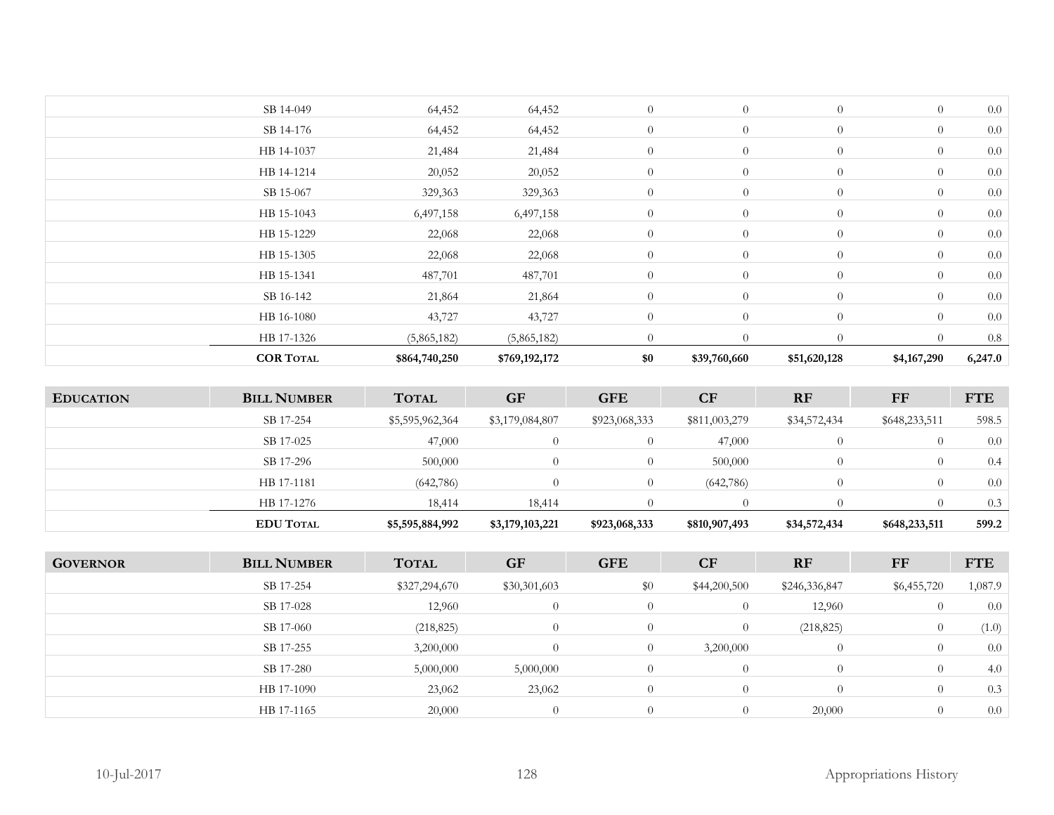| <b>COR TOTAL</b> | \$864,740,250 | \$769,192,172 | \$0            | \$39,760,660   | \$51,620,128   | \$4,167,290    | 6,247.0 |
|------------------|---------------|---------------|----------------|----------------|----------------|----------------|---------|
| HB 17-1326       | (5,865,182)   | (5,865,182)   | $\theta$       | $\theta$       | $\theta$       | $\Omega$       | 0.8     |
| HB 16-1080       | 43,727        | 43,727        | $\theta$       | $\overline{0}$ | $\overline{0}$ | $\overline{0}$ | 0.0     |
| SB 16-142        | 21,864        | 21,864        | $\overline{0}$ | $\overline{0}$ | $\theta$       | $\overline{0}$ | 0.0     |
| HB 15-1341       | 487,701       | 487,701       | $\overline{0}$ | $\theta$       | $\theta$       | $\overline{0}$ | 0.0     |
| HB 15-1305       | 22,068        | 22,068        | $\overline{0}$ | $\theta$       | $\overline{0}$ | $\overline{0}$ | 0.0     |
| HB 15-1229       | 22,068        | 22,068        | $\overline{0}$ | $\overline{0}$ | $\overline{0}$ | $\overline{0}$ | 0.0     |
| HB 15-1043       | 6,497,158     | 6,497,158     | $\overline{0}$ | $\overline{0}$ | $\overline{0}$ | $\theta$       | 0.0     |
| SB 15-067        | 329,363       | 329,363       | $\overline{0}$ | $\overline{0}$ | $\overline{0}$ | $\overline{0}$ | 0.0     |
| HB 14-1214       | 20,052        | 20,052        | $\overline{0}$ | $\overline{0}$ | $\overline{0}$ | $\overline{0}$ | 0.0     |
| HB 14-1037       | 21,484        | 21,484        | $\overline{0}$ | $\overline{0}$ | $\overline{0}$ | $\overline{0}$ | 0.0     |
| SB 14-176        | 64,452        | 64,452        | $\overline{0}$ | $\theta$       | $\overline{0}$ | $\overline{0}$ | 0.0     |
| SB 14-049        | 64,452        | 64,452        | $\theta$       | $\overline{0}$ | $\theta$       | $\theta$       | 0.0     |
|                  |               |               |                |                |                |                |         |

| <b>EDUCATION</b> | <b>BILL NUMBER</b> | <b>TOTAL</b>    | <b>GF</b>       | <b>GFE</b>    | <b>CF</b>     | <b>RF</b>    | FF            | <b>FTE</b> |
|------------------|--------------------|-----------------|-----------------|---------------|---------------|--------------|---------------|------------|
|                  | SB 17-254          | \$5,595,962,364 | \$3,179,084,807 | \$923,068,333 | \$811,003,279 | \$34,572,434 | \$648,233,511 | 598.5      |
|                  | SB 17-025          | 47,000          |                 |               | 47,000        |              |               | 0.0        |
|                  | SB 17-296          | 500,000         |                 |               | 500,000       |              |               | 0.4        |
|                  | HB 17-1181         | (642,786)       | 0               | $\Omega$      | (642,786)     |              | $\Omega$      | 0.0        |
|                  | HB 17-1276         | 18,414          | 18,414          |               |               |              |               | 0.3        |
|                  | <b>EDU TOTAL</b>   | \$5,595,884,992 | \$3,179,103,221 | \$923,068,333 | \$810,907,493 | \$34,572,434 | \$648,233,511 | 599.2      |

| <b>GOVERNOR</b> | <b>BILL NUMBER</b> | <b>TOTAL</b>  | <b>GF</b>    | <b>GFE</b>     | <b>CF</b>    | RF            | FF             | <b>FTE</b> |
|-----------------|--------------------|---------------|--------------|----------------|--------------|---------------|----------------|------------|
|                 | SB 17-254          | \$327,294,670 | \$30,301,603 | $\$0$          | \$44,200,500 | \$246,336,847 | \$6,455,720    | 1,087.9    |
|                 | SB 17-028          | 12,960        | $\Omega$     | $\theta$       |              | 12,960        | $\overline{0}$ | 0.0        |
|                 | SB 17-060          | (218, 825)    | $\Omega$     | $\Omega$       |              | (218, 825)    | $\overline{0}$ | (1.0)      |
|                 | SB 17-255          | 3,200,000     | $\Omega$     | $\Omega$       | 3,200,000    | $\Omega$      | $\overline{0}$ | 0.0        |
|                 | SB 17-280          | 5,000,000     | 5,000,000    | $\overline{0}$ |              | $\theta$      | $\overline{0}$ | 4.0        |
|                 | HB 17-1090         | 23,062        | 23,062       | $\theta$       |              | $\Omega$      | $\Omega$       | 0.3        |
|                 | HB 17-1165         | 20,000        | $\Omega$     | $\Omega$       |              | 20,000        | $\theta$       | 0.0        |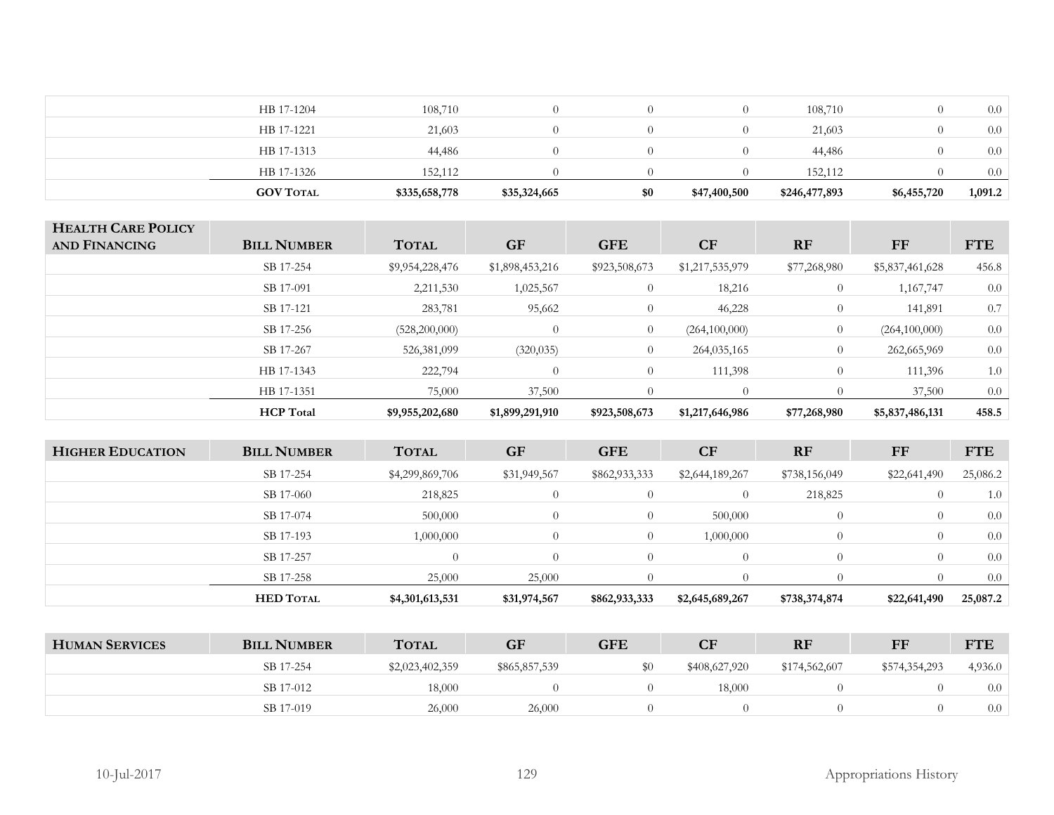| <b>GOV TOTAL</b> | \$335,658,778 | \$35,324,665     | \$0 | \$47,400,500 | \$246,477,893 | \$6,455,720 | 1,091.2 |
|------------------|---------------|------------------|-----|--------------|---------------|-------------|---------|
| HB 17-1326       | 152.112       |                  |     |              | 152,112       |             | 0.0     |
| HB 17-1313       | 44,486        | $\Omega$         |     |              | 44,486        |             | 0.0     |
| HB 17-1221       | 21,603        | $\Omega$         |     |              | 21,603        |             | 0.0     |
| HB 17-1204       | 108,710       | $\left( \right)$ |     |              | 108,710       |             | 0.0     |

| <b>HEALTH CARE POLICY</b><br>AND FINANCING | <b>BILL NUMBER</b> | <b>TOTAL</b>    | <b>GF</b>       | <b>GFE</b>     | <b>CF</b>       | <b>RF</b>      | FF              | <b>FTE</b> |
|--------------------------------------------|--------------------|-----------------|-----------------|----------------|-----------------|----------------|-----------------|------------|
|                                            | SB 17-254          | \$9,954,228,476 | \$1,898,453,216 | \$923,508,673  | \$1,217,535,979 | \$77,268,980   | \$5,837,461,628 | 456.8      |
|                                            | SB 17-091          | 2,211,530       | 1,025,567       | $\overline{0}$ | 18,216          | $\overline{0}$ | 1,167,747       | 0.0        |
|                                            | SB 17-121          | 283,781         | 95,662          | $\Omega$       | 46,228          | $\overline{0}$ | 141,891         | 0.7        |
|                                            | SB 17-256          | (528,200,000)   |                 | $\overline{0}$ | (264,100,000)   | $\overline{0}$ | (264,100,000)   | 0.0        |
|                                            | SB 17-267          | 526,381,099     | (320, 035)      | $\overline{0}$ | 264,035,165     | $\overline{0}$ | 262,665,969     | 0.0        |
|                                            | HB 17-1343         | 222,794         | $\Omega$        | $\Omega$       | 111,398         | $\overline{0}$ | 111,396         | 1.0        |
|                                            | HB 17-1351         | 75,000          | 37,500          | $\Omega$       |                 |                | 37,500          | 0.0        |
|                                            | <b>HCP</b> Total   | \$9,955,202,680 | \$1,899,291,910 | \$923,508,673  | \$1,217,646,986 | \$77,268,980   | \$5,837,486,131 | 458.5      |

| <b>HIGHER EDUCATION</b> | <b>BILL NUMBER</b> | <b>TOTAL</b>    | <b>GF</b>    | <b>GFE</b>    | <b>CF</b>       | <b>RF</b>     | <b>FF</b>    | <b>FTE</b> |
|-------------------------|--------------------|-----------------|--------------|---------------|-----------------|---------------|--------------|------------|
|                         | SB 17-254          | \$4,299,869,706 | \$31,949,567 | \$862,933,333 | \$2,644,189,267 | \$738,156,049 | \$22,641,490 | 25,086.2   |
|                         | SB 17-060          | 218,825         |              | $\Omega$      | $\Omega$        | 218,825       |              | 1.0        |
|                         | SB 17-074          | 500,000         |              | $\Omega$      | 500,000         | $\Omega$      | $\Omega$     | 0.0        |
|                         | SB 17-193          | 1,000,000       |              | $\theta$      | 1,000,000       | $\Omega$      |              | 0.0        |
|                         | SB 17-257          | $\bigcirc$      |              |               | $\Omega$        |               |              | 0.0        |
|                         | SB 17-258          | 25,000          | 25,000       |               |                 |               |              | 0.0        |
|                         | <b>HED TOTAL</b>   | \$4,301,613,531 | \$31,974,567 | \$862,933,333 | \$2,645,689,267 | \$738,374,874 | \$22,641,490 | 25,087.2   |

| <b>HUMAN SERVICES</b> | <b>BILL NUMBER</b> | <b>TOTAL</b>    | <b>GF</b>     | ${\rm GFE}$ | CF            | <b>RF</b>     | FF            | <b>FTE</b> |
|-----------------------|--------------------|-----------------|---------------|-------------|---------------|---------------|---------------|------------|
|                       | SB 17-254          | \$2,023,402,359 | \$865,857,539 | \$0         | \$408,627,920 | \$174,562,607 | \$574,354,293 | 4,936.0    |
|                       | SB 17-012          | 18,000          |               |             | 18,000        |               |               | 0.0        |
|                       | SB 17-019          | 26,000          | 26,000        |             |               |               |               | 0.0        |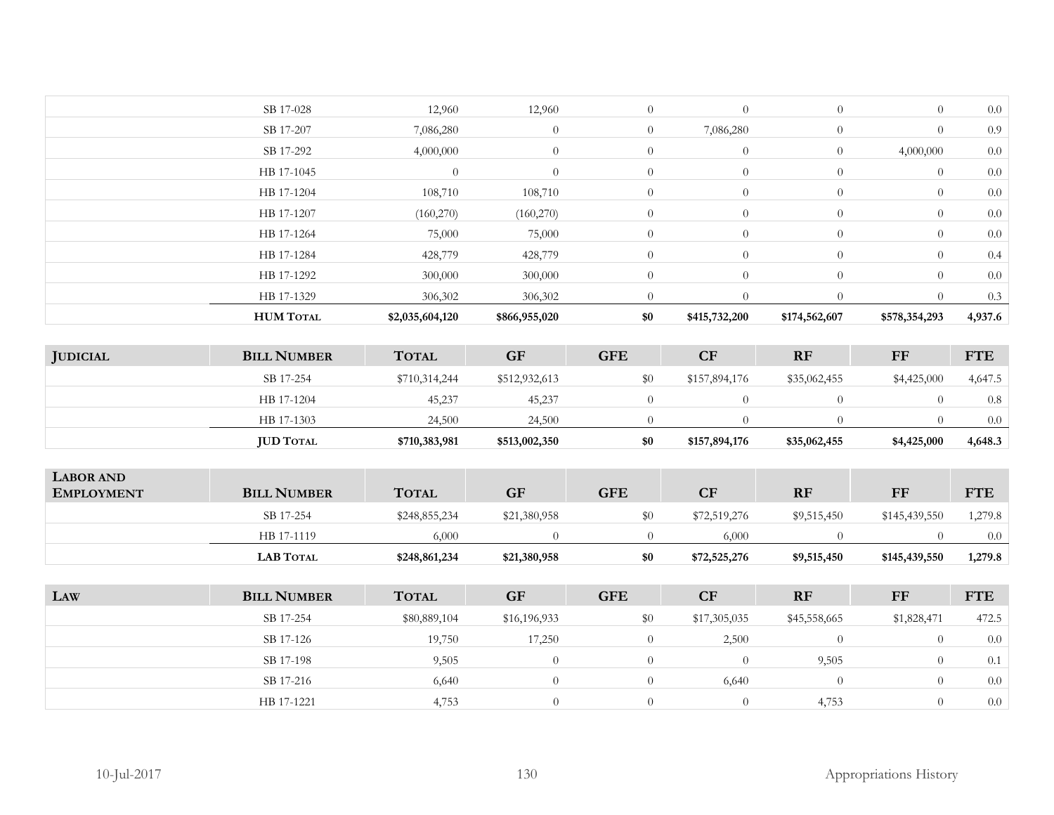| <b>HUM TOTAL</b> | \$2,035,604,120 | \$866,955,020  | \$0            | \$415,732,200  | \$174,562,607  | \$578,354,293  | 4,937.6 |
|------------------|-----------------|----------------|----------------|----------------|----------------|----------------|---------|
| HB 17-1329       | 306,302         | 306,302        |                | $\Omega$       |                |                | 0.3     |
| HB 17-1292       | 300,000         | 300,000        | $\theta$       | $\theta$       | $\overline{0}$ | $\overline{0}$ | 0.0     |
| HB 17-1284       | 428,779         | 428,779        | $\overline{0}$ | $\overline{0}$ | $\overline{0}$ | $\overline{0}$ | 0.4     |
| HB 17-1264       | 75,000          | 75,000         | $\overline{0}$ | $\theta$       | $\overline{0}$ | $\overline{0}$ | 0.0     |
| HB 17-1207       | (160,270)       | (160,270)      | $\overline{0}$ | $\theta$       | $\overline{0}$ | $\overline{0}$ | 0.0     |
| HB 17-1204       | 108,710         | 108,710        | $\overline{0}$ | $\overline{0}$ | $\overline{0}$ | $\overline{0}$ | 0.0     |
| HB 17-1045       | $\overline{0}$  | $\theta$       | $\overline{0}$ | $\overline{0}$ | $\overline{0}$ | $\overline{0}$ | 0.0     |
| SB 17-292        | 4,000,000       | $\theta$       | $\overline{0}$ | $\overline{0}$ | $\theta$       | 4,000,000      | 0.0     |
| SB 17-207        | 7,086,280       | $\overline{0}$ | $\overline{0}$ | 7,086,280      | $\theta$       | $\overline{0}$ | 0.9     |
| SB 17-028        | 12,960          | 12,960         | $\overline{0}$ | $\theta$       | $\overline{0}$ | $\overline{0}$ | 0.0     |
|                  |                 |                |                |                |                |                |         |

| <b>JUDICIAL</b> | <b>BILL NUMBER</b> | <b>TOTAL</b>  | <b>GF</b>     | <b>GFE</b> | CF            | <b>RF</b>    | FF          | <b>FTE</b> |
|-----------------|--------------------|---------------|---------------|------------|---------------|--------------|-------------|------------|
|                 | SB 17-254          | \$710,314,244 | \$512,932,613 | \$0        | \$157,894,176 | \$35,062,455 | \$4,425,000 | 4,647.5    |
|                 | HB 17-1204         | 45,237        | 45,237        |            |               |              |             | 0.8        |
|                 | HB 17-1303         | 24,500        | 24,500        |            |               |              |             | 0.0        |
|                 | <b>JUD TOTAL</b>   | \$710,383,981 | \$513,002,350 | \$0        | \$157,894,176 | \$35,062,455 | \$4,425,000 | 4,648.3    |

| <b>LABOR AND</b><br><b>EMPLOYMENT</b> | <b>BILL NUMBER</b> | <b>TOTAL</b>  | <b>GF</b>    | <b>GFE</b> | CF           | <b>RF</b>   | FF            | FTE     |
|---------------------------------------|--------------------|---------------|--------------|------------|--------------|-------------|---------------|---------|
|                                       | SB 17-254          | \$248,855,234 | \$21,380,958 | \$0        | \$72,519,276 | \$9,515,450 | \$145,439,550 | 1,279.8 |
|                                       | HB 17-1119         | 6.000         |              |            | 6,000        |             |               | 0.0     |
|                                       | <b>LAB TOTAL</b>   | \$248,861,234 | \$21,380,958 | \$0        | \$72,525,276 | \$9,515,450 | \$145,439,550 | 1,279.8 |

| LAW | <b>BILL NUMBER</b> | <b>TOTAL</b> | <b>GF</b>    | <b>GFE</b> | CF           | <b>RF</b>    | <b>FF</b>   | <b>FTE</b> |
|-----|--------------------|--------------|--------------|------------|--------------|--------------|-------------|------------|
|     | SB 17-254          | \$80,889,104 | \$16,196,933 | \$0        | \$17,305,035 | \$45,558,665 | \$1,828,471 | 472.5      |
|     | SB 17-126          | 19,750       | 17,250       | 0          | 2,500        |              |             | 0.0        |
|     | SB 17-198          | 9,505        | $^{(1)}$     | $\theta$   |              | 9,505        |             | 0.1        |
|     | SB 17-216          | 6,640        |              | $\Omega$   | 6,640        | 0            |             | 0.0        |
|     | HB 17-1221         | 4,753        |              | $\Omega$   |              | 4,753        |             | 0.0        |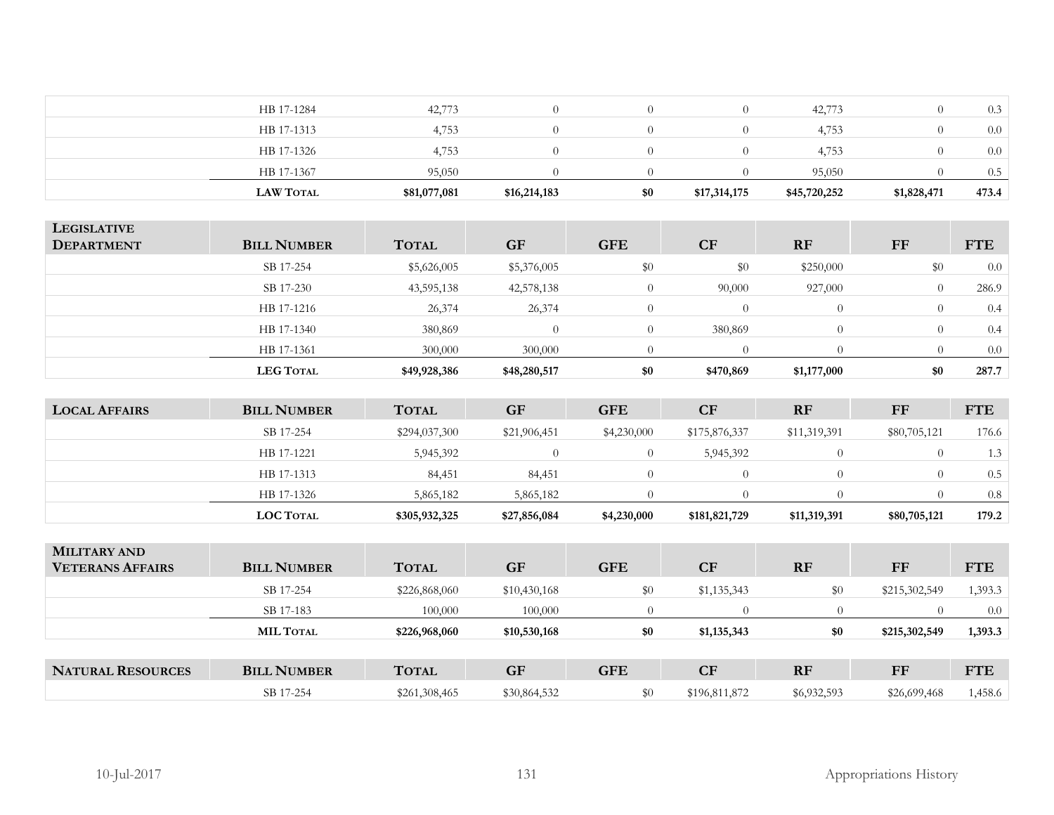| <b>LAW TOTAL</b> | \$81,077,081 | \$16,214,183 | \$0 | \$17,314,175 | \$45,720,252 | \$1,828,471 | 473.4 |
|------------------|--------------|--------------|-----|--------------|--------------|-------------|-------|
| HB 17-1367       | 95,050       |              |     |              | 95,050       |             | 0.5   |
| HB 17-1326       | 4,753        |              |     |              | 4,753        |             | 0.0   |
| HB 17-1313       | 4,753        |              |     |              | 4,753        |             | 0.0   |
| HB 17-1284       | 42,773       |              |     |              | 42,773       |             | 0.3   |
|                  |              |              |     |              |              |             |       |

| <b>LEGISLATIVE</b><br><b>DEPARTMENT</b> | <b>BILL NUMBER</b> | <b>TOTAL</b> | <b>GF</b>    | <b>GFE</b> | <b>CF</b> | RF          | FF  | <b>FTE</b> |
|-----------------------------------------|--------------------|--------------|--------------|------------|-----------|-------------|-----|------------|
|                                         |                    |              |              |            |           |             |     |            |
|                                         | SB 17-254          | \$5,626,005  | \$5,376,005  | \$0        | \$0       | \$250,000   | \$0 | 0.0        |
|                                         | SB 17-230          | 43,595,138   | 42,578,138   |            | 90,000    | 927,000     |     | 286.9      |
|                                         | HB 17-1216         | 26,374       | 26,374       | $\Omega$   |           | $\Omega$    |     | 0.4        |
|                                         | HB 17-1340         | 380,869      | $\Omega$     | $\Omega$   | 380,869   | $\Omega$    |     | 0.4        |
|                                         | HB 17-1361         | 300,000      | 300,000      |            |           |             |     | 0.0        |
|                                         | <b>LEG TOTAL</b>   | \$49,928,386 | \$48,280,517 | \$0        | \$470,869 | \$1,177,000 | \$0 | 287.7      |
|                                         |                    |              |              |            |           |             |     |            |

| <b>LOCAL AFFAIRS</b> | <b>BILL NUMBER</b> | <b>TOTAL</b>  | <b>GF</b>    | <b>GFE</b>  | <b>CF</b>     | <b>RF</b>    | FF           | <b>FTE</b> |
|----------------------|--------------------|---------------|--------------|-------------|---------------|--------------|--------------|------------|
|                      | SB 17-254          | \$294,037,300 | \$21,906,451 | \$4,230,000 | \$175,876,337 | \$11,319,391 | \$80,705,121 | 176.6      |
|                      | HB 17-1221         | 5,945,392     |              |             | 5,945,392     |              |              | 1.3        |
|                      | HB 17-1313         | 84,451        | 84,451       |             |               |              |              | 0.5        |
|                      | HB 17-1326         | 5,865,182     | 5,865,182    |             |               |              |              | 0.8        |
|                      | <b>LOC TOTAL</b>   | \$305,932,325 | \$27,856,084 | \$4,230,000 | \$181,821,729 | \$11,319,391 | \$80,705,121 | 179.2      |

| <b>MILITARY AND</b><br><b>VETERANS AFFAIRS</b> | <b>BILL NUMBER</b> | <b>TOTAL</b>  | <b>GF</b>    | <b>GFE</b> | <b>CF</b>     | <b>RF</b>   | FF            | <b>FTE</b> |
|------------------------------------------------|--------------------|---------------|--------------|------------|---------------|-------------|---------------|------------|
|                                                | SB 17-254          | \$226,868,060 | \$10,430,168 | \$0        | \$1,135,343   | \$0         | \$215,302,549 | 1,393.3    |
|                                                | SB 17-183          | 100,000       | 100,000      |            |               |             |               | $0.0\,$    |
|                                                | <b>MIL TOTAL</b>   | \$226,968,060 | \$10,530,168 | \$0        | \$1,135,343   | \$0         | \$215,302,549 | 1,393.3    |
|                                                |                    |               |              |            |               |             |               |            |
| <b>NATURAL RESOURCES</b>                       | <b>BILL NUMBER</b> | <b>TOTAL</b>  | <b>GF</b>    | <b>GFE</b> | CF            | <b>RF</b>   | FF            | <b>FTE</b> |
|                                                | SB 17-254          | \$261,308,465 | \$30,864,532 | \$0        | \$196,811,872 | \$6,932,593 | \$26,699,468  | 1,458.6    |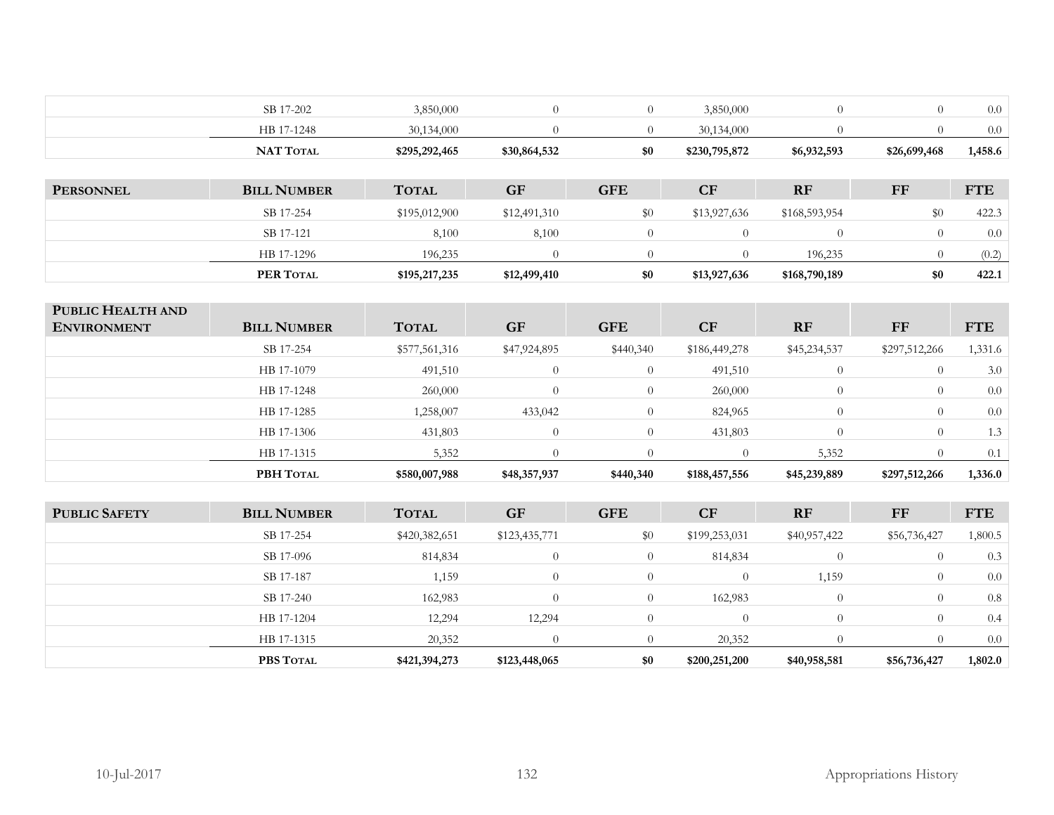|                                         | SB 17-202          | 3,850,000     | $\overline{0}$ | $\overline{0}$ | 3,850,000      | $\overline{0}$ | $\overline{0}$ | 0.0        |
|-----------------------------------------|--------------------|---------------|----------------|----------------|----------------|----------------|----------------|------------|
|                                         | HB 17-1248         | 30,134,000    | $\theta$       | $\overline{0}$ | 30,134,000     | $\overline{0}$ | $\overline{0}$ | 0.0        |
|                                         | NAT TOTAL          | \$295,292,465 | \$30,864,532   | \$0            | \$230,795,872  | \$6,932,593    | \$26,699,468   | 1,458.6    |
|                                         |                    |               |                |                |                |                |                |            |
| <b>PERSONNEL</b>                        | <b>BILL NUMBER</b> | <b>TOTAL</b>  | <b>GF</b>      | <b>GFE</b>     | CF             | RF             | <b>FF</b>      | <b>FTE</b> |
|                                         | SB 17-254          | \$195,012,900 | \$12,491,310   | $\$0$          | \$13,927,636   | \$168,593,954  | \$0            | 422.3      |
|                                         | SB 17-121          | 8,100         | 8,100          | $\overline{0}$ | $\overline{0}$ | $\overline{0}$ | $\overline{0}$ | 0.0        |
|                                         | HB 17-1296         | 196,235       | $\overline{0}$ | $\overline{0}$ | $\overline{0}$ | 196,235        | $\theta$       | (0.2)      |
|                                         | PER TOTAL          | \$195,217,235 | \$12,499,410   | \$0            | \$13,927,636   | \$168,790,189  | \$0            | 422.1      |
|                                         |                    |               |                |                |                |                |                |            |
| PUBLIC HEALTH AND<br><b>ENVIRONMENT</b> | <b>BILL NUMBER</b> | <b>TOTAL</b>  | <b>GF</b>      | <b>GFE</b>     | CF             | RF             | $\bf FF$       | <b>FTE</b> |
|                                         |                    |               |                |                |                |                |                |            |
|                                         | SB 17-254          | \$577,561,316 | \$47,924,895   | \$440,340      | \$186,449,278  | \$45,234,537   | \$297,512,266  | 1,331.6    |
|                                         | HB 17-1079         | 491,510       | $\overline{0}$ | $\overline{0}$ | 491,510        | $\theta$       | $\overline{0}$ | 3.0        |
|                                         | HB 17-1248         | 260,000       | $\Omega$       | $\overline{0}$ | 260,000        | $\overline{0}$ | $\overline{0}$ | $0.0\,$    |
|                                         | HB 17-1285         | 1,258,007     | 433,042        | $\overline{0}$ | 824,965        | $\overline{0}$ | $\overline{0}$ | $0.0\,$    |
|                                         | HB 17-1306         | 431,803       | $\theta$       | $\overline{0}$ | 431,803        | $\overline{0}$ | $\overline{0}$ | 1.3        |
|                                         | HB 17-1315         | 5,352         | $\Omega$       | $\overline{0}$ | $\overline{0}$ | 5,352          | $\overline{0}$ | 0.1        |
|                                         | PBH TOTAL          | \$580,007,988 | \$48,357,937   | \$440,340      | \$188,457,556  | \$45,239,889   | \$297,512,266  | 1,336.0    |
|                                         |                    |               |                |                |                |                |                |            |
| <b>PUBLIC SAFETY</b>                    | <b>BILL NUMBER</b> | <b>TOTAL</b>  | <b>GF</b>      | <b>GFE</b>     | CF             | RF             | $\bf FF$       | <b>FTE</b> |
|                                         | SB 17-254          | \$420,382,651 | \$123,435,771  | \$0            | \$199,253,031  | \$40,957,422   | \$56,736,427   | 1,800.5    |
|                                         | SB 17-096          | 814,834       | $\theta$       | $\overline{0}$ | 814,834        | $\overline{0}$ | $\overline{0}$ | 0.3        |
|                                         | SB 17-187          | 1,159         | $\theta$       | $\overline{0}$ | $\theta$       | 1,159          | $\overline{0}$ | $0.0\,$    |
|                                         | SB 17-240          | 162,983       | $\theta$       | $\overline{0}$ | 162,983        | $\overline{0}$ | $\overline{0}$ | 0.8        |
|                                         | HB 17-1204         | 12,294        | 12,294         | $\overline{0}$ | $\overline{0}$ | $\theta$       | $\theta$       | 0.4        |
|                                         | HB 17-1315         | 20,352        | $\theta$       | $\overline{0}$ | 20,352         | $\theta$       | $\theta$       | 0.0        |
|                                         | PBS TOTAL          | \$421,394,273 | \$123,448,065  | \$0            | \$200,251,200  | \$40,958,581   | \$56,736,427   | 1,802.0    |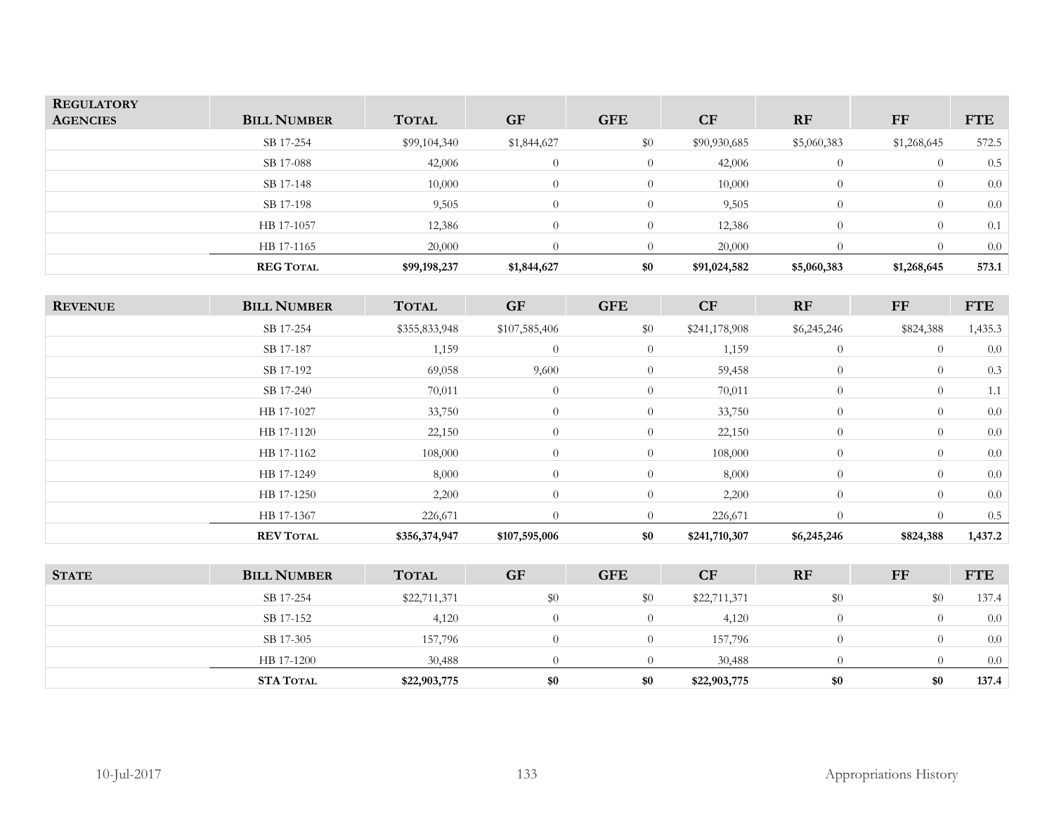| <b>REGULATORY</b><br><b>AGENCIES</b> | <b>BILL NUMBER</b> | <b>TOTAL</b> | <b>GF</b>      | <b>GFE</b>     | <b>CF</b>    | <b>RF</b>   | FF          | <b>FTE</b> |
|--------------------------------------|--------------------|--------------|----------------|----------------|--------------|-------------|-------------|------------|
|                                      | SB 17-254          | \$99,104,340 | \$1,844,627    | \$0            | \$90,930,685 | \$5,060,383 | \$1,268,645 | 572.5      |
|                                      | SB 17-088          | 42,006       | $\Omega$       | $\overline{0}$ | 42,006       | $\Omega$    | $\Omega$    | 0.5        |
|                                      | SB 17-148          | 10,000       | $\overline{0}$ | $\overline{0}$ | 10,000       | $\theta$    | $\theta$    | 0.0        |
|                                      | SB 17-198          | 9,505        | $\Omega$       | $\overline{0}$ | 9,505        | $\Omega$    | $\Omega$    | 0.0        |
|                                      | HB 17-1057         | 12,386       | $\theta$       | $\theta$       | 12,386       | $\Omega$    | $\theta$    | 0.1        |
|                                      | HB 17-1165         | 20,000       | $\Omega$       | $\Omega$       | 20,000       | 0           |             | 0.0        |
|                                      | <b>REG TOTAL</b>   | \$99,198,237 | \$1,844,627    | \$0            | \$91,024,582 | \$5,060,383 | \$1,268,645 | 573.1      |

| <b>REVENUE</b> | <b>BILL NUMBER</b> | <b>TOTAL</b>  | <b>GF</b>      | <b>GFE</b>     | <b>CF</b>     | RF             | FF        | <b>FTE</b> |
|----------------|--------------------|---------------|----------------|----------------|---------------|----------------|-----------|------------|
|                | SB 17-254          | \$355,833,948 | \$107,585,406  | \$0            | \$241,178,908 | \$6,245,246    | \$824,388 | 1,435.3    |
|                | SB 17-187          | 1,159         | $\overline{0}$ | $\overline{0}$ | 1,159         | $\overline{0}$ | $\theta$  | 0.0        |
|                | SB 17-192          | 69,058        | 9,600          | $\theta$       | 59,458        | $\theta$       | $\theta$  | 0.3        |
|                | SB 17-240          | 70,011        | $\overline{0}$ | $\overline{0}$ | 70,011        | $\theta$       | $\theta$  | 1.1        |
|                | HB 17-1027         | 33,750        | $\overline{0}$ | $\overline{0}$ | 33,750        | $\overline{0}$ | $\theta$  | 0.0        |
|                | HB 17-1120         | 22,150        | $\overline{0}$ | $\overline{0}$ | 22,150        | $\overline{0}$ | $\theta$  | 0.0        |
|                | HB 17-1162         | 108,000       | $\overline{0}$ | $\overline{0}$ | 108,000       | $\overline{0}$ | $\theta$  | 0.0        |
|                | HB 17-1249         | 8,000         | $\overline{0}$ | $\overline{0}$ | 8,000         | $\overline{0}$ | $\theta$  | 0.0        |
|                | HB 17-1250         | 2,200         | $\overline{0}$ | $\theta$       | 2,200         | $\overline{0}$ | $\theta$  | 0.0        |
|                | HB 17-1367         | 226,671       | $\overline{0}$ | $\overline{0}$ | 226,671       | $\overline{0}$ | $\theta$  | 0.5        |
|                | <b>REV TOTAL</b>   | \$356,374,947 | \$107,595,006  | \$0            | \$241,710,307 | \$6,245,246    | \$824,388 | 1,437.2    |

| <b>STATE</b> | <b>BILL NUMBER</b> | <b>TOTAL</b> | <b>GF</b> | <b>GFE</b> | <b>CF</b>    | <b>RF</b> | FF       | <b>FTE</b> |
|--------------|--------------------|--------------|-----------|------------|--------------|-----------|----------|------------|
|              | SB 17-254          | \$22,711,371 | $\$0$     | \$0        | \$22,711,371 | $\$0$     | \$0      | 137.4      |
|              | SB 17-152          | 4,120        |           | $\Omega$   | 4,120        |           | $\Omega$ | 0.0        |
|              | SB 17-305          | 157,796      | $\theta$  | $\Omega$   | 157,796      |           | $\Omega$ | 0.0        |
|              | HB 17-1200         | 30,488       |           |            | 30,488       |           |          | 0.0        |
|              | <b>STA TOTAL</b>   | \$22,903,775 | \$0       | \$0        | \$22,903,775 | \$0       | \$0      | 137.4      |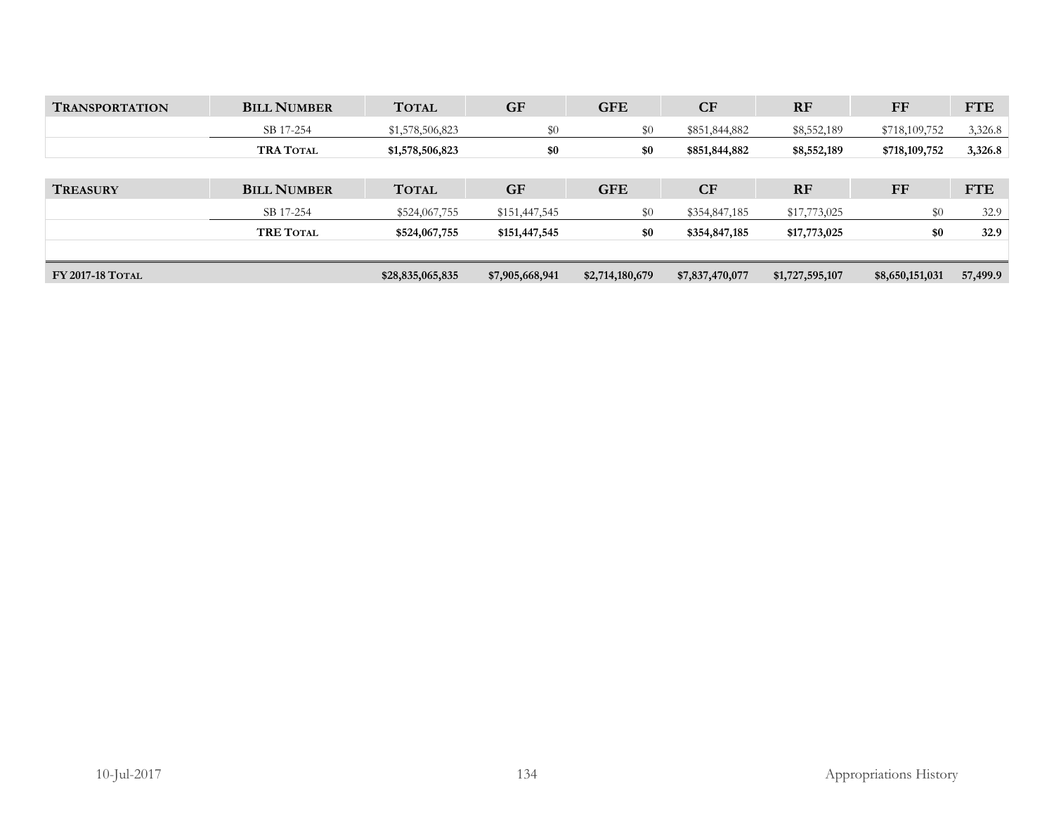| <b>TRANSPORTATION</b>   | <b>BILL NUMBER</b> | <b>TOTAL</b>     | <b>GF</b>       | <b>GFE</b>      | CF              | <b>RF</b>       | $_{\rm FF}$     | <b>FTE</b> |
|-------------------------|--------------------|------------------|-----------------|-----------------|-----------------|-----------------|-----------------|------------|
|                         | SB 17-254          | \$1,578,506,823  | \$0             | \$0             | \$851,844,882   | \$8,552,189     | \$718,109,752   | 3,326.8    |
|                         | <b>TRA TOTAL</b>   | \$1,578,506,823  | \$0             | \$0             | \$851,844,882   | \$8,552,189     | \$718,109,752   | 3,326.8    |
|                         |                    |                  |                 |                 |                 |                 |                 |            |
| <b>TREASURY</b>         | <b>BILL NUMBER</b> | <b>TOTAL</b>     | <b>GF</b>       | <b>GFE</b>      | <b>CF</b>       | <b>RF</b>       | <b>FF</b>       | <b>FTE</b> |
|                         | SB 17-254          | \$524,067,755    | \$151,447,545   | \$0             | \$354,847,185   | \$17,773,025    | $\$0$           | 32.9       |
|                         | <b>TRE TOTAL</b>   | \$524,067,755    | \$151,447,545   | \$0             | \$354,847,185   | \$17,773,025    | \$0             | 32.9       |
|                         |                    |                  |                 |                 |                 |                 |                 |            |
| <b>FY 2017-18 TOTAL</b> |                    | \$28,835,065,835 | \$7,905,668,941 | \$2,714,180,679 | \$7,837,470,077 | \$1,727,595,107 | \$8,650,151,031 | 57,499.9   |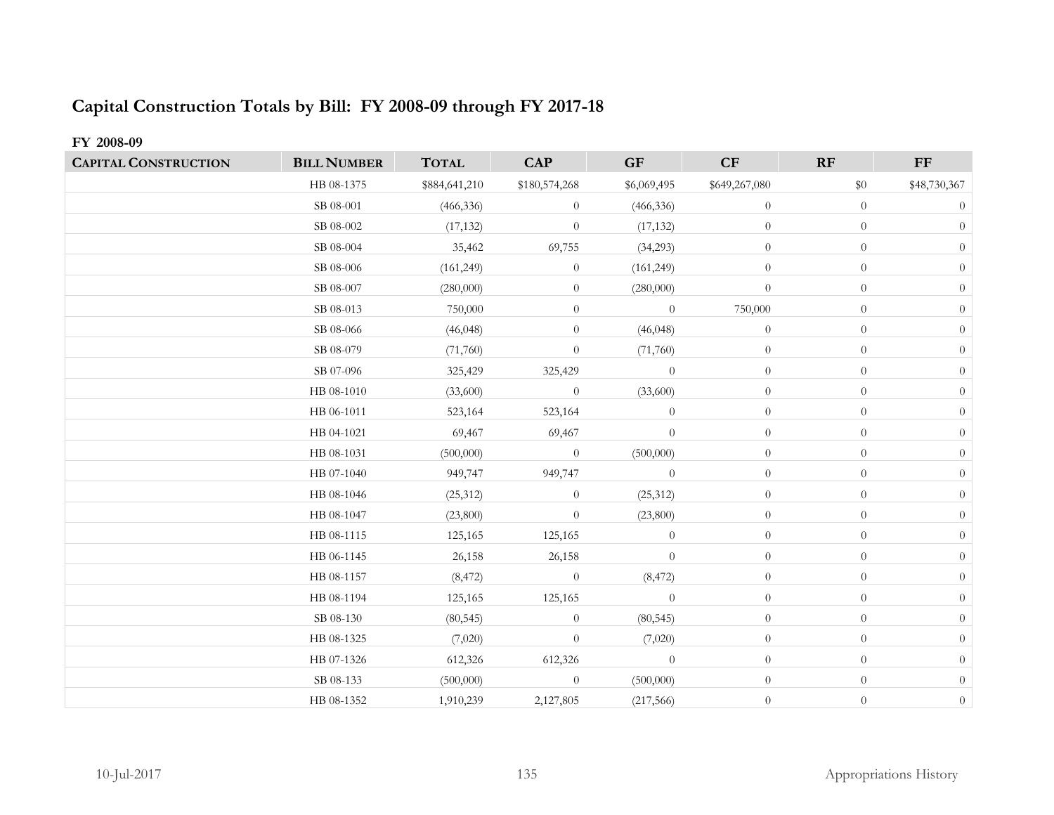# **Capital Construction Totals by Bill: FY 2008-09 through FY 2017-18**

# **FY 2008-09**

| <b>CAPITAL CONSTRUCTION</b> | <b>BILL NUMBER</b> | <b>TOTAL</b>  | <b>CAP</b>     | <b>GF</b>      | CF               | RF               | $\bf FF$       |
|-----------------------------|--------------------|---------------|----------------|----------------|------------------|------------------|----------------|
|                             | HB 08-1375         | \$884,641,210 | \$180,574,268  | \$6,069,495    | \$649,267,080    | $\$0$            | \$48,730,367   |
|                             | SB 08-001          | (466, 336)    | $\overline{0}$ | (466, 336)     | $\overline{0}$   | $\theta$         | $\theta$       |
|                             | SB 08-002          | (17, 132)     | $\theta$       | (17, 132)      | $\boldsymbol{0}$ | $\overline{0}$   | $\overline{0}$ |
|                             | SB 08-004          | 35,462        | 69,755         | (34,293)       | $\overline{0}$   | $\theta$         | $\theta$       |
|                             | SB 08-006          | (161, 249)    | $\theta$       | (161, 249)     | $\overline{0}$   | $\boldsymbol{0}$ | $\theta$       |
|                             | SB 08-007          | (280,000)     | $\theta$       | (280,000)      | $\overline{0}$   | $\boldsymbol{0}$ | $\theta$       |
|                             | SB 08-013          | 750,000       | $\overline{0}$ | $\overline{0}$ | 750,000          | $\boldsymbol{0}$ | $\overline{0}$ |
|                             | SB 08-066          | (46, 048)     | $\overline{0}$ | (46, 048)      | $\theta$         | $\overline{0}$   | $\theta$       |
|                             | SB 08-079          | (71,760)      | $\overline{0}$ | (71,760)       | $\boldsymbol{0}$ | $\overline{0}$   | $\overline{0}$ |
|                             | SB 07-096          | 325,429       | 325,429        | $\theta$       | $\theta$         | $\overline{0}$   | $\theta$       |
|                             | HB 08-1010         | (33,600)      | $\theta$       | (33,600)       | $\overline{0}$   | $\boldsymbol{0}$ | $\theta$       |
|                             | HB 06-1011         | 523,164       | 523,164        | $\theta$       | $\theta$         | $\theta$         | $\overline{0}$ |
|                             | HB 04-1021         | 69,467        | 69,467         | $\theta$       | $\theta$         | $\boldsymbol{0}$ | $\theta$       |
|                             | HB 08-1031         | (500,000)     | $\theta$       | (500,000)      | $\theta$         | $\theta$         | $\theta$       |
|                             | HB 07-1040         | 949,747       | 949,747        | $\theta$       | $\boldsymbol{0}$ | $\boldsymbol{0}$ | $\overline{0}$ |
|                             | HB 08-1046         | (25, 312)     | $\theta$       | (25, 312)      | $\boldsymbol{0}$ | $\boldsymbol{0}$ | $\theta$       |
|                             | HB 08-1047         | (23,800)      | $\theta$       | (23,800)       | $\boldsymbol{0}$ | $\theta$         | $\theta$       |
|                             | HB 08-1115         | 125,165       | 125,165        | $\theta$       | $\theta$         | $\boldsymbol{0}$ | $\overline{0}$ |
|                             | HB 06-1145         | 26,158        | 26,158         | $\theta$       | $\theta$         | $\theta$         | $\overline{0}$ |
|                             | HB 08-1157         | (8, 472)      | $\theta$       | (8, 472)       | $\boldsymbol{0}$ | $\boldsymbol{0}$ | $\theta$       |
|                             | HB 08-1194         | 125,165       | 125,165        | $\theta$       | $\boldsymbol{0}$ | $\boldsymbol{0}$ | $\theta$       |
|                             | SB 08-130          | (80, 545)     | $\overline{0}$ | (80, 545)      | $\theta$         | $\boldsymbol{0}$ | $\theta$       |
|                             | HB 08-1325         | (7,020)       | $\theta$       | (7,020)        | $\boldsymbol{0}$ | $\boldsymbol{0}$ | $\theta$       |
|                             | HB 07-1326         | 612,326       | 612,326        | $\theta$       | $\boldsymbol{0}$ | $\boldsymbol{0}$ | $\theta$       |
|                             | SB 08-133          | (500,000)     | $\overline{0}$ | (500,000)      | $\overline{0}$   | $\overline{0}$   | $\overline{0}$ |
|                             | HB 08-1352         | 1,910,239     | 2,127,805      | (217, 566)     | $\theta$         | $\boldsymbol{0}$ | $\overline{0}$ |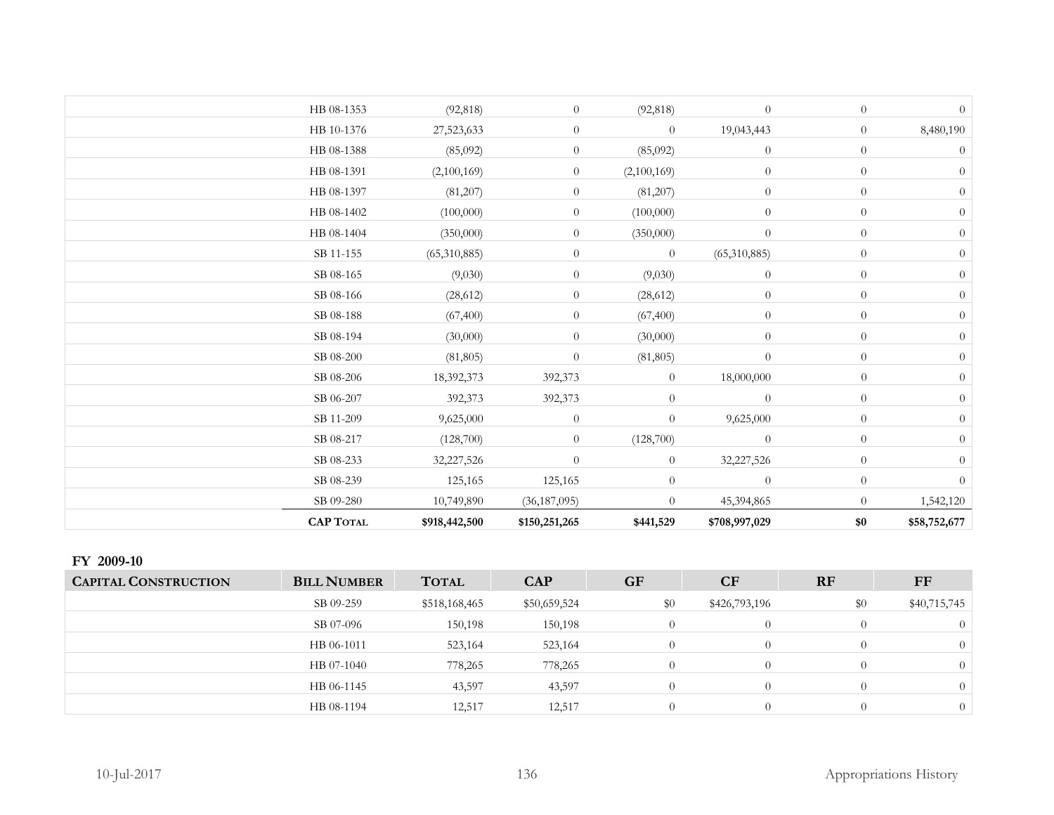| HB 08-1353       | (92, 818)     | $\theta$       | (92, 818)      | $\theta$         | $\overline{0}$   | $\overline{0}$   |
|------------------|---------------|----------------|----------------|------------------|------------------|------------------|
| HB 10-1376       | 27,523,633    | $\overline{0}$ | $\overline{0}$ | 19,043,443       | $\overline{0}$   | 8,480,190        |
| HB 08-1388       | (85,092)      | $\overline{0}$ | (85,092)       | $\theta$         | $\theta$         | $\theta$         |
| HB 08-1391       | (2,100,169)   | $\overline{0}$ | (2,100,169)    | $\theta$         | $\overline{0}$   | $\overline{0}$   |
| HB 08-1397       | (81,207)      | $\overline{0}$ | (81,207)       | $\boldsymbol{0}$ | $\overline{0}$   | $\theta$         |
| HB 08-1402       | (100,000)     | $\overline{0}$ | (100,000)      | $\theta$         | $\overline{0}$   | $\theta$         |
| HB 08-1404       | (350,000)     | $\overline{0}$ | (350,000)      | $\overline{0}$   | $\overline{0}$   | $\boldsymbol{0}$ |
| SB 11-155        | (65,310,885)  | $\overline{0}$ | $\theta$       | (65,310,885)     | $\overline{0}$   | $\theta$         |
| SB 08-165        | (9,030)       | $\overline{0}$ | (9,030)        | $\theta$         | $\overline{0}$   | $\theta$         |
| SB 08-166        | (28, 612)     | $\overline{0}$ | (28, 612)      | $\theta$         | $\overline{0}$   | $\boldsymbol{0}$ |
| SB 08-188        | (67, 400)     | $\overline{0}$ | (67, 400)      | $\theta$         | $\overline{0}$   | $\theta$         |
| SB 08-194        | (30,000)      | $\overline{0}$ | (30,000)       | $\theta$         | $\overline{0}$   | $\overline{0}$   |
| SB 08-200        | (81, 805)     | $\overline{0}$ | (81, 805)      | $\boldsymbol{0}$ | $\boldsymbol{0}$ | $\theta$         |
| SB 08-206        | 18,392,373    | 392,373        | $\overline{0}$ | 18,000,000       | $\theta$         | $\theta$         |
| SB 06-207        | 392,373       | 392,373        | $\overline{0}$ | $\theta$         | $\overline{0}$   | $\theta$         |
| SB 11-209        | 9,625,000     | $\overline{0}$ | $\overline{0}$ | 9,625,000        | $\overline{0}$   | $\theta$         |
| SB 08-217        | (128,700)     | $\overline{0}$ | (128,700)      | $\theta$         | $\boldsymbol{0}$ | $\theta$         |
| SB 08-233        | 32,227,526    | $\overline{0}$ | $\overline{0}$ | 32,227,526       | $\theta$         | $\overline{0}$   |
| SB 08-239        | 125,165       | 125,165        | $\theta$       | $\theta$         | $\overline{0}$   | $\overline{0}$   |
| SB 09-280        | 10,749,890    | (36, 187, 095) | $\overline{0}$ | 45,394,865       | $\theta$         | 1,542,120        |
| <b>CAP TOTAL</b> | \$918,442,500 | \$150,251,265  | \$441,529      | \$708,997,029    | \$0              | \$58,752,677     |

#### **FY 2009-10**

| <b>CAPITAL CONSTRUCTION</b> | <b>BILL NUMBER</b> | <b>TOTAL</b>  | <b>CAP</b>   | <b>GF</b> | CF            | RF  | FF           |
|-----------------------------|--------------------|---------------|--------------|-----------|---------------|-----|--------------|
|                             | SB 09-259          | \$518,168,465 | \$50,659,524 | \$0       | \$426,793,196 | \$0 | \$40,715,745 |
|                             | SB 07-096          | 150,198       | 150,198      |           | $\Omega$      |     |              |
|                             | HB 06-1011         | 523,164       | 523,164      |           | $\Omega$      |     |              |
|                             | HB 07-1040         | 778,265       | 778,265      |           | $\Omega$      |     |              |
|                             | HB 06-1145         | 43,597        | 43,597       |           | $\Omega$      |     |              |
|                             | HB 08-1194         | 12,517        | 12,517       |           | $\Omega$      |     | $\theta$     |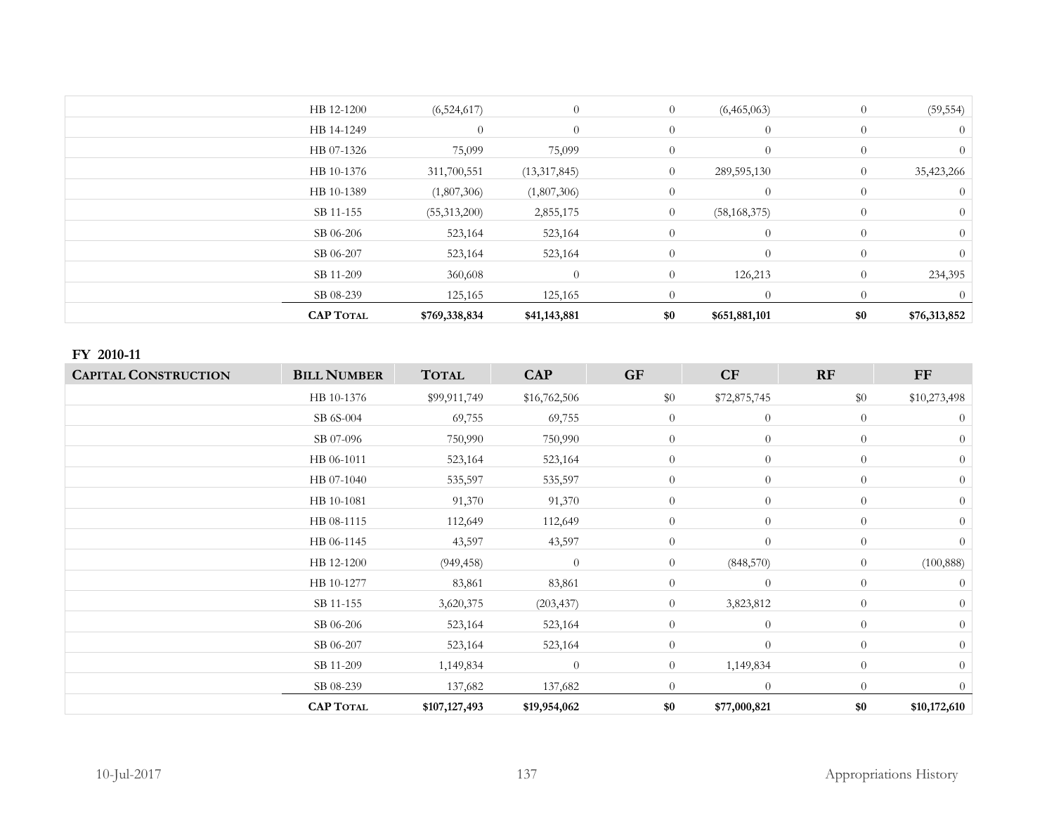| $\theta$<br>234,395 |
|---------------------|
|                     |
|                     |
|                     |
|                     |
|                     |
| $\theta$            |
| 35,423,266          |
| $\left($            |
|                     |
| (59, 554)           |
|                     |

#### **FY 2010-11**

| <b>CAPITAL CONSTRUCTION</b> | <b>BILL NUMBER</b> | <b>TOTAL</b>  | <b>CAP</b>     | <b>GF</b>      | CF             | RF             | $\bf FF$       |
|-----------------------------|--------------------|---------------|----------------|----------------|----------------|----------------|----------------|
|                             | HB 10-1376         | \$99,911,749  | \$16,762,506   | \$0            | \$72,875,745   | \$0            | \$10,273,498   |
|                             | SB 6S-004          | 69,755        | 69,755         | $\theta$       | $\overline{0}$ | $\theta$       | $\theta$       |
|                             | SB 07-096          | 750,990       | 750,990        | $\overline{0}$ | $\theta$       | $\theta$       | $\theta$       |
|                             | HB 06-1011         | 523,164       | 523,164        | $\overline{0}$ | $\overline{0}$ | $\overline{0}$ | $\theta$       |
|                             | HB 07-1040         | 535,597       | 535,597        | $\overline{0}$ | $\theta$       | $\theta$       | $\overline{0}$ |
|                             | HB 10-1081         | 91,370        | 91,370         | $\theta$       | $\theta$       | $\theta$       | $\Omega$       |
|                             | HB 08-1115         | 112,649       | 112,649        | $\theta$       | $\theta$       | $\theta$       | $\Omega$       |
|                             | HB 06-1145         | 43,597        | 43,597         | $\overline{0}$ | $\theta$       | $\theta$       | $\theta$       |
|                             | HB 12-1200         | (949, 458)    | $\theta$       | $\overline{0}$ | (848, 570)     | $\theta$       | (100, 888)     |
|                             | HB 10-1277         | 83,861        | 83,861         | $\theta$       | $\theta$       | $\theta$       | $\theta$       |
|                             | SB 11-155          | 3,620,375     | (203, 437)     | $\overline{0}$ | 3,823,812      | $\theta$       | $\Omega$       |
|                             | SB 06-206          | 523,164       | 523,164        | $\overline{0}$ | $\theta$       | $\theta$       | $\Omega$       |
|                             | SB 06-207          | 523,164       | 523,164        | $\overline{0}$ | $\theta$       | $\theta$       | $\theta$       |
|                             | SB 11-209          | 1,149,834     | $\overline{0}$ | $\overline{0}$ | 1,149,834      | $\overline{0}$ | $\Omega$       |
|                             | SB 08-239          | 137,682       | 137,682        | $\Omega$       | $\theta$       | $\Omega$       | $\theta$       |
|                             | <b>CAP TOTAL</b>   | \$107,127,493 | \$19,954,062   | \$0            | \$77,000,821   | \$0            | \$10,172,610   |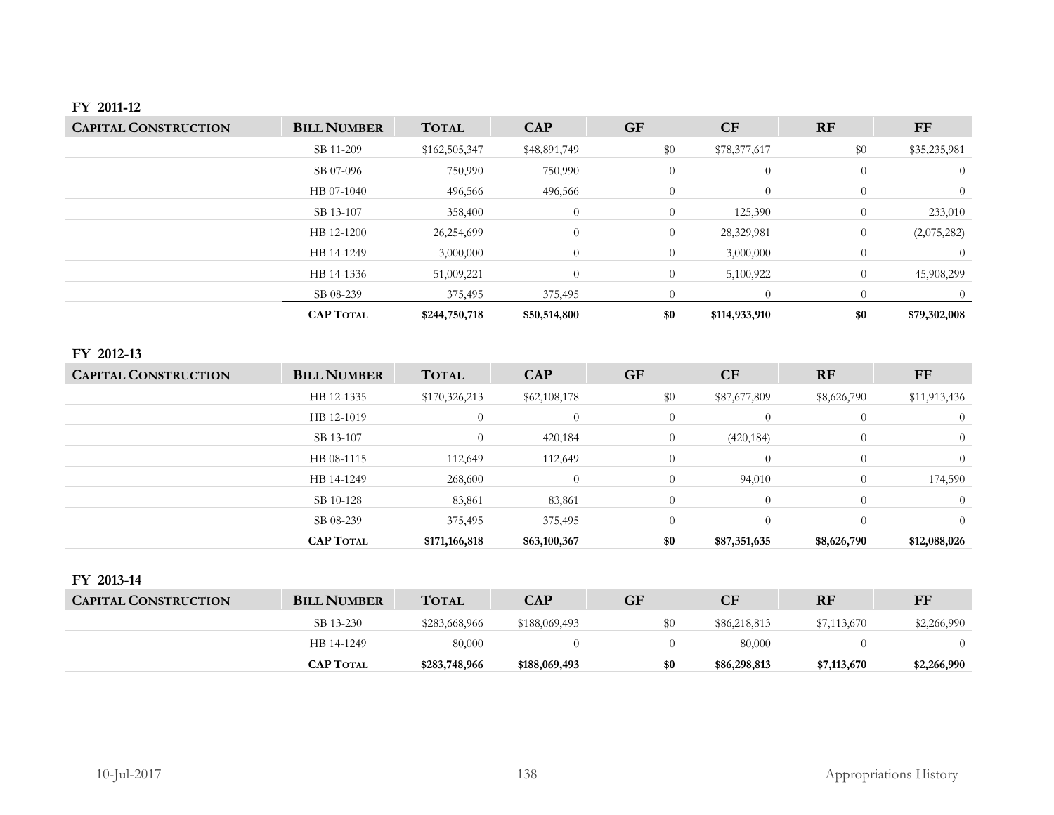### **FY 2011-12**

| <b>CAPITAL CONSTRUCTION</b> | <b>BILL NUMBER</b> | <b>TOTAL</b>  | <b>CAP</b>     | <b>GF</b>      | <b>CF</b>      | <b>RF</b>      | FF           |
|-----------------------------|--------------------|---------------|----------------|----------------|----------------|----------------|--------------|
|                             | SB 11-209          | \$162,505,347 | \$48,891,749   | \$0            | \$78,377,617   | \$0            | \$35,235,981 |
|                             | SB 07-096          | 750,990       | 750,990        | $\theta$       | $\overline{0}$ | $\overline{0}$ |              |
|                             | HB 07-1040         | 496,566       | 496,566        | $\theta$       | $\theta$       | $\theta$       | $\Omega$     |
|                             | SB 13-107          | 358,400       | $\theta$       | $\overline{0}$ | 125,390        | $\overline{0}$ | 233,010      |
|                             | HB 12-1200         | 26,254,699    | $\overline{0}$ | $\theta$       | 28,329,981     | $\theta$       | (2,075,282)  |
|                             | HB 14-1249         | 3,000,000     | $\overline{0}$ | $\theta$       | 3,000,000      | $\theta$       |              |
|                             | HB 14-1336         | 51,009,221    | $\overline{0}$ | $\theta$       | 5,100,922      | $\theta$       | 45,908,299   |
|                             | SB 08-239          | 375,495       | 375,495        | $\Omega$       | $\Omega$       | $\Omega$       |              |
|                             | <b>CAP TOTAL</b>   | \$244,750,718 | \$50,514,800   | \$0            | \$114,933,910  | \$0            | \$79,302,008 |

# **FY 2012-13**

| <b>CAPITAL CONSTRUCTION</b> | <b>BILL NUMBER</b> | <b>TOTAL</b>   | <b>CAP</b>   | <b>GF</b>      | <b>CF</b>    | <b>RF</b>   | FF           |
|-----------------------------|--------------------|----------------|--------------|----------------|--------------|-------------|--------------|
|                             | HB 12-1335         | \$170,326,213  | \$62,108,178 | \$0            | \$87,677,809 | \$8,626,790 | \$11,913,436 |
|                             | HB 12-1019         | $\overline{0}$ | 0            | $\theta$       | $\Omega$     | $\theta$    |              |
|                             | SB 13-107          | $\overline{0}$ | 420,184      | $\overline{0}$ | (420, 184)   | $\theta$    | 0            |
|                             | HB 08-1115         | 112,649        | 112,649      | $\Omega$       | $\Omega$     | $\Omega$    |              |
|                             | HB 14-1249         | 268,600        |              | $\Omega$       | 94,010       | $\theta$    | 174,590      |
|                             | SB 10-128          | 83,861         | 83,861       | $\Omega$       | $\Omega$     | $\Omega$    |              |
|                             | SB 08-239          | 375,495        | 375,495      |                | $\Omega$     | $\Omega$    |              |
|                             | <b>CAP TOTAL</b>   | \$171,166,818  | \$63,100,367 | \$0            | \$87,351,635 | \$8,626,790 | \$12,088,026 |

#### **FY 2013-14**

| <b>CAPITAL CONSTRUCTION</b> | <b>BILL NUMBER</b> | <b>TOTAL</b>  | <b>CAP</b>    | <b>GF</b> | $\mathbf{C}\mathbf{F}$ | <b>RF</b>   | FF          |
|-----------------------------|--------------------|---------------|---------------|-----------|------------------------|-------------|-------------|
|                             | SB 13-230          | \$283,668,966 | \$188,069,493 | SС        | \$86,218,813           | \$7,113,670 | \$2,266,990 |
|                             | HB 14-1249         | 80,000        |               |           | 80,000                 |             |             |
|                             | <b>CAP TOTAL</b>   | \$283,748,966 | \$188,069,493 | \$0       | \$86,298,813           | \$7,113,670 | \$2,266,990 |